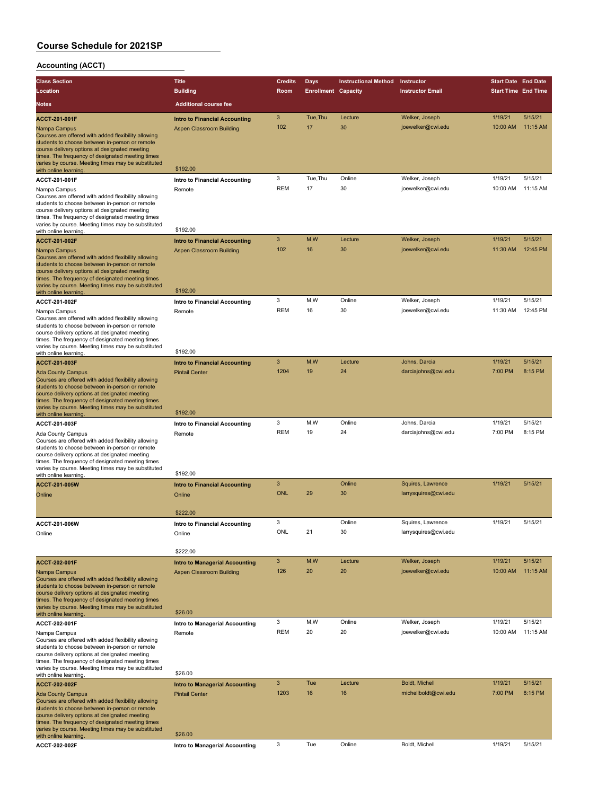#### **Accounting (ACCT)**

| <b>Class Section</b>                                                                                                                                                                                                                                                                                                              | <b>Title</b>                                                                        | <b>Credits</b> | Days                       | <b>Instructional Method</b> | Instructor                           | <b>Start Date End Date</b> |                     |
|-----------------------------------------------------------------------------------------------------------------------------------------------------------------------------------------------------------------------------------------------------------------------------------------------------------------------------------|-------------------------------------------------------------------------------------|----------------|----------------------------|-----------------------------|--------------------------------------|----------------------------|---------------------|
| Location                                                                                                                                                                                                                                                                                                                          | <b>Building</b>                                                                     | Room           | <b>Enrollment Capacity</b> |                             | <b>Instructor Email</b>              | <b>Start Time End Time</b> |                     |
| <b>Notes</b>                                                                                                                                                                                                                                                                                                                      | <b>Additional course fee</b>                                                        |                |                            |                             |                                      |                            |                     |
|                                                                                                                                                                                                                                                                                                                                   |                                                                                     |                |                            |                             |                                      |                            | 5/15/21             |
| <b>ACCT-201-001F</b><br>Nampa Campus<br>Courses are offered with added flexibility allowing<br>students to choose between in-person or remote<br>course delivery options at designated meeting<br>times. The frequency of designated meeting times<br>varies by course. Meeting times may be substituted                          | <b>Intro to Financial Accounting</b><br>Aspen Classroom Building                    | 3<br>102       | Tue, Thu<br>17             | Lecture<br>30               | Welker, Joseph<br>joewelker@cwi.edu  | 1/19/21<br>10:00 AM        | 11:15 AM            |
| with online learning.<br>ACCT-201-001F                                                                                                                                                                                                                                                                                            | \$192.00                                                                            | 3              | Tue, Thu                   | Online                      | Welker, Joseph                       | 1/19/21                    | 5/15/21             |
| Nampa Campus<br>Courses are offered with added flexibility allowing<br>students to choose between in-person or remote<br>course delivery options at designated meeting<br>times. The frequency of designated meeting times<br>varies by course. Meeting times may be substituted<br>with online learning.                         | Intro to Financial Accounting<br>Remote<br>\$192.00                                 | <b>REM</b>     | 17                         | 30                          | joewelker@cwi.edu                    | 10:00 AM                   | 11:15 AM            |
| ACCT-201-002F                                                                                                                                                                                                                                                                                                                     | <b>Intro to Financial Accounting</b>                                                | 3              | M,W                        | Lecture                     | Welker, Joseph                       | 1/19/21                    | 5/15/21             |
| Nampa Campus<br>Courses are offered with added flexibility allowing<br>students to choose between in-person or remote<br>course delivery options at designated meeting<br>times. The frequency of designated meeting times<br>varies by course. Meeting times may be substituted                                                  | <b>Aspen Classroom Building</b><br>\$192.00                                         | 102            | 16                         | 30                          | joewelker@cwi.edu                    | 11:30 AM                   | 12:45 PM            |
| with online learning.                                                                                                                                                                                                                                                                                                             |                                                                                     | 3              | M,W                        | Online                      | Welker, Joseph                       | 1/19/21                    | 5/15/21             |
| ACCT-201-002F<br>Nampa Campus<br>Courses are offered with added flexibility allowing<br>students to choose between in-person or remote<br>course delivery options at designated meeting<br>times. The frequency of designated meeting times<br>varies by course. Meeting times may be substituted                                 | Intro to Financial Accounting<br>Remote                                             | <b>REM</b>     | 16                         | 30                          | joewelker@cwi.edu                    | 11:30 AM                   | 12:45 PM            |
| with online learning.                                                                                                                                                                                                                                                                                                             | \$192.00                                                                            |                |                            |                             |                                      |                            |                     |
| ACCT-201-003F<br><b>Ada County Campus</b><br>Courses are offered with added flexibility allowing<br>students to choose between in-person or remote<br>course delivery options at designated meeting<br>times. The frequency of designated meeting times<br>varies by course. Meeting times may be substituted                     | <b>Intro to Financial Accounting</b><br><b>Pintail Center</b>                       | 3<br>1204      | M, W<br>19                 | Lecture<br>24               | Johns, Darcia<br>darciajohns@cwi.edu | 1/19/21<br>7:00 PM         | 5/15/21<br>8:15 PM  |
| with online learning.                                                                                                                                                                                                                                                                                                             | \$192.00                                                                            | 3              | M,W                        | Online                      |                                      |                            | 5/15/21             |
| ACCT-201-003F<br>Ada County Campus<br>Courses are offered with added flexibility allowing<br>students to choose between in-person or remote<br>course delivery options at designated meeting<br>times. The frequency of designated meeting times<br>varies by course. Meeting times may be substituted<br>with online learning.   | Intro to Financial Accounting<br>Remote<br>\$192.00                                 | <b>REM</b>     | 19                         | 24                          | Johns, Darcia<br>darciajohns@cwi.edu | 1/19/21<br>7:00 PM         | 8:15 PM             |
| ACCT-201-005W                                                                                                                                                                                                                                                                                                                     | <b>Intro to Financial Accounting</b>                                                | 3              |                            | Online                      | Squires, Lawrence                    | 1/19/21                    | 5/15/21             |
| Online                                                                                                                                                                                                                                                                                                                            | Online<br>\$222.00                                                                  | <b>ONL</b>     | 29                         | 30                          | larrysquires@cwi.edu                 |                            |                     |
| ACCT-201-006W                                                                                                                                                                                                                                                                                                                     | Intro to Financial Accounting                                                       | 3              |                            | Online                      | Squires, Lawrence                    | 1/19/21                    | 5/15/21             |
| Online                                                                                                                                                                                                                                                                                                                            | Online<br>\$222.00                                                                  | ONL            | 21                         | 30                          | larrysquires@cwi.edu                 |                            |                     |
| <b>ACCT-202-001F</b><br>Nampa Campus<br>Courses are offered with added flexibility allowing<br>students to choose between in-person or remote<br>course delivery options at designated meeting<br>times. The frequency of designated meeting times<br>varies by course. Meeting times may be substituted<br>with online learning. | <b>Intro to Managerial Accounting</b><br><b>Aspen Classroom Building</b><br>\$26.00 | 3<br>126       | M,W<br>20                  | Lecture<br>20               | Welker, Joseph<br>joewelker@cwi.edu  | 1/19/21<br>10:00 AM        | 5/15/21<br>11:15 AM |
| ACCT-202-001F                                                                                                                                                                                                                                                                                                                     | Intro to Managerial Accounting                                                      | 3              | M,W                        | Online                      | Welker, Joseph                       | 1/19/21                    | 5/15/21             |
| Nampa Campus<br>Courses are offered with added flexibility allowing<br>students to choose between in-person or remote<br>course delivery options at designated meeting<br>times. The frequency of designated meeting times<br>varies by course. Meeting times may be substituted<br>with online learning.                         | Remote<br>\$26.00                                                                   | <b>REM</b>     | 20                         | 20                          | joewelker@cwi.edu                    | 10:00 AM                   | 11:15 AM            |
| ACCT-202-002F                                                                                                                                                                                                                                                                                                                     | <b>Intro to Managerial Accounting</b>                                               | 3              | Tue                        | Lecture                     | Boldt, Michell                       | 1/19/21                    | 5/15/21             |
| <b>Ada County Campus</b><br>Courses are offered with added flexibility allowing<br>students to choose between in-person or remote<br>course delivery options at designated meeting<br>times. The frequency of designated meeting times<br>varies by course. Meeting times may be substituted<br>with online learning.             | <b>Pintail Center</b><br>\$26.00                                                    | 1203           | 16                         | 16                          | michellboldt@cwi.edu                 | 7:00 PM                    | 8:15 PM             |
| ACCT-202-002F                                                                                                                                                                                                                                                                                                                     | Intro to Managerial Accounting                                                      | 3              | Tue                        | Online                      | Boldt, Michell                       | 1/19/21                    | 5/15/21             |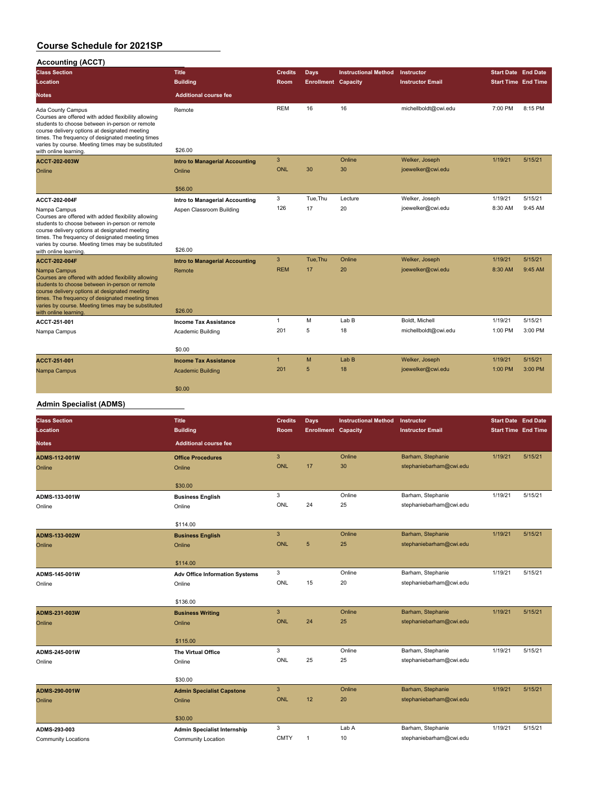| <b>Class Section</b>                                                                                                                                                                                                                                                                                      | <b>Title</b>                          | <b>Credits</b> | Days                       | <b>Instructional Method</b> | Instructor              | <b>Start Date End Date</b> |         |
|-----------------------------------------------------------------------------------------------------------------------------------------------------------------------------------------------------------------------------------------------------------------------------------------------------------|---------------------------------------|----------------|----------------------------|-----------------------------|-------------------------|----------------------------|---------|
| Location                                                                                                                                                                                                                                                                                                  | <b>Building</b>                       | Room           | <b>Enrollment Capacity</b> |                             | <b>Instructor Email</b> | <b>Start Time End Time</b> |         |
| <b>Notes</b>                                                                                                                                                                                                                                                                                              | <b>Additional course fee</b>          |                |                            |                             |                         |                            |         |
| Ada County Campus<br>Courses are offered with added flexibility allowing<br>students to choose between in-person or remote<br>course delivery options at designated meeting<br>times. The frequency of designated meeting times<br>varies by course. Meeting times may be substituted                     | Remote                                | <b>REM</b>     | 16                         | 16                          | michellboldt@cwi.edu    | 7:00 PM                    | 8:15 PM |
| with online learning.                                                                                                                                                                                                                                                                                     | \$26.00                               |                |                            |                             |                         |                            |         |
| ACCT-202-003W                                                                                                                                                                                                                                                                                             | <b>Intro to Managerial Accounting</b> | 3              |                            | Online                      | Welker, Joseph          | 1/19/21                    | 5/15/21 |
| Online                                                                                                                                                                                                                                                                                                    | Online                                | <b>ONL</b>     | 30                         | 30                          | joewelker@cwi.edu       |                            |         |
|                                                                                                                                                                                                                                                                                                           | \$56.00                               |                |                            |                             |                         |                            |         |
| ACCT-202-004F                                                                                                                                                                                                                                                                                             | <b>Intro to Managerial Accounting</b> | 3              | Tue, Thu                   | Lecture                     | Welker, Joseph          | 1/19/21                    | 5/15/21 |
| Nampa Campus<br>Courses are offered with added flexibility allowing<br>students to choose between in-person or remote                                                                                                                                                                                     | Aspen Classroom Building              | 126            | 17                         | 20                          | joewelker@cwi.edu       | 8:30 AM                    | 9:45 AM |
| course delivery options at designated meeting<br>times. The frequency of designated meeting times<br>varies by course. Meeting times may be substituted<br>with online learning.                                                                                                                          | \$26.00                               |                |                            |                             |                         |                            |         |
| <b>ACCT-202-004F</b>                                                                                                                                                                                                                                                                                      | <b>Intro to Managerial Accounting</b> | 3              | Tue, Thu                   | Online                      | Welker, Joseph          | 1/19/21                    | 5/15/21 |
| Nampa Campus<br>Courses are offered with added flexibility allowing<br>students to choose between in-person or remote<br>course delivery options at designated meeting<br>times. The frequency of designated meeting times<br>varies by course. Meeting times may be substituted<br>with online learning. | Remote<br>\$26.00                     | <b>REM</b>     | 17                         | 20                          | joewelker@cwi.edu       | 8:30 AM                    | 9:45 AM |
| ACCT-251-001                                                                                                                                                                                                                                                                                              | <b>Income Tax Assistance</b>          | $\mathbf{1}$   | M                          | Lab B                       | Boldt, Michell          | 1/19/21                    | 5/15/21 |
| Nampa Campus                                                                                                                                                                                                                                                                                              | Academic Building                     | 201            | 5                          | 18                          | michellboldt@cwi.edu    | 1:00 PM                    | 3:00 PM |
|                                                                                                                                                                                                                                                                                                           | \$0.00                                |                |                            |                             |                         |                            |         |
| ACCT-251-001                                                                                                                                                                                                                                                                                              | <b>Income Tax Assistance</b>          | $\mathbf{1}$   | M                          | Lab <sub>B</sub>            | Welker, Joseph          | 1/19/21                    | 5/15/21 |
| Nampa Campus                                                                                                                                                                                                                                                                                              | <b>Academic Building</b>              | 201            | 5                          | 18                          | joewelker@cwi.edu       | 1:00 PM                    | 3:00 PM |
|                                                                                                                                                                                                                                                                                                           | \$0.00                                |                |                            |                             |                         |                            |         |
|                                                                                                                                                                                                                                                                                                           |                                       |                |                            |                             |                         |                            |         |

#### **Admin Specialist (ADMS)**

| <b>Class Section</b>       | <b>Title</b>                          | <b>Credits</b> | Days                       | <b>Instructional Method</b> | Instructor              | Start Date End Date        |         |
|----------------------------|---------------------------------------|----------------|----------------------------|-----------------------------|-------------------------|----------------------------|---------|
| Location                   | <b>Building</b>                       | Room           | <b>Enrollment Capacity</b> |                             | <b>Instructor Email</b> | <b>Start Time End Time</b> |         |
| <b>Notes</b>               | <b>Additional course fee</b>          |                |                            |                             |                         |                            |         |
| ADMS-112-001W              | <b>Office Procedures</b>              | $\mathbf{3}$   |                            | Online                      | Barham, Stephanie       | 1/19/21                    | 5/15/21 |
| Online                     | Online                                | <b>ONL</b>     | 17                         | 30                          | stephaniebarham@cwi.edu |                            |         |
|                            |                                       |                |                            |                             |                         |                            |         |
|                            | \$30.00                               |                |                            |                             |                         |                            |         |
| ADMS-133-001W              | <b>Business English</b>               | 3              |                            | Online                      | Barham, Stephanie       | 1/19/21                    | 5/15/21 |
| Online                     | Online                                | ONL            | 24                         | 25                          | stephaniebarham@cwi.edu |                            |         |
|                            | \$114.00                              |                |                            |                             |                         |                            |         |
| ADMS-133-002W              | <b>Business English</b>               | $\mathbf{3}$   |                            | Online                      | Barham, Stephanie       | 1/19/21                    | 5/15/21 |
| Online                     | Online                                | <b>ONL</b>     | 5                          | 25                          | stephaniebarham@cwi.edu |                            |         |
|                            |                                       |                |                            |                             |                         |                            |         |
|                            | \$114.00                              |                |                            |                             |                         |                            |         |
| ADMS-145-001W              | <b>Adv Office Information Systems</b> | 3              |                            | Online                      | Barham, Stephanie       | 1/19/21                    | 5/15/21 |
| Online                     | Online                                | <b>ONL</b>     | 15                         | 20                          | stephaniebarham@cwi.edu |                            |         |
|                            |                                       |                |                            |                             |                         |                            |         |
|                            | \$136.00                              |                |                            |                             |                         |                            |         |
| ADMS-231-003W              | <b>Business Writing</b>               | $\mathbf{3}$   |                            | Online                      | Barham, Stephanie       | 1/19/21                    | 5/15/21 |
| Online                     | Online                                | <b>ONL</b>     | 24                         | 25                          | stephaniebarham@cwi.edu |                            |         |
|                            | \$115.00                              |                |                            |                             |                         |                            |         |
| ADMS-245-001W              | <b>The Virtual Office</b>             | 3              |                            | Online                      | Barham, Stephanie       | 1/19/21                    | 5/15/21 |
| Online                     | Online                                | ONL            | 25                         | 25                          | stephaniebarham@cwi.edu |                            |         |
|                            |                                       |                |                            |                             |                         |                            |         |
|                            | \$30.00                               |                |                            |                             |                         |                            |         |
| ADMS-290-001W              | <b>Admin Specialist Capstone</b>      | $\overline{3}$ |                            | Online                      | Barham, Stephanie       | 1/19/21                    | 5/15/21 |
| Online                     | Online                                | <b>ONL</b>     | 12                         | 20                          | stephaniebarham@cwi.edu |                            |         |
|                            | \$30.00                               |                |                            |                             |                         |                            |         |
| ADMS-293-003               | <b>Admin Specialist Internship</b>    | 3              |                            | Lab A                       | Barham, Stephanie       | 1/19/21                    | 5/15/21 |
| <b>Community Locations</b> | Community Location                    | <b>CMTY</b>    | 1                          | 10                          | stephaniebarham@cwi.edu |                            |         |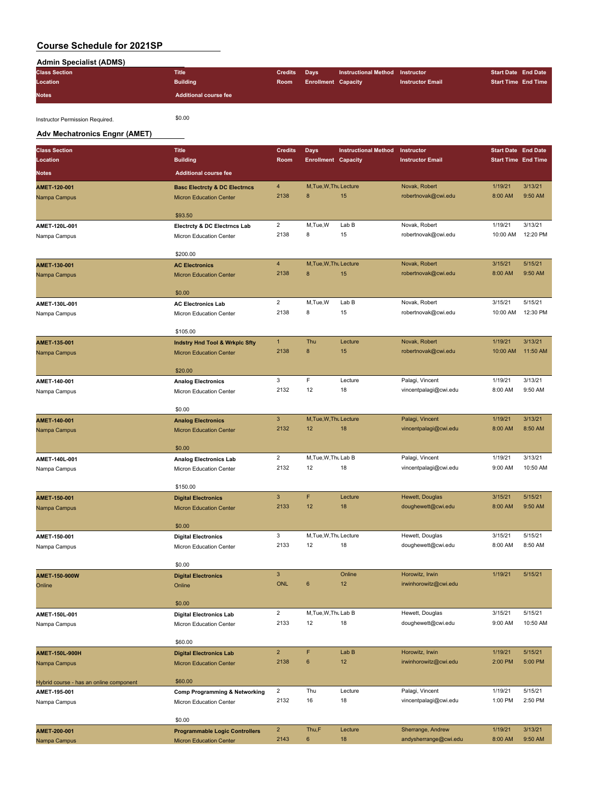| <b>Admin Specialist (ADMS)</b> |                              |                |                            |                                 |                         |                            |
|--------------------------------|------------------------------|----------------|----------------------------|---------------------------------|-------------------------|----------------------------|
| <b>Class Section</b>           | Title                        | <b>Credits</b> | <b>Days</b>                | Instructional Method Instructor |                         | <b>Start Date End Date</b> |
| Location                       | <b>Building</b>              | Room           | <b>Enrollment Capacity</b> |                                 | <b>Instructor Email</b> | <b>Start Time End Time</b> |
| <b>Notes</b>                   | <b>Additional course fee</b> |                |                            |                                 |                         |                            |

Instructor Permission Required.  $$0.00$ 

#### **Adv Mechatronics Engnr (AMET)**

| <b>Class Section</b>                    | <b>Title</b>                                                       | <b>Credits</b>          | Days                       | <b>Instructional Method</b> | Instructor                               | <b>Start Date End Date</b> |                     |
|-----------------------------------------|--------------------------------------------------------------------|-------------------------|----------------------------|-----------------------------|------------------------------------------|----------------------------|---------------------|
| Location                                | <b>Building</b>                                                    | Room                    | <b>Enrollment Capacity</b> |                             | <b>Instructor Email</b>                  | <b>Start Time End Time</b> |                     |
| Notes                                   | <b>Additional course fee</b>                                       |                         |                            |                             |                                          |                            |                     |
| AMET-120-001                            | <b>Basc Electrcty &amp; DC Electrncs</b>                           | 4                       | M, Tue, W, Thu Lecture     |                             | Novak, Robert                            | 1/19/21                    | 3/13/21             |
| Nampa Campus                            | <b>Micron Education Center</b>                                     | 2138                    | 8                          | 15                          | robertnovak@cwi.edu                      | 8:00 AM                    | 9:50 AM             |
|                                         |                                                                    |                         |                            |                             |                                          |                            |                     |
|                                         | \$93.50                                                            | $\overline{\mathbf{c}}$ |                            | Lab B                       |                                          |                            | 3/13/21             |
| AMET-120L-001<br>Nampa Campus           | <b>Electrcty &amp; DC Electrncs Lab</b><br>Micron Education Center | 2138                    | M,Tue,W<br>8               | 15                          | Novak, Robert<br>robertnovak@cwi.edu     | 1/19/21<br>10:00 AM        | 12:20 PM            |
|                                         |                                                                    |                         |                            |                             |                                          |                            |                     |
|                                         | \$200.00                                                           |                         |                            |                             |                                          |                            |                     |
| AMET-130-001                            | <b>AC Electronics</b>                                              | 4                       | M, Tue, W, Thu Lecture     |                             | Novak, Robert                            | 3/15/21                    | 5/15/21             |
| Nampa Campus                            | <b>Micron Education Center</b>                                     | 2138                    | 8                          | 15                          | robertnovak@cwi.edu                      | 8:00 AM                    | 9:50 AM             |
|                                         | \$0.00                                                             |                         |                            |                             |                                          |                            |                     |
| AMET-130L-001                           | <b>AC Electronics Lab</b>                                          | $\overline{c}$          | M,Tue,W                    | Lab B                       | Novak, Robert                            | 3/15/21                    | 5/15/21             |
| Nampa Campus                            | Micron Education Center                                            | 2138                    | 8                          | 15                          | robertnovak@cwi.edu                      | 10:00 AM                   | 12:30 PM            |
|                                         |                                                                    |                         |                            |                             |                                          |                            |                     |
|                                         | \$105.00                                                           |                         |                            |                             |                                          |                            |                     |
| AMET-135-001                            | <b>Indstry Hnd Tool &amp; Wrkplc Sfty</b>                          | $\mathbf{1}$<br>2138    | Thu<br>8                   | Lecture<br>15               | Novak, Robert<br>robertnovak@cwi.edu     | 1/19/21<br>10:00 AM        | 3/13/21<br>11:50 AM |
| Nampa Campus                            | <b>Micron Education Center</b>                                     |                         |                            |                             |                                          |                            |                     |
|                                         | \$20.00                                                            |                         |                            |                             |                                          |                            |                     |
| AMET-140-001                            | <b>Analog Electronics</b>                                          | 3                       | F                          | Lecture                     | Palagi, Vincent                          | 1/19/21                    | 3/13/21             |
| Nampa Campus                            | Micron Education Center                                            | 2132                    | 12                         | 18                          | vincentpalagi@cwi.edu                    | 8:00 AM                    | 9:50 AM             |
|                                         |                                                                    |                         |                            |                             |                                          |                            |                     |
| AMET-140-001                            | \$0.00                                                             | $\mathbf{3}$            | M, Tue, W, Thu Lecture     |                             | Palagi, Vincent                          | 1/19/21                    | 3/13/21             |
| Nampa Campus                            | <b>Analog Electronics</b><br><b>Micron Education Center</b>        | 2132                    | 12                         | 18                          | vincentpalagi@cwi.edu                    | 8:00 AM                    | 8:50 AM             |
|                                         |                                                                    |                         |                            |                             |                                          |                            |                     |
|                                         | \$0.00                                                             |                         |                            |                             |                                          |                            |                     |
| AMET-140L-001                           | <b>Analog Electronics Lab</b>                                      | $\overline{2}$          | M, Tue, W, Thu Lab B       |                             | Palagi, Vincent                          | 1/19/21                    | 3/13/21             |
| Nampa Campus                            | Micron Education Center                                            | 2132                    | 12                         | 18                          | vincentpalagi@cwi.edu                    | 9:00 AM                    | 10:50 AM            |
|                                         | \$150.00                                                           |                         |                            |                             |                                          |                            |                     |
| AMET-150-001                            | <b>Digital Electronics</b>                                         | 3                       | F                          | Lecture                     | Hewett, Douglas                          | 3/15/21                    | 5/15/21             |
| Nampa Campus                            | <b>Micron Education Center</b>                                     | 2133                    | 12                         | 18                          | doughewett@cwi.edu                       | 8:00 AM                    | 9:50 AM             |
|                                         |                                                                    |                         |                            |                             |                                          |                            |                     |
|                                         | \$0.00                                                             | 3                       | M, Tue, W, Thu Lecture     |                             | Hewett, Douglas                          | 3/15/21                    | 5/15/21             |
| AMET-150-001<br>Nampa Campus            | <b>Digital Electronics</b><br>Micron Education Center              | 2133                    | 12                         | 18                          | doughewett@cwi.edu                       | 8:00 AM                    | 8:50 AM             |
|                                         |                                                                    |                         |                            |                             |                                          |                            |                     |
|                                         | \$0.00                                                             |                         |                            |                             |                                          |                            |                     |
| AMET-150-900W                           | <b>Digital Electronics</b>                                         | $\mathbf{3}$            |                            | Online                      | Horowitz, Irwin                          | 1/19/21                    | 5/15/21             |
| Online                                  | Online                                                             | <b>ONL</b>              | $6\phantom{1}$             | 12                          | irwinhorowitz@cwi.edu                    |                            |                     |
|                                         | \$0.00                                                             |                         |                            |                             |                                          |                            |                     |
| AMET-150L-001                           | <b>Digital Electronics Lab</b>                                     | $\overline{\mathbf{c}}$ | M.Tue.W.Thu Lab B          |                             | Hewett, Douglas                          | 3/15/21                    | 5/15/21             |
| Nampa Campus                            | Micron Education Center                                            | 2133                    | 12                         | 18                          | doughewett@cwi.edu                       | 9:00 AM                    | 10:50 AM            |
|                                         |                                                                    |                         |                            |                             |                                          |                            |                     |
|                                         | \$60.00                                                            | $\overline{2}$          | F                          | Lab B                       |                                          |                            |                     |
| AMET-150L-900H<br>Nampa Campus          | <b>Digital Electronics Lab</b><br><b>Micron Education Center</b>   | 2138                    | $6\phantom{1}$             | 12                          | Horowitz, Irwin<br>irwinhorowitz@cwi.edu | 1/19/21<br>2:00 PM         | 5/15/21<br>5:00 PM  |
|                                         |                                                                    |                         |                            |                             |                                          |                            |                     |
| Hybrid course - has an online component | \$60.00                                                            |                         |                            |                             |                                          |                            |                     |
| AMET-195-001                            | <b>Comp Programming &amp; Networking</b>                           | $\overline{a}$          | Thu                        | Lecture                     | Palagi, Vincent                          | 1/19/21                    | 5/15/21             |
| Nampa Campus                            | Micron Education Center                                            | 2132                    | 16                         | 18                          | vincentpalagi@cwi.edu                    | 1:00 PM                    | 2:50 PM             |
|                                         | \$0.00                                                             |                         |                            |                             |                                          |                            |                     |
| AMET-200-001                            | <b>Programmable Logic Controllers</b>                              | $\overline{\mathbf{c}}$ | Thu,F                      | Lecture                     | Sherrange, Andrew                        | 1/19/21                    | 3/13/21             |
| Nampa Campus                            | <b>Micron Education Center</b>                                     | 2143                    | $\boldsymbol{6}$           | 18                          | andysherrange@cwi.edu                    | 8:00 AM                    | 9:50 AM             |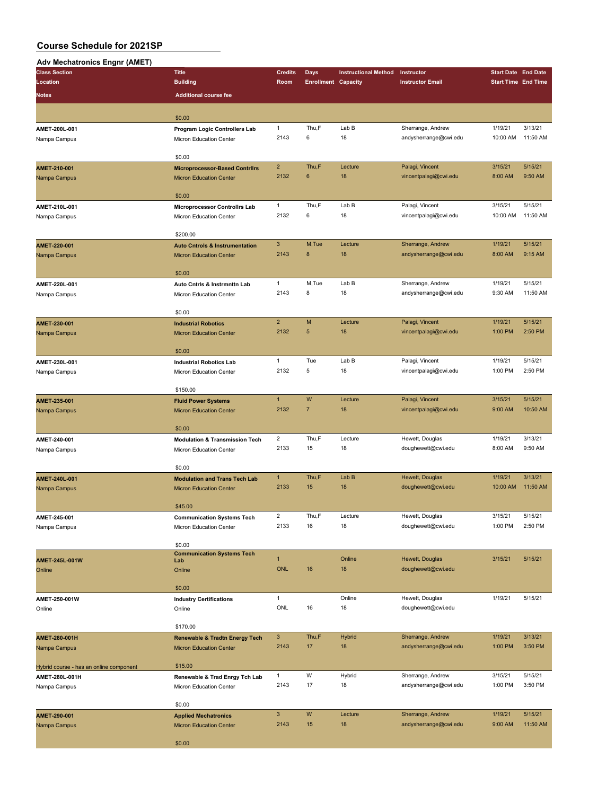#### **Adv Mechatronics Engnr (AMET)**

| <b>Class Section</b>                    | <b>Title</b>                                              | <b>Credits</b> | <b>Days</b>                | <b>Instructional Method</b> | Instructor              | <b>Start Date End Date</b> |          |
|-----------------------------------------|-----------------------------------------------------------|----------------|----------------------------|-----------------------------|-------------------------|----------------------------|----------|
| Location                                | <b>Building</b>                                           | Room           | <b>Enrollment Capacity</b> |                             | <b>Instructor Email</b> | <b>Start Time End Time</b> |          |
| Notes                                   | <b>Additional course fee</b>                              |                |                            |                             |                         |                            |          |
|                                         |                                                           |                |                            |                             |                         |                            |          |
|                                         | \$0.00                                                    |                |                            |                             |                         |                            |          |
| AMET-200L-001                           | Program Logic Controllers Lab                             | $\mathbf{1}$   | Thu,F                      | Lab B                       | Sherrange, Andrew       | 1/19/21                    | 3/13/21  |
| Nampa Campus                            | Micron Education Center                                   | 2143           | 6                          | 18                          | andysherrange@cwi.edu   | 10:00 AM                   | 11:50 AM |
|                                         |                                                           |                |                            |                             |                         |                            |          |
|                                         | \$0.00                                                    |                |                            |                             |                         |                            |          |
| AMET-210-001                            | <b>Microprocessor-Based Contrilrs</b>                     | $\overline{2}$ | Thu,F                      | Lecture                     | Palagi, Vincent         | 3/15/21                    | 5/15/21  |
| Nampa Campus                            | <b>Micron Education Center</b>                            | 2132           | 6                          | 18                          | vincentpalagi@cwi.edu   | 8:00 AM                    | 9:50 AM  |
|                                         | \$0.00                                                    |                |                            |                             |                         |                            |          |
| AMET-210L-001                           | <b>Microprocessor Controllrs Lab</b>                      | $\mathbf{1}$   | Thu,F                      | Lab B                       | Palagi, Vincent         | 3/15/21                    | 5/15/21  |
| Nampa Campus                            | Micron Education Center                                   | 2132           | 6                          | 18                          | vincentpalagi@cwi.edu   | 10:00 AM                   | 11:50 AM |
|                                         |                                                           |                |                            |                             |                         |                            |          |
|                                         | \$200.00                                                  |                |                            |                             |                         |                            |          |
| AMET-220-001                            | <b>Auto Cntrols &amp; Instrumentation</b>                 | $\mathbf{3}$   | M,Tue                      | Lecture                     | Sherrange, Andrew       | 1/19/21                    | 5/15/21  |
| Nampa Campus                            | <b>Micron Education Center</b>                            | 2143           | 8                          | 18                          | andysherrange@cwi.edu   | 8:00 AM                    | 9:15 AM  |
|                                         | \$0.00                                                    |                |                            |                             |                         |                            |          |
| AMET-220L-001                           | Auto Cntrls & Instrmnttn Lab                              | $\mathbf{1}$   | M,Tue                      | Lab B                       | Sherrange, Andrew       | 1/19/21                    | 5/15/21  |
| Nampa Campus                            | Micron Education Center                                   | 2143           | 8                          | 18                          | andysherrange@cwi.edu   | 9:30 AM                    | 11:50 AM |
|                                         |                                                           |                |                            |                             |                         |                            |          |
|                                         | \$0.00                                                    |                |                            |                             |                         |                            |          |
| AMET-230-001                            | <b>Industrial Robotics</b>                                | $\overline{2}$ | M                          | Lecture                     | Palagi, Vincent         | 1/19/21                    | 5/15/21  |
| Nampa Campus                            | <b>Micron Education Center</b>                            | 2132           | $\sqrt{5}$                 | 18                          | vincentpalagi@cwi.edu   | 1:00 PM                    | 2:50 PM  |
|                                         | \$0.00                                                    |                |                            |                             |                         |                            |          |
| AMET-230L-001                           | <b>Industrial Robotics Lab</b>                            | $\mathbf{1}$   | Tue                        | Lab B                       | Palagi, Vincent         | 1/19/21                    | 5/15/21  |
| Nampa Campus                            | Micron Education Center                                   | 2132           | 5                          | 18                          | vincentpalagi@cwi.edu   | 1:00 PM                    | 2:50 PM  |
|                                         |                                                           |                |                            |                             |                         |                            |          |
|                                         | \$150.00                                                  |                |                            |                             |                         |                            |          |
| AMET-235-001                            | <b>Fluid Power Systems</b>                                | $\mathbf{1}$   | W                          | Lecture                     | Palagi, Vincent         | 3/15/21                    | 5/15/21  |
| Nampa Campus                            | <b>Micron Education Center</b>                            | 2132           | $\overline{7}$             | 18                          | vincentpalagi@cwi.edu   | 9:00 AM                    | 10:50 AM |
|                                         | \$0.00                                                    |                |                            |                             |                         |                            |          |
| AMET-240-001                            | <b>Modulation &amp; Transmission Tech</b>                 | $\overline{2}$ | Thu,F                      | Lecture                     | Hewett, Douglas         | 1/19/21                    | 3/13/21  |
| Nampa Campus                            | Micron Education Center                                   | 2133           | 15                         | 18                          | doughewett@cwi.edu      | 8:00 AM                    | 9:50 AM  |
|                                         |                                                           |                |                            |                             |                         |                            |          |
|                                         | \$0.00                                                    |                |                            |                             |                         |                            |          |
| AMET-240L-001                           | <b>Modulation and Trans Tech Lab</b>                      | $\mathbf{1}$   | Thu,F                      | Lab B                       | Hewett, Douglas         | 1/19/21                    | 3/13/21  |
| Nampa Campus                            | <b>Micron Education Center</b>                            | 2133           | 15                         | 18                          | doughewett@cwi.edu      | 10:00 AM                   | 11:50 AM |
|                                         | \$45.00                                                   |                |                            |                             |                         |                            |          |
| AMET-245-001                            | <b>Communication Systems Tech</b>                         | $\overline{2}$ | Thu,F                      | Lecture                     | Hewett, Douglas         | 3/15/21                    | 5/15/21  |
| Nampa Campus                            | Micron Education Center                                   | 2133           | 16                         | 18                          | doughewett@cwi.edu      | 1:00 PM                    | 2:50 PM  |
|                                         |                                                           |                |                            |                             |                         |                            |          |
|                                         | \$0.00<br><b>Communication Systems Tech</b>               |                |                            |                             |                         |                            |          |
| AMET-245L-001W                          | Lab                                                       | $\mathbf{1}$   |                            | Online                      | Hewett, Douglas         | 3/15/21                    | 5/15/21  |
| Online                                  | Online                                                    | ONL            | 16                         | 18                          | doughewett@cwi.edu      |                            |          |
|                                         |                                                           |                |                            |                             |                         |                            |          |
|                                         | \$0.00                                                    | $\mathbf{1}$   |                            | Online                      | Hewett, Douglas         | 1/19/21                    | 5/15/21  |
| AMET-250-001W<br>Online                 | <b>Industry Certifications</b><br>Online                  | ONL            | 16                         | 18                          | doughewett@cwi.edu      |                            |          |
|                                         |                                                           |                |                            |                             |                         |                            |          |
|                                         | \$170.00                                                  |                |                            |                             |                         |                            |          |
| AMET-280-001H                           | <b>Renewable &amp; Tradtn Energy Tech</b>                 | 3 <sup>7</sup> | Thu,F                      | <b>Hybrid</b>               | Sherrange, Andrew       | 1/19/21                    | 3/13/21  |
| Nampa Campus                            | <b>Micron Education Center</b>                            | 2143           | 17                         | 18                          | andysherrange@cwi.edu   | 1:00 PM                    | 3:50 PM  |
|                                         |                                                           |                |                            |                             |                         |                            |          |
| Hybrid course - has an online component | \$15.00                                                   | $\mathbf{1}$   | W                          | Hybrid                      | Sherrange, Andrew       | 3/15/21                    | 5/15/21  |
| AMET-280L-001H<br>Nampa Campus          | Renewable & Trad Enrgy Tch Lab<br>Micron Education Center | 2143           | 17                         | 18                          | andysherrange@cwi.edu   | 1:00 PM                    | 3:50 PM  |
|                                         |                                                           |                |                            |                             |                         |                            |          |
|                                         | \$0.00                                                    |                |                            |                             |                         |                            |          |
| AMET-290-001                            | <b>Applied Mechatronics</b>                               | $\mathbf{3}$   | ${\sf W}$                  | Lecture                     | Sherrange, Andrew       | 1/19/21                    | 5/15/21  |
| Nampa Campus                            | <b>Micron Education Center</b>                            | 2143           | 15                         | 18                          | andysherrange@cwi.edu   | 9:00 AM                    | 11:50 AM |
|                                         | \$0.00                                                    |                |                            |                             |                         |                            |          |
|                                         |                                                           |                |                            |                             |                         |                            |          |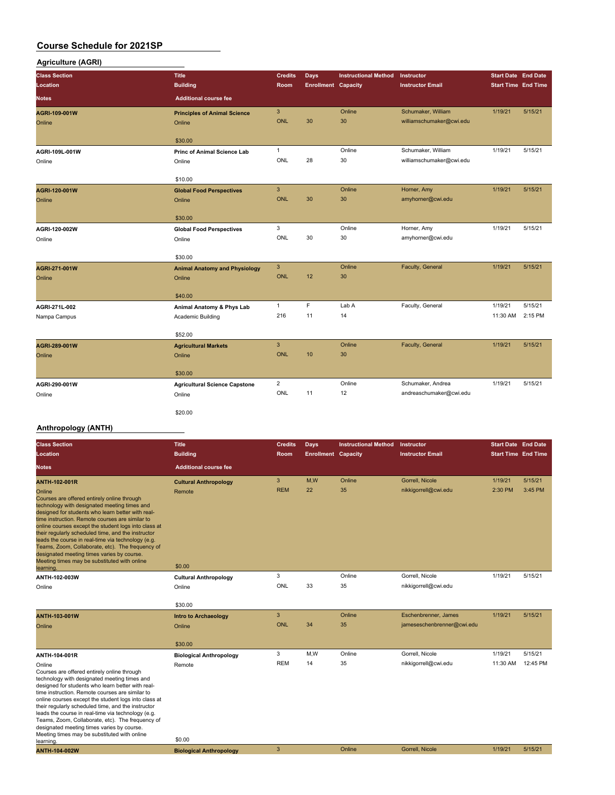#### **Agriculture (AGRI)**

| <b>Class Section</b> | <b>Title</b>                         | <b>Credits</b> | Days                       | <b>Instructional Method</b> | Instructor               | <b>Start Date End Date</b> |         |
|----------------------|--------------------------------------|----------------|----------------------------|-----------------------------|--------------------------|----------------------------|---------|
| Location             | <b>Building</b>                      | Room           | <b>Enrollment Capacity</b> |                             | <b>Instructor Email</b>  | <b>Start Time End Time</b> |         |
| <b>Notes</b>         | <b>Additional course fee</b>         |                |                            |                             |                          |                            |         |
| AGRI-109-001W        | <b>Principles of Animal Science</b>  | $\mathbf{3}$   |                            | Online                      | Schumaker, William       | 1/19/21                    | 5/15/21 |
| Online               | Online                               | <b>ONL</b>     | 30                         | 30                          | williamschumaker@cwi.edu |                            |         |
|                      |                                      |                |                            |                             |                          |                            |         |
|                      | \$30.00                              |                |                            |                             |                          |                            |         |
| AGRI-109L-001W       | <b>Princ of Animal Science Lab</b>   | $\mathbf{1}$   |                            | Online                      | Schumaker, William       | 1/19/21                    | 5/15/21 |
| Online               | Online                               | ONL            | 28                         | 30                          | williamschumaker@cwi.edu |                            |         |
|                      | \$10.00                              |                |                            |                             |                          |                            |         |
| AGRI-120-001W        | <b>Global Food Perspectives</b>      | 3              |                            | Online                      | Horner, Amy              | 1/19/21                    | 5/15/21 |
| Online               | Online                               | <b>ONL</b>     | 30                         | 30                          | amyhorner@cwi.edu        |                            |         |
|                      |                                      |                |                            |                             |                          |                            |         |
|                      | \$30.00                              | 3              |                            | Online                      | Horner, Amy              | 1/19/21                    | 5/15/21 |
| AGRI-120-002W        | <b>Global Food Perspectives</b>      | ONL            | 30                         | 30                          | amyhorner@cwi.edu        |                            |         |
| Online               | Online                               |                |                            |                             |                          |                            |         |
|                      | \$30.00                              |                |                            |                             |                          |                            |         |
| AGRI-271-001W        | <b>Animal Anatomy and Physiology</b> | $\mathbf{3}$   |                            | Online                      | Faculty, General         | 1/19/21                    | 5/15/21 |
| Online               | Online                               | <b>ONL</b>     | 12                         | 30                          |                          |                            |         |
|                      |                                      |                |                            |                             |                          |                            |         |
|                      | \$40.00                              | $\mathbf{1}$   | F                          | Lab A                       | Faculty, General         | 1/19/21                    | 5/15/21 |
| AGRI-271L-002        | Animal Anatomy & Phys Lab            | 216            | 11                         | 14                          |                          | 11:30 AM                   | 2:15 PM |
| Nampa Campus         | Academic Building                    |                |                            |                             |                          |                            |         |
|                      | \$52.00                              |                |                            |                             |                          |                            |         |
| AGRI-289-001W        | <b>Agricultural Markets</b>          | $\mathbf{3}$   |                            | Online                      | Faculty, General         | 1/19/21                    | 5/15/21 |
| Online               | Online                               | <b>ONL</b>     | 10                         | 30                          |                          |                            |         |
|                      |                                      |                |                            |                             |                          |                            |         |
|                      | \$30.00                              |                |                            |                             |                          |                            |         |
| AGRI-290-001W        | <b>Agricultural Science Capstone</b> | $\overline{2}$ | 11                         | Online                      | Schumaker, Andrea        | 1/19/21                    | 5/15/21 |
| Online               | Online                               | ONL            |                            | 12                          | andreaschumaker@cwi.edu  |                            |         |
|                      |                                      |                |                            |                             |                          |                            |         |

# **Anthropology (ANTH)**

\$20.00

| <b>Class Section</b><br>Location                                                                                                                                                                                                                                                                                                                                                                                                                                                                                                                                         | <b>Title</b><br><b>Building</b>                  | <b>Credits</b><br><b>Room</b> | Days<br><b>Enrollment Capacity</b> | <b>Instructional Method</b> | Instructor<br><b>Instructor Email</b>   | <b>Start Date End Date</b><br><b>Start Time End Time</b> |                    |
|--------------------------------------------------------------------------------------------------------------------------------------------------------------------------------------------------------------------------------------------------------------------------------------------------------------------------------------------------------------------------------------------------------------------------------------------------------------------------------------------------------------------------------------------------------------------------|--------------------------------------------------|-------------------------------|------------------------------------|-----------------------------|-----------------------------------------|----------------------------------------------------------|--------------------|
| <b>Notes</b>                                                                                                                                                                                                                                                                                                                                                                                                                                                                                                                                                             | <b>Additional course fee</b>                     |                               |                                    |                             |                                         |                                                          |                    |
| <b>ANTH-102-001R</b><br>Online<br>Courses are offered entirely online through<br>technology with designated meeting times and<br>designed for students who learn better with real-<br>time instruction. Remote courses are similar to<br>online courses except the student logs into class at<br>their regularly scheduled time, and the instructor<br>leads the course in real-time via technology (e.g.<br>Teams, Zoom, Collaborate, etc). The frequency of<br>designated meeting times varies by course.<br>Meeting times may be substituted with online<br>learning. | <b>Cultural Anthropology</b><br>Remote<br>\$0.00 | 3<br><b>REM</b>               | M.W<br>22                          | Online<br>35                | Gorrell, Nicole<br>nikkigorrell@cwi.edu | 1/19/21<br>2:30 PM                                       | 5/15/21<br>3:45 PM |
| ANTH-102-003W                                                                                                                                                                                                                                                                                                                                                                                                                                                                                                                                                            | <b>Cultural Anthropology</b>                     | 3                             |                                    | Online                      | Gorrell, Nicole                         | 1/19/21                                                  | 5/15/21            |
| Online                                                                                                                                                                                                                                                                                                                                                                                                                                                                                                                                                                   | Online<br>\$30.00                                | ONL                           | 33                                 | 35                          | nikkigorrell@cwi.edu                    |                                                          |                    |
| ANTH-103-001W                                                                                                                                                                                                                                                                                                                                                                                                                                                                                                                                                            | <b>Intro to Archaeology</b>                      | $\mathbf{3}$                  |                                    | Online                      | Eschenbrenner, James                    | 1/19/21                                                  | 5/15/21            |
| Online                                                                                                                                                                                                                                                                                                                                                                                                                                                                                                                                                                   | Online                                           | ONL                           | 34                                 | 35                          | jameseschenbrenner@cwi.edu              |                                                          |                    |
|                                                                                                                                                                                                                                                                                                                                                                                                                                                                                                                                                                          | \$30.00                                          |                               |                                    |                             |                                         |                                                          |                    |
| ANTH-104-001R                                                                                                                                                                                                                                                                                                                                                                                                                                                                                                                                                            | <b>Biological Anthropology</b>                   | 3                             | M,W                                | Online                      | Gorrell, Nicole                         | 1/19/21                                                  | 5/15/21            |
| Online<br>Courses are offered entirely online through<br>technology with designated meeting times and<br>designed for students who learn better with real-<br>time instruction. Remote courses are similar to<br>online courses except the student logs into class at<br>their regularly scheduled time, and the instructor<br>leads the course in real-time via technology (e.g.<br>Teams, Zoom, Collaborate, etc). The frequency of<br>designated meeting times varies by course.<br>Meeting times may be substituted with online<br>learning.                         | Remote<br>\$0.00                                 | <b>REM</b>                    | 14                                 | 35                          | nikkigorrell@cwi.edu                    | 11:30 AM                                                 | 12:45 PM           |
| <b>ANTH-104-002W</b>                                                                                                                                                                                                                                                                                                                                                                                                                                                                                                                                                     | <b>Biological Anthropology</b>                   | 3                             |                                    | Online                      | Gorrell, Nicole                         | 1/19/21                                                  | 5/15/21            |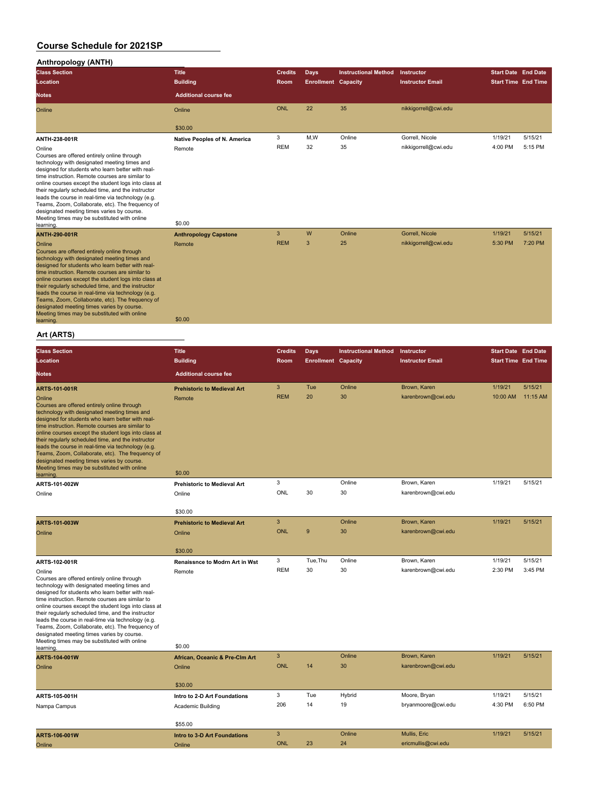#### **Anthropology (ANTH)**

| <b>Class Section</b><br>Location                                                                                                                                                                                                                                                                                                                                                                                                                                                                                                                 | <b>Title</b><br><b>Building</b> | <b>Credits</b><br>Room | <b>Days</b><br><b>Enrollment Capacity</b> | <b>Instructional Method</b> | Instructor<br><b>Instructor Email</b> | <b>Start Date End Date</b><br><b>Start Time End Time</b> |         |
|--------------------------------------------------------------------------------------------------------------------------------------------------------------------------------------------------------------------------------------------------------------------------------------------------------------------------------------------------------------------------------------------------------------------------------------------------------------------------------------------------------------------------------------------------|---------------------------------|------------------------|-------------------------------------------|-----------------------------|---------------------------------------|----------------------------------------------------------|---------|
| <b>Notes</b>                                                                                                                                                                                                                                                                                                                                                                                                                                                                                                                                     | <b>Additional course fee</b>    |                        |                                           |                             |                                       |                                                          |         |
| Online                                                                                                                                                                                                                                                                                                                                                                                                                                                                                                                                           | Online                          | ONL                    | 22                                        | 35                          | nikkigorrell@cwi.edu                  |                                                          |         |
|                                                                                                                                                                                                                                                                                                                                                                                                                                                                                                                                                  | \$30.00                         |                        |                                           |                             |                                       |                                                          |         |
| ANTH-238-001R                                                                                                                                                                                                                                                                                                                                                                                                                                                                                                                                    | Native Peoples of N. America    | 3                      | M.W                                       | Online                      | Gorrell, Nicole                       | 1/19/21                                                  | 5/15/21 |
| Online<br>Courses are offered entirely online through<br>technology with designated meeting times and<br>designed for students who learn better with real-<br>time instruction. Remote courses are similar to<br>online courses except the student logs into class at<br>their regularly scheduled time, and the instructor<br>leads the course in real-time via technology (e.g.<br>Teams, Zoom, Collaborate, etc). The frequency of<br>designated meeting times varies by course.<br>Meeting times may be substituted with online<br>learning. | Remote<br>\$0.00                | <b>REM</b>             | 32                                        | 35                          | nikkigorrell@cwi.edu                  | 4:00 PM                                                  | 5:15 PM |
| <b>ANTH-290-001R</b>                                                                                                                                                                                                                                                                                                                                                                                                                                                                                                                             | <b>Anthropology Capstone</b>    | 3                      | W                                         | Online                      | Gorrell, Nicole                       | 1/19/21                                                  | 5/15/21 |
| Online<br>Courses are offered entirely online through<br>technology with designated meeting times and<br>designed for students who learn better with real-<br>time instruction. Remote courses are similar to<br>online courses except the student logs into class at<br>their regularly scheduled time, and the instructor<br>leads the course in real-time via technology (e.g.<br>Teams, Zoom, Collaborate, etc). The frequency of<br>designated meeting times varies by course.<br>Meeting times may be substituted with online<br>learning. | Remote<br>\$0.00                | <b>REM</b>             | 3                                         | 25                          | nikkigorrell@cwi.edu                  | 5:30 PM                                                  | 7:20 PM |

#### **Art (ARTS)**

| <b>Class Section</b>                                                                                                                                                                                                                                                                                                                                                                                                                                                                                                                | <b>Title</b>                          | <b>Credits</b> | <b>Days</b>                | <b>Instructional Method</b> | Instructor              | <b>Start Date End Date</b> |          |
|-------------------------------------------------------------------------------------------------------------------------------------------------------------------------------------------------------------------------------------------------------------------------------------------------------------------------------------------------------------------------------------------------------------------------------------------------------------------------------------------------------------------------------------|---------------------------------------|----------------|----------------------------|-----------------------------|-------------------------|----------------------------|----------|
| Location                                                                                                                                                                                                                                                                                                                                                                                                                                                                                                                            | <b>Building</b>                       | Room           | <b>Enrollment Capacity</b> |                             | <b>Instructor Email</b> | <b>Start Time End Time</b> |          |
| <b>Notes</b>                                                                                                                                                                                                                                                                                                                                                                                                                                                                                                                        | <b>Additional course fee</b>          |                |                            |                             |                         |                            |          |
| <b>ARTS-101-001R</b>                                                                                                                                                                                                                                                                                                                                                                                                                                                                                                                | <b>Prehistoric to Medieval Art</b>    | 3              | Tue                        | Online                      | Brown, Karen            | 1/19/21                    | 5/15/21  |
| Online<br>Courses are offered entirely online through<br>technology with designated meeting times and<br>designed for students who learn better with real-<br>time instruction. Remote courses are similar to<br>online courses except the student logs into class at<br>their regularly scheduled time, and the instructor<br>leads the course in real-time via technology (e.g.<br>Teams, Zoom, Collaborate, etc). The frequency of<br>designated meeting times varies by course.                                                 | Remote                                | <b>REM</b>     | 20                         | 30                          | karenbrown@cwi.edu      | 10:00 AM                   | 11:15 AM |
| Meeting times may be substituted with online<br>learning.                                                                                                                                                                                                                                                                                                                                                                                                                                                                           | \$0.00                                |                |                            |                             |                         |                            |          |
| ARTS-101-002W                                                                                                                                                                                                                                                                                                                                                                                                                                                                                                                       | <b>Prehistoric to Medieval Art</b>    | 3              |                            | Online                      | Brown, Karen            | 1/19/21                    | 5/15/21  |
| Online                                                                                                                                                                                                                                                                                                                                                                                                                                                                                                                              | Online                                | <b>ONL</b>     | 30                         | 30                          | karenbrown@cwi.edu      |                            |          |
|                                                                                                                                                                                                                                                                                                                                                                                                                                                                                                                                     | \$30.00                               |                |                            |                             |                         |                            |          |
| ARTS-101-003W                                                                                                                                                                                                                                                                                                                                                                                                                                                                                                                       | <b>Prehistoric to Medieval Art</b>    | 3              |                            | Online                      | Brown, Karen            | 1/19/21                    | 5/15/21  |
| Online                                                                                                                                                                                                                                                                                                                                                                                                                                                                                                                              | Online                                | <b>ONL</b>     | 9                          | 30                          | karenbrown@cwi.edu      |                            |          |
|                                                                                                                                                                                                                                                                                                                                                                                                                                                                                                                                     | \$30.00                               |                |                            |                             |                         |                            |          |
| ARTS-102-001R                                                                                                                                                                                                                                                                                                                                                                                                                                                                                                                       | <b>Renaissnce to Modrn Art in Wst</b> | 3              | Tue.Thu                    | Online                      | Brown, Karen            | 1/19/21                    | 5/15/21  |
| Online<br>Courses are offered entirely online through<br>technology with designated meeting times and<br>designed for students who learn better with real-<br>time instruction. Remote courses are similar to<br>online courses except the student logs into class at<br>their regularly scheduled time, and the instructor<br>leads the course in real-time via technology (e.g.<br>Teams, Zoom, Collaborate, etc). The frequency of<br>designated meeting times varies by course.<br>Meeting times may be substituted with online | Remote                                | <b>REM</b>     | 30                         | 30                          | karenbrown@cwi.edu      | 2:30 PM                    | 3:45 PM  |
| learning.                                                                                                                                                                                                                                                                                                                                                                                                                                                                                                                           | \$0.00                                |                |                            |                             |                         |                            |          |
| ARTS-104-001W                                                                                                                                                                                                                                                                                                                                                                                                                                                                                                                       | African, Oceanic & Pre-Clm Art        | 3              |                            | Online                      | Brown, Karen            | 1/19/21                    | 5/15/21  |
| Online                                                                                                                                                                                                                                                                                                                                                                                                                                                                                                                              | Online                                | <b>ONL</b>     | 14                         | 30                          | karenbrown@cwi.edu      |                            |          |
|                                                                                                                                                                                                                                                                                                                                                                                                                                                                                                                                     | \$30.00                               |                |                            |                             |                         |                            |          |
| ARTS-105-001H                                                                                                                                                                                                                                                                                                                                                                                                                                                                                                                       | Intro to 2-D Art Foundations          | 3              | Tue                        | Hybrid                      | Moore, Bryan            | 1/19/21                    | 5/15/21  |
| Nampa Campus                                                                                                                                                                                                                                                                                                                                                                                                                                                                                                                        | Academic Building                     | 206            | 14                         | 19                          | bryanmoore@cwi.edu      | 4:30 PM                    | 6:50 PM  |
|                                                                                                                                                                                                                                                                                                                                                                                                                                                                                                                                     | \$55.00                               |                |                            |                             |                         |                            |          |
| <b>ARTS-106-001W</b>                                                                                                                                                                                                                                                                                                                                                                                                                                                                                                                | Intro to 3-D Art Foundations          | 3              |                            | Online                      | Mullis, Eric            | 1/19/21                    | 5/15/21  |
| Online                                                                                                                                                                                                                                                                                                                                                                                                                                                                                                                              | Online                                | <b>ONL</b>     | 23                         | 24                          | ericmullis@cwi.edu      |                            |          |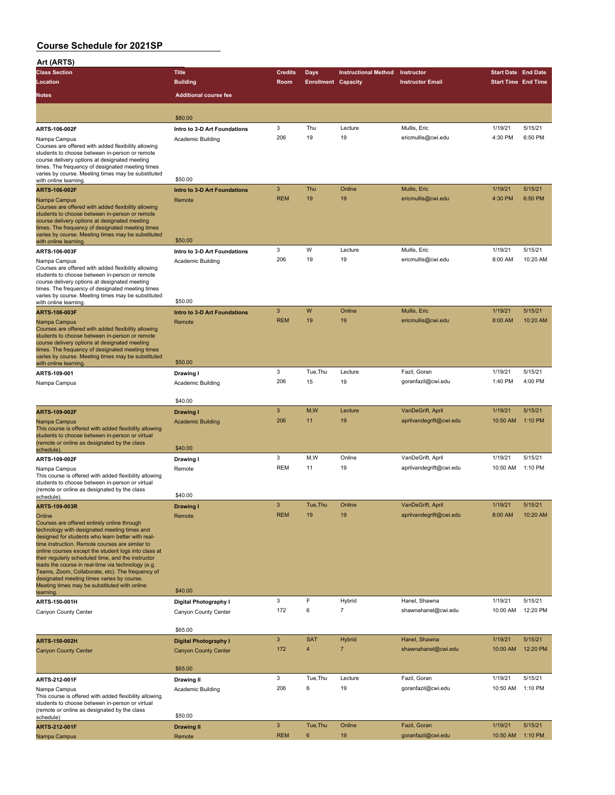| Art (ARTS)                                                                                                                                                                                                                                                                                                                                                                                                                                                                                                                                           |                                        |                |                            |                             |                                              |                            |                    |
|------------------------------------------------------------------------------------------------------------------------------------------------------------------------------------------------------------------------------------------------------------------------------------------------------------------------------------------------------------------------------------------------------------------------------------------------------------------------------------------------------------------------------------------------------|----------------------------------------|----------------|----------------------------|-----------------------------|----------------------------------------------|----------------------------|--------------------|
| <b>Class Section</b>                                                                                                                                                                                                                                                                                                                                                                                                                                                                                                                                 | <b>Title</b>                           | <b>Credits</b> | Days                       | <b>Instructional Method</b> | Instructor                                   | <b>Start Date End Date</b> |                    |
| Location                                                                                                                                                                                                                                                                                                                                                                                                                                                                                                                                             | <b>Building</b>                        | <b>Room</b>    | <b>Enrollment Capacity</b> |                             | <b>Instructor Email</b>                      | <b>Start Time End Time</b> |                    |
| Notes                                                                                                                                                                                                                                                                                                                                                                                                                                                                                                                                                | <b>Additional course fee</b>           |                |                            |                             |                                              |                            |                    |
|                                                                                                                                                                                                                                                                                                                                                                                                                                                                                                                                                      |                                        |                |                            |                             |                                              |                            |                    |
|                                                                                                                                                                                                                                                                                                                                                                                                                                                                                                                                                      | \$80.00                                |                |                            |                             |                                              |                            |                    |
| ARTS-106-002F                                                                                                                                                                                                                                                                                                                                                                                                                                                                                                                                        | Intro to 3-D Art Foundations           | 3              | Thu                        | Lecture                     | Mullis, Eric                                 | 1/19/21                    | 5/15/21            |
| Nampa Campus                                                                                                                                                                                                                                                                                                                                                                                                                                                                                                                                         | Academic Building                      | 206            | 19                         | 19                          | ericmullis@cwi.edu                           | 4:30 PM                    | 6:50 PM            |
| Courses are offered with added flexibility allowing<br>students to choose between in-person or remote<br>course delivery options at designated meeting<br>times. The frequency of designated meeting times<br>varies by course. Meeting times may be substituted                                                                                                                                                                                                                                                                                     |                                        |                |                            |                             |                                              |                            |                    |
| with online learning.                                                                                                                                                                                                                                                                                                                                                                                                                                                                                                                                | \$50.00                                |                |                            |                             |                                              |                            |                    |
| <b>ARTS-106-002F</b>                                                                                                                                                                                                                                                                                                                                                                                                                                                                                                                                 | Intro to 3-D Art Foundations           | 3              | Thu                        | Online                      | Mullis, Eric                                 | 1/19/21                    | 5/15/21            |
| Nampa Campus<br>Courses are offered with added flexibility allowing<br>students to choose between in-person or remote<br>course delivery options at designated meeting<br>times. The frequency of designated meeting times<br>varies by course. Meeting times may be substituted<br>with online learning                                                                                                                                                                                                                                             | Remote<br>\$50.00                      | <b>REM</b>     | 19                         | 19                          | ericmullis@cwi.edu                           | 4:30 PM                    | 6:50 PM            |
| ARTS-106-003F                                                                                                                                                                                                                                                                                                                                                                                                                                                                                                                                        | Intro to 3-D Art Foundations           | 3              | W                          | Lecture                     | Mullis, Eric                                 | 1/19/21                    | 5/15/21            |
| Nampa Campus<br>Courses are offered with added flexibility allowing<br>students to choose between in-person or remote<br>course delivery options at designated meeting<br>times. The frequency of designated meeting times<br>varies by course. Meeting times may be substituted<br>with online learning.                                                                                                                                                                                                                                            | Academic Building<br>\$50.00           | 206            | 19                         | 19                          | ericmullis@cwi.edu                           | 8:00 AM                    | 10:20 AM           |
| <b>ARTS-106-003F</b>                                                                                                                                                                                                                                                                                                                                                                                                                                                                                                                                 | Intro to 3-D Art Foundations           | 3              | W                          | Online                      | Mullis, Eric                                 | 1/19/21                    | 5/15/21            |
| Nampa Campus<br>Courses are offered with added flexibility allowing<br>students to choose between in-person or remote<br>course delivery options at designated meeting<br>times. The frequency of designated meeting times<br>varies by course. Meeting times may be substituted                                                                                                                                                                                                                                                                     | Remote                                 | <b>REM</b>     | 19                         | 19                          | ericmullis@cwi.edu                           | 8:00 AM                    | 10:20 AM           |
| with online learning                                                                                                                                                                                                                                                                                                                                                                                                                                                                                                                                 | \$50.00                                |                |                            |                             |                                              |                            |                    |
| ARTS-109-001                                                                                                                                                                                                                                                                                                                                                                                                                                                                                                                                         | Drawing I                              | 3              | Tue, Thu                   | Lecture                     | Fazil, Goran                                 | 1/19/21                    | 5/15/21            |
| Nampa Campus                                                                                                                                                                                                                                                                                                                                                                                                                                                                                                                                         | Academic Building                      | 206            | 15                         | 19                          | goranfazil@cwi.edu                           | 1:40 PM                    | 4:00 PM            |
|                                                                                                                                                                                                                                                                                                                                                                                                                                                                                                                                                      |                                        |                |                            |                             |                                              |                            |                    |
|                                                                                                                                                                                                                                                                                                                                                                                                                                                                                                                                                      | \$40.00                                | 3              |                            |                             |                                              |                            |                    |
| ARTS-109-002F<br>Nampa Campus<br>This course is offered with added flexibility allowing<br>students to choose between in-person or virtual<br>(remote or online as designated by the class                                                                                                                                                                                                                                                                                                                                                           | Drawing I<br><b>Academic Building</b>  | 206            | M,W<br>11                  | Lecture<br>19               | VanDeGrift, April<br>aprilvandegrift@cwi.edu | 1/19/21<br>10:50 AM        | 5/15/21<br>1:10 PM |
| schedule).                                                                                                                                                                                                                                                                                                                                                                                                                                                                                                                                           | \$40.00                                |                |                            |                             |                                              |                            |                    |
| ARTS-109-002F                                                                                                                                                                                                                                                                                                                                                                                                                                                                                                                                        | Drawing I                              | 3              | M,W                        | Online                      | VanDeGrift, April                            | 1/19/21                    | 5/15/21            |
| Nampa Campus<br>This course is offered with added flexibility allowing<br>students to choose between in-person or virtual<br>(remote or online as designated by the class                                                                                                                                                                                                                                                                                                                                                                            | Remote                                 | <b>REM</b>     | 11                         | 19                          | aprilvandegrift@cwi.edu                      | 10:50 AM                   | 1:10 PM            |
| schedule).                                                                                                                                                                                                                                                                                                                                                                                                                                                                                                                                           | \$40.00                                | 3              | Tue, Thu                   | Online                      | VanDeGrift, April                            | 1/19/21                    | 5/15/21            |
| ARTS-109-003R<br>Online<br>Courses are offered entirely online through<br>technology with designated meeting times and<br>designed for students who learn better with real-<br>time instruction. Remote courses are similar to<br>online courses except the student logs into class at<br>their regularly scheduled time, and the instructor<br>leads the course in real-time via technology (e.g.<br>Teams, Zoom, Collaborate, etc). The frequency of<br>designated meeting times varies by course.<br>Meeting times may be substituted with online | Drawing I<br>Remote                    | <b>REM</b>     | 19                         | 19                          | aprilvandegrift@cwi.edu                      | 8:00 AM                    | 10:20 AM           |
| learning.                                                                                                                                                                                                                                                                                                                                                                                                                                                                                                                                            | \$40.00                                | 3              | F                          |                             | Hanel, Shawna                                | 1/19/21                    | 5/15/21            |
| ARTS-150-001H                                                                                                                                                                                                                                                                                                                                                                                                                                                                                                                                        | Digital Photography I                  | 172            | 6                          | Hybrid<br>$\overline{7}$    | shawnahanel@cwi.edu                          | 10:00 AM                   | 12:20 PM           |
| Canyon County Center                                                                                                                                                                                                                                                                                                                                                                                                                                                                                                                                 | Canyon County Center<br>\$65.00        |                |                            |                             |                                              |                            |                    |
| ARTS-150-002H                                                                                                                                                                                                                                                                                                                                                                                                                                                                                                                                        | <b>Digital Photography I</b>           | 3              | <b>SAT</b>                 | <b>Hybrid</b>               | Hanel, Shawna                                | 1/19/21                    | 5/15/21            |
| <b>Canyon County Center</b>                                                                                                                                                                                                                                                                                                                                                                                                                                                                                                                          | <b>Canyon County Center</b><br>\$65.00 | 172            | $\overline{4}$             | $\overline{7}$              | shawnahanel@cwi.edu                          | 10:00 AM                   | 12:20 PM           |
| ARTS-212-001F                                                                                                                                                                                                                                                                                                                                                                                                                                                                                                                                        | <b>Drawing II</b>                      | 3              | Tue, Thu                   | Lecture                     | Fazil, Goran                                 | 1/19/21                    | 5/15/21            |
| Nampa Campus<br>This course is offered with added flexibility allowing<br>students to choose between in-person or virtual<br>(remote or online as designated by the class<br>schedule)                                                                                                                                                                                                                                                                                                                                                               | Academic Building<br>\$50.00           | 206            | 6                          | 19                          | goranfazil@cwi.edu                           | 10:50 AM                   | 1:10 PM            |
| <b>ARTS-212-001F</b>                                                                                                                                                                                                                                                                                                                                                                                                                                                                                                                                 | <b>Drawing II</b>                      | 3              | Tue, Thu                   | Online                      | Fazil, Goran                                 | 1/19/21                    | 5/15/21            |
| Nampa Campus                                                                                                                                                                                                                                                                                                                                                                                                                                                                                                                                         | Remote                                 | <b>REM</b>     | 6                          | 19                          | goranfazil@cwi.edu                           | 10:50 AM                   | 1:10 PM            |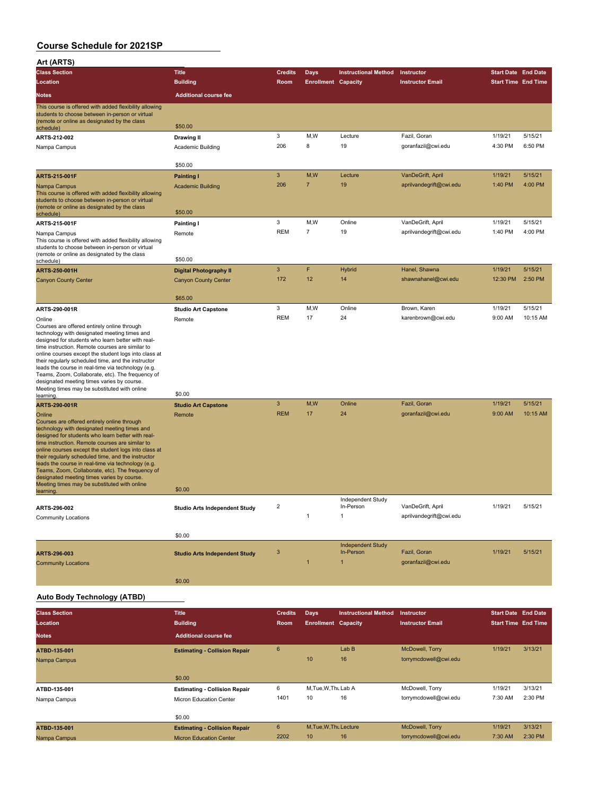| Art (ARTS)                                                                                                                                                                                                                                                                                                                                                                                                                                                                                                                                      |                                      |                |                            |                                                       |                                              |                            |          |
|-------------------------------------------------------------------------------------------------------------------------------------------------------------------------------------------------------------------------------------------------------------------------------------------------------------------------------------------------------------------------------------------------------------------------------------------------------------------------------------------------------------------------------------------------|--------------------------------------|----------------|----------------------------|-------------------------------------------------------|----------------------------------------------|----------------------------|----------|
| <b>Class Section</b>                                                                                                                                                                                                                                                                                                                                                                                                                                                                                                                            | <b>Title</b>                         | <b>Credits</b> | Days                       | <b>Instructional Method</b>                           | Instructor                                   | <b>Start Date End Date</b> |          |
| Location                                                                                                                                                                                                                                                                                                                                                                                                                                                                                                                                        | <b>Building</b>                      | Room           | <b>Enrollment Capacity</b> |                                                       | <b>Instructor Email</b>                      | <b>Start Time End Time</b> |          |
| <b>Notes</b>                                                                                                                                                                                                                                                                                                                                                                                                                                                                                                                                    | <b>Additional course fee</b>         |                |                            |                                                       |                                              |                            |          |
| This course is offered with added flexibility allowing<br>students to choose between in-person or virtual<br>(remote or online as designated by the class                                                                                                                                                                                                                                                                                                                                                                                       | \$50.00                              |                |                            |                                                       |                                              |                            |          |
| schedule)                                                                                                                                                                                                                                                                                                                                                                                                                                                                                                                                       |                                      | 3              | M,W                        | Lecture                                               | Fazil, Goran                                 | 1/19/21                    | 5/15/21  |
| ARTS-212-002                                                                                                                                                                                                                                                                                                                                                                                                                                                                                                                                    | <b>Drawing II</b>                    | 206            | 8                          | 19                                                    | goranfazil@cwi.edu                           | 4:30 PM                    | 6:50 PM  |
| Nampa Campus                                                                                                                                                                                                                                                                                                                                                                                                                                                                                                                                    | Academic Building<br>\$50.00         |                |                            |                                                       |                                              |                            |          |
| <b>ARTS-215-001F</b>                                                                                                                                                                                                                                                                                                                                                                                                                                                                                                                            | <b>Painting I</b>                    | 3              | M,W                        | Lecture                                               | VanDeGrift, April                            | 1/19/21                    | 5/15/21  |
| Nampa Campus<br>This course is offered with added flexibility allowing<br>students to choose between in-person or virtual<br>(remote or online as designated by the class                                                                                                                                                                                                                                                                                                                                                                       | <b>Academic Building</b><br>\$50.00  | 206            | $\overline{7}$             | 19                                                    | aprilvandegrift@cwi.edu                      | 1:40 PM                    | 4:00 PM  |
| schedule)                                                                                                                                                                                                                                                                                                                                                                                                                                                                                                                                       |                                      | 3              | M,W                        | Online                                                | VanDeGrift, April                            | 1/19/21                    | 5/15/21  |
| ARTS-215-001F                                                                                                                                                                                                                                                                                                                                                                                                                                                                                                                                   | Painting I                           | <b>REM</b>     | $\overline{7}$             | 19                                                    | aprilvandegrift@cwi.edu                      | 1:40 PM                    | 4:00 PM  |
| Nampa Campus<br>This course is offered with added flexibility allowing<br>students to choose between in-person or virtual<br>(remote or online as designated by the class<br>schedule)                                                                                                                                                                                                                                                                                                                                                          | Remote<br>\$50.00                    |                |                            |                                                       |                                              |                            |          |
| ARTS-250-001H                                                                                                                                                                                                                                                                                                                                                                                                                                                                                                                                   | <b>Digital Photography II</b>        | 3              | F                          | <b>Hybrid</b>                                         | Hanel, Shawna                                | 1/19/21                    | 5/15/21  |
| <b>Canyon County Center</b>                                                                                                                                                                                                                                                                                                                                                                                                                                                                                                                     | <b>Canyon County Center</b>          | 172            | 12                         | 14                                                    | shawnahanel@cwi.edu                          | 12:30 PM                   | 2:50 PM  |
|                                                                                                                                                                                                                                                                                                                                                                                                                                                                                                                                                 | \$65.00                              |                |                            |                                                       |                                              |                            |          |
| ARTS-290-001R                                                                                                                                                                                                                                                                                                                                                                                                                                                                                                                                   | <b>Studio Art Capstone</b>           | 3              | M,W                        | Online                                                | Brown, Karen                                 | 1/19/21                    | 5/15/21  |
| Online<br>Courses are offered entirely online through<br>technology with designated meeting times and<br>designed for students who learn better with real-<br>time instruction. Remote courses are similar to<br>online courses except the student logs into class at<br>their regularly scheduled time, and the instructor<br>leads the course in real-time via technology (e.g.<br>Teams, Zoom, Collaborate, etc). The frequency of<br>designated meeting times varies by course.<br>Meeting times may be substituted with online<br>learning | Remote<br>\$0.00                     | <b>REM</b>     | 17                         | 24                                                    | karenbrown@cwi.edu                           | 9:00 AM                    | 10:15 AM |
| <b>ARTS-290-001R</b>                                                                                                                                                                                                                                                                                                                                                                                                                                                                                                                            | <b>Studio Art Capstone</b>           | 3              | M,W                        | Online                                                | Fazil, Goran                                 | 1/19/21                    | 5/15/21  |
| Online<br>Courses are offered entirely online through<br>technology with designated meeting times and<br>designed for students who learn better with real-<br>time instruction. Remote courses are similar to<br>online courses except the student logs into class at<br>their regularly scheduled time, and the instructor<br>leads the course in real-time via technology (e.g.<br>Teams, Zoom, Collaborate, etc). The frequency of<br>designated meeting times varies by course.<br>Meeting times may be substituted with online             | Remote                               | <b>REM</b>     | 17                         | 24                                                    | goranfazil@cwi.edu                           | 9:00 AM                    | 10:15 AM |
| learning                                                                                                                                                                                                                                                                                                                                                                                                                                                                                                                                        | \$0.00                               |                |                            |                                                       |                                              |                            |          |
| ARTS-296-002<br><b>Community Locations</b>                                                                                                                                                                                                                                                                                                                                                                                                                                                                                                      | <b>Studio Arts Independent Study</b> | 2              | $\mathbf{1}$               | Independent Study<br>In-Person<br>1                   | VanDeGrift, April<br>aprilvandegrift@cwi.edu | 1/19/21                    | 5/15/21  |
|                                                                                                                                                                                                                                                                                                                                                                                                                                                                                                                                                 | \$0.00                               |                |                            |                                                       |                                              |                            |          |
| ARTS-296-003<br><b>Community Locations</b>                                                                                                                                                                                                                                                                                                                                                                                                                                                                                                      | <b>Studio Arts Independent Study</b> | 3              | $\overline{1}$             | <b>Independent Study</b><br>In-Person<br>$\mathbf{1}$ | Fazil, Goran<br>goranfazil@cwi.edu           | 1/19/21                    | 5/15/21  |
|                                                                                                                                                                                                                                                                                                                                                                                                                                                                                                                                                 | \$0.00                               |                |                            |                                                       |                                              |                            |          |
|                                                                                                                                                                                                                                                                                                                                                                                                                                                                                                                                                 |                                      |                |                            |                                                       |                                              |                            |          |

#### **Auto Body Technology (ATBD)**

| <b>Class Section</b><br>Location | <b>Title</b><br><b>Building</b>      | <b>Credits</b><br><b>Room</b> | Days<br><b>Enrollment Capacity</b> | <b>Instructional Method</b> | <b>Instructor</b><br><b>Instructor Email</b> | <b>Start Date End Date</b><br><b>Start Time End Time</b> |         |
|----------------------------------|--------------------------------------|-------------------------------|------------------------------------|-----------------------------|----------------------------------------------|----------------------------------------------------------|---------|
| <b>Notes</b>                     | <b>Additional course fee</b>         |                               |                                    |                             |                                              |                                                          |         |
| ATBD-135-001                     | <b>Estimating - Collision Repair</b> | 6                             |                                    | Lab B                       | McDowell, Torry                              | 1/19/21                                                  | 3/13/21 |
| Nampa Campus                     |                                      |                               | 10                                 | 16                          | torrymcdowell@cwi.edu                        |                                                          |         |
|                                  | \$0.00                               |                               |                                    |                             |                                              |                                                          |         |
| ATBD-135-001                     | <b>Estimating - Collision Repair</b> | 6                             | M, Tue, W, Thu Lab A               |                             | McDowell, Torry                              | 1/19/21                                                  | 3/13/21 |
| Nampa Campus                     | Micron Education Center              | 1401                          | 10                                 | 16                          | torrymcdowell@cwi.edu                        | 7:30 AM                                                  | 2:30 PM |
|                                  | \$0.00                               |                               |                                    |                             |                                              |                                                          |         |
| ATBD-135-001                     | <b>Estimating - Collision Repair</b> | 6                             | M.Tue.W.Tht Lecture                |                             | McDowell, Torry                              | 1/19/21                                                  | 3/13/21 |
| Nampa Campus                     | <b>Micron Education Center</b>       | 2202                          | 10 <sup>10</sup>                   | 16                          | torrymcdowell@cwi.edu                        | 7:30 AM                                                  | 2:30 PM |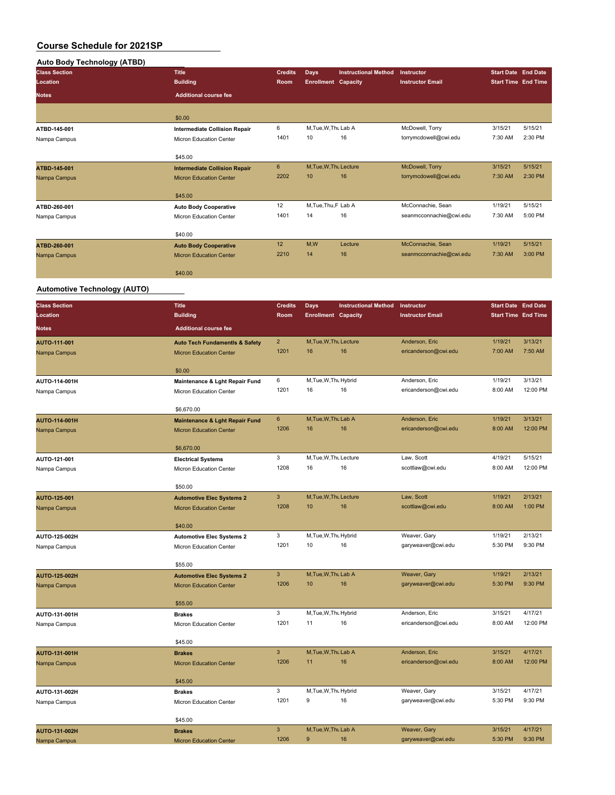## **Auto Body Technology (ATBD)**

| <b>Class Section</b> | <b>Title</b>                         | <b>Credits</b> | <b>Days</b>                | <b>Instructional Method</b> | Instructor              | <b>Start Date End Date</b> |         |
|----------------------|--------------------------------------|----------------|----------------------------|-----------------------------|-------------------------|----------------------------|---------|
| Location             | <b>Building</b>                      | Room           | <b>Enrollment Capacity</b> |                             | <b>Instructor Email</b> | <b>Start Time End Time</b> |         |
| <b>Notes</b>         | <b>Additional course fee</b>         |                |                            |                             |                         |                            |         |
|                      |                                      |                |                            |                             |                         |                            |         |
|                      | \$0.00                               |                |                            |                             |                         |                            |         |
| ATBD-145-001         | <b>Intermediate Collision Repair</b> | 6              | M, Tue, W, Thu Lab A       |                             | McDowell, Torry         | 3/15/21                    | 5/15/21 |
| Nampa Campus         | Micron Education Center              | 1401           | 10                         | 16                          | torrymcdowell@cwi.edu   | 7:30 AM                    | 2:30 PM |
|                      |                                      |                |                            |                             |                         |                            |         |
|                      | \$45.00                              |                |                            |                             |                         |                            |         |
| ATBD-145-001         | <b>Intermediate Collision Repair</b> | 6              | M, Tue, W, Thu Lecture     |                             | McDowell, Torry         | 3/15/21                    | 5/15/21 |
| Nampa Campus         | <b>Micron Education Center</b>       | 2202           | 10                         | 16                          | torrymcdowell@cwi.edu   | 7:30 AM                    | 2:30 PM |
|                      |                                      |                |                            |                             |                         |                            |         |
|                      | \$45.00                              |                |                            |                             |                         |                            |         |
| ATBD-260-001         | <b>Auto Body Cooperative</b>         | 12             | M, Tue, Thu, F Lab A       |                             | McConnachie, Sean       | 1/19/21                    | 5/15/21 |
| Nampa Campus         | Micron Education Center              | 1401           | 14                         | 16                          | seanmcconnachie@cwi.edu | 7:30 AM                    | 5:00 PM |
|                      |                                      |                |                            |                             |                         |                            |         |
|                      | \$40.00                              |                |                            |                             |                         |                            |         |
| ATBD-260-001         | <b>Auto Body Cooperative</b>         | 12             | M,W                        | Lecture                     | McConnachie, Sean       | 1/19/21                    | 5/15/21 |
| Nampa Campus         | <b>Micron Education Center</b>       | 2210           | 14                         | 16                          | seanmcconnachie@cwi.edu | 7:30 AM                    | 3:00 PM |
|                      |                                      |                |                            |                             |                         |                            |         |
|                      | \$40.00                              |                |                            |                             |                         |                            |         |

#### **Automotive Technology (AUTO)**

| <b>Class Section</b> | <b>Title</b>                                         | <b>Credits</b> | Days                       | <b>Instructional Method</b> | Instructor              | <b>Start Date End Date</b> |          |
|----------------------|------------------------------------------------------|----------------|----------------------------|-----------------------------|-------------------------|----------------------------|----------|
| Location             | <b>Building</b>                                      | Room           | <b>Enrollment Capacity</b> |                             | <b>Instructor Email</b> | <b>Start Time End Time</b> |          |
| <b>Notes</b>         | <b>Additional course fee</b>                         |                |                            |                             |                         |                            |          |
| AUTO-111-001         | <b>Auto Tech Fundamentls &amp; Safety</b>            | $\overline{c}$ | M, Tue, W, Thu Lecture     |                             | Anderson, Eric          | 1/19/21                    | 3/13/21  |
| Nampa Campus         | <b>Micron Education Center</b>                       | 1201           | 16                         | 16                          | ericanderson@cwi.edu    | 7:00 AM                    | 7:50 AM  |
|                      |                                                      |                |                            |                             |                         |                            |          |
|                      | \$0.00                                               |                |                            |                             |                         |                            |          |
| AUTO-114-001H        | Maintenance & Lght Repair Fund                       | 6              | M, Tue, W, Thu Hybrid      |                             | Anderson, Eric          | 1/19/21                    | 3/13/21  |
| Nampa Campus         | Micron Education Center                              | 1201           | 16                         | 16                          | ericanderson@cwi.edu    | 8:00 AM                    | 12:00 PM |
|                      | \$6,670.00                                           |                |                            |                             |                         |                            |          |
| AUTO-114-001H        | <b>Maintenance &amp; Lght Repair Fund</b>            | 6              | M, Tue, W, Thu Lab A       |                             | Anderson, Eric          | 1/19/21                    | 3/13/21  |
| Nampa Campus         | <b>Micron Education Center</b>                       | 1206           | 16                         | 16                          | ericanderson@cwi.edu    | 8:00 AM                    | 12:00 PM |
|                      |                                                      |                |                            |                             |                         |                            |          |
| AUTO-121-001         | \$6,670.00                                           | 3              | M.Tue, W.Th. Lecture       |                             | Law, Scott              | 4/19/21                    | 5/15/21  |
| Nampa Campus         | <b>Electrical Systems</b><br>Micron Education Center | 1208           | 16                         | 16                          | scottlaw@cwi.edu        | 8:00 AM                    | 12:00 PM |
|                      |                                                      |                |                            |                             |                         |                            |          |
|                      | \$50.00                                              |                |                            |                             |                         |                            |          |
| AUTO-125-001         | <b>Automotive Elec Systems 2</b>                     | $\mathbf{3}$   | M, Tue, W, Thu Lecture     |                             | Law, Scott              | 1/19/21                    | 2/13/21  |
| Nampa Campus         | <b>Micron Education Center</b>                       | 1208           | 10                         | 16                          | scottlaw@cwi.edu        | 8:00 AM                    | 1:00 PM  |
|                      |                                                      |                |                            |                             |                         |                            |          |
|                      | \$40.00                                              |                |                            |                             |                         |                            |          |
| AUTO-125-002H        | <b>Automotive Elec Systems 2</b>                     | 3              | M, Tue, W, Thu Hybrid      |                             | Weaver, Gary            | 1/19/21                    | 2/13/21  |
| Nampa Campus         | Micron Education Center                              | 1201           | 10                         | 16                          | garyweaver@cwi.edu      | 5:30 PM                    | 9:30 PM  |
|                      | \$55.00                                              |                |                            |                             |                         |                            |          |
| AUTO-125-002H        | <b>Automotive Elec Systems 2</b>                     | 3              | M, Tue, W, Thu Lab A       |                             | Weaver, Gary            | 1/19/21                    | 2/13/21  |
| Nampa Campus         | <b>Micron Education Center</b>                       | 1206           | 10                         | 16                          | garyweaver@cwi.edu      | 5:30 PM                    | 9:30 PM  |
|                      |                                                      |                |                            |                             |                         |                            |          |
|                      | \$55.00                                              |                |                            |                             |                         |                            |          |
| AUTO-131-001H        | <b>Brakes</b>                                        | 3              | M, Tue, W, Thu Hybrid      |                             | Anderson, Eric          | 3/15/21                    | 4/17/21  |
| Nampa Campus         | Micron Education Center                              | 1201           | 11                         | 16                          | ericanderson@cwi.edu    | 8:00 AM                    | 12:00 PM |
|                      | \$45.00                                              |                |                            |                             |                         |                            |          |
| AUTO-131-001H        | <b>Brakes</b>                                        | 3              | M, Tue, W, Thu Lab A       |                             | Anderson, Eric          | 3/15/21                    | 4/17/21  |
| Nampa Campus         | <b>Micron Education Center</b>                       | 1206           | 11                         | 16                          | ericanderson@cwi.edu    | 8:00 AM                    | 12:00 PM |
|                      |                                                      |                |                            |                             |                         |                            |          |
|                      | \$45.00                                              |                |                            |                             |                         |                            |          |
| AUTO-131-002H        | <b>Brakes</b>                                        | 3              | M, Tue, W, Thu Hybrid      |                             | Weaver, Gary            | 3/15/21                    | 4/17/21  |
| Nampa Campus         | Micron Education Center                              | 1201           | 9                          | 16                          | garyweaver@cwi.edu      | 5:30 PM                    | 9:30 PM  |
|                      |                                                      |                |                            |                             |                         |                            |          |
|                      | \$45.00                                              |                |                            |                             |                         |                            |          |
| AUTO-131-002H        | <b>Brakes</b>                                        | $\mathbf{3}$   | M, Tue, W, Thu Lab A       |                             | Weaver, Gary            | 3/15/21                    | 4/17/21  |
| Nampa Campus         | <b>Micron Education Center</b>                       | 1206           | 9                          | 16                          | garyweaver@cwi.edu      | 5:30 PM                    | 9:30 PM  |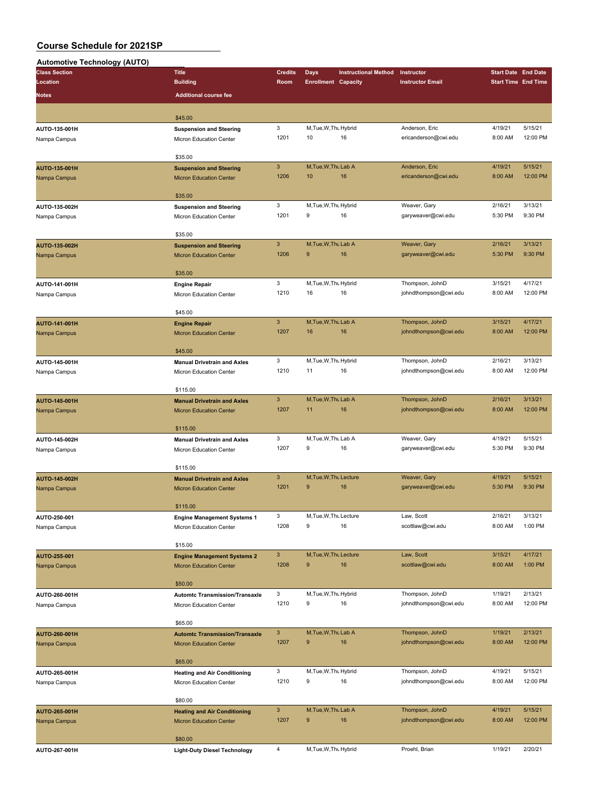#### **Automotive Technology (AUTO)**

| <b>Class Section</b>          | <b>Title</b>                                                         | <b>Credits</b>            | <b>Days</b>                | <b>Instructional Method</b> | Instructor                               | <b>Start Date End Date</b> |                     |
|-------------------------------|----------------------------------------------------------------------|---------------------------|----------------------------|-----------------------------|------------------------------------------|----------------------------|---------------------|
| Location                      | <b>Building</b>                                                      | Room                      | <b>Enrollment Capacity</b> |                             | <b>Instructor Email</b>                  | <b>Start Time End Time</b> |                     |
| <b>Notes</b>                  | <b>Additional course fee</b>                                         |                           |                            |                             |                                          |                            |                     |
|                               |                                                                      |                           |                            |                             |                                          |                            |                     |
|                               | \$45.00                                                              |                           |                            |                             |                                          |                            |                     |
| AUTO-135-001H                 | <b>Suspension and Steering</b>                                       | 3                         | M, Tue, W, Thu Hybrid      |                             | Anderson, Eric                           | 4/19/21                    | 5/15/21             |
| Nampa Campus                  | Micron Education Center                                              | 1201                      | 10                         | 16                          | ericanderson@cwi.edu                     | 8:00 AM                    | 12:00 PM            |
|                               |                                                                      |                           |                            |                             |                                          |                            |                     |
|                               | \$35.00                                                              |                           |                            |                             |                                          |                            |                     |
| <b>AUTO-135-001H</b>          | <b>Suspension and Steering</b>                                       | $\mathbf{3}$              | M, Tue, W, Thu Lab A       |                             | Anderson, Eric                           | 4/19/21                    | 5/15/21             |
| Nampa Campus                  | <b>Micron Education Center</b>                                       | 1206                      | 10                         | 16                          | ericanderson@cwi.edu                     | 8:00 AM                    | 12:00 PM            |
|                               | \$35.00                                                              |                           |                            |                             |                                          |                            |                     |
| AUTO-135-002H                 | <b>Suspension and Steering</b>                                       | 3                         | M, Tue, W, Thu Hybrid      |                             | Weaver, Gary                             | 2/16/21                    | 3/13/21             |
| Nampa Campus                  | Micron Education Center                                              | 1201                      | 9                          | 16                          | garyweaver@cwi.edu                       | 5:30 PM                    | 9:30 PM             |
|                               |                                                                      |                           |                            |                             |                                          |                            |                     |
|                               | \$35.00                                                              |                           |                            |                             |                                          |                            |                     |
| AUTO-135-002H                 | <b>Suspension and Steering</b>                                       | $\mathbf{3}$<br>1206      | M, Tue, W, Thu Lab A<br>9  | 16                          | Weaver, Gary<br>garyweaver@cwi.edu       | 2/16/21<br>5:30 PM         | 3/13/21<br>9:30 PM  |
| Nampa Campus                  | <b>Micron Education Center</b>                                       |                           |                            |                             |                                          |                            |                     |
|                               | \$35.00                                                              |                           |                            |                             |                                          |                            |                     |
| AUTO-141-001H                 | <b>Engine Repair</b>                                                 | 3                         | M, Tue, W, Thu Hybrid      |                             | Thompson, JohnD                          | 3/15/21                    | 4/17/21             |
| Nampa Campus                  | Micron Education Center                                              | 1210                      | 16                         | 16                          | johndthompson@cwi.edu                    | 8:00 AM                    | 12:00 PM            |
|                               |                                                                      |                           |                            |                             |                                          |                            |                     |
|                               | \$45.00                                                              |                           |                            |                             |                                          |                            |                     |
| AUTO-141-001H                 | <b>Engine Repair</b>                                                 | $\mathbf{3}$<br>1207      | M, Tue, W, Thu Lab A<br>16 | 16                          | Thompson, JohnD<br>johndthompson@cwi.edu | 3/15/21<br>8:00 AM         | 4/17/21<br>12:00 PM |
| Nampa Campus                  | <b>Micron Education Center</b>                                       |                           |                            |                             |                                          |                            |                     |
|                               | \$45.00                                                              |                           |                            |                             |                                          |                            |                     |
| AUTO-145-001H                 | <b>Manual Drivetrain and Axles</b>                                   | 3                         | M, Tue, W, Thu Hybrid      |                             | Thompson, JohnD                          | 2/16/21                    | 3/13/21             |
| Nampa Campus                  | Micron Education Center                                              | 1210                      | 11                         | 16                          | johndthompson@cwi.edu                    | 8:00 AM                    | 12:00 PM            |
|                               |                                                                      |                           |                            |                             |                                          |                            |                     |
|                               | \$115.00                                                             | $\mathbf{3}$              | M, Tue, W, Thu Lab A       |                             |                                          | 2/16/21                    | 3/13/21             |
| AUTO-145-001H                 | <b>Manual Drivetrain and Axles</b><br><b>Micron Education Center</b> | 1207                      | 11                         | 16                          | Thompson, JohnD<br>johndthompson@cwi.edu | 8:00 AM                    | 12:00 PM            |
| Nampa Campus                  |                                                                      |                           |                            |                             |                                          |                            |                     |
|                               | \$115.00                                                             |                           |                            |                             |                                          |                            |                     |
| AUTO-145-002H                 | <b>Manual Drivetrain and Axles</b>                                   | 3                         | M, Tue, W, Thu Lab A       |                             | Weaver, Gary                             | 4/19/21                    | 5/15/21             |
| Nampa Campus                  | Micron Education Center                                              | 1207                      | 9                          | 16                          | garyweaver@cwi.edu                       | 5:30 PM                    | 9:30 PM             |
|                               |                                                                      |                           |                            |                             |                                          |                            |                     |
|                               | \$115.00                                                             | $\mathbf{3}$              | M, Tue, W, Thu Lecture     |                             | Weaver, Gary                             | 4/19/21                    | 5/15/21             |
| AUTO-145-002H<br>Nampa Campus | <b>Manual Drivetrain and Axles</b><br><b>Micron Education Center</b> | 1201                      | 9                          | 16                          | garyweaver@cwi.edu                       | 5:30 PM                    | 9:30 PM             |
|                               |                                                                      |                           |                            |                             |                                          |                            |                     |
|                               | \$115.00                                                             |                           |                            |                             |                                          |                            |                     |
| AUTO-250-001                  | <b>Engine Management Systems 1</b>                                   | 3                         | M, Tue, W, Thu Lecture     |                             | Law, Scott                               | 2/16/21                    | 3/13/21             |
| Nampa Campus                  | Micron Education Center                                              | 1208                      | 9                          | 16                          | scottlaw@cwi.edu                         | 8:00 AM                    | 1:00 PM             |
|                               | \$15.00                                                              |                           |                            |                             |                                          |                            |                     |
| AUTO-255-001                  | <b>Engine Management Systems 2</b>                                   | 3 <sup>5</sup>            | M, Tue, W, Thu Lecture     |                             | Law, Scott                               | 3/15/21                    | 4/17/21             |
| Nampa Campus                  | <b>Micron Education Center</b>                                       | 1208                      | $\boldsymbol{9}$           | 16                          | scottlaw@cwi.edu                         | 8:00 AM                    | 1:00 PM             |
|                               |                                                                      |                           |                            |                             |                                          |                            |                     |
|                               | \$50.00                                                              |                           |                            |                             |                                          |                            |                     |
| AUTO-260-001H                 | <b>Automtc Transmission/Transaxle</b>                                | 3                         | M, Tue, W, Thu Hybrid      |                             | Thompson, JohnD                          | 1/19/21                    | 2/13/21             |
| Nampa Campus                  | Micron Education Center                                              | 1210                      | 9                          | 16                          | johndthompson@cwi.edu                    | 8:00 AM                    | 12:00 PM            |
|                               | \$65.00                                                              |                           |                            |                             |                                          |                            |                     |
| AUTO-260-001H                 | <b>Automtc Transmission/Transaxle</b>                                | $\mathbf{3}$              | M, Tue, W, Thu Lab A       |                             | Thompson, JohnD                          | 1/19/21                    | 2/13/21             |
| Nampa Campus                  | <b>Micron Education Center</b>                                       | 1207                      | 9                          | 16                          | johndthompson@cwi.edu                    | 8:00 AM                    | 12:00 PM            |
|                               |                                                                      |                           |                            |                             |                                          |                            |                     |
|                               | \$65.00                                                              |                           |                            |                             |                                          |                            |                     |
| AUTO-265-001H                 | <b>Heating and Air Conditioning</b>                                  | 3                         | M, Tue, W, Thu Hybrid      |                             | Thompson, JohnD                          | 4/19/21                    | 5/15/21             |
| Nampa Campus                  | Micron Education Center                                              | 1210                      | 9                          | 16                          | johndthompson@cwi.edu                    | 8:00 AM                    | 12:00 PM            |
|                               | \$80.00                                                              |                           |                            |                             |                                          |                            |                     |
| AUTO-265-001H                 | <b>Heating and Air Conditioning</b>                                  | $\ensuremath{\mathsf{3}}$ | M, Tue, W, Thu Lab A       |                             | Thompson, JohnD                          | 4/19/21                    | 5/15/21             |
| Nampa Campus                  | <b>Micron Education Center</b>                                       | 1207                      | $\boldsymbol{9}$           | 16                          | johndthompson@cwi.edu                    | 8:00 AM                    | 12:00 PM            |
|                               |                                                                      |                           |                            |                             |                                          |                            |                     |
|                               | \$80.00                                                              |                           |                            |                             |                                          |                            |                     |
| AUTO-267-001H                 | <b>Light-Duty Diesel Technology</b>                                  | 4                         | M, Tue, W, Thu Hybrid      |                             | Proehl, Brian                            | 1/19/21                    | 2/20/21             |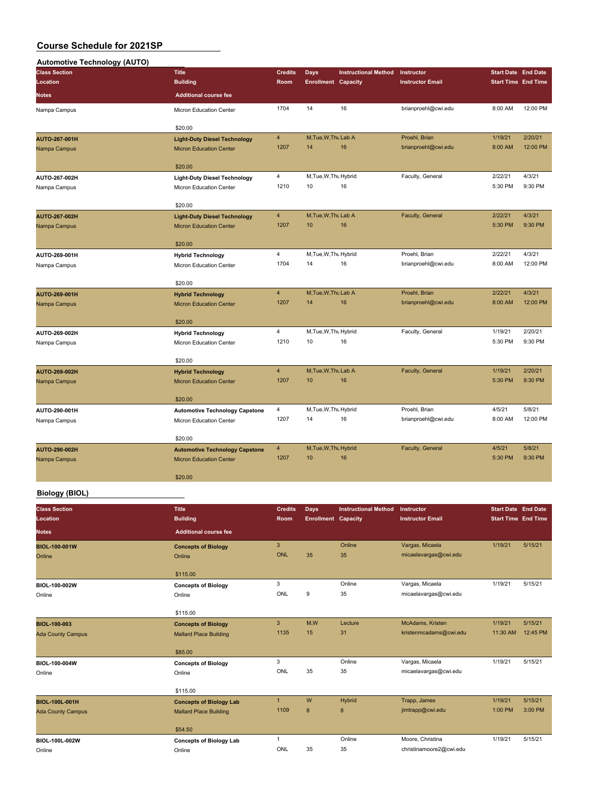#### **Automotive Technology (AUTO)**

| <b>Class Section</b>  | <b>Title</b>                          | <b>Credits</b>          | Days                       | <b>Instructional Method</b> | Instructor              | <b>Start Date End Date</b> |          |
|-----------------------|---------------------------------------|-------------------------|----------------------------|-----------------------------|-------------------------|----------------------------|----------|
| Location              | <b>Building</b>                       | Room                    | <b>Enrollment Capacity</b> |                             | <b>Instructor Email</b> | <b>Start Time End Time</b> |          |
| <b>Notes</b>          | <b>Additional course fee</b>          |                         |                            |                             |                         |                            |          |
| Nampa Campus          | Micron Education Center               | 1704                    | 14                         | 16                          | brianproehl@cwi.edu     | 8:00 AM                    | 12:00 PM |
|                       | \$20.00                               |                         |                            |                             |                         |                            |          |
| AUTO-267-001H         | <b>Light-Duty Diesel Technology</b>   | 4                       | M, Tue, W, Thu Lab A       |                             | Proehl, Brian           | 1/19/21                    | 2/20/21  |
| Nampa Campus          | <b>Micron Education Center</b>        | 1207                    | 14                         | 16                          | brianproehl@cwi.edu     | 8:00 AM                    | 12:00 PM |
|                       | \$20.00                               |                         |                            |                             |                         |                            |          |
| AUTO-267-002H         | <b>Light-Duty Diesel Technology</b>   | $\overline{\mathbf{4}}$ | M, Tue, W, Thu Hybrid      |                             | Faculty, General        | 2/22/21                    | 4/3/21   |
| Nampa Campus          | Micron Education Center               | 1210                    | 10                         | 16                          |                         | 5:30 PM                    | 9:30 PM  |
|                       |                                       |                         |                            |                             |                         |                            |          |
|                       | \$20.00                               |                         |                            |                             |                         |                            |          |
| AUTO-267-002H         | <b>Light-Duty Diesel Technology</b>   | $\overline{\mathbf{4}}$ | M, Tue, W, Thu Lab A       |                             | Faculty, General        | 2/22/21                    | 4/3/21   |
| Nampa Campus          | <b>Micron Education Center</b>        | 1207                    | 10                         | 16                          |                         | 5:30 PM                    | 9:30 PM  |
|                       | \$20.00                               |                         |                            |                             |                         |                            |          |
| AUTO-269-001H         | <b>Hybrid Technology</b>              | 4                       | M, Tue, W, Thu Hybrid      |                             | Proehl, Brian           | 2/22/21                    | 4/3/21   |
| Nampa Campus          | Micron Education Center               | 1704                    | 14                         | 16                          | brianproehl@cwi.edu     | 8:00 AM                    | 12:00 PM |
|                       | \$20.00                               |                         |                            |                             |                         |                            |          |
| AUTO-269-001H         | <b>Hybrid Technology</b>              | 4                       | M, Tue, W, Thu Lab A       |                             | Proehl, Brian           | 2/22/21                    | 4/3/21   |
| Nampa Campus          | <b>Micron Education Center</b>        | 1207                    | 14                         | 16                          | brianproehl@cwi.edu     | 8:00 AM                    | 12:00 PM |
|                       | \$20.00                               |                         |                            |                             |                         |                            |          |
| AUTO-269-002H         | <b>Hybrid Technology</b>              | 4                       | M, Tue, W, Thu Hybrid      |                             | Faculty, General        | 1/19/21                    | 2/20/21  |
| Nampa Campus          | Micron Education Center               | 1210                    | 10                         | 16                          |                         | 5:30 PM                    | 9:30 PM  |
|                       |                                       |                         |                            |                             |                         |                            |          |
|                       | \$20.00                               |                         |                            |                             |                         |                            |          |
| AUTO-269-002H         | <b>Hybrid Technology</b>              | $\overline{4}$          | M, Tue, W, Thu Lab A       |                             | Faculty, General        | 1/19/21                    | 2/20/21  |
| Nampa Campus          | <b>Micron Education Center</b>        | 1207                    | 10                         | 16                          |                         | 5:30 PM                    | 9:30 PM  |
|                       | \$20.00                               |                         |                            |                             |                         |                            |          |
| AUTO-290-001H         | <b>Automotive Technology Capstone</b> | 4                       | M, Tue, W, Thu Hybrid      |                             | Proehl, Brian           | 4/5/21                     | 5/8/21   |
| Nampa Campus          | Micron Education Center               | 1207                    | 14                         | 16                          | brianproehl@cwi.edu     | 8:00 AM                    | 12:00 PM |
|                       | \$20.00                               |                         |                            |                             |                         |                            |          |
| AUTO-290-002H         | <b>Automotive Technology Capstone</b> | 4                       | M, Tue, W, Thu Hybrid      |                             | Faculty, General        | 4/5/21                     | 5/8/21   |
| Nampa Campus          | <b>Micron Education Center</b>        | 1207                    | 10                         | 16                          |                         | 5:30 PM                    | 9:30 PM  |
|                       |                                       |                         |                            |                             |                         |                            |          |
|                       | \$20.00                               |                         |                            |                             |                         |                            |          |
| <b>Biology (BIOL)</b> |                                       |                         |                            |                             |                         |                            |          |

| <b>Class Section</b><br>Location | <b>Title</b><br><b>Building</b> | <b>Credits</b><br>Room | Days<br><b>Enrollment Capacity</b> | <b>Instructional Method</b> | Instructor<br><b>Instructor Email</b> | <b>Start Date End Date</b><br><b>Start Time End Time</b> |          |
|----------------------------------|---------------------------------|------------------------|------------------------------------|-----------------------------|---------------------------------------|----------------------------------------------------------|----------|
| <b>Notes</b>                     | <b>Additional course fee</b>    |                        |                                    |                             |                                       |                                                          |          |
| <b>BIOL-100-001W</b>             | <b>Concepts of Biology</b>      | 3                      |                                    | Online                      | Vargas, Micaela                       | 1/19/21                                                  | 5/15/21  |
| Online                           | Online                          | <b>ONL</b>             | 35                                 | 35                          | micaelavargas@cwi.edu                 |                                                          |          |
|                                  | \$115.00                        |                        |                                    |                             |                                       |                                                          |          |
| BIOL-100-002W                    | <b>Concepts of Biology</b>      | 3                      |                                    | Online                      | Vargas, Micaela                       | 1/19/21                                                  | 5/15/21  |
| Online                           | Online                          | ONL                    | 9                                  | 35                          | micaelavargas@cwi.edu                 |                                                          |          |
|                                  | \$115.00                        |                        |                                    |                             |                                       |                                                          |          |
| <b>BIOL-100-003</b>              | <b>Concepts of Biology</b>      | 3                      | M,W                                | Lecture                     | McAdams, Kristen                      | 1/19/21                                                  | 5/15/21  |
| <b>Ada County Campus</b>         | <b>Mallard Place Building</b>   | 1135                   | 15                                 | 31                          | kristenmcadams@cwi.edu                | 11:30 AM                                                 | 12:45 PM |
|                                  | \$85.00                         |                        |                                    |                             |                                       |                                                          |          |
| BIOL-100-004W                    | <b>Concepts of Biology</b>      | 3                      |                                    | Online                      | Vargas, Micaela                       | 1/19/21                                                  | 5/15/21  |
| Online                           | Online                          | ONL                    | 35                                 | 35                          | micaelavargas@cwi.edu                 |                                                          |          |
|                                  | \$115.00                        |                        |                                    |                             |                                       |                                                          |          |
| <b>BIOL-100L-001H</b>            | <b>Concepts of Biology Lab</b>  | $\mathbf{1}$           | W                                  | Hybrid                      | Trapp, James                          | 1/19/21                                                  | 5/15/21  |
| <b>Ada County Campus</b>         | <b>Mallard Place Building</b>   | 1109                   | 8                                  | 8                           | jimtrapp@cwi.edu                      | 1:00 PM                                                  | 3:00 PM  |
|                                  | \$54.50                         |                        |                                    |                             |                                       |                                                          |          |
| BIOL-100L-002W                   | <b>Concepts of Biology Lab</b>  | $\mathbf{1}$           |                                    | Online                      | Moore, Christina                      | 1/19/21                                                  | 5/15/21  |
| Online                           | Online                          | ONL                    | 35                                 | 35                          | christinamoore2@cwi.edu               |                                                          |          |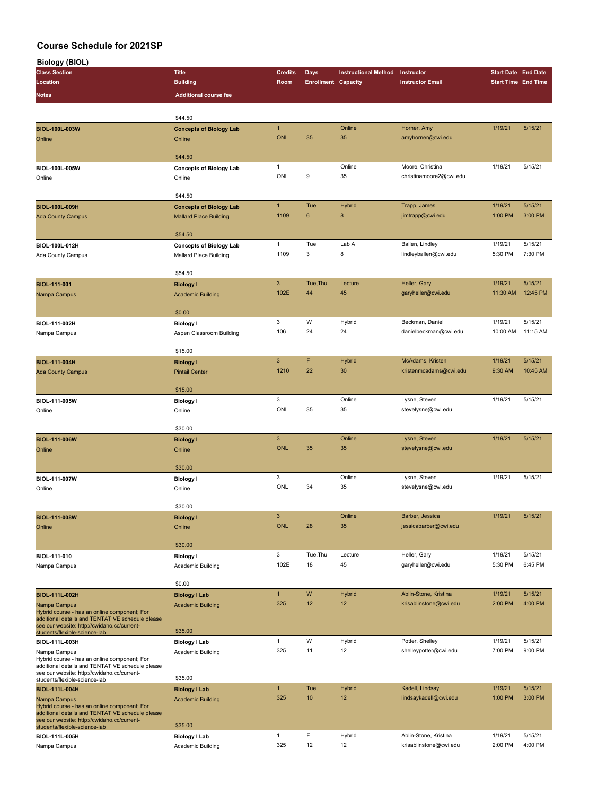| <b>Biology (BIOL)</b>                                                                            |                                          |                           |                            |                             |                         |                                                                                                                                                                                                                                                                        |          |
|--------------------------------------------------------------------------------------------------|------------------------------------------|---------------------------|----------------------------|-----------------------------|-------------------------|------------------------------------------------------------------------------------------------------------------------------------------------------------------------------------------------------------------------------------------------------------------------|----------|
| <b>Class Section</b>                                                                             | <b>Title</b>                             | <b>Credits</b>            | Days                       | <b>Instructional Method</b> | Instructor              |                                                                                                                                                                                                                                                                        |          |
| Location                                                                                         | <b>Building</b>                          | Room                      | <b>Enrollment Capacity</b> |                             | <b>Instructor Email</b> |                                                                                                                                                                                                                                                                        |          |
| Notes                                                                                            | <b>Additional course fee</b>             |                           |                            |                             |                         |                                                                                                                                                                                                                                                                        |          |
|                                                                                                  |                                          |                           |                            |                             |                         |                                                                                                                                                                                                                                                                        |          |
|                                                                                                  | \$44.50                                  |                           |                            |                             |                         |                                                                                                                                                                                                                                                                        |          |
| <b>BIOL-100L-003W</b>                                                                            |                                          | $\mathbf{1}$              |                            | Online                      | Horner, Amy             |                                                                                                                                                                                                                                                                        | 5/15/21  |
| Online                                                                                           | <b>Concepts of Biology Lab</b><br>Online | <b>ONL</b>                | 35                         | 35                          | amyhorner@cwi.edu       |                                                                                                                                                                                                                                                                        |          |
|                                                                                                  |                                          |                           |                            |                             |                         | 1/19/21<br>1/19/21<br>1/19/21<br>1:00 PM<br>1/19/21<br>5:30 PM<br>1/19/21<br>11:30 AM<br>1/19/21<br>10:00 AM<br>1/19/21<br>9:30 AM<br>1/19/21<br>1/19/21<br>1/19/21<br>1/19/21<br>1/19/21<br>5:30 PM<br>1/19/21<br>2:00 PM<br>1/19/21<br>7:00 PM<br>1/19/21<br>1:00 PM |          |
|                                                                                                  | \$44.50                                  |                           |                            |                             |                         |                                                                                                                                                                                                                                                                        |          |
| BIOL-100L-005W                                                                                   | <b>Concepts of Biology Lab</b>           | $\mathbf{1}$              |                            | Online                      | Moore, Christina        |                                                                                                                                                                                                                                                                        | 5/15/21  |
| Online                                                                                           | Online                                   | ONL                       | 9                          | 35                          | christinamoore2@cwi.edu |                                                                                                                                                                                                                                                                        |          |
|                                                                                                  |                                          |                           |                            |                             |                         |                                                                                                                                                                                                                                                                        |          |
|                                                                                                  | \$44.50                                  |                           |                            |                             |                         |                                                                                                                                                                                                                                                                        |          |
| BIOL-100L-009H                                                                                   | <b>Concepts of Biology Lab</b>           | $\mathbf{1}$              | Tue                        | <b>Hybrid</b>               | Trapp, James            |                                                                                                                                                                                                                                                                        | 5/15/21  |
| <b>Ada County Campus</b>                                                                         | <b>Mallard Place Building</b>            | 1109                      | 6                          | $\boldsymbol{8}$            | jimtrapp@cwi.edu        |                                                                                                                                                                                                                                                                        | 3:00 PM  |
|                                                                                                  |                                          |                           |                            |                             |                         |                                                                                                                                                                                                                                                                        |          |
|                                                                                                  | \$54.50                                  |                           |                            |                             |                         |                                                                                                                                                                                                                                                                        |          |
| BIOL-100L-012H                                                                                   | <b>Concepts of Biology Lab</b>           | $\mathbf{1}$              | Tue                        | Lab A                       | Ballen, Lindley         |                                                                                                                                                                                                                                                                        | 5/15/21  |
| Ada County Campus                                                                                | Mallard Place Building                   | 1109                      | 3                          | 8                           | lindleyballen@cwi.edu   | 1/19/21                                                                                                                                                                                                                                                                | 7:30 PM  |
|                                                                                                  |                                          |                           |                            |                             |                         |                                                                                                                                                                                                                                                                        |          |
|                                                                                                  | \$54.50                                  | $\overline{3}$            | Tue, Thu                   | Lecture                     |                         |                                                                                                                                                                                                                                                                        | 5/15/21  |
| <b>BIOL-111-001</b>                                                                              | <b>Biology I</b>                         | 102E                      | 44                         | 45                          | Heller, Gary            |                                                                                                                                                                                                                                                                        | 12:45 PM |
| Nampa Campus                                                                                     | <b>Academic Building</b>                 |                           |                            |                             | garyheller@cwi.edu      |                                                                                                                                                                                                                                                                        |          |
|                                                                                                  | \$0.00                                   |                           |                            |                             |                         |                                                                                                                                                                                                                                                                        |          |
| BIOL-111-002H                                                                                    | <b>Biology I</b>                         | 3                         | W                          | Hybrid                      | Beckman, Daniel         |                                                                                                                                                                                                                                                                        | 5/15/21  |
| Nampa Campus                                                                                     | Aspen Classroom Building                 | 106                       | 24                         | 24                          | danielbeckman@cwi.edu   |                                                                                                                                                                                                                                                                        | 11:15 AM |
|                                                                                                  |                                          |                           |                            |                             |                         |                                                                                                                                                                                                                                                                        |          |
|                                                                                                  | \$15.00                                  |                           |                            |                             |                         | <b>Start Date End Date</b><br><b>Start Time End Time</b>                                                                                                                                                                                                               |          |
| <b>BIOL-111-004H</b>                                                                             | <b>Biology I</b>                         | $\mathbf{3}$              | F                          | <b>Hybrid</b>               | McAdams, Kristen        |                                                                                                                                                                                                                                                                        | 5/15/21  |
| <b>Ada County Campus</b>                                                                         | <b>Pintail Center</b>                    | 1210                      | 22                         | 30                          | kristenmcadams@cwi.edu  |                                                                                                                                                                                                                                                                        | 10:45 AM |
|                                                                                                  |                                          |                           |                            |                             |                         |                                                                                                                                                                                                                                                                        |          |
|                                                                                                  | \$15.00                                  |                           |                            |                             |                         |                                                                                                                                                                                                                                                                        |          |
| BIOL-111-005W                                                                                    | <b>Biology I</b>                         | 3                         |                            | Online                      | Lysne, Steven           |                                                                                                                                                                                                                                                                        | 5/15/21  |
| Online                                                                                           | Online                                   | ONL                       | 35                         | 35                          | stevelysne@cwi.edu      |                                                                                                                                                                                                                                                                        |          |
|                                                                                                  |                                          |                           |                            |                             |                         |                                                                                                                                                                                                                                                                        |          |
|                                                                                                  | \$30.00                                  |                           |                            |                             |                         |                                                                                                                                                                                                                                                                        |          |
| BIOL-111-006W                                                                                    | <b>Biology I</b>                         | $\mathbf{3}$              |                            | Online                      | Lysne, Steven           |                                                                                                                                                                                                                                                                        | 5/15/21  |
| Online                                                                                           | Online                                   | <b>ONL</b>                | 35                         | 35                          | stevelysne@cwi.edu      |                                                                                                                                                                                                                                                                        |          |
|                                                                                                  |                                          |                           |                            |                             |                         |                                                                                                                                                                                                                                                                        |          |
|                                                                                                  | \$30.00                                  |                           |                            |                             |                         |                                                                                                                                                                                                                                                                        |          |
| BIOL-111-007W                                                                                    | <b>Biology I</b>                         | 3                         |                            | Online                      | Lysne, Steven           |                                                                                                                                                                                                                                                                        | 5/15/21  |
| Online                                                                                           | Online                                   | ONL                       | 34                         | 35                          | stevelysne@cwi.edu      |                                                                                                                                                                                                                                                                        |          |
|                                                                                                  | \$30.00                                  |                           |                            |                             |                         |                                                                                                                                                                                                                                                                        |          |
|                                                                                                  |                                          | $\ensuremath{\mathsf{3}}$ |                            | Online                      | Barber, Jessica         |                                                                                                                                                                                                                                                                        | 5/15/21  |
| BIOL-111-008W<br>Online                                                                          | <b>Biology I</b><br>Online               | <b>ONL</b>                | 28                         | 35                          | jessicabarber@cwi.edu   |                                                                                                                                                                                                                                                                        |          |
|                                                                                                  |                                          |                           |                            |                             |                         | 2:00 PM                                                                                                                                                                                                                                                                |          |
|                                                                                                  | \$30.00                                  |                           |                            |                             |                         |                                                                                                                                                                                                                                                                        |          |
| BIOL-111-010                                                                                     | <b>Biology I</b>                         | 3                         | Tue, Thu                   | Lecture                     | Heller, Gary            |                                                                                                                                                                                                                                                                        | 5/15/21  |
| Nampa Campus                                                                                     | Academic Building                        | 102E                      | 18                         | 45                          | garyheller@cwi.edu      |                                                                                                                                                                                                                                                                        | 6:45 PM  |
|                                                                                                  |                                          |                           |                            |                             |                         |                                                                                                                                                                                                                                                                        |          |
|                                                                                                  | \$0.00                                   |                           |                            |                             |                         |                                                                                                                                                                                                                                                                        |          |
| BIOL-111L-002H                                                                                   | <b>Biology I Lab</b>                     | $\mathbf{1}$              | W                          | <b>Hybrid</b>               | Ablin-Stone, Kristina   |                                                                                                                                                                                                                                                                        | 5/15/21  |
| Nampa Campus                                                                                     | <b>Academic Building</b>                 | 325                       | 12                         | 12                          | krisablinstone@cwi.edu  |                                                                                                                                                                                                                                                                        | 4:00 PM  |
| Hybrid course - has an online component; For                                                     |                                          |                           |                            |                             |                         |                                                                                                                                                                                                                                                                        |          |
| additional details and TENTATIVE schedule please<br>see our website: http://cwidaho.cc/current-  |                                          |                           |                            |                             |                         |                                                                                                                                                                                                                                                                        |          |
| students/flexible-science-lab                                                                    | \$35.00                                  |                           |                            |                             |                         |                                                                                                                                                                                                                                                                        |          |
| BIOL-111L-003H                                                                                   | <b>Biology I Lab</b>                     | $\mathbf{1}$              | W                          | Hybrid                      | Potter, Shelley         |                                                                                                                                                                                                                                                                        | 5/15/21  |
| Nampa Campus                                                                                     | Academic Building                        | 325                       | 11                         | 12                          | shelleypotter@cwi.edu   |                                                                                                                                                                                                                                                                        | 9:00 PM  |
| Hybrid course - has an online component; For<br>additional details and TENTATIVE schedule please |                                          |                           |                            |                             |                         |                                                                                                                                                                                                                                                                        |          |
| see our website: http://cwidaho.cc/current-                                                      |                                          |                           |                            |                             |                         |                                                                                                                                                                                                                                                                        |          |
| students/flexible-science-lab                                                                    | \$35.00                                  |                           |                            |                             |                         |                                                                                                                                                                                                                                                                        |          |
| BIOL-111L-004H                                                                                   | <b>Biology I Lab</b>                     | $\mathbf{1}$              | Tue                        | <b>Hybrid</b>               | Kadell, Lindsay         |                                                                                                                                                                                                                                                                        | 5/15/21  |
| Nampa Campus                                                                                     | <b>Academic Building</b>                 | 325                       | 10                         | 12                          | lindsaykadell@cwi.edu   |                                                                                                                                                                                                                                                                        | 3:00 PM  |
| Hybrid course - has an online component; For<br>additional details and TENTATIVE schedule please |                                          |                           |                            |                             |                         |                                                                                                                                                                                                                                                                        |          |
| see our website: http://cwidaho.cc/current-                                                      | \$35.00                                  |                           |                            |                             |                         |                                                                                                                                                                                                                                                                        |          |
| students/flexible-science-lab                                                                    |                                          | $\mathbf{1}$              | F                          | Hybrid                      | Ablin-Stone, Kristina   |                                                                                                                                                                                                                                                                        | 5/15/21  |
| BIOL-111L-005H                                                                                   | <b>Biology I Lab</b>                     | 325                       | 12                         | 12                          | krisablinstone@cwi.edu  |                                                                                                                                                                                                                                                                        | 4:00 PM  |
| Nampa Campus                                                                                     | Academic Building                        |                           |                            |                             |                         |                                                                                                                                                                                                                                                                        |          |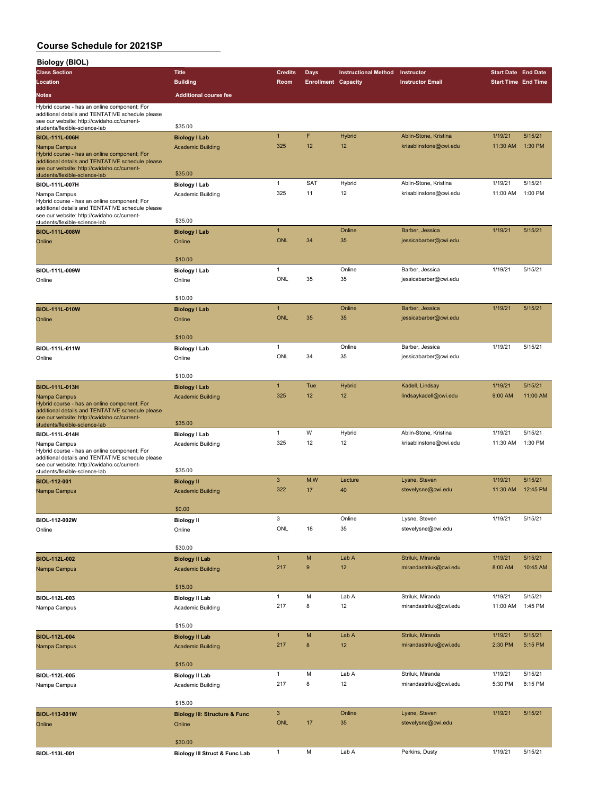| <b>Biology (BIOL)</b>                                                                                                                                                                                                                                                                                                                                                                                                                                                                                                                                                                                                                                                                                                                                                                                                                                                                                                                                                                                                                                                                                                                                                                                                                                                                                                                                               |                              |                |                            |                             |                         |                            |          |
|---------------------------------------------------------------------------------------------------------------------------------------------------------------------------------------------------------------------------------------------------------------------------------------------------------------------------------------------------------------------------------------------------------------------------------------------------------------------------------------------------------------------------------------------------------------------------------------------------------------------------------------------------------------------------------------------------------------------------------------------------------------------------------------------------------------------------------------------------------------------------------------------------------------------------------------------------------------------------------------------------------------------------------------------------------------------------------------------------------------------------------------------------------------------------------------------------------------------------------------------------------------------------------------------------------------------------------------------------------------------|------------------------------|----------------|----------------------------|-----------------------------|-------------------------|----------------------------|----------|
| <b>Class Section</b>                                                                                                                                                                                                                                                                                                                                                                                                                                                                                                                                                                                                                                                                                                                                                                                                                                                                                                                                                                                                                                                                                                                                                                                                                                                                                                                                                | <b>Title</b>                 | <b>Credits</b> | <b>Days</b>                | <b>Instructional Method</b> | Instructor              | <b>Start Date End Date</b> |          |
| Location                                                                                                                                                                                                                                                                                                                                                                                                                                                                                                                                                                                                                                                                                                                                                                                                                                                                                                                                                                                                                                                                                                                                                                                                                                                                                                                                                            | <b>Building</b>              | Room           | <b>Enrollment Capacity</b> |                             | <b>Instructor Email</b> | <b>Start Time End Time</b> |          |
| <b>Notes</b>                                                                                                                                                                                                                                                                                                                                                                                                                                                                                                                                                                                                                                                                                                                                                                                                                                                                                                                                                                                                                                                                                                                                                                                                                                                                                                                                                        | <b>Additional course fee</b> |                |                            |                             |                         |                            |          |
| Hybrid course - has an online component; For                                                                                                                                                                                                                                                                                                                                                                                                                                                                                                                                                                                                                                                                                                                                                                                                                                                                                                                                                                                                                                                                                                                                                                                                                                                                                                                        |                              |                |                            |                             |                         |                            |          |
| additional details and TENTATIVE schedule please                                                                                                                                                                                                                                                                                                                                                                                                                                                                                                                                                                                                                                                                                                                                                                                                                                                                                                                                                                                                                                                                                                                                                                                                                                                                                                                    |                              |                |                            |                             |                         |                            |          |
| see our website: http://cwidaho.cc/current-<br>students/flexible-science-lab                                                                                                                                                                                                                                                                                                                                                                                                                                                                                                                                                                                                                                                                                                                                                                                                                                                                                                                                                                                                                                                                                                                                                                                                                                                                                        | \$35.00                      |                |                            |                             |                         |                            |          |
| BIOL-111L-006H                                                                                                                                                                                                                                                                                                                                                                                                                                                                                                                                                                                                                                                                                                                                                                                                                                                                                                                                                                                                                                                                                                                                                                                                                                                                                                                                                      | <b>Biology I Lab</b>         | $\overline{1}$ | F                          | <b>Hybrid</b>               | Ablin-Stone, Kristina   | 1/19/21                    | 5/15/21  |
| Nampa Campus                                                                                                                                                                                                                                                                                                                                                                                                                                                                                                                                                                                                                                                                                                                                                                                                                                                                                                                                                                                                                                                                                                                                                                                                                                                                                                                                                        | <b>Academic Building</b>     | 325            | 12                         | 12                          | krisablinstone@cwi.edu  | 11:30 AM                   | 1:30 PM  |
| Hybrid course - has an online component; For<br>additional details and TENTATIVE schedule please                                                                                                                                                                                                                                                                                                                                                                                                                                                                                                                                                                                                                                                                                                                                                                                                                                                                                                                                                                                                                                                                                                                                                                                                                                                                    |                              |                |                            |                             |                         |                            |          |
| see our website: http://cwidaho.cc/current-                                                                                                                                                                                                                                                                                                                                                                                                                                                                                                                                                                                                                                                                                                                                                                                                                                                                                                                                                                                                                                                                                                                                                                                                                                                                                                                         |                              |                |                            |                             |                         |                            |          |
| students/flexible-science-lab                                                                                                                                                                                                                                                                                                                                                                                                                                                                                                                                                                                                                                                                                                                                                                                                                                                                                                                                                                                                                                                                                                                                                                                                                                                                                                                                       | \$35.00                      |                |                            |                             |                         |                            |          |
| BIOL-111L-007H                                                                                                                                                                                                                                                                                                                                                                                                                                                                                                                                                                                                                                                                                                                                                                                                                                                                                                                                                                                                                                                                                                                                                                                                                                                                                                                                                      | <b>Biology I Lab</b>         | $\mathbf{1}$   | <b>SAT</b>                 | Hybrid                      | Ablin-Stone, Kristina   | 1/19/21                    | 5/15/21  |
| Nampa Campus<br>Hybrid course - has an online component; For                                                                                                                                                                                                                                                                                                                                                                                                                                                                                                                                                                                                                                                                                                                                                                                                                                                                                                                                                                                                                                                                                                                                                                                                                                                                                                        | Academic Building            | 325            | 11                         | 12                          | krisablinstone@cwi.edu  | 11:00 AM                   | 1:00 PM  |
| additional details and TENTATIVE schedule please                                                                                                                                                                                                                                                                                                                                                                                                                                                                                                                                                                                                                                                                                                                                                                                                                                                                                                                                                                                                                                                                                                                                                                                                                                                                                                                    |                              |                |                            |                             |                         |                            |          |
| see our website: http://cwidaho.cc/current-                                                                                                                                                                                                                                                                                                                                                                                                                                                                                                                                                                                                                                                                                                                                                                                                                                                                                                                                                                                                                                                                                                                                                                                                                                                                                                                         |                              |                |                            |                             |                         |                            |          |
|                                                                                                                                                                                                                                                                                                                                                                                                                                                                                                                                                                                                                                                                                                                                                                                                                                                                                                                                                                                                                                                                                                                                                                                                                                                                                                                                                                     |                              |                |                            |                             |                         |                            | 5/15/21  |
| Online                                                                                                                                                                                                                                                                                                                                                                                                                                                                                                                                                                                                                                                                                                                                                                                                                                                                                                                                                                                                                                                                                                                                                                                                                                                                                                                                                              |                              |                |                            |                             |                         |                            |          |
|                                                                                                                                                                                                                                                                                                                                                                                                                                                                                                                                                                                                                                                                                                                                                                                                                                                                                                                                                                                                                                                                                                                                                                                                                                                                                                                                                                     |                              |                |                            |                             |                         |                            |          |
|                                                                                                                                                                                                                                                                                                                                                                                                                                                                                                                                                                                                                                                                                                                                                                                                                                                                                                                                                                                                                                                                                                                                                                                                                                                                                                                                                                     |                              |                |                            |                             |                         |                            |          |
| BIOL-111L-009W                                                                                                                                                                                                                                                                                                                                                                                                                                                                                                                                                                                                                                                                                                                                                                                                                                                                                                                                                                                                                                                                                                                                                                                                                                                                                                                                                      |                              | $\mathbf{1}$   |                            | Online                      | Barber, Jessica         | 1/19/21                    | 5/15/21  |
| Online                                                                                                                                                                                                                                                                                                                                                                                                                                                                                                                                                                                                                                                                                                                                                                                                                                                                                                                                                                                                                                                                                                                                                                                                                                                                                                                                                              |                              | ONL            | 35                         | 35                          | jessicabarber@cwi.edu   |                            |          |
|                                                                                                                                                                                                                                                                                                                                                                                                                                                                                                                                                                                                                                                                                                                                                                                                                                                                                                                                                                                                                                                                                                                                                                                                                                                                                                                                                                     |                              |                |                            |                             |                         |                            |          |
|                                                                                                                                                                                                                                                                                                                                                                                                                                                                                                                                                                                                                                                                                                                                                                                                                                                                                                                                                                                                                                                                                                                                                                                                                                                                                                                                                                     | \$10.00                      |                |                            |                             |                         |                            |          |
| BIOL-111L-010W                                                                                                                                                                                                                                                                                                                                                                                                                                                                                                                                                                                                                                                                                                                                                                                                                                                                                                                                                                                                                                                                                                                                                                                                                                                                                                                                                      | <b>Biology I Lab</b>         | $\mathbf{1}$   |                            | Online                      | Barber, Jessica         | 1/19/21                    | 5/15/21  |
| Online                                                                                                                                                                                                                                                                                                                                                                                                                                                                                                                                                                                                                                                                                                                                                                                                                                                                                                                                                                                                                                                                                                                                                                                                                                                                                                                                                              | Online                       | <b>ONL</b>     | 35                         | 35                          | jessicabarber@cwi.edu   |                            |          |
|                                                                                                                                                                                                                                                                                                                                                                                                                                                                                                                                                                                                                                                                                                                                                                                                                                                                                                                                                                                                                                                                                                                                                                                                                                                                                                                                                                     |                              |                |                            |                             |                         |                            |          |
|                                                                                                                                                                                                                                                                                                                                                                                                                                                                                                                                                                                                                                                                                                                                                                                                                                                                                                                                                                                                                                                                                                                                                                                                                                                                                                                                                                     | \$10.00                      |                |                            |                             |                         |                            |          |
| BIOL-111L-011W                                                                                                                                                                                                                                                                                                                                                                                                                                                                                                                                                                                                                                                                                                                                                                                                                                                                                                                                                                                                                                                                                                                                                                                                                                                                                                                                                      | <b>Biology I Lab</b>         | $\mathbf{1}$   |                            | Online                      | Barber, Jessica         | 1/19/21                    | 5/15/21  |
| Online                                                                                                                                                                                                                                                                                                                                                                                                                                                                                                                                                                                                                                                                                                                                                                                                                                                                                                                                                                                                                                                                                                                                                                                                                                                                                                                                                              | Online                       | ONL            | 34                         | 35                          | jessicabarber@cwi.edu   |                            |          |
|                                                                                                                                                                                                                                                                                                                                                                                                                                                                                                                                                                                                                                                                                                                                                                                                                                                                                                                                                                                                                                                                                                                                                                                                                                                                                                                                                                     |                              |                |                            |                             |                         |                            |          |
|                                                                                                                                                                                                                                                                                                                                                                                                                                                                                                                                                                                                                                                                                                                                                                                                                                                                                                                                                                                                                                                                                                                                                                                                                                                                                                                                                                     | \$10.00                      |                |                            |                             |                         |                            |          |
| BIOL-111L-013H                                                                                                                                                                                                                                                                                                                                                                                                                                                                                                                                                                                                                                                                                                                                                                                                                                                                                                                                                                                                                                                                                                                                                                                                                                                                                                                                                      | <b>Biology I Lab</b>         |                |                            | Hybrid                      | Kadell, Lindsay         | 1/19/21                    | 5/15/21  |
| Nampa Campus                                                                                                                                                                                                                                                                                                                                                                                                                                                                                                                                                                                                                                                                                                                                                                                                                                                                                                                                                                                                                                                                                                                                                                                                                                                                                                                                                        | <b>Academic Building</b>     | 325            | 12                         | 12                          | lindsaykadell@cwi.edu   | 9:00 AM                    | 11:00 AM |
|                                                                                                                                                                                                                                                                                                                                                                                                                                                                                                                                                                                                                                                                                                                                                                                                                                                                                                                                                                                                                                                                                                                                                                                                                                                                                                                                                                     |                              |                |                            |                             |                         |                            |          |
| see our website: http://cwidaho.cc/current-                                                                                                                                                                                                                                                                                                                                                                                                                                                                                                                                                                                                                                                                                                                                                                                                                                                                                                                                                                                                                                                                                                                                                                                                                                                                                                                         |                              |                |                            |                             |                         |                            |          |
|                                                                                                                                                                                                                                                                                                                                                                                                                                                                                                                                                                                                                                                                                                                                                                                                                                                                                                                                                                                                                                                                                                                                                                                                                                                                                                                                                                     |                              |                |                            |                             |                         |                            | 5/15/21  |
|                                                                                                                                                                                                                                                                                                                                                                                                                                                                                                                                                                                                                                                                                                                                                                                                                                                                                                                                                                                                                                                                                                                                                                                                                                                                                                                                                                     |                              |                |                            |                             |                         |                            | 1:30 PM  |
|                                                                                                                                                                                                                                                                                                                                                                                                                                                                                                                                                                                                                                                                                                                                                                                                                                                                                                                                                                                                                                                                                                                                                                                                                                                                                                                                                                     |                              |                |                            |                             |                         |                            |          |
| additional details and TENTATIVE schedule please                                                                                                                                                                                                                                                                                                                                                                                                                                                                                                                                                                                                                                                                                                                                                                                                                                                                                                                                                                                                                                                                                                                                                                                                                                                                                                                    |                              |                |                            |                             |                         |                            |          |
|                                                                                                                                                                                                                                                                                                                                                                                                                                                                                                                                                                                                                                                                                                                                                                                                                                                                                                                                                                                                                                                                                                                                                                                                                                                                                                                                                                     | \$35.00                      |                |                            |                             |                         |                            |          |
| BIOL-112-001                                                                                                                                                                                                                                                                                                                                                                                                                                                                                                                                                                                                                                                                                                                                                                                                                                                                                                                                                                                                                                                                                                                                                                                                                                                                                                                                                        |                              | $\mathbf{3}$   | M,W                        | Lecture                     | Lysne, Steven           | 1/19/21                    | 5/15/21  |
| Nampa Campus                                                                                                                                                                                                                                                                                                                                                                                                                                                                                                                                                                                                                                                                                                                                                                                                                                                                                                                                                                                                                                                                                                                                                                                                                                                                                                                                                        |                              | 322            | 17                         | 40                          | stevelysne@cwi.edu      | 11:30 AM                   | 12:45 PM |
|                                                                                                                                                                                                                                                                                                                                                                                                                                                                                                                                                                                                                                                                                                                                                                                                                                                                                                                                                                                                                                                                                                                                                                                                                                                                                                                                                                     |                              |                |                            |                             |                         |                            |          |
|                                                                                                                                                                                                                                                                                                                                                                                                                                                                                                                                                                                                                                                                                                                                                                                                                                                                                                                                                                                                                                                                                                                                                                                                                                                                                                                                                                     | \$0.00                       |                |                            |                             |                         |                            |          |
| BIOL-112-002W                                                                                                                                                                                                                                                                                                                                                                                                                                                                                                                                                                                                                                                                                                                                                                                                                                                                                                                                                                                                                                                                                                                                                                                                                                                                                                                                                       | <b>Biology II</b>            | 3              |                            | Online                      | Lysne, Steven           | 1/19/21                    | 5/15/21  |
| Online                                                                                                                                                                                                                                                                                                                                                                                                                                                                                                                                                                                                                                                                                                                                                                                                                                                                                                                                                                                                                                                                                                                                                                                                                                                                                                                                                              | Online                       | ONL            | 18                         | 35                          | stevelysne@cwi.edu      |                            |          |
|                                                                                                                                                                                                                                                                                                                                                                                                                                                                                                                                                                                                                                                                                                                                                                                                                                                                                                                                                                                                                                                                                                                                                                                                                                                                                                                                                                     |                              |                |                            |                             |                         |                            |          |
|                                                                                                                                                                                                                                                                                                                                                                                                                                                                                                                                                                                                                                                                                                                                                                                                                                                                                                                                                                                                                                                                                                                                                                                                                                                                                                                                                                     | \$30.00                      |                |                            |                             |                         |                            |          |
| BIOL-112L-002                                                                                                                                                                                                                                                                                                                                                                                                                                                                                                                                                                                                                                                                                                                                                                                                                                                                                                                                                                                                                                                                                                                                                                                                                                                                                                                                                       | <b>Biology II Lab</b>        | $\mathbf{1}$   | M                          | Lab A                       | Striluk, Miranda        | 1/19/21                    | 5/15/21  |
| Nampa Campus                                                                                                                                                                                                                                                                                                                                                                                                                                                                                                                                                                                                                                                                                                                                                                                                                                                                                                                                                                                                                                                                                                                                                                                                                                                                                                                                                        | <b>Academic Building</b>     | 217            | 9                          | 12                          | mirandastriluk@cwi.edu  | 8:00 AM                    | 10:45 AM |
|                                                                                                                                                                                                                                                                                                                                                                                                                                                                                                                                                                                                                                                                                                                                                                                                                                                                                                                                                                                                                                                                                                                                                                                                                                                                                                                                                                     |                              |                |                            |                             |                         |                            |          |
|                                                                                                                                                                                                                                                                                                                                                                                                                                                                                                                                                                                                                                                                                                                                                                                                                                                                                                                                                                                                                                                                                                                                                                                                                                                                                                                                                                     | \$15.00                      |                |                            |                             |                         |                            |          |
| BIOL-112L-003                                                                                                                                                                                                                                                                                                                                                                                                                                                                                                                                                                                                                                                                                                                                                                                                                                                                                                                                                                                                                                                                                                                                                                                                                                                                                                                                                       | <b>Biology II Lab</b>        |                |                            |                             |                         | 1/19/21                    | 5/15/21  |
| Nampa Campus                                                                                                                                                                                                                                                                                                                                                                                                                                                                                                                                                                                                                                                                                                                                                                                                                                                                                                                                                                                                                                                                                                                                                                                                                                                                                                                                                        | Academic Building            |                |                            |                             |                         | 11:00 AM                   | 1:45 PM  |
|                                                                                                                                                                                                                                                                                                                                                                                                                                                                                                                                                                                                                                                                                                                                                                                                                                                                                                                                                                                                                                                                                                                                                                                                                                                                                                                                                                     |                              |                |                            |                             |                         |                            |          |
|                                                                                                                                                                                                                                                                                                                                                                                                                                                                                                                                                                                                                                                                                                                                                                                                                                                                                                                                                                                                                                                                                                                                                                                                                                                                                                                                                                     |                              |                |                            |                             |                         |                            |          |
| BIOL-112L-004                                                                                                                                                                                                                                                                                                                                                                                                                                                                                                                                                                                                                                                                                                                                                                                                                                                                                                                                                                                                                                                                                                                                                                                                                                                                                                                                                       | <b>Biology II Lab</b>        |                |                            |                             |                         | 1/19/21                    | 5/15/21  |
| Nampa Campus                                                                                                                                                                                                                                                                                                                                                                                                                                                                                                                                                                                                                                                                                                                                                                                                                                                                                                                                                                                                                                                                                                                                                                                                                                                                                                                                                        | <b>Academic Building</b>     |                |                            |                             |                         | 2:30 PM                    | 5:15 PM  |
|                                                                                                                                                                                                                                                                                                                                                                                                                                                                                                                                                                                                                                                                                                                                                                                                                                                                                                                                                                                                                                                                                                                                                                                                                                                                                                                                                                     |                              |                |                            |                             |                         |                            |          |
|                                                                                                                                                                                                                                                                                                                                                                                                                                                                                                                                                                                                                                                                                                                                                                                                                                                                                                                                                                                                                                                                                                                                                                                                                                                                                                                                                                     |                              |                |                            |                             |                         |                            |          |
| BIOL-112L-005                                                                                                                                                                                                                                                                                                                                                                                                                                                                                                                                                                                                                                                                                                                                                                                                                                                                                                                                                                                                                                                                                                                                                                                                                                                                                                                                                       | <b>Biology II Lab</b>        |                |                            |                             |                         | 1/19/21                    | 5/15/21  |
| \$35.00<br>students/flexible-science-lab<br>$\mathbf{1}$<br>Online<br>Barber, Jessica<br>1/19/21<br><b>BIOL-111L-008W</b><br><b>Biology I Lab</b><br><b>ONL</b><br>34<br>35<br>jessicabarber@cwi.edu<br>Online<br>\$10.00<br><b>Biology I Lab</b><br>Online<br>$\mathbf{1}$<br>Tue<br>Hybrid course - has an online component; For<br>additional details and TENTATIVE schedule please<br>\$35.00<br>students/flexible-science-lab<br>W<br>$\mathbf{1}$<br>Hybrid<br>Ablin-Stone, Kristina<br>1/19/21<br>BIOL-111L-014H<br><b>Biology I Lab</b><br>325<br>12<br>12<br>krisablinstone@cwi.edu<br>11:30 AM<br>Nampa Campus<br>Academic Building<br>Hybrid course - has an online component; For<br>see our website: http://cwidaho.cc/current-<br>students/flexible-science-lab<br><b>Biology II</b><br><b>Academic Building</b><br>$\mathbf{1}$<br>M<br>Lab A<br>Striluk, Miranda<br>8<br>12<br>217<br>mirandastriluk@cwi.edu<br>\$15.00<br>$\mathbf{1}$<br>M<br>Lab A<br>Striluk, Miranda<br>$\bf 8$<br>217<br>12<br>mirandastriluk@cwi.edu<br>\$15.00<br>M<br>Lab A<br>Striluk, Miranda<br>$\mathbf{1}$<br>217<br>8<br>mirandastriluk@cwi.edu<br>12<br>Nampa Campus<br>Academic Building<br>\$15.00<br>$\mathsf 3$<br>Online<br>Lysne, Steven<br>1/19/21<br><b>Biology III: Structure &amp; Func</b><br>ONL<br>17<br>35<br>stevelysne@cwi.edu<br>Online<br>\$30.00 | 5:30 PM                      | 8:15 PM        |                            |                             |                         |                            |          |
|                                                                                                                                                                                                                                                                                                                                                                                                                                                                                                                                                                                                                                                                                                                                                                                                                                                                                                                                                                                                                                                                                                                                                                                                                                                                                                                                                                     |                              |                |                            |                             |                         |                            |          |
|                                                                                                                                                                                                                                                                                                                                                                                                                                                                                                                                                                                                                                                                                                                                                                                                                                                                                                                                                                                                                                                                                                                                                                                                                                                                                                                                                                     |                              |                |                            |                             |                         |                            |          |
| BIOL-113-001W                                                                                                                                                                                                                                                                                                                                                                                                                                                                                                                                                                                                                                                                                                                                                                                                                                                                                                                                                                                                                                                                                                                                                                                                                                                                                                                                                       |                              |                |                            |                             |                         |                            | 5/15/21  |
| Online                                                                                                                                                                                                                                                                                                                                                                                                                                                                                                                                                                                                                                                                                                                                                                                                                                                                                                                                                                                                                                                                                                                                                                                                                                                                                                                                                              |                              |                |                            |                             |                         |                            |          |
|                                                                                                                                                                                                                                                                                                                                                                                                                                                                                                                                                                                                                                                                                                                                                                                                                                                                                                                                                                                                                                                                                                                                                                                                                                                                                                                                                                     |                              |                |                            |                             |                         |                            |          |
|                                                                                                                                                                                                                                                                                                                                                                                                                                                                                                                                                                                                                                                                                                                                                                                                                                                                                                                                                                                                                                                                                                                                                                                                                                                                                                                                                                     |                              |                |                            |                             |                         |                            |          |

**BIOL-113L-001 Biology III Struct & Func Lab** 1 M Lab A Perkins, Dusty 1/19/21 5/15/21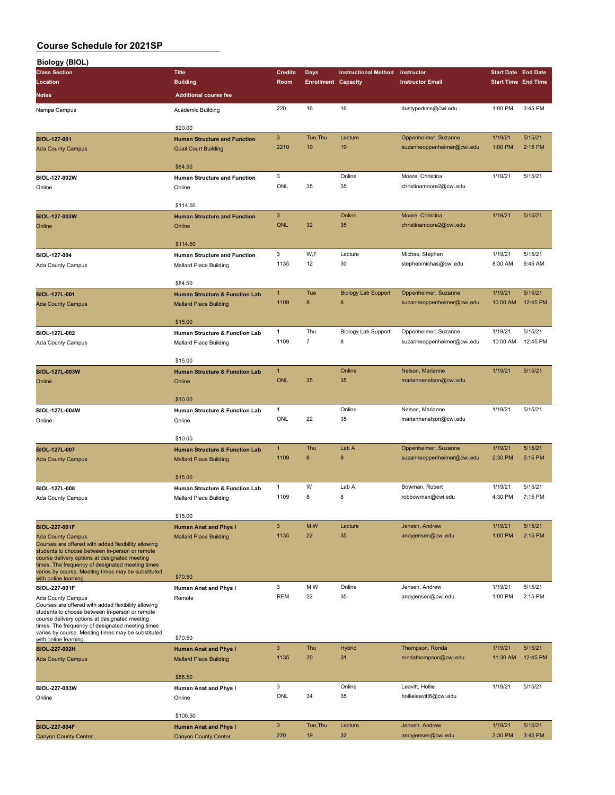| Biology (BIOL)                                                                                  |                                           |                |                            |                             |                                          |                                                                                                                                                                                                                                                                                                    |                    |
|-------------------------------------------------------------------------------------------------|-------------------------------------------|----------------|----------------------------|-----------------------------|------------------------------------------|----------------------------------------------------------------------------------------------------------------------------------------------------------------------------------------------------------------------------------------------------------------------------------------------------|--------------------|
| <b>Class Section</b>                                                                            | <b>Title</b>                              | <b>Credits</b> | <b>Days</b>                | <b>Instructional Method</b> | Instructor                               |                                                                                                                                                                                                                                                                                                    |                    |
| Location                                                                                        | <b>Building</b>                           | Room           | <b>Enrollment Capacity</b> |                             | <b>Instructor Email</b>                  |                                                                                                                                                                                                                                                                                                    |                    |
| Notes                                                                                           | <b>Additional course fee</b>              |                |                            |                             |                                          |                                                                                                                                                                                                                                                                                                    |                    |
| Nampa Campus                                                                                    | Academic Building                         | 220            | 16                         | 16                          | dustyperkins@cwi.edu                     |                                                                                                                                                                                                                                                                                                    | 3:45 PM            |
|                                                                                                 |                                           |                |                            |                             |                                          |                                                                                                                                                                                                                                                                                                    |                    |
|                                                                                                 | \$20.00                                   |                |                            |                             |                                          |                                                                                                                                                                                                                                                                                                    |                    |
| BIOL-127-001                                                                                    | <b>Human Structure and Function</b>       | $\mathbf{3}$   | Tue, Thu                   | Lecture                     | Oppenheimer, Suzanne                     | 1/19/21                                                                                                                                                                                                                                                                                            | 5/15/21            |
| <b>Ada County Campus</b>                                                                        | <b>Quail Court Building</b>               | 2210           | 19                         | 19                          | suzanneoppenheimer@cwi.edu               | 1:00 PM                                                                                                                                                                                                                                                                                            | 2:15 PM            |
|                                                                                                 |                                           |                |                            |                             |                                          |                                                                                                                                                                                                                                                                                                    |                    |
|                                                                                                 | \$84.50                                   |                |                            |                             |                                          |                                                                                                                                                                                                                                                                                                    |                    |
| BIOL-127-002W                                                                                   | <b>Human Structure and Function</b>       | 3              |                            | Online                      | Moore, Christina                         | 1/19/21                                                                                                                                                                                                                                                                                            | 5/15/21            |
| Online                                                                                          | Online                                    | ONL            | 35                         | 35                          | christinamoore2@cwi.edu                  |                                                                                                                                                                                                                                                                                                    |                    |
|                                                                                                 |                                           |                |                            |                             |                                          |                                                                                                                                                                                                                                                                                                    |                    |
|                                                                                                 | \$114.50                                  |                |                            |                             |                                          |                                                                                                                                                                                                                                                                                                    |                    |
| BIOL-127-003W                                                                                   | <b>Human Structure and Function</b>       | $\mathbf{3}$   |                            | Online                      | Moore, Christina                         |                                                                                                                                                                                                                                                                                                    | 5/15/21            |
| Online                                                                                          | Online                                    | <b>ONL</b>     | 32                         | 35                          | christinamoore2@cwi.edu                  | <b>Start Date End Date</b><br><b>Start Time End Time</b><br>1:00 PM<br>1/19/21<br>1/19/21<br>8:30 AM<br>1/19/21<br>10:00 AM<br>1/19/21<br>10:00 AM<br>1/19/21<br>1/19/21<br>1/19/21<br>2:30 PM<br>1/19/21<br>4:30 PM<br>1/19/21<br>1:00 PM<br>1/19/21<br>1:00 PM<br>1/19/21<br>11:30 AM<br>1/19/21 |                    |
|                                                                                                 |                                           |                |                            |                             |                                          |                                                                                                                                                                                                                                                                                                    |                    |
|                                                                                                 | \$114.50                                  | 3              | W,F                        | Lecture                     |                                          |                                                                                                                                                                                                                                                                                                    | 5/15/21            |
| BIOL-127-004                                                                                    | <b>Human Structure and Function</b>       | 1135           | 12                         | 30                          | Michas, Stephen<br>stephenmichas@cwi.edu |                                                                                                                                                                                                                                                                                                    | 9:45 AM            |
| Ada County Campus                                                                               | Mallard Place Building                    |                |                            |                             |                                          |                                                                                                                                                                                                                                                                                                    |                    |
|                                                                                                 | \$84.50                                   |                |                            |                             |                                          |                                                                                                                                                                                                                                                                                                    |                    |
| BIOL-127L-001                                                                                   | <b>Human Structure &amp; Function Lab</b> | $\mathbf{1}$   | Tue                        | <b>Biology Lab Support</b>  | Oppenheimer, Suzanne                     |                                                                                                                                                                                                                                                                                                    | 5/15/21            |
| <b>Ada County Campus</b>                                                                        | <b>Mallard Place Building</b>             | 1109           | 8                          | 8                           | suzanneoppenheimer@cwi.edu               |                                                                                                                                                                                                                                                                                                    | 12:45 PM           |
|                                                                                                 |                                           |                |                            |                             |                                          |                                                                                                                                                                                                                                                                                                    |                    |
|                                                                                                 | \$15.00                                   |                |                            |                             |                                          |                                                                                                                                                                                                                                                                                                    |                    |
| BIOL-127L-002                                                                                   | Human Structure & Function Lab            | $\mathbf{1}$   | Thu                        | <b>Biology Lab Support</b>  | Oppenheimer, Suzanne                     |                                                                                                                                                                                                                                                                                                    | 5/15/21            |
| Ada County Campus                                                                               | Mallard Place Building                    | 1109           | $\overline{7}$             | 8                           | suzanneoppenheimer@cwi.edu               |                                                                                                                                                                                                                                                                                                    | 12:45 PM           |
|                                                                                                 |                                           |                |                            |                             |                                          |                                                                                                                                                                                                                                                                                                    |                    |
|                                                                                                 | \$15.00                                   |                |                            |                             |                                          |                                                                                                                                                                                                                                                                                                    |                    |
| BIOL-127L-003W                                                                                  | <b>Human Structure &amp; Function Lab</b> | $\mathbf{1}$   |                            | Online                      | Nelson, Marianne                         |                                                                                                                                                                                                                                                                                                    | 5/15/21            |
| Online                                                                                          | Online                                    | <b>ONL</b>     | 35                         | 35                          | mariannenelson@cwi.edu                   |                                                                                                                                                                                                                                                                                                    |                    |
|                                                                                                 |                                           |                |                            |                             |                                          |                                                                                                                                                                                                                                                                                                    |                    |
|                                                                                                 | \$10.00                                   |                |                            |                             |                                          |                                                                                                                                                                                                                                                                                                    |                    |
| BIOL-127L-004W                                                                                  | Human Structure & Function Lab            | 1              |                            | Online                      | Nelson, Marianne                         |                                                                                                                                                                                                                                                                                                    | 5/15/21            |
| Online                                                                                          | Online                                    | ONL            | 22                         | 35                          | mariannenelson@cwi.edu                   |                                                                                                                                                                                                                                                                                                    |                    |
|                                                                                                 |                                           |                |                            |                             |                                          |                                                                                                                                                                                                                                                                                                    |                    |
|                                                                                                 | \$10.00                                   | $\mathbf{1}$   | Thu                        | Lab A                       | Oppenheimer, Suzanne                     |                                                                                                                                                                                                                                                                                                    |                    |
| <b>BIOL-127L-007</b>                                                                            | <b>Human Structure &amp; Function Lab</b> | 1109           | 8                          | 8                           | suzanneoppenheimer@cwi.edu               | 1/19/21<br>2:30 PM                                                                                                                                                                                                                                                                                 | 5/15/21<br>5:15 PM |
| <b>Ada County Campus</b>                                                                        | <b>Mallard Place Building</b>             |                |                            |                             |                                          |                                                                                                                                                                                                                                                                                                    |                    |
|                                                                                                 | \$15.00                                   |                |                            |                             |                                          |                                                                                                                                                                                                                                                                                                    |                    |
| BIOL-127L-008                                                                                   | Human Structure & Function Lab            | $\mathbf{1}$   | W                          | Lab A                       | Bowman, Robert                           |                                                                                                                                                                                                                                                                                                    | 5/15/21            |
| Ada County Campus                                                                               | Mallard Place Building                    | 1109           | 8                          | 8                           | robbowman@cwi.edu                        |                                                                                                                                                                                                                                                                                                    | 7:15 PM            |
|                                                                                                 |                                           |                |                            |                             |                                          |                                                                                                                                                                                                                                                                                                    |                    |
|                                                                                                 | \$15.00                                   |                |                            |                             |                                          |                                                                                                                                                                                                                                                                                                    |                    |
| <b>BIOL-227-001F</b>                                                                            | <b>Human Anat and Phys I</b>              | $\mathbf{3}$   | M, W                       | Lecture                     | Jensen, Andrew                           |                                                                                                                                                                                                                                                                                                    | 5/15/21            |
| <b>Ada County Campus</b>                                                                        | <b>Mallard Place Building</b>             | 1135           | 22                         | 35                          | andyjensen@cwi.edu                       |                                                                                                                                                                                                                                                                                                    | 2:15 PM            |
| Courses are offered with added flexibility allowing                                             |                                           |                |                            |                             |                                          |                                                                                                                                                                                                                                                                                                    |                    |
| students to choose between in-person or remote<br>course delivery options at designated meeting |                                           |                |                            |                             |                                          |                                                                                                                                                                                                                                                                                                    |                    |
| times. The frequency of designated meeting times                                                |                                           |                |                            |                             |                                          |                                                                                                                                                                                                                                                                                                    |                    |
| varies by course. Meeting times may be substituted<br>with online learning.                     | \$70.50                                   |                |                            |                             |                                          |                                                                                                                                                                                                                                                                                                    |                    |
| BIOL-227-001F                                                                                   | <b>Human Anat and Phys I</b>              | 3              | M,W                        | Online                      | Jensen, Andrew                           |                                                                                                                                                                                                                                                                                                    | 5/15/21            |
| Ada County Campus                                                                               | Remote                                    | <b>REM</b>     | 22                         | 35                          | andyjensen@cwi.edu                       |                                                                                                                                                                                                                                                                                                    | $2:15$ PM          |
| Courses are offered with added flexibility allowing                                             |                                           |                |                            |                             |                                          |                                                                                                                                                                                                                                                                                                    |                    |
| students to choose between in-person or remote<br>course delivery options at designated meeting |                                           |                |                            |                             |                                          |                                                                                                                                                                                                                                                                                                    |                    |
| times. The frequency of designated meeting times                                                |                                           |                |                            |                             |                                          |                                                                                                                                                                                                                                                                                                    |                    |
| varies by course. Meeting times may be substituted<br>with online learning.                     | \$70.50                                   |                |                            |                             |                                          |                                                                                                                                                                                                                                                                                                    |                    |
| BIOL-227-002H                                                                                   | <b>Human Anat and Phys I</b>              | $\mathbf{3}$   | Thu                        | <b>Hybrid</b>               | Thompson, Ronda                          |                                                                                                                                                                                                                                                                                                    | 5/15/21            |
| <b>Ada County Campus</b>                                                                        | <b>Mallard Place Building</b>             | 1135           | 20                         | 31                          | rondathompson@cwi.edu                    |                                                                                                                                                                                                                                                                                                    | 12:45 PM           |
|                                                                                                 |                                           |                |                            |                             |                                          |                                                                                                                                                                                                                                                                                                    |                    |
|                                                                                                 | \$85.50                                   |                |                            |                             |                                          |                                                                                                                                                                                                                                                                                                    |                    |
| BIOL-227-003W                                                                                   | Human Anat and Phys I                     | 3              |                            | Online                      | Leavitt, Hollie                          |                                                                                                                                                                                                                                                                                                    | 5/15/21            |
| Online                                                                                          | Online                                    | ONL            | 34                         | 35                          | hollieleavitt6@cwi.edu                   |                                                                                                                                                                                                                                                                                                    |                    |
|                                                                                                 |                                           |                |                            |                             |                                          |                                                                                                                                                                                                                                                                                                    |                    |
|                                                                                                 | \$100.50                                  |                |                            |                             |                                          |                                                                                                                                                                                                                                                                                                    |                    |
| <b>BIOL-227-004F</b>                                                                            | <b>Human Anat and Phys I</b>              | $\mathbf{3}$   | Tue, Thu                   | Lecture                     | Jensen, Andrew                           |                                                                                                                                                                                                                                                                                                    | 5/15/21            |
| <b>Canyon County Center</b>                                                                     | <b>Canyon County Center</b>               | 220            | 19                         | 32                          | andyjensen@cwi.edu                       |                                                                                                                                                                                                                                                                                                    | 3:45 PM            |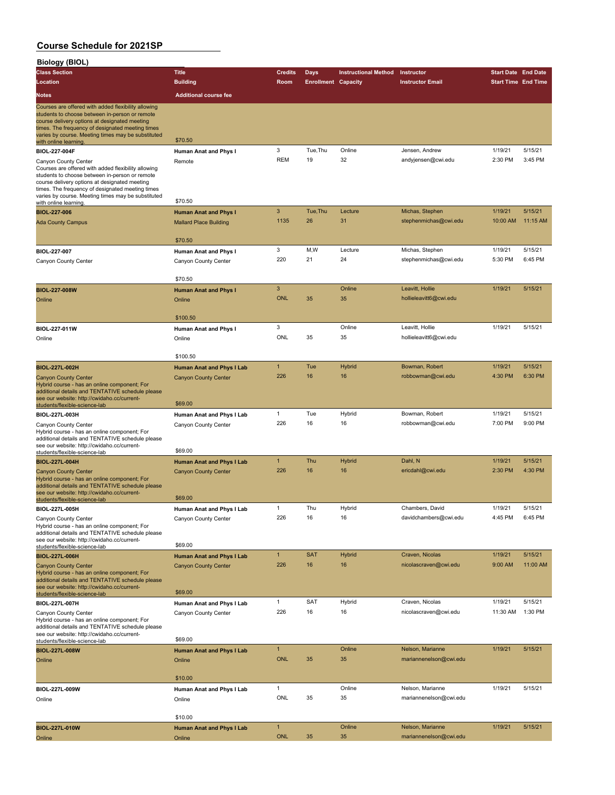| <b>Biology (BIOL)</b>                                                                                                                                                                                                                                                                                             |                                                   |                            |                            |                             |                                            |                                                                                                                                                                                                                                           |          |
|-------------------------------------------------------------------------------------------------------------------------------------------------------------------------------------------------------------------------------------------------------------------------------------------------------------------|---------------------------------------------------|----------------------------|----------------------------|-----------------------------|--------------------------------------------|-------------------------------------------------------------------------------------------------------------------------------------------------------------------------------------------------------------------------------------------|----------|
| <b>Class Section</b>                                                                                                                                                                                                                                                                                              | <b>Title</b>                                      | <b>Credits</b>             | Days                       | <b>Instructional Method</b> | Instructor                                 |                                                                                                                                                                                                                                           |          |
| Location                                                                                                                                                                                                                                                                                                          | <b>Building</b>                                   | Room                       | <b>Enrollment Capacity</b> |                             | <b>Instructor Email</b>                    |                                                                                                                                                                                                                                           |          |
| Notes                                                                                                                                                                                                                                                                                                             | <b>Additional course fee</b>                      |                            |                            |                             |                                            |                                                                                                                                                                                                                                           |          |
|                                                                                                                                                                                                                                                                                                                   |                                                   |                            |                            |                             |                                            |                                                                                                                                                                                                                                           |          |
| Courses are offered with added flexibility allowing<br>students to choose between in-person or remote<br>course delivery options at designated meeting<br>times. The frequency of designated meeting times                                                                                                        |                                                   |                            |                            |                             |                                            |                                                                                                                                                                                                                                           |          |
| varies by course. Meeting times may be substituted<br>with online learning.                                                                                                                                                                                                                                       | \$70.50                                           |                            |                            |                             |                                            |                                                                                                                                                                                                                                           |          |
| BIOL-227-004F                                                                                                                                                                                                                                                                                                     | Human Anat and Phys I                             | 3                          | Tue, Thu                   | Online                      | Jensen, Andrew                             | 1/19/21                                                                                                                                                                                                                                   | 5/15/21  |
| Canyon County Center<br>Courses are offered with added flexibility allowing<br>students to choose between in-person or remote<br>course delivery options at designated meeting<br>times. The frequency of designated meeting times<br>varies by course. Meeting times may be substituted<br>with online learning. | Remote<br>\$70.50                                 | <b>REM</b>                 | 19                         | 32                          | andyjensen@cwi.edu                         | 2:30 PM                                                                                                                                                                                                                                   | 3:45 PM  |
| <b>BIOL-227-006</b>                                                                                                                                                                                                                                                                                               | <b>Human Anat and Phys I</b>                      | 3                          | Tue, Thu                   | Lecture                     | Michas, Stephen                            | 1/19/21                                                                                                                                                                                                                                   | 5/15/21  |
| <b>Ada County Campus</b>                                                                                                                                                                                                                                                                                          | <b>Mallard Place Building</b>                     | 1135                       | 26                         | 31                          | stephenmichas@cwi.edu                      | 10:00 AM                                                                                                                                                                                                                                  | 11:15 AM |
|                                                                                                                                                                                                                                                                                                                   | \$70.50                                           |                            |                            |                             |                                            |                                                                                                                                                                                                                                           |          |
| BIOL-227-007                                                                                                                                                                                                                                                                                                      | Human Anat and Phys I                             | 3                          | M,W                        | Lecture                     | Michas, Stephen                            | 1/19/21                                                                                                                                                                                                                                   | 5/15/21  |
| Canyon County Center                                                                                                                                                                                                                                                                                              | Canyon County Center                              | 220                        | 21                         | 24                          | stephenmichas@cwi.edu                      | <b>Start Date End Date</b><br><b>Start Time End Time</b><br>5:30 PM<br>1/19/21<br>1/19/21<br>1/19/21<br>4:30 PM<br>1/19/21<br>7:00 PM<br>1/19/21<br>2:30 PM<br>1/19/21<br>4:45 PM<br>1/19/21<br>9:00 AM<br>1/19/21<br>11:30 AM<br>1/19/21 | 6:45 PM  |
|                                                                                                                                                                                                                                                                                                                   | \$70.50                                           |                            |                            |                             |                                            |                                                                                                                                                                                                                                           |          |
| BIOL-227-008W                                                                                                                                                                                                                                                                                                     | <b>Human Anat and Phys I</b>                      | 3                          |                            | Online                      | Leavitt, Hollie                            |                                                                                                                                                                                                                                           | 5/15/21  |
| Online                                                                                                                                                                                                                                                                                                            | Online                                            | <b>ONL</b>                 | 35                         | 35                          | hollieleavitt6@cwi.edu                     |                                                                                                                                                                                                                                           |          |
|                                                                                                                                                                                                                                                                                                                   | \$100.50                                          |                            |                            |                             |                                            |                                                                                                                                                                                                                                           |          |
| BIOL-227-011W                                                                                                                                                                                                                                                                                                     |                                                   | 3                          |                            | Online                      | Leavitt, Hollie                            |                                                                                                                                                                                                                                           | 5/15/21  |
| Online                                                                                                                                                                                                                                                                                                            | Human Anat and Phys I<br>Online                   | ONL                        | 35                         | 35                          | hollieleavitt6@cwi.edu                     |                                                                                                                                                                                                                                           |          |
|                                                                                                                                                                                                                                                                                                                   |                                                   |                            |                            |                             |                                            |                                                                                                                                                                                                                                           |          |
|                                                                                                                                                                                                                                                                                                                   | \$100.50                                          |                            |                            |                             |                                            |                                                                                                                                                                                                                                           |          |
| BIOL-227L-002H                                                                                                                                                                                                                                                                                                    | <b>Human Anat and Phys I Lab</b>                  | $\mathbf{1}$               | Tue                        | Hybrid                      | Bowman, Robert                             |                                                                                                                                                                                                                                           | 5/15/21  |
| <b>Canyon County Center</b><br>Hybrid course - has an online component; For<br>additional details and TENTATIVE schedule please<br>see our website: http://cwidaho.cc/current-                                                                                                                                    | <b>Canyon County Center</b>                       | 226                        | 16                         | 16                          | robbowman@cwi.edu                          |                                                                                                                                                                                                                                           | 6:30 PM  |
| students/flexible-science-lab                                                                                                                                                                                                                                                                                     | \$69.00                                           |                            |                            |                             |                                            |                                                                                                                                                                                                                                           |          |
| BIOL-227L-003H                                                                                                                                                                                                                                                                                                    | Human Anat and Phys I Lab                         | 1                          | Tue                        | Hybrid                      | Bowman, Robert                             |                                                                                                                                                                                                                                           | 5/15/21  |
| Canyon County Center<br>Hybrid course - has an online component; For<br>additional details and TENTATIVE schedule please<br>see our website: http://cwidaho.cc/current-                                                                                                                                           | Canyon County Center                              | 226                        | 16                         | 16                          | robbowman@cwi.edu                          |                                                                                                                                                                                                                                           | 9:00 PM  |
| students/flexible-science-lab                                                                                                                                                                                                                                                                                     | \$69.00                                           |                            |                            |                             |                                            |                                                                                                                                                                                                                                           |          |
| BIOL-227L-004H                                                                                                                                                                                                                                                                                                    | <b>Human Anat and Phys I Lab</b>                  | $\mathbf{1}$               | Thu                        | <b>Hybrid</b>               | Dahl, N                                    |                                                                                                                                                                                                                                           | 5/15/21  |
| <b>Canyon County Center</b><br>Hybrid course - has an online component; For<br>additional details and TENTATIVE schedule please<br>see our website: http://cwidaho.cc/current-                                                                                                                                    | <b>Canyon County Center</b><br>\$69.00            | 226                        | 16                         | 16                          | ericdahl@cwi.edu                           |                                                                                                                                                                                                                                           | 4:30 PM  |
| students/flexible-science-lab                                                                                                                                                                                                                                                                                     |                                                   | $\mathbf{1}$               | Thu                        | Hybrid                      | Chambers, David                            |                                                                                                                                                                                                                                           | 5/15/21  |
| BIOL-227L-005H<br>Canyon County Center                                                                                                                                                                                                                                                                            | Human Anat and Phys I Lab<br>Canyon County Center | 226                        | 16                         | 16                          | davidchambers@cwi.edu                      |                                                                                                                                                                                                                                           | 6:45 PM  |
| Hybrid course - has an online component; For<br>additional details and TENTATIVE schedule please<br>see our website: http://cwidaho.cc/current-<br>students/flexible-science-lab                                                                                                                                  | \$69.00                                           |                            |                            |                             |                                            |                                                                                                                                                                                                                                           |          |
| BIOL-227L-006H                                                                                                                                                                                                                                                                                                    | <b>Human Anat and Phys I Lab</b>                  | $\mathbf{1}$               | <b>SAT</b>                 | <b>Hybrid</b>               | Craven, Nicolas                            |                                                                                                                                                                                                                                           | 5/15/21  |
| <b>Canyon County Center</b><br>Hybrid course - has an online component; For<br>additional details and TENTATIVE schedule please                                                                                                                                                                                   | <b>Canyon County Center</b>                       | 226                        | 16                         | 16                          | nicolascraven@cwi.edu                      |                                                                                                                                                                                                                                           | 11:00 AM |
| see our website: http://cwidaho.cc/current-<br>students/flexible-science-lab                                                                                                                                                                                                                                      | \$69.00                                           |                            |                            |                             |                                            |                                                                                                                                                                                                                                           |          |
| BIOL-227L-007H                                                                                                                                                                                                                                                                                                    | Human Anat and Phys I Lab                         | $\mathbf{1}$               | SAT                        | Hybrid                      | Craven, Nicolas                            |                                                                                                                                                                                                                                           | 5/15/21  |
| Canyon County Center<br>Hybrid course - has an online component; For<br>additional details and TENTATIVE schedule please<br>see our website: http://cwidaho.cc/current-                                                                                                                                           | Canyon County Center                              | 226                        | 16                         | 16                          | nicolascraven@cwi.edu                      |                                                                                                                                                                                                                                           | 1:30 PM  |
| students/flexible-science-lab                                                                                                                                                                                                                                                                                     | \$69.00                                           |                            |                            |                             |                                            |                                                                                                                                                                                                                                           |          |
| BIOL-227L-008W<br>Online                                                                                                                                                                                                                                                                                          | <b>Human Anat and Phys I Lab</b><br>Online        | $\mathbf{1}$<br><b>ONL</b> | 35                         | Online<br>35                | Nelson, Marianne<br>mariannenelson@cwi.edu |                                                                                                                                                                                                                                           | 5/15/21  |
|                                                                                                                                                                                                                                                                                                                   | \$10.00                                           |                            |                            |                             |                                            |                                                                                                                                                                                                                                           |          |
| BIOL-227L-009W                                                                                                                                                                                                                                                                                                    | Human Anat and Phys I Lab                         | 1                          |                            | Online                      | Nelson, Marianne                           | 1/19/21                                                                                                                                                                                                                                   | 5/15/21  |
| Online                                                                                                                                                                                                                                                                                                            | Online                                            | ONL                        | 35                         | 35                          | mariannenelson@cwi.edu                     |                                                                                                                                                                                                                                           |          |
|                                                                                                                                                                                                                                                                                                                   | \$10.00                                           |                            |                            |                             |                                            |                                                                                                                                                                                                                                           |          |
| BIOL-227L-010W                                                                                                                                                                                                                                                                                                    | <b>Human Anat and Phys I Lab</b>                  | $\mathbf{1}$               |                            | Online                      | Nelson, Marianne                           | 1/19/21                                                                                                                                                                                                                                   | 5/15/21  |
| Online                                                                                                                                                                                                                                                                                                            | Online                                            | <b>ONL</b>                 | 35                         | 35                          | mariannenelson@cwi.edu                     |                                                                                                                                                                                                                                           |          |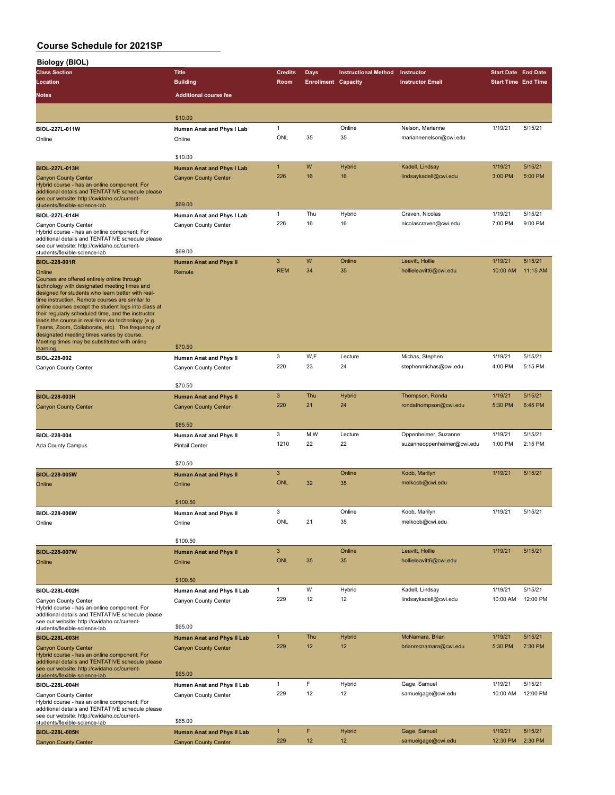| <b>Biology (BIOL)</b>                                                                                   |                                                           |                     |                            |                             |                                          |                            |                            |
|---------------------------------------------------------------------------------------------------------|-----------------------------------------------------------|---------------------|----------------------------|-----------------------------|------------------------------------------|----------------------------|----------------------------|
| <b>Class Section</b>                                                                                    | <b>Title</b>                                              | <b>Credits</b>      | <b>Days</b>                | <b>Instructional Method</b> | Instructor                               | <b>Start Date End Date</b> |                            |
| Location                                                                                                | <b>Building</b>                                           | Room                | <b>Enrollment Capacity</b> |                             | <b>Instructor Email</b>                  |                            | <b>Start Time End Time</b> |
| Notes                                                                                                   | <b>Additional course fee</b>                              |                     |                            |                             |                                          |                            |                            |
|                                                                                                         |                                                           |                     |                            |                             |                                          |                            |                            |
|                                                                                                         | \$10.00                                                   |                     |                            |                             |                                          |                            |                            |
| BIOL-227L-011W                                                                                          | Human Anat and Phys I Lab                                 | $\mathbf{1}$        |                            | Online                      | Nelson, Marianne                         | 1/19/21                    | 5/15/21                    |
| Online                                                                                                  | Online                                                    | ONL                 | 35                         | 35                          | mariannenelson@cwi.edu                   |                            |                            |
|                                                                                                         | \$10.00                                                   |                     |                            |                             |                                          |                            |                            |
| <b>BIOL-227L-013H</b>                                                                                   | <b>Human Anat and Phys I Lab</b>                          | $\mathbf{1}$        | W                          | Hybrid                      | Kadell, Lindsay                          | 1/19/21                    | 5/15/21                    |
| <b>Canyon County Center</b>                                                                             | <b>Canyon County Center</b>                               | 226                 | 16                         | 16                          | lindsaykadell@cwi.edu                    | 3:00 PM                    | 5:00 PM                    |
| Hybrid course - has an online component; For                                                            |                                                           |                     |                            |                             |                                          |                            |                            |
| additional details and TENTATIVE schedule please<br>see our website: http://cwidaho.cc/current-         |                                                           |                     |                            |                             |                                          |                            |                            |
| students/flexible-science-lab                                                                           | \$69.00                                                   |                     |                            |                             |                                          |                            |                            |
| BIOL-227L-014H                                                                                          | Human Anat and Phys I Lab                                 | $\mathbf{1}$<br>226 | Thu<br>16                  | Hybrid<br>16                | Craven, Nicolas<br>nicolascraven@cwi.edu | 1/19/21<br>7:00 PM         | 5/15/21<br>9:00 PM         |
| Canyon County Center<br>Hybrid course - has an online component; For                                    | Canyon County Center                                      |                     |                            |                             |                                          |                            |                            |
| additional details and TENTATIVE schedule please                                                        |                                                           |                     |                            |                             |                                          |                            |                            |
| see our website: http://cwidaho.cc/current-<br>students/flexible-science-lab                            | \$69.00                                                   |                     |                            |                             |                                          |                            |                            |
| <b>BIOL-228-001R</b>                                                                                    | <b>Human Anat and Phys II</b>                             | 3                   | W                          | Online                      | Leavitt. Hollie                          | 1/19/21                    | 5/15/21                    |
| Online                                                                                                  | Remote                                                    | <b>REM</b>          | 34                         | 35                          | hollieleavitt6@cwi.edu                   | 10:00 AM                   | 11:15 AM                   |
| Courses are offered entirely online through<br>technology with designated meeting times and             |                                                           |                     |                            |                             |                                          |                            |                            |
| designed for students who learn better with real-                                                       |                                                           |                     |                            |                             |                                          |                            |                            |
| time instruction. Remote courses are similar to<br>online courses except the student logs into class at |                                                           |                     |                            |                             |                                          |                            |                            |
| their regularly scheduled time, and the instructor                                                      |                                                           |                     |                            |                             |                                          |                            |                            |
| leads the course in real-time via technology (e.g.<br>Teams, Zoom, Collaborate, etc). The frequency of  |                                                           |                     |                            |                             |                                          |                            |                            |
| designated meeting times varies by course.                                                              |                                                           |                     |                            |                             |                                          |                            |                            |
| Meeting times may be substituted with online<br>learning.                                               | \$70.50                                                   |                     |                            |                             |                                          |                            |                            |
| BIOL-228-002                                                                                            | Human Anat and Phys II                                    | 3                   | W,F                        | Lecture                     | Michas, Stephen                          | 1/19/21                    | 5/15/21                    |
| Canyon County Center                                                                                    | Canyon County Center                                      | 220                 | 23                         | 24                          | stephenmichas@cwi.edu                    | 4:00 PM                    | 5:15 PM                    |
|                                                                                                         |                                                           |                     |                            |                             |                                          |                            |                            |
|                                                                                                         | \$70.50                                                   | $\mathbf{3}$        | Thu                        | Hybrid                      | Thompson, Ronda                          | 1/19/21                    | 5/15/21                    |
| BIOL-228-003H                                                                                           | <b>Human Anat and Phys II</b>                             | 220                 | 21                         | 24                          | rondathompson@cwi.edu                    | 5:30 PM                    | 6:45 PM                    |
| <b>Canyon County Center</b>                                                                             | <b>Canyon County Center</b>                               |                     |                            |                             |                                          |                            |                            |
|                                                                                                         | \$85.50                                                   |                     |                            |                             |                                          |                            |                            |
| BIOL-228-004                                                                                            | Human Anat and Phys II                                    | 3                   | M,W                        | Lecture                     | Oppenheimer, Suzanne                     | 1/19/21                    | 5/15/21                    |
| Ada County Campus                                                                                       | <b>Pintail Center</b>                                     | 1210                | 22                         | 22                          | suzanneoppenheimer@cwi.edu               | 1:00 PM                    | 2:15 PM                    |
|                                                                                                         |                                                           |                     |                            |                             |                                          |                            |                            |
|                                                                                                         | \$70.50                                                   |                     |                            |                             |                                          |                            |                            |
| BIOL-228-005W                                                                                           | <b>Human Anat and Phys II</b>                             | 3<br>ONL            | 32                         | Online<br>35                | Koob, Marilyn                            | 1/19/21                    | 5/15/21                    |
| Online                                                                                                  | Online                                                    |                     |                            |                             | melkoob@cwi.edu                          |                            |                            |
|                                                                                                         | \$100.50                                                  |                     |                            |                             |                                          |                            |                            |
| BIOL-228-006W                                                                                           | Human Anat and Phys II                                    | 3                   |                            | Online                      | Koob, Marilyn                            | 1/19/21                    | 5/15/21                    |
| Online                                                                                                  | Online                                                    | ONL                 | 21                         | 35                          | melkoob@cwi.edu                          |                            |                            |
|                                                                                                         |                                                           |                     |                            |                             |                                          |                            |                            |
|                                                                                                         | \$100.50                                                  |                     |                            |                             |                                          |                            |                            |
| BIOL-228-007W                                                                                           | <b>Human Anat and Phys II</b>                             | $\mathbf{3}$        |                            | Online                      | Leavitt, Hollie                          | 1/19/21                    | 5/15/21                    |
| Online                                                                                                  | Online                                                    | <b>ONL</b>          | 35                         | 35                          | hollieleavitt6@cwi.edu                   |                            |                            |
|                                                                                                         | \$100.50                                                  |                     |                            |                             |                                          |                            |                            |
| BIOL-228L-002H                                                                                          | Human Anat and Phys II Lab                                | $\mathbf{1}$        | W                          | Hybrid                      | Kadell, Lindsay                          | 1/19/21                    | 5/15/21                    |
| Canyon County Center                                                                                    | Canyon County Center                                      | 229                 | 12                         | 12                          | lindsaykadell@cwi.edu                    | 10:00 AM                   | 12:00 PM                   |
| Hybrid course - has an online component; For                                                            |                                                           |                     |                            |                             |                                          |                            |                            |
| additional details and TENTATIVE schedule please<br>see our website: http://cwidaho.cc/current-         |                                                           |                     |                            |                             |                                          |                            |                            |
| students/flexible-science-lab                                                                           | \$65.00                                                   |                     |                            |                             |                                          |                            |                            |
| BIOL-228L-003H                                                                                          | <b>Human Anat and Phys II Lab</b>                         | $\mathbf{1}$        | Thu                        | Hybrid                      | McNamara, Brian                          | 1/19/21                    | 5/15/21                    |
| <b>Canyon County Center</b><br>Hybrid course - has an online component; For                             | <b>Canyon County Center</b>                               | 229                 | 12                         | 12                          | brianmcnamara@cwi.edu                    | 5:30 PM                    | 7:30 PM                    |
| additional details and TENTATIVE schedule please                                                        |                                                           |                     |                            |                             |                                          |                            |                            |
| see our website: http://cwidaho.cc/current-<br>students/flexible-science-lab                            | \$65.00                                                   |                     |                            |                             |                                          |                            |                            |
| BIOL-228L-004H                                                                                          | Human Anat and Phys II Lab                                | $\mathbf{1}$        | F                          | Hybrid                      | Gage, Samuel                             | 1/19/21                    | 5/15/21                    |
| Canyon County Center                                                                                    | Canyon County Center                                      | 229                 | 12                         | 12                          | samuelgage@cwi.edu                       | 10:00 AM                   | 12:00 PM                   |
| Hybrid course - has an online component; For<br>additional details and TENTATIVE schedule please        |                                                           |                     |                            |                             |                                          |                            |                            |
| see our website: http://cwidaho.cc/current-                                                             |                                                           |                     |                            |                             |                                          |                            |                            |
| students/flexible-science-lab                                                                           | \$65.00                                                   | $\mathbf{1}$        | F                          |                             |                                          |                            |                            |
| <b>BIOL-228L-005H</b><br><b>Canyon County Center</b>                                                    | Human Anat and Phys II Lab<br><b>Canyon County Center</b> | 229                 | 12                         | <b>Hybrid</b><br>12         | Gage, Samuel<br>samuelgage@cwi.edu       | 1/19/21<br>12:30 PM        | 5/15/21<br>2:30 PM         |
|                                                                                                         |                                                           |                     |                            |                             |                                          |                            |                            |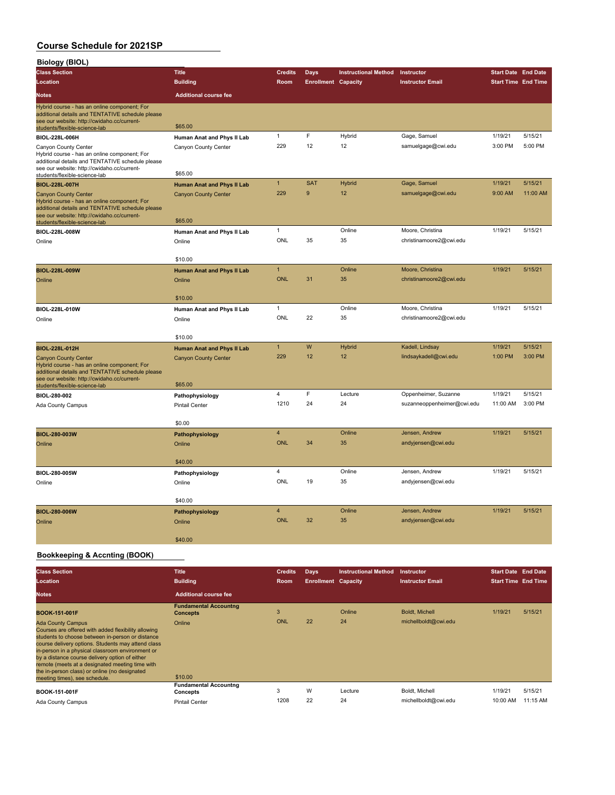| ושוטן עטוטום,                                                                                                                                   |                                   |                         |                   |                             |                            |                            |          |
|-------------------------------------------------------------------------------------------------------------------------------------------------|-----------------------------------|-------------------------|-------------------|-----------------------------|----------------------------|----------------------------|----------|
| <b>Class Section</b>                                                                                                                            | <b>Title</b>                      | <b>Credits</b>          | <b>Days</b>       | <b>Instructional Method</b> | Instructor                 | <b>Start Date End Date</b> |          |
| Location                                                                                                                                        | <b>Building</b>                   | Room                    | <b>Enrollment</b> | Capacity                    | <b>Instructor Email</b>    | <b>Start Time End Time</b> |          |
| <b>Notes</b>                                                                                                                                    | <b>Additional course fee</b>      |                         |                   |                             |                            |                            |          |
| Hybrid course - has an online component; For<br>additional details and TENTATIVE schedule please                                                |                                   |                         |                   |                             |                            |                            |          |
| see our website: http://cwidaho.cc/current-<br>students/flexible-science-lab                                                                    | \$65.00                           |                         |                   |                             |                            |                            |          |
| BIOL-228L-006H                                                                                                                                  | Human Anat and Phys II Lab        | $\mathbf{1}$            | F                 | Hybrid                      | Gage, Samuel               | 1/19/21                    | 5/15/21  |
| Canyon County Center                                                                                                                            | Canyon County Center              | 229                     | 12                | 12                          | samuelgage@cwi.edu         | 3:00 PM                    | 5:00 PM  |
| Hybrid course - has an online component; For<br>additional details and TENTATIVE schedule please                                                |                                   |                         |                   |                             |                            |                            |          |
| see our website: http://cwidaho.cc/current-<br>students/flexible-science-lab                                                                    | \$65.00                           |                         |                   |                             |                            |                            |          |
| BIOL-228L-007H                                                                                                                                  | <b>Human Anat and Phys II Lab</b> | $\mathbf{1}$            | <b>SAT</b>        | <b>Hybrid</b>               | Gage, Samuel               | 1/19/21                    | 5/15/21  |
| <b>Canyon County Center</b>                                                                                                                     | <b>Canyon County Center</b>       | 229                     | 9                 | 12                          | samuelgage@cwi.edu         | 9:00 AM                    | 11:00 AM |
| Hybrid course - has an online component; For<br>additional details and TENTATIVE schedule please<br>see our website: http://cwidaho.cc/current- |                                   |                         |                   |                             |                            |                            |          |
| students/flexible-science-lab                                                                                                                   | \$65.00                           |                         |                   |                             |                            |                            |          |
| BIOL-228L-008W                                                                                                                                  | Human Anat and Phys II Lab        | $\mathbf{1}$            |                   | Online                      | Moore, Christina           | 1/19/21                    | 5/15/21  |
| Online                                                                                                                                          | Online                            | ONL                     | 35                | 35                          | christinamoore2@cwi.edu    |                            |          |
|                                                                                                                                                 |                                   |                         |                   |                             |                            |                            |          |
|                                                                                                                                                 | \$10.00                           |                         |                   |                             |                            |                            |          |
| BIOL-228L-009W                                                                                                                                  | <b>Human Anat and Phys II Lab</b> | $\mathbf{1}$            |                   | Online                      | Moore, Christina           | 1/19/21                    | 5/15/21  |
| Online                                                                                                                                          | Online                            | <b>ONL</b>              | 31                | 35                          | christinamoore2@cwi.edu    |                            |          |
|                                                                                                                                                 |                                   |                         |                   |                             |                            |                            |          |
|                                                                                                                                                 | \$10.00                           |                         |                   |                             |                            |                            |          |
| BIOL-228L-010W                                                                                                                                  | Human Anat and Phys II Lab        | $\mathbf{1}$            |                   | Online                      | Moore, Christina           | 1/19/21                    | 5/15/21  |
| Online                                                                                                                                          | Online                            | ONL                     | 22                | 35                          | christinamoore2@cwi.edu    |                            |          |
|                                                                                                                                                 | \$10.00                           |                         |                   |                             |                            |                            |          |
| BIOL-228L-012H                                                                                                                                  | <b>Human Anat and Phys II Lab</b> | $\overline{1}$          | W                 | Hybrid                      | Kadell, Lindsay            | 1/19/21                    | 5/15/21  |
| <b>Canyon County Center</b>                                                                                                                     | <b>Canyon County Center</b>       | 229                     | 12                | 12                          | lindsaykadell@cwi.edu      | 1:00 PM                    | 3:00 PM  |
| Hybrid course - has an online component; For<br>additional details and TENTATIVE schedule please                                                |                                   |                         |                   |                             |                            |                            |          |
| see our website: http://cwidaho.cc/current-<br>students/flexible-science-lab                                                                    | \$65.00                           |                         |                   |                             |                            |                            |          |
| BIOL-280-002                                                                                                                                    | Pathophysiology                   | 4                       | F                 | Lecture                     | Oppenheimer, Suzanne       | 1/19/21                    | 5/15/21  |
| Ada County Campus                                                                                                                               | <b>Pintail Center</b>             | 1210                    | 24                | 24                          | suzanneoppenheimer@cwi.edu | 11:00 AM                   | 3:00 PM  |
|                                                                                                                                                 |                                   |                         |                   |                             |                            |                            |          |
|                                                                                                                                                 | \$0.00                            |                         |                   |                             |                            |                            |          |
| BIOL-280-003W                                                                                                                                   | Pathophysiology                   | $\overline{4}$          |                   | Online                      | Jensen, Andrew             | 1/19/21                    | 5/15/21  |
| Online                                                                                                                                          | Online                            | <b>ONL</b>              | 34                | 35                          | andyjensen@cwi.edu         |                            |          |
|                                                                                                                                                 |                                   |                         |                   |                             |                            |                            |          |
|                                                                                                                                                 | \$40.00                           |                         |                   |                             |                            |                            |          |
| BIOL-280-005W                                                                                                                                   | Pathophysiology                   | $\overline{\mathbf{4}}$ |                   | Online                      | Jensen, Andrew             | 1/19/21                    | 5/15/21  |
| Online                                                                                                                                          | Online                            | ONL                     | 19                | 35                          | andyjensen@cwi.edu         |                            |          |
|                                                                                                                                                 | \$40.00                           |                         |                   |                             |                            |                            |          |
|                                                                                                                                                 |                                   | $\overline{4}$          |                   | Online                      | Jensen, Andrew             | 1/19/21                    | 5/15/21  |
| BIOL-280-006W                                                                                                                                   | Pathophysiology                   | <b>ONL</b>              | 32                | 35                          | andyjensen@cwi.edu         |                            |          |
| Online                                                                                                                                          | Online                            |                         |                   |                             |                            |                            |          |
|                                                                                                                                                 | \$40.00                           |                         |                   |                             |                            |                            |          |
|                                                                                                                                                 |                                   |                         |                   |                             |                            |                            |          |

#### **Bookkeeping & Accnting (BOOK)**

| <b>Class Section</b>                                                                                                                                                                                                                                                                                                                                                                                                                 | <b>Title</b>                                    | <b>Credits</b> | Days                       | <b>Instructional Method</b> | Instructor              | <b>Start Date End Date</b> |          |
|--------------------------------------------------------------------------------------------------------------------------------------------------------------------------------------------------------------------------------------------------------------------------------------------------------------------------------------------------------------------------------------------------------------------------------------|-------------------------------------------------|----------------|----------------------------|-----------------------------|-------------------------|----------------------------|----------|
| <b>Location</b>                                                                                                                                                                                                                                                                                                                                                                                                                      | <b>Building</b>                                 | Room           | <b>Enrollment Capacity</b> |                             | <b>Instructor Email</b> | <b>Start Time End Time</b> |          |
| <b>Notes</b>                                                                                                                                                                                                                                                                                                                                                                                                                         | <b>Additional course fee</b>                    |                |                            |                             |                         |                            |          |
| <b>BOOK-151-001F</b>                                                                                                                                                                                                                                                                                                                                                                                                                 | <b>Fundamental Accountng</b><br><b>Concepts</b> | 3              |                            | Online                      | Boldt, Michell          | 1/19/21                    | 5/15/21  |
| <b>Ada County Campus</b><br>Courses are offered with added flexibility allowing<br>students to choose between in-person or distance<br>course delivery options. Students may attend class<br>in-person in a physical classroom environment or<br>by a distance course delivery option of either<br>remote (meets at a designated meeting time with<br>the in-person class) or online (no designated<br>meeting times), see schedule. | Online<br>\$10.00                               | ONL            | 22                         | 24                          | michellboldt@cwi.edu    |                            |          |
| BOOK-151-001F                                                                                                                                                                                                                                                                                                                                                                                                                        | <b>Fundamental Accountng</b><br>Concepts        | 3              | W                          | Lecture                     | Boldt, Michell          | 1/19/21                    | 5/15/21  |
| Ada County Campus                                                                                                                                                                                                                                                                                                                                                                                                                    | <b>Pintail Center</b>                           | 1208           | 22                         | 24                          | michellboldt@cwi.edu    | 10:00 AM                   | 11:15 AM |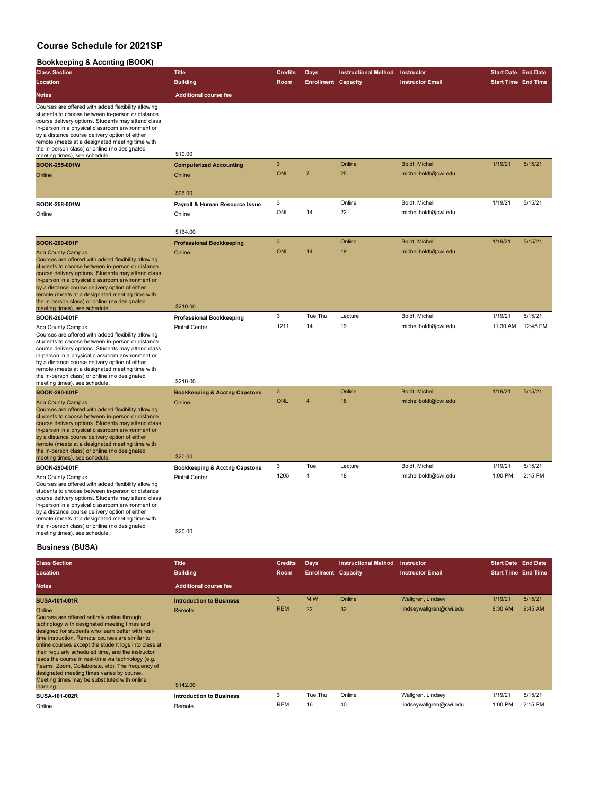#### **Bookkeeping & Accnting (BOOK)**

| <b>Class Section</b>                                                                                                                                                                                                                                                                                                                                                                                                                 | <b>Title</b>                             | <b>Credits</b> | Days                       | <b>Instructional Method</b>            | Instructor              | <b>Start Date End Date</b> |          |
|--------------------------------------------------------------------------------------------------------------------------------------------------------------------------------------------------------------------------------------------------------------------------------------------------------------------------------------------------------------------------------------------------------------------------------------|------------------------------------------|----------------|----------------------------|----------------------------------------|-------------------------|----------------------------|----------|
| <b>Location</b>                                                                                                                                                                                                                                                                                                                                                                                                                      | <b>Building</b>                          | Room           | <b>Enrollment Capacity</b> |                                        | <b>Instructor Email</b> | <b>Start Time End Time</b> |          |
| Notes                                                                                                                                                                                                                                                                                                                                                                                                                                | <b>Additional course fee</b>             |                |                            |                                        |                         |                            |          |
| Courses are offered with added flexibility allowing<br>students to choose between in-person or distance<br>course delivery options. Students may attend class<br>in-person in a physical classroom environment or<br>by a distance course delivery option of either<br>remote (meets at a designated meeting time with<br>the in-person class) or online (no designated<br>meeting times), see schedule.                             | \$10.00                                  |                |                            |                                        |                         |                            |          |
| BOOK-255-001W                                                                                                                                                                                                                                                                                                                                                                                                                        | <b>Computerized Accounting</b>           | 3              |                            | Online                                 | Boldt, Michell          | 1/19/21                    | 5/15/21  |
| Online                                                                                                                                                                                                                                                                                                                                                                                                                               | Online                                   | <b>ONL</b>     | $\overline{7}$             | 25                                     | michellboldt@cwi.edu    |                            |          |
|                                                                                                                                                                                                                                                                                                                                                                                                                                      | \$96.00                                  |                |                            |                                        |                         |                            |          |
| BOOK-258-001W                                                                                                                                                                                                                                                                                                                                                                                                                        | Payroll & Human Resource Issue           | 3              |                            | Online                                 | Boldt, Michell          | 1/19/21                    | 5/15/21  |
| Online                                                                                                                                                                                                                                                                                                                                                                                                                               | Online                                   | ONL            | 14                         | 22                                     | michellboldt@cwi.edu    |                            |          |
|                                                                                                                                                                                                                                                                                                                                                                                                                                      | \$164.00                                 |                |                            |                                        |                         |                            |          |
| BOOK-260-001F                                                                                                                                                                                                                                                                                                                                                                                                                        | <b>Professional Bookkeeping</b>          | 3              |                            | Online                                 | Boldt, Michell          | 1/19/21                    | 5/15/21  |
| <b>Ada County Campus</b>                                                                                                                                                                                                                                                                                                                                                                                                             | Online                                   | <b>ONL</b>     | 14                         | 19                                     | michellboldt@cwi.edu    |                            |          |
| Courses are offered with added flexibility allowing<br>students to choose between in-person or distance<br>course delivery options. Students may attend class<br>in-person in a physical classroom environment or<br>by a distance course delivery option of either<br>remote (meets at a designated meeting time with<br>the in-person class) or online (no designated<br>meeting times), see schedule.                             | \$210.00                                 |                |                            |                                        |                         |                            |          |
| BOOK-260-001F                                                                                                                                                                                                                                                                                                                                                                                                                        | <b>Professional Bookkeeping</b>          | 3              | Tue, Thu                   | Lecture                                | Boldt, Michell          | 1/19/21                    | 5/15/21  |
| Ada County Campus<br>Courses are offered with added flexibility allowing<br>students to choose between in-person or distance<br>course delivery options. Students may attend class<br>in-person in a physical classroom environment or<br>by a distance course delivery option of either<br>remote (meets at a designated meeting time with<br>the in-person class) or online (no designated                                         | <b>Pintail Center</b>                    | 1211           | 14                         | 19                                     | michellboldt@cwi.edu    | 11:30 AM                   | 12:45 PM |
| meeting times), see schedule.                                                                                                                                                                                                                                                                                                                                                                                                        | \$210.00                                 |                |                            |                                        |                         |                            |          |
| BOOK-290-001F                                                                                                                                                                                                                                                                                                                                                                                                                        | <b>Bookkeeping &amp; Acctng Capstone</b> | 3              |                            | Online                                 | Boldt, Michell          | 1/19/21                    | 5/15/21  |
| <b>Ada County Campus</b><br>Courses are offered with added flexibility allowing<br>students to choose between in-person or distance<br>course delivery options. Students may attend class<br>in-person in a physical classroom environment or<br>by a distance course delivery option of either<br>remote (meets at a designated meeting time with<br>the in-person class) or online (no designated<br>meeting times), see schedule. | Online<br>\$20.00                        | <b>ONL</b>     | 4                          | 18                                     | michellboldt@cwi.edu    |                            |          |
| BOOK-290-001F                                                                                                                                                                                                                                                                                                                                                                                                                        | <b>Bookkeeping &amp; Acctng Capstone</b> | 3              | Tue                        | Lecture                                | Boldt, Michell          | 1/19/21                    | 5/15/21  |
| Ada County Campus<br>Courses are offered with added flexibility allowing<br>students to choose between in-person or distance<br>course delivery options. Students may attend class<br>in-person in a physical classroom environment or<br>by a distance course delivery option of either<br>remote (meets at a designated meeting time with<br>the in-person class) or online (no designated<br>meeting times), see schedule.        | <b>Pintail Center</b><br>\$20.00         | 1205           | $\overline{4}$             | 18                                     | michellboldt@cwi.edu    | 1:00 PM                    | 2:15 PM  |
| <b>Business (BUSA)</b>                                                                                                                                                                                                                                                                                                                                                                                                               |                                          |                |                            |                                        |                         |                            |          |
| <b>Class Section</b>                                                                                                                                                                                                                                                                                                                                                                                                                 | <b>Title</b>                             | <b>Credits</b> | Days                       | <b>Instructional Method Instructor</b> |                         | <b>Start Date End Date</b> |          |

| Location                                                                                                                                                                                                                                                                                                                                                                                                                                                                                                                                                    | <b>Building</b>                                       | Room            | <b>Enrollment Capacity</b> |              | <b>Instructor Email</b>                      | <b>Start Time End Time</b> |                    |
|-------------------------------------------------------------------------------------------------------------------------------------------------------------------------------------------------------------------------------------------------------------------------------------------------------------------------------------------------------------------------------------------------------------------------------------------------------------------------------------------------------------------------------------------------------------|-------------------------------------------------------|-----------------|----------------------------|--------------|----------------------------------------------|----------------------------|--------------------|
| <b>Notes</b>                                                                                                                                                                                                                                                                                                                                                                                                                                                                                                                                                | <b>Additional course fee</b>                          |                 |                            |              |                                              |                            |                    |
| <b>BUSA-101-001R</b><br>Online<br>Courses are offered entirely online through<br>technology with designated meeting times and<br>designed for students who learn better with real-<br>time instruction. Remote courses are similar to<br>online courses except the student logs into class at<br>their regularly scheduled time, and the instructor<br>leads the course in real-time via technology (e.g.<br>Teams, Zoom, Collaborate, etc). The frequency of<br>designated meeting times varies by course.<br>Meeting times may be substituted with online | <b>Introduction to Business</b><br>Remote             | 3<br><b>REM</b> | M,W<br>22                  | Online<br>32 | Wallgren, Lindsey<br>lindseywallgren@cwi.edu | 1/19/21<br>8:30 AM         | 5/15/21<br>9:45 AM |
| learning.<br><b>BUSA-101-002R</b><br>Online                                                                                                                                                                                                                                                                                                                                                                                                                                                                                                                 | \$142.00<br><b>Introduction to Business</b><br>Remote | 3<br><b>REM</b> | Tue, Thu<br>16             | Online<br>40 | Wallgren, Lindsey<br>lindseywallgren@cwi.edu | 1/19/21<br>1:00 PM         | 5/15/21<br>2:15 PM |
|                                                                                                                                                                                                                                                                                                                                                                                                                                                                                                                                                             |                                                       |                 |                            |              |                                              |                            |                    |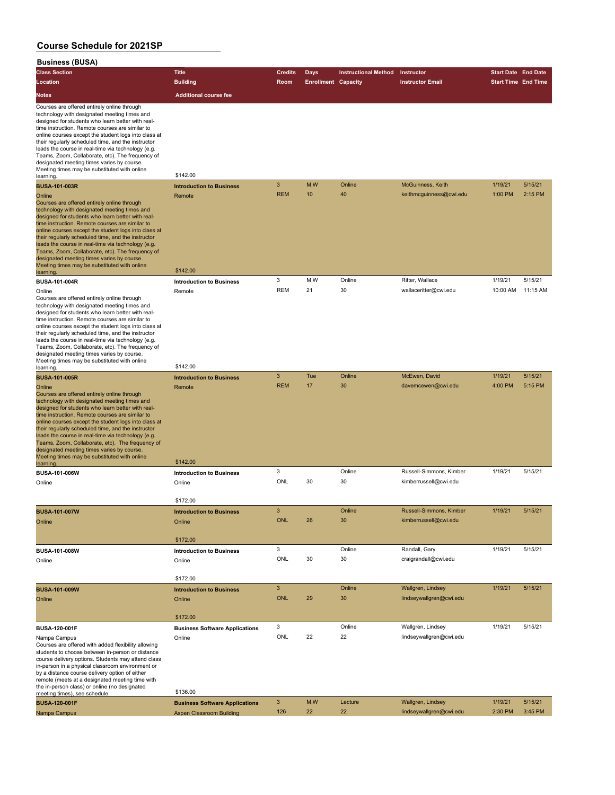| <b>Business (BUSA)</b>                                                                                                                                                                                                                                                                                                                                                                                                                                                                                                                           |                                                   |                |                            |                             |                         |                            |          |
|--------------------------------------------------------------------------------------------------------------------------------------------------------------------------------------------------------------------------------------------------------------------------------------------------------------------------------------------------------------------------------------------------------------------------------------------------------------------------------------------------------------------------------------------------|---------------------------------------------------|----------------|----------------------------|-----------------------------|-------------------------|----------------------------|----------|
| <b>Class Section</b>                                                                                                                                                                                                                                                                                                                                                                                                                                                                                                                             | <b>Title</b>                                      | <b>Credits</b> | Days                       | <b>Instructional Method</b> | Instructor              | <b>Start Date End Date</b> |          |
| Location                                                                                                                                                                                                                                                                                                                                                                                                                                                                                                                                         | <b>Building</b>                                   | Room           | <b>Enrollment Capacity</b> |                             | <b>Instructor Email</b> | <b>Start Time End Time</b> |          |
| Notes                                                                                                                                                                                                                                                                                                                                                                                                                                                                                                                                            | <b>Additional course fee</b>                      |                |                            |                             |                         |                            |          |
| Courses are offered entirely online through<br>technology with designated meeting times and<br>designed for students who learn better with real-<br>time instruction. Remote courses are similar to<br>online courses except the student logs into class at<br>their regularly scheduled time, and the instructor<br>leads the course in real-time via technology (e.g.<br>Teams, Zoom, Collaborate, etc). The frequency of<br>designated meeting times varies by course.<br>Meeting times may be substituted with online                        |                                                   |                |                            |                             |                         |                            |          |
| learning.                                                                                                                                                                                                                                                                                                                                                                                                                                                                                                                                        | \$142.00                                          |                |                            |                             |                         |                            |          |
| <b>BUSA-101-003R</b>                                                                                                                                                                                                                                                                                                                                                                                                                                                                                                                             | <b>Introduction to Business</b>                   | 3              | M, W                       | Online                      | McGuinness, Keith       | 1/19/21                    | 5/15/21  |
| Online<br>Courses are offered entirely online through<br>technology with designated meeting times and<br>designed for students who learn better with real-<br>time instruction. Remote courses are similar to<br>online courses except the student logs into class at<br>their regularly scheduled time, and the instructor<br>leads the course in real-time via technology (e.g.<br>Teams, Zoom, Collaborate, etc). The frequency of<br>designated meeting times varies by course.<br>Meeting times may be substituted with online<br>learning. | Remote<br>\$142.00                                | <b>REM</b>     | 10 <sup>10</sup>           | 40                          | keithmcguinness@cwi.edu | 1:00 PM                    | 2:15 PM  |
| BUSA-101-004R                                                                                                                                                                                                                                                                                                                                                                                                                                                                                                                                    | <b>Introduction to Business</b>                   | 3              | M, W                       | Online                      | Ritter, Wallace         | 1/19/21                    | 5/15/21  |
| Online<br>Courses are offered entirely online through<br>technology with designated meeting times and<br>designed for students who learn better with real-<br>time instruction. Remote courses are similar to<br>online courses except the student logs into class at<br>their regularly scheduled time, and the instructor<br>leads the course in real-time via technology (e.g.<br>Teams, Zoom, Collaborate, etc). The frequency of<br>designated meeting times varies by course.                                                              | Remote                                            | <b>REM</b>     | 21                         | 30                          | wallaceritter@cwi.edu   | 10:00 AM                   | 11:15 AM |
| Meeting times may be substituted with online<br>learning.                                                                                                                                                                                                                                                                                                                                                                                                                                                                                        | \$142.00                                          |                |                            |                             |                         |                            |          |
| <b>BUSA-101-005R</b>                                                                                                                                                                                                                                                                                                                                                                                                                                                                                                                             | <b>Introduction to Business</b>                   | 3              | Tue                        | Online                      | McEwen, David           | 1/19/21                    | 5/15/21  |
| Online<br>Courses are offered entirely online through<br>technology with designated meeting times and<br>designed for students who learn better with real-<br>time instruction. Remote courses are similar to<br>online courses except the student logs into class at<br>their regularly scheduled time, and the instructor<br>leads the course in real-time via technology (e.g.<br>Teams, Zoom, Collaborate, etc). The frequency of<br>designated meeting times varies by course.<br>Meeting times may be substituted with online              | Remote<br>\$142.00                                | <b>REM</b>     | 17                         | 30                          | davemcewen@cwi.edu      | 4:00 PM                    | 5:15 PM  |
| learning.<br>BUSA-101-006W                                                                                                                                                                                                                                                                                                                                                                                                                                                                                                                       | <b>Introduction to Business</b>                   | 3              |                            | Online                      | Russell-Simmons, Kimber | 1/19/21                    | 5/15/21  |
| Online                                                                                                                                                                                                                                                                                                                                                                                                                                                                                                                                           | Online                                            | ONL            | 30                         | 30                          | kimberrussell@cwi.edu   |                            |          |
|                                                                                                                                                                                                                                                                                                                                                                                                                                                                                                                                                  | \$172.00                                          |                |                            |                             |                         |                            |          |
| <b>BUSA-101-007W</b>                                                                                                                                                                                                                                                                                                                                                                                                                                                                                                                             | Introduction to Business                          | $\mathbf{R}$   |                            | Online                      | Russell-Simmons, Kimber | 1/19/21                    | 5/15/21  |
| Online                                                                                                                                                                                                                                                                                                                                                                                                                                                                                                                                           | Online                                            | <b>ONL</b>     | 26                         | 30                          | kimberrussell@cwi.edu   |                            |          |
|                                                                                                                                                                                                                                                                                                                                                                                                                                                                                                                                                  |                                                   |                |                            |                             |                         |                            |          |
|                                                                                                                                                                                                                                                                                                                                                                                                                                                                                                                                                  | \$172.00                                          |                |                            |                             |                         |                            |          |
| BUSA-101-008W                                                                                                                                                                                                                                                                                                                                                                                                                                                                                                                                    | <b>Introduction to Business</b>                   | 3              |                            | Online                      | Randall, Gary           | 1/19/21                    | 5/15/21  |
| Online                                                                                                                                                                                                                                                                                                                                                                                                                                                                                                                                           | Online                                            | ONL            | 30                         | 30                          | craigrandall@cwi.edu    |                            |          |
|                                                                                                                                                                                                                                                                                                                                                                                                                                                                                                                                                  | \$172.00                                          | 3              |                            | Online                      | Wallgren, Lindsey       | 1/19/21                    | 5/15/21  |
| <b>BUSA-101-009W</b>                                                                                                                                                                                                                                                                                                                                                                                                                                                                                                                             | <b>Introduction to Business</b>                   | <b>ONL</b>     | 29                         | 30                          | lindseywallgren@cwi.edu |                            |          |
| Online                                                                                                                                                                                                                                                                                                                                                                                                                                                                                                                                           | Online                                            |                |                            |                             |                         |                            |          |
|                                                                                                                                                                                                                                                                                                                                                                                                                                                                                                                                                  | \$172.00<br><b>Business Software Applications</b> | 3              |                            | Online                      | Wallgren, Lindsey       | 1/19/21                    | 5/15/21  |
| BUSA-120-001F                                                                                                                                                                                                                                                                                                                                                                                                                                                                                                                                    |                                                   | ONL            | 22                         | 22                          | lindseywallgren@cwi.edu |                            |          |
| Nampa Campus<br>Courses are offered with added flexibility allowing<br>students to choose between in-person or distance<br>course delivery options. Students may attend class<br>in-person in a physical classroom environment or<br>by a distance course delivery option of either<br>remote (meets at a designated meeting time with<br>the in-person class) or online (no designated<br>meeting times), see schedule.                                                                                                                         | Online<br>\$136.00                                |                |                            |                             |                         |                            |          |
| <b>BUSA-120-001F</b>                                                                                                                                                                                                                                                                                                                                                                                                                                                                                                                             | <b>Business Software Applications</b>             | 3              | M,W                        | Lecture                     | Wallgren, Lindsey       | 1/19/21                    | 5/15/21  |
| Nampa Campus                                                                                                                                                                                                                                                                                                                                                                                                                                                                                                                                     | <b>Aspen Classroom Building</b>                   | 126            | 22                         | 22                          | lindseywallgren@cwi.edu | 2:30 PM                    | 3:45 PM  |
|                                                                                                                                                                                                                                                                                                                                                                                                                                                                                                                                                  |                                                   |                |                            |                             |                         |                            |          |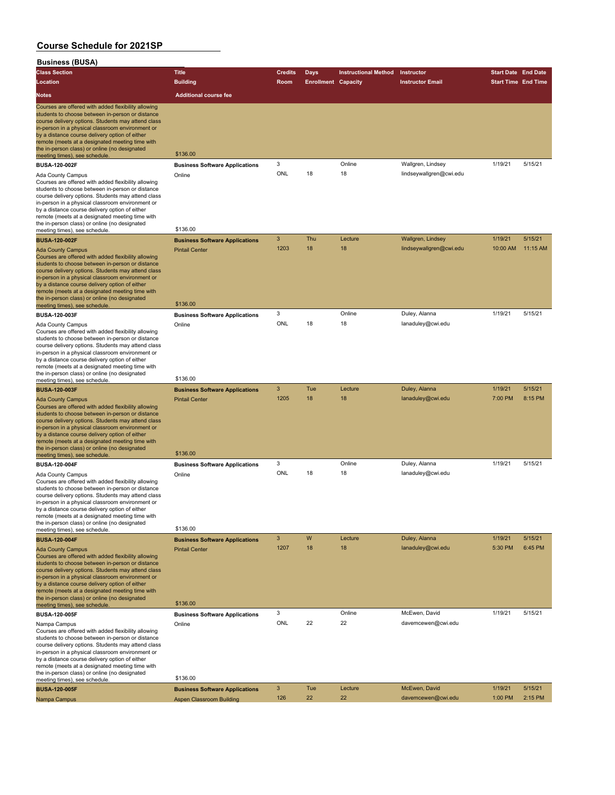| - - - - - - - -<br>---<br><b>Class Section</b>                                                                                                                                                                                                                                                                                                                                                                                                               | <b>Title</b>                                                               | <b>Credits</b> | Days                       | <b>Instructional Method</b> | Instructor                         | <b>Start Date End Date</b> |                    |
|--------------------------------------------------------------------------------------------------------------------------------------------------------------------------------------------------------------------------------------------------------------------------------------------------------------------------------------------------------------------------------------------------------------------------------------------------------------|----------------------------------------------------------------------------|----------------|----------------------------|-----------------------------|------------------------------------|----------------------------|--------------------|
| Location                                                                                                                                                                                                                                                                                                                                                                                                                                                     | <b>Building</b>                                                            | Room           | <b>Enrollment Capacity</b> |                             | <b>Instructor Email</b>            | <b>Start Time End Time</b> |                    |
|                                                                                                                                                                                                                                                                                                                                                                                                                                                              |                                                                            |                |                            |                             |                                    |                            |                    |
| <b>Notes</b>                                                                                                                                                                                                                                                                                                                                                                                                                                                 | <b>Additional course fee</b>                                               |                |                            |                             |                                    |                            |                    |
| Courses are offered with added flexibility allowing<br>students to choose between in-person or distance<br>course delivery options. Students may attend class<br>in-person in a physical classroom environment or<br>by a distance course delivery option of either<br>remote (meets at a designated meeting time with<br>the in-person class) or online (no designated                                                                                      | \$136.00                                                                   |                |                            |                             |                                    |                            |                    |
| meeting times), see schedule                                                                                                                                                                                                                                                                                                                                                                                                                                 |                                                                            | 3              |                            | Online                      | Wallgren, Lindsey                  | 1/19/21                    | 5/15/21            |
| <b>BUSA-120-002F</b><br>Ada County Campus<br>Courses are offered with added flexibility allowing<br>students to choose between in-person or distance<br>course delivery options. Students may attend class<br>in-person in a physical classroom environment or<br>by a distance course delivery option of either<br>remote (meets at a designated meeting time with<br>the in-person class) or online (no designated<br>meeting times), see schedule.        | <b>Business Software Applications</b><br>Online<br>\$136.00                | ONL            | 18                         | 18                          | lindseywallgren@cwi.edu            |                            |                    |
| <b>BUSA-120-002F</b>                                                                                                                                                                                                                                                                                                                                                                                                                                         | <b>Business Software Applications</b>                                      | $\mathbf{3}$   | Thu                        | Lecture                     | Wallgren, Lindsey                  | 1/19/21                    | 5/15/21            |
| Ada County Campus<br>Courses are offered with added flexibility allowing<br>students to choose between in-person or distance<br>course delivery options. Students may attend class<br>in-person in a physical classroom environment or<br>by a distance course delivery option of either<br>remote (meets at a designated meeting time with<br>the in-person class) or online (no designated                                                                 | <b>Pintail Center</b>                                                      | 1203           | 18                         | 18                          | lindseywallgren@cwi.edu            | 10:00 AM                   | 11:15 AM           |
| meeting times), see schedule.                                                                                                                                                                                                                                                                                                                                                                                                                                | \$136.00                                                                   |                |                            |                             |                                    |                            |                    |
| <b>BUSA-120-003F</b><br>Ada County Campus<br>Courses are offered with added flexibility allowing<br>students to choose between in-person or distance<br>course delivery options. Students may attend class<br>in-person in a physical classroom environment or<br>by a distance course delivery option of either<br>remote (meets at a designated meeting time with<br>the in-person class) or online (no designated                                         | <b>Business Software Applications</b><br>Online                            | 3<br>ONL       | 18                         | Online<br>18                | Duley, Alanna<br>lanaduley@cwi.edu | 1/19/21                    | 5/15/21            |
| meeting times), see schedule                                                                                                                                                                                                                                                                                                                                                                                                                                 | \$136.00                                                                   |                |                            |                             |                                    |                            |                    |
| <b>BUSA-120-003F</b><br><b>Ada County Campus</b><br>Courses are offered with added flexibility allowing<br>students to choose between in-person or distance<br>course delivery options. Students may attend class<br>in-person in a physical classroom environment or<br>by a distance course delivery option of either<br>remote (meets at a designated meeting time with<br>the in-person class) or online (no designated                                  | <b>Business Software Applications</b><br><b>Pintail Center</b><br>\$136.00 | 3<br>1205      | Tue<br>18                  | Lecture<br>18               | Duley, Alanna<br>lanaduley@cwi.edu | 1/19/21<br>7:00 PM         | 5/15/21<br>8:15 PM |
| meeting times), see schedule.<br>BUSA-120-004F                                                                                                                                                                                                                                                                                                                                                                                                               | <b>Business Software Applications</b>                                      | 3              |                            | Online                      | Duley, Alanna                      | 1/19/21                    | 5/15/21            |
| Ada County Campus<br>Courses are offered with added flexibility allowing<br>students to choose between in-person or distance<br>course delivery options. Students may attend class<br>in-person in a physical classroom environment or<br>by a distance course delivery option of either<br>remote (meets at a designated meeting time with<br>the in-person class) or online (no designated                                                                 | Online<br>\$136.00                                                         | ONL            | 18                         | 18                          | lanaduley@cwi.edu                  |                            |                    |
| meeting times), see schedule.                                                                                                                                                                                                                                                                                                                                                                                                                                |                                                                            | 3              | W                          | Lecture                     | Duley, Alanna                      | 1/19/21                    | 5/15/21            |
| <b>BUSA-120-004F</b><br><b>Ada County Campus</b><br>Courses are offered with added flexibility allowing<br>students to choose between in-person or distance<br>course delivery options. Students may attend class<br>in-person in a physical classroom environment or<br>by a distance course delivery option of either<br>remote (meets at a designated meeting time with<br>the in-person class) or online (no designated<br>meeting times), see schedule. | <b>Business Software Applications</b><br><b>Pintail Center</b><br>\$136.00 | 1207           | 18                         | 18                          | lanaduley@cwi.edu                  | 5:30 PM                    | 6:45 PM            |
| <b>BUSA-120-005F</b>                                                                                                                                                                                                                                                                                                                                                                                                                                         | <b>Business Software Applications</b>                                      | 3              |                            | Online                      | McEwen, David                      | 1/19/21                    | 5/15/21            |
| Nampa Campus<br>Courses are offered with added flexibility allowing<br>students to choose between in-person or distance<br>course delivery options. Students may attend class<br>in-person in a physical classroom environment or<br>by a distance course delivery option of either<br>remote (meets at a designated meeting time with<br>the in-person class) or online (no designated<br>meeting times), see schedule.                                     | Online<br>\$136.00                                                         | ONL            | 22                         | 22                          | davemcewen@cwi.edu                 |                            |                    |
| <b>BUSA-120-005F</b>                                                                                                                                                                                                                                                                                                                                                                                                                                         | <b>Business Software Applications</b>                                      | $\mathbf{3}$   | Tue                        | Lecture                     | McEwen, David                      | 1/19/21                    | 5/15/21            |
| Nampa Campus                                                                                                                                                                                                                                                                                                                                                                                                                                                 | <b>Aspen Classroom Building</b>                                            | 126            | 22                         | 22                          | davemcewen@cwi.edu                 | 1:00 PM                    | 2:15 PM            |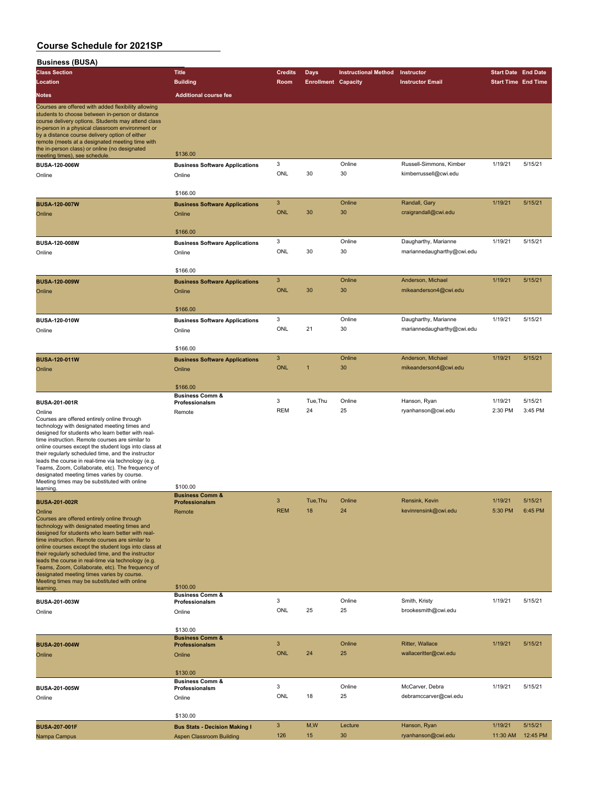| <b>BUSINESS (BUSA)</b>                                                                                                                                                                                                                                                                                                                                                                                                                                                                                                    |                                                 |                 |                            |                             |                                            |                            |          |
|---------------------------------------------------------------------------------------------------------------------------------------------------------------------------------------------------------------------------------------------------------------------------------------------------------------------------------------------------------------------------------------------------------------------------------------------------------------------------------------------------------------------------|-------------------------------------------------|-----------------|----------------------------|-----------------------------|--------------------------------------------|----------------------------|----------|
| <b>Class Section</b>                                                                                                                                                                                                                                                                                                                                                                                                                                                                                                      | <b>Title</b>                                    | <b>Credits</b>  | Days                       | <b>Instructional Method</b> | Instructor                                 | <b>Start Date</b> End Date |          |
| Location                                                                                                                                                                                                                                                                                                                                                                                                                                                                                                                  | <b>Building</b>                                 | Room            | <b>Enrollment Capacity</b> |                             | <b>Instructor Email</b>                    | <b>Start Time End Time</b> |          |
| <b>Notes</b>                                                                                                                                                                                                                                                                                                                                                                                                                                                                                                              | <b>Additional course fee</b>                    |                 |                            |                             |                                            |                            |          |
|                                                                                                                                                                                                                                                                                                                                                                                                                                                                                                                           |                                                 |                 |                            |                             |                                            |                            |          |
| Courses are offered with added flexibility allowing<br>students to choose between in-person or distance<br>course delivery options. Students may attend class<br>in-person in a physical classroom environment or<br>by a distance course delivery option of either<br>remote (meets at a designated meeting time with<br>the in-person class) or online (no designated                                                                                                                                                   | \$136.00                                        |                 |                            |                             |                                            |                            |          |
| meeting times), see schedule.                                                                                                                                                                                                                                                                                                                                                                                                                                                                                             |                                                 | 3               |                            | Online                      | Russell-Simmons, Kimber                    | 1/19/21                    | 5/15/21  |
| BUSA-120-006W<br>Online                                                                                                                                                                                                                                                                                                                                                                                                                                                                                                   | <b>Business Software Applications</b><br>Online | ONL             | 30                         | 30                          | kimberrussell@cwi.edu                      |                            |          |
|                                                                                                                                                                                                                                                                                                                                                                                                                                                                                                                           | \$166.00                                        |                 |                            |                             |                                            |                            |          |
| <b>BUSA-120-007W</b>                                                                                                                                                                                                                                                                                                                                                                                                                                                                                                      | <b>Business Software Applications</b>           | 3               |                            | Online                      | Randall, Gary                              | 1/19/21                    | 5/15/21  |
| Online                                                                                                                                                                                                                                                                                                                                                                                                                                                                                                                    | Online<br>\$166.00                              | <b>ONL</b>      | 30                         | 30                          | craigrandall@cwi.edu                       |                            |          |
|                                                                                                                                                                                                                                                                                                                                                                                                                                                                                                                           |                                                 | 3               |                            | Online                      | Daugharthy, Marianne                       | 1/19/21                    | 5/15/21  |
| BUSA-120-008W<br>Online                                                                                                                                                                                                                                                                                                                                                                                                                                                                                                   | <b>Business Software Applications</b><br>Online | ONL             | 30                         | 30                          | mariannedaugharthy@cwi.edu                 |                            |          |
|                                                                                                                                                                                                                                                                                                                                                                                                                                                                                                                           | \$166.00                                        |                 |                            |                             |                                            |                            |          |
| <b>BUSA-120-009W</b>                                                                                                                                                                                                                                                                                                                                                                                                                                                                                                      |                                                 | 3               |                            | Online                      | Anderson, Michael                          | 1/19/21                    | 5/15/21  |
|                                                                                                                                                                                                                                                                                                                                                                                                                                                                                                                           | <b>Business Software Applications</b><br>Online | <b>ONL</b>      | 30                         | 30                          | mikeanderson4@cwi.edu                      |                            |          |
| Online                                                                                                                                                                                                                                                                                                                                                                                                                                                                                                                    |                                                 |                 |                            |                             |                                            |                            |          |
|                                                                                                                                                                                                                                                                                                                                                                                                                                                                                                                           | \$166.00                                        |                 |                            |                             |                                            |                            |          |
| BUSA-120-010W                                                                                                                                                                                                                                                                                                                                                                                                                                                                                                             | <b>Business Software Applications</b>           | 3               |                            | Online                      | Daugharthy, Marianne                       | 1/19/21                    | 5/15/21  |
| Online                                                                                                                                                                                                                                                                                                                                                                                                                                                                                                                    | Online                                          | ONL             | 21                         | 30                          | mariannedaugharthy@cwi.edu                 |                            |          |
|                                                                                                                                                                                                                                                                                                                                                                                                                                                                                                                           | \$166.00                                        | $\mathbf{3}$    |                            |                             |                                            |                            |          |
| <b>BUSA-120-011W</b><br>Online                                                                                                                                                                                                                                                                                                                                                                                                                                                                                            | <b>Business Software Applications</b><br>Online | <b>ONL</b>      | 1                          | Online<br>30                | Anderson, Michael<br>mikeanderson4@cwi.edu | 1/19/21                    | 5/15/21  |
|                                                                                                                                                                                                                                                                                                                                                                                                                                                                                                                           | \$166.00                                        |                 |                            |                             |                                            |                            |          |
| BUSA-201-001R                                                                                                                                                                                                                                                                                                                                                                                                                                                                                                             | <b>Business Comm &amp;</b><br>Professionalsm    | 3               | Tue, Thu                   | Online                      | Hanson, Ryan                               | 1/19/21                    | 5/15/21  |
| Online                                                                                                                                                                                                                                                                                                                                                                                                                                                                                                                    | Remote                                          | <b>REM</b>      | 24                         | 25                          | ryanhanson@cwi.edu                         | 2:30 PM                    | 3:45 PM  |
| Courses are offered entirely online through<br>technology with designated meeting times and<br>designed for students who learn better with real-<br>time instruction. Remote courses are similar to<br>online courses except the student logs into class at<br>their regularly scheduled time, and the instructor<br>leads the course in real-time via technology (e.g.<br>Teams, Zoom, Collaborate, etc). The frequency of<br>designated meeting times varies by course.<br>Meeting times may be substituted with online |                                                 |                 |                            |                             |                                            |                            |          |
| learning.                                                                                                                                                                                                                                                                                                                                                                                                                                                                                                                 | \$100.00                                        |                 |                            |                             |                                            |                            |          |
| <b>BUSA-201-002R</b>                                                                                                                                                                                                                                                                                                                                                                                                                                                                                                      | <b>Business Comm &amp;</b><br>Professionalsm    | 3               | Tue, Thu                   | Online                      | Rensink, Kevin                             | 1/19/21                    | 5/15/21  |
| Online                                                                                                                                                                                                                                                                                                                                                                                                                                                                                                                    | Remote                                          | <b>REM</b>      | 18                         | 24                          | kevinrensink@cwi.edu                       | 5:30 PM                    | 6:45 PM  |
| Courses are offered entirely online through<br>technology with designated meeting times and<br>designed for students who learn better with real-<br>time instruction. Remote courses are similar to<br>online courses except the student logs into class at<br>their regularly scheduled time, and the instructor<br>leads the course in real-time via technology (e.g.<br>Teams, Zoom, Collaborate, etc). The frequency of<br>designated meeting times varies by course.<br>Meeting times may be substituted with online |                                                 |                 |                            |                             |                                            |                            |          |
| learning.                                                                                                                                                                                                                                                                                                                                                                                                                                                                                                                 | \$100.00                                        |                 |                            |                             |                                            |                            |          |
| BUSA-201-003W                                                                                                                                                                                                                                                                                                                                                                                                                                                                                                             | <b>Business Comm &amp;</b><br>Professionalsm    | 3               |                            | Online                      | Smith, Kristy                              | 1/19/21                    | 5/15/21  |
| Online                                                                                                                                                                                                                                                                                                                                                                                                                                                                                                                    | Online                                          | ONL             | 25                         | 25                          | brookesmith@cwi.edu                        |                            |          |
|                                                                                                                                                                                                                                                                                                                                                                                                                                                                                                                           | \$130.00                                        |                 |                            |                             |                                            |                            |          |
|                                                                                                                                                                                                                                                                                                                                                                                                                                                                                                                           | <b>Business Comm &amp;</b>                      |                 |                            |                             |                                            |                            |          |
| <b>BUSA-201-004W</b><br>Online                                                                                                                                                                                                                                                                                                                                                                                                                                                                                            | Professionalsm<br>Online                        | 3<br><b>ONL</b> | 24                         | Online<br>25                | Ritter, Wallace<br>wallaceritter@cwi.edu   | 1/19/21                    | 5/15/21  |
|                                                                                                                                                                                                                                                                                                                                                                                                                                                                                                                           | \$130.00                                        |                 |                            |                             |                                            |                            |          |
|                                                                                                                                                                                                                                                                                                                                                                                                                                                                                                                           | <b>Business Comm &amp;</b>                      |                 |                            |                             |                                            |                            |          |
| BUSA-201-005W                                                                                                                                                                                                                                                                                                                                                                                                                                                                                                             | Professionalsm                                  | 3               |                            | Online                      | McCarver, Debra                            | 1/19/21                    | 5/15/21  |
| Online                                                                                                                                                                                                                                                                                                                                                                                                                                                                                                                    | Online                                          | ONL             | 18                         | 25                          | debramccarver@cwi.edu                      |                            |          |
|                                                                                                                                                                                                                                                                                                                                                                                                                                                                                                                           | \$130.00                                        | $\mathbf{3}$    | M, W                       |                             |                                            | 1/19/21                    | 5/15/21  |
| <b>BUSA-207-001F</b>                                                                                                                                                                                                                                                                                                                                                                                                                                                                                                      | <b>Bus Stats - Decision Making I</b>            | 126             | 15                         | Lecture<br>30               | Hanson, Ryan<br>ryanhanson@cwi.edu         | 11:30 AM                   | 12:45 PM |
| Nampa Campus                                                                                                                                                                                                                                                                                                                                                                                                                                                                                                              | <b>Aspen Classroom Building</b>                 |                 |                            |                             |                                            |                            |          |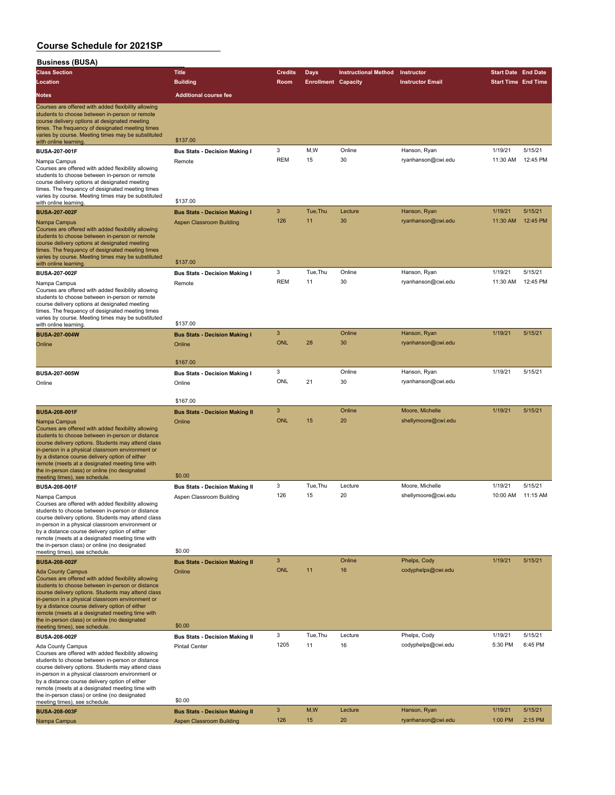| <b>BUSINESS (BUSA</b>                                                                                                                                                                                                                                                                                                                                                                                                                                 |                                                                             |                 |                            |                             |                                        |                            |                     |
|-------------------------------------------------------------------------------------------------------------------------------------------------------------------------------------------------------------------------------------------------------------------------------------------------------------------------------------------------------------------------------------------------------------------------------------------------------|-----------------------------------------------------------------------------|-----------------|----------------------------|-----------------------------|----------------------------------------|----------------------------|---------------------|
| <b>Class Section</b>                                                                                                                                                                                                                                                                                                                                                                                                                                  | <b>Title</b>                                                                | <b>Credits</b>  | <b>Days</b>                | <b>Instructional Method</b> | Instructor                             | <b>Start Date End Date</b> |                     |
| Location                                                                                                                                                                                                                                                                                                                                                                                                                                              | <b>Building</b>                                                             | Room            | <b>Enrollment Capacity</b> |                             | <b>Instructor Email</b>                | <b>Start Time End Time</b> |                     |
| Notes                                                                                                                                                                                                                                                                                                                                                                                                                                                 | <b>Additional course fee</b>                                                |                 |                            |                             |                                        |                            |                     |
| Courses are offered with added flexibility allowing<br>students to choose between in-person or remote<br>course delivery options at designated meeting<br>times. The frequency of designated meeting times<br>varies by course. Meeting times may be substituted                                                                                                                                                                                      | \$137.00                                                                    |                 |                            |                             |                                        |                            |                     |
| with online learning                                                                                                                                                                                                                                                                                                                                                                                                                                  |                                                                             |                 |                            |                             |                                        |                            |                     |
| <b>BUSA-207-001F</b><br>Nampa Campus<br>Courses are offered with added flexibility allowing<br>students to choose between in-person or remote<br>course delivery options at designated meeting<br>times. The frequency of designated meeting times<br>varies by course. Meeting times may be substituted<br>with online learning.                                                                                                                     | <b>Bus Stats - Decision Making I</b><br>Remote<br>\$137.00                  | 3<br><b>REM</b> | M,W<br>15                  | Online<br>30                | Hanson, Ryan<br>ryanhanson@cwi.edu     | 1/19/21<br>11:30 AM        | 5/15/21<br>12:45 PM |
| <b>BUSA-207-002F</b>                                                                                                                                                                                                                                                                                                                                                                                                                                  | <b>Bus Stats - Decision Making I</b>                                        | $\mathbf{3}$    | Tue, Thu                   | Lecture                     | Hanson, Ryan                           | 1/19/21                    | 5/15/21             |
| Nampa Campus<br>Courses are offered with added flexibility allowing<br>students to choose between in-person or remote<br>course delivery options at designated meeting<br>times. The frequency of designated meeting times<br>varies by course. Meeting times may be substituted<br>with online learning.                                                                                                                                             | Aspen Classroom Building<br>\$137.00                                        | 126             | 11                         | 30                          | ryanhanson@cwi.edu                     | 11:30 AM                   | 12:45 PM            |
| BUSA-207-002F                                                                                                                                                                                                                                                                                                                                                                                                                                         | <b>Bus Stats - Decision Making I</b>                                        | 3               | Tue, Thu                   | Online                      | Hanson, Ryan                           | 1/19/21                    | 5/15/21             |
| Nampa Campus<br>Courses are offered with added flexibility allowing<br>students to choose between in-person or remote<br>course delivery options at designated meeting<br>times. The frequency of designated meeting times<br>varies by course. Meeting times may be substituted<br>with online learning                                                                                                                                              | Remote<br>\$137.00                                                          | <b>REM</b>      | 11                         | 30                          | ryanhanson@cwi.edu                     | 11:30 AM                   | 12:45 PM            |
| <b>BUSA-207-004W</b>                                                                                                                                                                                                                                                                                                                                                                                                                                  | <b>Bus Stats - Decision Making I</b>                                        | $\mathbf{3}$    |                            | Online                      | Hanson, Ryan                           | 1/19/21                    | 5/15/21             |
| Online                                                                                                                                                                                                                                                                                                                                                                                                                                                | Online<br>\$167.00                                                          | <b>ONL</b>      | 28                         | 30                          | ryanhanson@cwi.edu                     |                            |                     |
| <b>BUSA-207-005W</b>                                                                                                                                                                                                                                                                                                                                                                                                                                  |                                                                             | 3               |                            | Online                      | Hanson, Ryan                           | 1/19/21                    | 5/15/21             |
| Online                                                                                                                                                                                                                                                                                                                                                                                                                                                | <b>Bus Stats - Decision Making I</b><br>Online                              | ONL             | 21                         | 30                          | ryanhanson@cwi.edu                     |                            |                     |
|                                                                                                                                                                                                                                                                                                                                                                                                                                                       | \$167.00                                                                    |                 |                            |                             |                                        |                            |                     |
| <b>BUSA-208-001F</b>                                                                                                                                                                                                                                                                                                                                                                                                                                  | <b>Bus Stats - Decision Making II</b>                                       | 3               |                            | Online                      | Moore, Michelle                        | 1/19/21                    | 5/15/21             |
| Nampa Campus<br>Courses are offered with added flexibility allowing<br>students to choose between in-person or distance<br>course delivery options. Students may attend class<br>in-person in a physical classroom environment or<br>by a distance course delivery option of either<br>remote (meets at a designated meeting time with<br>the in-person class) or online (no designated                                                               | Online                                                                      | <b>ONL</b>      | 15                         | 20                          | shellymoore@cwi.edu                    |                            |                     |
| meeting times), see schedule.                                                                                                                                                                                                                                                                                                                                                                                                                         | \$0.00                                                                      |                 |                            |                             |                                        |                            |                     |
| BUSA-208-001F<br>Nampa Campus<br>Courses are offered with added flexibility allowing<br>students to choose between in-person or distance<br>course delivery options. Students may attend class<br>in-person in a physical classroom environment or<br>by a distance course delivery option of either<br>remote (meets at a designated meeting time with<br>the in-person class) or online (no designated<br>meeting times), see schedule.             | <b>Bus Stats - Decision Making II</b><br>Aspen Classroom Building<br>\$0.00 | 3<br>126        | Tue, Thu<br>15             | Lecture<br>20               | Moore, Michelle<br>shellymoore@cwi.edu | 1/19/21<br>10:00 AM        | 5/15/21<br>11:15 AM |
| <b>BUSA-208-002F</b>                                                                                                                                                                                                                                                                                                                                                                                                                                  | <b>Bus Stats - Decision Making II</b>                                       | $\mathbf{3}$    |                            | Online                      | Phelps, Cody                           | 1/19/21                    | 5/15/21             |
| <b>Ada County Campus</b><br>Courses are offered with added flexibility allowing<br>students to choose between in-person or distance<br>course delivery options. Students may attend class<br>in-person in a physical classroom environment or<br>by a distance course delivery option of either<br>remote (meets at a designated meeting time with<br>the in-person class) or online (no designated                                                   | Online                                                                      | <b>ONL</b>      | 11                         | 16                          | codyphelps@cwi.edu                     |                            |                     |
| meeting times), see schedule.                                                                                                                                                                                                                                                                                                                                                                                                                         | \$0.00                                                                      |                 |                            |                             |                                        |                            |                     |
| <b>BUSA-208-002F</b><br>Ada County Campus<br>Courses are offered with added flexibility allowing<br>students to choose between in-person or distance<br>course delivery options. Students may attend class<br>in-person in a physical classroom environment or<br>by a distance course delivery option of either<br>remote (meets at a designated meeting time with<br>the in-person class) or online (no designated<br>meeting times), see schedule. | <b>Bus Stats - Decision Making II</b><br><b>Pintail Center</b><br>\$0.00    | 3<br>1205       | Tue, Thu<br>11             | Lecture<br>16               | Phelps, Cody<br>codyphelps@cwi.edu     | 1/19/21<br>5:30 PM         | 5/15/21<br>6:45 PM  |
| <b>BUSA-208-003F</b>                                                                                                                                                                                                                                                                                                                                                                                                                                  | <b>Bus Stats - Decision Making II</b>                                       | $\mathbf{3}$    | M,W                        | Lecture                     | Hanson, Ryan                           | 1/19/21                    | 5/15/21             |
| Nampa Campus                                                                                                                                                                                                                                                                                                                                                                                                                                          | Aspen Classroom Building                                                    | 126             | 15                         | 20                          | ryanhanson@cwi.edu                     | 1:00 PM                    | 2:15 PM             |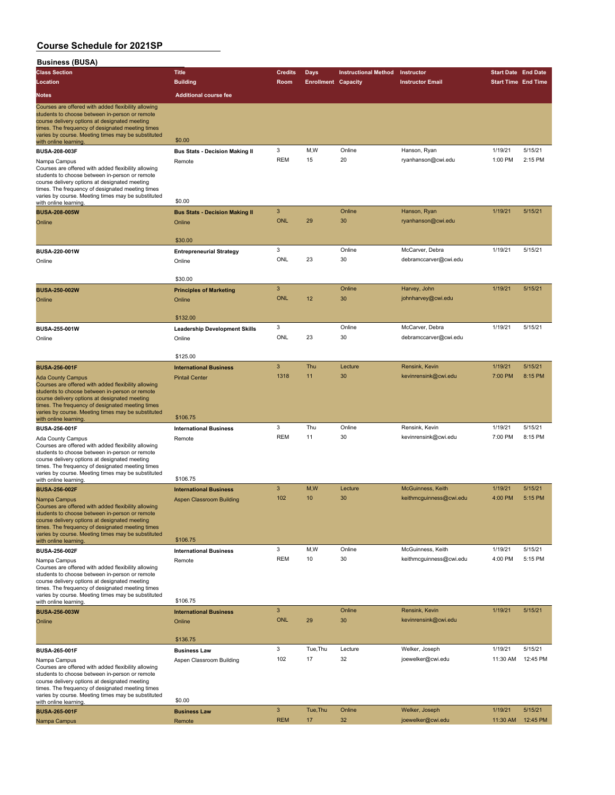| Dusiliess (DUSA)                                                                                                                                                                                                                                                                 |                                       |                            |                            |                             |                                     |                            |                     |
|----------------------------------------------------------------------------------------------------------------------------------------------------------------------------------------------------------------------------------------------------------------------------------|---------------------------------------|----------------------------|----------------------------|-----------------------------|-------------------------------------|----------------------------|---------------------|
| <b>Class Section</b>                                                                                                                                                                                                                                                             | <b>Title</b>                          | <b>Credits</b>             | <b>Days</b>                | <b>Instructional Method</b> | Instructor                          | <b>Start Date End Date</b> |                     |
| Location                                                                                                                                                                                                                                                                         | <b>Building</b>                       | Room                       | <b>Enrollment Capacity</b> |                             | <b>Instructor Email</b>             | <b>Start Time End Time</b> |                     |
| <b>Notes</b>                                                                                                                                                                                                                                                                     | <b>Additional course fee</b>          |                            |                            |                             |                                     |                            |                     |
| Courses are offered with added flexibility allowing<br>students to choose between in-person or remote<br>course delivery options at designated meeting                                                                                                                           |                                       |                            |                            |                             |                                     |                            |                     |
| times. The frequency of designated meeting times<br>varies by course. Meeting times may be substituted<br>with online learning                                                                                                                                                   | \$0.00                                |                            |                            |                             |                                     |                            |                     |
| BUSA-208-003F                                                                                                                                                                                                                                                                    | <b>Bus Stats - Decision Making II</b> | 3                          | M,W                        | Online                      | Hanson, Ryan                        | 1/19/21                    | 5/15/21             |
| Nampa Campus                                                                                                                                                                                                                                                                     | Remote                                | <b>REM</b>                 | 15                         | 20                          | ryanhanson@cwi.edu                  | 1:00 PM                    | 2:15 PM             |
| Courses are offered with added flexibility allowing<br>students to choose between in-person or remote<br>course delivery options at designated meeting<br>times. The frequency of designated meeting times<br>varies by course. Meeting times may be substituted                 |                                       |                            |                            |                             |                                     |                            |                     |
| with online learning.                                                                                                                                                                                                                                                            | \$0.00                                |                            |                            |                             |                                     |                            |                     |
| <b>BUSA-208-005W</b>                                                                                                                                                                                                                                                             | <b>Bus Stats - Decision Making II</b> | $\mathbf{3}$               |                            | Online                      | Hanson, Ryan                        | 1/19/21                    | 5/15/21             |
| Online                                                                                                                                                                                                                                                                           | Online                                | <b>ONL</b>                 | 29                         | 30                          | ryanhanson@cwi.edu                  |                            |                     |
|                                                                                                                                                                                                                                                                                  | \$30.00                               |                            |                            |                             |                                     |                            |                     |
| <b>BUSA-220-001W</b>                                                                                                                                                                                                                                                             | <b>Entrepreneurial Strategy</b>       | 3                          |                            | Online                      | McCarver, Debra                     | 1/19/21                    | 5/15/21             |
| Online                                                                                                                                                                                                                                                                           | Online                                | ONL                        | 23                         | 30                          | debramccarver@cwi.edu               |                            |                     |
|                                                                                                                                                                                                                                                                                  | \$30.00                               |                            |                            |                             |                                     |                            |                     |
| <b>BUSA-250-002W</b>                                                                                                                                                                                                                                                             | <b>Principles of Marketing</b>        | 3                          |                            | Online                      | Harvey, John                        | 1/19/21                    | 5/15/21             |
| Online                                                                                                                                                                                                                                                                           | Online                                | <b>ONL</b>                 | 12                         | 30                          | johnharvey@cwi.edu                  |                            |                     |
|                                                                                                                                                                                                                                                                                  | \$132.00                              |                            |                            |                             |                                     |                            |                     |
| <b>BUSA-255-001W</b>                                                                                                                                                                                                                                                             | <b>Leadership Development Skills</b>  | 3                          |                            | Online                      | McCarver, Debra                     | 1/19/21                    | 5/15/21             |
| Online                                                                                                                                                                                                                                                                           | Online                                | ONL                        | 23                         | 30                          | debramccarver@cwi.edu               |                            |                     |
|                                                                                                                                                                                                                                                                                  | \$125.00                              |                            |                            |                             |                                     |                            |                     |
| <b>BUSA-256-001F</b>                                                                                                                                                                                                                                                             | <b>International Business</b>         | $\mathbf{3}$               | Thu                        | Lecture                     | Rensink, Kevin                      | 1/19/21                    | 5/15/21             |
| <b>Ada County Campus</b><br>Courses are offered with added flexibility allowing<br>students to choose between in-person or remote<br>course delivery options at designated meeting                                                                                               | <b>Pintail Center</b>                 | 1318                       | 11                         | 30                          | kevinrensink@cwi.edu                | 7:00 PM                    | 8:15 PM             |
| times. The frequency of designated meeting times<br>varies by course. Meeting times may be substituted<br>with online learning                                                                                                                                                   | \$106.75                              |                            |                            |                             |                                     |                            |                     |
| BUSA-256-001F                                                                                                                                                                                                                                                                    | <b>International Business</b>         | 3                          | Thu                        | Online                      | Rensink, Kevin                      | 1/19/21                    | 5/15/21             |
| Ada County Campus<br>Courses are offered with added flexibility allowing<br>students to choose between in-person or remote<br>course delivery options at designated meeting<br>times. The frequency of designated meeting times                                                  | Remote                                | <b>REM</b>                 | 11                         | 30                          | kevinrensink@cwi.edu                | 7:00 PM                    | 8:15 PM             |
| varies by course. Meeting times may be substituted<br>with online learning.                                                                                                                                                                                                      | \$106.75                              |                            |                            |                             |                                     |                            |                     |
| <b>BUSA-256-002F</b>                                                                                                                                                                                                                                                             | <b>International Business</b>         | $\mathbf{3}$               | M,W                        | Lecture                     | McGuinness, Keith                   | 1/19/21                    | 5/15/21             |
| Nampa Campus                                                                                                                                                                                                                                                                     | <b>Aspen Classroom Building</b>       | 102                        | 10                         | 30                          | keithmcguinness@cwi.edu             | 4:00 PM                    | 5:15 PM             |
| Courses are offered with added flexibility allowing<br>students to choose between in-person or remote<br>course delivery options at designated meeting<br>times. The frequency of designated meeting times<br>varies by course. Meeting times may be substituted                 |                                       |                            |                            |                             |                                     |                            |                     |
| with online learning.                                                                                                                                                                                                                                                            | \$106.75                              |                            |                            |                             |                                     |                            |                     |
| BUSA-256-002F                                                                                                                                                                                                                                                                    | <b>International Business</b>         | 3                          | M,W                        | Online                      | McGuinness, Keith                   | 1/19/21                    | 5/15/21             |
| Nampa Campus<br>Courses are offered with added flexibility allowing<br>students to choose between in-person or remote<br>course delivery options at designated meeting<br>times. The frequency of designated meeting times                                                       | Remote                                | <b>REM</b>                 | 10                         | 30                          | keithmcguinness@cwi.edu             | 4:00 PM                    | 5:15 PM             |
| varies by course. Meeting times may be substituted<br>with online learning.                                                                                                                                                                                                      | \$106.75                              |                            |                            |                             |                                     |                            |                     |
| <b>BUSA-256-003W</b>                                                                                                                                                                                                                                                             | <b>International Business</b>         | $\mathsf 3$                |                            | Online                      | Rensink, Kevin                      | 1/19/21                    | 5/15/21             |
| Online                                                                                                                                                                                                                                                                           | Online                                | <b>ONL</b>                 | 29                         | 30                          | kevinrensink@cwi.edu                |                            |                     |
|                                                                                                                                                                                                                                                                                  | \$136.75                              |                            |                            |                             |                                     |                            |                     |
| BUSA-265-001F                                                                                                                                                                                                                                                                    | <b>Business Law</b>                   | 3                          | Tue, Thu                   | Lecture                     | Welker, Joseph                      | 1/19/21                    | 5/15/21             |
| Nampa Campus<br>Courses are offered with added flexibility allowing<br>students to choose between in-person or remote<br>course delivery options at designated meeting<br>times. The frequency of designated meeting times<br>varies by course. Meeting times may be substituted | Aspen Classroom Building              | 102                        | 17                         | 32                          | joewelker@cwi.edu                   | 11:30 AM                   | 12:45 PM            |
| with online learning.                                                                                                                                                                                                                                                            | \$0.00                                |                            |                            |                             |                                     |                            |                     |
| <b>BUSA-265-001F</b>                                                                                                                                                                                                                                                             | <b>Business Law</b>                   | $\mathbf{3}$<br><b>REM</b> | Tue, Thu<br>17             | Online<br>32                | Welker, Joseph<br>joewelker@cwi.edu | 1/19/21<br>11:30 AM        | 5/15/21<br>12:45 PM |
| Nampa Campus                                                                                                                                                                                                                                                                     | Remote                                |                            |                            |                             |                                     |                            |                     |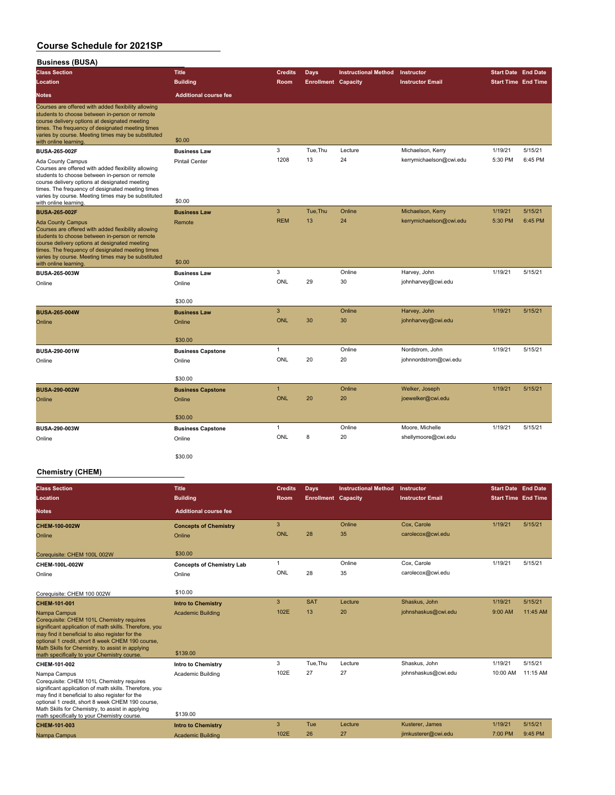#### **Business (BUSA)**

| ורטטטן ניטיוויט<br><b>Class Section</b>                                                                                                                                                                                                                                                                               | <b>Title</b>                    | <b>Credits</b> | Days                       | <b>Instructional Method</b> | Instructor              | <b>Start Date End Date</b> |         |
|-----------------------------------------------------------------------------------------------------------------------------------------------------------------------------------------------------------------------------------------------------------------------------------------------------------------------|---------------------------------|----------------|----------------------------|-----------------------------|-------------------------|----------------------------|---------|
| Location                                                                                                                                                                                                                                                                                                              | <b>Building</b>                 | Room           | <b>Enrollment Capacity</b> |                             | <b>Instructor Email</b> | <b>Start Time End Time</b> |         |
| <b>Notes</b>                                                                                                                                                                                                                                                                                                          | <b>Additional course fee</b>    |                |                            |                             |                         |                            |         |
| Courses are offered with added flexibility allowing<br>students to choose between in-person or remote<br>course delivery options at designated meeting<br>times. The frequency of designated meeting times<br>varies by course. Meeting times may be substituted<br>with online learning.                             | \$0.00                          |                |                            |                             |                         |                            |         |
| <b>BUSA-265-002F</b>                                                                                                                                                                                                                                                                                                  | <b>Business Law</b>             | 3              | Tue, Thu                   | Lecture                     | Michaelson, Kerry       | 1/19/21                    | 5/15/21 |
| Ada County Campus<br>Courses are offered with added flexibility allowing<br>students to choose between in-person or remote<br>course delivery options at designated meeting<br>times. The frequency of designated meeting times<br>varies by course. Meeting times may be substituted<br>with online learning.        | <b>Pintail Center</b><br>\$0.00 | 1208           | 13                         | 24                          | kerrymichaelson@cwi.edu | 5:30 PM                    | 6:45 PM |
| <b>BUSA-265-002F</b>                                                                                                                                                                                                                                                                                                  | <b>Business Law</b>             | 3              | Tue, Thu                   | Online                      | Michaelson, Kerry       | 1/19/21                    | 5/15/21 |
| <b>Ada County Campus</b><br>Courses are offered with added flexibility allowing<br>students to choose between in-person or remote<br>course delivery options at designated meeting<br>times. The frequency of designated meeting times<br>varies by course. Meeting times may be substituted<br>with online learning. | Remote<br>\$0.00                | <b>REM</b>     | 13                         | 24                          | kerrymichaelson@cwi.edu | 5:30 PM                    | 6:45 PM |
| BUSA-265-003W                                                                                                                                                                                                                                                                                                         | <b>Business Law</b>             | 3              |                            | Online                      | Harvey, John            | 1/19/21                    | 5/15/21 |
| Online                                                                                                                                                                                                                                                                                                                | Online                          | ONL            | 29                         | 30                          | johnharvey@cwi.edu      |                            |         |
|                                                                                                                                                                                                                                                                                                                       |                                 |                |                            |                             |                         |                            |         |
|                                                                                                                                                                                                                                                                                                                       | \$30.00                         |                |                            |                             |                         |                            |         |
| <b>BUSA-265-004W</b>                                                                                                                                                                                                                                                                                                  | <b>Business Law</b>             | 3              |                            | Online                      | Harvey, John            | 1/19/21                    | 5/15/21 |
| Online                                                                                                                                                                                                                                                                                                                | Online                          | <b>ONL</b>     | 30                         | 30                          | johnharvey@cwi.edu      |                            |         |
|                                                                                                                                                                                                                                                                                                                       |                                 |                |                            |                             |                         |                            |         |
|                                                                                                                                                                                                                                                                                                                       | \$30.00                         |                |                            |                             |                         |                            |         |
| BUSA-290-001W                                                                                                                                                                                                                                                                                                         | <b>Business Capstone</b>        | $\mathbf{1}$   |                            | Online                      | Nordstrom, John         | 1/19/21                    | 5/15/21 |
| Online                                                                                                                                                                                                                                                                                                                | Online                          | ONL            | 20                         | 20                          | johnnordstrom@cwi.edu   |                            |         |
|                                                                                                                                                                                                                                                                                                                       | \$30.00                         |                |                            |                             |                         |                            |         |
| <b>BUSA-290-002W</b>                                                                                                                                                                                                                                                                                                  | <b>Business Capstone</b>        | $\mathbf{1}$   |                            | Online                      | Welker, Joseph          | 1/19/21                    | 5/15/21 |
| Online                                                                                                                                                                                                                                                                                                                | Online                          | <b>ONL</b>     | 20                         | 20                          | joewelker@cwi.edu       |                            |         |
|                                                                                                                                                                                                                                                                                                                       |                                 |                |                            |                             |                         |                            |         |
|                                                                                                                                                                                                                                                                                                                       | \$30.00                         |                |                            |                             |                         |                            |         |
| BUSA-290-003W                                                                                                                                                                                                                                                                                                         | <b>Business Capstone</b>        | 1              |                            | Online                      | Moore, Michelle         | 1/19/21                    | 5/15/21 |
| Online                                                                                                                                                                                                                                                                                                                | Online                          | ONL            | 8                          | 20                          | shellymoore@cwi.edu     |                            |         |
|                                                                                                                                                                                                                                                                                                                       | \$30.00                         |                |                            |                             |                         |                            |         |

#### **Chemistry (CHEM)**

| <b>Class Section</b><br>Location                                                                                                                                                                                                                                                                                              | <b>Title</b><br><b>Building</b>        | <b>Credits</b><br>Room | <b>Days</b><br><b>Enrollment Capacity</b> | <b>Instructional Method</b> | Instructor<br><b>Instructor Email</b> | <b>Start Date End Date</b><br><b>Start Time End Time</b> |          |
|-------------------------------------------------------------------------------------------------------------------------------------------------------------------------------------------------------------------------------------------------------------------------------------------------------------------------------|----------------------------------------|------------------------|-------------------------------------------|-----------------------------|---------------------------------------|----------------------------------------------------------|----------|
| <b>Notes</b>                                                                                                                                                                                                                                                                                                                  | <b>Additional course fee</b>           |                        |                                           |                             |                                       |                                                          |          |
| CHEM-100-002W<br>Online                                                                                                                                                                                                                                                                                                       | <b>Concepts of Chemistry</b><br>Online | 3<br>ONL               | 28                                        | Online<br>35                | Cox. Carole<br>carolecox@cwi.edu      | 1/19/21                                                  | 5/15/21  |
| Corequisite: CHEM 100L 002W                                                                                                                                                                                                                                                                                                   | \$30.00                                |                        |                                           |                             |                                       |                                                          |          |
| CHEM-100L-002W                                                                                                                                                                                                                                                                                                                | <b>Concepts of Chemistry Lab</b>       | 1                      |                                           | Online                      | Cox, Carole                           | 1/19/21                                                  | 5/15/21  |
| Online                                                                                                                                                                                                                                                                                                                        | Online                                 | ONL                    | 28                                        | 35                          | carolecox@cwi.edu                     |                                                          |          |
| Corequisite: CHEM 100 002W                                                                                                                                                                                                                                                                                                    | \$10.00                                |                        |                                           |                             |                                       |                                                          |          |
| CHEM-101-001                                                                                                                                                                                                                                                                                                                  | <b>Intro to Chemistry</b>              | 3                      | <b>SAT</b>                                | Lecture                     | Shaskus, John                         | 1/19/21                                                  | 5/15/21  |
| Nampa Campus<br>Corequisite: CHEM 101L Chemistry requires<br>significant application of math skills. Therefore, you<br>may find it beneficial to also register for the<br>optional 1 credit, short 8 week CHEM 190 course,<br>Math Skills for Chemistry, to assist in applying<br>math specifically to your Chemistry course. | Academic Building<br>\$139.00          | 102E                   | 13                                        | 20                          | johnshaskus@cwi.edu                   | 9:00 AM                                                  | 11:45 AM |
| CHEM-101-002                                                                                                                                                                                                                                                                                                                  | <b>Intro to Chemistry</b>              | 3                      | Tue.Thu                                   | Lecture                     | Shaskus, John                         | 1/19/21                                                  | 5/15/21  |
| Nampa Campus<br>Corequisite: CHEM 101L Chemistry requires<br>significant application of math skills. Therefore, you<br>may find it beneficial to also register for the<br>optional 1 credit, short 8 week CHEM 190 course,<br>Math Skills for Chemistry, to assist in applying<br>math specifically to your Chemistry course. | Academic Building<br>\$139.00          | 102E                   | 27                                        | 27                          | johnshaskus@cwi.edu                   | 10:00 AM                                                 | 11:15 AM |
| CHEM-101-003                                                                                                                                                                                                                                                                                                                  | <b>Intro to Chemistry</b>              | 3                      | Tue                                       | Lecture                     | Kusterer, James                       | 1/19/21                                                  | 5/15/21  |
| Nampa Campus                                                                                                                                                                                                                                                                                                                  | <b>Academic Building</b>               | 102E                   | 26                                        | 27                          | jimkusterer@cwi.edu                   | 7:00 PM                                                  | 9:45 PM  |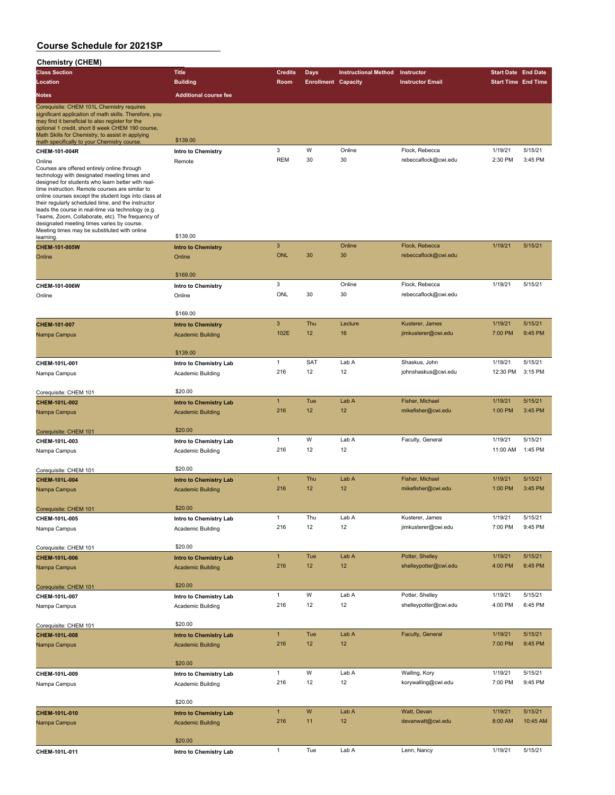#### **Chemistry (CHEM)**

| onennau y (ornem)<br><b>Class Section</b>                                                                                                                                                                                                                                                                                                                                                                                                                                                                                                        | <b>Title</b>                                              | <b>Credits</b>      |                   |                             |                                        | <b>Start Date End Date</b> |                    |
|--------------------------------------------------------------------------------------------------------------------------------------------------------------------------------------------------------------------------------------------------------------------------------------------------------------------------------------------------------------------------------------------------------------------------------------------------------------------------------------------------------------------------------------------------|-----------------------------------------------------------|---------------------|-------------------|-----------------------------|----------------------------------------|----------------------------|--------------------|
|                                                                                                                                                                                                                                                                                                                                                                                                                                                                                                                                                  |                                                           |                     | <b>Days</b>       | <b>Instructional Method</b> | Instructor                             |                            |                    |
| Location                                                                                                                                                                                                                                                                                                                                                                                                                                                                                                                                         | <b>Building</b>                                           | Room                | <b>Enrollment</b> | Capacity                    | <b>Instructor Email</b>                | <b>Start Time End Time</b> |                    |
| <b>Notes</b>                                                                                                                                                                                                                                                                                                                                                                                                                                                                                                                                     | <b>Additional course fee</b>                              |                     |                   |                             |                                        |                            |                    |
| Corequisite: CHEM 101L Chemistry requires<br>significant application of math skills. Therefore, you<br>may find it beneficial to also register for the<br>optional 1 credit, short 8 week CHEM 190 course,<br>Math Skills for Chemistry, to assist in applying                                                                                                                                                                                                                                                                                   |                                                           |                     |                   |                             |                                        |                            |                    |
| math specifically to your Chemistry course.                                                                                                                                                                                                                                                                                                                                                                                                                                                                                                      | \$139.00                                                  |                     |                   |                             |                                        |                            |                    |
| CHEM-101-004R                                                                                                                                                                                                                                                                                                                                                                                                                                                                                                                                    | Intro to Chemistry                                        | 3                   | W                 | Online                      | Flock, Rebecca                         | 1/19/21                    | 5/15/21            |
| Online<br>Courses are offered entirely online through<br>technology with designated meeting times and<br>designed for students who learn better with real-<br>time instruction. Remote courses are similar to<br>online courses except the student logs into class at<br>their regularly scheduled time, and the instructor<br>leads the course in real-time via technology (e.g.<br>Teams, Zoom, Collaborate, etc). The frequency of<br>designated meeting times varies by course.<br>Meeting times may be substituted with online<br>learning. | Remote<br>\$139.00                                        | <b>REM</b>          | 30                | 30                          | rebeccaflock@cwi.edu                   | 2:30 PM                    | 3:45 PM            |
| CHEM-101-005W                                                                                                                                                                                                                                                                                                                                                                                                                                                                                                                                    | <b>Intro to Chemistry</b>                                 | $\mathbf{3}$        |                   | Online                      | Flock, Rebecca                         | 1/19/21                    | 5/15/21            |
| Online                                                                                                                                                                                                                                                                                                                                                                                                                                                                                                                                           | Online<br>\$169.00                                        | <b>ONL</b>          | 30                | 30                          | rebeccaflock@cwi.edu                   |                            |                    |
|                                                                                                                                                                                                                                                                                                                                                                                                                                                                                                                                                  |                                                           | $\mathbf 3$         |                   | Online                      | Flock, Rebecca                         | 1/19/21                    | 5/15/21            |
| CHEM-101-006W<br>Online                                                                                                                                                                                                                                                                                                                                                                                                                                                                                                                          | <b>Intro to Chemistry</b><br>Online                       | ONL                 | 30                | 30                          | rebeccaflock@cwi.edu                   |                            |                    |
|                                                                                                                                                                                                                                                                                                                                                                                                                                                                                                                                                  | \$169.00                                                  |                     |                   |                             |                                        |                            |                    |
| CHEM-101-007                                                                                                                                                                                                                                                                                                                                                                                                                                                                                                                                     | <b>Intro to Chemistry</b>                                 | $\mathbf{3}$        | Thu               | Lecture                     | Kusterer, James                        | 1/19/21                    | 5/15/21            |
| Nampa Campus                                                                                                                                                                                                                                                                                                                                                                                                                                                                                                                                     | <b>Academic Building</b>                                  | 102E                | 12                | 16                          | jimkusterer@cwi.edu                    | 7:00 PM                    | 9:45 PM            |
|                                                                                                                                                                                                                                                                                                                                                                                                                                                                                                                                                  | \$139.00                                                  | $\mathbf{1}$        | SAT               | Lab A                       | Shaskus, John                          | 1/19/21                    | 5/15/21            |
| CHEM-101L-001                                                                                                                                                                                                                                                                                                                                                                                                                                                                                                                                    | Intro to Chemistry Lab                                    | 216                 | 12                | 12                          | johnshaskus@cwi.edu                    | 12:30 PM                   | 3:15 PM            |
| Nampa Campus                                                                                                                                                                                                                                                                                                                                                                                                                                                                                                                                     | Academic Building                                         |                     |                   |                             |                                        |                            |                    |
| Corequisite: CHEM 101                                                                                                                                                                                                                                                                                                                                                                                                                                                                                                                            | \$20.00                                                   |                     |                   |                             |                                        |                            |                    |
| CHEM-101L-002                                                                                                                                                                                                                                                                                                                                                                                                                                                                                                                                    | Intro to Chemistry Lab                                    | $\mathbf{1}$        | Tue               | Lab A                       | Fisher, Michael                        | 1/19/21                    | 5/15/21            |
| Nampa Campus                                                                                                                                                                                                                                                                                                                                                                                                                                                                                                                                     | <b>Academic Building</b>                                  | 216                 | 12                | 12                          | mikefisher@cwi.edu                     | 1:00 PM                    | 3:45 PM            |
| Corequisite: CHEM 101                                                                                                                                                                                                                                                                                                                                                                                                                                                                                                                            | \$20.00                                                   |                     |                   |                             |                                        |                            |                    |
| CHEM-101L-003                                                                                                                                                                                                                                                                                                                                                                                                                                                                                                                                    | Intro to Chemistry Lab                                    | $\mathbf{1}$        | W                 | Lab A                       | Faculty, General                       | 1/19/21                    | 5/15/21            |
| Nampa Campus                                                                                                                                                                                                                                                                                                                                                                                                                                                                                                                                     | Academic Building                                         | 216                 | 12                | 12                          |                                        | 11:00 AM                   | 1:45 PM            |
| Corequisite: CHEM 101                                                                                                                                                                                                                                                                                                                                                                                                                                                                                                                            | \$20.00                                                   |                     |                   |                             |                                        |                            |                    |
| CHEM-101L-004                                                                                                                                                                                                                                                                                                                                                                                                                                                                                                                                    | <b>Intro to Chemistry Lab</b>                             | $\mathbf{1}$        | Thu               | Lab A                       | Fisher, Michael                        | 1/19/21                    | 5/15/21            |
| Nampa Campus                                                                                                                                                                                                                                                                                                                                                                                                                                                                                                                                     | <b>Academic Building</b>                                  | 216                 | 12                | 12                          | mikefisher@cwi.edu                     | 1:00 PM                    | 3:45 PM            |
| Corequisite: CHEM 101                                                                                                                                                                                                                                                                                                                                                                                                                                                                                                                            | \$20.00                                                   |                     |                   |                             |                                        |                            |                    |
| CHEM-101L-005<br>Nampa Campus                                                                                                                                                                                                                                                                                                                                                                                                                                                                                                                    | Intro to Chemistry Lab<br>Academic Building               | 1<br>216            | Thu<br>12         | Lab A<br>12                 | Kusterer, James<br>jimkusterer@cwi.edu | 1/19/21<br>7:00 PM         | 5/15/21<br>9:45 PM |
|                                                                                                                                                                                                                                                                                                                                                                                                                                                                                                                                                  | \$20.00                                                   |                     |                   |                             |                                        |                            |                    |
| Corequisite: CHEM 101<br>CHEM-101L-006                                                                                                                                                                                                                                                                                                                                                                                                                                                                                                           |                                                           | $\mathbf{1}$        | Tue               | Lab A                       | Potter, Shelley                        | 1/19/21                    | 5/15/21            |
| Nampa Campus                                                                                                                                                                                                                                                                                                                                                                                                                                                                                                                                     | <b>Intro to Chemistry Lab</b><br><b>Academic Building</b> | 216                 | 12 <sup>2</sup>   | 12                          | shelleypotter@cwi.edu                  | 4:00 PM                    | 6:45 PM            |
| Corequisite: CHEM 101                                                                                                                                                                                                                                                                                                                                                                                                                                                                                                                            | \$20.00                                                   |                     |                   |                             |                                        |                            |                    |
| CHEM-101L-007                                                                                                                                                                                                                                                                                                                                                                                                                                                                                                                                    | Intro to Chemistry Lab                                    | $\mathbf{1}$        | W                 | Lab A                       | Potter, Shelley                        | 1/19/21                    | 5/15/21            |
| Nampa Campus                                                                                                                                                                                                                                                                                                                                                                                                                                                                                                                                     | Academic Building                                         | 216                 | 12                | 12                          | shelleypotter@cwi.edu                  | 4:00 PM                    | 6:45 PM            |
| Corequisite: CHEM 101                                                                                                                                                                                                                                                                                                                                                                                                                                                                                                                            | \$20.00                                                   |                     |                   |                             |                                        |                            |                    |
| CHEM-101L-008<br>Nampa Campus                                                                                                                                                                                                                                                                                                                                                                                                                                                                                                                    | <b>Intro to Chemistry Lab</b><br><b>Academic Building</b> | $\mathbf{1}$<br>216 | Tue<br>12         | Lab A<br>12                 | Faculty, General                       | 1/19/21<br>7:00 PM         | 5/15/21<br>9:45 PM |
|                                                                                                                                                                                                                                                                                                                                                                                                                                                                                                                                                  | \$20.00                                                   |                     |                   |                             |                                        |                            |                    |
| CHEM-101L-009                                                                                                                                                                                                                                                                                                                                                                                                                                                                                                                                    | Intro to Chemistry Lab                                    | $\mathbf{1}$        | W                 | Lab A                       | Walling, Kory                          | 1/19/21                    | 5/15/21            |
| Nampa Campus                                                                                                                                                                                                                                                                                                                                                                                                                                                                                                                                     | Academic Building                                         | 216                 | 12                | 12                          | korywalling@cwi.edu                    | 7:00 PM                    | 9:45 PM            |
|                                                                                                                                                                                                                                                                                                                                                                                                                                                                                                                                                  | \$20.00                                                   |                     |                   |                             |                                        |                            |                    |
| CHEM-101L-010                                                                                                                                                                                                                                                                                                                                                                                                                                                                                                                                    | <b>Intro to Chemistry Lab</b>                             | 1                   | ${\sf W}$         | Lab A                       | Watt, Devan                            | 1/19/21                    | 5/15/21            |
| Nampa Campus                                                                                                                                                                                                                                                                                                                                                                                                                                                                                                                                     | <b>Academic Building</b>                                  | 216                 | 11                | 12                          | devanwatt@cwi.edu                      | 8:00 AM                    | 10:45 AM           |
|                                                                                                                                                                                                                                                                                                                                                                                                                                                                                                                                                  | \$20.00                                                   | $\mathbf{1}$        | Tue               | Lab A                       | Lenn, Nancy                            | 1/19/21                    | 5/15/21            |
| CHEM-101L-011                                                                                                                                                                                                                                                                                                                                                                                                                                                                                                                                    | Intro to Chemistry Lab                                    |                     |                   |                             |                                        |                            |                    |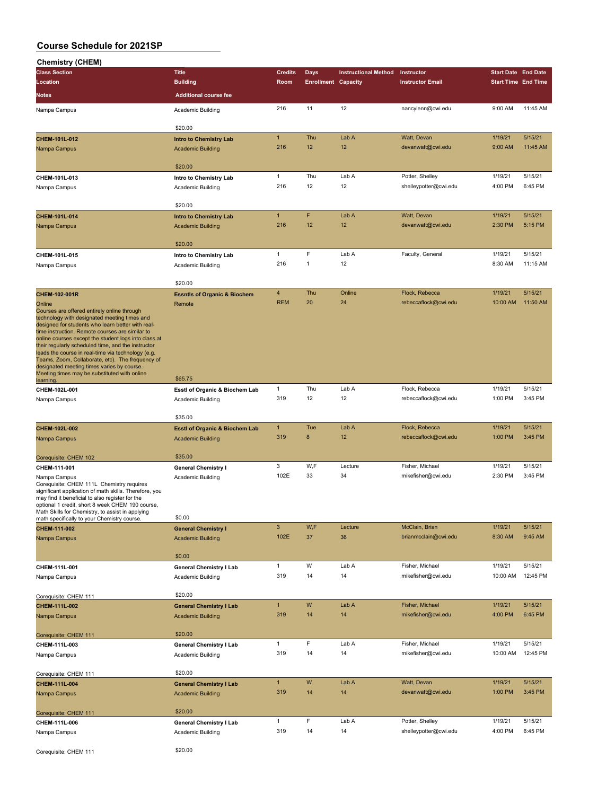| <b>Chemistry (CHEM)</b>                                                                                   |                                           |                           |                            |                             |                         |                            |          |
|-----------------------------------------------------------------------------------------------------------|-------------------------------------------|---------------------------|----------------------------|-----------------------------|-------------------------|----------------------------|----------|
| <b>Class Section</b>                                                                                      | <b>Title</b>                              | <b>Credits</b>            | <b>Days</b>                | <b>Instructional Method</b> | Instructor              | <b>Start Date End Date</b> |          |
| Location                                                                                                  | <b>Building</b>                           | Room                      | <b>Enrollment Capacity</b> |                             | <b>Instructor Email</b> | <b>Start Time End Time</b> |          |
| Notes                                                                                                     | <b>Additional course fee</b>              |                           |                            |                             |                         |                            |          |
| Nampa Campus                                                                                              | Academic Building                         | 216                       | 11                         | 12                          | nancylenn@cwi.edu       | 9:00 AM                    | 11:45 AM |
|                                                                                                           |                                           |                           |                            |                             |                         |                            |          |
|                                                                                                           | \$20.00                                   |                           |                            |                             |                         |                            |          |
| CHEM-101L-012                                                                                             | <b>Intro to Chemistry Lab</b>             | $\mathbf{1}$              | Thu                        | Lab A                       | Watt, Devan             | 1/19/21                    | 5/15/21  |
| Nampa Campus                                                                                              | <b>Academic Building</b>                  | 216                       | 12                         | 12                          | devanwatt@cwi.edu       | 9:00 AM                    | 11:45 AM |
|                                                                                                           |                                           |                           |                            |                             |                         |                            |          |
|                                                                                                           | \$20.00                                   |                           |                            |                             |                         |                            |          |
| CHEM-101L-013                                                                                             | Intro to Chemistry Lab                    | $\mathbf{1}$              | Thu                        | Lab A                       | Potter, Shelley         | 1/19/21                    | 5/15/21  |
| Nampa Campus                                                                                              | Academic Building                         | 216                       | 12                         | 12                          | shelleypotter@cwi.edu   | 4:00 PM                    | 6:45 PM  |
|                                                                                                           |                                           |                           |                            |                             |                         |                            |          |
|                                                                                                           | \$20.00                                   |                           |                            |                             |                         |                            |          |
| CHEM-101L-014                                                                                             | <b>Intro to Chemistry Lab</b>             | $\overline{1}$            | F                          | Lab A                       | Watt, Devan             | 1/19/21                    | 5/15/21  |
| Nampa Campus                                                                                              | <b>Academic Building</b>                  | 216                       | 12                         | 12                          | devanwatt@cwi.edu       | 2:30 PM                    | 5:15 PM  |
|                                                                                                           |                                           |                           |                            |                             |                         |                            |          |
|                                                                                                           | \$20.00                                   | $\mathbf{1}$              | F                          | Lab A                       |                         | 1/19/21                    | 5/15/21  |
| CHEM-101L-015                                                                                             | Intro to Chemistry Lab                    | 216                       | 1                          | 12                          | Faculty, General        | 8:30 AM                    | 11:15 AM |
| Nampa Campus                                                                                              | Academic Building                         |                           |                            |                             |                         |                            |          |
|                                                                                                           | \$20.00                                   |                           |                            |                             |                         |                            |          |
| CHEM-102-001R                                                                                             | <b>Essntls of Organic &amp; Biochem</b>   | $\overline{4}$            | Thu                        | Online                      | Flock, Rebecca          | 1/19/21                    | 5/15/21  |
| Online                                                                                                    | Remote                                    | <b>REM</b>                | 20                         | 24                          | rebeccaflock@cwi.edu    | 10:00 AM                   | 11:50 AM |
| Courses are offered entirely online through                                                               |                                           |                           |                            |                             |                         |                            |          |
| technology with designated meeting times and                                                              |                                           |                           |                            |                             |                         |                            |          |
| designed for students who learn better with real-<br>time instruction. Remote courses are similar to      |                                           |                           |                            |                             |                         |                            |          |
| online courses except the student logs into class at                                                      |                                           |                           |                            |                             |                         |                            |          |
| their regularly scheduled time, and the instructor                                                        |                                           |                           |                            |                             |                         |                            |          |
| leads the course in real-time via technology (e.g.<br>Teams, Zoom, Collaborate, etc). The frequency of    |                                           |                           |                            |                             |                         |                            |          |
| designated meeting times varies by course.                                                                |                                           |                           |                            |                             |                         |                            |          |
| Meeting times may be substituted with online<br>learning.                                                 | \$65.75                                   |                           |                            |                             |                         |                            |          |
| CHEM-102L-001                                                                                             | Esstl of Organic & Biochem Lab            | $\mathbf{1}$              | Thu                        | Lab A                       | Flock, Rebecca          | 1/19/21                    | 5/15/21  |
| Nampa Campus                                                                                              | Academic Building                         | 319                       | 12                         | 12                          | rebeccaflock@cwi.edu    | 1:00 PM                    | 3:45 PM  |
|                                                                                                           |                                           |                           |                            |                             |                         |                            |          |
|                                                                                                           | \$35.00                                   |                           |                            |                             |                         |                            |          |
| CHEM-102L-002                                                                                             | <b>EsstI of Organic &amp; Biochem Lab</b> | $\mathbf{1}$              | Tue                        | Lab A                       | Flock, Rebecca          | 1/19/21                    | 5/15/21  |
| Nampa Campus                                                                                              | <b>Academic Building</b>                  | 319                       | 8                          | 12                          | rebeccaflock@cwi.edu    | 1:00 PM                    | 3:45 PM  |
|                                                                                                           |                                           |                           |                            |                             |                         |                            |          |
| Corequisite: CHEM 102                                                                                     | \$35.00                                   |                           |                            |                             |                         |                            |          |
| CHEM-111-001                                                                                              | <b>General Chemistry I</b>                | 3                         | W,F                        | Lecture                     | Fisher, Michael         | 1/19/21                    | 5/15/21  |
| Nampa Campus                                                                                              | Academic Building                         | 102E                      | 33                         | 34                          | mikefisher@cwi.edu      | 2:30 PM                    | 3:45 PM  |
| Corequisite: CHEM 111L Chemistry requires                                                                 |                                           |                           |                            |                             |                         |                            |          |
| significant application of math skills. Therefore, you<br>may find it beneficial to also register for the |                                           |                           |                            |                             |                         |                            |          |
| optional 1 credit, short 8 week CHEM 190 course,                                                          |                                           |                           |                            |                             |                         |                            |          |
| Math Skills for Chemistry, to assist in applying                                                          | \$0.00                                    |                           |                            |                             |                         |                            |          |
| math specifically to your Chemistry course<br>CHEM-111-002                                                | <b>General Chemistry I</b>                | $\ensuremath{\mathsf{3}}$ | W,F                        | Lecture                     | McClain, Brian          | 1/19/21                    | 5/15/21  |
| Nampa Campus                                                                                              | <b>Academic Building</b>                  | 102E                      | 37                         | 36                          | brianmcclain@cwi.edu    | 8:30 AM                    | 9:45 AM  |
|                                                                                                           |                                           |                           |                            |                             |                         |                            |          |
|                                                                                                           | \$0.00                                    |                           |                            |                             |                         |                            |          |
| CHEM-111L-001                                                                                             | <b>General Chemistry I Lab</b>            | $\mathbf{1}$              | W                          | Lab A                       | Fisher, Michael         | 1/19/21                    | 5/15/21  |
|                                                                                                           |                                           | 319                       | 14                         | 14                          | mikefisher@cwi.edu      | 10:00 AM                   | 12:45 PM |
| Nampa Campus                                                                                              | Academic Building                         |                           |                            |                             |                         |                            |          |
| Corequisite: CHEM 111                                                                                     | \$20.00                                   |                           |                            |                             |                         |                            |          |
| CHEM-111L-002                                                                                             | <b>General Chemistry I Lab</b>            | $\mathbf{1}$              | W                          | Lab A                       | Fisher, Michael         | 1/19/21                    | 5/15/21  |
| Nampa Campus                                                                                              | <b>Academic Building</b>                  | 319                       | 14                         | 14                          | mikefisher@cwi.edu      | 4:00 PM                    | 6:45 PM  |
|                                                                                                           |                                           |                           |                            |                             |                         |                            |          |
| Corequisite: CHEM 111                                                                                     | \$20.00                                   |                           |                            |                             |                         |                            |          |
| CHEM-111L-003                                                                                             | <b>General Chemistry I Lab</b>            | $\mathbf{1}$              | F                          | Lab A                       | Fisher, Michael         | 1/19/21                    | 5/15/21  |
| Nampa Campus                                                                                              | Academic Building                         | 319                       | 14                         | 14                          | mikefisher@cwi.edu      | 10:00 AM                   | 12:45 PM |
|                                                                                                           |                                           |                           |                            |                             |                         |                            |          |
| Corequisite: CHEM 111                                                                                     | \$20.00                                   |                           |                            |                             |                         |                            |          |
| CHEM-111L-004                                                                                             | <b>General Chemistry I Lab</b>            | $\mathbf{1}$              | W                          | Lab A                       | Watt, Devan             | 1/19/21                    | 5/15/21  |
| Nampa Campus                                                                                              | <b>Academic Building</b>                  | 319                       | 14                         | 14                          | devanwatt@cwi.edu       | 1:00 PM                    | 3:45 PM  |
|                                                                                                           |                                           |                           |                            |                             |                         |                            |          |
| Corequisite: CHEM 111                                                                                     | \$20.00                                   |                           |                            |                             |                         |                            |          |
| CHEM-111L-006                                                                                             | <b>General Chemistry I Lab</b>            | $\mathbf{1}$              | F                          | Lab A                       | Potter, Shelley         | 1/19/21                    | 5/15/21  |
| Nampa Campus                                                                                              | Academic Building                         | 319                       | 14                         | 14                          | shelleypotter@cwi.edu   | 4:00 PM                    | 6:45 PM  |
|                                                                                                           |                                           |                           |                            |                             |                         |                            |          |
| Corequisite: CHEM 111                                                                                     | \$20.00                                   |                           |                            |                             |                         |                            |          |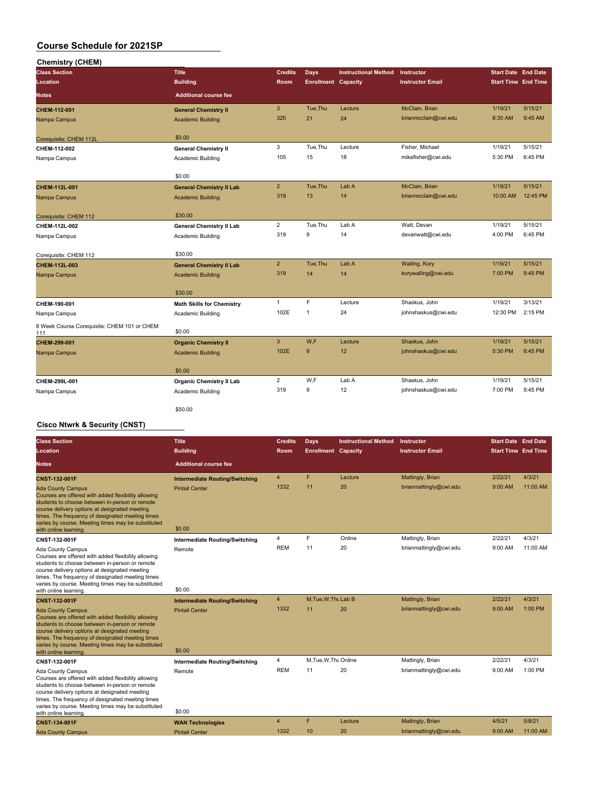| <b>Chemistry (CHEM)</b>                            |                                  |                |                            |                             |                         |                            |          |
|----------------------------------------------------|----------------------------------|----------------|----------------------------|-----------------------------|-------------------------|----------------------------|----------|
| <b>Class Section</b>                               | <b>Title</b>                     | <b>Credits</b> | <b>Days</b>                | <b>Instructional Method</b> | Instructor              | <b>Start Date End Date</b> |          |
| Location                                           | <b>Building</b>                  | Room           | <b>Enrollment Capacity</b> |                             | <b>Instructor Email</b> | <b>Start Time End Time</b> |          |
| <b>Notes</b>                                       | <b>Additional course fee</b>     |                |                            |                             |                         |                            |          |
| CHEM-112-001                                       | <b>General Chemistry II</b>      | $\mathbf{3}$   | Tue, Thu                   | Lecture                     | McClain, Brian          | 1/19/21                    | 5/15/21  |
| Nampa Campus                                       | <b>Academic Building</b>         | 320            | 21                         | 24                          | brianmcclain@cwi.edu    | 8:30 AM                    | 9:45 AM  |
| Corequisite: CHEM 112L                             | \$0.00                           |                |                            |                             |                         |                            |          |
| CHEM-112-002                                       | <b>General Chemistry II</b>      | 3              | Tue, Thu                   | Lecture                     | Fisher, Michael         | 1/19/21                    | 5/15/21  |
| Nampa Campus                                       | Academic Building                | 105            | 15                         | 18                          | mikefisher@cwi.edu      | 5:30 PM                    | 6:45 PM  |
|                                                    | \$0.00                           |                |                            |                             |                         |                            |          |
| CHEM-112L-001                                      | <b>General Chemistry II Lab</b>  | $\overline{2}$ | Tue, Thu                   | Lab A                       | McClain, Brian          | 1/19/21                    | 5/15/21  |
| Nampa Campus                                       | <b>Academic Building</b>         | 319            | 13                         | 14                          | brianmcclain@cwi.edu    | 10:00 AM                   | 12:45 PM |
| Corequisite: CHEM 112                              | \$30.00                          |                |                            |                             |                         |                            |          |
| CHEM-112L-002                                      | <b>General Chemistry II Lab</b>  | $\overline{2}$ | Tue, Thu                   | Lab A                       | Watt, Devan             | 1/19/21                    | 5/15/21  |
| Nampa Campus                                       | Academic Building                | 319            | 9                          | 14                          | devanwatt@cwi.edu       | 4:00 PM                    | 6:45 PM  |
| Corequisite: CHEM 112                              | \$30.00                          |                |                            |                             |                         |                            |          |
| CHEM-112L-003                                      | <b>General Chemistry II Lab</b>  | $\overline{2}$ | Tue, Thu                   | Lab A                       | Walling, Kory           | 1/19/21                    | 5/15/21  |
| Nampa Campus                                       | <b>Academic Building</b>         | 319            | 14                         | 14                          | korywalling@cwi.edu     | 7:00 PM                    | 9:45 PM  |
|                                                    | \$30.00                          |                |                            |                             |                         |                            |          |
| CHEM-190-001                                       | <b>Math Skills for Chemistry</b> | $\mathbf{1}$   | F                          | Lecture                     | Shaskus, John           | 1/19/21                    | 3/13/21  |
| Nampa Campus                                       | Academic Building                | 102E           | $\mathbf{1}$               | 24                          | johnshaskus@cwi.edu     | 12:30 PM                   | 2:15 PM  |
| 8 Week Course Corequisite: CHEM 101 or CHEM<br>111 | \$0.00                           |                |                            |                             |                         |                            |          |
| CHEM-299-001                                       | <b>Organic Chemistry II</b>      | $\mathbf{3}$   | W,F                        | Lecture                     | Shaskus, John           | 1/19/21                    | 5/15/21  |
| Nampa Campus                                       | <b>Academic Building</b>         | 102E           | 9                          | 12                          | johnshaskus@cwi.edu     | 5:30 PM                    | 6:45 PM  |
|                                                    | \$0.00                           |                |                            |                             |                         |                            |          |
| CHEM-299L-001                                      | <b>Organic Chemistry II Lab</b>  | $\overline{2}$ | W,F                        | Lab A                       | Shaskus, John           | 1/19/21                    | 5/15/21  |
| Nampa Campus                                       | Academic Building                | 319            | 9                          | 12                          | johnshaskus@cwi.edu     | 7:00 PM                    | 9:45 PM  |
|                                                    | \$50.00                          |                |                            |                             |                         |                            |          |

#### **Cisco Ntwrk & Security (CNST)**

| <b>Class Section</b>                                                                                                                                                                                                                                                                                                  | <b>Title</b>                          | <b>Credits</b>          | Days                       | <b>Instructional Method</b> | Instructor              | <b>Start Date End Date</b> |          |
|-----------------------------------------------------------------------------------------------------------------------------------------------------------------------------------------------------------------------------------------------------------------------------------------------------------------------|---------------------------------------|-------------------------|----------------------------|-----------------------------|-------------------------|----------------------------|----------|
| Location                                                                                                                                                                                                                                                                                                              | <b>Building</b>                       | <b>Room</b>             | <b>Enrollment Capacity</b> |                             | <b>Instructor Email</b> | <b>Start Time End Time</b> |          |
| <b>Notes</b>                                                                                                                                                                                                                                                                                                          | <b>Additional course fee</b>          |                         |                            |                             |                         |                            |          |
| <b>CNST-132-001F</b>                                                                                                                                                                                                                                                                                                  | <b>Intermediate Routing/Switching</b> | $\overline{4}$          | F                          | Lecture                     | Mattingly, Brian        | 2/22/21                    | 4/3/21   |
| <b>Ada County Campus</b><br>Courses are offered with added flexibility allowing<br>students to choose between in-person or remote<br>course delivery options at designated meeting<br>times. The frequency of designated meeting times<br>varies by course. Meeting times may be substituted<br>with online learning. | <b>Pintail Center</b><br>\$0.00       | 1332                    | 11                         | 20                          | brianmattingly@cwi.edu  | 9:00 AM                    | 11:00 AM |
| CNST-132-001F                                                                                                                                                                                                                                                                                                         | <b>Intermediate Routing/Switching</b> | $\overline{4}$          | F                          | Online                      | Mattingly, Brian        | 2/22/21                    | 4/3/21   |
| Ada County Campus<br>Courses are offered with added flexibility allowing<br>students to choose between in-person or remote<br>course delivery options at designated meeting<br>times. The frequency of designated meeting times<br>varies by course. Meeting times may be substituted<br>with online learning.        | Remote<br>\$0.00                      | <b>REM</b>              | 11                         | 20                          | brianmattingly@cwi.edu  | 9:00 AM                    | 11:00 AM |
| <b>CNST-132-001F</b>                                                                                                                                                                                                                                                                                                  | <b>Intermediate Routing/Switching</b> | $\overline{4}$          | M, Tue, W, Thu Lab B       |                             | Mattingly, Brian        | 2/22/21                    | 4/3/21   |
| <b>Ada County Campus</b><br>Courses are offered with added flexibility allowing<br>students to choose between in-person or remote<br>course delivery options at designated meeting<br>times. The frequency of designated meeting times<br>varies by course. Meeting times may be substituted<br>with online learning. | <b>Pintail Center</b><br>\$0.00       | 1332                    | 11                         | 20                          | brianmattingly@cwi.edu  | 9:00 AM                    | 1:00 PM  |
| <b>CNST-132-001F</b>                                                                                                                                                                                                                                                                                                  | <b>Intermediate Routing/Switching</b> | 4                       | M, Tue, W, Thu Online      |                             | Mattingly, Brian        | 2/22/21                    | 4/3/21   |
| Ada County Campus<br>Courses are offered with added flexibility allowing<br>students to choose between in-person or remote<br>course delivery options at designated meeting<br>times. The frequency of designated meeting times<br>varies by course. Meeting times may be substituted<br>with online learning.        | Remote<br>\$0.00                      | <b>REM</b>              | 11                         | 20                          | brianmattingly@cwi.edu  | 9:00 AM                    | 1:00 PM  |
| <b>CNST-134-001F</b>                                                                                                                                                                                                                                                                                                  | <b>WAN Technologies</b>               | $\overline{\mathbf{A}}$ | F                          | Lecture                     | Mattingly, Brian        | 4/5/21                     | 5/8/21   |
| <b>Ada County Campus</b>                                                                                                                                                                                                                                                                                              | <b>Pintail Center</b>                 | 1332                    | 10                         | 20                          | brianmattingly@cwi.edu  | 9:00 AM                    | 11:00 AM |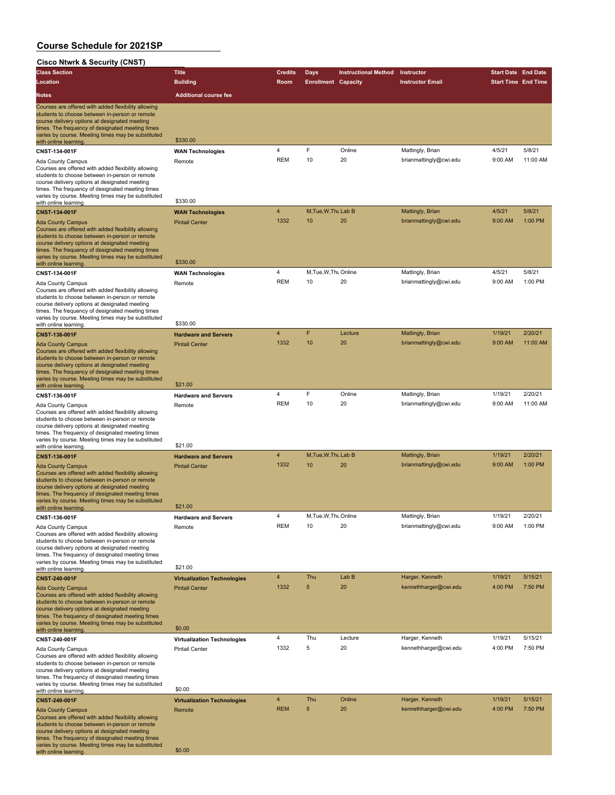| Cisco Ntwrk & Security (CNST) |  |  |  |  |
|-------------------------------|--|--|--|--|
|-------------------------------|--|--|--|--|

| UISCU NUVIN OS OUGHILY (                                                                                                                                                                                                                                                                                                        | <b>Title</b>                                                    | <b>Credits</b>          |                            |                             | Instructor                                 |                            |                    |
|---------------------------------------------------------------------------------------------------------------------------------------------------------------------------------------------------------------------------------------------------------------------------------------------------------------------------------|-----------------------------------------------------------------|-------------------------|----------------------------|-----------------------------|--------------------------------------------|----------------------------|--------------------|
| <b>Class Section</b>                                                                                                                                                                                                                                                                                                            |                                                                 |                         | Days                       | <b>Instructional Method</b> |                                            | <b>Start Date End Date</b> |                    |
| Location                                                                                                                                                                                                                                                                                                                        | <b>Building</b>                                                 | Room                    | <b>Enrollment Capacity</b> |                             | <b>Instructor Email</b>                    | <b>Start Time End Time</b> |                    |
| Notes                                                                                                                                                                                                                                                                                                                           | <b>Additional course fee</b>                                    |                         |                            |                             |                                            |                            |                    |
| Courses are offered with added flexibility allowing<br>students to choose between in-person or remote<br>course delivery options at designated meeting<br>times. The frequency of designated meeting times                                                                                                                      |                                                                 |                         |                            |                             |                                            |                            |                    |
| varies by course. Meeting times may be substituted<br>with online learning.                                                                                                                                                                                                                                                     | \$330.00                                                        |                         |                            |                             |                                            |                            |                    |
| CNST-134-001F                                                                                                                                                                                                                                                                                                                   | <b>WAN Technologies</b>                                         | 4                       | F                          | Online                      | Mattingly, Brian                           | 4/5/21                     | 5/8/21             |
| Ada County Campus                                                                                                                                                                                                                                                                                                               | Remote                                                          | <b>REM</b>              | 10                         | 20                          | brianmattingly@cwi.edu                     | 9:00 AM                    | 11:00 AM           |
| Courses are offered with added flexibility allowing<br>students to choose between in-person or remote<br>course delivery options at designated meeting<br>times. The frequency of designated meeting times<br>varies by course. Meeting times may be substituted                                                                |                                                                 |                         |                            |                             |                                            |                            |                    |
| with online learning.                                                                                                                                                                                                                                                                                                           | \$330.00                                                        |                         |                            |                             |                                            |                            |                    |
| <b>CNST-134-001F</b>                                                                                                                                                                                                                                                                                                            | <b>WAN Technologies</b>                                         | $\overline{4}$          | M, Tue, W, Thu Lab B       |                             | Mattingly, Brian                           | 4/5/21                     | 5/8/21             |
| <b>Ada County Campus</b><br>Courses are offered with added flexibility allowing<br>students to choose between in-person or remote<br>course delivery options at designated meeting<br>times. The frequency of designated meeting times<br>varies by course. Meeting times may be substituted                                    | <b>Pintail Center</b>                                           | 1332                    | 10                         | 20                          | brianmattingly@cwi.edu                     | 9:00 AM                    | 1:00 PM            |
| with online learning                                                                                                                                                                                                                                                                                                            | \$330.00                                                        |                         |                            |                             |                                            |                            |                    |
| CNST-134-001F                                                                                                                                                                                                                                                                                                                   | <b>WAN Technologies</b>                                         | $\overline{\mathbf{4}}$ | M, Tue, W, Thu Online      |                             | Mattingly, Brian                           | 4/5/21                     | 5/8/21             |
| Ada County Campus<br>Courses are offered with added flexibility allowing<br>students to choose between in-person or remote<br>course delivery options at designated meeting<br>times. The frequency of designated meeting times<br>varies by course. Meeting times may be substituted<br>with online learning.                  | Remote<br>\$330.00                                              | <b>REM</b>              | 10                         | 20                          | brianmattingly@cwi.edu                     | 9:00 AM                    | 1:00 PM            |
| <b>CNST-136-001F</b>                                                                                                                                                                                                                                                                                                            | <b>Hardware and Servers</b>                                     | $\overline{4}$          | F                          | Lecture                     | Mattingly, Brian                           | 1/19/21                    | 2/20/21            |
| <b>Ada County Campus</b><br>Courses are offered with added flexibility allowing<br>students to choose between in-person or remote<br>course delivery options at designated meeting<br>times. The frequency of designated meeting times<br>varies by course. Meeting times may be substituted                                    | <b>Pintail Center</b>                                           | 1332                    | 10                         | 20                          | brianmattingly@cwi.edu                     | 9:00 AM                    | 11:00 AM           |
| with online learning.                                                                                                                                                                                                                                                                                                           | \$21.00                                                         |                         |                            |                             |                                            |                            |                    |
| CNST-136-001F                                                                                                                                                                                                                                                                                                                   | <b>Hardware and Servers</b>                                     | 4                       | F                          | Online                      | Mattingly, Brian                           | 1/19/21                    | 2/20/21            |
| Ada County Campus<br>Courses are offered with added flexibility allowing<br>students to choose between in-person or remote<br>course delivery options at designated meeting<br>times. The frequency of designated meeting times<br>varies by course. Meeting times may be substituted                                           | Remote                                                          | <b>REM</b>              | 10                         | 20                          | brianmattingly@cwi.edu                     | 9:00 AM                    | 11:00 AM           |
| with online learning.                                                                                                                                                                                                                                                                                                           | \$21.00                                                         | $\overline{4}$          | M, Tue, W, Thu Lab B       |                             |                                            | 1/19/21                    | 2/20/21            |
| <b>CNST-136-001F</b><br><b>Ada County Campus</b><br>Courses are offered with added flexibility allowing<br>students to choose between in-person or remote<br>course delivery options at designated meeting<br>times. The frequency of designated meeting times<br>varies by course. Meeting times may be substituted            | <b>Hardware and Servers</b><br><b>Pintail Center</b><br>\$21.00 | 1332                    | 10                         | 20                          | Mattingly, Brian<br>brianmattingly@cwi.edu | 9:00 AM                    | 1:00 PM            |
| with online learning                                                                                                                                                                                                                                                                                                            |                                                                 |                         |                            |                             |                                            |                            |                    |
| CNST-136-001F<br>Ada County Campus<br>Courses are offered with added flexibility allowing<br>students to choose between in-person or remote<br>course delivery options at designated meeting<br>times. The frequency of designated meeting times<br>varies by course. Meeting times may be substituted<br>with online learning. | <b>Hardware and Servers</b><br>Remote<br>\$21.00                | <b>REM</b>              | M,Tue,W,Thu Online<br>10   | 20                          | Mattingly, Brian<br>brianmattingly@cwi.edu | 1/19/21<br>9:00 AM         | 2/20/21<br>1:00 PM |
| <b>CNST-240-001F</b>                                                                                                                                                                                                                                                                                                            | <b>Virtualization Technologies</b>                              | 4                       | Thu                        | Lab B                       | Harger, Kenneth                            | 1/19/21                    | 5/15/21            |
| <b>Ada County Campus</b><br>Courses are offered with added flexibility allowing<br>students to choose between in-person or remote<br>course delivery options at designated meeting<br>times. The frequency of designated meeting times<br>varies by course. Meeting times may be substituted<br>with online learning.           | <b>Pintail Center</b><br>\$0.00                                 | 1332                    | 5                          | 20                          | kennethharger@cwi.edu                      | 4:00 PM                    | 7:50 PM            |
| CNST-240-001F                                                                                                                                                                                                                                                                                                                   | <b>Virtualization Technologies</b>                              | 4                       | Thu                        | Lecture                     | Harger, Kenneth                            | 1/19/21                    | 5/15/21            |
| Ada County Campus<br>Courses are offered with added flexibility allowing<br>students to choose between in-person or remote<br>course delivery options at designated meeting<br>times. The frequency of designated meeting times<br>varies by course. Meeting times may be substituted<br>with online learning.                  | <b>Pintail Center</b><br>\$0.00                                 | 1332                    | 5                          | 20                          | kennethharger@cwi.edu                      | 4:00 PM                    | 7:50 PM            |
| <b>CNST-240-001F</b>                                                                                                                                                                                                                                                                                                            | <b>Virtualization Technologies</b>                              | $\overline{4}$          | Thu                        | Online                      | Harger, Kenneth                            | 1/19/21                    | 5/15/21            |
| <b>Ada County Campus</b><br>Courses are offered with added flexibility allowing<br>students to choose between in-person or remote<br>course delivery options at designated meeting<br>times. The frequency of designated meeting times<br>varies by course. Meeting times may be substituted<br>with online learning.           | Remote<br>\$0.00                                                | <b>REM</b>              | 5                          | 20                          | kennethharger@cwi.edu                      | 4:00 PM                    | 7:50 PM            |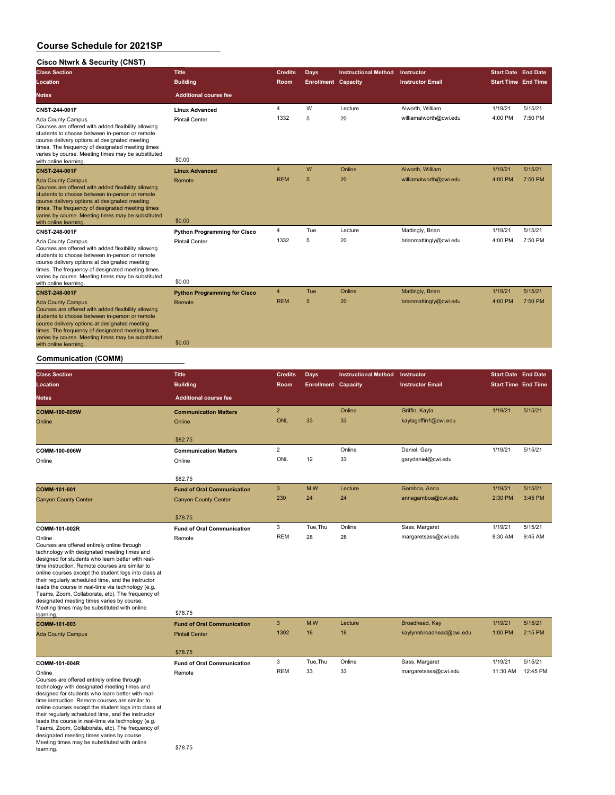#### **Cisco Ntwrk & Security (CNST)**

| <b>Class Section</b><br>Location                                                                                                                                                                                                                                                             | <b>Title</b><br><b>Building</b>                              | <b>Credits</b><br>Room | Days<br><b>Enrollment Capacity</b> | <b>Instructional Method</b>            | Instructor<br><b>Instructor Email</b>      | <b>Start Date End Date</b><br><b>Start Time End Time</b> |                    |
|----------------------------------------------------------------------------------------------------------------------------------------------------------------------------------------------------------------------------------------------------------------------------------------------|--------------------------------------------------------------|------------------------|------------------------------------|----------------------------------------|--------------------------------------------|----------------------------------------------------------|--------------------|
| Notes                                                                                                                                                                                                                                                                                        | <b>Additional course fee</b>                                 |                        |                                    |                                        |                                            |                                                          |                    |
| CNST-244-001F<br>Ada County Campus                                                                                                                                                                                                                                                           | <b>Linux Advanced</b><br><b>Pintail Center</b>               | 4<br>1332              | W<br>5                             | Lecture<br>20                          | Alworth, William<br>williamalworth@cwi.edu | 1/19/21<br>4:00 PM                                       | 5/15/21<br>7:50 PM |
| Courses are offered with added flexibility allowing<br>students to choose between in-person or remote<br>course delivery options at designated meeting<br>times. The frequency of designated meeting times<br>varies by course. Meeting times may be substituted                             | \$0.00                                                       |                        |                                    |                                        |                                            |                                                          |                    |
| with online learning.<br><b>CNST-244-001F</b>                                                                                                                                                                                                                                                | <b>Linux Advanced</b>                                        | $\overline{4}$         | W                                  | Online                                 | Alworth, William                           | 1/19/21                                                  | 5/15/21            |
| <b>Ada County Campus</b>                                                                                                                                                                                                                                                                     | Remote                                                       | <b>REM</b>             | 5                                  | 20                                     | williamalworth@cwi.edu                     | 4:00 PM                                                  | 7:50 PM            |
| Courses are offered with added flexibility allowing<br>students to choose between in-person or remote<br>course delivery options at designated meeting<br>times. The frequency of designated meeting times<br>varies by course. Meeting times may be substituted                             | \$0.00                                                       |                        |                                    |                                        |                                            |                                                          |                    |
| with online learning.                                                                                                                                                                                                                                                                        |                                                              | 4                      | Tue                                | Lecture                                | Mattingly, Brian                           | 1/19/21                                                  | 5/15/21            |
| <b>CNST-248-001F</b><br>Ada County Campus                                                                                                                                                                                                                                                    | <b>Python Programming for Cisco</b><br><b>Pintail Center</b> | 1332                   | 5                                  | 20                                     | brianmattingly@cwi.edu                     | 4:00 PM                                                  | 7:50 PM            |
| Courses are offered with added flexibility allowing<br>students to choose between in-person or remote<br>course delivery options at designated meeting<br>times. The frequency of designated meeting times<br>varies by course. Meeting times may be substituted                             |                                                              |                        |                                    |                                        |                                            |                                                          |                    |
| with online learning.                                                                                                                                                                                                                                                                        | \$0.00                                                       |                        |                                    |                                        |                                            |                                                          |                    |
| <b>CNST-248-001F</b>                                                                                                                                                                                                                                                                         | <b>Python Programming for Cisco</b>                          | 4<br><b>REM</b>        | Tue<br>5                           | Online<br>20                           | Mattingly, Brian<br>brianmattingly@cwi.edu | 1/19/21<br>4:00 PM                                       | 5/15/21<br>7:50 PM |
| <b>Ada County Campus</b><br>Courses are offered with added flexibility allowing<br>students to choose between in-person or remote<br>course delivery options at designated meeting<br>times. The frequency of designated meeting times<br>varies by course. Meeting times may be substituted | Remote                                                       |                        |                                    |                                        |                                            |                                                          |                    |
| with online learning.                                                                                                                                                                                                                                                                        | \$0.00                                                       |                        |                                    |                                        |                                            |                                                          |                    |
| <b>Communication (COMM)</b>                                                                                                                                                                                                                                                                  |                                                              |                        |                                    |                                        |                                            |                                                          |                    |
| <b>Class Section</b>                                                                                                                                                                                                                                                                         | <b>Title</b>                                                 | <b>Credits</b>         | <b>Days</b>                        | <b>Instructional Method Instructor</b> |                                            | <b>Start Date End Date</b>                               |                    |
|                                                                                                                                                                                                                                                                                              |                                                              |                        |                                    |                                        |                                            |                                                          |                    |

| Location                                                                                                                                                                                                                                                                                                                                                                                                                                                                                                                                         | <b>Building</b>                   | Room           | <b>Enrollment Capacity</b> |         | <b>Instructor Email</b>  | <b>Start Time End Time</b> |          |
|--------------------------------------------------------------------------------------------------------------------------------------------------------------------------------------------------------------------------------------------------------------------------------------------------------------------------------------------------------------------------------------------------------------------------------------------------------------------------------------------------------------------------------------------------|-----------------------------------|----------------|----------------------------|---------|--------------------------|----------------------------|----------|
| <b>Notes</b>                                                                                                                                                                                                                                                                                                                                                                                                                                                                                                                                     | <b>Additional course fee</b>      |                |                            |         |                          |                            |          |
| COMM-100-005W                                                                                                                                                                                                                                                                                                                                                                                                                                                                                                                                    | <b>Communication Matters</b>      | $\overline{2}$ |                            | Online  | Griffin, Kayla           | 1/19/21                    | 5/15/21  |
| Online                                                                                                                                                                                                                                                                                                                                                                                                                                                                                                                                           | Online                            | <b>ONL</b>     | 33                         | 33      | kaylagriffin1@cwi.edu    |                            |          |
|                                                                                                                                                                                                                                                                                                                                                                                                                                                                                                                                                  | \$82.75                           |                |                            |         |                          |                            |          |
| COMM-100-006W                                                                                                                                                                                                                                                                                                                                                                                                                                                                                                                                    | <b>Communication Matters</b>      | $\overline{2}$ |                            | Online  | Daniel, Gary             | 1/19/21                    | 5/15/21  |
| Online                                                                                                                                                                                                                                                                                                                                                                                                                                                                                                                                           | Online                            | <b>ONL</b>     | 12                         | 33      | garydaniel@cwi.edu       |                            |          |
|                                                                                                                                                                                                                                                                                                                                                                                                                                                                                                                                                  | \$82.75                           |                |                            |         |                          |                            |          |
| COMM-101-001                                                                                                                                                                                                                                                                                                                                                                                                                                                                                                                                     | <b>Fund of Oral Communication</b> | 3              | M.W                        | Lecture | Gamboa, Anna             | 1/19/21                    | 5/15/21  |
| <b>Canyon County Center</b>                                                                                                                                                                                                                                                                                                                                                                                                                                                                                                                      | <b>Canyon County Center</b>       | 230            | 24                         | 24      | annagamboa@cwi.edu       | 2:30 PM                    | 3:45 PM  |
|                                                                                                                                                                                                                                                                                                                                                                                                                                                                                                                                                  | \$78.75                           |                |                            |         |                          |                            |          |
| COMM-101-002R                                                                                                                                                                                                                                                                                                                                                                                                                                                                                                                                    | <b>Fund of Oral Communication</b> | 3              | Tue.Thu                    | Online  | Sass, Margaret           | 1/19/21                    | 5/15/21  |
| Online<br>Courses are offered entirely online through<br>technology with designated meeting times and<br>designed for students who learn better with real-<br>time instruction. Remote courses are similar to<br>online courses except the student logs into class at<br>their regularly scheduled time, and the instructor<br>leads the course in real-time via technology (e.g.<br>Teams, Zoom, Collaborate, etc). The frequency of<br>designated meeting times varies by course.<br>Meeting times may be substituted with online<br>learning. | Remote<br>\$78.75                 | <b>REM</b>     | 28                         | 28      | margaretsass@cwi.edu     | 8:30 AM                    | 9:45 AM  |
| COMM-101-003                                                                                                                                                                                                                                                                                                                                                                                                                                                                                                                                     | <b>Fund of Oral Communication</b> | 3              | M,W                        | Lecture | Broadhead, Kay           | 1/19/21                    | 5/15/21  |
| <b>Ada County Campus</b>                                                                                                                                                                                                                                                                                                                                                                                                                                                                                                                         | <b>Pintail Center</b>             | 1302           | 18                         | 18      | kaylynnbroadhead@cwi.edu | 1:00 PM                    | 2:15 PM  |
|                                                                                                                                                                                                                                                                                                                                                                                                                                                                                                                                                  | \$78.75                           |                |                            |         |                          |                            |          |
| COMM-101-004R                                                                                                                                                                                                                                                                                                                                                                                                                                                                                                                                    | <b>Fund of Oral Communication</b> | 3              | Tue, Thu                   | Online  | Sass, Margaret           | 1/19/21                    | 5/15/21  |
| Online<br>Courses are offered entirely online through<br>technology with designated meeting times and<br>designed for students who learn better with real-<br>time instruction. Remote courses are similar to<br>online courses except the student logs into class at<br>their regularly scheduled time, and the instructor<br>leads the course in real-time via technology (e.g.<br>Teams, Zoom, Collaborate, etc). The frequency of<br>designated meeting times varies by course.<br>Meeting times may be substituted with online<br>learning. | Remote<br>\$78.75                 | <b>REM</b>     | 33                         | 33      | margaretsass@cwi.edu     | 11:30 AM                   | 12:45 PM |
|                                                                                                                                                                                                                                                                                                                                                                                                                                                                                                                                                  |                                   |                |                            |         |                          |                            |          |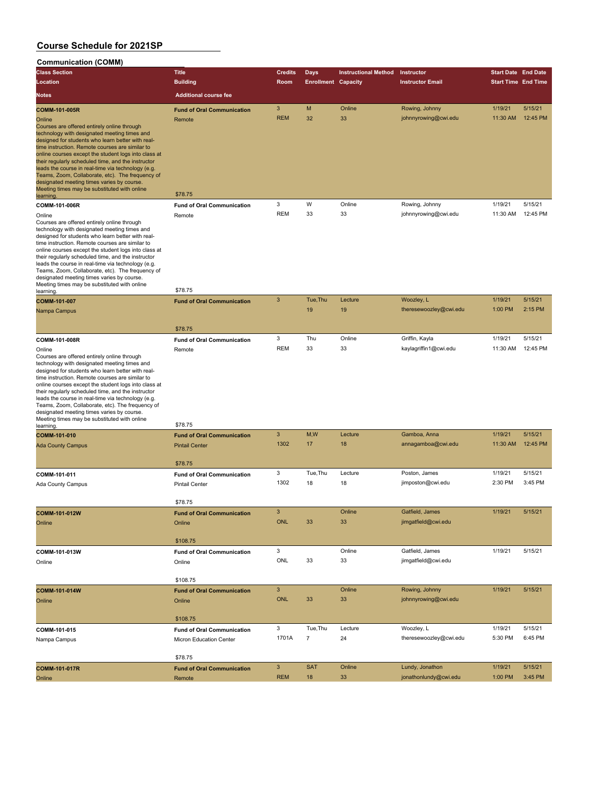| <b>Communication (COMM)</b>                                                                                                                                                                                                                                                                                                                                                                                                                                                                                                            |                                             |                 |                            |                             |                                         |                            |                     |
|----------------------------------------------------------------------------------------------------------------------------------------------------------------------------------------------------------------------------------------------------------------------------------------------------------------------------------------------------------------------------------------------------------------------------------------------------------------------------------------------------------------------------------------|---------------------------------------------|-----------------|----------------------------|-----------------------------|-----------------------------------------|----------------------------|---------------------|
| <b>Class Section</b>                                                                                                                                                                                                                                                                                                                                                                                                                                                                                                                   | <b>Title</b>                                | <b>Credits</b>  | Days                       | <b>Instructional Method</b> | Instructor                              | <b>Start Date End Date</b> |                     |
| Location                                                                                                                                                                                                                                                                                                                                                                                                                                                                                                                               | <b>Building</b>                             | Room            | <b>Enrollment Capacity</b> |                             | <b>Instructor Email</b>                 | <b>Start Time End Time</b> |                     |
| <b>Notes</b>                                                                                                                                                                                                                                                                                                                                                                                                                                                                                                                           | <b>Additional course fee</b>                |                 |                            |                             |                                         |                            |                     |
| <b>COMM-101-005R</b>                                                                                                                                                                                                                                                                                                                                                                                                                                                                                                                   | <b>Fund of Oral Communication</b>           | 3               | M                          | Online                      | Rowing, Johnny                          | 1/19/21                    | 5/15/21             |
| Online<br>Courses are offered entirely online through<br>technology with designated meeting times and<br>designed for students who learn better with real-<br>time instruction. Remote courses are similar to<br>online courses except the student logs into class at<br>their regularly scheduled time, and the instructor<br>leads the course in real-time via technology (e.g.<br>Teams, Zoom, Collaborate, etc). The frequency of<br>designated meeting times varies by course.<br>Meeting times may be substituted with online    | Remote                                      | <b>REM</b>      | 32                         | 33                          | johnnyrowing@cwi.edu                    | 11:30 AM                   | 12:45 PM            |
| learning.                                                                                                                                                                                                                                                                                                                                                                                                                                                                                                                              | \$78.75                                     |                 |                            |                             |                                         |                            |                     |
| COMM-101-006R<br>Online<br>Courses are offered entirely online through<br>technology with designated meeting times and                                                                                                                                                                                                                                                                                                                                                                                                                 | <b>Fund of Oral Communication</b><br>Remote | 3<br><b>REM</b> | W<br>33                    | Online<br>33                | Rowing, Johnny<br>johnnyrowing@cwi.edu  | 1/19/21<br>11:30 AM        | 5/15/21<br>12:45 PM |
| designed for students who learn better with real-<br>time instruction. Remote courses are similar to<br>online courses except the student logs into class at<br>their regularly scheduled time, and the instructor<br>leads the course in real-time via technology (e.g.<br>Teams, Zoom, Collaborate, etc). The frequency of<br>designated meeting times varies by course.<br>Meeting times may be substituted with online                                                                                                             | \$78.75                                     |                 |                            |                             |                                         |                            |                     |
| learning                                                                                                                                                                                                                                                                                                                                                                                                                                                                                                                               |                                             | $\mathbf{3}$    | Tue, Thu                   | Lecture                     | Woozley, L                              | 1/19/21                    | 5/15/21             |
| COMM-101-007<br>Nampa Campus                                                                                                                                                                                                                                                                                                                                                                                                                                                                                                           | <b>Fund of Oral Communication</b>           |                 | 19                         | 19                          | theresewoozley@cwi.edu                  | 1:00 PM                    | 2:15 PM             |
|                                                                                                                                                                                                                                                                                                                                                                                                                                                                                                                                        | \$78.75                                     |                 |                            |                             |                                         |                            |                     |
| COMM-101-008R                                                                                                                                                                                                                                                                                                                                                                                                                                                                                                                          | <b>Fund of Oral Communication</b>           | 3<br><b>REM</b> | Thu<br>33                  | Online<br>33                | Griffin, Kayla<br>kaylagriffin1@cwi.edu | 1/19/21<br>11:30 AM        | 5/15/21<br>12:45 PM |
| Courses are offered entirely online through<br>technology with designated meeting times and<br>designed for students who learn better with real-<br>time instruction. Remote courses are similar to<br>online courses except the student logs into class at<br>their regularly scheduled time, and the instructor<br>leads the course in real-time via technology (e.g.<br>Teams, Zoom, Collaborate, etc). The frequency of<br>designated meeting times varies by course.<br>Meeting times may be substituted with online<br>learning. | \$78.75                                     |                 |                            |                             |                                         |                            |                     |
| COMM-101-010                                                                                                                                                                                                                                                                                                                                                                                                                                                                                                                           | <b>Fund of Oral Communication</b>           | 3               | M,W                        | Lecture                     | Gamboa, Anna                            | 1/19/21                    | 5/15/21             |
| <b>Ada County Campus</b>                                                                                                                                                                                                                                                                                                                                                                                                                                                                                                               | <b>Pintail Center</b>                       | 1302            | 17                         | 18                          | annagamboa@cwi.edu                      | 11:30 AM                   | 12:45 PM            |
|                                                                                                                                                                                                                                                                                                                                                                                                                                                                                                                                        | \$78.75                                     |                 |                            |                             |                                         |                            |                     |
| COMM-101-011                                                                                                                                                                                                                                                                                                                                                                                                                                                                                                                           | <b>Fund of Oral Communication</b>           | 3               | Tue, Thu                   | Lecture                     | Poston, James                           | 1/19/21                    | 5/15/21             |
| <b>Ada County Campus</b>                                                                                                                                                                                                                                                                                                                                                                                                                                                                                                               | <b>Pintail Center</b><br>\$78.75            | 1302            | 18                         | 18                          | jimposton@cwi.edu                       | 2:30 PM                    | 3:45 PM             |
| COMM-101-012W                                                                                                                                                                                                                                                                                                                                                                                                                                                                                                                          | <b>Fund of Oral Communication</b>           | 3               |                            | Online                      | Gatfield, James                         | 1/19/21                    | 5/15/21             |
| Online                                                                                                                                                                                                                                                                                                                                                                                                                                                                                                                                 | Online                                      | <b>ONL</b>      | 33                         | 33                          | jimgatfield@cwi.edu                     |                            |                     |
|                                                                                                                                                                                                                                                                                                                                                                                                                                                                                                                                        | \$108.75                                    |                 |                            | Online                      |                                         |                            | 5/15/21             |
| COMM-101-013W                                                                                                                                                                                                                                                                                                                                                                                                                                                                                                                          | <b>Fund of Oral Communication</b>           | 3<br>ONL        | 33                         | 33                          | Gatfield, James<br>jimgatfield@cwi.edu  | 1/19/21                    |                     |
| Online                                                                                                                                                                                                                                                                                                                                                                                                                                                                                                                                 | Online<br>\$108.75                          |                 |                            |                             |                                         |                            |                     |
| COMM-101-014W                                                                                                                                                                                                                                                                                                                                                                                                                                                                                                                          | <b>Fund of Oral Communication</b>           | $\mathbf{3}$    |                            | Online                      | Rowing, Johnny                          | 1/19/21                    | 5/15/21             |
| Online                                                                                                                                                                                                                                                                                                                                                                                                                                                                                                                                 | Online                                      | <b>ONL</b>      | 33                         | 33                          | johnnyrowing@cwi.edu                    |                            |                     |
|                                                                                                                                                                                                                                                                                                                                                                                                                                                                                                                                        | \$108.75                                    |                 |                            |                             |                                         |                            |                     |
| COMM-101-015                                                                                                                                                                                                                                                                                                                                                                                                                                                                                                                           | <b>Fund of Oral Communication</b>           | 3<br>1701A      | Tue, Thu<br>$\overline{7}$ | Lecture<br>24               | Woozley, L<br>theresewoozley@cwi.edu    | 1/19/21<br>5:30 PM         | 5/15/21<br>6:45 PM  |
| Nampa Campus                                                                                                                                                                                                                                                                                                                                                                                                                                                                                                                           | Micron Education Center<br>\$78.75          |                 |                            |                             |                                         |                            |                     |
| COMM-101-017R                                                                                                                                                                                                                                                                                                                                                                                                                                                                                                                          | <b>Fund of Oral Communication</b>           | 3               | <b>SAT</b>                 | Online                      | Lundy, Jonathon                         | 1/19/21                    | 5/15/21             |
| Online                                                                                                                                                                                                                                                                                                                                                                                                                                                                                                                                 | Remote                                      | <b>REM</b>      | 18                         | 33                          | jonathonlundy@cwi.edu                   | 1:00 PM                    | 3:45 PM             |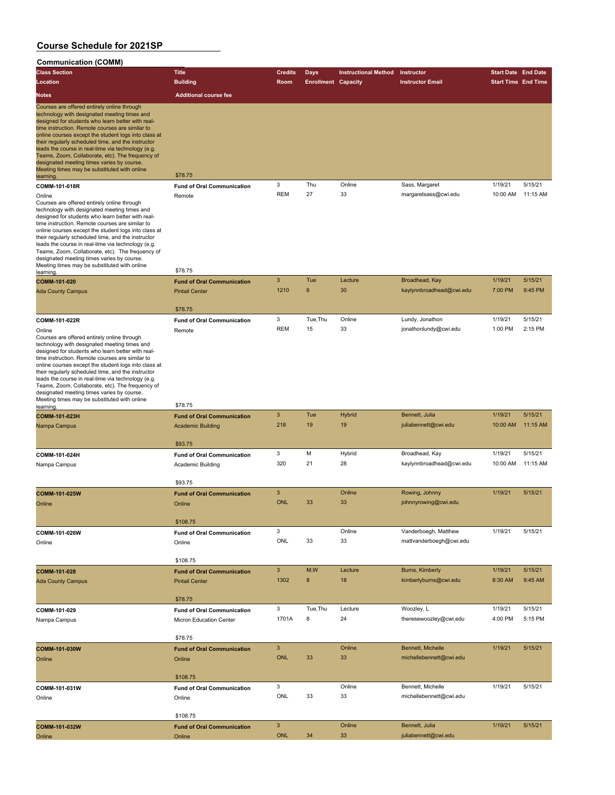| <b>Communication (COMM)</b> |  |  |
|-----------------------------|--|--|

| Communication (COMM)                                                                                                                                                                                                                                                                                                                                                                                                                                                                                                                                              |                                                               |                 |                            |                             |                                                 |                            |                     |
|-------------------------------------------------------------------------------------------------------------------------------------------------------------------------------------------------------------------------------------------------------------------------------------------------------------------------------------------------------------------------------------------------------------------------------------------------------------------------------------------------------------------------------------------------------------------|---------------------------------------------------------------|-----------------|----------------------------|-----------------------------|-------------------------------------------------|----------------------------|---------------------|
| <b>Class Section</b>                                                                                                                                                                                                                                                                                                                                                                                                                                                                                                                                              | <b>Title</b>                                                  | <b>Credits</b>  | <b>Days</b>                | <b>Instructional Method</b> | Instructor                                      | <b>Start Date End Date</b> |                     |
| Location                                                                                                                                                                                                                                                                                                                                                                                                                                                                                                                                                          | <b>Building</b>                                               | Room            | <b>Enrollment Capacity</b> |                             | <b>Instructor Email</b>                         | <b>Start Time End Time</b> |                     |
| <b>Notes</b>                                                                                                                                                                                                                                                                                                                                                                                                                                                                                                                                                      | <b>Additional course fee</b>                                  |                 |                            |                             |                                                 |                            |                     |
|                                                                                                                                                                                                                                                                                                                                                                                                                                                                                                                                                                   |                                                               |                 |                            |                             |                                                 |                            |                     |
| Courses are offered entirely online through<br>technology with designated meeting times and<br>designed for students who learn better with real-<br>time instruction. Remote courses are similar to<br>online courses except the student logs into class at<br>their regularly scheduled time, and the instructor<br>leads the course in real-time via technology (e.g.<br>Teams, Zoom, Collaborate, etc). The frequency of<br>designated meeting times varies by course.<br>Meeting times may be substituted with online<br>learning                             | \$78.75                                                       |                 |                            |                             |                                                 |                            |                     |
|                                                                                                                                                                                                                                                                                                                                                                                                                                                                                                                                                                   | <b>Fund of Oral Communication</b>                             | 3               | Thu                        | Online                      | Sass, Margaret                                  | 1/19/21                    | 5/15/21             |
| COMM-101-018R<br>Online<br>Courses are offered entirely online through<br>technology with designated meeting times and<br>designed for students who learn better with real-<br>time instruction. Remote courses are similar to<br>online courses except the student logs into class at<br>their regularly scheduled time, and the instructor<br>leads the course in real-time via technology (e.g.<br>Teams, Zoom, Collaborate, etc). The frequency of<br>designated meeting times varies by course.<br>Meeting times may be substituted with online<br>learning. | Remote<br>\$78.75                                             | <b>REM</b>      | 27                         | 33                          | margaretsass@cwi.edu                            | 10:00 AM                   | 11:15 AM            |
| COMM-101-020                                                                                                                                                                                                                                                                                                                                                                                                                                                                                                                                                      | <b>Fund of Oral Communication</b>                             | 3               | Tue                        | Lecture                     | Broadhead, Kay                                  | 1/19/21                    | 5/15/21             |
| <b>Ada County Campus</b>                                                                                                                                                                                                                                                                                                                                                                                                                                                                                                                                          | <b>Pintail Center</b>                                         | 1210            | 6                          | 30                          | kaylynnbroadhead@cwi.edu                        | 7:00 PM                    | 9:45 PM             |
|                                                                                                                                                                                                                                                                                                                                                                                                                                                                                                                                                                   |                                                               |                 |                            |                             |                                                 |                            |                     |
|                                                                                                                                                                                                                                                                                                                                                                                                                                                                                                                                                                   | \$78.75                                                       |                 |                            |                             |                                                 |                            |                     |
| COMM-101-022R                                                                                                                                                                                                                                                                                                                                                                                                                                                                                                                                                     | <b>Fund of Oral Communication</b>                             | 3               | Tue, Thu                   | Online                      | Lundy, Jonathon                                 | 1/19/21                    | 5/15/21             |
| Online<br>Courses are offered entirely online through<br>technology with designated meeting times and<br>designed for students who learn better with real-<br>time instruction. Remote courses are similar to<br>online courses except the student logs into class at<br>their regularly scheduled time, and the instructor<br>leads the course in real-time via technology (e.g.<br>Teams, Zoom, Collaborate, etc). The frequency of<br>designated meeting times varies by course.<br>Meeting times may be substituted with online                               | Remote                                                        | <b>REM</b>      | 15                         | 33                          | jonathonlundy@cwi.edu                           | 1:00 PM                    | 2:15 PM             |
| learning.                                                                                                                                                                                                                                                                                                                                                                                                                                                                                                                                                         | \$78.75                                                       |                 |                            |                             |                                                 |                            |                     |
| COMM-101-023H<br>Nampa Campus                                                                                                                                                                                                                                                                                                                                                                                                                                                                                                                                     | <b>Fund of Oral Communication</b><br><b>Academic Building</b> | 3<br>218        | Tue<br>19                  | Hybrid<br>19                | Bennett, Julia<br>juliabennett@cwi.edu          | 1/19/21<br>10:00 AM        | 5/15/21<br>11:15 AM |
|                                                                                                                                                                                                                                                                                                                                                                                                                                                                                                                                                                   | \$93.75                                                       |                 |                            |                             |                                                 |                            |                     |
| COMM-101-024H                                                                                                                                                                                                                                                                                                                                                                                                                                                                                                                                                     | <b>Fund of Oral Communication</b>                             | 3               | М                          | Hybrid                      | Broadhead, Kay                                  | 1/19/21                    | 5/15/21             |
| Nampa Campus                                                                                                                                                                                                                                                                                                                                                                                                                                                                                                                                                      | Academic Building<br>\$93.75                                  | 320             | 21                         | 28                          | kaylynnbroadhead@cwi.edu                        | 10:00 AM                   | 11:15 AM            |
| COMM-101-025W                                                                                                                                                                                                                                                                                                                                                                                                                                                                                                                                                     | <b>Fund of Oral Communication</b>                             | 3               |                            | Online                      | Rowing, Johnny                                  | 1/19/21                    | 5/15/21             |
| Online                                                                                                                                                                                                                                                                                                                                                                                                                                                                                                                                                            | Online                                                        | <b>ONL</b>      | 33                         | 33                          | johnnyrowing@cwi.edu                            |                            |                     |
|                                                                                                                                                                                                                                                                                                                                                                                                                                                                                                                                                                   | \$108.75                                                      |                 |                            |                             |                                                 |                            |                     |
| COMM-101-026W<br>Online                                                                                                                                                                                                                                                                                                                                                                                                                                                                                                                                           | <b>Fund of Oral Communication</b><br>Online                   | 3<br>ONL        | 33                         | Online<br>33                | Vanderboegh, Matthew<br>mattvanderboegh@cwi.edu | 1/19/21                    | 5/15/21             |
|                                                                                                                                                                                                                                                                                                                                                                                                                                                                                                                                                                   | \$108.75                                                      | 3               | M,W                        | Lecture                     | Burns, Kimberly                                 | 1/19/21                    | 5/15/21             |
| COMM-101-028                                                                                                                                                                                                                                                                                                                                                                                                                                                                                                                                                      | <b>Fund of Oral Communication</b>                             | 1302            | 8                          | 18                          | kimberlyburns@cwi.edu                           | 8:30 AM                    | 9:45 AM             |
| <b>Ada County Campus</b>                                                                                                                                                                                                                                                                                                                                                                                                                                                                                                                                          | <b>Pintail Center</b><br>\$78.75                              |                 |                            |                             |                                                 |                            |                     |
| COMM-101-029                                                                                                                                                                                                                                                                                                                                                                                                                                                                                                                                                      | <b>Fund of Oral Communication</b>                             | 3               | Tue, Thu                   | Lecture                     | Woozley, L                                      | 1/19/21                    | 5/15/21             |
| Nampa Campus                                                                                                                                                                                                                                                                                                                                                                                                                                                                                                                                                      | Micron Education Center                                       | 1701A           | 8                          | 24                          | theresewoozley@cwi.edu                          | 4:00 PM                    | 5:15 PM             |
|                                                                                                                                                                                                                                                                                                                                                                                                                                                                                                                                                                   | \$78.75                                                       |                 |                            |                             |                                                 |                            |                     |
| COMM-101-030W<br>Online                                                                                                                                                                                                                                                                                                                                                                                                                                                                                                                                           | <b>Fund of Oral Communication</b><br>Online                   | 3<br><b>ONL</b> | 33                         | Online<br>33                | Bennett, Michelle<br>michellebennett@cwi.edu    | 1/19/21                    | 5/15/21             |
|                                                                                                                                                                                                                                                                                                                                                                                                                                                                                                                                                                   | \$108.75                                                      |                 |                            | Online                      |                                                 |                            | 5/15/21             |
| COMM-101-031W<br>Online                                                                                                                                                                                                                                                                                                                                                                                                                                                                                                                                           | <b>Fund of Oral Communication</b><br>Online<br>\$108.75       | 3<br>ONL        | 33                         | 33                          | Bennett, Michelle<br>michellebennett@cwi.edu    | 1/19/21                    |                     |
| COMM-101-032W                                                                                                                                                                                                                                                                                                                                                                                                                                                                                                                                                     | <b>Fund of Oral Communication</b>                             | 3               |                            | Online                      | Bennett, Julia                                  | 1/19/21                    | 5/15/21             |
| Online                                                                                                                                                                                                                                                                                                                                                                                                                                                                                                                                                            | Online                                                        | <b>ONL</b>      | 34                         | 33                          | juliabennett@cwi.edu                            |                            |                     |
|                                                                                                                                                                                                                                                                                                                                                                                                                                                                                                                                                                   |                                                               |                 |                            |                             |                                                 |                            |                     |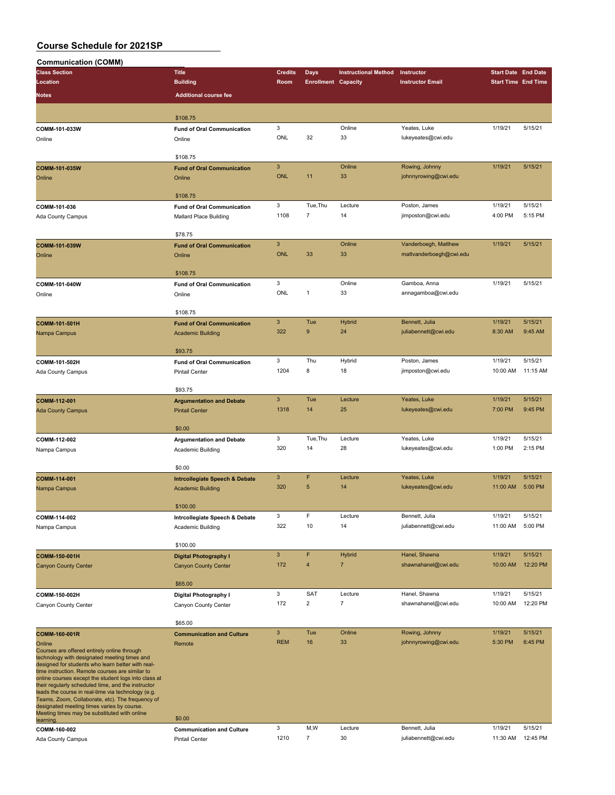| <b>Communication (COMM)</b>                                                                                |                                   |                           |                            |                             |                         |                            |          |
|------------------------------------------------------------------------------------------------------------|-----------------------------------|---------------------------|----------------------------|-----------------------------|-------------------------|----------------------------|----------|
| <b>Class Section</b>                                                                                       | <b>Title</b>                      | <b>Credits</b>            | Days                       | <b>Instructional Method</b> | Instructor              | <b>Start Date End Date</b> |          |
| Location                                                                                                   | <b>Building</b>                   | Room                      | <b>Enrollment Capacity</b> |                             | <b>Instructor Email</b> | <b>Start Time End Time</b> |          |
|                                                                                                            |                                   |                           |                            |                             |                         |                            |          |
| <b>Notes</b>                                                                                               | <b>Additional course fee</b>      |                           |                            |                             |                         |                            |          |
|                                                                                                            |                                   |                           |                            |                             |                         |                            |          |
|                                                                                                            | \$108.75                          |                           |                            |                             |                         |                            |          |
| COMM-101-033W                                                                                              | <b>Fund of Oral Communication</b> | 3                         |                            | Online                      | Yeates, Luke            | 1/19/21                    | 5/15/21  |
| Online                                                                                                     | Online                            | ONL                       | 32                         | 33                          | lukeyeates@cwi.edu      |                            |          |
|                                                                                                            |                                   |                           |                            |                             |                         |                            |          |
|                                                                                                            | \$108.75                          |                           |                            |                             |                         |                            |          |
| COMM-101-035W                                                                                              | <b>Fund of Oral Communication</b> | $\mathbf{3}$              |                            | Online                      | Rowing, Johnny          | 1/19/21                    | 5/15/21  |
| Online                                                                                                     | Online                            | <b>ONL</b>                | 11                         | 33                          | johnnyrowing@cwi.edu    |                            |          |
|                                                                                                            |                                   |                           |                            |                             |                         |                            |          |
|                                                                                                            | \$108.75                          |                           |                            |                             |                         |                            |          |
| COMM-101-036                                                                                               | <b>Fund of Oral Communication</b> | 3                         | Tue, Thu                   | Lecture                     | Poston, James           | 1/19/21                    | 5/15/21  |
| Ada County Campus                                                                                          | Mallard Place Building            | 1108                      | $\overline{7}$             | 14                          | jimposton@cwi.edu       | 4:00 PM                    | 5:15 PM  |
|                                                                                                            |                                   |                           |                            |                             |                         |                            |          |
|                                                                                                            | \$78.75                           |                           |                            |                             |                         |                            |          |
| COMM-101-039W                                                                                              | <b>Fund of Oral Communication</b> | $\ensuremath{\mathsf{3}}$ |                            | Online                      | Vanderboegh, Matthew    | 1/19/21                    | 5/15/21  |
| Online                                                                                                     | Online                            | <b>ONL</b>                | 33                         | 33                          | mattvanderboegh@cwi.edu |                            |          |
|                                                                                                            |                                   |                           |                            |                             |                         |                            |          |
|                                                                                                            | \$108.75                          |                           |                            |                             |                         |                            |          |
|                                                                                                            |                                   | 3                         |                            | Online                      | Gamboa, Anna            | 1/19/21                    | 5/15/21  |
| COMM-101-040W                                                                                              | <b>Fund of Oral Communication</b> | ONL                       | 1                          | 33                          | annagamboa@cwi.edu      |                            |          |
| Online                                                                                                     | Online                            |                           |                            |                             |                         |                            |          |
|                                                                                                            |                                   |                           |                            |                             |                         |                            |          |
|                                                                                                            | \$108.75                          |                           |                            |                             |                         |                            |          |
| COMM-101-501H                                                                                              | <b>Fund of Oral Communication</b> | $\mathbf{3}$              | Tue                        | Hybrid                      | Bennett, Julia          | 1/19/21                    | 5/15/21  |
| Nampa Campus                                                                                               | <b>Academic Building</b>          | 322                       | 9                          | 24                          | juliabennett@cwi.edu    | 8:30 AM                    | 9:45 AM  |
|                                                                                                            |                                   |                           |                            |                             |                         |                            |          |
|                                                                                                            | \$93.75                           |                           |                            |                             |                         |                            |          |
| COMM-101-502H                                                                                              | <b>Fund of Oral Communication</b> | 3                         | Thu                        | Hybrid                      | Poston, James           | 1/19/21                    | 5/15/21  |
| Ada County Campus                                                                                          | <b>Pintail Center</b>             | 1204                      | 8                          | 18                          | jimposton@cwi.edu       | 10:00 AM                   | 11:15 AM |
|                                                                                                            |                                   |                           |                            |                             |                         |                            |          |
|                                                                                                            | \$93.75                           |                           |                            |                             |                         |                            |          |
| COMM-112-001                                                                                               | <b>Argumentation and Debate</b>   | $\mathbf{3}$              | Tue                        | Lecture                     | Yeates, Luke            | 1/19/21                    | 5/15/21  |
| <b>Ada County Campus</b>                                                                                   | <b>Pintail Center</b>             | 1318                      | 14                         | 25                          | lukeyeates@cwi.edu      | 7:00 PM                    | 9:45 PM  |
|                                                                                                            |                                   |                           |                            |                             |                         |                            |          |
|                                                                                                            | \$0.00                            |                           |                            |                             |                         |                            |          |
| COMM-112-002                                                                                               | <b>Argumentation and Debate</b>   | 3                         | Tue, Thu                   | Lecture                     | Yeates, Luke            | 1/19/21                    | 5/15/21  |
| Nampa Campus                                                                                               | Academic Building                 | 320                       | 14                         | 28                          | lukeyeates@cwi.edu      | 1:00 PM                    | 2:15 PM  |
|                                                                                                            |                                   |                           |                            |                             |                         |                            |          |
|                                                                                                            | \$0.00                            |                           |                            |                             |                         |                            |          |
| COMM-114-001                                                                                               | Intrcollegiate Speech & Debate    | $\mathbf{3}$              | F                          | Lecture                     | Yeates, Luke            | 1/19/21                    | 5/15/21  |
| Nampa Campus                                                                                               | <b>Academic Building</b>          | 320                       | 5                          | 14                          | lukeyeates@cwi.edu      | 11:00 AM                   | 5:00 PM  |
|                                                                                                            |                                   |                           |                            |                             |                         |                            |          |
|                                                                                                            | \$100.00                          |                           |                            |                             |                         |                            |          |
| COMM-114-002                                                                                               | Intrcollegiate Speech & Debate    | 3                         | F                          | Lecture                     | Bennett, Julia          | 1/19/21                    | 5/15/21  |
| Nampa Campus                                                                                               | Academic Building                 | 322                       | 10                         | 14                          | juliabennett@cwi.edu    | 11:00 AM                   | 5:00 PM  |
|                                                                                                            |                                   |                           |                            |                             |                         |                            |          |
|                                                                                                            | \$100.00                          |                           |                            |                             |                         |                            |          |
|                                                                                                            |                                   | $\mathbf{3}$              | F                          | Hybrid                      | Hanel, Shawna           | 1/19/21                    | 5/15/21  |
| COMM-150-001H                                                                                              | <b>Digital Photography I</b>      | 172                       | 4                          | $\overline{7}$              | shawnahanel@cwi.edu     | 10:00 AM                   | 12:20 PM |
| <b>Canyon County Center</b>                                                                                | <b>Canyon County Center</b>       |                           |                            |                             |                         |                            |          |
|                                                                                                            |                                   |                           |                            |                             |                         |                            |          |
|                                                                                                            | \$65.00                           |                           |                            |                             |                         |                            |          |
| COMM-150-002H                                                                                              | Digital Photography I             | 3                         | SAT                        | Lecture                     | Hanel, Shawna           | 1/19/21                    | 5/15/21  |
| Canyon County Center                                                                                       | Canyon County Center              | 172                       | $\overline{2}$             | $\overline{7}$              | shawnahanel@cwi.edu     | 10:00 AM                   | 12:20 PM |
|                                                                                                            |                                   |                           |                            |                             |                         |                            |          |
|                                                                                                            | \$65.00                           |                           |                            |                             |                         |                            |          |
| COMM-160-001R                                                                                              | <b>Communication and Culture</b>  | $\mathbf{3}$              | Tue                        | Online                      | Rowing, Johnny          | 1/19/21                    | 5/15/21  |
| Online                                                                                                     | Remote                            | <b>REM</b>                | 16                         | 33                          | johnnyrowing@cwi.edu    | 5:30 PM                    | 6:45 PM  |
| Courses are offered entirely online through<br>technology with designated meeting times and                |                                   |                           |                            |                             |                         |                            |          |
| designed for students who learn better with real-                                                          |                                   |                           |                            |                             |                         |                            |          |
| time instruction. Remote courses are similar to                                                            |                                   |                           |                            |                             |                         |                            |          |
| online courses except the student logs into class at<br>their regularly scheduled time, and the instructor |                                   |                           |                            |                             |                         |                            |          |
| leads the course in real-time via technology (e.g.                                                         |                                   |                           |                            |                             |                         |                            |          |
| Teams, Zoom, Collaborate, etc). The frequency of                                                           |                                   |                           |                            |                             |                         |                            |          |
| designated meeting times varies by course.<br>Meeting times may be substituted with online                 |                                   |                           |                            |                             |                         |                            |          |
| learning.                                                                                                  | \$0.00                            |                           |                            |                             |                         |                            |          |
| COMM-160-002                                                                                               | <b>Communication and Culture</b>  | 3                         | M,W                        | Lecture                     | Bennett, Julia          | 1/19/21                    | 5/15/21  |
| Ada County Campus                                                                                          | Pintail Center                    | 1210                      | $\boldsymbol{7}$           | 30                          | juliabennett@cwi.edu    | 11:30 AM                   | 12:45 PM |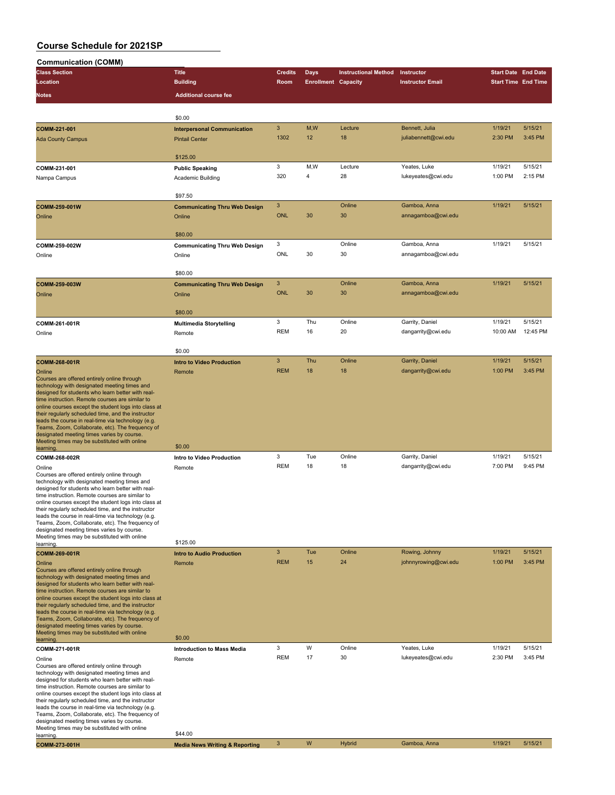| <b>Communication (COMM)</b>                                                                              |                                             |                           |                            |                             |                         |                            |          |
|----------------------------------------------------------------------------------------------------------|---------------------------------------------|---------------------------|----------------------------|-----------------------------|-------------------------|----------------------------|----------|
| <b>Class Section</b>                                                                                     | <b>Title</b>                                | <b>Credits</b>            | Days                       | <b>Instructional Method</b> | Instructor              | <b>Start Date End Date</b> |          |
| Location                                                                                                 | <b>Building</b>                             | Room                      | <b>Enrollment Capacity</b> |                             | <b>Instructor Email</b> | <b>Start Time End Time</b> |          |
|                                                                                                          |                                             |                           |                            |                             |                         |                            |          |
| <b>Notes</b>                                                                                             | <b>Additional course fee</b>                |                           |                            |                             |                         |                            |          |
|                                                                                                          | \$0.00                                      |                           |                            |                             |                         |                            |          |
|                                                                                                          |                                             | $\mathbf{3}$              | M,W                        | Lecture                     | Bennett, Julia          | 1/19/21                    | 5/15/21  |
| COMM-221-001                                                                                             | <b>Interpersonal Communication</b>          | 1302                      | 12                         | 18                          | juliabennett@cwi.edu    | 2:30 PM                    | 3:45 PM  |
| <b>Ada County Campus</b>                                                                                 | <b>Pintail Center</b>                       |                           |                            |                             |                         |                            |          |
|                                                                                                          | \$125.00                                    |                           |                            |                             |                         |                            |          |
| COMM-231-001                                                                                             |                                             | 3                         | M, W                       | Lecture                     | Yeates, Luke            | 1/19/21                    | 5/15/21  |
| Nampa Campus                                                                                             | <b>Public Speaking</b><br>Academic Building | 320                       | $\overline{4}$             | 28                          | lukeyeates@cwi.edu      | 1:00 PM                    | 2:15 PM  |
|                                                                                                          |                                             |                           |                            |                             |                         |                            |          |
|                                                                                                          | \$97.50                                     |                           |                            |                             |                         |                            |          |
| COMM-259-001W                                                                                            | <b>Communicating Thru Web Design</b>        | $\mathbf{3}$              |                            | Online                      | Gamboa, Anna            | 1/19/21                    | 5/15/21  |
| Online                                                                                                   | Online                                      | <b>ONL</b>                | 30                         | 30                          | annagamboa@cwi.edu      |                            |          |
|                                                                                                          |                                             |                           |                            |                             |                         |                            |          |
|                                                                                                          | \$80.00                                     |                           |                            |                             |                         |                            |          |
| COMM-259-002W                                                                                            | <b>Communicating Thru Web Design</b>        | 3                         |                            | Online                      | Gamboa, Anna            | 1/19/21                    | 5/15/21  |
| Online                                                                                                   | Online                                      | ONL                       | 30                         | 30                          | annagamboa@cwi.edu      |                            |          |
|                                                                                                          |                                             |                           |                            |                             |                         |                            |          |
|                                                                                                          | \$80.00                                     |                           |                            |                             |                         |                            |          |
| COMM-259-003W                                                                                            | <b>Communicating Thru Web Design</b>        | 3                         |                            | Online                      | Gamboa, Anna            | 1/19/21                    | 5/15/21  |
| Online                                                                                                   | Online                                      | <b>ONL</b>                | 30                         | 30                          | annagamboa@cwi.edu      |                            |          |
|                                                                                                          |                                             |                           |                            |                             |                         |                            |          |
|                                                                                                          | \$80.00                                     |                           |                            |                             |                         |                            |          |
| COMM-261-001R                                                                                            | <b>Multimedia Storytelling</b>              | 3                         | Thu                        | Online                      | Garrity, Daniel         | 1/19/21                    | 5/15/21  |
| Online                                                                                                   | Remote                                      | <b>REM</b>                | 16                         | 20                          | dangarrity@cwi.edu      | 10:00 AM                   | 12:45 PM |
|                                                                                                          |                                             |                           |                            |                             |                         |                            |          |
|                                                                                                          | \$0.00                                      |                           |                            |                             |                         |                            |          |
| COMM-268-001R                                                                                            | <b>Intro to Video Production</b>            | 3                         | Thu                        | Online                      | Garrity, Daniel         | 1/19/21                    | 5/15/21  |
| Online<br>Courses are offered entirely online through                                                    | Remote                                      | <b>REM</b>                | 18                         | 18                          | dangarrity@cwi.edu      | 1:00 PM                    | 3:45 PM  |
| technology with designated meeting times and                                                             |                                             |                           |                            |                             |                         |                            |          |
| designed for students who learn better with real-                                                        |                                             |                           |                            |                             |                         |                            |          |
| time instruction. Remote courses are similar to<br>online courses except the student logs into class at  |                                             |                           |                            |                             |                         |                            |          |
| their regularly scheduled time, and the instructor                                                       |                                             |                           |                            |                             |                         |                            |          |
| leads the course in real-time via technology (e.g.                                                       |                                             |                           |                            |                             |                         |                            |          |
| Teams, Zoom, Collaborate, etc). The frequency of<br>designated meeting times varies by course.           |                                             |                           |                            |                             |                         |                            |          |
| Meeting times may be substituted with online                                                             |                                             |                           |                            |                             |                         |                            |          |
| learning.                                                                                                | \$0.00                                      |                           |                            |                             |                         |                            |          |
| COMM-268-002R                                                                                            | <b>Intro to Video Production</b>            | 3                         | Tue                        | Online                      | Garrity, Daniel         | 1/19/21                    | 5/15/21  |
| Online                                                                                                   | Remote                                      | <b>REM</b>                | 18                         | 18                          | dangarrity@cwi.edu      | 7:00 PM                    | 9:45 PM  |
| Courses are offered entirely online through<br>technology with designated meeting times and              |                                             |                           |                            |                             |                         |                            |          |
| designed for students who learn better with real-                                                        |                                             |                           |                            |                             |                         |                            |          |
| time instruction. Remote courses are similar to<br>online courses except the student logs into class at  |                                             |                           |                            |                             |                         |                            |          |
| their regularly scheduled time, and the instructor                                                       |                                             |                           |                            |                             |                         |                            |          |
| leads the course in real-time via technology (e.g.<br>Teams, Zoom, Collaborate, etc). The frequency of   |                                             |                           |                            |                             |                         |                            |          |
| designated meeting times varies by course.                                                               |                                             |                           |                            |                             |                         |                            |          |
| Meeting times may be substituted with online                                                             | \$125.00                                    |                           |                            |                             |                         |                            |          |
| learning.<br>COMM-269-001R                                                                               | <b>Intro to Audio Production</b>            | $\ensuremath{\mathsf{3}}$ | Tue                        | Online                      | Rowing, Johnny          | 1/19/21                    | 5/15/21  |
|                                                                                                          |                                             | <b>REM</b>                | 15                         | 24                          | johnnyrowing@cwi.edu    | 1:00 PM                    | 3:45 PM  |
| Online<br>Courses are offered entirely online through                                                    | Remote                                      |                           |                            |                             |                         |                            |          |
| technology with designated meeting times and                                                             |                                             |                           |                            |                             |                         |                            |          |
| designed for students who learn better with real-<br>time instruction. Remote courses are similar to     |                                             |                           |                            |                             |                         |                            |          |
| online courses except the student logs into class at                                                     |                                             |                           |                            |                             |                         |                            |          |
| their regularly scheduled time, and the instructor                                                       |                                             |                           |                            |                             |                         |                            |          |
| leads the course in real-time via technology (e.g.<br>Teams, Zoom, Collaborate, etc). The frequency of   |                                             |                           |                            |                             |                         |                            |          |
| designated meeting times varies by course.                                                               |                                             |                           |                            |                             |                         |                            |          |
| Meeting times may be substituted with online<br>learning.                                                | \$0.00                                      |                           |                            |                             |                         |                            |          |
| COMM-271-001R                                                                                            | <b>Introduction to Mass Media</b>           | 3                         | W                          | Online                      | Yeates, Luke            | 1/19/21                    | 5/15/21  |
| Online                                                                                                   | Remote                                      | <b>REM</b>                | 17                         | 30                          | lukeyeates@cwi.edu      | 2:30 PM                    | 3:45 PM  |
| Courses are offered entirely online through                                                              |                                             |                           |                            |                             |                         |                            |          |
| technology with designated meeting times and<br>designed for students who learn better with real-        |                                             |                           |                            |                             |                         |                            |          |
| time instruction. Remote courses are similar to                                                          |                                             |                           |                            |                             |                         |                            |          |
| online courses except the student logs into class at                                                     |                                             |                           |                            |                             |                         |                            |          |
| their regularly scheduled time, and the instructor<br>leads the course in real-time via technology (e.g. |                                             |                           |                            |                             |                         |                            |          |
| Teams, Zoom, Collaborate, etc). The frequency of                                                         |                                             |                           |                            |                             |                         |                            |          |
| designated meeting times varies by course.<br>Meeting times may be substituted with online               |                                             |                           |                            |                             |                         |                            |          |
| learning.                                                                                                | \$44.00                                     |                           |                            |                             |                         |                            |          |
| COMM-273-001H                                                                                            | <b>Media News Writing &amp; Reporting</b>   | $\mathsf 3$               | W                          | <b>Hybrid</b>               | Gamboa, Anna            | 1/19/21                    | 5/15/21  |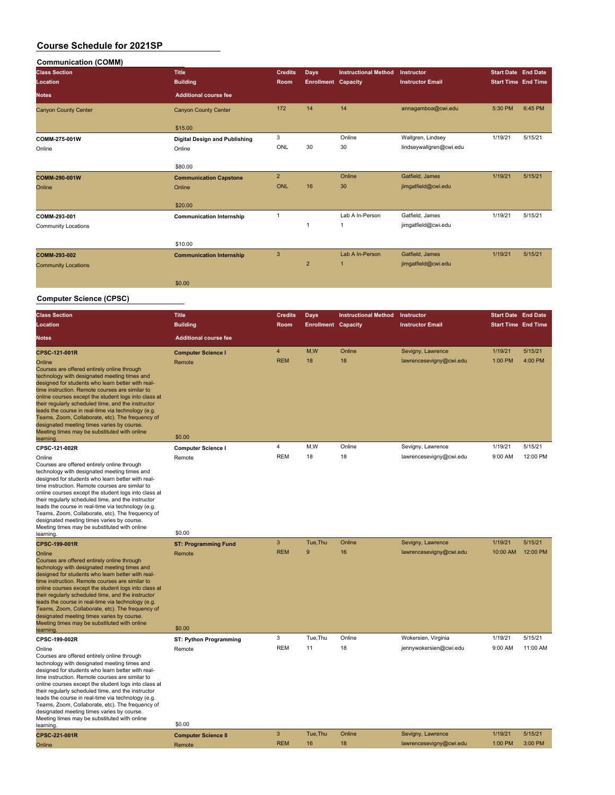| <b>Communication (COMM)</b> |                                 |                |                            |                             |                         |                            |         |
|-----------------------------|---------------------------------|----------------|----------------------------|-----------------------------|-------------------------|----------------------------|---------|
| <b>Class Section</b>        | <b>Title</b>                    | <b>Credits</b> | <b>Days</b>                | <b>Instructional Method</b> | Instructor              | <b>Start Date End Date</b> |         |
| Location                    | <b>Building</b>                 | <b>Room</b>    | <b>Enrollment</b> Capacity |                             | <b>Instructor Email</b> | <b>Start Time End Time</b> |         |
| <b>Notes</b>                | <b>Additional course fee</b>    |                |                            |                             |                         |                            |         |
| <b>Canyon County Center</b> | <b>Canyon County Center</b>     | 172            | 14                         | 14                          | annagamboa@cwi.edu      | 5:30 PM                    | 6:45 PM |
|                             | \$15.00                         |                |                            |                             |                         |                            |         |
| COMM-275-001W               | Digital Design and Publishing   | 3              |                            | Online                      | Wallgren, Lindsey       | 1/19/21                    | 5/15/21 |
| Online                      | Online                          | ONL            | 30                         | 30                          | lindseywallgren@cwi.edu |                            |         |
|                             | \$80.00                         |                |                            |                             |                         |                            |         |
| COMM-290-001W               | <b>Communication Capstone</b>   | $\overline{2}$ |                            | Online                      | Gatfield, James         | 1/19/21                    | 5/15/21 |
| Online                      | Online                          | ONL            | 16                         | 30                          | jimgatfield@cwi.edu     |                            |         |
|                             | \$20.00                         |                |                            |                             |                         |                            |         |
| COMM-293-001                | <b>Communication Internship</b> |                |                            | Lab A In-Person             | Gatfield, James         | 1/19/21                    | 5/15/21 |
| <b>Community Locations</b>  |                                 |                | 1                          | 1                           | jimgatfield@cwi.edu     |                            |         |
|                             | \$10.00                         |                |                            |                             |                         |                            |         |
| COMM-293-002                | <b>Communication Internship</b> | $\mathbf{3}$   |                            | Lab A In-Person             | Gatfield, James         | 1/19/21                    | 5/15/21 |
| <b>Community Locations</b>  |                                 |                | $\overline{2}$             | $\overline{1}$              | jimgatfield@cwi.edu     |                            |         |
|                             | \$0.00                          |                |                            |                             |                         |                            |         |

#### **Computer Science (CPSC)**

| <b>Class Section</b>                                                                                                                                                                                                                                                                                                                                                                                                                                                                                                                             | <b>Title</b>                 | <b>Credits</b> | <b>Days</b>                | <b>Instructional Method</b> | Instructor              | <b>Start Date End Date</b> |          |
|--------------------------------------------------------------------------------------------------------------------------------------------------------------------------------------------------------------------------------------------------------------------------------------------------------------------------------------------------------------------------------------------------------------------------------------------------------------------------------------------------------------------------------------------------|------------------------------|----------------|----------------------------|-----------------------------|-------------------------|----------------------------|----------|
| Location                                                                                                                                                                                                                                                                                                                                                                                                                                                                                                                                         | <b>Building</b>              | Room           | <b>Enrollment Capacity</b> |                             | <b>Instructor Email</b> | <b>Start Time End Time</b> |          |
|                                                                                                                                                                                                                                                                                                                                                                                                                                                                                                                                                  |                              |                |                            |                             |                         |                            |          |
| <b>Notes</b>                                                                                                                                                                                                                                                                                                                                                                                                                                                                                                                                     | <b>Additional course fee</b> |                |                            |                             |                         |                            |          |
| <b>CPSC-121-001R</b>                                                                                                                                                                                                                                                                                                                                                                                                                                                                                                                             | <b>Computer Science I</b>    | $\overline{4}$ | M,W                        | Online                      | Sevigny, Lawrence       | 1/19/21                    | 5/15/21  |
| Online                                                                                                                                                                                                                                                                                                                                                                                                                                                                                                                                           | Remote                       | <b>REM</b>     | 18                         | 18                          | lawrencesevigny@cwi.edu | 1:00 PM                    | 4:00 PM  |
| Courses are offered entirely online through<br>technology with designated meeting times and<br>designed for students who learn better with real-<br>time instruction. Remote courses are similar to<br>online courses except the student logs into class at                                                                                                                                                                                                                                                                                      |                              |                |                            |                             |                         |                            |          |
| their regularly scheduled time, and the instructor<br>leads the course in real-time via technology (e.g.<br>Teams, Zoom, Collaborate, etc). The frequency of<br>designated meeting times varies by course.<br>Meeting times may be substituted with online                                                                                                                                                                                                                                                                                       |                              |                |                            |                             |                         |                            |          |
| learning                                                                                                                                                                                                                                                                                                                                                                                                                                                                                                                                         | \$0.00                       |                |                            |                             |                         |                            |          |
| CPSC-121-002R                                                                                                                                                                                                                                                                                                                                                                                                                                                                                                                                    | <b>Computer Science I</b>    | $\overline{4}$ | M,W                        | Online                      | Sevigny, Lawrence       | 1/19/21                    | 5/15/21  |
| Online<br>Courses are offered entirely online through<br>technology with designated meeting times and<br>designed for students who learn better with real-<br>time instruction. Remote courses are similar to<br>online courses except the student logs into class at<br>their regularly scheduled time, and the instructor<br>leads the course in real-time via technology (e.g.<br>Teams, Zoom, Collaborate, etc). The frequency of<br>designated meeting times varies by course.<br>Meeting times may be substituted with online<br>learning. | Remote<br>\$0.00             | <b>REM</b>     | 18                         | 18                          | lawrencesevigny@cwi.edu | 9:00 AM                    | 12:00 PM |
| CPSC-199-001R                                                                                                                                                                                                                                                                                                                                                                                                                                                                                                                                    | <b>ST: Programming Fund</b>  | $\mathbf{3}$   | Tue, Thu                   | Online                      | Sevigny, Lawrence       | 1/19/21                    | 5/15/21  |
| Online<br>Courses are offered entirely online through<br>technology with designated meeting times and<br>designed for students who learn better with real-<br>time instruction. Remote courses are similar to<br>online courses except the student logs into class at<br>their regularly scheduled time, and the instructor<br>leads the course in real-time via technology (e.g.<br>Teams, Zoom, Collaborate, etc). The frequency of<br>designated meeting times varies by course.<br>Meeting times may be substituted with online              | Remote<br>\$0.00             | <b>REM</b>     | 9                          | 16                          | lawrencesevigny@cwi.edu | 10:00 AM                   | 12:00 PM |
| learning                                                                                                                                                                                                                                                                                                                                                                                                                                                                                                                                         |                              |                |                            | Online                      |                         |                            | 5/15/21  |
| CPSC-199-002R                                                                                                                                                                                                                                                                                                                                                                                                                                                                                                                                    | ST: Python Programming       | 3              | Tue, Thu                   |                             | Wokersien, Virginia     | 1/19/21                    |          |
| Online<br>Courses are offered entirely online through<br>technology with designated meeting times and<br>designed for students who learn better with real-<br>time instruction. Remote courses are similar to<br>online courses except the student logs into class at<br>their regularly scheduled time, and the instructor<br>leads the course in real-time via technology (e.g.<br>Teams, Zoom, Collaborate, etc). The frequency of<br>designated meeting times varies by course.<br>Meeting times may be substituted with online<br>learning. | Remote<br>\$0.00             | <b>REM</b>     | 11                         | 18                          | jennywokersien@cwi.edu  | 9:00 AM                    | 11:00 AM |
| CPSC-221-001R                                                                                                                                                                                                                                                                                                                                                                                                                                                                                                                                    | <b>Computer Science II</b>   | 3              | Tue, Thu                   | Online                      | Sevigny, Lawrence       | 1/19/21                    | 5/15/21  |
| Online                                                                                                                                                                                                                                                                                                                                                                                                                                                                                                                                           | Remote                       | <b>REM</b>     | 16                         | 18                          | lawrencesevigny@cwi.edu | 1:00 PM                    | 3:00 PM  |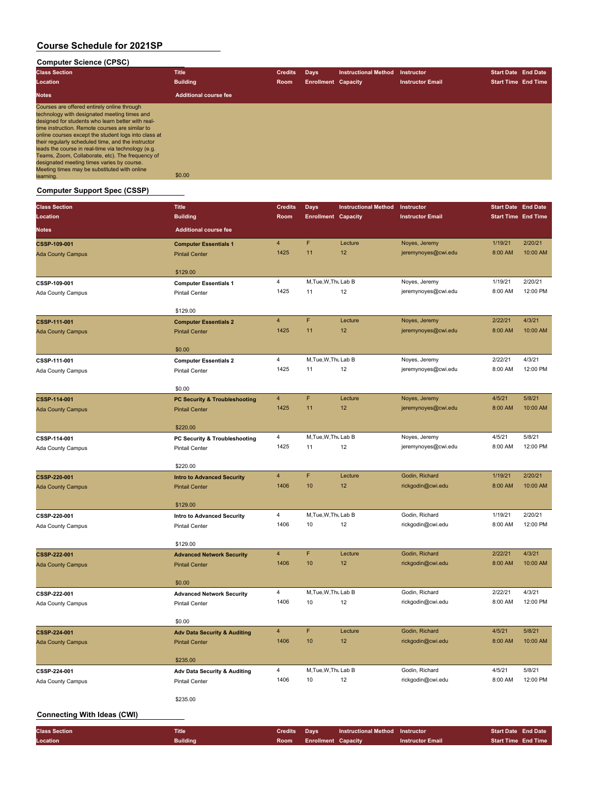# **Computer Science (CPSC)**

| <b>Class Section</b>                                                                                                                                                                                                                                                                                                                                                                                                                                                                                                                   | <b>Title</b>                 | <b>Credits</b> | Days                       | <b>Instructional Method</b> | Instructor              | <b>Start Date End Date</b> |  |
|----------------------------------------------------------------------------------------------------------------------------------------------------------------------------------------------------------------------------------------------------------------------------------------------------------------------------------------------------------------------------------------------------------------------------------------------------------------------------------------------------------------------------------------|------------------------------|----------------|----------------------------|-----------------------------|-------------------------|----------------------------|--|
| Location                                                                                                                                                                                                                                                                                                                                                                                                                                                                                                                               | <b>Building</b>              | <b>Room</b>    | <b>Enrollment Capacity</b> |                             | <b>Instructor Email</b> | <b>Start Time End Time</b> |  |
| <b>Notes</b>                                                                                                                                                                                                                                                                                                                                                                                                                                                                                                                           | <b>Additional course fee</b> |                |                            |                             |                         |                            |  |
| Courses are offered entirely online through<br>technology with designated meeting times and<br>designed for students who learn better with real-<br>time instruction. Remote courses are similar to<br>online courses except the student logs into class at<br>their regularly scheduled time, and the instructor<br>leads the course in real-time via technology (e.g.<br>Teams, Zoom, Collaborate, etc). The frequency of<br>designated meeting times varies by course.<br>Meeting times may be substituted with online<br>learning. | \$0.00                       |                |                            |                             |                         |                            |  |

#### **Computer Support Spec (CSSP)**

| <b>Class Section</b>               | <b>Title</b>                             | <b>Credits</b> | Days                       | <b>Instructional Method</b> | Instructor              | <b>Start Date End Date</b> |                    |
|------------------------------------|------------------------------------------|----------------|----------------------------|-----------------------------|-------------------------|----------------------------|--------------------|
| Location                           | <b>Building</b>                          | Room           | <b>Enrollment Capacity</b> |                             | <b>Instructor Email</b> | <b>Start Time End Time</b> |                    |
| Notes                              | <b>Additional course fee</b>             |                |                            |                             |                         |                            |                    |
| CSSP-109-001                       | <b>Computer Essentials 1</b>             | 4              | F                          | Lecture                     | Noyes, Jeremy           | 1/19/21                    | 2/20/21            |
| <b>Ada County Campus</b>           | <b>Pintail Center</b>                    | 1425           | 11                         | 12                          | jeremynoyes@cwi.edu     | 8:00 AM                    | 10:00 AM           |
|                                    | \$129.00                                 |                |                            |                             |                         |                            |                    |
| CSSP-109-001                       | <b>Computer Essentials 1</b>             | $\overline{4}$ | M, Tue, W, Thu Lab B       |                             | Noyes, Jeremy           | 1/19/21                    | 2/20/21            |
| Ada County Campus                  | <b>Pintail Center</b>                    | 1425           | 11                         | 12                          | jeremynoyes@cwi.edu     | 8:00 AM                    | 12:00 PM           |
|                                    |                                          |                |                            |                             |                         |                            |                    |
|                                    | \$129.00                                 |                |                            |                             |                         |                            |                    |
| CSSP-111-001                       | <b>Computer Essentials 2</b>             | 4<br>1425      | F<br>11                    | Lecture<br>12               | Noyes, Jeremy           | 2/22/21<br>8:00 AM         | 4/3/21<br>10:00 AM |
| <b>Ada County Campus</b>           | <b>Pintail Center</b>                    |                |                            |                             | jeremynoyes@cwi.edu     |                            |                    |
|                                    | \$0.00                                   |                |                            |                             |                         |                            |                    |
| CSSP-111-001                       | <b>Computer Essentials 2</b>             | 4              | M, Tue, W, Thu Lab B       |                             | Noyes, Jeremy           | 2/22/21                    | 4/3/21             |
| Ada County Campus                  | <b>Pintail Center</b>                    | 1425           | 11                         | 12                          | jeremynoyes@cwi.edu     | 8:00 AM                    | 12:00 PM           |
|                                    | \$0.00                                   |                |                            |                             |                         |                            |                    |
| CSSP-114-001                       | <b>PC Security &amp; Troubleshooting</b> | $\overline{4}$ | F                          | Lecture                     | Noyes, Jeremy           | 4/5/21                     | 5/8/21             |
| <b>Ada County Campus</b>           | <b>Pintail Center</b>                    | 1425           | 11                         | 12                          | jeremynoyes@cwi.edu     | 8:00 AM                    | 10:00 AM           |
|                                    |                                          |                |                            |                             |                         |                            |                    |
|                                    | \$220.00                                 |                |                            |                             |                         |                            |                    |
| CSSP-114-001                       | PC Security & Troubleshooting            | 4              | M, Tue, W, Thu Lab B       |                             | Noyes, Jeremy           | 4/5/21                     | 5/8/21             |
| Ada County Campus                  | Pintail Center                           | 1425           | 11                         | 12                          | jeremynoyes@cwi.edu     | 8:00 AM                    | 12:00 PM           |
|                                    | \$220.00                                 |                |                            |                             |                         |                            |                    |
| CSSP-220-001                       | <b>Intro to Advanced Security</b>        | $\overline{4}$ | F                          | Lecture                     | Godin, Richard          | 1/19/21                    | 2/20/21            |
| <b>Ada County Campus</b>           | <b>Pintail Center</b>                    | 1406           | 10                         | 12                          | rickgodin@cwi.edu       | 8:00 AM                    | 10:00 AM           |
|                                    |                                          |                |                            |                             |                         |                            |                    |
|                                    | \$129.00                                 |                |                            |                             |                         |                            |                    |
| CSSP-220-001                       | Intro to Advanced Security               | 4              | M, Tue, W, Thu Lab B       |                             | Godin, Richard          | 1/19/21                    | 2/20/21            |
| Ada County Campus                  | <b>Pintail Center</b>                    | 1406           | 10                         | 12                          | rickgodin@cwi.edu       | 8:00 AM                    | 12:00 PM           |
|                                    | \$129.00                                 |                |                            |                             |                         |                            |                    |
| CSSP-222-001                       | <b>Advanced Network Security</b>         | $\overline{4}$ | F                          | Lecture                     | Godin, Richard          | 2/22/21                    | 4/3/21             |
| <b>Ada County Campus</b>           | <b>Pintail Center</b>                    | 1406           | 10                         | 12                          | rickgodin@cwi.edu       | 8:00 AM                    | 10:00 AM           |
|                                    | \$0.00                                   |                |                            |                             |                         |                            |                    |
| CSSP-222-001                       | <b>Advanced Network Security</b>         | 4              | M, Tue, W, Thu Lab B       |                             | Godin, Richard          | 2/22/21                    | 4/3/21             |
| Ada County Campus                  | <b>Pintail Center</b>                    | 1406           | 10                         | 12                          | rickgodin@cwi.edu       | 8:00 AM                    | 12:00 PM           |
|                                    |                                          |                |                            |                             |                         |                            |                    |
|                                    | \$0.00                                   |                |                            |                             |                         |                            |                    |
| CSSP-224-001                       | <b>Adv Data Security &amp; Auditing</b>  | $\overline{4}$ | F                          | Lecture                     | Godin, Richard          | 4/5/21                     | 5/8/21             |
| <b>Ada County Campus</b>           | <b>Pintail Center</b>                    | 1406           | 10                         | 12                          | rickgodin@cwi.edu       | 8:00 AM                    | 10:00 AM           |
|                                    | \$235.00                                 |                |                            |                             |                         |                            |                    |
| CSSP-224-001                       | Adv Data Security & Auditing             | 4              | M, Tue, W, Thu Lab B       |                             | Godin, Richard          | 4/5/21                     | 5/8/21             |
| Ada County Campus                  | <b>Pintail Center</b>                    | 1406           | 10                         | 12                          | rickgodin@cwi.edu       | 8:00 AM                    | 12:00 PM           |
|                                    |                                          |                |                            |                             |                         |                            |                    |
|                                    | \$235.00                                 |                |                            |                             |                         |                            |                    |
| <b>Connecting With Ideas (CWI)</b> |                                          |                |                            |                             |                         |                            |                    |
| <b>Class Section</b>               | <b>Title</b>                             | <b>Credits</b> | <b>Days</b>                | <b>Instructional Method</b> | Instructor              | <b>Start Date End Date</b> |                    |
| Location                           | <b>Building</b>                          | Room           | <b>Enrollment Capacity</b> |                             | <b>Instructor Email</b> | <b>Start Time End Time</b> |                    |
|                                    |                                          |                |                            |                             |                         |                            |                    |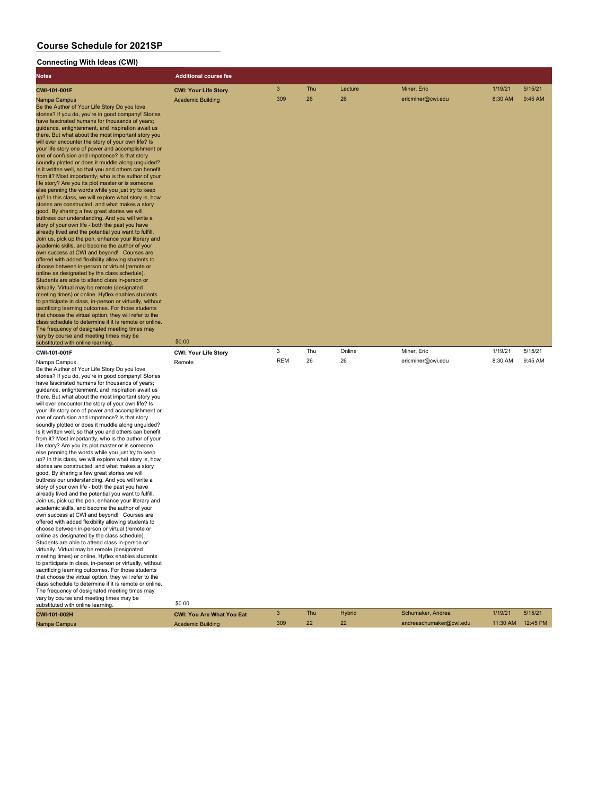#### **Connecting With Ideas (CWI)**

| <b>Notes</b>                                                                                                                                                                                                                                                                                                                                                                                                                                                                                                                                                                                                                                                                                                                                                                                                                                                                                                                                                                                                                                                                                                                                                                                                                                                                                                                                                                                                                                                                                                                                                                                                                                                                                                                                                                                                                                                                                                           | <b>Additional course fee</b>                    |                                  |     |               |                   |         |         |
|------------------------------------------------------------------------------------------------------------------------------------------------------------------------------------------------------------------------------------------------------------------------------------------------------------------------------------------------------------------------------------------------------------------------------------------------------------------------------------------------------------------------------------------------------------------------------------------------------------------------------------------------------------------------------------------------------------------------------------------------------------------------------------------------------------------------------------------------------------------------------------------------------------------------------------------------------------------------------------------------------------------------------------------------------------------------------------------------------------------------------------------------------------------------------------------------------------------------------------------------------------------------------------------------------------------------------------------------------------------------------------------------------------------------------------------------------------------------------------------------------------------------------------------------------------------------------------------------------------------------------------------------------------------------------------------------------------------------------------------------------------------------------------------------------------------------------------------------------------------------------------------------------------------------|-------------------------------------------------|----------------------------------|-----|---------------|-------------------|---------|---------|
| CWI-101-001F                                                                                                                                                                                                                                                                                                                                                                                                                                                                                                                                                                                                                                                                                                                                                                                                                                                                                                                                                                                                                                                                                                                                                                                                                                                                                                                                                                                                                                                                                                                                                                                                                                                                                                                                                                                                                                                                                                           | <b>CWI: Your Life Story</b>                     | 3                                | Thu | Lecture       | Miner, Eric       | 1/19/21 | 5/15/21 |
| Nampa Campus<br>Be the Author of Your Life Story Do you love<br>stories? If you do, you're in good company! Stories<br>have fascinated humans for thousands of years;<br>guidance, enlightenment, and inspiration await us<br>there. But what about the most important story you<br>will ever encounter.the story of your own life? Is<br>your life story one of power and accomplishment or<br>one of confusion and impotence? Is that story<br>soundly plotted or does it muddle along unguided?<br>Is it written well, so that you and others can benefit<br>from it? Most importantly, who is the author of your<br>life story? Are you its plot master or is someone<br>else penning the words while you just try to keep<br>up? In this class, we will explore what story is, how<br>stories are constructed, and what makes a story<br>good. By sharing a few great stories we will<br>buttress our understanding. And you will write a<br>story of your own life - both the past you have<br>already lived and the potential you want to fulfill.<br>Join us, pick up the pen, enhance your literary and<br>academic skills, and become the author of your<br>own success at CWI and beyond! Courses are<br>offered with added flexibility allowing students to<br>choose between in-person or virtual (remote or<br>online as designated by the class schedule).<br>Students are able to attend class in-person or<br>virtually. Virtual may be remote (designated<br>meeting times) or online. Hyflex enables students<br>to participate in class, in-person or virtually, without<br>sacrificing learning outcomes. For those students<br>that choose the virtual option, they will refer to the<br>class schedule to determine if it is remote or online.<br>The frequency of designated meeting times may<br>vary by course and meeting times may be                                                      | <b>Academic Building</b>                        | 309                              | 26  | 26            | ericminer@cwi.edu | 8:30 AM | 9:45 AM |
|                                                                                                                                                                                                                                                                                                                                                                                                                                                                                                                                                                                                                                                                                                                                                                                                                                                                                                                                                                                                                                                                                                                                                                                                                                                                                                                                                                                                                                                                                                                                                                                                                                                                                                                                                                                                                                                                                                                        |                                                 |                                  |     |               |                   |         |         |
| substituted with online learning                                                                                                                                                                                                                                                                                                                                                                                                                                                                                                                                                                                                                                                                                                                                                                                                                                                                                                                                                                                                                                                                                                                                                                                                                                                                                                                                                                                                                                                                                                                                                                                                                                                                                                                                                                                                                                                                                       | \$0.00                                          | 3                                | Thu | Online        | Miner, Eric       | 1/19/21 | 5/15/21 |
| CWI-101-001F<br>Nampa Campus<br>Be the Author of Your Life Story Do you love<br>stories? If you do, you're in good company! Stories<br>have fascinated humans for thousands of years;<br>guidance, enlightenment, and inspiration await us<br>there. But what about the most important story you<br>will ever encounter the story of your own life? Is<br>your life story one of power and accomplishment or<br>one of confusion and impotence? Is that story<br>soundly plotted or does it muddle along unguided?<br>Is it written well, so that you and others can benefit<br>from it? Most importantly, who is the author of your<br>life story? Are you its plot master or is someone<br>else penning the words while you just try to keep<br>up? In this class, we will explore what story is, how<br>stories are constructed, and what makes a story<br>good. By sharing a few great stories we will<br>buttress our understanding. And you will write a<br>story of your own life - both the past you have<br>already lived and the potential you want to fulfill.<br>Join us, pick up the pen, enhance your literary and<br>academic skills, and become the author of your<br>own success at CWI and beyond! Courses are<br>offered with added flexibility allowing students to<br>choose between in-person or virtual (remote or<br>online as designated by the class schedule).<br>Students are able to attend class in-person or<br>virtually. Virtual may be remote (designated<br>meeting times) or online. Hyflex enables students<br>to participate in class, in-person or virtually, without<br>sacrificing learning outcomes. For those students<br>that choose the virtual option, they will refer to the<br>class schedule to determine if it is remote or online.<br>The frequency of designated meeting times may<br>vary by course and meeting times may be<br>substituted with online learning. | <b>CWI: Your Life Story</b><br>Remote<br>\$0.00 | <b>REM</b>                       | 26  | 26            | ericminer@cwi.edu | 8:30 AM | 9:45 AM |
| CWI-101-002H                                                                                                                                                                                                                                                                                                                                                                                                                                                                                                                                                                                                                                                                                                                                                                                                                                                                                                                                                                                                                                                                                                                                                                                                                                                                                                                                                                                                                                                                                                                                                                                                                                                                                                                                                                                                                                                                                                           | <b>CWI: You Are What You Eat</b>                | $\ensuremath{\mathsf{3}}$<br>309 | Thu | <b>Hybrid</b> | Schumaker, Andrea | 1/19/21 | 5/15/21 |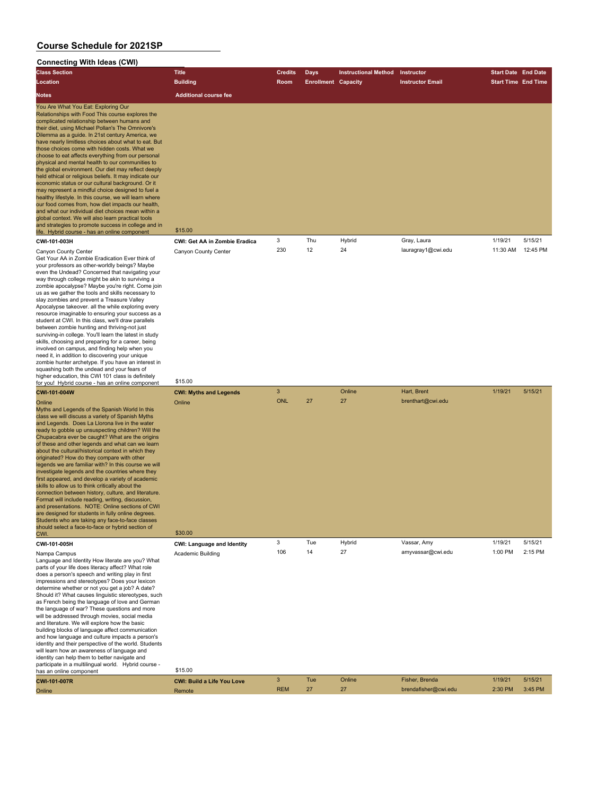#### **Connecting With Ideas (CWI) Class Section Title Credits Days Instructional Method Instructor Start Date End Date Location Building Room Enrollment Capacity Instructor Email Start Time End Time Notes Additional course fee** You Are What You Eat: Exploring Our Relationships with Food This course explores the complicated relationship between humans and their diet, using Michael Pollan's The Omnivore's Dilemma as a guide. In 21st century America, we have nearly limitless choices about what to eat. But those choices come with hidden costs. What we choose to eat affects everything from our personal physical and mental health to our communities to the global environment. Our diet may reflect deeply held ethical or religious beliefs. It may indicate our economic status or our cultural background. Or it may represent a mindful choice designed to fuel a healthy lifestyle. In this course, we will learn where our food comes from, how diet impacts our health, and what our individual diet choices mean within a global context. We will also learn practical tools and strategies to promote success in college and in and strategies to promote success in college and in \$15.00 **CWI-101-003H CWI: Get AA in Zombie Eradica** 3 Thu Hybrid Gray, Laura 1/19/21 5/15/21 Canyon County Center Canyon County Center 230 12 24 lauragray1@cwi.edu 11:30 AM 12:45 PM Get Your AA in Zombie Eradication Ever think of your professors as other-worldly beings? Maybe even the Undead? Concerned that navigating your way through college might be akin to surviving a zombie apocalypse? Maybe you're right. Come join us as we gather the tools and skills necessary to slay zombies and prevent a Treasure Valley Apocalypse takeover. all the while exploring every resource imaginable to ensuring your success as a student at CWI. In this class, we'll draw parallels between zombie hunting and thriving-not just surviving-in college. You'll learn the latest in study skills, choosing and preparing for a career, being involved on campus, and finding help when you need it, in addition to discovering your unique zombie hunter archetype. If you have an interest in squashing both the undead and your fears of higher education, this CWI 101 class is definitely for you! Hybrid course - has an online component \$15.00 **CWI-101-004W CWI: Myths and Legends** 3 Online Hart, Brent 1/19/21 5/15/21 Online Online ONL 27 27 brenthart@cwi.edu Myths and Legends of the Spanish World In this class we will discuss a variety of Spanish Myths and Legends. Does La Llorona live in the v ready to gobble up unsuspecting children? Will the Chupacabra ever be caught? What are the origins of these and other legends and what can we learn about the cultural/historical context in which they originated? How do they compare with other legends we are familiar with? In this course we will investigate legends and the countries where they first appeared, and develop a variety of academic skills to allow us to think critically about the connection between history, culture, and literature. Format will include reading, writing, discussion, and presentations. NOTE: Online sections of CWI re designed for students in fully online degrees. Students who are taking any face-to-face classes should select a face-to-face or hybrid section of <u>CWI.</u> \$30.00 **CWI-101-005H CWI: Language and Identity** 3 Tue Hybrid Vassar, Amy 1/19/21 5/15/21 Nampa Campus Academic Building 106 14 27 amyvassar@cwi.edu 1:00 PM 2:15 PM Academic Building 1:00 PM 2:15 PM Language and Identity How literate are you? What parts of your life does literacy affect? What role does a person's speech and writing play in first impressions and stereotypes? Does your lexicon determine whether or not you get a job? A date? Should it? What causes linguistic stereotypes, such as French being the language of love and German the language of war? These questions and more will be addressed through movies, social media and literature. We will explore how the basic building blocks of language affect communication and how language and culture impacts a person's identity and their perspective of the world. Students will learn how an awareness of language and identity can help them to better navigate and participate in a multilingual world. Hybrid course has an online component \$15.00 **CWI-101-007R CWI: Build a Life You Love** 3 Tue Online Fisher, Brenda 1/19/21 5/15/21 Online Remote Remote Remote REM 27 27 brendafisher@cwi.edu 2:30 PM 3:45 PM 2:45 PM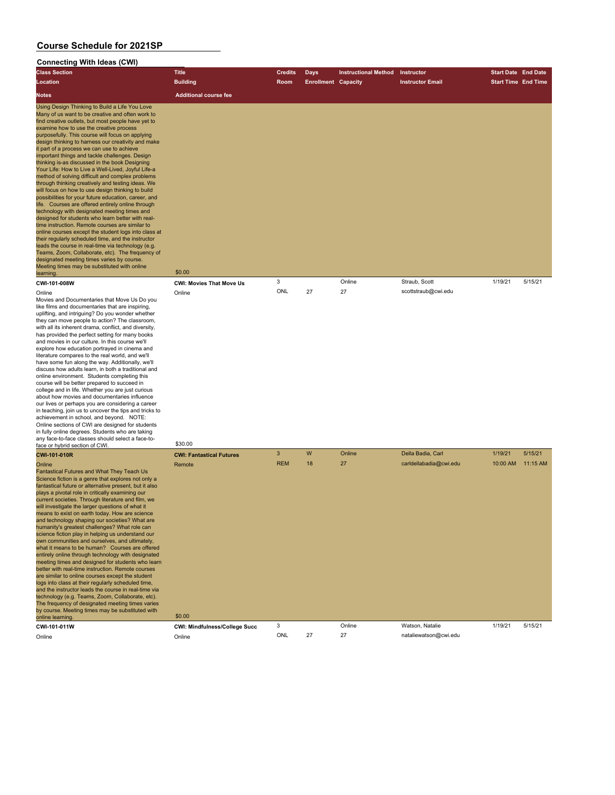| <b>Connecting With Ideas (CWI)</b>                                                                                                                                                                                                                                                                                                                                                                                                                                                                                                                                                                                                                                                                                                                                                                                                                                                                                                                                                                                                                                                                                                                                                                                                                                                          |                                      |                |                            |                             |                         |                            |          |
|---------------------------------------------------------------------------------------------------------------------------------------------------------------------------------------------------------------------------------------------------------------------------------------------------------------------------------------------------------------------------------------------------------------------------------------------------------------------------------------------------------------------------------------------------------------------------------------------------------------------------------------------------------------------------------------------------------------------------------------------------------------------------------------------------------------------------------------------------------------------------------------------------------------------------------------------------------------------------------------------------------------------------------------------------------------------------------------------------------------------------------------------------------------------------------------------------------------------------------------------------------------------------------------------|--------------------------------------|----------------|----------------------------|-----------------------------|-------------------------|----------------------------|----------|
| <b>Class Section</b>                                                                                                                                                                                                                                                                                                                                                                                                                                                                                                                                                                                                                                                                                                                                                                                                                                                                                                                                                                                                                                                                                                                                                                                                                                                                        | <b>Title</b>                         | <b>Credits</b> | <b>Days</b>                | <b>Instructional Method</b> | Instructor              | <b>Start Date End Date</b> |          |
| Location                                                                                                                                                                                                                                                                                                                                                                                                                                                                                                                                                                                                                                                                                                                                                                                                                                                                                                                                                                                                                                                                                                                                                                                                                                                                                    | <b>Building</b>                      | Room           | <b>Enrollment Capacity</b> |                             | <b>Instructor Email</b> | <b>Start Time End Time</b> |          |
| <b>Notes</b>                                                                                                                                                                                                                                                                                                                                                                                                                                                                                                                                                                                                                                                                                                                                                                                                                                                                                                                                                                                                                                                                                                                                                                                                                                                                                | <b>Additional course fee</b>         |                |                            |                             |                         |                            |          |
| Using Design Thinking to Build a Life You Love<br>Many of us want to be creative and often work to<br>find creative outlets, but most people have yet to<br>examine how to use the creative process<br>purposefully. This course will focus on applying<br>design thinking to harness our creativity and make<br>it part of a process we can use to achieve<br>important things and tackle challenges. Design<br>thinking is-as discussed in the book Designing<br>Your Life: How to Live a Well-Lived, Joyful Life-a<br>method of solving difficult and complex problems<br>through thinking creatively and testing ideas. We<br>will focus on how to use design thinking to build<br>possibilities for your future education, career, and<br>life. Courses are offered entirely online through<br>technology with designated meeting times and<br>designed for students who learn better with real-<br>time instruction. Remote courses are similar to<br>online courses except the student logs into class at<br>their regularly scheduled time, and the instructor<br>leads the course in real-time via technology (e.g.<br>Teams, Zoom, Collaborate, etc). The frequency of<br>designated meeting times varies by course.<br>Meeting times may be substituted with online<br>learning. | \$0.00                               |                |                            |                             |                         |                            |          |
| CWI-101-008W                                                                                                                                                                                                                                                                                                                                                                                                                                                                                                                                                                                                                                                                                                                                                                                                                                                                                                                                                                                                                                                                                                                                                                                                                                                                                | <b>CWI: Movies That Move Us</b>      | 3              |                            | Online                      | Straub, Scott           | 1/19/21                    | 5/15/21  |
| Online<br>Movies and Documentaries that Move Us Do you<br>like films and documentaries that are inspiring,<br>uplifting, and intriguing? Do you wonder whether<br>they can move people to action? The classroom,<br>with all its inherent drama, conflict, and diversity,<br>has provided the perfect setting for many books<br>and movies in our culture. In this course we'll<br>explore how education portrayed in cinema and<br>literature compares to the real world, and we'll<br>have some fun along the way. Additionally, we'll<br>discuss how adults learn, in both a traditional and<br>online environment. Students completing this<br>course will be better prepared to succeed in<br>college and in life. Whether you are just curious<br>about how movies and documentaries influence<br>our lives or perhaps you are considering a career<br>in teaching, join us to uncover the tips and tricks to<br>achievement in school, and beyond. NOTE:<br>Online sections of CWI are designed for students<br>in fully online degrees. Students who are taking<br>any face-to-face classes should select a face-to-<br>face or hybrid section of CWI.                                                                                                                              | Online<br>\$30.00                    | ONL            | 27                         | 27                          | scottstraub@cwi.edu     |                            |          |
| <b>CWI-101-010R</b>                                                                                                                                                                                                                                                                                                                                                                                                                                                                                                                                                                                                                                                                                                                                                                                                                                                                                                                                                                                                                                                                                                                                                                                                                                                                         | <b>CWI: Fantastical Futures</b>      | 3              | W                          | Online                      | Della Badia, Carl       | 1/19/21                    | 5/15/21  |
| Online<br><b>Fantastical Futures and What They Teach Us</b><br>Science fiction is a genre that explores not only a<br>fantastical future or alternative present, but it also<br>plays a pivotal role in critically examining our<br>current societies. Through literature and film, we<br>will investigate the larger questions of what it<br>means to exist on earth today. How are science<br>and technology shaping our societies? What are<br>humanity's greatest challenges? What role can<br>science fiction play in helping us understand our<br>own communities and ourselves, and ultimately,<br>what it means to be human? Courses are offered<br>entirely online through technology with designated<br>meeting times and designed for students who learn<br>better with real-time instruction. Remote courses<br>are similar to online courses except the student<br>logs into class at their regularly scheduled time,<br>and the instructor leads the course in real-time via<br>technology (e.g. Teams, Zoom, Collaborate, etc).<br>The frequency of designated meeting times varies<br>by course. Meeting times may be substituted with                                                                                                                                      | Remote<br>\$0.00                     | <b>REM</b>     | 18                         | 27                          | carldellabadia@cwi.edu  | 10:00 AM                   | 11:15 AM |
| online learning.<br>CWI-101-011W                                                                                                                                                                                                                                                                                                                                                                                                                                                                                                                                                                                                                                                                                                                                                                                                                                                                                                                                                                                                                                                                                                                                                                                                                                                            | <b>CWI: Mindfulness/College Succ</b> | 3              |                            | Online                      | Watson, Natalie         | 1/19/21                    | 5/15/21  |
| Online                                                                                                                                                                                                                                                                                                                                                                                                                                                                                                                                                                                                                                                                                                                                                                                                                                                                                                                                                                                                                                                                                                                                                                                                                                                                                      | Online                               | ONL            | 27                         | 27                          | nataliewatson@cwi.edu   |                            |          |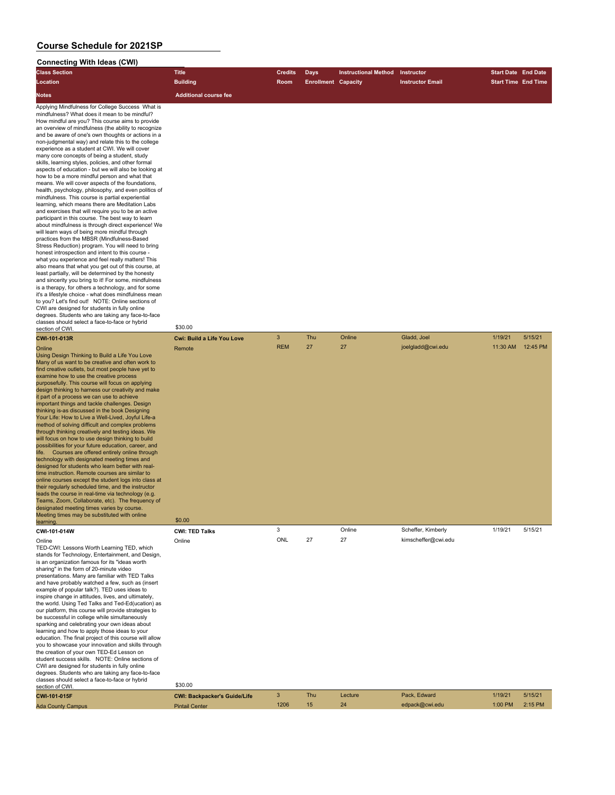| <b>Connecting With Ideas (CWI)</b>                                                                                                                                                                                                                                                                                                                                                                                                                                                                                                                                                                                                                                                                                                                                                                                                                                                                                                                                                                                                                                                                                                                                                                                                                                                                                                                                                                                                                                                                                                                                                                                                                                                                                                            |                                                              |                |                            |                             |                         |                            |          |
|-----------------------------------------------------------------------------------------------------------------------------------------------------------------------------------------------------------------------------------------------------------------------------------------------------------------------------------------------------------------------------------------------------------------------------------------------------------------------------------------------------------------------------------------------------------------------------------------------------------------------------------------------------------------------------------------------------------------------------------------------------------------------------------------------------------------------------------------------------------------------------------------------------------------------------------------------------------------------------------------------------------------------------------------------------------------------------------------------------------------------------------------------------------------------------------------------------------------------------------------------------------------------------------------------------------------------------------------------------------------------------------------------------------------------------------------------------------------------------------------------------------------------------------------------------------------------------------------------------------------------------------------------------------------------------------------------------------------------------------------------|--------------------------------------------------------------|----------------|----------------------------|-----------------------------|-------------------------|----------------------------|----------|
| <b>Class Section</b>                                                                                                                                                                                                                                                                                                                                                                                                                                                                                                                                                                                                                                                                                                                                                                                                                                                                                                                                                                                                                                                                                                                                                                                                                                                                                                                                                                                                                                                                                                                                                                                                                                                                                                                          | <b>Title</b>                                                 | <b>Credits</b> | <b>Days</b>                | <b>Instructional Method</b> | Instructor              | <b>Start Date End Date</b> |          |
| Location                                                                                                                                                                                                                                                                                                                                                                                                                                                                                                                                                                                                                                                                                                                                                                                                                                                                                                                                                                                                                                                                                                                                                                                                                                                                                                                                                                                                                                                                                                                                                                                                                                                                                                                                      | <b>Building</b>                                              | <b>Room</b>    | <b>Enrollment Capacity</b> |                             | <b>Instructor Email</b> | <b>Start Time End Time</b> |          |
| Notes                                                                                                                                                                                                                                                                                                                                                                                                                                                                                                                                                                                                                                                                                                                                                                                                                                                                                                                                                                                                                                                                                                                                                                                                                                                                                                                                                                                                                                                                                                                                                                                                                                                                                                                                         | <b>Additional course fee</b>                                 |                |                            |                             |                         |                            |          |
| Applying Mindfulness for College Success What is<br>mindfulness? What does it mean to be mindful?<br>How mindful are you? This course aims to provide<br>an overview of mindfulness (the ability to recognize<br>and be aware of one's own thoughts or actions in a<br>non-judgmental way) and relate this to the college<br>experience as a student at CWI. We will cover<br>many core concepts of being a student, study<br>skills, learning styles, policies, and other formal<br>aspects of education - but we will also be looking at<br>how to be a more mindful person and what that<br>means. We will cover aspects of the foundations,<br>health, psychology, philosophy, and even politics of<br>mindfulness. This course is partial experiential<br>learning, which means there are Meditation Labs<br>and exercises that will require you to be an active<br>participant in this course. The best way to learn<br>about mindfulness is through direct experience! We<br>will learn ways of being more mindful through<br>practices from the MBSR (Mindfulness-Based<br>Stress Reduction) program. You will need to bring<br>honest introspection and intent to this course -<br>what you experience and feel really matters! This<br>also means that what you get out of this course, at<br>least partially, will be determined by the honesty<br>and sincerity you bring to it! For some, mindfulness<br>is a therapy, for others a technology, and for some<br>it's a lifestyle choice - what does mindfulness mean<br>to you? Let's find out! NOTE: Online sections of<br>CWI are designed for students in fully online<br>degrees. Students who are taking any face-to-face<br>classes should select a face-to-face or hybrid |                                                              |                |                            |                             |                         |                            |          |
| section of CWI<br>CWI-101-013R                                                                                                                                                                                                                                                                                                                                                                                                                                                                                                                                                                                                                                                                                                                                                                                                                                                                                                                                                                                                                                                                                                                                                                                                                                                                                                                                                                                                                                                                                                                                                                                                                                                                                                                | \$30.00<br><b>Cwi: Build a Life You Love</b>                 | 3              | Thu                        | Online                      | Gladd, Joel             | 1/19/21                    | 5/15/21  |
| Online<br>Using Design Thinking to Build a Life You Love<br>Many of us want to be creative and often work to<br>find creative outlets, but most people have yet to<br>examine how to use the creative process<br>purposefully. This course will focus on applying<br>design thinking to harness our creativity and make<br>it part of a process we can use to achieve<br>important things and tackle challenges. Design<br>thinking is-as discussed in the book Designing<br>Your Life: How to Live a Well-Lived, Joyful Life-a<br>method of solving difficult and complex problems<br>through thinking creatively and testing ideas. We<br>will focus on how to use design thinking to build<br>possibilities for your future education, career, and<br>life. Courses are offered entirely online through<br>technology with designated meeting times and<br>designed for students who learn better with real-<br>time instruction. Remote courses are similar to<br>online courses except the student logs into class at<br>their regularly scheduled time, and the instructor<br>leads the course in real-time via technology (e.g.<br>Teams, Zoom, Collaborate, etc). The frequency of<br>designated meeting times varies by course.<br>Meeting times may be substituted with online<br>learning                                                                                                                                                                                                                                                                                                                                                                                                                                          | Remote<br>\$0.00                                             | <b>REM</b>     | 27                         | 27                          | joelgladd@cwi.edu       | 11:30 AM                   | 12:45 PM |
| CWI-101-014W                                                                                                                                                                                                                                                                                                                                                                                                                                                                                                                                                                                                                                                                                                                                                                                                                                                                                                                                                                                                                                                                                                                                                                                                                                                                                                                                                                                                                                                                                                                                                                                                                                                                                                                                  | <b>CWI: TED Talks</b>                                        | 3              |                            | Online                      | Scheffer, Kimberly      | 1/19/21                    | 5/15/21  |
| Online<br>TED-CWI: Lessons Worth Learning TED, which<br>stands for Technology, Entertainment, and Design,<br>is an organization famous for its "ideas worth<br>sharing" in the form of 20-minute video<br>presentations. Many are familiar with TED Talks<br>and have probably watched a few, such as (insert<br>example of popular talk?). TED uses ideas to<br>inspire change in attitudes, lives, and ultimately,<br>the world. Using Ted Talks and Ted-Ed(ucation) as<br>our platform, this course will provide strategies to<br>be successful in college while simultaneously<br>sparking and celebrating your own ideas about<br>learning and how to apply those ideas to your<br>education. The final project of this course will allow<br>you to showcase your innovation and skills through<br>the creation of your own TED-Ed Lesson on<br>student success skills. NOTE: Online sections of<br>CWI are designed for students in fully online<br>degrees. Students who are taking any face-to-face<br>classes should select a face-to-face or hybrid                                                                                                                                                                                                                                                                                                                                                                                                                                                                                                                                                                                                                                                                                 | Online                                                       | ONL            | 27                         | 27                          | kimscheffer@cwi.edu     |                            |          |
| section of CWI.                                                                                                                                                                                                                                                                                                                                                                                                                                                                                                                                                                                                                                                                                                                                                                                                                                                                                                                                                                                                                                                                                                                                                                                                                                                                                                                                                                                                                                                                                                                                                                                                                                                                                                                               | \$30.00                                                      | 3              | Thu                        | Lecture                     | Pack, Edward            | 1/19/21                    | 5/15/21  |
| CWI-101-015F<br><b>Ada County Campus</b>                                                                                                                                                                                                                                                                                                                                                                                                                                                                                                                                                                                                                                                                                                                                                                                                                                                                                                                                                                                                                                                                                                                                                                                                                                                                                                                                                                                                                                                                                                                                                                                                                                                                                                      | <b>CWI: Backpacker's Guide/Life</b><br><b>Pintail Center</b> | 1206           | 15                         | 24                          | edpack@cwi.edu          | 1:00 PM                    | 2:15 PM  |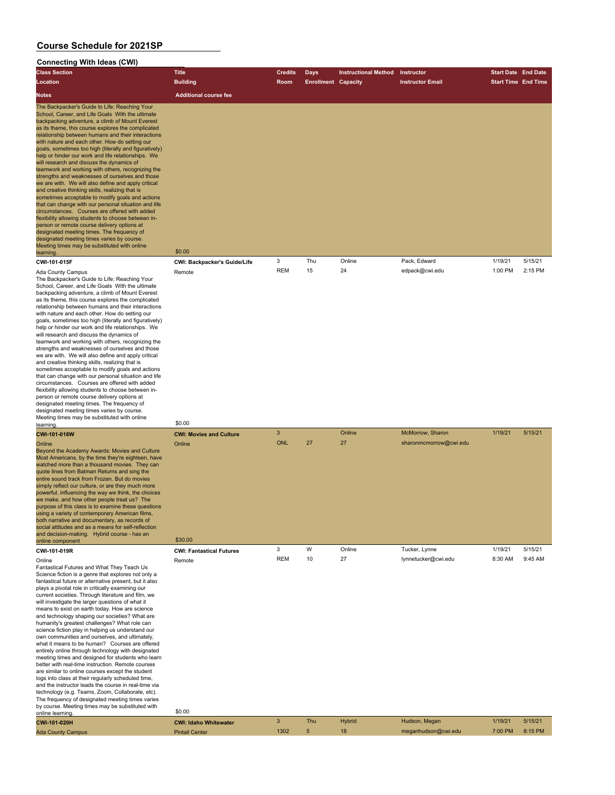| <b>Connecting With Ideas (CWI)</b>                                                                                                                                                                                                                                                                                                                                                                                                                                                                                                                                                                                                                                                                                                                                                                                                                                                                                                                                                                                                                                                                                                                              |                                                     |                            |                            |                             |                                            |                            |         |
|-----------------------------------------------------------------------------------------------------------------------------------------------------------------------------------------------------------------------------------------------------------------------------------------------------------------------------------------------------------------------------------------------------------------------------------------------------------------------------------------------------------------------------------------------------------------------------------------------------------------------------------------------------------------------------------------------------------------------------------------------------------------------------------------------------------------------------------------------------------------------------------------------------------------------------------------------------------------------------------------------------------------------------------------------------------------------------------------------------------------------------------------------------------------|-----------------------------------------------------|----------------------------|----------------------------|-----------------------------|--------------------------------------------|----------------------------|---------|
| <b>Class Section</b>                                                                                                                                                                                                                                                                                                                                                                                                                                                                                                                                                                                                                                                                                                                                                                                                                                                                                                                                                                                                                                                                                                                                            | <b>Title</b>                                        | <b>Credits</b>             | <b>Days</b>                | <b>Instructional Method</b> | Instructor                                 | <b>Start Date End Date</b> |         |
| <b>Location</b>                                                                                                                                                                                                                                                                                                                                                                                                                                                                                                                                                                                                                                                                                                                                                                                                                                                                                                                                                                                                                                                                                                                                                 | <b>Building</b>                                     | Room                       | <b>Enrollment Capacity</b> |                             | <b>Instructor Email</b>                    | <b>Start Time End Time</b> |         |
| Notes                                                                                                                                                                                                                                                                                                                                                                                                                                                                                                                                                                                                                                                                                                                                                                                                                                                                                                                                                                                                                                                                                                                                                           | <b>Additional course fee</b>                        |                            |                            |                             |                                            |                            |         |
| The Backpacker's Guide to Life: Reaching Your<br>School, Career, and Life Goals With the ultimate<br>backpacking adventure, a climb of Mount Everest<br>as its theme, this course explores the complicated<br>relationship between humans and their interactions<br>with nature and each other. How do setting our<br>goals, sometimes too high (literally and figuratively)<br>help or hinder our work and life relationships. We<br>will research and discuss the dynamics of<br>teamwork and working with others, recognizing the<br>strengths and weaknesses of ourselves and those<br>we are with. We will also define and apply critical<br>and creative thinking skills, realizing that is<br>sometimes acceptable to modify goals and actions<br>that can change with our personal situation and life<br>circumstances. Courses are offered with added<br>flexibility allowing students to choose between in-<br>person or remote course delivery options at<br>designated meeting times. The frequency of<br>designated meeting times varies by course.<br>Meeting times may be substituted with online<br>learning.                                   | \$0.00                                              |                            |                            |                             |                                            |                            |         |
| CWI-101-015F                                                                                                                                                                                                                                                                                                                                                                                                                                                                                                                                                                                                                                                                                                                                                                                                                                                                                                                                                                                                                                                                                                                                                    | <b>CWI: Backpacker's Guide/Life</b>                 | 3                          | Thu                        | Online                      | Pack, Edward                               | 1/19/21                    | 5/15/21 |
| Ada County Campus<br>The Backpacker's Guide to Life: Reaching Your<br>School, Career, and Life Goals With the ultimate<br>backpacking adventure, a climb of Mount Everest<br>as its theme, this course explores the complicated<br>relationship between humans and their interactions<br>with nature and each other. How do setting our<br>goals, sometimes too high (literally and figuratively)<br>help or hinder our work and life relationships. We<br>will research and discuss the dynamics of<br>teamwork and working with others, recognizing the<br>strengths and weaknesses of ourselves and those<br>we are with. We will also define and apply critical<br>and creative thinking skills, realizing that is<br>sometimes acceptable to modify goals and actions<br>that can change with our personal situation and life<br>circumstances. Courses are offered with added<br>flexibility allowing students to choose between in-<br>person or remote course delivery options at<br>designated meeting times. The frequency of<br>designated meeting times varies by course.<br>Meeting times may be substituted with online                           | Remote                                              | <b>REM</b>                 | 15                         | 24                          | edpack@cwi.edu                             | 1:00 PM                    | 2:15 PM |
| learning.                                                                                                                                                                                                                                                                                                                                                                                                                                                                                                                                                                                                                                                                                                                                                                                                                                                                                                                                                                                                                                                                                                                                                       | \$0.00                                              |                            |                            |                             |                                            |                            |         |
| CWI-101-016W<br>Online<br>Beyond the Academy Awards: Movies and Culture<br>Most Americans, by the time they're eighteen, have<br>watched more than a thousand movies. They can<br>quote lines from Batman Returns and sing the<br>entire sound track from Frozen. But do movies<br>simply reflect our culture, or are they much more<br>powerful, influencing the way we think, the choices<br>we make, and how other people treat us? The<br>purpose of this class is to examine these questions<br>using a variety of contemporary American films,<br>both narrative and documentary, as records of<br>social attitudes and as a means for self-reflection<br>and decision-making. Hybrid course - has an                                                                                                                                                                                                                                                                                                                                                                                                                                                     | <b>CWI: Movies and Culture</b><br>Online            | $\mathbf{3}$<br><b>ONL</b> | 27                         | Online<br>27                | McMorrow, Sharon<br>sharonmcmorrow@cwi.edu | 1/19/21                    | 5/15/21 |
| online component                                                                                                                                                                                                                                                                                                                                                                                                                                                                                                                                                                                                                                                                                                                                                                                                                                                                                                                                                                                                                                                                                                                                                | \$30.00                                             |                            | W                          | Online                      |                                            |                            | 5/15/21 |
| CWI-101-019R<br>Online<br>Fantastical Futures and What They Teach Us<br>Science fiction is a genre that explores not only a<br>fantastical future or alternative present, but it also<br>plays a pivotal role in critically examining our<br>current societies. Through literature and film, we<br>will investigate the larger questions of what it<br>means to exist on earth today. How are science<br>and technology shaping our societies? What are<br>humanity's greatest challenges? What role can<br>science fiction play in helping us understand our<br>own communities and ourselves, and ultimately,<br>what it means to be human? Courses are offered<br>entirely online through technology with designated<br>meeting times and designed for students who learn<br>better with real-time instruction. Remote courses<br>are similar to online courses except the student<br>logs into class at their regularly scheduled time,<br>and the instructor leads the course in real-time via<br>technology (e.g. Teams, Zoom, Collaborate, etc).<br>The frequency of designated meeting times varies<br>by course. Meeting times may be substituted with | <b>CWI: Fantastical Futures</b><br>Remote<br>\$0.00 | 3<br><b>REM</b>            | 10                         | 27                          | Tucker, Lynne<br>lynnetucker@cwi.edu       | 1/19/21<br>8:30 AM         | 9:45 AM |
| online learning.<br>CWI-101-020H                                                                                                                                                                                                                                                                                                                                                                                                                                                                                                                                                                                                                                                                                                                                                                                                                                                                                                                                                                                                                                                                                                                                | <b>CWI: Idaho Whitewater</b>                        | $\ensuremath{\mathsf{3}}$  | Thu                        | Hybrid                      | Hudson, Megan                              | 1/19/21                    | 5/15/21 |
| <b>Ada County Campus</b>                                                                                                                                                                                                                                                                                                                                                                                                                                                                                                                                                                                                                                                                                                                                                                                                                                                                                                                                                                                                                                                                                                                                        | <b>Pintail Center</b>                               | 1302                       | $\sqrt{5}$                 | 18                          | meganhudson@cwi.edu                        | 7:00 PM                    | 8:15 PM |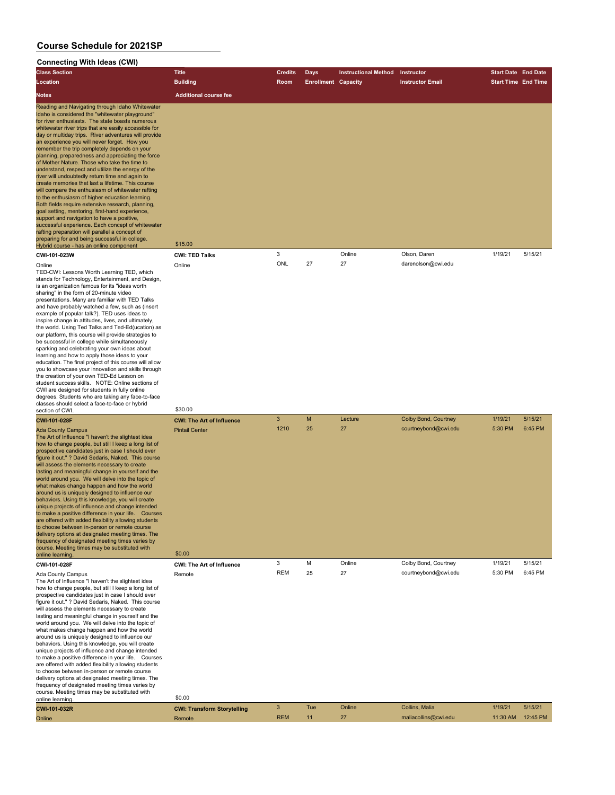#### **Connecting With Ideas (CWI) Class Section Title Credits Days Instructional Method Instructor Start Date End Date Location Building Room Enrollment Capacity Instructor Email Start Time End Time Notes Additional course fee** Reading and Navigating through Idaho Whitewater Idaho is considered the "whitewater playground" for river enthusiasts. The state boasts numerous whitewater river trips that are easily accessible for day or multiday trips. River adventures will provide an experience you will never forget. How you remember the trip completely depends on your planning, preparedness and appreciating the force of Mother Nature. Those who take the time to understand, respect and utilize the energy of the river will undoubtedly return time and again to create memories that last a lifetime. This course will compare the enthusiasm of whitewater rafting to the enthusiasm of higher education learning. Both fields require extensive research, planning, goal setting, mentoring, first-hand experience, support and navigation to have a positive, successful experience. Each concept of whitewater rafting preparation will parallel a concept of preparing for and being successful in college. Hybrid course - has an online component \$15.00 **CWI-101-023W CWI: TED Talks** 3 Online Olson, Daren 1/19/21 5/15/21 Online Online ONL 27 27 darenolson@cwi.edu TED-CWI: Lessons Worth Learning TED, which stands for Technology, Entertainment, and Design, is an organization famous for its "ideas worth sharing" in the form of 20-minute video presentations. Many are familiar with TED Talks and have probably watched a few, such as (insert example of popular talk?). TED uses ideas to inspire change in attitudes, lives, and ultimately, the world. Using Ted Talks and Ted-Ed(ucation) as our platform, this course will provide strategies to be successful in college while simultaneously sparking and celebrating your own ideas about learning and how to apply those ideas to your education. The final project of this course will allow you to showcase your innovation and skills through the creation of your own TED-Ed Lesson on student success skills. NOTE: Online sections of CWI are designed for students in fully online degrees. Students who are taking any face-to-face classes should select a face-to-face or hybrid section of CWI. \$30.00 **CWI-101-028F CWI: The Art of Influence** 3 M Lecture Colby Bond, Courtney 1/19/21 5/15/21 Ada County Campus Pintail Center 1210 25 27 courtneybond@cwi.edu 5:30 PM 6:45 PM The Art of Influence "I haven't the slightest idea how to change people, but still I keep a long list of prospective candidates just in case I should ever figure it out." ? David Sedaris, Naked. This course will assess the elements necessary to create lasting and meaningful change in yourself and the world around you. We will delve into the topic of what makes change happen and how the world around us is uniquely designed to influence our behaviors. Using this knowledge, you will create unique projects of influence and change intended to make a positive difference in your life. Courses are offered with added flexibility allowing students to choose between in-person or remote course delivery options at designated meeting times. The frequency of designated meeting times varies by course. Meeting times may be substituted with online learning. \$0.00 **CWI-101-028F CWI: The Art of Influence** 3 M Online Colby Bond, Courtney 1/19/21 5/15/21 Ada County Campus Remote REM 25 27 courtneybond@cwi.edu 5:30 PM 6:45 PM The Art of Influence "I haven't the slightest idea how to change people, but still I keep a long list of prospective candidates just in case I should ever figure it out." ? David Sedaris, Naked. This course will assess the elements necessary to create lasting and meaningful change in yourself and the world around you. We will delve into the topic of what makes change happen and how the world around us is uniquely designed to influence our behaviors. Using this knowledge, you will create unique projects of influence and change intended to make a positive difference in your life. Courses are offered with added flexibility allowing students to choose between in-person or remote course delivery options at designated meeting times. The frequency of designated meeting times varies by course. Meeting times may be substituted with online learning. \$0.00

| CWI-101-032R | <b>CWI: Transform Storytelling</b> |            | Tue | Online | Collins, Malia       | 1/19/21  | 5/15/21  |
|--------------|------------------------------------|------------|-----|--------|----------------------|----------|----------|
| Online       | Remote                             | <b>REM</b> |     | 27     | maliacollins@cwi.edu | 11:30 AM | 12:45 PM |
|              |                                    |            |     |        |                      |          |          |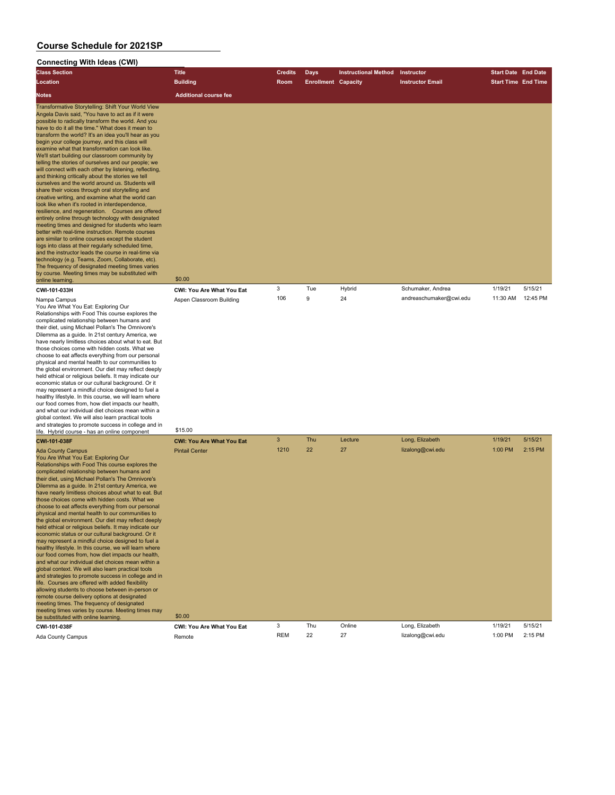### **Connecting With Ideas (CWI) Class Section Title Credits Days Instructional Method Instructor Start Date End Date Location Building Room Enrollment Capacity Instructor Email Start Time End Time Notes Additional course fee** Transformative Storytelling: Shift Your World View Angela Davis said, "You have to act as if it were possible to radically transform the world. And you have to do it all the time." What does it mean to transform the world? It's an idea you'll hear as you begin your college journey, and this class will examine what that transformation can look like. We'll start building our classroom community by telling the stories of ourselves and our people; we will connect with each other by listening, reflecting and thinking critically about the stories we tell ourselves and the world around us. Students will share their voices through oral storytelling and creative writing, and examine what the world can look like when it's rooted in interdependence, resilience, and regeneration. Courses are offered entirely online through technology with designated meeting times and designed for students who learn better with real-time instruction. Remote courses are similar to online courses except the student logs into class at their regularly scheduled time, and the instructor leads the course in real-time via echnology (e.g. Teams, Zoom, Collaborate, etc). The frequency of designated meeting times varies by course. Meeting times may be substituted with online learning. \$0.00 **CWI-101-033H CWI: You Are What You Eat** 3 Tue Hybrid Schumaker, Andrea 1/19/21 5/15/21 Nampa Campus **Aspen Classroom Building** 106 9 24 andreaschumaker@cwi.edu 11:30 AM 12:45 PM You Are What You Eat: Exploring Our Relationships with Food This course explores the complicated relationship between humans and their diet, using Michael Pollan's The Omnivore's Dilemma as a guide. In 21st century America, we have nearly limitless choices about what to eat. But those choices come with hidden costs. What we choose to eat affects everything from our personal physical and mental health to our communities to the global environment. Our diet may reflect deeply held ethical or religious beliefs. It may indicate our economic status or our cultural background. Or it may represent a mindful choice designed to fuel a althy lifestyle. In this course, we will learn where our food comes from, how diet impacts our health and what our individual diet choices mean within a global context. We will also learn practical tools and strategies to promote success in college and in life. Hybrid course - has an online component \$15.00 **CWI-101-038F CWI: You Are What You Eat** 3 Thu Lecture Long, Elizabeth 1/19/21 5/15/21

Ada County Campus Photos Pintail Center 1210 22 27 lizalong@cwi.edu 1:00 PM 2:15 PM 2:15 PM You Are What You Eat: Exploring Our Relationships with Food This course explores the complicated relationship between humans and teir diet, using Michael Pollan's The Omnivore's Dilemma as a guide. In 21st century America, we have nearly limitless choices about what to eat. But those choices come with hidden costs. What we choose to eat affects everything from our personal physical and mental health to our communities to the global environment. Our diet may reflect deeply held ethical or religious beliefs. It may indicate our economic status or our cultural background. Or it may represent a mindful choice designed to fuel a healthy lifestyle. In this course, we will learn where our food comes from, how diet impacts our health, and what our individual diet choices mean within a global context. We will also learn practical tools and strategies to promote success in college and in life. Courses are offered with added flexibility allowing students to choose between in-person or remote course delivery options at designated meeting times. The frequency of designated meeting times varies by course. Meeting times may be substituted with online learning. \$0.00 **CWI-101-038F CWI: You Are What You Eat** 3 Thu Online Long, Elizabeth 1/19/21 5/15/21 Ada County Campus 2:15 PM Remote Remote Remote REM 22 27 lizalong@cwi.edu 1:00 PM 2:15 PM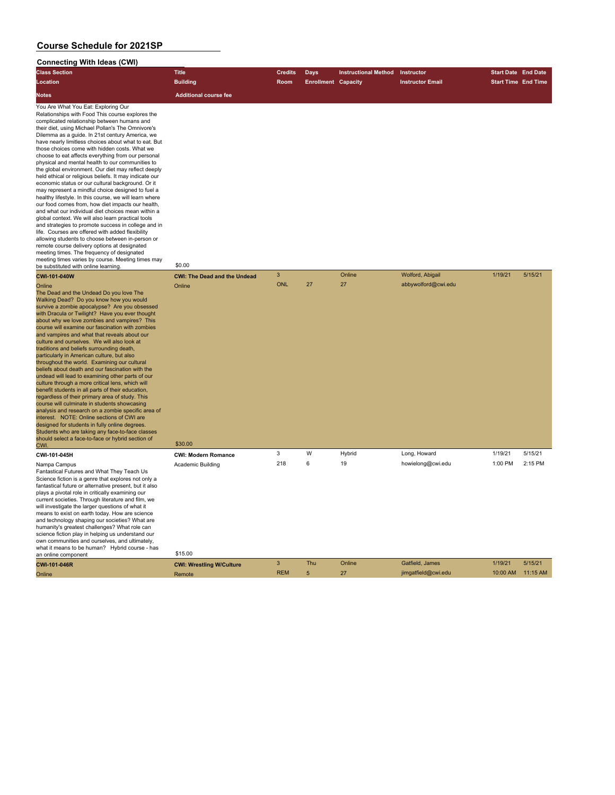| <b>Title</b><br><b>Credits</b><br><b>Days</b><br><b>Instructional Method</b><br>Instructor<br><b>Start Date End Date</b><br><b>Building</b><br><b>Enrollment Capacity</b><br><b>Instructor Email</b><br><b>Start Time End Time</b><br>Room<br><b>Additional course fee</b><br>\$0.00<br>$\overline{3}$<br>1/19/21<br>Online<br>Wolford, Abigail<br>5/15/21<br><b>CWI: The Dead and the Undead</b><br>ONL<br>27<br>27<br>abbywolford@cwi.edu<br>Online<br>\$30.00<br>3<br>W<br>1/19/21<br>5/15/21<br>Hybrid<br>Long, Howard<br><b>CWI: Modern Romance</b><br>218<br>6<br>19<br>howielong@cwi.edu<br>1:00 PM<br>2:15 PM<br>Academic Building<br>\$15.00<br>$\sqrt{3}$<br>Thu<br>Online<br>Gatfield, James<br>1/19/21<br>5/15/21<br><b>CWI: Wrestling W/Culture</b><br><b>REM</b><br>$5\overline{5}$<br>27<br>10:00 AM<br>11:15 AM<br>jimgatfield@cwi.edu<br>Remote | <b>Connecting With Ideas (CWI)</b>                                                                                                                                                                                                                                                                                                                                                                                                                                                                                                                                                                                                                                                                                                                                                                                                                                                                                                                                                                                                                                                                                                                                                                                                                                                |  |  |  |  |
|------------------------------------------------------------------------------------------------------------------------------------------------------------------------------------------------------------------------------------------------------------------------------------------------------------------------------------------------------------------------------------------------------------------------------------------------------------------------------------------------------------------------------------------------------------------------------------------------------------------------------------------------------------------------------------------------------------------------------------------------------------------------------------------------------------------------------------------------------------------|-----------------------------------------------------------------------------------------------------------------------------------------------------------------------------------------------------------------------------------------------------------------------------------------------------------------------------------------------------------------------------------------------------------------------------------------------------------------------------------------------------------------------------------------------------------------------------------------------------------------------------------------------------------------------------------------------------------------------------------------------------------------------------------------------------------------------------------------------------------------------------------------------------------------------------------------------------------------------------------------------------------------------------------------------------------------------------------------------------------------------------------------------------------------------------------------------------------------------------------------------------------------------------------|--|--|--|--|
|                                                                                                                                                                                                                                                                                                                                                                                                                                                                                                                                                                                                                                                                                                                                                                                                                                                                  | <b>Class Section</b>                                                                                                                                                                                                                                                                                                                                                                                                                                                                                                                                                                                                                                                                                                                                                                                                                                                                                                                                                                                                                                                                                                                                                                                                                                                              |  |  |  |  |
|                                                                                                                                                                                                                                                                                                                                                                                                                                                                                                                                                                                                                                                                                                                                                                                                                                                                  | Location                                                                                                                                                                                                                                                                                                                                                                                                                                                                                                                                                                                                                                                                                                                                                                                                                                                                                                                                                                                                                                                                                                                                                                                                                                                                          |  |  |  |  |
|                                                                                                                                                                                                                                                                                                                                                                                                                                                                                                                                                                                                                                                                                                                                                                                                                                                                  | <b>Notes</b>                                                                                                                                                                                                                                                                                                                                                                                                                                                                                                                                                                                                                                                                                                                                                                                                                                                                                                                                                                                                                                                                                                                                                                                                                                                                      |  |  |  |  |
|                                                                                                                                                                                                                                                                                                                                                                                                                                                                                                                                                                                                                                                                                                                                                                                                                                                                  | You Are What You Eat: Exploring Our<br>Relationships with Food This course explores the<br>complicated relationship between humans and<br>their diet, using Michael Pollan's The Omnivore's<br>Dilemma as a guide. In 21st century America, we<br>have nearly limitless choices about what to eat. But<br>those choices come with hidden costs. What we<br>choose to eat affects everything from our personal<br>physical and mental health to our communities to<br>the global environment. Our diet may reflect deeply<br>held ethical or religious beliefs. It may indicate our<br>economic status or our cultural background. Or it<br>may represent a mindful choice designed to fuel a<br>healthy lifestyle. In this course, we will learn where<br>our food comes from, how diet impacts our health,<br>and what our individual diet choices mean within a<br>global context. We will also learn practical tools<br>and strategies to promote success in college and in<br>life. Courses are offered with added flexibility<br>allowing students to choose between in-person or<br>remote course delivery options at designated<br>meeting times. The frequency of designated<br>meeting times varies by course. Meeting times may<br>be substituted with online learning. |  |  |  |  |
|                                                                                                                                                                                                                                                                                                                                                                                                                                                                                                                                                                                                                                                                                                                                                                                                                                                                  | CWI-101-040W                                                                                                                                                                                                                                                                                                                                                                                                                                                                                                                                                                                                                                                                                                                                                                                                                                                                                                                                                                                                                                                                                                                                                                                                                                                                      |  |  |  |  |
|                                                                                                                                                                                                                                                                                                                                                                                                                                                                                                                                                                                                                                                                                                                                                                                                                                                                  | Online<br>The Dead and the Undead Do you love The<br>Walking Dead? Do you know how you would<br>survive a zombie apocalypse? Are you obsessed<br>with Dracula or Twilight? Have you ever thought<br>about why we love zombies and vampires? This<br>course will examine our fascination with zombies<br>and vampires and what that reveals about our<br>culture and ourselves. We will also look at<br>traditions and beliefs surrounding death,<br>particularly in American culture, but also<br>throughout the world. Examining our cultural<br>beliefs about death and our fascination with the<br>undead will lead to examining other parts of our<br>culture through a more critical lens, which will<br>benefit students in all parts of their education,<br>regardless of their primary area of study. This<br>course will culminate in students showcasing<br>analysis and research on a zombie specific area of<br>interest. NOTE: Online sections of CWI are<br>designed for students in fully online degrees.<br>Students who are taking any face-to-face classes<br>should select a face-to-face or hybrid section of<br>CWI.                                                                                                                                         |  |  |  |  |
|                                                                                                                                                                                                                                                                                                                                                                                                                                                                                                                                                                                                                                                                                                                                                                                                                                                                  | CWI-101-045H                                                                                                                                                                                                                                                                                                                                                                                                                                                                                                                                                                                                                                                                                                                                                                                                                                                                                                                                                                                                                                                                                                                                                                                                                                                                      |  |  |  |  |
|                                                                                                                                                                                                                                                                                                                                                                                                                                                                                                                                                                                                                                                                                                                                                                                                                                                                  | Nampa Campus<br>Fantastical Futures and What They Teach Us<br>Science fiction is a genre that explores not only a<br>fantastical future or alternative present, but it also<br>plays a pivotal role in critically examining our<br>current societies. Through literature and film, we<br>will investigate the larger questions of what it<br>means to exist on earth today. How are science<br>and technology shaping our societies? What are<br>humanity's greatest challenges? What role can<br>science fiction play in helping us understand our<br>own communities and ourselves, and ultimately,<br>what it means to be human? Hybrid course - has<br>an online component                                                                                                                                                                                                                                                                                                                                                                                                                                                                                                                                                                                                    |  |  |  |  |
|                                                                                                                                                                                                                                                                                                                                                                                                                                                                                                                                                                                                                                                                                                                                                                                                                                                                  | CWI-101-046R                                                                                                                                                                                                                                                                                                                                                                                                                                                                                                                                                                                                                                                                                                                                                                                                                                                                                                                                                                                                                                                                                                                                                                                                                                                                      |  |  |  |  |
|                                                                                                                                                                                                                                                                                                                                                                                                                                                                                                                                                                                                                                                                                                                                                                                                                                                                  | Online                                                                                                                                                                                                                                                                                                                                                                                                                                                                                                                                                                                                                                                                                                                                                                                                                                                                                                                                                                                                                                                                                                                                                                                                                                                                            |  |  |  |  |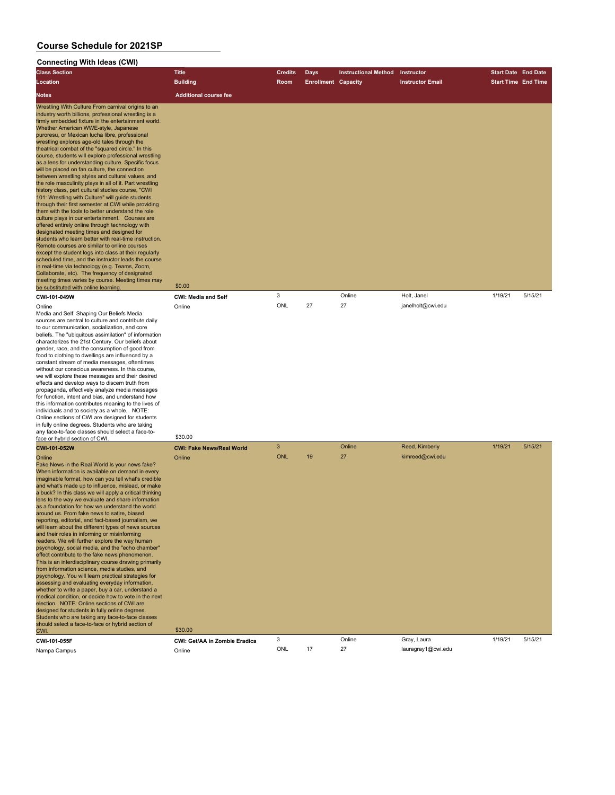| Connecting With Ideas (CWI)                                                                                                                                                                                                                                                                                                                                                                                                                                                                                                                                                                                                                                                                                                                                                                                                                                                                                                                                                                                                                                                                                                                                                                                                                                                                                                                                                                                 |                                      |                |                            |                             |                         |                            |         |
|-------------------------------------------------------------------------------------------------------------------------------------------------------------------------------------------------------------------------------------------------------------------------------------------------------------------------------------------------------------------------------------------------------------------------------------------------------------------------------------------------------------------------------------------------------------------------------------------------------------------------------------------------------------------------------------------------------------------------------------------------------------------------------------------------------------------------------------------------------------------------------------------------------------------------------------------------------------------------------------------------------------------------------------------------------------------------------------------------------------------------------------------------------------------------------------------------------------------------------------------------------------------------------------------------------------------------------------------------------------------------------------------------------------|--------------------------------------|----------------|----------------------------|-----------------------------|-------------------------|----------------------------|---------|
| <b>Class Section</b>                                                                                                                                                                                                                                                                                                                                                                                                                                                                                                                                                                                                                                                                                                                                                                                                                                                                                                                                                                                                                                                                                                                                                                                                                                                                                                                                                                                        | <b>Title</b>                         | <b>Credits</b> | <b>Days</b>                | <b>Instructional Method</b> | Instructor              | <b>Start Date End Date</b> |         |
| Location                                                                                                                                                                                                                                                                                                                                                                                                                                                                                                                                                                                                                                                                                                                                                                                                                                                                                                                                                                                                                                                                                                                                                                                                                                                                                                                                                                                                    | <b>Building</b>                      | <b>Room</b>    | <b>Enrollment Capacity</b> |                             | <b>Instructor Email</b> | <b>Start Time End Time</b> |         |
| <b>Notes</b>                                                                                                                                                                                                                                                                                                                                                                                                                                                                                                                                                                                                                                                                                                                                                                                                                                                                                                                                                                                                                                                                                                                                                                                                                                                                                                                                                                                                | <b>Additional course fee</b>         |                |                            |                             |                         |                            |         |
| Wrestling With Culture From carnival origins to an<br>industry worth billions, professional wrestling is a<br>firmly embedded fixture in the entertainment world.<br>Whether American WWE-style, Japanese<br>puroresu, or Mexican lucha libre, professional<br>wrestling explores age-old tales through the<br>theatrical combat of the "squared circle." In this<br>course, students will explore professional wrestling<br>as a lens for understanding culture. Specific focus<br>will be placed on fan culture, the connection<br>between wrestling styles and cultural values, and<br>the role masculinity plays in all of it. Part wrestling<br>history class, part cultural studies course, "CWI<br>101: Wrestling with Culture" will guide students<br>through their first semester at CWI while providing<br>them with the tools to better understand the role<br>culture plays in our entertainment. Courses are<br>offered entirely online through technology with<br>designated meeting times and designed for<br>students who learn better with real-time instruction.<br>Remote courses are similar to online courses<br>except the student logs into class at their regularly<br>scheduled time, and the instructor leads the course<br>in real-time via technology (e.g. Teams, Zoom,<br>Collaborate, etc). The frequency of designated<br>meeting times varies by course. Meeting times may |                                      |                |                            |                             |                         |                            |         |
| be substituted with online learning<br>CWI-101-049W                                                                                                                                                                                                                                                                                                                                                                                                                                                                                                                                                                                                                                                                                                                                                                                                                                                                                                                                                                                                                                                                                                                                                                                                                                                                                                                                                         | \$0.00<br><b>CWI: Media and Self</b> | 3              |                            | Online                      | Holt, Janel             | 1/19/21                    | 5/15/21 |
| Online<br>Media and Self: Shaping Our Beliefs Media<br>sources are central to culture and contribute daily<br>to our communication, socialization, and core<br>beliefs. The "ubiquitous assimilation" of information<br>characterizes the 21st Century. Our beliefs about<br>gender, race, and the consumption of good from<br>food to clothing to dwellings are influenced by a<br>constant stream of media messages, oftentimes<br>without our conscious awareness. In this course,<br>we will explore these messages and their desired<br>effects and develop ways to discern truth from<br>propaganda, effectively analyze media messages<br>for function, intent and bias, and understand how<br>this information contributes meaning to the lives of<br>individuals and to society as a whole. NOTE:<br>Online sections of CWI are designed for students<br>in fully online degrees. Students who are taking<br>any face-to-face classes should select a face-to-<br>face or hybrid section of CWI.                                                                                                                                                                                                                                                                                                                                                                                                   | Online<br>\$30.00                    | ONL            | 27                         | 27                          | janelholt@cwi.edu       |                            |         |
| CWI-101-052W                                                                                                                                                                                                                                                                                                                                                                                                                                                                                                                                                                                                                                                                                                                                                                                                                                                                                                                                                                                                                                                                                                                                                                                                                                                                                                                                                                                                | <b>CWI: Fake News/Real World</b>     | $\mathbf{3}$   |                            | Online                      | Reed, Kimberly          | 1/19/21                    | 5/15/21 |
| Online<br>Fake News in the Real World Is your news fake?<br>When information is available on demand in every<br>imaginable format, how can you tell what's credible<br>and what's made up to influence, mislead, or make<br>a buck? In this class we will apply a critical thinking<br>lens to the way we evaluate and share information<br>as a foundation for how we understand the world<br>around us. From fake news to satire, biased<br>reporting, editorial, and fact-based journalism, we<br>will learn about the different types of news sources<br>and their roles in informing or misinforming<br>readers. We will further explore the way human<br>psychology, social media, and the "echo chamber"<br>effect contribute to the fake news phenomenon.<br>This is an interdisciplinary course drawing primarily<br>from information science, media studies, and<br>psychology. You will learn practical strategies for<br>assessing and evaluating everyday information,<br>whether to write a paper, buy a car, understand a<br>medical condition, or decide how to vote in the next<br>election. NOTE: Online sections of CWI are<br>designed for students in fully online degrees.<br>Students who are taking any face-to-face classes<br>should select a face-to-face or hybrid section of<br>CWI.                                                                                           | Online<br>\$30.00                    | ONL            | 19                         | 27                          | kimreed@cwi.edu         |                            |         |
| CWI-101-055F                                                                                                                                                                                                                                                                                                                                                                                                                                                                                                                                                                                                                                                                                                                                                                                                                                                                                                                                                                                                                                                                                                                                                                                                                                                                                                                                                                                                | CWI: Get/AA in Zombie Eradica        | 3<br>ONL       | 17                         | Online                      | Gray, Laura             | 1/19/21                    | 5/15/21 |
| Nampa Campus                                                                                                                                                                                                                                                                                                                                                                                                                                                                                                                                                                                                                                                                                                                                                                                                                                                                                                                                                                                                                                                                                                                                                                                                                                                                                                                                                                                                | Online                               |                |                            | 27                          | lauragray1@cwi.edu      |                            |         |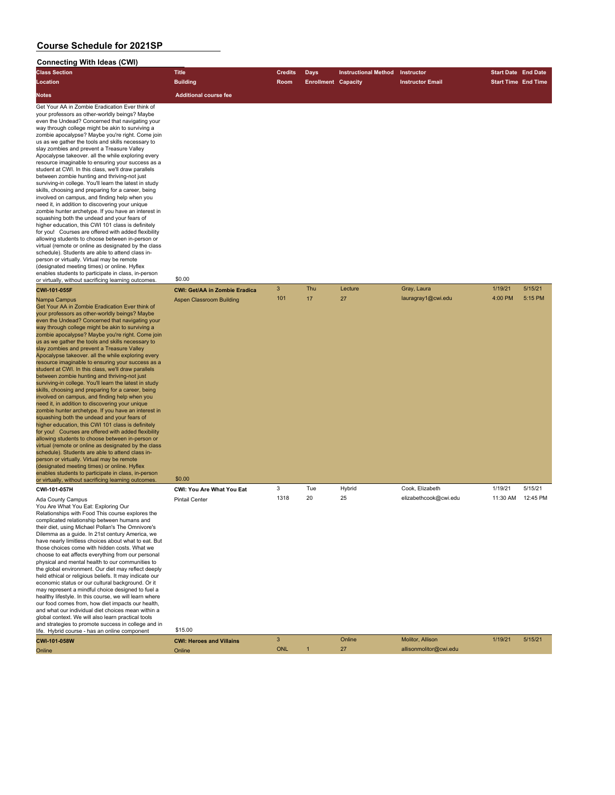| <b>Connecting With Ideas (CWI)</b>                                                                                                                                                                                                                                                                                                                                                                                                                                                                                                                                                                                                                                                                                                                                                                                                                                                                                                                                                                                                                                                                                                                                                                                                                                                                                                                                                                                                           |                                                                                   |                |                            |                             |                         |                            |          |
|----------------------------------------------------------------------------------------------------------------------------------------------------------------------------------------------------------------------------------------------------------------------------------------------------------------------------------------------------------------------------------------------------------------------------------------------------------------------------------------------------------------------------------------------------------------------------------------------------------------------------------------------------------------------------------------------------------------------------------------------------------------------------------------------------------------------------------------------------------------------------------------------------------------------------------------------------------------------------------------------------------------------------------------------------------------------------------------------------------------------------------------------------------------------------------------------------------------------------------------------------------------------------------------------------------------------------------------------------------------------------------------------------------------------------------------------|-----------------------------------------------------------------------------------|----------------|----------------------------|-----------------------------|-------------------------|----------------------------|----------|
| <b>Class Section</b>                                                                                                                                                                                                                                                                                                                                                                                                                                                                                                                                                                                                                                                                                                                                                                                                                                                                                                                                                                                                                                                                                                                                                                                                                                                                                                                                                                                                                         | <b>Title</b>                                                                      | <b>Credits</b> | <b>Days</b>                | <b>Instructional Method</b> | Instructor              | <b>Start Date End Date</b> |          |
| Location                                                                                                                                                                                                                                                                                                                                                                                                                                                                                                                                                                                                                                                                                                                                                                                                                                                                                                                                                                                                                                                                                                                                                                                                                                                                                                                                                                                                                                     | <b>Building</b>                                                                   | Room           | <b>Enrollment Capacity</b> |                             | <b>Instructor Email</b> | <b>Start Time End Time</b> |          |
| Notes                                                                                                                                                                                                                                                                                                                                                                                                                                                                                                                                                                                                                                                                                                                                                                                                                                                                                                                                                                                                                                                                                                                                                                                                                                                                                                                                                                                                                                        | <b>Additional course fee</b>                                                      |                |                            |                             |                         |                            |          |
| Get Your AA in Zombie Eradication Ever think of<br>your professors as other-worldly beings? Maybe<br>even the Undead? Concerned that navigating your<br>way through college might be akin to surviving a<br>zombie apocalypse? Maybe you're right. Come join<br>us as we gather the tools and skills necessary to<br>slay zombies and prevent a Treasure Valley<br>Apocalypse takeover. all the while exploring every<br>resource imaginable to ensuring your success as a<br>student at CWI. In this class, we'll draw parallels<br>between zombie hunting and thriving-not just<br>surviving-in college. You'll learn the latest in study<br>skills, choosing and preparing for a career, being<br>involved on campus, and finding help when you<br>need it, in addition to discovering your unique<br>zombie hunter archetype. If you have an interest in<br>squashing both the undead and your fears of<br>higher education, this CWI 101 class is definitely<br>for you! Courses are offered with added flexibility<br>allowing students to choose between in-person or<br>virtual (remote or online as designated by the class<br>schedule). Students are able to attend class in-<br>person or virtually. Virtual may be remote<br>(designated meeting times) or online. Hyflex<br>enables students to participate in class, in-person                                                                                                | \$0.00                                                                            |                |                            |                             |                         |                            |          |
| or virtually, without sacrificing learning outcomes.                                                                                                                                                                                                                                                                                                                                                                                                                                                                                                                                                                                                                                                                                                                                                                                                                                                                                                                                                                                                                                                                                                                                                                                                                                                                                                                                                                                         |                                                                                   | 3              | Thu                        | Lecture                     | Gray, Laura             | 1/19/21                    | 5/15/21  |
| <b>CWI-101-055F</b><br>Nampa Campus<br>Get Your AA in Zombie Eradication Ever think of<br>your professors as other-worldly beings? Maybe<br>even the Undead? Concerned that navigating your<br>way through college might be akin to surviving a<br>zombie apocalypse? Maybe you're right. Come join<br>us as we gather the tools and skills necessary to<br>slay zombies and prevent a Treasure Valley<br>Apocalypse takeover. all the while exploring every<br>resource imaginable to ensuring your success as a<br>student at CWI. In this class, we'll draw parallels<br>between zombie hunting and thriving-not just<br>surviving-in college. You'll learn the latest in study<br>skills, choosing and preparing for a career, being<br>involved on campus, and finding help when you<br>need it, in addition to discovering your unique<br>zombie hunter archetype. If you have an interest in<br>squashing both the undead and your fears of<br>higher education, this CWI 101 class is definitely<br>for you! Courses are offered with added flexibility<br>allowing students to choose between in-person or<br>virtual (remote or online as designated by the class<br>schedule). Students are able to attend class in-<br>person or virtually. Virtual may be remote<br>(designated meeting times) or online. Hyflex<br>enables students to participate in class, in-person<br>or virtually, without sacrificing learning outcomes. | <b>CWI: Get/AA in Zombie Eradica</b><br><b>Aspen Classroom Building</b><br>\$0.00 | 101            | 17                         | 27                          | lauragray1@cwi.edu      | 4:00 PM                    | 5:15 PM  |
| CWI-101-057H                                                                                                                                                                                                                                                                                                                                                                                                                                                                                                                                                                                                                                                                                                                                                                                                                                                                                                                                                                                                                                                                                                                                                                                                                                                                                                                                                                                                                                 | <b>CWI: You Are What You Eat</b>                                                  | 3              | Tue                        | Hybrid                      | Cook, Elizabeth         | 1/19/21                    | 5/15/21  |
| Ada County Campus<br>You Are What You Eat: Exploring Our<br>Relationships with Food This course explores the<br>complicated relationship between humans and<br>their diet, using Michael Pollan's The Omnivore's<br>Dilemma as a quide. In 21st century America, we<br>have nearly limitless choices about what to eat. But<br>those choices come with hidden costs. What we<br>choose to eat affects everything from our personal<br>physical and mental health to our communities to<br>the global environment. Our diet may reflect deeply<br>held ethical or religious beliefs. It may indicate our<br>economic status or our cultural background. Or it<br>may represent a mindful choice designed to fuel a<br>healthy lifestyle. In this course, we will learn where<br>our food comes from, how diet impacts our health,<br>and what our individual diet choices mean within a<br>global context. We will also learn practical tools<br>and strategies to promote success in college and in<br>life. Hybrid course - has an online component                                                                                                                                                                                                                                                                                                                                                                                         | <b>Pintail Center</b><br>\$15.00                                                  | 1318           | 20                         | 25                          | elizabethcook@cwi.edu   | 11:30 AM                   | 12:45 PM |

| CWI-101-058W | <b>CWI: Heroes and Villains</b> |     | Online <sup>1</sup> | Molitor, Allison       | 1/19/21 | 5/15/21 |
|--------------|---------------------------------|-----|---------------------|------------------------|---------|---------|
| Online       | Online                          | ONL | 27                  | allisonmolitor@cwi.edu |         |         |
|              |                                 |     |                     |                        |         |         |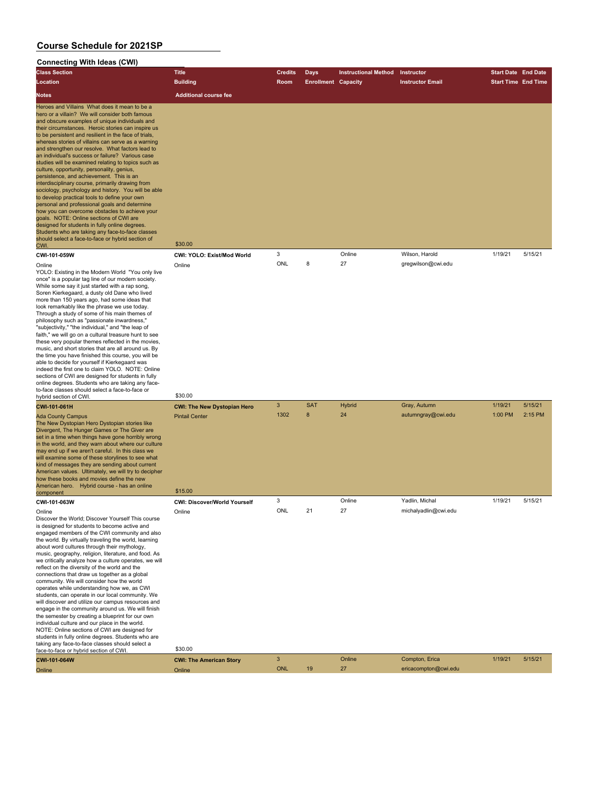### **Connecting With Ideas (CWI)**

| <b>Class Section</b>                                                                                                                                                                                                                                                                                                                                                                                                                                                                                                                                                                                                                                                                                                                                                                                                                                                                                                                                                                                                                                          | <b>Title</b>                             | <b>Credits</b> | Days                       | <b>Instructional Method</b> | Instructor              | <b>Start Date End Date</b> |         |
|---------------------------------------------------------------------------------------------------------------------------------------------------------------------------------------------------------------------------------------------------------------------------------------------------------------------------------------------------------------------------------------------------------------------------------------------------------------------------------------------------------------------------------------------------------------------------------------------------------------------------------------------------------------------------------------------------------------------------------------------------------------------------------------------------------------------------------------------------------------------------------------------------------------------------------------------------------------------------------------------------------------------------------------------------------------|------------------------------------------|----------------|----------------------------|-----------------------------|-------------------------|----------------------------|---------|
| Location                                                                                                                                                                                                                                                                                                                                                                                                                                                                                                                                                                                                                                                                                                                                                                                                                                                                                                                                                                                                                                                      | <b>Building</b>                          | Room           | <b>Enrollment Capacity</b> |                             | <b>Instructor Email</b> | <b>Start Time End Time</b> |         |
| <b>Notes</b>                                                                                                                                                                                                                                                                                                                                                                                                                                                                                                                                                                                                                                                                                                                                                                                                                                                                                                                                                                                                                                                  | <b>Additional course fee</b>             |                |                            |                             |                         |                            |         |
| Heroes and Villains What does it mean to be a<br>hero or a villain? We will consider both famous<br>and obscure examples of unique individuals and<br>their circumstances. Heroic stories can inspire us<br>to be persistent and resilient in the face of trials,<br>whereas stories of villains can serve as a warning<br>and strengthen our resolve. What factors lead to<br>an individual's success or failure? Various case<br>studies will be examined relating to topics such as<br>culture, opportunity, personality, genius,<br>persistence, and achievement. This is an<br>interdisciplinary course, primarily drawing from<br>sociology, psychology and history. You will be able<br>to develop practical tools to define your own<br>personal and professional goals and determine<br>how you can overcome obstacles to achieve your<br>goals. NOTE: Online sections of CWI are<br>designed for students in fully online degrees.<br>Students who are taking any face-to-face classes<br>should select a face-to-face or hybrid section of<br>CWI. | \$30.00                                  |                |                            |                             |                         |                            |         |
| CWI-101-059W                                                                                                                                                                                                                                                                                                                                                                                                                                                                                                                                                                                                                                                                                                                                                                                                                                                                                                                                                                                                                                                  | CWI: YOLO: Exist/Mod World               | 3              |                            | Online                      | Wilson, Harold          | 1/19/21                    | 5/15/21 |
| Online<br>YOLO: Existing in the Modern World "You only live<br>once" is a popular tag line of our modern society.<br>While some say it just started with a rap song,<br>Soren Kierkegaard, a dusty old Dane who lived<br>more than 150 years ago, had some ideas that<br>look remarkably like the phrase we use today.<br>Through a study of some of his main themes of<br>philosophy such as "passionate inwardness,"<br>"subjectivity," "the individual," and "the leap of<br>faith," we will go on a cultural treasure hunt to see<br>these very popular themes reflected in the movies,<br>music, and short stories that are all around us. By<br>the time you have finished this course, you will be<br>able to decide for yourself if Kierkegaard was<br>indeed the first one to claim YOLO. NOTE: Online<br>sections of CWI are designed for students in fully<br>online degrees. Students who are taking any face-<br>to-face classes should select a face-to-face or<br>hybrid section of CWI.                                                       | Online<br>\$30.00                        | ONL            | 8                          | 27                          | gregwilson@cwi.edu      |                            |         |
| CWI-101-061H                                                                                                                                                                                                                                                                                                                                                                                                                                                                                                                                                                                                                                                                                                                                                                                                                                                                                                                                                                                                                                                  | <b>CWI: The New Dystopian Hero</b>       | 3              | <b>SAT</b>                 | <b>Hybrid</b>               | Gray, Autumn            | 1/19/21                    | 5/15/21 |
| <b>Ada County Campus</b><br>The New Dystopian Hero Dystopian stories like<br>Divergent, The Hunger Games or The Giver are<br>set in a time when things have gone horribly wrong<br>in the world, and they warn about where our culture<br>may end up if we aren't careful. In this class we<br>will examine some of these storylines to see what<br>kind of messages they are sending about current<br>American values. Ultimately, we will try to decipher<br>how these books and movies define the new<br>American hero. Hybrid course - has an online<br>component                                                                                                                                                                                                                                                                                                                                                                                                                                                                                         | <b>Pintail Center</b><br>\$15.00         | 1302           | 8                          | 24                          | autumngray@cwi.edu      | 1:00 PM                    | 2:15 PM |
| CWI-101-063W                                                                                                                                                                                                                                                                                                                                                                                                                                                                                                                                                                                                                                                                                                                                                                                                                                                                                                                                                                                                                                                  | <b>CWI: Discover/World Yourself</b>      | 3              |                            | Online                      | Yadlin, Michal          | 1/19/21                    | 5/15/21 |
| Online<br>Discover the World; Discover Yourself This course<br>is designed for students to become active and<br>engaged members of the CWI community and also<br>the world. By virtually traveling the world, learning<br>about word cultures through their mythology,<br>music, geography, religion, literature, and food. As<br>we critically analyze how a culture operates, we will<br>reflect on the diversity of the world and the<br>connections that draw us together as a global<br>community. We will consider how the world<br>operates while understanding how we, as CWI<br>students, can operate in our local community. We<br>will discover and utilize our campus resources and<br>engage in the community around us. We will finish<br>the semester by creating a blueprint for our own<br>individual culture and our place in the world.<br>NOTE: Online sections of CWI are designed for<br>students in fully online degrees. Students who are<br>taking any face-to-face classes should select a                                          | Online                                   | ONL            | 21                         | 27                          | michalyadlin@cwi.edu    |                            |         |
| face-to-face or hybrid section of CWI.                                                                                                                                                                                                                                                                                                                                                                                                                                                                                                                                                                                                                                                                                                                                                                                                                                                                                                                                                                                                                        | \$30.00                                  | 3              |                            | Online                      | Compton, Erica          | 1/19/21                    | 5/15/21 |
| CWI-101-064W<br>Online                                                                                                                                                                                                                                                                                                                                                                                                                                                                                                                                                                                                                                                                                                                                                                                                                                                                                                                                                                                                                                        | <b>CWI: The American Story</b><br>Online | <b>ONL</b>     | 19                         | 27                          | ericacompton@cwi.edu    |                            |         |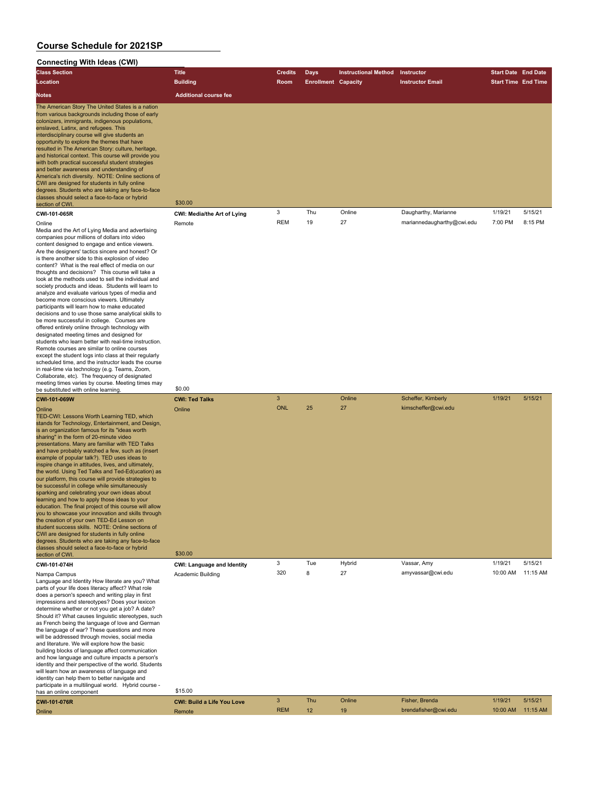| Connecting With Ideas (CWI)                                                                                                                                                                                                                                                                                                                                                                                                                                                                                                                                                                                                                                                                                                                                                                                                                                                                                                                                                                                                                                                                                                                                                                                                        |                                   |              |                            |                             |                            |                            |          |
|------------------------------------------------------------------------------------------------------------------------------------------------------------------------------------------------------------------------------------------------------------------------------------------------------------------------------------------------------------------------------------------------------------------------------------------------------------------------------------------------------------------------------------------------------------------------------------------------------------------------------------------------------------------------------------------------------------------------------------------------------------------------------------------------------------------------------------------------------------------------------------------------------------------------------------------------------------------------------------------------------------------------------------------------------------------------------------------------------------------------------------------------------------------------------------------------------------------------------------|-----------------------------------|--------------|----------------------------|-----------------------------|----------------------------|----------------------------|----------|
| <b>Class Section</b>                                                                                                                                                                                                                                                                                                                                                                                                                                                                                                                                                                                                                                                                                                                                                                                                                                                                                                                                                                                                                                                                                                                                                                                                               | <b>Title</b>                      | Credits      | <b>Days</b>                | <b>Instructional Method</b> | Instructor                 | <b>Start Date End Date</b> |          |
| Location                                                                                                                                                                                                                                                                                                                                                                                                                                                                                                                                                                                                                                                                                                                                                                                                                                                                                                                                                                                                                                                                                                                                                                                                                           | <b>Building</b>                   | Room         | <b>Enrollment Capacity</b> |                             | <b>Instructor Email</b>    | <b>Start Time End Time</b> |          |
| Notes                                                                                                                                                                                                                                                                                                                                                                                                                                                                                                                                                                                                                                                                                                                                                                                                                                                                                                                                                                                                                                                                                                                                                                                                                              | <b>Additional course fee</b>      |              |                            |                             |                            |                            |          |
| The American Story The United States is a nation<br>from various backgrounds including those of early<br>colonizers, immigrants, indigenous populations,<br>enslaved, Latinx, and refugees. This<br>interdisciplinary course will give students an<br>opportunity to explore the themes that have<br>resulted in The American Story: culture, heritage,<br>and historical context. This course will provide you<br>with both practical successful student strategies<br>and better awareness and understanding of<br>America's rich diversity. NOTE: Online sections of<br>CWI are designed for students in fully online<br>degrees. Students who are taking any face-to-face<br>classes should select a face-to-face or hybrid<br>section of CWI.                                                                                                                                                                                                                                                                                                                                                                                                                                                                                 | \$30.00                           |              |                            |                             |                            |                            |          |
| CWI-101-065R                                                                                                                                                                                                                                                                                                                                                                                                                                                                                                                                                                                                                                                                                                                                                                                                                                                                                                                                                                                                                                                                                                                                                                                                                       | CWI: Media/the Art of Lying       | 3            | Thu                        | Online                      | Daugharthy, Marianne       | 1/19/21                    | 5/15/21  |
| Online<br>Media and the Art of Lying Media and advertising<br>companies pour millions of dollars into video<br>content designed to engage and entice viewers.<br>Are the designers' tactics sincere and honest? Or<br>is there another side to this explosion of video<br>content? What is the real effect of media on our<br>thoughts and decisions? This course will take a<br>look at the methods used to sell the individual and<br>society products and ideas. Students will learn to<br>analyze and evaluate various types of media and<br>become more conscious viewers. Ultimately<br>participants will learn how to make educated<br>decisions and to use those same analytical skills to<br>be more successful in college. Courses are<br>offered entirely online through technology with<br>designated meeting times and designed for<br>students who learn better with real-time instruction.<br>Remote courses are similar to online courses<br>except the student logs into class at their regularly<br>scheduled time, and the instructor leads the course<br>in real-time via technology (e.g. Teams, Zoom,<br>Collaborate, etc). The frequency of designated<br>meeting times varies by course. Meeting times may | Remote                            | <b>REM</b>   | 19                         | 27                          | mariannedaugharthy@cwi.edu | 7:00 PM                    | 8:15 PM  |
|                                                                                                                                                                                                                                                                                                                                                                                                                                                                                                                                                                                                                                                                                                                                                                                                                                                                                                                                                                                                                                                                                                                                                                                                                                    |                                   |              |                            |                             |                            |                            |          |
| be substituted with online learning.<br>CWI-101-069W                                                                                                                                                                                                                                                                                                                                                                                                                                                                                                                                                                                                                                                                                                                                                                                                                                                                                                                                                                                                                                                                                                                                                                               | \$0.00<br><b>CWI: Ted Talks</b>   | $\mathbf{3}$ |                            | Online                      | Scheffer, Kimberly         | 1/19/21                    | 5/15/21  |
| Online<br>TED-CWI: Lessons Worth Learning TED, which<br>stands for Technology, Entertainment, and Design,<br>is an organization famous for its "ideas worth<br>sharing" in the form of 20-minute video<br>presentations. Many are familiar with TED Talks<br>and have probably watched a few, such as (insert<br>example of popular talk?). TED uses ideas to<br>inspire change in attitudes, lives, and ultimately,<br>the world. Using Ted Talks and Ted-Ed(ucation) as<br>our platform, this course will provide strategies to<br>be successful in college while simultaneously<br>sparking and celebrating your own ideas about<br>learning and how to apply those ideas to your<br>education. The final project of this course will allow<br>you to showcase your innovation and skills through<br>the creation of your own TED-Ed Lesson on<br>student success skills. NOTE: Online sections of<br>CWI are designed for students in fully online<br>degrees. Students who are taking any face-to-face<br>classes should select a face-to-face or hybrid<br>section of CWI.                                                                                                                                                   | Online<br>\$30.00                 | <b>ONL</b>   | 25                         | 27                          | kimscheffer@cwi.edu        |                            |          |
| CWI-101-074H                                                                                                                                                                                                                                                                                                                                                                                                                                                                                                                                                                                                                                                                                                                                                                                                                                                                                                                                                                                                                                                                                                                                                                                                                       | CWI: Language and Identity        | 3            | Tue                        | Hybrid                      | Vassar, Amy                | 1/19/21                    | 5/15/21  |
| Nampa Campus<br>Language and Identity How literate are you? What<br>parts of your life does literacy affect? What role<br>does a person's speech and writing play in first<br>impressions and stereotypes? Does your lexicon<br>determine whether or not you get a job? A date?<br>Should it? What causes linguistic stereotypes, such<br>as French being the language of love and German<br>the language of war? These questions and more<br>will be addressed through movies, social media<br>and literature. We will explore how the basic<br>building blocks of language affect communication<br>and how language and culture impacts a person's<br>identity and their perspective of the world. Students<br>will learn how an awareness of language and<br>identity can help them to better navigate and<br>participate in a multilingual world. Hybrid course -                                                                                                                                                                                                                                                                                                                                                              | Academic Building<br>\$15.00      | 320          | 8                          | 27                          | amyvassar@cwi.edu          | 10:00 AM                   | 11:15 AM |
| has an online component<br>CWI-101-076R                                                                                                                                                                                                                                                                                                                                                                                                                                                                                                                                                                                                                                                                                                                                                                                                                                                                                                                                                                                                                                                                                                                                                                                            | <b>CWI: Build a Life You Love</b> | $\mathbf{3}$ | Thu                        | Online                      | Fisher, Brenda             | 1/19/21                    | 5/15/21  |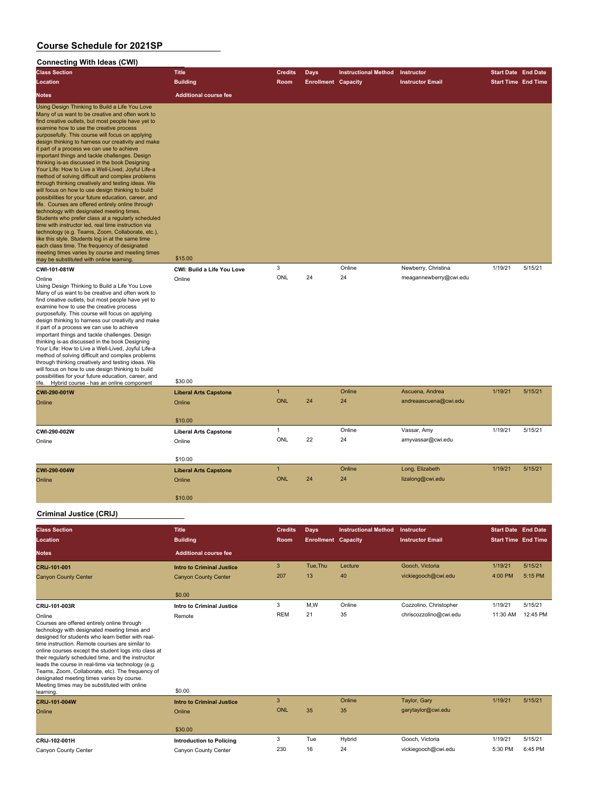| <b>Connecting With Ideas (CWI)</b>                                                                                                                                                                                                                                                                                                                                                                                                                                                                                                                                                                                                                                                                                                                                                                                                                                                                                                                                                                                                                                                                                                                                                                                  |                                        |                |                            |                             |                                               |                            |          |
|---------------------------------------------------------------------------------------------------------------------------------------------------------------------------------------------------------------------------------------------------------------------------------------------------------------------------------------------------------------------------------------------------------------------------------------------------------------------------------------------------------------------------------------------------------------------------------------------------------------------------------------------------------------------------------------------------------------------------------------------------------------------------------------------------------------------------------------------------------------------------------------------------------------------------------------------------------------------------------------------------------------------------------------------------------------------------------------------------------------------------------------------------------------------------------------------------------------------|----------------------------------------|----------------|----------------------------|-----------------------------|-----------------------------------------------|----------------------------|----------|
| <b>Class Section</b>                                                                                                                                                                                                                                                                                                                                                                                                                                                                                                                                                                                                                                                                                                                                                                                                                                                                                                                                                                                                                                                                                                                                                                                                | <b>Title</b>                           | <b>Credits</b> | Days                       | <b>Instructional Method</b> | Instructor                                    | <b>Start Date End Date</b> |          |
| <b>Location</b>                                                                                                                                                                                                                                                                                                                                                                                                                                                                                                                                                                                                                                                                                                                                                                                                                                                                                                                                                                                                                                                                                                                                                                                                     | <b>Building</b>                        | Room           | <b>Enrollment Capacity</b> |                             | <b>Instructor Email</b>                       | <b>Start Time End Time</b> |          |
| Notes                                                                                                                                                                                                                                                                                                                                                                                                                                                                                                                                                                                                                                                                                                                                                                                                                                                                                                                                                                                                                                                                                                                                                                                                               | <b>Additional course fee</b>           |                |                            |                             |                                               |                            |          |
| Using Design Thinking to Build a Life You Love<br>Many of us want to be creative and often work to<br>find creative outlets, but most people have yet to<br>examine how to use the creative process<br>purposefully. This course will focus on applying<br>design thinking to harness our creativity and make<br>it part of a process we can use to achieve<br>important things and tackle challenges. Design<br>thinking is-as discussed in the book Designing<br>Your Life: How to Live a Well-Lived, Joyful Life-a<br>method of solving difficult and complex problems<br>through thinking creatively and testing ideas. We<br>will focus on how to use design thinking to build<br>possibilities for your future education, career, and<br>life. Courses are offered entirely online through<br>technology with designated meeting times.<br>Students who prefer class at a regularly scheduled<br>time with instructor led, real time instruction via<br>technology (e.g. Teams, Zoom, Collaborate, etc.),<br>like this style. Students log in at the same time<br>each class time. The frequency of designated<br>meeting times varies by course and meeting times<br>may be substituted with online learning | \$15.00                                |                |                            |                             |                                               |                            |          |
| CWI-101-081W                                                                                                                                                                                                                                                                                                                                                                                                                                                                                                                                                                                                                                                                                                                                                                                                                                                                                                                                                                                                                                                                                                                                                                                                        | CWI: Build a Life You Love             | 3<br>ONL       | 24                         | Online<br>24                | Newberry, Christina<br>meagannewberry@cwi.edu | 1/19/21                    | 5/15/21  |
| Online<br>Using Design Thinking to Build a Life You Love<br>Many of us want to be creative and often work to<br>find creative outlets, but most people have yet to<br>examine how to use the creative process<br>purposefully. This course will focus on applying<br>design thinking to harness our creativity and make<br>it part of a process we can use to achieve<br>important things and tackle challenges. Design<br>thinking is-as discussed in the book Designing<br>Your Life: How to Live a Well-Lived, Joyful Life-a<br>method of solving difficult and complex problems<br>through thinking creatively and testing ideas. We<br>will focus on how to use design thinking to build<br>possibilities for your future education, career, and<br>life. Hybrid course - has an online component                                                                                                                                                                                                                                                                                                                                                                                                              | Online<br>\$30.00                      |                |                            |                             |                                               |                            |          |
| CWI-290-001W                                                                                                                                                                                                                                                                                                                                                                                                                                                                                                                                                                                                                                                                                                                                                                                                                                                                                                                                                                                                                                                                                                                                                                                                        | <b>Liberal Arts Capstone</b>           | $\overline{1}$ |                            | Online                      | Ascuena, Andrea                               | 1/19/21                    | 5/15/21  |
| Online                                                                                                                                                                                                                                                                                                                                                                                                                                                                                                                                                                                                                                                                                                                                                                                                                                                                                                                                                                                                                                                                                                                                                                                                              | Online                                 | <b>ONL</b>     | 24                         | 24                          | andreaascuena@cwi.edu                         |                            |          |
|                                                                                                                                                                                                                                                                                                                                                                                                                                                                                                                                                                                                                                                                                                                                                                                                                                                                                                                                                                                                                                                                                                                                                                                                                     |                                        |                |                            |                             |                                               |                            |          |
|                                                                                                                                                                                                                                                                                                                                                                                                                                                                                                                                                                                                                                                                                                                                                                                                                                                                                                                                                                                                                                                                                                                                                                                                                     | \$10.00                                |                |                            |                             |                                               |                            |          |
| CWI-290-002W                                                                                                                                                                                                                                                                                                                                                                                                                                                                                                                                                                                                                                                                                                                                                                                                                                                                                                                                                                                                                                                                                                                                                                                                        | <b>Liberal Arts Capstone</b>           | $\mathbf{1}$   |                            | Online                      | Vassar, Amy                                   | 1/19/21                    | 5/15/21  |
| Online                                                                                                                                                                                                                                                                                                                                                                                                                                                                                                                                                                                                                                                                                                                                                                                                                                                                                                                                                                                                                                                                                                                                                                                                              | Online                                 | ONL            | 22                         | 24                          | amyvassar@cwi.edu                             |                            |          |
|                                                                                                                                                                                                                                                                                                                                                                                                                                                                                                                                                                                                                                                                                                                                                                                                                                                                                                                                                                                                                                                                                                                                                                                                                     |                                        |                |                            |                             |                                               |                            |          |
|                                                                                                                                                                                                                                                                                                                                                                                                                                                                                                                                                                                                                                                                                                                                                                                                                                                                                                                                                                                                                                                                                                                                                                                                                     | \$10.00                                | $\mathbf{1}$   |                            | Online                      | Long, Elizabeth                               | 1/19/21                    | 5/15/21  |
| CWI-290-004W<br>Online                                                                                                                                                                                                                                                                                                                                                                                                                                                                                                                                                                                                                                                                                                                                                                                                                                                                                                                                                                                                                                                                                                                                                                                              | <b>Liberal Arts Capstone</b><br>Online | <b>ONL</b>     | 24                         | 24                          | lizalong@cwi.edu                              |                            |          |
|                                                                                                                                                                                                                                                                                                                                                                                                                                                                                                                                                                                                                                                                                                                                                                                                                                                                                                                                                                                                                                                                                                                                                                                                                     |                                        |                |                            |                             |                                               |                            |          |
|                                                                                                                                                                                                                                                                                                                                                                                                                                                                                                                                                                                                                                                                                                                                                                                                                                                                                                                                                                                                                                                                                                                                                                                                                     | \$10.00                                |                |                            |                             |                                               |                            |          |
| Criminal Justice (CRIJ)                                                                                                                                                                                                                                                                                                                                                                                                                                                                                                                                                                                                                                                                                                                                                                                                                                                                                                                                                                                                                                                                                                                                                                                             |                                        |                |                            |                             |                                               |                            |          |
| <b>Class Section</b>                                                                                                                                                                                                                                                                                                                                                                                                                                                                                                                                                                                                                                                                                                                                                                                                                                                                                                                                                                                                                                                                                                                                                                                                | <b>Title</b>                           | <b>Credits</b> | <b>Days</b>                | <b>Instructional Method</b> | Instructor                                    | <b>Start Date End Date</b> |          |
| Location                                                                                                                                                                                                                                                                                                                                                                                                                                                                                                                                                                                                                                                                                                                                                                                                                                                                                                                                                                                                                                                                                                                                                                                                            | <b>Building</b>                        | Room           | <b>Enrollment Capacity</b> |                             | <b>Instructor Email</b>                       | <b>Start Time End Time</b> |          |
| <b>Notes</b>                                                                                                                                                                                                                                                                                                                                                                                                                                                                                                                                                                                                                                                                                                                                                                                                                                                                                                                                                                                                                                                                                                                                                                                                        | <b>Additional course fee</b>           |                |                            |                             |                                               |                            |          |
| CRIJ-101-001                                                                                                                                                                                                                                                                                                                                                                                                                                                                                                                                                                                                                                                                                                                                                                                                                                                                                                                                                                                                                                                                                                                                                                                                        | <b>Intro to Criminal Justice</b>       | $\mathbf{3}$   | Tue, Thu                   | Lecture                     | Gooch, Victoria                               | 1/19/21                    | 5/15/21  |
| <b>Canyon County Center</b>                                                                                                                                                                                                                                                                                                                                                                                                                                                                                                                                                                                                                                                                                                                                                                                                                                                                                                                                                                                                                                                                                                                                                                                         | <b>Canyon County Center</b>            | 207            | 13                         | 40                          | vickiegooch@cwi.edu                           | 4:00 PM                    | 5:15 PM  |
|                                                                                                                                                                                                                                                                                                                                                                                                                                                                                                                                                                                                                                                                                                                                                                                                                                                                                                                                                                                                                                                                                                                                                                                                                     |                                        |                |                            |                             |                                               |                            |          |
|                                                                                                                                                                                                                                                                                                                                                                                                                                                                                                                                                                                                                                                                                                                                                                                                                                                                                                                                                                                                                                                                                                                                                                                                                     | \$0.00                                 |                |                            |                             |                                               |                            |          |
| CRIJ-101-003R                                                                                                                                                                                                                                                                                                                                                                                                                                                                                                                                                                                                                                                                                                                                                                                                                                                                                                                                                                                                                                                                                                                                                                                                       | Intro to Criminal Justice              | 3              | M,W                        | Online                      | Cozzolino, Christopher                        | 1/19/21                    | 5/15/21  |
| Online                                                                                                                                                                                                                                                                                                                                                                                                                                                                                                                                                                                                                                                                                                                                                                                                                                                                                                                                                                                                                                                                                                                                                                                                              | Remote                                 | <b>REM</b>     | 21                         | 35                          | chriscozzolino@cwi.edu                        | 11:30 AM                   | 12:45 PM |

Courses are offered entirely online through technology with designated meeting times and designed for students who learn better with realtime instruction. Remote courses are similar to online courses except the student logs into class at<br>their regularly scheduled time, and the instructor<br>leads the course in real-time via technology (e.g.<br>Teams, Zoom, Collaborate, etc). The frequency of<br>designated meeting

# **CRIJ-101-004W Intro to Criminal Justice** 3 **Online** Taylor, Gary 1/19/21 5/15/21 Online Online ONL 35 35 garytaylor@cwi.edu \$30.00 **CRIJ-102-001H Introduction to Policing** 3 Tue Hybrid Gooch, Victoria 1/19/21 5/15/21 Canyon County Center Canyon County Center 230 16 24 vickiegooch@cwi.edu 5:30 PM 6:45 PM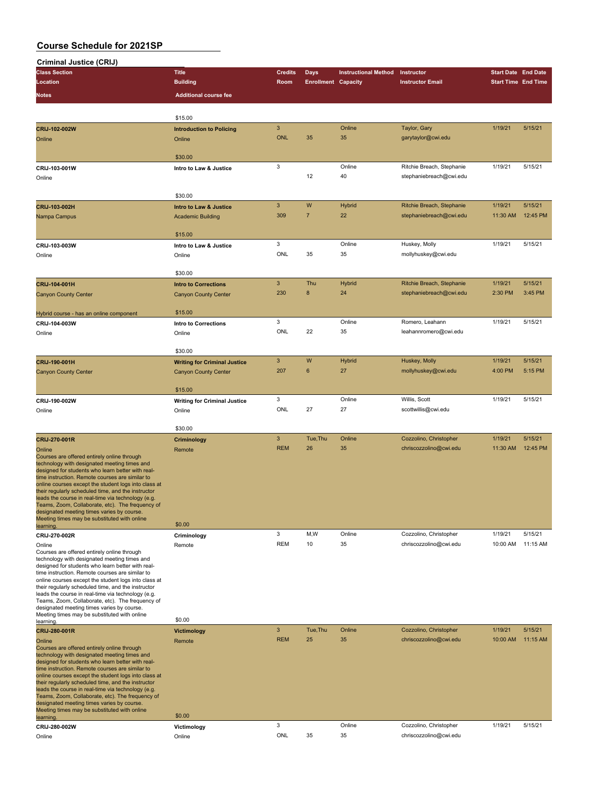| Criminal Justice (CRIJ)                                                                                    |                                     |                           |                            |                             |                           |                            |          |
|------------------------------------------------------------------------------------------------------------|-------------------------------------|---------------------------|----------------------------|-----------------------------|---------------------------|----------------------------|----------|
| <b>Class Section</b>                                                                                       | <b>Title</b>                        | <b>Credits</b>            | Days                       | <b>Instructional Method</b> | Instructor                | <b>Start Date End Date</b> |          |
| Location                                                                                                   | <b>Building</b>                     | Room                      | <b>Enrollment Capacity</b> |                             | <b>Instructor Email</b>   | <b>Start Time End Time</b> |          |
| Notes                                                                                                      | <b>Additional course fee</b>        |                           |                            |                             |                           |                            |          |
|                                                                                                            |                                     |                           |                            |                             |                           |                            |          |
|                                                                                                            | \$15.00                             |                           |                            |                             |                           |                            |          |
| CRIJ-102-002W                                                                                              | <b>Introduction to Policing</b>     | $\overline{3}$            |                            | Online                      | Taylor, Gary              | 1/19/21                    | 5/15/21  |
|                                                                                                            |                                     | <b>ONL</b>                | 35                         | 35                          | garytaylor@cwi.edu        |                            |          |
| Online                                                                                                     | Online                              |                           |                            |                             |                           |                            |          |
|                                                                                                            | \$30.00                             |                           |                            |                             |                           |                            |          |
| CRIJ-103-001W                                                                                              | Intro to Law & Justice              | 3                         |                            | Online                      | Ritchie Breach, Stephanie | 1/19/21                    | 5/15/21  |
| Online                                                                                                     |                                     |                           | 12                         | 40                          | stephaniebreach@cwi.edu   |                            |          |
|                                                                                                            |                                     |                           |                            |                             |                           |                            |          |
|                                                                                                            | \$30.00                             |                           |                            |                             |                           |                            |          |
| CRIJ-103-002H                                                                                              | Intro to Law & Justice              | $\ensuremath{\mathsf{3}}$ | W                          | <b>Hybrid</b>               | Ritchie Breach, Stephanie | 1/19/21                    | 5/15/21  |
| Nampa Campus                                                                                               | <b>Academic Building</b>            | 309                       | $\overline{7}$             | 22                          | stephaniebreach@cwi.edu   | 11:30 AM                   | 12:45 PM |
|                                                                                                            |                                     |                           |                            |                             |                           |                            |          |
|                                                                                                            | \$15.00                             |                           |                            |                             |                           |                            |          |
| CRIJ-103-003W                                                                                              | Intro to Law & Justice              | 3                         |                            | Online                      | Huskey, Molly             | 1/19/21                    | 5/15/21  |
| Online                                                                                                     | Online                              | ONL                       | 35                         | 35                          | mollyhuskey@cwi.edu       |                            |          |
|                                                                                                            |                                     |                           |                            |                             |                           |                            |          |
|                                                                                                            | \$30.00                             |                           |                            |                             |                           |                            |          |
| CRIJ-104-001H                                                                                              | <b>Intro to Corrections</b>         | $\mathbf{3}$              | Thu                        | Hybrid                      | Ritchie Breach, Stephanie | 1/19/21                    | 5/15/21  |
| <b>Canyon County Center</b>                                                                                | <b>Canyon County Center</b>         | 230                       | 8                          | 24                          | stephaniebreach@cwi.edu   | 2:30 PM                    | 3:45 PM  |
|                                                                                                            |                                     |                           |                            |                             |                           |                            |          |
| Hybrid course - has an online component                                                                    | \$15.00                             |                           |                            |                             |                           |                            |          |
| CRIJ-104-003W                                                                                              | <b>Intro to Corrections</b>         | 3                         |                            | Online                      | Romero, Leahann           | 1/19/21                    | 5/15/21  |
| Online                                                                                                     | Online                              | ONL                       | 22                         | 35                          | leahannromero@cwi.edu     |                            |          |
|                                                                                                            |                                     |                           |                            |                             |                           |                            |          |
|                                                                                                            | \$30.00                             |                           |                            |                             |                           |                            |          |
| CRIJ-190-001H                                                                                              | <b>Writing for Criminal Justice</b> | $\ensuremath{\mathsf{3}}$ | W                          | <b>Hybrid</b>               | Huskey, Molly             | 1/19/21                    | 5/15/21  |
| <b>Canyon County Center</b>                                                                                | <b>Canyon County Center</b>         | 207                       | $\boldsymbol{6}$           | 27                          | mollyhuskey@cwi.edu       | 4:00 PM                    | 5:15 PM  |
|                                                                                                            |                                     |                           |                            |                             |                           |                            |          |
|                                                                                                            | \$15.00                             | 3                         |                            | Online                      | Willis, Scott             | 1/19/21                    | 5/15/21  |
| CRIJ-190-002W                                                                                              | <b>Writing for Criminal Justice</b> | ONL                       | 27                         | 27                          | scottwillis@cwi.edu       |                            |          |
| Online                                                                                                     | Online                              |                           |                            |                             |                           |                            |          |
|                                                                                                            | \$30.00                             |                           |                            |                             |                           |                            |          |
| CRIJ-270-001R                                                                                              | Criminology                         | $\mathbf{3}$              | Tue, Thu                   | Online                      | Cozzolino, Christopher    | 1/19/21                    | 5/15/21  |
| Online                                                                                                     | Remote                              | <b>REM</b>                | 26                         | 35                          | chriscozzolino@cwi.edu    | 11:30 AM                   | 12:45 PM |
| Courses are offered entirely online through                                                                |                                     |                           |                            |                             |                           |                            |          |
| technology with designated meeting times and<br>designed for students who learn better with real-          |                                     |                           |                            |                             |                           |                            |          |
| time instruction. Remote courses are similar to                                                            |                                     |                           |                            |                             |                           |                            |          |
| online courses except the student logs into class at                                                       |                                     |                           |                            |                             |                           |                            |          |
| their regularly scheduled time, and the instructor<br>leads the course in real-time via technology (e.g.   |                                     |                           |                            |                             |                           |                            |          |
| Teams, Zoom, Collaborate, etc). The frequency of                                                           |                                     |                           |                            |                             |                           |                            |          |
| designated meeting times varies by course.                                                                 |                                     |                           |                            |                             |                           |                            |          |
| Meeting times may be substituted with online<br>learning.                                                  | \$0.00                              |                           |                            |                             |                           |                            |          |
| CRIJ-270-002R                                                                                              | Criminology                         | 3                         | M,W                        | Online                      | Cozzolino, Christopher    | 1/19/21                    | 5/15/21  |
| Online                                                                                                     | Remote                              | <b>REM</b>                | 10                         | 35                          | chriscozzolino@cwi.edu    | 10:00 AM                   | 11:15 AM |
| Courses are offered entirely online through                                                                |                                     |                           |                            |                             |                           |                            |          |
| technology with designated meeting times and<br>designed for students who learn better with real-          |                                     |                           |                            |                             |                           |                            |          |
| time instruction. Remote courses are similar to                                                            |                                     |                           |                            |                             |                           |                            |          |
| online courses except the student logs into class at<br>their regularly scheduled time, and the instructor |                                     |                           |                            |                             |                           |                            |          |
| leads the course in real-time via technology (e.g.                                                         |                                     |                           |                            |                             |                           |                            |          |
| Teams, Zoom, Collaborate, etc). The frequency of                                                           |                                     |                           |                            |                             |                           |                            |          |
| designated meeting times varies by course.<br>Meeting times may be substituted with online                 |                                     |                           |                            |                             |                           |                            |          |
| learning.                                                                                                  | \$0.00                              |                           |                            |                             |                           |                            |          |
| CRIJ-280-001R                                                                                              | <b>Victimology</b>                  | $\mathbf{3}$              | Tue, Thu                   | Online                      | Cozzolino, Christopher    | 1/19/21                    | 5/15/21  |
| Online                                                                                                     | Remote                              | <b>REM</b>                | 25                         | 35                          | chriscozzolino@cwi.edu    | 10:00 AM                   | 11:15 AM |
| Courses are offered entirely online through<br>technology with designated meeting times and                |                                     |                           |                            |                             |                           |                            |          |
| designed for students who learn better with real-                                                          |                                     |                           |                            |                             |                           |                            |          |
| time instruction. Remote courses are similar to                                                            |                                     |                           |                            |                             |                           |                            |          |
| online courses except the student logs into class at<br>their regularly scheduled time, and the instructor |                                     |                           |                            |                             |                           |                            |          |
| leads the course in real-time via technology (e.g.                                                         |                                     |                           |                            |                             |                           |                            |          |
| Teams, Zoom, Collaborate, etc). The frequency of<br>designated meeting times varies by course.             |                                     |                           |                            |                             |                           |                            |          |
| Meeting times may be substituted with online                                                               |                                     |                           |                            |                             |                           |                            |          |
| learning                                                                                                   | \$0.00                              |                           |                            |                             |                           |                            |          |
| CRIJ-280-002W                                                                                              | Victimology                         | 3<br>ONL                  | 35                         | Online<br>35                | Cozzolino, Christopher    | 1/19/21                    | 5/15/21  |
| Online                                                                                                     | Online                              |                           |                            |                             | chriscozzolino@cwi.edu    |                            |          |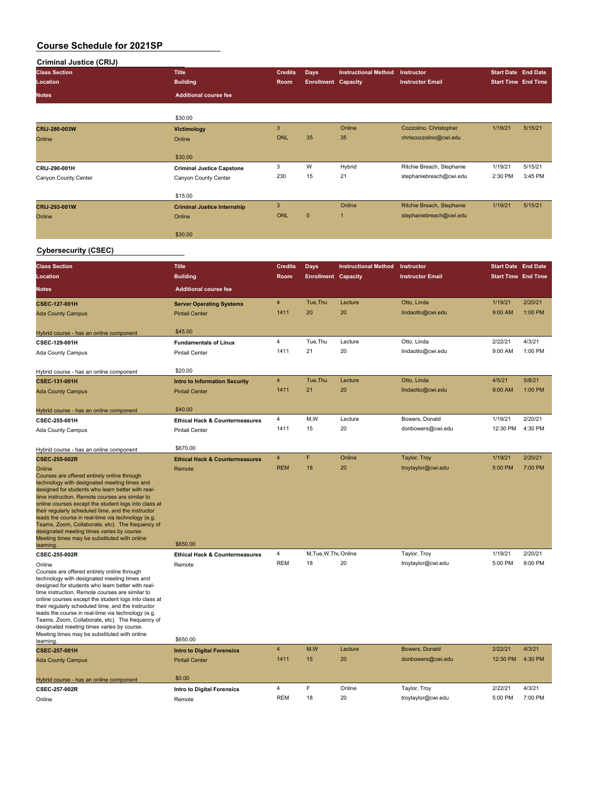| <b>Class Section</b> | <b>Title</b>                       | <b>Credits</b> | <b>Days</b>                | <b>Instructional Method</b> | Instructor                |         | <b>Start Date End Date</b> |
|----------------------|------------------------------------|----------------|----------------------------|-----------------------------|---------------------------|---------|----------------------------|
| Location             | <b>Building</b>                    | Room           | <b>Enrollment Capacity</b> |                             | <b>Instructor Email</b>   |         | <b>Start Time End Time</b> |
| <b>Notes</b>         | <b>Additional course fee</b>       |                |                            |                             |                           |         |                            |
|                      |                                    |                |                            |                             |                           |         |                            |
|                      | \$30.00                            |                |                            |                             |                           |         |                            |
| CRIJ-280-003W        | <b>Victimology</b>                 | 3              |                            | Online                      | Cozzolino, Christopher    | 1/19/21 | 5/15/21                    |
| Online               | Online                             | <b>ONL</b>     | 35                         | 35                          | chriscozzolino@cwi.edu    |         |                            |
|                      | \$30.00                            |                |                            |                             |                           |         |                            |
| CRIJ-290-001H        | <b>Criminal Justice Capstone</b>   | 3              | W                          | Hybrid                      | Ritchie Breach, Stephanie | 1/19/21 | 5/15/21                    |
| Canyon County Center | Canyon County Center               | 230            | 15                         | 21                          | stephaniebreach@cwi.edu   | 2:30 PM | 3:45 PM                    |
|                      | \$15.00                            |                |                            |                             |                           |         |                            |
| CRIJ-293-001W        | <b>Criminal Justice Internship</b> | 3              |                            | Online                      | Ritchie Breach, Stephanie | 1/19/21 | 5/15/21                    |
| Online               | Online                             | <b>ONL</b>     | $\mathbf{0}$               |                             | stephaniebreach@cwi.edu   |         |                            |
|                      | \$30.00                            |                |                            |                             |                           |         |                            |

### **Cybersecurity (CSEC)**

| <b>Class Section</b>                                                                                                                                                                                                                                                                                                                                                                                                                                                                                                                             | <b>Title</b>                              | <b>Credits</b> | Days                       | <b>Instructional Method</b> | Instructor              | <b>Start Date End Date</b> |         |
|--------------------------------------------------------------------------------------------------------------------------------------------------------------------------------------------------------------------------------------------------------------------------------------------------------------------------------------------------------------------------------------------------------------------------------------------------------------------------------------------------------------------------------------------------|-------------------------------------------|----------------|----------------------------|-----------------------------|-------------------------|----------------------------|---------|
| Location                                                                                                                                                                                                                                                                                                                                                                                                                                                                                                                                         | <b>Building</b>                           | Room           | <b>Enrollment Capacity</b> |                             | <b>Instructor Email</b> | <b>Start Time End Time</b> |         |
| Notes                                                                                                                                                                                                                                                                                                                                                                                                                                                                                                                                            | <b>Additional course fee</b>              |                |                            |                             |                         |                            |         |
| <b>CSEC-127-001H</b>                                                                                                                                                                                                                                                                                                                                                                                                                                                                                                                             | <b>Server Operating Systems</b>           | 4              | Tue, Thu                   | Lecture                     | Otto, Linda             | 1/19/21                    | 2/20/21 |
| <b>Ada County Campus</b>                                                                                                                                                                                                                                                                                                                                                                                                                                                                                                                         | <b>Pintail Center</b>                     | 1411           | 20                         | 20                          | lindaotto@cwi.edu       | 9:00 AM                    | 1:00 PM |
| Hybrid course - has an online component                                                                                                                                                                                                                                                                                                                                                                                                                                                                                                          | \$45.00                                   |                |                            |                             |                         |                            |         |
| CSEC-129-001H                                                                                                                                                                                                                                                                                                                                                                                                                                                                                                                                    | <b>Fundamentals of Linux</b>              | 4              | Tue, Thu                   | Lecture                     | Otto, Linda             | 2/22/21                    | 4/3/21  |
| Ada County Campus                                                                                                                                                                                                                                                                                                                                                                                                                                                                                                                                | <b>Pintail Center</b>                     | 1411           | 21                         | 20                          | lindaotto@cwi.edu       | 9:00 AM                    | 1:00 PM |
|                                                                                                                                                                                                                                                                                                                                                                                                                                                                                                                                                  | \$20.00                                   |                |                            |                             |                         |                            |         |
| Hybrid course - has an online component                                                                                                                                                                                                                                                                                                                                                                                                                                                                                                          |                                           | $\overline{4}$ | Tue, Thu                   | Lecture                     | Otto, Linda             | 4/5/21                     | 5/8/21  |
| <b>CSEC-131-001H</b>                                                                                                                                                                                                                                                                                                                                                                                                                                                                                                                             | <b>Intro to Information Security</b>      | 1411           | 21                         | 20                          | lindaotto@cwi.edu       | 9:00 AM                    | 1:00 PM |
| <b>Ada County Campus</b>                                                                                                                                                                                                                                                                                                                                                                                                                                                                                                                         | <b>Pintail Center</b>                     |                |                            |                             |                         |                            |         |
| Hybrid course - has an online component                                                                                                                                                                                                                                                                                                                                                                                                                                                                                                          | \$40.00                                   |                |                            |                             |                         |                            |         |
| CSEC-255-001H                                                                                                                                                                                                                                                                                                                                                                                                                                                                                                                                    | <b>Ethical Hack &amp; Countermeasures</b> | 4              | M,W                        | Lecture                     | Bowers, Donald          | 1/19/21                    | 2/20/21 |
| Ada County Campus                                                                                                                                                                                                                                                                                                                                                                                                                                                                                                                                | <b>Pintail Center</b>                     | 1411           | 15                         | 20                          | donbowers@cwi.edu       | 12:30 PM                   | 4:30 PM |
| Hybrid course - has an online component                                                                                                                                                                                                                                                                                                                                                                                                                                                                                                          | \$670.00                                  |                |                            |                             |                         |                            |         |
| <b>CSEC-255-002R</b>                                                                                                                                                                                                                                                                                                                                                                                                                                                                                                                             | <b>Ethical Hack &amp; Countermeasures</b> | 4              | F                          | Online                      | Taylor, Troy            | 1/19/21                    | 2/20/21 |
| Online<br>Courses are offered entirely online through<br>technology with designated meeting times and<br>designed for students who learn better with real-<br>time instruction. Remote courses are similar to<br>online courses except the student logs into class at<br>their regularly scheduled time, and the instructor<br>leads the course in real-time via technology (e.g.<br>Teams, Zoom, Collaborate, etc). The frequency of<br>designated meeting times varies by course.<br>Meeting times may be substituted with online<br>learning. | Remote<br>\$650.00                        | <b>REM</b>     | 18                         | 20                          | troytaylor@cwi.edu      | 5:00 PM                    | 7:00 PM |
| CSEC-255-002R                                                                                                                                                                                                                                                                                                                                                                                                                                                                                                                                    | <b>Ethical Hack &amp; Countermeasures</b> | 4              | M, Tue, W, Thu Online      |                             | Taylor, Troy            | 1/19/21                    | 2/20/21 |
| Online<br>Courses are offered entirely online through<br>technology with designated meeting times and<br>designed for students who learn better with real-<br>time instruction. Remote courses are similar to<br>online courses except the student logs into class at<br>their regularly scheduled time, and the instructor<br>leads the course in real-time via technology (e.g.<br>Teams, Zoom, Collaborate, etc). The frequency of<br>designated meeting times varies by course.<br>Meeting times may be substituted with online<br>learning. | Remote<br>\$650.00                        | <b>REM</b>     | 18                         | 20                          | troytaylor@cwi.edu      | 5:00 PM                    | 9:00 PM |
| <b>CSEC-257-001H</b>                                                                                                                                                                                                                                                                                                                                                                                                                                                                                                                             | <b>Intro to Digital Forensics</b>         | $\overline{4}$ | M,W                        | Lecture                     | Bowers, Donald          | 2/22/21                    | 4/3/21  |
| <b>Ada County Campus</b>                                                                                                                                                                                                                                                                                                                                                                                                                                                                                                                         | <b>Pintail Center</b>                     | 1411           | 15                         | 20                          | donbowers@cwi.edu       | 12:30 PM                   | 4:30 PM |
| Hybrid course - has an online component                                                                                                                                                                                                                                                                                                                                                                                                                                                                                                          | \$0.00                                    |                |                            |                             |                         |                            |         |
| CSEC-257-002R                                                                                                                                                                                                                                                                                                                                                                                                                                                                                                                                    | <b>Intro to Digital Forensics</b>         | $\overline{4}$ | F                          | Online                      | Taylor, Troy            | 2/22/21                    | 4/3/21  |
| Online                                                                                                                                                                                                                                                                                                                                                                                                                                                                                                                                           | Remote                                    | <b>REM</b>     | 18                         | 20                          | troytaylor@cwi.edu      | 5:00 PM                    | 7:00 PM |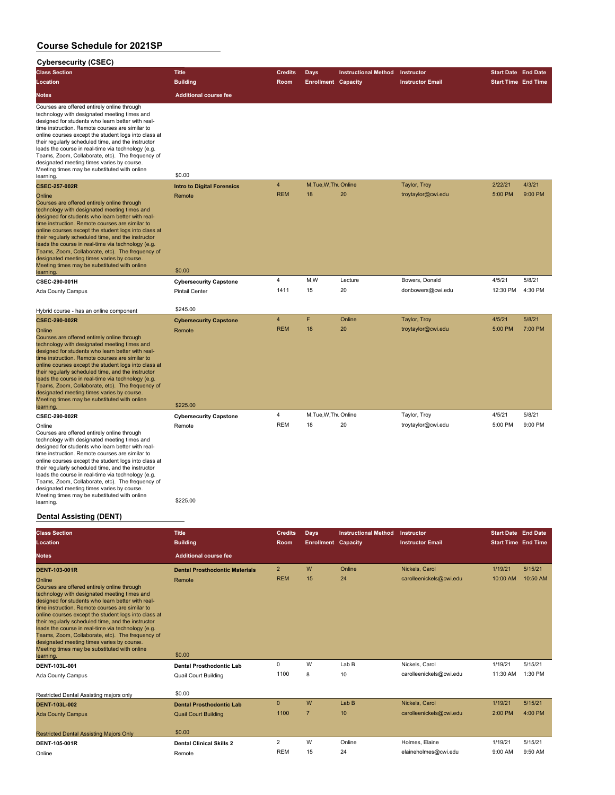**Cybersecurity (CSEC)**

| syndiadouiny (soco)                                                                                                                                                                                                                                                                                                                                                                                                                                                                                                                              |                                   |                |                            |                             |                         |                            |         |
|--------------------------------------------------------------------------------------------------------------------------------------------------------------------------------------------------------------------------------------------------------------------------------------------------------------------------------------------------------------------------------------------------------------------------------------------------------------------------------------------------------------------------------------------------|-----------------------------------|----------------|----------------------------|-----------------------------|-------------------------|----------------------------|---------|
| <b>Class Section</b>                                                                                                                                                                                                                                                                                                                                                                                                                                                                                                                             | <b>Title</b>                      | <b>Credits</b> | Days                       | <b>Instructional Method</b> | Instructor              | <b>Start Date End Date</b> |         |
| <b>Location</b>                                                                                                                                                                                                                                                                                                                                                                                                                                                                                                                                  | <b>Building</b>                   | Room           | <b>Enrollment Capacity</b> |                             | <b>Instructor Email</b> | <b>Start Time End Time</b> |         |
| <b>Notes</b>                                                                                                                                                                                                                                                                                                                                                                                                                                                                                                                                     | <b>Additional course fee</b>      |                |                            |                             |                         |                            |         |
| Courses are offered entirely online through<br>technology with designated meeting times and<br>designed for students who learn better with real-<br>time instruction. Remote courses are similar to<br>online courses except the student logs into class at<br>their regularly scheduled time, and the instructor<br>leads the course in real-time via technology (e.g.<br>Teams, Zoom, Collaborate, etc). The frequency of<br>designated meeting times varies by course.<br>Meeting times may be substituted with online<br>learning.           | \$0.00                            |                |                            |                             |                         |                            |         |
| <b>CSEC-257-002R</b>                                                                                                                                                                                                                                                                                                                                                                                                                                                                                                                             | <b>Intro to Digital Forensics</b> | $\overline{4}$ | M, Tue, W, Thu Online      |                             | Taylor, Troy            | 2/22/21                    | 4/3/21  |
| Online<br>Courses are offered entirely online through<br>technology with designated meeting times and<br>designed for students who learn better with real-<br>time instruction. Remote courses are similar to<br>online courses except the student logs into class at<br>their regularly scheduled time, and the instructor<br>leads the course in real-time via technology (e.g.<br>Teams, Zoom, Collaborate, etc). The frequency of<br>designated meeting times varies by course.<br>Meeting times may be substituted with online              | Remote                            | <b>REM</b>     | 18                         | 20                          | troytaylor@cwi.edu      | 5:00 PM                    | 9:00 PM |
| learning.                                                                                                                                                                                                                                                                                                                                                                                                                                                                                                                                        | \$0.00                            |                |                            |                             |                         |                            |         |
| CSEC-290-001H                                                                                                                                                                                                                                                                                                                                                                                                                                                                                                                                    | <b>Cybersecurity Capstone</b>     | 4              | M,W                        | Lecture                     | Bowers, Donald          | 4/5/21                     | 5/8/21  |
| Ada County Campus                                                                                                                                                                                                                                                                                                                                                                                                                                                                                                                                | <b>Pintail Center</b>             | 1411           | 15                         | 20                          | donbowers@cwi.edu       | 12:30 PM                   | 4:30 PM |
| Hybrid course - has an online component                                                                                                                                                                                                                                                                                                                                                                                                                                                                                                          | \$245.00                          |                |                            |                             |                         |                            |         |
| <b>CSEC-290-002R</b>                                                                                                                                                                                                                                                                                                                                                                                                                                                                                                                             | <b>Cybersecurity Capstone</b>     | 4              | F                          | Online                      | Taylor, Troy            | 4/5/21                     | 5/8/21  |
| Online<br>Courses are offered entirely online through<br>technology with designated meeting times and<br>designed for students who learn better with real-<br>time instruction. Remote courses are similar to<br>online courses except the student logs into class at<br>their regularly scheduled time, and the instructor<br>leads the course in real-time via technology (e.g<br>Teams, Zoom, Collaborate, etc). The frequency of<br>designated meeting times varies by course.<br>Meeting times may be substituted with online<br>learning.  | Remote<br>\$225.00                | <b>REM</b>     | 18                         | 20                          | troytaylor@cwi.edu      | 5:00 PM                    | 7:00 PM |
| CSEC-290-002R                                                                                                                                                                                                                                                                                                                                                                                                                                                                                                                                    | <b>Cybersecurity Capstone</b>     | 4              | M, Tue, W, Thu Online      |                             | Taylor, Troy            | 4/5/21                     | 5/8/21  |
| Online<br>Courses are offered entirely online through<br>technology with designated meeting times and<br>designed for students who learn better with real-<br>time instruction. Remote courses are similar to<br>online courses except the student logs into class at<br>their regularly scheduled time, and the instructor<br>leads the course in real-time via technology (e.g.<br>Teams, Zoom, Collaborate, etc). The frequency of<br>designated meeting times varies by course.<br>Meeting times may be substituted with online<br>learning. | Remote<br>\$225.00                | <b>REM</b>     | 18                         | 20                          | troytaylor@cwi.edu      | 5:00 PM                    | 9:00 PM |
| Dontal Accicting (DENT)                                                                                                                                                                                                                                                                                                                                                                                                                                                                                                                          |                                   |                |                            |                             |                         |                            |         |

### **Dental Assisting (DENT)**

| <b>Class Section</b><br>Location                                                                                                                                                                                                                                                                                                                                                                                                                                                                                                                 | <b>Title</b><br><b>Building</b>       | <b>Credits</b><br>Room | <b>Days</b><br><b>Enrollment Capacity</b> | <b>Instructional Method</b> | Instructor<br><b>Instructor Email</b> | <b>Start Date End Date</b><br><b>Start Time End Time</b> |          |
|--------------------------------------------------------------------------------------------------------------------------------------------------------------------------------------------------------------------------------------------------------------------------------------------------------------------------------------------------------------------------------------------------------------------------------------------------------------------------------------------------------------------------------------------------|---------------------------------------|------------------------|-------------------------------------------|-----------------------------|---------------------------------------|----------------------------------------------------------|----------|
| <b>Notes</b>                                                                                                                                                                                                                                                                                                                                                                                                                                                                                                                                     | <b>Additional course fee</b>          |                        |                                           |                             |                                       |                                                          |          |
| <b>DENT-103-001R</b>                                                                                                                                                                                                                                                                                                                                                                                                                                                                                                                             | <b>Dental Prosthodontic Materials</b> | $\overline{2}$         | W                                         | Online                      | Nickels, Carol                        | 1/19/21                                                  | 5/15/21  |
| Online<br>Courses are offered entirely online through<br>technology with designated meeting times and<br>designed for students who learn better with real-<br>time instruction. Remote courses are similar to<br>online courses except the student logs into class at<br>their regularly scheduled time, and the instructor<br>leads the course in real-time via technology (e.g.<br>Teams, Zoom, Collaborate, etc). The frequency of<br>designated meeting times varies by course.<br>Meeting times may be substituted with online<br>learning. | Remote<br>\$0.00                      | <b>REM</b>             | 15                                        | 24                          | carolleenickels@cwi.edu               | 10:00 AM                                                 | 10:50 AM |
| DENT-103L-001                                                                                                                                                                                                                                                                                                                                                                                                                                                                                                                                    | <b>Dental Prosthodontic Lab</b>       | $\Omega$               | W                                         | Lab B                       | Nickels, Carol                        | 1/19/21                                                  | 5/15/21  |
| Ada County Campus                                                                                                                                                                                                                                                                                                                                                                                                                                                                                                                                | <b>Quail Court Building</b>           | 1100                   | 8                                         | 10                          | carolleenickels@cwi.edu               | 11:30 AM                                                 | 1:30 PM  |
| Restricted Dental Assisting majors only                                                                                                                                                                                                                                                                                                                                                                                                                                                                                                          | \$0.00                                |                        |                                           |                             |                                       |                                                          |          |
| <b>DENT-103L-002</b>                                                                                                                                                                                                                                                                                                                                                                                                                                                                                                                             | <b>Dental Prosthodontic Lab</b>       | $\Omega$               | W                                         | Lab <sub>B</sub>            | Nickels, Carol                        | 1/19/21                                                  | 5/15/21  |
| <b>Ada County Campus</b>                                                                                                                                                                                                                                                                                                                                                                                                                                                                                                                         | <b>Quail Court Building</b>           | 1100                   | $\overline{7}$                            | 10                          | carolleenickels@cwi.edu               | 2:00 PM                                                  | 4:00 PM  |
| <b>Restricted Dental Assisting Majors Only</b>                                                                                                                                                                                                                                                                                                                                                                                                                                                                                                   | \$0.00                                |                        |                                           |                             |                                       |                                                          |          |
| DENT-105-001R                                                                                                                                                                                                                                                                                                                                                                                                                                                                                                                                    | <b>Dental Clinical Skills 2</b>       | 2                      | W                                         | Online                      | Holmes, Elaine                        | 1/19/21                                                  | 5/15/21  |
| Online                                                                                                                                                                                                                                                                                                                                                                                                                                                                                                                                           | Remote                                | <b>REM</b>             | 15                                        | 24                          | elaineholmes@cwi.edu                  | 9:00 AM                                                  | 9:50 AM  |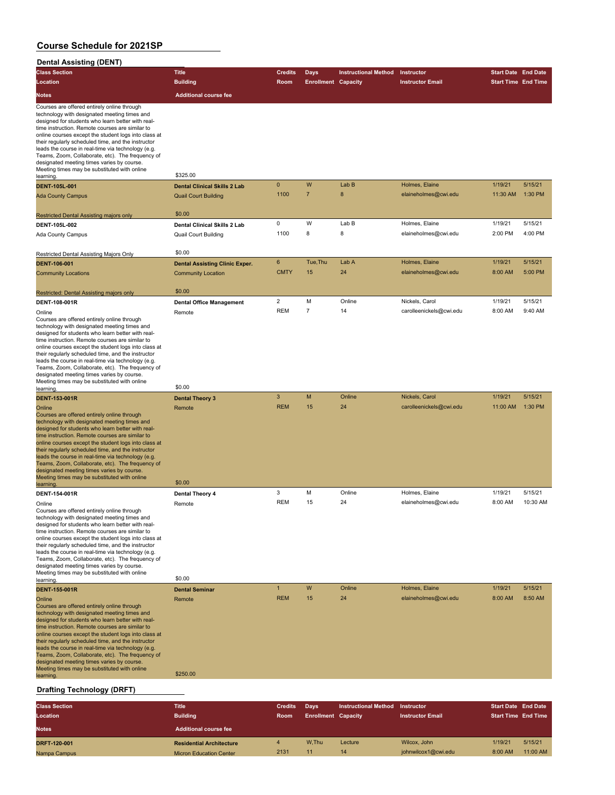| <b>Dental Assisting (DENT)</b> |  |
|--------------------------------|--|
|                                |  |

| Deniai Assisting (DENT)                                                                                                                                                                                                                                                                                                                                                                                                                                                                                                                                                  |                                                                    |                 |                            |                                |                                           |                            |                    |
|--------------------------------------------------------------------------------------------------------------------------------------------------------------------------------------------------------------------------------------------------------------------------------------------------------------------------------------------------------------------------------------------------------------------------------------------------------------------------------------------------------------------------------------------------------------------------|--------------------------------------------------------------------|-----------------|----------------------------|--------------------------------|-------------------------------------------|----------------------------|--------------------|
| <b>Class Section</b>                                                                                                                                                                                                                                                                                                                                                                                                                                                                                                                                                     | <b>Title</b>                                                       | <b>Credits</b>  | <b>Days</b>                | <b>Instructional Method</b>    | <b>Instructor</b>                         | <b>Start Date End Date</b> |                    |
| Location                                                                                                                                                                                                                                                                                                                                                                                                                                                                                                                                                                 | <b>Building</b>                                                    | Room            | <b>Enrollment Capacity</b> |                                | <b>Instructor Email</b>                   | <b>Start Time End Time</b> |                    |
| <b>Notes</b>                                                                                                                                                                                                                                                                                                                                                                                                                                                                                                                                                             | <b>Additional course fee</b>                                       |                 |                            |                                |                                           |                            |                    |
| Courses are offered entirely online through<br>technology with designated meeting times and<br>designed for students who learn better with real-<br>time instruction. Remote courses are similar to<br>online courses except the student logs into class at<br>their regularly scheduled time, and the instructor<br>leads the course in real-time via technology (e.g.<br>Teams, Zoom, Collaborate, etc). The frequency of<br>designated meeting times varies by course.<br>Meeting times may be substituted with online                                                | \$325.00                                                           |                 |                            |                                |                                           |                            |                    |
| learning.                                                                                                                                                                                                                                                                                                                                                                                                                                                                                                                                                                |                                                                    |                 |                            |                                |                                           |                            |                    |
| <b>DENT-105L-001</b><br><b>Ada County Campus</b>                                                                                                                                                                                                                                                                                                                                                                                                                                                                                                                         | <b>Dental Clinical Skills 2 Lab</b><br><b>Quail Court Building</b> | 0<br>1100       | W<br>$\overline{7}$        | Lab B<br>8                     | Holmes, Elaine<br>elaineholmes@cwi.edu    | 1/19/21<br>11:30 AM        | 5/15/21<br>1:30 PM |
| Restricted Dental Assisting majors only                                                                                                                                                                                                                                                                                                                                                                                                                                                                                                                                  | \$0.00                                                             |                 |                            |                                |                                           |                            |                    |
| DENT-105L-002                                                                                                                                                                                                                                                                                                                                                                                                                                                                                                                                                            | <b>Dental Clinical Skills 2 Lab</b>                                | 0               | W                          | Lab B                          | Holmes, Elaine                            | 1/19/21                    | 5/15/21            |
| Ada County Campus                                                                                                                                                                                                                                                                                                                                                                                                                                                                                                                                                        | <b>Quail Court Building</b>                                        | 1100            | 8                          | 8                              | elaineholmes@cwi.edu                      | 2:00 PM                    | 4:00 PM            |
|                                                                                                                                                                                                                                                                                                                                                                                                                                                                                                                                                                          |                                                                    |                 |                            |                                |                                           |                            |                    |
| Restricted Dental Assisting Majors Only                                                                                                                                                                                                                                                                                                                                                                                                                                                                                                                                  | \$0.00                                                             |                 |                            |                                |                                           |                            |                    |
| <b>DENT-106-001</b>                                                                                                                                                                                                                                                                                                                                                                                                                                                                                                                                                      | <b>Dental Assisting Clinic Exper.</b>                              | $6\phantom{1}$  | Tue, Thu                   | Lab A                          | Holmes, Elaine                            | 1/19/21                    | 5/15/21            |
| <b>Community Locations</b>                                                                                                                                                                                                                                                                                                                                                                                                                                                                                                                                               | <b>Community Location</b>                                          | <b>CMTY</b>     | 15                         | 24                             | elaineholmes@cwi.edu                      | 8:00 AM                    | 5:00 PM            |
| Restricted: Dental Assisting majors only                                                                                                                                                                                                                                                                                                                                                                                                                                                                                                                                 | \$0.00                                                             |                 |                            |                                |                                           |                            |                    |
| DENT-108-001R                                                                                                                                                                                                                                                                                                                                                                                                                                                                                                                                                            | <b>Dental Office Management</b>                                    | $\overline{2}$  | M                          | Online                         | Nickels, Carol                            | 1/19/21                    | 5/15/21            |
| Online                                                                                                                                                                                                                                                                                                                                                                                                                                                                                                                                                                   | Remote                                                             | <b>REM</b>      | $\overline{7}$             | 14                             | carolleenickels@cwi.edu                   | 8:00 AM                    | 9:40 AM            |
| Courses are offered entirely online through<br>technology with designated meeting times and<br>designed for students who learn better with real-<br>time instruction. Remote courses are similar to<br>online courses except the student logs into class at<br>their regularly scheduled time, and the instructor<br>leads the course in real-time via technology (e.g.<br>Teams, Zoom, Collaborate, etc). The frequency of<br>designated meeting times varies by course.<br>Meeting times may be substituted with online                                                |                                                                    |                 |                            |                                |                                           |                            |                    |
| learning.                                                                                                                                                                                                                                                                                                                                                                                                                                                                                                                                                                | \$0.00                                                             |                 |                            |                                |                                           |                            |                    |
| <b>DENT-153-001R</b><br>Online<br>Courses are offered entirely online through<br>technology with designated meeting times and<br>designed for students who learn better with real-<br>time instruction. Remote courses are similar to<br>online courses except the student logs into class at<br>their regularly scheduled time, and the instructor<br>leads the course in real-time via technology (e.g.<br>Teams, Zoom, Collaborate, etc). The frequency of<br>designated meeting times varies by course.<br>Meeting times may be substituted with online<br>learning. | <b>Dental Theory 3</b><br>Remote<br>\$0.00                         | 3<br><b>REM</b> | M<br>15                    | Online<br>24                   | Nickels, Carol<br>carolleenickels@cwi.edu | 1/19/21<br>11:00 AM        | 5/15/21<br>1:30 PM |
| DENT-154-001R                                                                                                                                                                                                                                                                                                                                                                                                                                                                                                                                                            | Dental Theory 4                                                    | 3               | M                          | Online                         | Holmes, Elaine                            | 1/19/21                    | 5/15/21            |
| Online<br>Courses are offered entirely online through<br>technology with designated meeting times and<br>designed for students who learn better with real-<br>time instruction. Remote courses are similar to<br>online courses except the student logs into class at<br>their regularly scheduled time, and the instructor<br>leads the course in real-time via technology (e.g.<br>Teams, Zoom, Collaborate, etc). The frequency of<br>designated meeting times varies by course.<br>Meeting times may be substituted with online                                      | Remote<br>\$0.00                                                   | <b>REM</b>      | 15                         | 24                             | elaineholmes@cwi.edu                      | 8:00 AM                    | 10:30 AM           |
| learning.                                                                                                                                                                                                                                                                                                                                                                                                                                                                                                                                                                |                                                                    | $\mathbf{1}$    | W                          | Online                         | Holmes, Elaine                            | 1/19/21                    | 5/15/21            |
| <b>DENT-155-001R</b><br>Online<br>Courses are offered entirely online through<br>technology with designated meeting times and<br>designed for students who learn better with real-<br>time instruction. Remote courses are similar to<br>online courses except the student logs into class at<br>their regularly scheduled time, and the instructor<br>leads the course in real-time via technology (e.g.<br>Teams, Zoom, Collaborate, etc). The frequency of<br>designated meeting times varies by course.<br>Meeting times may be substituted with online<br>learning. | <b>Dental Seminar</b><br>Remote<br>\$250.00                        | <b>REM</b>      | 15                         | 24                             | elaineholmes@cwi.edu                      | 8:00 AM                    | 8:50 AM            |
| <b>Drafting Technology (DRFT)</b>                                                                                                                                                                                                                                                                                                                                                                                                                                                                                                                                        |                                                                    |                 |                            |                                |                                           |                            |                    |
| Class Section                                                                                                                                                                                                                                                                                                                                                                                                                                                                                                                                                            | <b>Title</b>                                                       | Cradite         | Dave                       | Inetructional Mathod Inetructo |                                           | Start Date End Date        |                    |

| <b>Class Section</b> | Title                           | <b>Credits</b> | Davs                       | Instructional Method | <b>Instructor</b>       | <b>Start Date End Date</b> |          |
|----------------------|---------------------------------|----------------|----------------------------|----------------------|-------------------------|----------------------------|----------|
| Location             | <b>Building</b>                 | <b>Room</b>    | <b>Enrollment Capacity</b> |                      | <b>Instructor Email</b> | <b>Start Time End Time</b> |          |
| <b>Notes</b>         | <b>Additional course fee</b>    |                |                            |                      |                         |                            |          |
| DRFT-120-001         | <b>Residential Architecture</b> |                | W.Thu                      | Lecture              | Wilcox, John            | 1/19/21                    | 5/15/21  |
| Nampa Campus         | <b>Micron Education Center</b>  | 2131           |                            | 14                   | johnwilcox1@cwi.edu     | 8:00 AM                    | 11:00 AM |
|                      |                                 |                |                            |                      |                         |                            |          |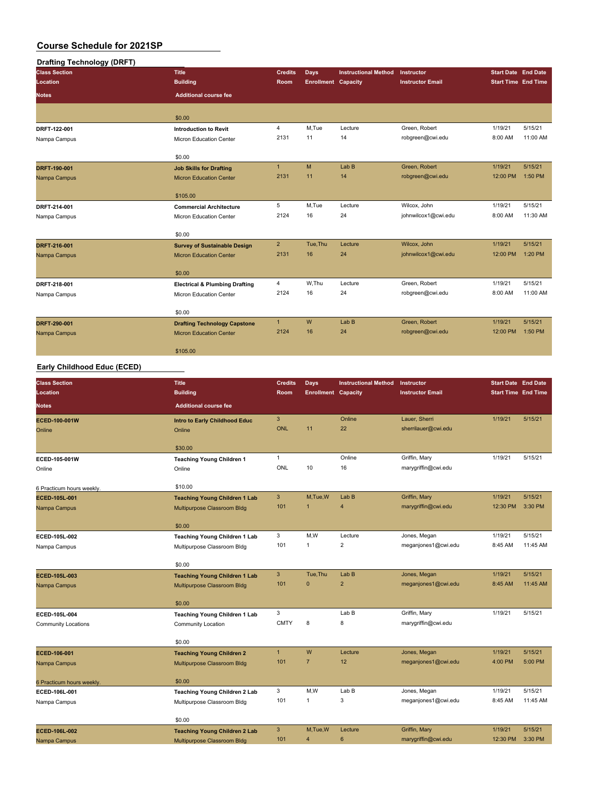| <b>Drafting Technology (DRFT)</b> |                                           |                |                     |                             |                         |                            |          |
|-----------------------------------|-------------------------------------------|----------------|---------------------|-----------------------------|-------------------------|----------------------------|----------|
| <b>Class Section</b>              | <b>Title</b>                              | <b>Credits</b> | <b>Days</b>         | <b>Instructional Method</b> | Instructor              | <b>Start Date End Date</b> |          |
| Location                          | <b>Building</b>                           | Room           | Enrollment Capacity |                             | <b>Instructor Email</b> | <b>Start Time End Time</b> |          |
| <b>Notes</b>                      | <b>Additional course fee</b>              |                |                     |                             |                         |                            |          |
|                                   | \$0.00                                    |                |                     |                             |                         |                            |          |
| DRFT-122-001                      | <b>Introduction to Revit</b>              | 4              | M,Tue               | Lecture                     | Green, Robert           | 1/19/21                    | 5/15/21  |
|                                   |                                           | 2131           | 11                  | 14                          | robgreen@cwi.edu        | 8:00 AM                    | 11:00 AM |
| Nampa Campus                      | Micron Education Center                   |                |                     |                             |                         |                            |          |
|                                   | \$0.00                                    |                |                     |                             |                         |                            |          |
| DRFT-190-001                      | <b>Job Skills for Drafting</b>            | $\mathbf{1}$   | M                   | Lab <sub>B</sub>            | Green, Robert           | 1/19/21                    | 5/15/21  |
| Nampa Campus                      | <b>Micron Education Center</b>            | 2131           | 11                  | 14                          | robgreen@cwi.edu        | 12:00 PM                   | 1:50 PM  |
|                                   | \$105.00                                  |                |                     |                             |                         |                            |          |
| DRFT-214-001                      | <b>Commercial Architecture</b>            | 5              | M,Tue               | Lecture                     | Wilcox, John            | 1/19/21                    | 5/15/21  |
| Nampa Campus                      | Micron Education Center                   | 2124           | 16                  | 24                          | johnwilcox1@cwi.edu     | 8:00 AM                    | 11:30 AM |
|                                   | \$0.00                                    |                |                     |                             |                         |                            |          |
| DRFT-216-001                      | <b>Survey of Sustainable Design</b>       | $\overline{2}$ | Tue, Thu            | Lecture                     | Wilcox, John            | 1/19/21                    | 5/15/21  |
| Nampa Campus                      | <b>Micron Education Center</b>            | 2131           | 16                  | 24                          | johnwilcox1@cwi.edu     | 12:00 PM                   | 1:20 PM  |
|                                   | \$0.00                                    |                |                     |                             |                         |                            |          |
| DRFT-218-001                      | <b>Electrical &amp; Plumbing Drafting</b> | $\overline{4}$ | W.Thu               | Lecture                     | Green, Robert           | 1/19/21                    | 5/15/21  |
| Nampa Campus                      | Micron Education Center                   | 2124           | 16                  | 24                          | robgreen@cwi.edu        | 8:00 AM                    | 11:00 AM |
|                                   | \$0.00                                    |                |                     |                             |                         |                            |          |
| DRFT-290-001                      | <b>Drafting Technology Capstone</b>       | $\mathbf{1}$   | W                   | Lab B                       | Green, Robert           | 1/19/21                    | 5/15/21  |
| Nampa Campus                      | <b>Micron Education Center</b>            | 2124           | 16                  | 24                          | robgreen@cwi.edu        | 12:00 PM                   | 1:50 PM  |
|                                   | \$105.00                                  |                |                     |                             |                         |                            |          |

### **Early Childhood Educ (ECED)**

| <b>Class Section</b>                       | <b>Title</b>                         | <b>Credits</b> | <b>Days</b>                | <b>Instructional Method</b> | Instructor              | <b>Start Date End Date</b> |          |
|--------------------------------------------|--------------------------------------|----------------|----------------------------|-----------------------------|-------------------------|----------------------------|----------|
| Location                                   | <b>Building</b>                      | Room           | <b>Enrollment Capacity</b> |                             | <b>Instructor Email</b> | <b>Start Time End Time</b> |          |
| Notes                                      | <b>Additional course fee</b>         |                |                            |                             |                         |                            |          |
| ECED-100-001W                              | Intro to Early Childhood Educ        | 3              |                            | Online                      | Lauer, Sherri           | 1/19/21                    | 5/15/21  |
| Online                                     | Online                               | <b>ONL</b>     | 11                         | 22                          | sherrilauer@cwi.edu     |                            |          |
|                                            | \$30.00                              |                |                            |                             |                         |                            |          |
| ECED-105-001W                              | <b>Teaching Young Children 1</b>     | $\mathbf{1}$   |                            | Online                      | Griffin, Mary           | 1/19/21                    | 5/15/21  |
| Online                                     | Online                               | <b>ONL</b>     | 10                         | 16                          | marygriffin@cwi.edu     |                            |          |
|                                            | \$10.00                              |                |                            |                             |                         |                            |          |
| 6 Practicum hours weekly.<br>ECED-105L-001 | <b>Teaching Young Children 1 Lab</b> | $\mathbf{3}$   | M,Tue,W                    | Lab B                       | Griffin, Mary           | 1/19/21                    | 5/15/21  |
| Nampa Campus                               | Multipurpose Classroom Bldg          | 101            | $\overline{1}$             | $\overline{\mathbf{4}}$     | marygriffin@cwi.edu     | 12:30 PM                   | 3:30 PM  |
|                                            |                                      |                |                            |                             |                         |                            |          |
|                                            | \$0.00                               |                |                            |                             |                         |                            |          |
| ECED-105L-002                              | Teaching Young Children 1 Lab        | 3              | M,W                        | Lecture                     | Jones, Megan            | 1/19/21                    | 5/15/21  |
| Nampa Campus                               | Multipurpose Classroom Bldg          | 101            | 1                          | $\overline{2}$              | meganjones1@cwi.edu     | 8:45 AM                    | 11:45 AM |
|                                            | \$0.00                               |                |                            |                             |                         |                            |          |
| ECED-105L-003                              | <b>Teaching Young Children 1 Lab</b> | 3              | Tue, Thu                   | Lab <sub>B</sub>            | Jones, Megan            | 1/19/21                    | 5/15/21  |
| Nampa Campus                               | Multipurpose Classroom Bldg          | 101            | $\mathbf{0}$               | $\overline{\mathbf{c}}$     | meganjones1@cwi.edu     | 8:45 AM                    | 11:45 AM |
|                                            | \$0.00                               |                |                            |                             |                         |                            |          |
| ECED-105L-004                              | <b>Teaching Young Children 1 Lab</b> | 3              |                            | Lab B                       | Griffin, Mary           | 1/19/21                    | 5/15/21  |
| <b>Community Locations</b>                 | Community Location                   | <b>CMTY</b>    | 8                          | 8                           | marygriffin@cwi.edu     |                            |          |
|                                            | \$0.00                               |                |                            |                             |                         |                            |          |
| ECED-106-001                               | <b>Teaching Young Children 2</b>     | $\mathbf{1}$   | W                          | Lecture                     | Jones, Megan            | 1/19/21                    | 5/15/21  |
| Nampa Campus                               | Multipurpose Classroom Bldg          | 101            | $\overline{7}$             | 12                          | meganjones1@cwi.edu     | 4:00 PM                    | 5:00 PM  |
| 6 Practicum hours weekly.                  | \$0.00                               |                |                            |                             |                         |                            |          |
| ECED-106L-001                              | Teaching Young Children 2 Lab        | 3              | M,W                        | Lab B                       | Jones, Megan            | 1/19/21                    | 5/15/21  |
| Nampa Campus                               | Multipurpose Classroom Bldg          | 101            | 1                          | 3                           | meganjones1@cwi.edu     | 8:45 AM                    | 11:45 AM |
|                                            | \$0.00                               |                |                            |                             |                         |                            |          |
| ECED-106L-002                              | <b>Teaching Young Children 2 Lab</b> | 3              | M,Tue,W                    | Lecture                     | Griffin, Mary           | 1/19/21                    | 5/15/21  |
| Nampa Campus                               | Multipurpose Classroom Bldg          | 101            | $\overline{4}$             | 6                           | marygriffin@cwi.edu     | 12:30 PM                   | 3:30 PM  |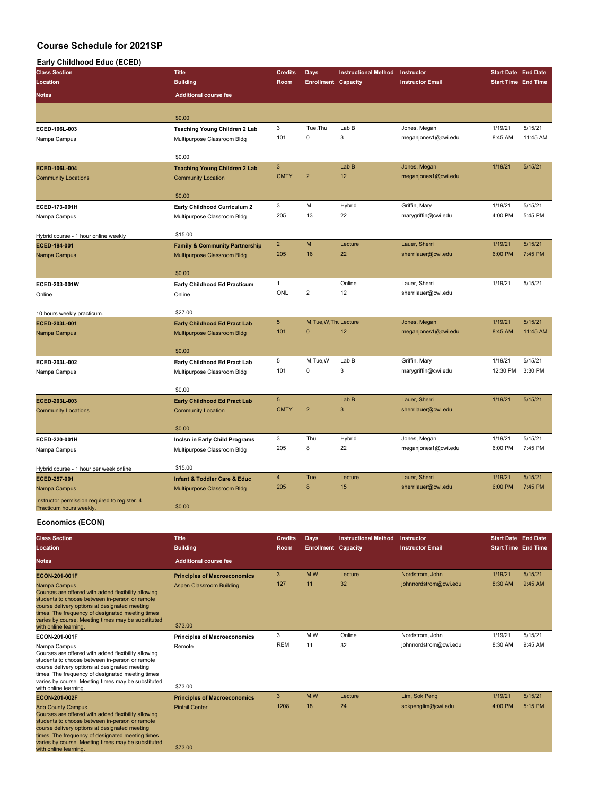| Early Childhood Educ (ECED) |  |
|-----------------------------|--|
|-----------------------------|--|

| Lang University Ludy (<br><b>Class Section</b>                          | <b>Title</b>                                                  | <b>Credits</b>          | <b>Days</b>                | <b>Instructional Method</b> | Instructor              | <b>Start Date End Date</b> |           |
|-------------------------------------------------------------------------|---------------------------------------------------------------|-------------------------|----------------------------|-----------------------------|-------------------------|----------------------------|-----------|
| Location                                                                | <b>Building</b>                                               | Room                    | <b>Enrollment Capacity</b> |                             | <b>Instructor Email</b> | <b>Start Time End Time</b> |           |
|                                                                         |                                                               |                         |                            |                             |                         |                            |           |
| Notes                                                                   | <b>Additional course fee</b>                                  |                         |                            |                             |                         |                            |           |
|                                                                         | \$0.00                                                        |                         |                            |                             |                         |                            |           |
| ECED-106L-003                                                           | <b>Teaching Young Children 2 Lab</b>                          | 3                       | Tue, Thu                   | Lab B                       | Jones, Megan            | 1/19/21                    | 5/15/21   |
| Nampa Campus                                                            | Multipurpose Classroom Bldg                                   | 101                     | 0                          | 3                           | meganjones1@cwi.edu     | 8:45 AM                    | 11:45 AM  |
|                                                                         |                                                               |                         |                            |                             |                         |                            |           |
|                                                                         | \$0.00                                                        |                         |                            |                             |                         |                            |           |
| ECED-106L-004                                                           | <b>Teaching Young Children 2 Lab</b>                          | 3                       |                            | Lab B                       | Jones, Megan            | 1/19/21                    | 5/15/21   |
| <b>Community Locations</b>                                              | <b>Community Location</b>                                     | <b>CMTY</b>             | $\overline{2}$             | 12                          | meganjones1@cwi.edu     |                            |           |
|                                                                         | \$0.00                                                        |                         |                            |                             |                         |                            |           |
| ECED-173-001H                                                           | Early Childhood Curriculum 2                                  | 3                       | M                          | Hybrid                      | Griffin, Mary           | 1/19/21                    | 5/15/21   |
| Nampa Campus                                                            | Multipurpose Classroom Bldg                                   | 205                     | 13                         | 22                          | marygriffin@cwi.edu     | 4:00 PM                    | 5:45 PM   |
|                                                                         |                                                               |                         |                            |                             |                         |                            |           |
| Hybrid course - 1 hour online weekly                                    | \$15.00                                                       |                         |                            |                             |                         |                            |           |
| ECED-184-001                                                            | <b>Family &amp; Community Partnership</b>                     | $\overline{\mathbf{c}}$ | M                          | Lecture                     | Lauer, Sherri           | 1/19/21                    | 5/15/21   |
| Nampa Campus                                                            | Multipurpose Classroom Bldg                                   | 205                     | 16                         | 22                          | sherrilauer@cwi.edu     | 6:00 PM                    | 7:45 PM   |
|                                                                         | \$0.00                                                        |                         |                            |                             |                         |                            |           |
| ECED-203-001W                                                           |                                                               | $\mathbf{1}$            |                            | Online                      | Lauer, Sherri           | 1/19/21                    | 5/15/21   |
| Online                                                                  | Early Childhood Ed Practicum<br>Online                        | ONL                     | $\overline{2}$             | 12                          | sherrilauer@cwi.edu     |                            |           |
|                                                                         |                                                               |                         |                            |                             |                         |                            |           |
| 10 hours weekly practicum.                                              | \$27.00                                                       |                         |                            |                             |                         |                            |           |
| ECED-203L-001                                                           | <b>Early Childhood Ed Pract Lab</b>                           | $\overline{5}$          | M, Tue, W, Thu Lecture     |                             | Jones, Megan            | 1/19/21                    | 5/15/21   |
| Nampa Campus                                                            | Multipurpose Classroom Bldg                                   | 101                     | $\Omega$                   | 12                          | meganjones1@cwi.edu     | 8:45 AM                    | 11:45 AM  |
|                                                                         | \$0.00                                                        |                         |                            |                             |                         |                            |           |
| ECED-203L-002                                                           | Early Childhood Ed Pract Lab                                  | 5                       | M,Tue,W                    | Lab B                       | Griffin, Mary           | 1/19/21                    | 5/15/21   |
| Nampa Campus                                                            | Multipurpose Classroom Bldg                                   | 101                     | 0                          | $\mathsf 3$                 | marygriffin@cwi.edu     | 12:30 PM                   | 3:30 PM   |
|                                                                         |                                                               |                         |                            |                             |                         |                            |           |
|                                                                         | \$0.00                                                        |                         |                            |                             |                         |                            |           |
| ECED-203L-003                                                           | <b>Early Childhood Ed Pract Lab</b>                           | $\sqrt{5}$              |                            | Lab B                       | Lauer, Sherri           | 1/19/21                    | 5/15/21   |
| <b>Community Locations</b>                                              | <b>Community Location</b>                                     | <b>CMTY</b>             | $\overline{2}$             | $\mathbf{3}$                | sherrilauer@cwi.edu     |                            |           |
|                                                                         |                                                               |                         |                            |                             |                         |                            |           |
| ECED-220-001H                                                           | \$0.00                                                        | 3                       | Thu                        | Hybrid                      | Jones, Megan            | 1/19/21                    | 5/15/21   |
| Nampa Campus                                                            | Inclsn in Early Child Programs<br>Multipurpose Classroom Bldg | 205                     | 8                          | 22                          | meganjones1@cwi.edu     | 6:00 PM                    | 7:45 PM   |
|                                                                         |                                                               |                         |                            |                             |                         |                            |           |
| Hybrid course - 1 hour per week online                                  | \$15.00                                                       |                         |                            |                             |                         |                            |           |
| ECED-257-001                                                            | <b>Infant &amp; Toddler Care &amp; Educ</b>                   | 4                       | Tue                        | Lecture                     | Lauer, Sherri           | 1/19/21                    | 5/15/21   |
| Nampa Campus                                                            | Multipurpose Classroom Bldg                                   | 205                     | 8                          | 15                          | sherrilauer@cwi.edu     | 6:00 PM                    | 7:45 PM   |
| Instructor permission required to register. 4<br>Practicum hours weekly | \$0.00                                                        |                         |                            |                             |                         |                            |           |
| <b>Economics (ECON)</b>                                                 |                                                               |                         |                            |                             |                         |                            |           |
| <b>Class Section</b>                                                    | <b>Title</b>                                                  | <b>Credits</b>          | Days                       | <b>Instructional Method</b> | Instructor              | <b>Start Date End Date</b> |           |
| Location                                                                | <b>Building</b>                                               | Room                    | <b>Enrollment Capacity</b> |                             | <b>Instructor Email</b> | <b>Start Time End Time</b> |           |
|                                                                         |                                                               |                         |                            |                             |                         |                            |           |
| Notes                                                                   | <b>Additional course fee</b>                                  |                         |                            |                             |                         |                            |           |
| ECON-201-001F                                                           | <b>Principles of Macroeconomics</b>                           | 3                       | M,W                        | Lecture                     | Nordstrom, John         | 1/19/21                    | 5/15/21   |
| $mno$ Campus                                                            | Annon Closecom Duilding                                       | 127                     | 11                         | 32                          | iohnnordstrom@cwi edu   | $8:30$ AM                  | $9.45$ AM |

Courses are offered with added flexibility allowing students to choose between in-person or remote course delivery options at designated meeting times. The frequency of designated meeting times varies by course. Meeting times may be substituted with online learning. \$73.00

# Nampa Campus Aspen Classroom Building 127 11 32 johnnordstrom@cwi.edu 8:30 AM 9:45 AM<br>Courses are offered with added flexibility allowing Aspen Classroom Building 127 11 32 johnnordstrom@cwi.edu 8:30 AM 9:45 AM<br>students to **ECON-201-001F Principles of Macroeconomics** 3 M,W Online Nordstrom, John 1/19/21 5/15/21 Nampa Campus **Mampa Campus Remote** REM 11 32 johnnordstrom@cwi.edu 8:30 AM 9:45 AM

# **ECON-201-002F Principles of Macroeconomics** 3 M,W Lecture Lim, Sok Peng 1/19/21 5/15/21 Ada County Campus Pintail Center 1208 18 24 sokpenglim@cwi.edu 4:00 PM 5:15 PM<br>Courses are offered with added flexibility allowing<br>students to choose between in-person or remote<br>course delivery options at designated meetin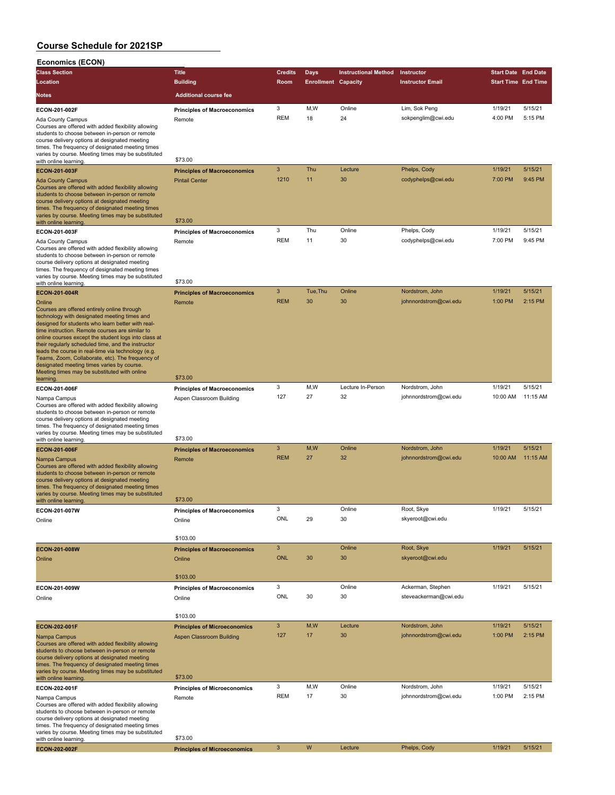| <b>Economics (ECON)</b>                                                                                                                                                                                                                                                                                                                                                                                                                                                             |                                               |                |                            |                             |                         |                            |          |
|-------------------------------------------------------------------------------------------------------------------------------------------------------------------------------------------------------------------------------------------------------------------------------------------------------------------------------------------------------------------------------------------------------------------------------------------------------------------------------------|-----------------------------------------------|----------------|----------------------------|-----------------------------|-------------------------|----------------------------|----------|
| <b>Class Section</b>                                                                                                                                                                                                                                                                                                                                                                                                                                                                | <b>Title</b>                                  | <b>Credits</b> | <b>Days</b>                | <b>Instructional Method</b> | Instructor              | <b>Start Date End Date</b> |          |
| Location                                                                                                                                                                                                                                                                                                                                                                                                                                                                            | <b>Building</b>                               | Room           | <b>Enrollment Capacity</b> |                             | <b>Instructor Email</b> | <b>Start Time End Time</b> |          |
| Notes                                                                                                                                                                                                                                                                                                                                                                                                                                                                               | <b>Additional course fee</b>                  |                |                            |                             |                         |                            |          |
| ECON-201-002F                                                                                                                                                                                                                                                                                                                                                                                                                                                                       | <b>Principles of Macroeconomics</b>           | 3              | M,W                        | Online                      | Lim, Sok Peng           | 1/19/21                    | 5/15/21  |
| Ada County Campus<br>Courses are offered with added flexibility allowing<br>students to choose between in-person or remote<br>course delivery options at designated meeting                                                                                                                                                                                                                                                                                                         | Remote                                        | <b>REM</b>     | 18                         | 24                          | sokpenglim@cwi.edu      | 4:00 PM                    | 5:15 PM  |
| times. The frequency of designated meeting times<br>varies by course. Meeting times may be substituted<br>with online learning.                                                                                                                                                                                                                                                                                                                                                     | \$73.00                                       |                |                            |                             |                         |                            |          |
| ECON-201-003F                                                                                                                                                                                                                                                                                                                                                                                                                                                                       | <b>Principles of Macroeconomics</b>           | $\mathbf{3}$   | Thu                        | Lecture                     | Phelps, Cody            | 1/19/21                    | 5/15/21  |
| <b>Ada County Campus</b><br>Courses are offered with added flexibility allowing<br>students to choose between in-person or remote<br>course delivery options at designated meeting<br>times. The frequency of designated meeting times<br>varies by course. Meeting times may be substituted                                                                                                                                                                                        | <b>Pintail Center</b>                         | 1210           | 11                         | 30                          | codyphelps@cwi.edu      | 7:00 PM                    | 9:45 PM  |
| with online learning                                                                                                                                                                                                                                                                                                                                                                                                                                                                | \$73.00                                       |                |                            |                             |                         |                            |          |
| ECON-201-003F                                                                                                                                                                                                                                                                                                                                                                                                                                                                       | <b>Principles of Macroeconomics</b>           | 3              | Thu                        | Online                      | Phelps, Cody            | 1/19/21                    | 5/15/21  |
| Ada County Campus<br>Courses are offered with added flexibility allowing<br>students to choose between in-person or remote<br>course delivery options at designated meeting<br>times. The frequency of designated meeting times<br>varies by course. Meeting times may be substituted                                                                                                                                                                                               | Remote                                        | <b>REM</b>     | 11                         | 30                          | codyphelps@cwi.edu      | 7:00 PM                    | 9:45 PM  |
| with online learning.                                                                                                                                                                                                                                                                                                                                                                                                                                                               | \$73.00                                       |                |                            |                             |                         |                            |          |
| ECON-201-004R                                                                                                                                                                                                                                                                                                                                                                                                                                                                       | <b>Principles of Macroeconomics</b>           | $\mathbf{3}$   | Tue, Thu                   | Online                      | Nordstrom, John         | 1/19/21                    | 5/15/21  |
| Online<br>Courses are offered entirely online through<br>technology with designated meeting times and<br>designed for students who learn better with real-<br>time instruction. Remote courses are similar to<br>online courses except the student logs into class at<br>their regularly scheduled time, and the instructor<br>leads the course in real-time via technology (e.g.<br>Teams, Zoom, Collaborate, etc). The frequency of<br>designated meeting times varies by course. | Remote                                        | <b>REM</b>     | 30                         | 30                          | johnnordstrom@cwi.edu   | 1:00 PM                    | 2:15 PM  |
| Meeting times may be substituted with online<br>learning.                                                                                                                                                                                                                                                                                                                                                                                                                           | \$73.00                                       |                |                            |                             |                         |                            |          |
| ECON-201-006F                                                                                                                                                                                                                                                                                                                                                                                                                                                                       | <b>Principles of Macroeconomics</b>           | 3              | M,W                        | Lecture In-Person           | Nordstrom, John         | 1/19/21                    | 5/15/21  |
| Nampa Campus<br>Courses are offered with added flexibility allowing<br>students to choose between in-person or remote<br>course delivery options at designated meeting<br>times. The frequency of designated meeting times<br>varies by course. Meeting times may be substituted<br>with online learning.                                                                                                                                                                           | Aspen Classroom Building<br>\$73.00           | 127            | 27                         | 32                          | johnnordstrom@cwi.edu   | 10:00 AM                   | 11:15 AM |
| <b>ECON-201-006F</b>                                                                                                                                                                                                                                                                                                                                                                                                                                                                | <b>Principles of Macroeconomics</b>           | $\mathbf{3}$   | M,W                        | Online                      | Nordstrom, John         | 1/19/21                    | 5/15/21  |
| Nampa Campus<br>Courses are offered with added flexibility allowing<br>students to choose between in-person or remote<br>course delivery options at designated meeting<br>times. The frequency of designated meeting times<br>varies by course. Meeting times may be substituted<br>with online learning.                                                                                                                                                                           | Remote<br>\$73.00                             | <b>REM</b>     | 27                         | 32                          | johnnordstrom@cwi.edu   | 10:00 AM                   | 11:15 AM |
| ECON-201-007W                                                                                                                                                                                                                                                                                                                                                                                                                                                                       | <b>Principles of Macroeconomics</b>           | 3              |                            | Online                      | Root, Skye              | 1/19/21                    | 5/15/21  |
| Online                                                                                                                                                                                                                                                                                                                                                                                                                                                                              | Online                                        | ONL            | 29                         | 30                          | skyeroot@cwi.edu        |                            |          |
|                                                                                                                                                                                                                                                                                                                                                                                                                                                                                     | \$103.00                                      |                |                            |                             |                         |                            |          |
| ECON-201-008W                                                                                                                                                                                                                                                                                                                                                                                                                                                                       | <b>Principles of Macroeconomics</b>           | $\mathbf{3}$   |                            | Online                      | Root, Skye              | 1/19/21                    | 5/15/21  |
| Online                                                                                                                                                                                                                                                                                                                                                                                                                                                                              | Online<br>\$103.00                            | <b>ONL</b>     | 30                         | 30                          | skyeroot@cwi.edu        |                            |          |
| ECON-201-009W                                                                                                                                                                                                                                                                                                                                                                                                                                                                       | <b>Principles of Macroeconomics</b>           | 3              |                            | Online                      | Ackerman, Stephen       | 1/19/21                    | 5/15/21  |
| Online                                                                                                                                                                                                                                                                                                                                                                                                                                                                              | Online                                        | ONL            | 30                         | 30                          | steveackerman@cwi.edu   |                            |          |
|                                                                                                                                                                                                                                                                                                                                                                                                                                                                                     | \$103.00                                      |                |                            |                             |                         |                            |          |
| ECON-202-001F                                                                                                                                                                                                                                                                                                                                                                                                                                                                       | <b>Principles of Microeconomics</b>           | $\mathbf{3}$   | M,W                        | Lecture                     | Nordstrom, John         | 1/19/21                    | 5/15/21  |
| Nampa Campus<br>Courses are offered with added flexibility allowing<br>students to choose between in-person or remote<br>course delivery options at designated meeting<br>times. The frequency of designated meeting times<br>varies by course. Meeting times may be substituted                                                                                                                                                                                                    | <b>Aspen Classroom Building</b>               | 127            | 17                         | 30                          | johnnordstrom@cwi.edu   | 1:00 PM                    | 2:15 PM  |
| with online learning                                                                                                                                                                                                                                                                                                                                                                                                                                                                | \$73.00                                       | 3              | M,W                        | Online                      | Nordstrom, John         | 1/19/21                    | 5/15/21  |
| ECON-202-001F<br>Nampa Campus<br>Courses are offered with added flexibility allowing<br>students to choose between in-person or remote<br>course delivery options at designated meeting<br>times. The frequency of designated meeting times<br>varies by course. Meeting times may be substituted                                                                                                                                                                                   | <b>Principles of Microeconomics</b><br>Remote | <b>REM</b>     | 17                         | 30                          | johnnordstrom@cwi.edu   | 1:00 PM                    | 2:15 PM  |
| with online learning.                                                                                                                                                                                                                                                                                                                                                                                                                                                               | \$73.00                                       |                |                            |                             |                         |                            |          |
| ECON-202-002F                                                                                                                                                                                                                                                                                                                                                                                                                                                                       | <b>Principles of Microeconomics</b>           | $\mathbf{3}$   | W                          | Lecture                     | Phelps, Cody            | 1/19/21                    | 5/15/21  |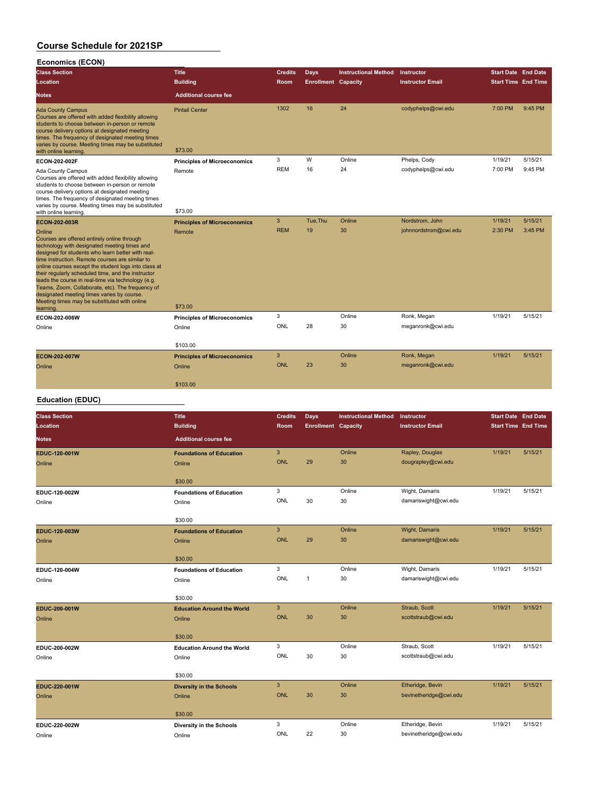### **Economics (ECON)**

| <b>Class Section</b><br>Location                                                                                                                                                                                                                                                                                                                                                                                                                                                                                                                 | <b>Title</b><br><b>Building</b>     | <b>Credits</b><br>Room | Days<br><b>Enrollment Capacity</b> | <b>Instructional Method</b> | Instructor<br><b>Instructor Email</b> | <b>Start Date End Date</b><br><b>Start Time End Time</b> |         |
|--------------------------------------------------------------------------------------------------------------------------------------------------------------------------------------------------------------------------------------------------------------------------------------------------------------------------------------------------------------------------------------------------------------------------------------------------------------------------------------------------------------------------------------------------|-------------------------------------|------------------------|------------------------------------|-----------------------------|---------------------------------------|----------------------------------------------------------|---------|
| <b>Notes</b>                                                                                                                                                                                                                                                                                                                                                                                                                                                                                                                                     | <b>Additional course fee</b>        |                        |                                    |                             |                                       |                                                          |         |
| <b>Ada County Campus</b><br>Courses are offered with added flexibility allowing<br>students to choose between in-person or remote<br>course delivery options at designated meeting<br>times. The frequency of designated meeting times<br>varies by course. Meeting times may be substituted<br>with online learning.                                                                                                                                                                                                                            | <b>Pintail Center</b><br>\$73.00    | 1302                   | 16                                 | 24                          | codyphelps@cwi.edu                    | 7:00 PM                                                  | 9:45 PM |
| ECON-202-002F                                                                                                                                                                                                                                                                                                                                                                                                                                                                                                                                    | <b>Principles of Microeconomics</b> | 3                      | W                                  | Online                      | Phelps, Cody                          | 1/19/21                                                  | 5/15/21 |
| Ada County Campus<br>Courses are offered with added flexibility allowing<br>students to choose between in-person or remote<br>course delivery options at designated meeting<br>times. The frequency of designated meeting times<br>varies by course. Meeting times may be substituted<br>with online learning.                                                                                                                                                                                                                                   | Remote<br>\$73.00                   | <b>REM</b>             | 16                                 | 24                          | codyphelps@cwi.edu                    | 7:00 PM                                                  | 9:45 PM |
| ECON-202-003R                                                                                                                                                                                                                                                                                                                                                                                                                                                                                                                                    | <b>Principles of Microeconomics</b> | 3                      | Tue.Thu                            | Online                      | Nordstrom, John                       | 1/19/21                                                  | 5/15/21 |
| Online<br>Courses are offered entirely online through<br>technology with designated meeting times and<br>designed for students who learn better with real-<br>time instruction. Remote courses are similar to<br>online courses except the student logs into class at<br>their regularly scheduled time, and the instructor<br>leads the course in real-time via technology (e.g.<br>Teams, Zoom, Collaborate, etc). The frequency of<br>designated meeting times varies by course.<br>Meeting times may be substituted with online<br>learning. | Remote<br>\$73.00                   | <b>REM</b>             | 19                                 | 30                          | johnnordstrom@cwi.edu                 | 2:30 PM                                                  | 3:45 PM |
| ECON-202-006W                                                                                                                                                                                                                                                                                                                                                                                                                                                                                                                                    | <b>Principles of Microeconomics</b> | 3                      |                                    | Online                      | Ronk, Megan                           | 1/19/21                                                  | 5/15/21 |
| Online                                                                                                                                                                                                                                                                                                                                                                                                                                                                                                                                           | Online<br>\$103.00                  | <b>ONL</b>             | 28                                 | 30                          | meganronk@cwi.edu                     |                                                          |         |
| ECON-202-007W                                                                                                                                                                                                                                                                                                                                                                                                                                                                                                                                    | <b>Principles of Microeconomics</b> | 3                      |                                    | Online                      | Ronk, Megan                           | 1/19/21                                                  | 5/15/21 |
| Online                                                                                                                                                                                                                                                                                                                                                                                                                                                                                                                                           | Online                              | <b>ONL</b>             | 23                                 | 30                          | meganronk@cwi.edu                     |                                                          |         |
|                                                                                                                                                                                                                                                                                                                                                                                                                                                                                                                                                  | \$103.00                            |                        |                                    |                             |                                       |                                                          |         |

### **Education (EDUC)**

| <b>Class Section</b><br>Location | <b>Title</b><br><b>Building</b>   | <b>Credits</b><br>Room | Days<br><b>Enrollment Capacity</b> | <b>Instructional Method</b> | Instructor<br><b>Instructor Email</b> | <b>Start Date End Date</b><br><b>Start Time End Time</b> |         |
|----------------------------------|-----------------------------------|------------------------|------------------------------------|-----------------------------|---------------------------------------|----------------------------------------------------------|---------|
| <b>Notes</b>                     | <b>Additional course fee</b>      |                        |                                    |                             |                                       |                                                          |         |
| EDUC-120-001W                    | <b>Foundations of Education</b>   | $\mathbf{3}$           |                                    | Online                      | Rapley, Douglas                       | 1/19/21                                                  | 5/15/21 |
| Online                           | Online                            | <b>ONL</b>             | 29                                 | 30                          | dougrapley@cwi.edu                    |                                                          |         |
|                                  | \$30.00                           |                        |                                    |                             |                                       |                                                          |         |
| EDUC-120-002W                    | <b>Foundations of Education</b>   | 3                      |                                    | Online                      | Wight, Damaris                        | 1/19/21                                                  | 5/15/21 |
| Online                           | Online                            | <b>ONL</b>             | 30                                 | 30                          | damariswight@cwi.edu                  |                                                          |         |
|                                  | \$30.00                           |                        |                                    |                             |                                       |                                                          |         |
| EDUC-120-003W                    | <b>Foundations of Education</b>   | $\mathbf{3}$           |                                    | Online                      | Wight, Damaris                        | 1/19/21                                                  | 5/15/21 |
| Online                           | Online                            | <b>ONL</b>             | 29                                 | 30                          | damariswight@cwi.edu                  |                                                          |         |
|                                  | \$30.00                           |                        |                                    |                             |                                       |                                                          |         |
| EDUC-120-004W                    | <b>Foundations of Education</b>   | 3                      |                                    | Online                      | Wight, Damaris                        | 1/19/21                                                  | 5/15/21 |
| Online                           | Online                            | ONL                    | $\mathbf{1}$                       | 30                          | damariswight@cwi.edu                  |                                                          |         |
|                                  | \$30.00                           |                        |                                    |                             |                                       |                                                          |         |
| EDUC-200-001W                    | <b>Education Around the World</b> | $\mathbf{3}$           |                                    | Online                      | Straub, Scott                         | 1/19/21                                                  | 5/15/21 |
| Online                           | Online                            | <b>ONL</b>             | 30                                 | 30                          | scottstraub@cwi.edu                   |                                                          |         |
|                                  | \$30.00                           |                        |                                    |                             |                                       |                                                          |         |
| EDUC-200-002W                    | <b>Education Around the World</b> | 3                      |                                    | Online                      | Straub, Scott                         | 1/19/21                                                  | 5/15/21 |
| Online                           | Online                            | ONL                    | 30                                 | 30                          | scottstraub@cwi.edu                   |                                                          |         |
|                                  | \$30.00                           |                        |                                    |                             |                                       |                                                          |         |
| EDUC-220-001W                    | <b>Diversity in the Schools</b>   | 3                      |                                    | Online                      | Etheridge, Bevin                      | 1/19/21                                                  | 5/15/21 |
| Online                           | Online                            | <b>ONL</b>             | 30                                 | 30                          | bevinetheridge@cwi.edu                |                                                          |         |
|                                  | \$30.00                           |                        |                                    |                             |                                       |                                                          |         |
| EDUC-220-002W                    | Diversity in the Schools          | 3                      |                                    | Online                      | Etheridge, Bevin                      | 1/19/21                                                  | 5/15/21 |
| Online                           | Online                            | <b>ONL</b>             | 22                                 | 30                          | bevinetheridge@cwi.edu                |                                                          |         |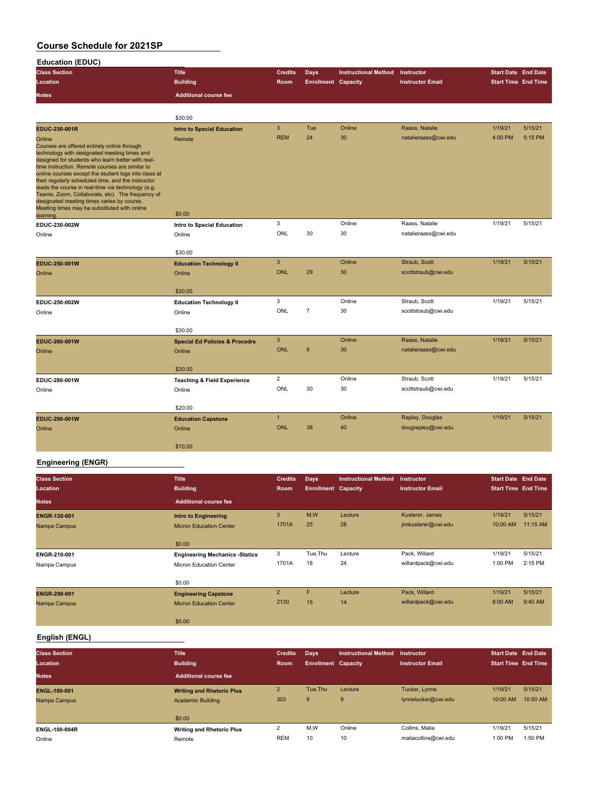**Education (EDUC)**

| -www.non-lepoo<br><b>Class Section</b>                                                                                                                                                                                                                                                                                                                                                                                                                                                                                                           | <b>Title</b>                                         | <b>Credits</b>            | Days                       | <b>Instructional Method</b> | Instructor              | <b>Start Date End Date</b> |         |
|--------------------------------------------------------------------------------------------------------------------------------------------------------------------------------------------------------------------------------------------------------------------------------------------------------------------------------------------------------------------------------------------------------------------------------------------------------------------------------------------------------------------------------------------------|------------------------------------------------------|---------------------------|----------------------------|-----------------------------|-------------------------|----------------------------|---------|
| Location                                                                                                                                                                                                                                                                                                                                                                                                                                                                                                                                         | <b>Building</b>                                      | Room                      | <b>Enrollment Capacity</b> |                             | <b>Instructor Email</b> | <b>Start Time End Time</b> |         |
| Notes                                                                                                                                                                                                                                                                                                                                                                                                                                                                                                                                            | <b>Additional course fee</b>                         |                           |                            |                             |                         |                            |         |
|                                                                                                                                                                                                                                                                                                                                                                                                                                                                                                                                                  |                                                      |                           |                            |                             |                         |                            |         |
|                                                                                                                                                                                                                                                                                                                                                                                                                                                                                                                                                  | \$30.00                                              |                           |                            |                             |                         |                            |         |
| EDUC-230-001R                                                                                                                                                                                                                                                                                                                                                                                                                                                                                                                                    | <b>Intro to Special Education</b>                    | $\mathbf{3}$              | Tue                        | Online                      | Raass, Natalie          | 1/19/21                    | 5/15/21 |
| Online<br>Courses are offered entirely online through<br>technology with designated meeting times and<br>designed for students who learn better with real-<br>time instruction. Remote courses are similar to<br>online courses except the student logs into class at<br>their regularly scheduled time, and the instructor<br>leads the course in real-time via technology (e.g.<br>Teams, Zoom, Collaborate, etc). The frequency of<br>designated meeting times varies by course.<br>Meeting times may be substituted with online<br>learning. | Remote<br>\$0.00                                     | <b>REM</b>                | 24                         | 30                          | natalieraass@cwi.edu    | 4:00 PM                    | 5:15 PM |
| EDUC-230-002W                                                                                                                                                                                                                                                                                                                                                                                                                                                                                                                                    | Intro to Special Education                           | 3                         |                            | Online                      | Raass, Natalie          | 1/19/21                    | 5/15/21 |
| Online                                                                                                                                                                                                                                                                                                                                                                                                                                                                                                                                           | Online                                               | ONL                       | 30                         | 30                          | natalieraass@cwi.edu    |                            |         |
|                                                                                                                                                                                                                                                                                                                                                                                                                                                                                                                                                  |                                                      |                           |                            |                             |                         |                            |         |
|                                                                                                                                                                                                                                                                                                                                                                                                                                                                                                                                                  | \$30.00                                              |                           |                            |                             |                         |                            |         |
| EDUC-250-001W                                                                                                                                                                                                                                                                                                                                                                                                                                                                                                                                    | <b>Education Technology II</b>                       | $\mathbf{3}$              |                            | Online                      | Straub, Scott           | 1/19/21                    | 5/15/21 |
| Online                                                                                                                                                                                                                                                                                                                                                                                                                                                                                                                                           | Online                                               | <b>ONL</b>                | 29                         | 30                          | scottstraub@cwi.edu     |                            |         |
|                                                                                                                                                                                                                                                                                                                                                                                                                                                                                                                                                  | \$30.00                                              |                           |                            |                             |                         |                            |         |
| EDUC-250-002W                                                                                                                                                                                                                                                                                                                                                                                                                                                                                                                                    | <b>Education Technology II</b>                       | 3                         |                            | Online                      | Straub, Scott           | 1/19/21                    | 5/15/21 |
| Online                                                                                                                                                                                                                                                                                                                                                                                                                                                                                                                                           | Online                                               | <b>ONL</b>                | $\overline{7}$             | 30                          | scottstraub@cwi.edu     |                            |         |
|                                                                                                                                                                                                                                                                                                                                                                                                                                                                                                                                                  |                                                      |                           |                            |                             |                         |                            |         |
| EDUC-260-001W                                                                                                                                                                                                                                                                                                                                                                                                                                                                                                                                    | \$30.00<br><b>Special Ed Policies &amp; Procedrs</b> | $\ensuremath{\mathsf{3}}$ |                            | Online                      | Raass, Natalie          | 1/19/21                    | 5/15/21 |
| Online                                                                                                                                                                                                                                                                                                                                                                                                                                                                                                                                           | Online                                               | <b>ONL</b>                | 9                          | 30                          | natalieraass@cwi.edu    |                            |         |
|                                                                                                                                                                                                                                                                                                                                                                                                                                                                                                                                                  |                                                      |                           |                            |                             |                         |                            |         |
|                                                                                                                                                                                                                                                                                                                                                                                                                                                                                                                                                  | \$30.00                                              |                           |                            |                             |                         |                            |         |
| EDUC-280-001W                                                                                                                                                                                                                                                                                                                                                                                                                                                                                                                                    | <b>Teaching &amp; Field Experience</b>               | $\overline{2}$            |                            | Online                      | Straub, Scott           | 1/19/21                    | 5/15/21 |
| Online                                                                                                                                                                                                                                                                                                                                                                                                                                                                                                                                           | Online                                               | ONL                       | 30                         | 30                          | scottstraub@cwi.edu     |                            |         |
|                                                                                                                                                                                                                                                                                                                                                                                                                                                                                                                                                  |                                                      |                           |                            |                             |                         |                            |         |
|                                                                                                                                                                                                                                                                                                                                                                                                                                                                                                                                                  | \$20.00                                              |                           |                            |                             |                         |                            |         |
| EDUC-290-001W                                                                                                                                                                                                                                                                                                                                                                                                                                                                                                                                    | <b>Education Capstone</b>                            | $\mathbf{1}$              |                            | Online                      | Rapley, Douglas         | 1/19/21                    | 5/15/21 |
| Online                                                                                                                                                                                                                                                                                                                                                                                                                                                                                                                                           | Online                                               | <b>ONL</b>                | 38                         | 40                          | dougrapley@cwi.edu      |                            |         |
|                                                                                                                                                                                                                                                                                                                                                                                                                                                                                                                                                  | \$10.00                                              |                           |                            |                             |                         |                            |         |
|                                                                                                                                                                                                                                                                                                                                                                                                                                                                                                                                                  |                                                      |                           |                            |                             |                         |                            |         |

### **Engineering (ENGR)**

| <b>Class Section</b> | <b>Title</b>                          | <b>Credits</b> | <b>Days</b>                | <b>Instructional Method</b> | <b>Instructor</b>       | <b>Start Date End Date</b> |          |
|----------------------|---------------------------------------|----------------|----------------------------|-----------------------------|-------------------------|----------------------------|----------|
| <b>Location</b>      | <b>Building</b>                       | Room           | <b>Enrollment Capacity</b> |                             | <b>Instructor Email</b> | <b>Start Time End Time</b> |          |
| <b>Notes</b>         | <b>Additional course fee</b>          |                |                            |                             |                         |                            |          |
| <b>ENGR-120-001</b>  | <b>Intro to Engineering</b>           | 3              | M,W                        | Lecture                     | Kusterer, James         | 1/19/21                    | 5/15/21  |
| Nampa Campus         | <b>Micron Education Center</b>        | 1701A          | 25                         | 28                          | jimkusterer@cwi.edu     | 10:00 AM                   | 11:15 AM |
|                      | \$0.00                                |                |                            |                             |                         |                            |          |
| ENGR-210-001         | <b>Engineering Mechanics -Statics</b> | 3              | Tue, Thu                   | Lecture                     | Pack, Willard           | 1/19/21                    | 5/15/21  |
| Nampa Campus         | Micron Education Center               | 1701A          | 18                         | 24                          | willardpack@cwi.edu     | 1:00 PM                    | 2:15 PM  |
|                      | \$0.00                                |                |                            |                             |                         |                            |          |
| <b>ENGR-290-001</b>  | <b>Engineering Capstone</b>           | $\overline{2}$ | F                          | Lecture                     | Pack. Willard           | 1/19/21                    | 5/15/21  |
| Nampa Campus         | <b>Micron Education Center</b>        | 2130           | 15                         | 14                          | willardpack@cwi.edu     | 8:00 AM                    | 9:40 AM  |
|                      | \$0.00                                |                |                            |                             |                         |                            |          |

### **English (ENGL)**

| <b>Class Section</b><br>Location    | <b>Title</b><br><b>Building</b>                       | <b>Credits</b><br>Room       | Days<br><b>Enrollment Capacity</b> | <b>Instructional Method</b> | Instructor<br><b>Instructor Email</b>  | <b>Start Date End Date</b><br><b>Start Time End Time</b> |                     |
|-------------------------------------|-------------------------------------------------------|------------------------------|------------------------------------|-----------------------------|----------------------------------------|----------------------------------------------------------|---------------------|
| <b>Notes</b>                        | <b>Additional course fee</b>                          |                              |                                    |                             |                                        |                                                          |                     |
| <b>ENGL-100-001</b><br>Nampa Campus | <b>Writing and Rhetoric Plus</b><br>Academic Building | $\overline{2}$<br>303        | Tue.Thu<br>9                       | Lecture<br>9                | Tucker, Lynne<br>lynnetucker@cwi.edu   | 1/19/21<br>10:00 AM                                      | 5/15/21<br>10:50 AM |
|                                     | \$0.00                                                |                              |                                    |                             |                                        |                                                          |                     |
| <b>ENGL-100-004R</b><br>Online      | <b>Writing and Rhetoric Plus</b><br>Remote            | $\overline{2}$<br><b>REM</b> | M,W<br>10                          | Online<br>10                | Collins, Malia<br>maliacollins@cwi.edu | 1/19/21<br>1:00 PM                                       | 5/15/21<br>1:50 PM  |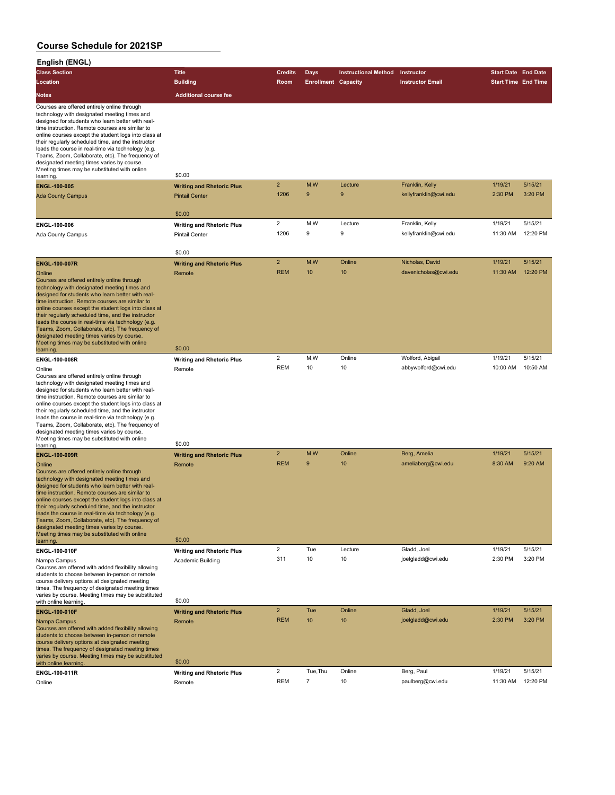**English (ENGL)**

| English (ENGL)                                                                                                                                                                                                                                                                                                                                                                                                                                                                                                                                                    |                                                                     |                              |                            |                             |                                         |                            |                     |
|-------------------------------------------------------------------------------------------------------------------------------------------------------------------------------------------------------------------------------------------------------------------------------------------------------------------------------------------------------------------------------------------------------------------------------------------------------------------------------------------------------------------------------------------------------------------|---------------------------------------------------------------------|------------------------------|----------------------------|-----------------------------|-----------------------------------------|----------------------------|---------------------|
| <b>Class Section</b>                                                                                                                                                                                                                                                                                                                                                                                                                                                                                                                                              | <b>Title</b>                                                        | Credits                      | <b>Days</b>                | <b>Instructional Method</b> | Instructor                              | <b>Start Date End Date</b> |                     |
| Location                                                                                                                                                                                                                                                                                                                                                                                                                                                                                                                                                          | <b>Building</b>                                                     | Room                         | <b>Enrollment Capacity</b> |                             | <b>Instructor Email</b>                 | <b>Start Time End Time</b> |                     |
| <b>Notes</b>                                                                                                                                                                                                                                                                                                                                                                                                                                                                                                                                                      | <b>Additional course fee</b>                                        |                              |                            |                             |                                         |                            |                     |
| Courses are offered entirely online through<br>technology with designated meeting times and<br>designed for students who learn better with real-<br>time instruction. Remote courses are similar to<br>online courses except the student logs into class at<br>their regularly scheduled time, and the instructor<br>leads the course in real-time via technology (e.g.<br>Teams, Zoom, Collaborate, etc). The frequency of<br>designated meeting times varies by course.<br>Meeting times may be substituted with online<br>learning.                            | \$0.00                                                              |                              |                            |                             |                                         |                            |                     |
|                                                                                                                                                                                                                                                                                                                                                                                                                                                                                                                                                                   |                                                                     | $\overline{\mathbf{c}}$      | M,W                        | Lecture                     | Franklin, Kelly                         | 1/19/21                    | 5/15/21             |
| ENGL-100-005<br><b>Ada County Campus</b>                                                                                                                                                                                                                                                                                                                                                                                                                                                                                                                          | <b>Writing and Rhetoric Plus</b><br><b>Pintail Center</b><br>\$0.00 | 1206                         | 9                          | $\boldsymbol{9}$            | kellyfranklin@cwi.edu                   | 2:30 PM                    | 3:20 PM             |
| ENGL-100-006                                                                                                                                                                                                                                                                                                                                                                                                                                                                                                                                                      | <b>Writing and Rhetoric Plus</b>                                    | $\overline{\mathbf{c}}$      | M, W                       | Lecture                     | Franklin, Kelly                         | 1/19/21                    | 5/15/21             |
| Ada County Campus                                                                                                                                                                                                                                                                                                                                                                                                                                                                                                                                                 | <b>Pintail Center</b><br>\$0.00                                     | 1206                         | 9                          | 9                           | kellyfranklin@cwi.edu                   | 11:30 AM                   | 12:20 PM            |
|                                                                                                                                                                                                                                                                                                                                                                                                                                                                                                                                                                   |                                                                     | $\overline{c}$               | M,W                        | Online                      | Nicholas, David                         | 1/19/21                    | 5/15/21             |
| <b>ENGL-100-007R</b><br>Online<br>Courses are offered entirely online through<br>technology with designated meeting times and<br>designed for students who learn better with real-<br>time instruction. Remote courses are similar to<br>online courses except the student logs into class at<br>their regularly scheduled time, and the instructor<br>leads the course in real-time via technology (e.g.<br>Teams, Zoom, Collaborate, etc). The frequency of<br>designated meeting times varies by course.<br>Meeting times may be substituted with online       | <b>Writing and Rhetoric Plus</b><br>Remote                          | <b>REM</b>                   | 10 <sup>10</sup>           | 10                          | davenicholas@cwi.edu                    | 11:30 AM                   | 12:20 PM            |
| learning.                                                                                                                                                                                                                                                                                                                                                                                                                                                                                                                                                         | \$0.00                                                              |                              |                            |                             |                                         |                            |                     |
| ENGL-100-008R<br>Online<br>Courses are offered entirely online through<br>technology with designated meeting times and<br>designed for students who learn better with real-<br>time instruction. Remote courses are similar to<br>online courses except the student logs into class at<br>their regularly scheduled time, and the instructor<br>leads the course in real-time via technology (e.g.<br>Teams, Zoom, Collaborate, etc). The frequency of<br>designated meeting times varies by course.<br>Meeting times may be substituted with online<br>learning. | <b>Writing and Rhetoric Plus</b><br>Remote<br>\$0.00                | $\overline{2}$<br><b>REM</b> | M, W<br>10                 | Online<br>10                | Wolford, Abigail<br>abbywolford@cwi.edu | 1/19/21<br>10:00 AM        | 5/15/21<br>10:50 AM |
| <b>ENGL-100-009R</b>                                                                                                                                                                                                                                                                                                                                                                                                                                                                                                                                              | <b>Writing and Rhetoric Plus</b>                                    | $\overline{2}$               | M,W                        | Online                      | Berg, Amelia                            | 1/19/21                    | 5/15/21             |
| Online<br>Courses are offered entirely online through<br>technology with designated meeting times and<br>designed for students who learn better with real-<br>time instruction. Remote courses are similar to<br>online courses except the student logs into class at<br>their regularly scheduled time, and the instructor<br>leads the course in real-time via technology (e.g.<br>Teams, Zoom, Collaborate, etc). The frequency of<br>designated meeting times varies by course.<br>Meeting times may be substituted with online<br>learning.                  | Remote<br>\$0.00                                                    | <b>REM</b>                   | 9                          | 10                          | ameliaberg@cwi.edu                      | 8:30 AM                    | 9:20 AM             |
| ENGL-100-010F                                                                                                                                                                                                                                                                                                                                                                                                                                                                                                                                                     | <b>Writing and Rhetoric Plus</b>                                    | 2                            | Tue                        | Lecture                     | Gladd, Joel                             | 1/19/21                    | 5/15/21             |
| Nampa Campus<br>Courses are offered with added flexibility allowing<br>students to choose between in-person or remote<br>course delivery options at designated meeting<br>times. The frequency of designated meeting times<br>varies by course. Meeting times may be substituted<br>with online learning.                                                                                                                                                                                                                                                         | Academic Building<br>\$0.00                                         | 311                          | 10                         | 10                          | joelgladd@cwi.edu                       | 2:30 PM                    | 3:20 PM             |
| <b>ENGL-100-010F</b>                                                                                                                                                                                                                                                                                                                                                                                                                                                                                                                                              | <b>Writing and Rhetoric Plus</b>                                    | $\overline{2}$               | Tue                        | Online                      | Gladd, Joel                             | 1/19/21                    | 5/15/21             |
| Nampa Campus<br>Courses are offered with added flexibility allowing<br>students to choose between in-person or remote<br>course delivery options at designated meeting<br>times. The frequency of designated meeting times<br>varies by course. Meeting times may be substituted<br>with online learning.                                                                                                                                                                                                                                                         | Remote<br>\$0.00                                                    | <b>REM</b>                   | 10 <sup>10</sup>           | 10                          | joelgladd@cwi.edu                       | 2:30 PM                    | 3:20 PM             |
| ENGL-100-011R                                                                                                                                                                                                                                                                                                                                                                                                                                                                                                                                                     | <b>Writing and Rhetoric Plus</b>                                    | 2                            | Tue, Thu                   | Online                      | Berg, Paul                              | 1/19/21                    | 5/15/21             |
| Online                                                                                                                                                                                                                                                                                                                                                                                                                                                                                                                                                            | Remote                                                              | <b>REM</b>                   | $\boldsymbol{7}$           | 10                          | paulberg@cwi.edu                        | 11:30 AM                   | 12:20 PM            |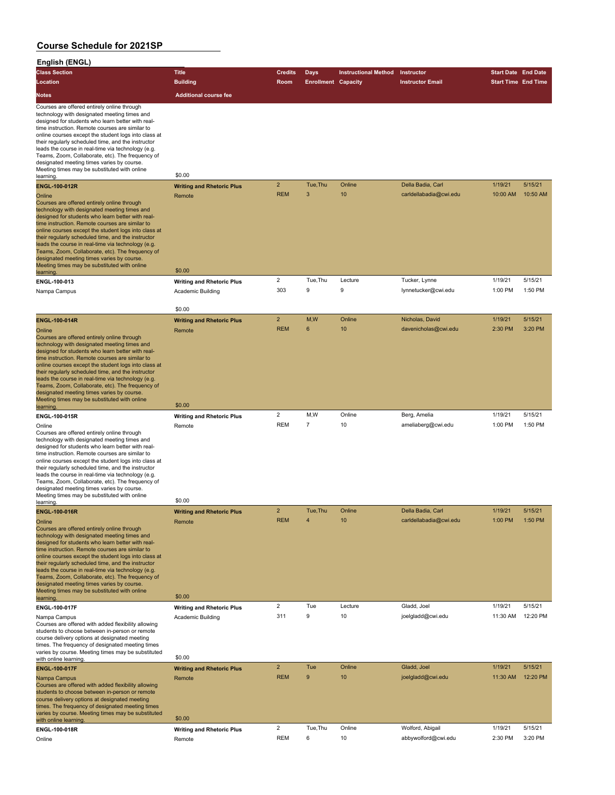| English (ENGL)                                                                                                                                                                                                                                                                                                                                                                                                                                                                                                                                                           |                                                              |                                       |                            |                             |                                    |                            |                     |
|--------------------------------------------------------------------------------------------------------------------------------------------------------------------------------------------------------------------------------------------------------------------------------------------------------------------------------------------------------------------------------------------------------------------------------------------------------------------------------------------------------------------------------------------------------------------------|--------------------------------------------------------------|---------------------------------------|----------------------------|-----------------------------|------------------------------------|----------------------------|---------------------|
| <b>Class Section</b>                                                                                                                                                                                                                                                                                                                                                                                                                                                                                                                                                     | <b>Title</b>                                                 | <b>Credits</b>                        | <b>Days</b>                | <b>Instructional Method</b> | <b>Instructor</b>                  | <b>Start Date End Date</b> |                     |
| Location                                                                                                                                                                                                                                                                                                                                                                                                                                                                                                                                                                 | <b>Building</b>                                              | Room                                  | <b>Enrollment Capacity</b> |                             | <b>Instructor Email</b>            | <b>Start Time End Time</b> |                     |
| <b>Notes</b>                                                                                                                                                                                                                                                                                                                                                                                                                                                                                                                                                             | <b>Additional course fee</b>                                 |                                       |                            |                             |                                    |                            |                     |
| Courses are offered entirely online through<br>technology with designated meeting times and<br>designed for students who learn better with real-<br>time instruction. Remote courses are similar to<br>online courses except the student logs into class at<br>their regularly scheduled time, and the instructor<br>leads the course in real-time via technology (e.g.<br>Teams, Zoom, Collaborate, etc). The frequency of<br>designated meeting times varies by course.<br>Meeting times may be substituted with online                                                | \$0.00                                                       |                                       |                            |                             |                                    |                            |                     |
| learning.                                                                                                                                                                                                                                                                                                                                                                                                                                                                                                                                                                |                                                              | $\overline{\mathbf{c}}$               | Tue, Thu                   | Online                      | Della Badia, Carl                  | 1/19/21                    | 5/15/21             |
| <b>ENGL-100-012R</b><br>Online<br>Courses are offered entirely online through<br>technology with designated meeting times and<br>designed for students who learn better with real-<br>time instruction. Remote courses are similar to<br>online courses except the student logs into class at<br>their regularly scheduled time, and the instructor<br>leads the course in real-time via technology (e.g.<br>Teams, Zoom, Collaborate, etc). The frequency of<br>designated meeting times varies by course.<br>Meeting times may be substituted with online<br>learning. | <b>Writing and Rhetoric Plus</b><br>Remote<br>\$0.00         | <b>REM</b>                            | 3                          | 10                          | carldellabadia@cwi.edu             | 10:00 AM                   | 10:50 AM            |
| ENGL-100-013                                                                                                                                                                                                                                                                                                                                                                                                                                                                                                                                                             | <b>Writing and Rhetoric Plus</b>                             | $\overline{\mathbf{c}}$               | Tue, Thu                   | Lecture                     | Tucker, Lynne                      | 1/19/21                    | 5/15/21             |
| Nampa Campus                                                                                                                                                                                                                                                                                                                                                                                                                                                                                                                                                             | Academic Building<br>\$0.00                                  | 303                                   | 9                          | 9                           | lynnetucker@cwi.edu                | 1:00 PM                    | 1:50 PM             |
| <b>ENGL-100-014R</b>                                                                                                                                                                                                                                                                                                                                                                                                                                                                                                                                                     | <b>Writing and Rhetoric Plus</b>                             | $\overline{2}$                        | M,W                        | Online                      | Nicholas, David                    | 1/19/21                    | 5/15/21             |
| Online<br>Courses are offered entirely online through<br>technology with designated meeting times and<br>designed for students who learn better with real-<br>time instruction. Remote courses are similar to<br>online courses except the student logs into class at<br>their regularly scheduled time, and the instructor<br>leads the course in real-time via technology (e.g.<br>Teams, Zoom, Collaborate, etc). The frequency of<br>designated meeting times varies by course.<br>Meeting times may be substituted with online                                      | Remote                                                       | <b>REM</b>                            | 6                          | 10                          | davenicholas@cwi.edu               | 2:30 PM                    | 3:20 PM             |
| learning.                                                                                                                                                                                                                                                                                                                                                                                                                                                                                                                                                                | \$0.00                                                       |                                       |                            |                             |                                    |                            |                     |
| ENGL-100-015R<br>Online<br>Courses are offered entirely online through<br>technology with designated meeting times and<br>designed for students who learn better with real-<br>time instruction. Remote courses are similar to<br>online courses except the student logs into class at<br>their regularly scheduled time, and the instructor<br>leads the course in real-time via technology (e.g.<br>Teams, Zoom, Collaborate, etc). The frequency of<br>designated meeting times varies by course.<br>Meeting times may be substituted with online<br>learning.        | <b>Writing and Rhetoric Plus</b><br>Remote<br>\$0.00         | $\overline{2}$<br><b>REM</b>          | M,W<br>$\overline{7}$      | Online<br>10                | Berg, Amelia<br>ameliaberg@cwi.edu | 1/19/21<br>1:00 PM         | 5/15/21<br>1:50 PM  |
| <b>ENGL-100-016R</b>                                                                                                                                                                                                                                                                                                                                                                                                                                                                                                                                                     | <b>Writing and Rhetoric Plus</b>                             |                                       | Tue, Thu                   | Online                      | Della Badia, Carl                  | 1/19/21                    | 5/15/21             |
| Online<br>Courses are offered entirely online through<br>technology with designated meeting times and<br>designed for students who learn better with real-<br>time instruction. Remote courses are similar to<br>online courses except the student logs into class at<br>their regularly scheduled time, and the instructor<br>leads the course in real-time via technology (e.g.<br>Teams, Zoom, Collaborate, etc). The frequency of<br>designated meeting times varies by course.<br>Meeting times may be substituted with online                                      | Remote                                                       | <b>REM</b>                            | 4                          | 10                          | carldellabadia@cwi.edu             | 1:00 PM                    | 1:50 PM             |
| learning.                                                                                                                                                                                                                                                                                                                                                                                                                                                                                                                                                                | \$0.00                                                       |                                       |                            |                             |                                    |                            |                     |
| ENGL-100-017F<br>Nampa Campus<br>Courses are offered with added flexibility allowing<br>students to choose between in-person or remote<br>course delivery options at designated meeting<br>times. The frequency of designated meeting times                                                                                                                                                                                                                                                                                                                              | <b>Writing and Rhetoric Plus</b><br><b>Academic Building</b> | 2<br>311                              | Tue<br>9                   | Lecture<br>10               | Gladd, Joel<br>joelgladd@cwi.edu   | 1/19/21<br>11:30 AM        | 5/15/21<br>12:20 PM |
| varies by course. Meeting times may be substituted<br>with online learning.                                                                                                                                                                                                                                                                                                                                                                                                                                                                                              | \$0.00                                                       |                                       |                            |                             |                                    |                            |                     |
| <b>ENGL-100-017F</b><br>Nampa Campus<br>Courses are offered with added flexibility allowing<br>students to choose between in-person or remote<br>course delivery options at designated meeting<br>times. The frequency of designated meeting times<br>varies by course. Meeting times may be substituted<br>with online learning.                                                                                                                                                                                                                                        | <b>Writing and Rhetoric Plus</b><br>Remote<br>\$0.00         | $\overline{\mathbf{c}}$<br><b>REM</b> | Tue<br>$9$                 | Online<br>10                | Gladd, Joel<br>joelgladd@cwi.edu   | 1/19/21<br>11:30 AM        | 5/15/21<br>12:20 PM |
| ENGL-100-018R                                                                                                                                                                                                                                                                                                                                                                                                                                                                                                                                                            | <b>Writing and Rhetoric Plus</b>                             | 2                                     | Tue, Thu                   | Online                      | Wolford, Abigail                   | 1/19/21                    | 5/15/21             |
| Online                                                                                                                                                                                                                                                                                                                                                                                                                                                                                                                                                                   | Remote                                                       | <b>REM</b>                            | 6                          | 10                          | abbywolford@cwi.edu                | 2:30 PM                    | 3:20 PM             |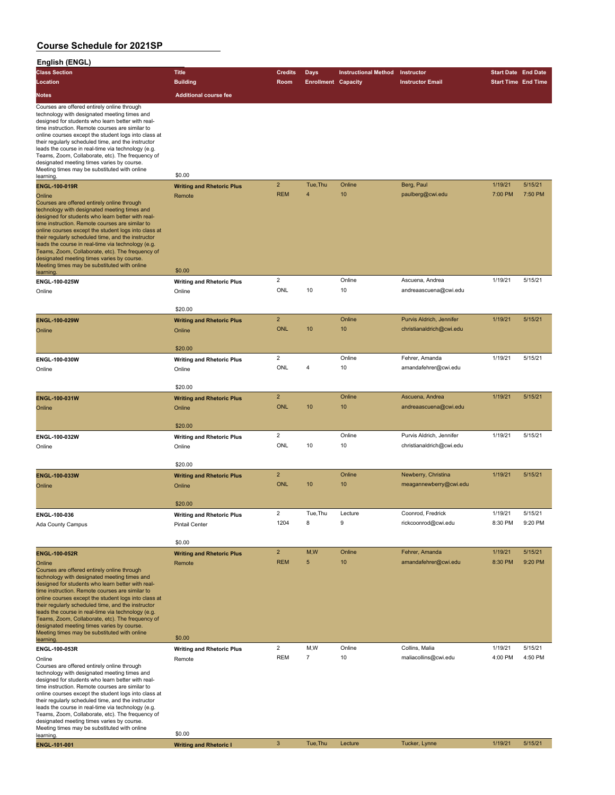| English (ENGL)                                                                                                                                                                                                                                                                                                                                                                                                                                                                                                                                   |                                             |                |                            |                             |                          |                            |         |
|--------------------------------------------------------------------------------------------------------------------------------------------------------------------------------------------------------------------------------------------------------------------------------------------------------------------------------------------------------------------------------------------------------------------------------------------------------------------------------------------------------------------------------------------------|---------------------------------------------|----------------|----------------------------|-----------------------------|--------------------------|----------------------------|---------|
| <b>Class Section</b>                                                                                                                                                                                                                                                                                                                                                                                                                                                                                                                             | <b>Title</b>                                | <b>Credits</b> | Days                       | <b>Instructional Method</b> | Instructor               | <b>Start Date End Date</b> |         |
| Location                                                                                                                                                                                                                                                                                                                                                                                                                                                                                                                                         | <b>Building</b>                             | Room           | <b>Enrollment Capacity</b> |                             | <b>Instructor Email</b>  | <b>Start Time End Time</b> |         |
| <b>Notes</b>                                                                                                                                                                                                                                                                                                                                                                                                                                                                                                                                     | <b>Additional course fee</b>                |                |                            |                             |                          |                            |         |
|                                                                                                                                                                                                                                                                                                                                                                                                                                                                                                                                                  |                                             |                |                            |                             |                          |                            |         |
| Courses are offered entirely online through<br>technology with designated meeting times and<br>designed for students who learn better with real-<br>time instruction. Remote courses are similar to<br>online courses except the student logs into class at<br>their regularly scheduled time, and the instructor<br>leads the course in real-time via technology (e.g.<br>Teams, Zoom, Collaborate, etc). The frequency of<br>designated meeting times varies by course.<br>Meeting times may be substituted with online<br>learning.           | \$0.00                                      |                |                            |                             |                          |                            |         |
| <b>ENGL-100-019R</b>                                                                                                                                                                                                                                                                                                                                                                                                                                                                                                                             | <b>Writing and Rhetoric Plus</b>            | $\overline{2}$ | Tue, Thu                   | Online                      | Berg, Paul               | 1/19/21                    | 5/15/21 |
| Online<br>Courses are offered entirely online through<br>technology with designated meeting times and<br>designed for students who learn better with real-<br>time instruction. Remote courses are similar to<br>online courses except the student logs into class at<br>their regularly scheduled time, and the instructor<br>leads the course in real-time via technology (e.g.<br>Teams, Zoom, Collaborate, etc). The frequency of<br>designated meeting times varies by course.<br>Meeting times may be substituted with online<br>learning. | Remote<br>\$0.00                            | <b>REM</b>     | $\overline{4}$             | 10                          | paulberg@cwi.edu         | 7:00 PM                    | 7:50 PM |
| ENGL-100-025W                                                                                                                                                                                                                                                                                                                                                                                                                                                                                                                                    | <b>Writing and Rhetoric Plus</b>            | $\overline{2}$ |                            | Online                      | Ascuena, Andrea          | 1/19/21                    | 5/15/21 |
| Online                                                                                                                                                                                                                                                                                                                                                                                                                                                                                                                                           | Online                                      | ONL            | 10                         | 10                          | andreaascuena@cwi.edu    |                            |         |
|                                                                                                                                                                                                                                                                                                                                                                                                                                                                                                                                                  |                                             |                |                            |                             |                          |                            |         |
|                                                                                                                                                                                                                                                                                                                                                                                                                                                                                                                                                  | \$20.00                                     |                |                            |                             |                          |                            |         |
| ENGL-100-029W                                                                                                                                                                                                                                                                                                                                                                                                                                                                                                                                    | <b>Writing and Rhetoric Plus</b>            | $\overline{2}$ |                            | Online                      | Purvis Aldrich, Jennifer | 1/19/21                    | 5/15/21 |
| Online                                                                                                                                                                                                                                                                                                                                                                                                                                                                                                                                           | Online                                      | <b>ONL</b>     | 10                         | 10                          | christianaldrich@cwi.edu |                            |         |
|                                                                                                                                                                                                                                                                                                                                                                                                                                                                                                                                                  | \$20.00                                     |                |                            |                             |                          |                            |         |
| ENGL-100-030W                                                                                                                                                                                                                                                                                                                                                                                                                                                                                                                                    |                                             | $\overline{2}$ |                            | Online                      | Fehrer, Amanda           | 1/19/21                    | 5/15/21 |
|                                                                                                                                                                                                                                                                                                                                                                                                                                                                                                                                                  | <b>Writing and Rhetoric Plus</b>            | <b>ONL</b>     | 4                          | 10                          | amandafehrer@cwi.edu     |                            |         |
| Online                                                                                                                                                                                                                                                                                                                                                                                                                                                                                                                                           | Online                                      |                |                            |                             |                          |                            |         |
| ENGL-100-031W                                                                                                                                                                                                                                                                                                                                                                                                                                                                                                                                    | \$20.00<br><b>Writing and Rhetoric Plus</b> | $\overline{2}$ |                            | Online                      | Ascuena, Andrea          | 1/19/21                    | 5/15/21 |
| Online                                                                                                                                                                                                                                                                                                                                                                                                                                                                                                                                           | Online                                      | <b>ONL</b>     | 10                         | 10                          | andreaascuena@cwi.edu    |                            |         |
|                                                                                                                                                                                                                                                                                                                                                                                                                                                                                                                                                  |                                             |                |                            |                             |                          |                            |         |
|                                                                                                                                                                                                                                                                                                                                                                                                                                                                                                                                                  | \$20.00                                     |                |                            |                             |                          |                            |         |
| ENGL-100-032W                                                                                                                                                                                                                                                                                                                                                                                                                                                                                                                                    | <b>Writing and Rhetoric Plus</b>            | $\overline{2}$ |                            | Online                      | Purvis Aldrich, Jennifer | 1/19/21                    | 5/15/21 |
| Online                                                                                                                                                                                                                                                                                                                                                                                                                                                                                                                                           | Online                                      | ONL            | 10                         | 10                          | christianaldrich@cwi.edu |                            |         |
|                                                                                                                                                                                                                                                                                                                                                                                                                                                                                                                                                  | \$20.00                                     |                |                            |                             |                          |                            |         |
|                                                                                                                                                                                                                                                                                                                                                                                                                                                                                                                                                  |                                             | $\overline{2}$ |                            | Online                      | Newberry, Christina      | 1/19/21                    | 5/15/21 |
| ENGL-100-033W                                                                                                                                                                                                                                                                                                                                                                                                                                                                                                                                    | <b>Writing and Rhetoric Plus</b>            | <b>ONL</b>     | 10                         | 10                          | meagannewberry@cwi.edu   |                            |         |
| Online                                                                                                                                                                                                                                                                                                                                                                                                                                                                                                                                           | Online                                      |                |                            |                             |                          |                            |         |
|                                                                                                                                                                                                                                                                                                                                                                                                                                                                                                                                                  | \$20.00                                     |                |                            |                             |                          |                            |         |
| ENGL-100-036                                                                                                                                                                                                                                                                                                                                                                                                                                                                                                                                     | <b>Writing and Rhetoric Plus</b>            | $\overline{c}$ | Tue, Thu                   | Lecture                     | Coonrod, Fredrick        | 1/19/21                    | 5/15/21 |
| <b>Ada County Campus</b>                                                                                                                                                                                                                                                                                                                                                                                                                                                                                                                         | <b>Pintail Center</b>                       | 1204           | 8                          | 9                           | rickcoonrod@cwi.edu      | 8:30 PM                    | 9:20 PM |
|                                                                                                                                                                                                                                                                                                                                                                                                                                                                                                                                                  | \$0.00                                      |                |                            |                             |                          |                            |         |
| <b>ENGL-100-052R</b>                                                                                                                                                                                                                                                                                                                                                                                                                                                                                                                             | <b>Writing and Rhetoric Plus</b>            | $\overline{2}$ | M,W                        | Online                      | Fehrer, Amanda           | 1/19/21                    | 5/15/21 |
| Online<br>Courses are offered entirely online through<br>technology with designated meeting times and<br>designed for students who learn better with real-<br>time instruction. Remote courses are similar to<br>online courses except the student logs into class at<br>their regularly scheduled time, and the instructor<br>leads the course in real-time via technology (e.g.<br>Teams, Zoom, Collaborate, etc). The frequency of<br>designated meeting times varies by course.<br>Meeting times may be substituted with online              | Remote<br>\$0.00                            | <b>REM</b>     | 5                          | 10                          | amandafehrer@cwi.edu     | 8:30 PM                    | 9:20 PM |
| learning.                                                                                                                                                                                                                                                                                                                                                                                                                                                                                                                                        |                                             |                |                            |                             |                          |                            |         |
| ENGL-100-053R                                                                                                                                                                                                                                                                                                                                                                                                                                                                                                                                    | <b>Writing and Rhetoric Plus</b>            | $\overline{2}$ | M, W                       | Online                      | Collins, Malia           | 1/19/21                    | 5/15/21 |
| Online<br>Courses are offered entirely online through<br>technology with designated meeting times and<br>designed for students who learn better with real-<br>time instruction. Remote courses are similar to<br>online courses except the student logs into class at<br>their regularly scheduled time, and the instructor<br>leads the course in real-time via technology (e.g.<br>Teams, Zoom, Collaborate, etc). The frequency of<br>designated meeting times varies by course.                                                              | Remote                                      | <b>REM</b>     | $\overline{7}$             | 10                          | maliacollins@cwi.edu     | 4:00 PM                    | 4:50 PM |
| Meeting times may be substituted with online                                                                                                                                                                                                                                                                                                                                                                                                                                                                                                     | \$0.00                                      |                |                            |                             |                          |                            |         |
| learning.<br>ENGL-101-001                                                                                                                                                                                                                                                                                                                                                                                                                                                                                                                        | <b>Writing and Rhetoric I</b>               | $\overline{3}$ | Tue, Thu                   | Lecture                     | Tucker, Lynne            | 1/19/21                    | 5/15/21 |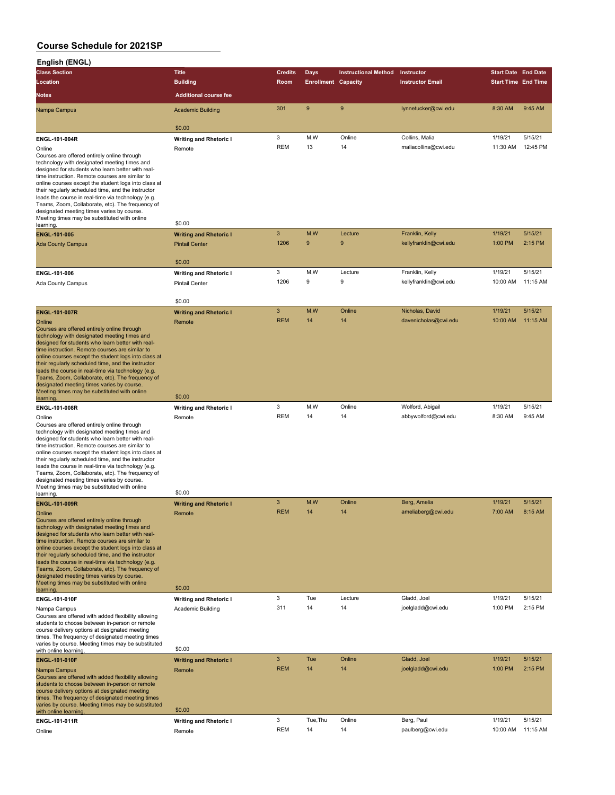| English (ENGL)                                                                                             |                                                    |                |                            |                             |                         |                            |          |
|------------------------------------------------------------------------------------------------------------|----------------------------------------------------|----------------|----------------------------|-----------------------------|-------------------------|----------------------------|----------|
| <b>Class Section</b>                                                                                       | <b>Title</b>                                       | <b>Credits</b> | <b>Days</b>                | <b>Instructional Method</b> | Instructor              | <b>Start Date End Date</b> |          |
| Location                                                                                                   | <b>Building</b>                                    | Room           | <b>Enrollment Capacity</b> |                             | <b>Instructor Email</b> | <b>Start Time End Time</b> |          |
| <b>Notes</b>                                                                                               | <b>Additional course fee</b>                       |                |                            |                             |                         |                            |          |
| Nampa Campus                                                                                               | <b>Academic Building</b>                           | 301            | 9                          | 9                           | lynnetucker@cwi.edu     | 8:30 AM                    | 9:45 AM  |
|                                                                                                            | \$0.00                                             |                |                            |                             |                         |                            |          |
| ENGL-101-004R                                                                                              | <b>Writing and Rhetoric I</b>                      | 3              | M,W                        | Online                      | Collins, Malia          | 1/19/21                    | 5/15/21  |
| Online                                                                                                     | Remote                                             | <b>REM</b>     | 13                         | 14                          | maliacollins@cwi.edu    | 11:30 AM                   | 12:45 PM |
| Courses are offered entirely online through                                                                |                                                    |                |                            |                             |                         |                            |          |
| technology with designated meeting times and                                                               |                                                    |                |                            |                             |                         |                            |          |
| designed for students who learn better with real-<br>time instruction. Remote courses are similar to       |                                                    |                |                            |                             |                         |                            |          |
| online courses except the student logs into class at                                                       |                                                    |                |                            |                             |                         |                            |          |
| their regularly scheduled time, and the instructor                                                         |                                                    |                |                            |                             |                         |                            |          |
| leads the course in real-time via technology (e.g.<br>Teams, Zoom, Collaborate, etc). The frequency of     |                                                    |                |                            |                             |                         |                            |          |
| designated meeting times varies by course.                                                                 |                                                    |                |                            |                             |                         |                            |          |
| Meeting times may be substituted with online<br>learning.                                                  | \$0.00                                             |                |                            |                             |                         |                            |          |
| ENGL-101-005                                                                                               | <b>Writing and Rhetoric I</b>                      | $\sqrt{3}$     | M,W                        | Lecture                     | Franklin, Kelly         | 1/19/21                    | 5/15/21  |
| <b>Ada County Campus</b>                                                                                   | <b>Pintail Center</b>                              | 1206           | 9                          | 9                           | kellyfranklin@cwi.edu   | 1:00 PM                    | 2:15 PM  |
|                                                                                                            |                                                    |                |                            |                             |                         |                            |          |
|                                                                                                            | \$0.00                                             |                |                            |                             |                         |                            |          |
| ENGL-101-006                                                                                               | <b>Writing and Rhetoric I</b>                      | 3              | M,W                        | Lecture                     | Franklin, Kelly         | 1/19/21                    | 5/15/21  |
| Ada County Campus                                                                                          | <b>Pintail Center</b>                              | 1206           | 9                          | 9                           | kellyfranklin@cwi.edu   | 10:00 AM                   | 11:15 AM |
|                                                                                                            |                                                    |                |                            |                             |                         |                            |          |
|                                                                                                            | \$0.00                                             | 3              | M,W                        | Online                      | Nicholas, David         | 1/19/21                    | 5/15/21  |
| <b>ENGL-101-007R</b>                                                                                       | <b>Writing and Rhetoric I</b>                      | <b>REM</b>     | 14                         | 14                          | davenicholas@cwi.edu    | 10:00 AM                   | 11:15 AM |
| Online<br>Courses are offered entirely online through                                                      | Remote                                             |                |                            |                             |                         |                            |          |
| technology with designated meeting times and                                                               |                                                    |                |                            |                             |                         |                            |          |
| designed for students who learn better with real-                                                          |                                                    |                |                            |                             |                         |                            |          |
| time instruction. Remote courses are similar to<br>online courses except the student logs into class at    |                                                    |                |                            |                             |                         |                            |          |
| their regularly scheduled time, and the instructor                                                         |                                                    |                |                            |                             |                         |                            |          |
| leads the course in real-time via technology (e.g.<br>Teams, Zoom, Collaborate, etc). The frequency of     |                                                    |                |                            |                             |                         |                            |          |
| designated meeting times varies by course.                                                                 |                                                    |                |                            |                             |                         |                            |          |
| Meeting times may be substituted with online                                                               | \$0.00                                             |                |                            |                             |                         |                            |          |
| learning.<br>ENGL-101-008R                                                                                 | <b>Writing and Rhetoric I</b>                      | 3              | M,W                        | Online                      | Wolford, Abigail        | 1/19/21                    | 5/15/21  |
| Online                                                                                                     | Remote                                             | <b>REM</b>     | 14                         | 14                          | abbywolford@cwi.edu     | 8:30 AM                    | 9:45 AM  |
| Courses are offered entirely online through                                                                |                                                    |                |                            |                             |                         |                            |          |
| technology with designated meeting times and                                                               |                                                    |                |                            |                             |                         |                            |          |
| designed for students who learn better with real-<br>time instruction. Remote courses are similar to       |                                                    |                |                            |                             |                         |                            |          |
| online courses except the student logs into class at                                                       |                                                    |                |                            |                             |                         |                            |          |
| their regularly scheduled time, and the instructor<br>leads the course in real-time via technology (e.g.   |                                                    |                |                            |                             |                         |                            |          |
| Teams, Zoom, Collaborate, etc). The frequency of                                                           |                                                    |                |                            |                             |                         |                            |          |
| designated meeting times varies by course.<br>Meeting times may be substituted with online                 |                                                    |                |                            |                             |                         |                            |          |
| learning.                                                                                                  | \$0.00                                             |                |                            |                             |                         |                            |          |
| <b>ENGL-101-009R</b>                                                                                       | <b>Writing and Rhetoric I</b>                      | 3              | M,W                        | Online                      | Berg, Amelia            | 1/19/21                    | 5/15/21  |
| Online                                                                                                     | Remote                                             | <b>REM</b>     | 14                         | 14                          | ameliaberg@cwi.edu      | 7:00 AM                    | 8:15 AM  |
| Courses are offered entirely online through<br>technology with designated meeting times and                |                                                    |                |                            |                             |                         |                            |          |
| designed for students who learn better with real-                                                          |                                                    |                |                            |                             |                         |                            |          |
| time instruction. Remote courses are similar to                                                            |                                                    |                |                            |                             |                         |                            |          |
| online courses except the student logs into class at<br>their regularly scheduled time, and the instructor |                                                    |                |                            |                             |                         |                            |          |
| leads the course in real-time via technology (e.g.                                                         |                                                    |                |                            |                             |                         |                            |          |
| Teams, Zoom, Collaborate, etc). The frequency of<br>designated meeting times varies by course.             |                                                    |                |                            |                             |                         |                            |          |
| Meeting times may be substituted with online                                                               | \$0.00                                             |                |                            |                             |                         |                            |          |
| learning.<br>ENGL-101-010F                                                                                 |                                                    | 3              | Tue                        | Lecture                     | Gladd, Joel             | 1/19/21                    | 5/15/21  |
| Nampa Campus                                                                                               | <b>Writing and Rhetoric I</b><br>Academic Building | 311            | 14                         | 14                          | joelgladd@cwi.edu       | 1:00 PM                    | 2:15 PM  |
| Courses are offered with added flexibility allowing                                                        |                                                    |                |                            |                             |                         |                            |          |
| students to choose between in-person or remote<br>course delivery options at designated meeting            |                                                    |                |                            |                             |                         |                            |          |
| times. The frequency of designated meeting times                                                           |                                                    |                |                            |                             |                         |                            |          |
| varies by course. Meeting times may be substituted                                                         | \$0.00                                             |                |                            |                             |                         |                            |          |
| with online learning.<br><b>ENGL-101-010F</b>                                                              | <b>Writing and Rhetoric I</b>                      | 3              | Tue                        | Online                      | Gladd, Joel             | 1/19/21                    | 5/15/21  |
| Nampa Campus                                                                                               | Remote                                             | <b>REM</b>     | 14                         | 14                          | joelgladd@cwi.edu       | 1:00 PM                    | 2:15 PM  |
| Courses are offered with added flexibility allowing                                                        |                                                    |                |                            |                             |                         |                            |          |
| students to choose between in-person or remote<br>course delivery options at designated meeting            |                                                    |                |                            |                             |                         |                            |          |
| times. The frequency of designated meeting times                                                           |                                                    |                |                            |                             |                         |                            |          |
| varies by course. Meeting times may be substituted<br>with online learning.                                | \$0.00                                             |                |                            |                             |                         |                            |          |
| ENGL-101-011R                                                                                              | <b>Writing and Rhetoric I</b>                      | 3              | Tue, Thu                   | Online                      | Berg, Paul              | 1/19/21                    | 5/15/21  |
| Online                                                                                                     | Remote                                             | <b>REM</b>     | 14                         | 14                          | paulberg@cwi.edu        | 10:00 AM                   | 11:15 AM |
|                                                                                                            |                                                    |                |                            |                             |                         |                            |          |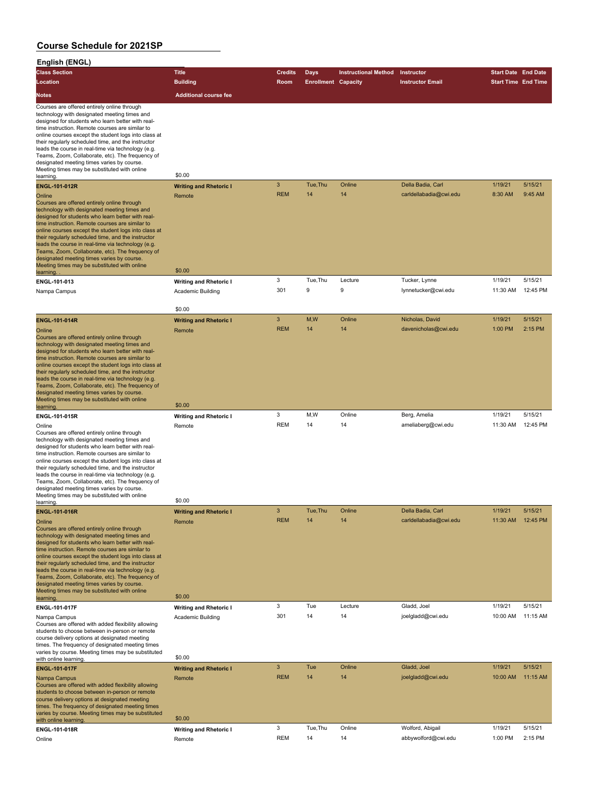| English (ENGL)                                                                                                                                                                                                                                                                                                                                                                                                                                                                                                                                       |                                                    |                 |                            |                             |                                    |                            |                     |
|------------------------------------------------------------------------------------------------------------------------------------------------------------------------------------------------------------------------------------------------------------------------------------------------------------------------------------------------------------------------------------------------------------------------------------------------------------------------------------------------------------------------------------------------------|----------------------------------------------------|-----------------|----------------------------|-----------------------------|------------------------------------|----------------------------|---------------------|
| <b>Class Section</b>                                                                                                                                                                                                                                                                                                                                                                                                                                                                                                                                 | <b>Title</b>                                       | <b>Credits</b>  | <b>Days</b>                | <b>Instructional Method</b> | Instructor                         | <b>Start Date End Date</b> |                     |
| Location                                                                                                                                                                                                                                                                                                                                                                                                                                                                                                                                             | <b>Building</b>                                    | Room            | <b>Enrollment Capacity</b> |                             | <b>Instructor Email</b>            | <b>Start Time End Time</b> |                     |
| <b>Notes</b>                                                                                                                                                                                                                                                                                                                                                                                                                                                                                                                                         | <b>Additional course fee</b>                       |                 |                            |                             |                                    |                            |                     |
| Courses are offered entirely online through<br>technology with designated meeting times and<br>designed for students who learn better with real-<br>time instruction. Remote courses are similar to<br>online courses except the student logs into class at<br>their regularly scheduled time, and the instructor<br>leads the course in real-time via technology (e.g.<br>Teams, Zoom, Collaborate, etc). The frequency of<br>designated meeting times varies by course.<br>Meeting times may be substituted with online<br>learning.               | \$0.00                                             |                 |                            |                             |                                    |                            |                     |
| <b>ENGL-101-012R</b>                                                                                                                                                                                                                                                                                                                                                                                                                                                                                                                                 | <b>Writing and Rhetoric I</b>                      | 3               | Tue.Thu                    | Online                      | Della Badia, Carl                  | 1/19/21                    | 5/15/21             |
| Online<br>Courses are offered entirely online through<br>technology with designated meeting times and<br>designed for students who learn better with real-<br>time instruction. Remote courses are similar to<br>online courses except the student logs into class at<br>their regularly scheduled time, and the instructor<br>leads the course in real-time via technology (e.g.<br>Teams, Zoom, Collaborate, etc). The frequency of<br>designated meeting times varies by course.<br>Meeting times may be substituted with online<br>learning.     | Remote<br>\$0.00                                   | <b>REM</b>      | 14                         | 14                          | carldellabadia@cwi.edu             | 8:30 AM                    | 9:45 AM             |
| ENGL-101-013                                                                                                                                                                                                                                                                                                                                                                                                                                                                                                                                         | <b>Writing and Rhetoric I</b>                      | 3               | Tue, Thu                   | Lecture                     | Tucker, Lynne                      | 1/19/21                    | 5/15/21             |
| Nampa Campus                                                                                                                                                                                                                                                                                                                                                                                                                                                                                                                                         | Academic Building<br>\$0.00                        | 301             | 9                          | 9                           | lynnetucker@cwi.edu                | 11:30 AM                   | 12:45 PM            |
| <b>ENGL-101-014R</b>                                                                                                                                                                                                                                                                                                                                                                                                                                                                                                                                 | <b>Writing and Rhetoric I</b>                      | 3               | M,W                        | Online                      | Nicholas, David                    | 1/19/21                    | 5/15/21             |
| Online<br>Courses are offered entirely online through<br>technology with designated meeting times and<br>designed for students who learn better with real-<br>time instruction. Remote courses are similar to<br>online courses except the student logs into class at<br>their regularly scheduled time, and the instructor<br>leads the course in real-time via technology (e.g.<br>Teams, Zoom, Collaborate, etc). The frequency of<br>designated meeting times varies by course.<br>Meeting times may be substituted with online                  | Remote                                             | <b>REM</b>      | 14                         | 14                          | davenicholas@cwi.edu               | 1:00 PM                    | 2:15 PM             |
| learning.                                                                                                                                                                                                                                                                                                                                                                                                                                                                                                                                            | \$0.00                                             |                 |                            |                             |                                    |                            |                     |
| ENGL-101-015R<br>Online<br>Courses are offered entirely online through<br>technology with designated meeting times and<br>designed for students who learn better with real-<br>time instruction. Remote courses are similar to<br>online courses except the student logs into class at<br>their regularly scheduled time, and the instructor<br>leads the course in real-time via technology (e.g.<br>Teams, Zoom, Collaborate, etc). The frequency of<br>designated meeting times varies by course.<br>Meeting times may be substituted with online | <b>Writing and Rhetoric I</b><br>Remote<br>\$0.00  | 3<br><b>REM</b> | M,W<br>14                  | Online<br>14                | Berg, Amelia<br>ameliaberg@cwi.edu | 1/19/21<br>11:30 AM        | 5/15/21<br>12:45 PM |
| learning.<br><b>ENGL-101-016R</b>                                                                                                                                                                                                                                                                                                                                                                                                                                                                                                                    | <b>Writing and Rhetoric I</b>                      | 3               | Tue, Thu                   | Online                      | Della Badia, Carl                  | 1/19/21                    | 5/15/21             |
| Online<br>Courses are offered entirely online through<br>technology with designated meeting times and<br>designed for students who learn better with real-<br>time instruction. Remote courses are similar to<br>online courses except the student logs into class at<br>their regularly scheduled time, and the instructor<br>leads the course in real-time via technology (e.g.<br>Teams, Zoom, Collaborate, etc). The frequency of<br>designated meeting times varies by course.<br>Meeting times may be substituted with online                  | Remote                                             | <b>REM</b>      | 14                         | 14                          | carldellabadia@cwi.edu             | 11:30 AM                   | 12:45 PM            |
| learning.                                                                                                                                                                                                                                                                                                                                                                                                                                                                                                                                            | \$0.00                                             |                 |                            |                             |                                    |                            |                     |
| ENGL-101-017F<br>Nampa Campus<br>Courses are offered with added flexibility allowing<br>students to choose between in-person or remote<br>course delivery options at designated meeting<br>times. The frequency of designated meeting times                                                                                                                                                                                                                                                                                                          | <b>Writing and Rhetoric I</b><br>Academic Building | 3<br>301        | Tue<br>14                  | Lecture<br>14               | Gladd, Joel<br>joelgladd@cwi.edu   | 1/19/21<br>10:00 AM        | 5/15/21<br>11:15 AM |
| varies by course. Meeting times may be substituted<br>with online learning.                                                                                                                                                                                                                                                                                                                                                                                                                                                                          | \$0.00                                             |                 |                            |                             |                                    |                            |                     |
| <b>ENGL-101-017F</b><br>Nampa Campus<br>Courses are offered with added flexibility allowing<br>students to choose between in-person or remote<br>course delivery options at designated meeting<br>times. The frequency of designated meeting times<br>varies by course. Meeting times may be substituted<br>with online learning.                                                                                                                                                                                                                    | <b>Writing and Rhetoric I</b><br>Remote<br>\$0.00  | 3<br><b>REM</b> | Tue<br>14                  | Online<br>14                | Gladd, Joel<br>joelgladd@cwi.edu   | 1/19/21<br>10:00 AM        | 5/15/21<br>11:15 AM |
| ENGL-101-018R                                                                                                                                                                                                                                                                                                                                                                                                                                                                                                                                        | <b>Writing and Rhetoric I</b>                      | 3               | Tue, Thu                   | Online                      | Wolford, Abigail                   | 1/19/21                    | 5/15/21             |
| Online                                                                                                                                                                                                                                                                                                                                                                                                                                                                                                                                               | Remote                                             | <b>REM</b>      | 14                         | 14                          | abbywolford@cwi.edu                | 1:00 PM                    | 2:15 PM             |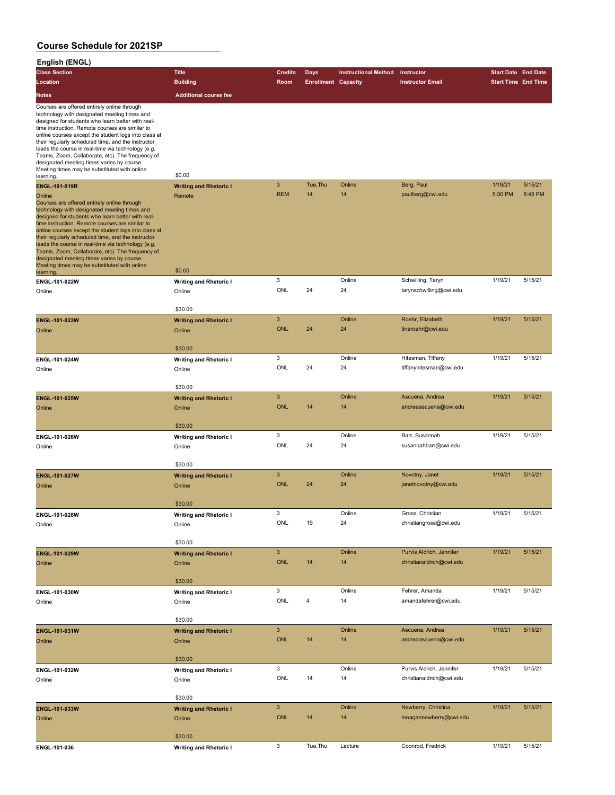| English (ENGL)                                                                                                                                                                                                                                                                                                                                                                                                                                                                                                                                                           |                                                   |                |                            |                             |                                              |                            |         |
|--------------------------------------------------------------------------------------------------------------------------------------------------------------------------------------------------------------------------------------------------------------------------------------------------------------------------------------------------------------------------------------------------------------------------------------------------------------------------------------------------------------------------------------------------------------------------|---------------------------------------------------|----------------|----------------------------|-----------------------------|----------------------------------------------|----------------------------|---------|
| <b>Class Section</b>                                                                                                                                                                                                                                                                                                                                                                                                                                                                                                                                                     | <b>Title</b>                                      | <b>Credits</b> | Days                       | <b>Instructional Method</b> | Instructor                                   | <b>Start Date End Date</b> |         |
| Location                                                                                                                                                                                                                                                                                                                                                                                                                                                                                                                                                                 | <b>Building</b>                                   | Room           | <b>Enrollment Capacity</b> |                             | <b>Instructor Email</b>                      | <b>Start Time End Time</b> |         |
| Notes                                                                                                                                                                                                                                                                                                                                                                                                                                                                                                                                                                    | <b>Additional course fee</b>                      |                |                            |                             |                                              |                            |         |
| Courses are offered entirely online through<br>technology with designated meeting times and<br>designed for students who learn better with real-<br>time instruction. Remote courses are similar to<br>online courses except the student logs into class at<br>their regularly scheduled time, and the instructor<br>leads the course in real-time via technology (e.g.<br>Teams, Zoom, Collaborate, etc). The frequency of<br>designated meeting times varies by course.<br>Meeting times may be substituted with online                                                | \$0.00                                            |                |                            |                             |                                              |                            |         |
| learning.                                                                                                                                                                                                                                                                                                                                                                                                                                                                                                                                                                |                                                   | $\mathbf{3}$   | Tue, Thu                   | Online                      | Berg, Paul                                   | 1/19/21                    | 5/15/21 |
| <b>ENGL-101-019R</b><br>Online<br>Courses are offered entirely online through<br>technology with designated meeting times and<br>designed for students who learn better with real-<br>time instruction. Remote courses are similar to<br>online courses except the student logs into class at<br>their regularly scheduled time, and the instructor<br>leads the course in real-time via technology (e.g.<br>Teams, Zoom, Collaborate, etc). The frequency of<br>designated meeting times varies by course.<br>Meeting times may be substituted with online<br>learning. | <b>Writing and Rhetoric I</b><br>Remote<br>\$0.00 | <b>REM</b>     | 14                         | 14                          | paulberg@cwi.edu                             | 5:30 PM                    | 6:45 PM |
| ENGL-101-022W                                                                                                                                                                                                                                                                                                                                                                                                                                                                                                                                                            | <b>Writing and Rhetoric I</b>                     | 3              |                            | Online                      | Schwilling, Taryn                            | 1/19/21                    | 5/15/21 |
| Online                                                                                                                                                                                                                                                                                                                                                                                                                                                                                                                                                                   | Online                                            | ONL            | 24                         | 24                          | tarynschwilling@cwi.edu                      |                            |         |
|                                                                                                                                                                                                                                                                                                                                                                                                                                                                                                                                                                          | \$30.00                                           |                |                            |                             |                                              |                            |         |
| ENGL-101-023W                                                                                                                                                                                                                                                                                                                                                                                                                                                                                                                                                            | <b>Writing and Rhetoric I</b>                     | $\overline{3}$ |                            | Online                      | Roehr, Elizabeth                             | 1/19/21                    | 5/15/21 |
| Online                                                                                                                                                                                                                                                                                                                                                                                                                                                                                                                                                                   | Online                                            | <b>ONL</b>     | 24                         | 24                          | tinaroehr@cwi.edu                            |                            |         |
|                                                                                                                                                                                                                                                                                                                                                                                                                                                                                                                                                                          | \$30.00                                           | 3              |                            |                             |                                              |                            | 5/15/21 |
| ENGL-101-024W                                                                                                                                                                                                                                                                                                                                                                                                                                                                                                                                                            | <b>Writing and Rhetoric I</b>                     | ONL            | 24                         | Online<br>24                | Hitesman, Tiffany<br>tiffanyhitesman@cwi.edu | 1/19/21                    |         |
| Online                                                                                                                                                                                                                                                                                                                                                                                                                                                                                                                                                                   | Online                                            |                |                            |                             |                                              |                            |         |
|                                                                                                                                                                                                                                                                                                                                                                                                                                                                                                                                                                          | \$30.00                                           | $\overline{3}$ |                            | Online                      | Ascuena, Andrea                              | 1/19/21                    | 5/15/21 |
| <b>ENGL-101-025W</b><br>Online                                                                                                                                                                                                                                                                                                                                                                                                                                                                                                                                           | <b>Writing and Rhetoric I</b><br>Online           | <b>ONL</b>     | 14                         | 14                          | andreaascuena@cwi.edu                        |                            |         |
|                                                                                                                                                                                                                                                                                                                                                                                                                                                                                                                                                                          | \$30.00                                           |                |                            |                             |                                              |                            |         |
| ENGL-101-026W                                                                                                                                                                                                                                                                                                                                                                                                                                                                                                                                                            | <b>Writing and Rhetoric I</b>                     | 3              |                            | Online                      | Barr, Susannah                               | 1/19/21                    | 5/15/21 |
| Online                                                                                                                                                                                                                                                                                                                                                                                                                                                                                                                                                                   | Online                                            | ONL            | 24                         | 24                          | susannahbarr@cwi.edu                         |                            |         |
|                                                                                                                                                                                                                                                                                                                                                                                                                                                                                                                                                                          | \$30.00                                           | $\overline{3}$ |                            | Online                      |                                              | 1/19/21                    | 5/15/21 |
| <b>ENGL-101-027W</b>                                                                                                                                                                                                                                                                                                                                                                                                                                                                                                                                                     | <b>Writing and Rhetoric I</b>                     | <b>ONL</b>     | 24                         | 24                          | Novotny, Janet<br>janetnovotny@cwi.edu       |                            |         |
| Online                                                                                                                                                                                                                                                                                                                                                                                                                                                                                                                                                                   | Online                                            |                |                            |                             |                                              |                            |         |
|                                                                                                                                                                                                                                                                                                                                                                                                                                                                                                                                                                          | \$30.00                                           |                |                            |                             |                                              |                            |         |
| ENGL-101-028W                                                                                                                                                                                                                                                                                                                                                                                                                                                                                                                                                            | <b>Writing and Rhetoric I</b>                     | 3<br>ONL       | 19                         | Online<br>24                | Gross, Christian<br>christiangross@cwi.edu   | 1/19/21                    | 5/15/21 |
| Online                                                                                                                                                                                                                                                                                                                                                                                                                                                                                                                                                                   | Online<br>\$30.00                                 |                |                            |                             |                                              |                            |         |
| ENGL-101-029W                                                                                                                                                                                                                                                                                                                                                                                                                                                                                                                                                            | <b>Writing and Rhetoric I</b>                     | $\mathbf{3}$   |                            | Online                      | Purvis Aldrich, Jennifer                     | 1/19/21                    | 5/15/21 |
| Online                                                                                                                                                                                                                                                                                                                                                                                                                                                                                                                                                                   | Online                                            | ONL            | 14                         | 14                          | christianaldrich@cwi.edu                     |                            |         |
|                                                                                                                                                                                                                                                                                                                                                                                                                                                                                                                                                                          | \$30.00                                           |                |                            |                             |                                              |                            |         |
| ENGL-101-030W                                                                                                                                                                                                                                                                                                                                                                                                                                                                                                                                                            | <b>Writing and Rhetoric I</b>                     | 3              |                            | Online                      | Fehrer, Amanda                               | 1/19/21                    | 5/15/21 |
| Online                                                                                                                                                                                                                                                                                                                                                                                                                                                                                                                                                                   | Online                                            | ONL            | $\overline{4}$             | 14                          | amandafehrer@cwi.edu                         |                            |         |
|                                                                                                                                                                                                                                                                                                                                                                                                                                                                                                                                                                          | \$30.00                                           | 3              |                            | Online                      | Ascuena, Andrea                              |                            |         |
| ENGL-101-031W<br>Online                                                                                                                                                                                                                                                                                                                                                                                                                                                                                                                                                  | <b>Writing and Rhetoric I</b><br>Online           | <b>ONL</b>     | 14                         | 14                          | andreaascuena@cwi.edu                        | 1/19/21                    | 5/15/21 |
|                                                                                                                                                                                                                                                                                                                                                                                                                                                                                                                                                                          | \$30.00                                           |                |                            |                             |                                              |                            |         |
| ENGL-101-032W                                                                                                                                                                                                                                                                                                                                                                                                                                                                                                                                                            | <b>Writing and Rhetoric I</b>                     | $\mathbf{3}$   |                            | Online                      | Purvis Aldrich, Jennifer                     | 1/19/21                    | 5/15/21 |
| Online                                                                                                                                                                                                                                                                                                                                                                                                                                                                                                                                                                   | Online                                            | ONL            | 14                         | 14                          | christianaldrich@cwi.edu                     |                            |         |
|                                                                                                                                                                                                                                                                                                                                                                                                                                                                                                                                                                          | \$30.00                                           |                |                            |                             |                                              |                            |         |
| ENGL-101-033W                                                                                                                                                                                                                                                                                                                                                                                                                                                                                                                                                            | <b>Writing and Rhetoric I</b>                     | $\mathsf 3$    |                            | Online                      | Newberry, Christina                          | 1/19/21                    | 5/15/21 |
| Online                                                                                                                                                                                                                                                                                                                                                                                                                                                                                                                                                                   | Online                                            | <b>ONL</b>     | 14                         | 14                          | meagannewberry@cwi.edu                       |                            |         |
|                                                                                                                                                                                                                                                                                                                                                                                                                                                                                                                                                                          | \$30.00                                           |                |                            |                             |                                              |                            |         |
| ENGL-101-036                                                                                                                                                                                                                                                                                                                                                                                                                                                                                                                                                             | <b>Writing and Rhetoric I</b>                     | 3              | Tue, Thu                   | Lecture                     | Coonrod, Fredrick                            | 1/19/21                    | 5/15/21 |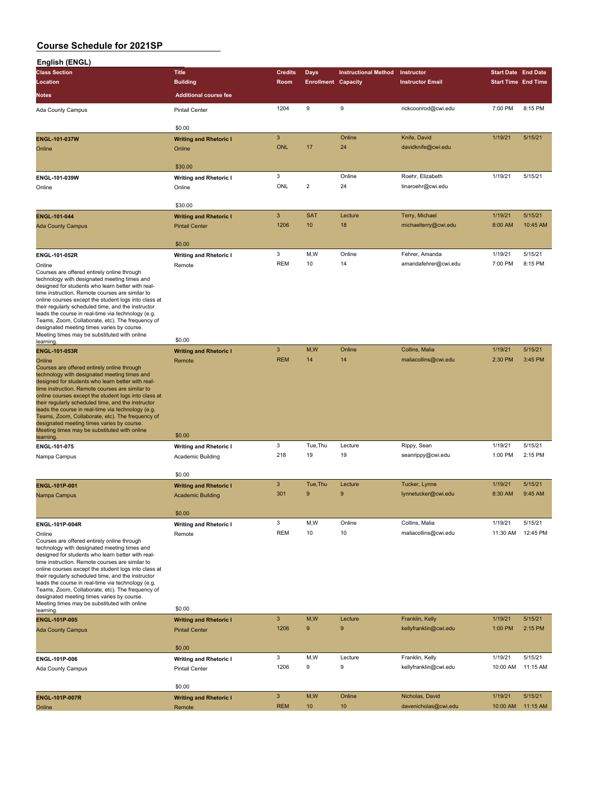| English (ENGL)                                                                                          |                               |                                         |                            |                             |                         |                            |                     |
|---------------------------------------------------------------------------------------------------------|-------------------------------|-----------------------------------------|----------------------------|-----------------------------|-------------------------|----------------------------|---------------------|
| <b>Class Section</b>                                                                                    | <b>Title</b>                  | <b>Credits</b>                          | Days                       | <b>Instructional Method</b> | Instructor              | <b>Start Date End Date</b> |                     |
| Location                                                                                                | <b>Building</b>               | Room                                    | <b>Enrollment Capacity</b> |                             | <b>Instructor Email</b> | <b>Start Time End Time</b> |                     |
| <b>Notes</b>                                                                                            | <b>Additional course fee</b>  |                                         |                            |                             |                         |                            |                     |
|                                                                                                         |                               |                                         |                            |                             |                         |                            |                     |
| Ada County Campus                                                                                       | <b>Pintail Center</b>         | 1204                                    | 9                          | 9                           | rickcoonrod@cwi.edu     | 7:00 PM                    | 8:15 PM             |
|                                                                                                         | \$0.00                        |                                         |                            |                             |                         |                            |                     |
| <b>ENGL-101-037W</b>                                                                                    | <b>Writing and Rhetoric I</b> | $\sqrt{3}$                              |                            | Online                      | Knife, David            | 1/19/21                    | 5/15/21             |
| Online                                                                                                  | Online                        | <b>ONL</b>                              | 17                         | 24                          | davidknife@cwi.edu      |                            |                     |
|                                                                                                         | \$30.00                       |                                         |                            |                             |                         |                            |                     |
| ENGL-101-039W                                                                                           | <b>Writing and Rhetoric I</b> | 3                                       |                            | Online                      | Roehr, Elizabeth        | 1/19/21                    | 5/15/21             |
| Online                                                                                                  | Online                        | <b>ONL</b>                              | $\overline{2}$             | 24                          | tinaroehr@cwi.edu       |                            |                     |
|                                                                                                         |                               |                                         |                            |                             |                         |                            |                     |
|                                                                                                         | \$30.00                       |                                         |                            |                             |                         |                            |                     |
| <b>ENGL-101-044</b>                                                                                     | <b>Writing and Rhetoric I</b> | 3                                       | <b>SAT</b>                 | Lecture                     | Terry, Michael          | 1/19/21                    | 5/15/21             |
| <b>Ada County Campus</b>                                                                                | <b>Pintail Center</b>         | 1206                                    | 10                         | 18                          | michaelterry@cwi.edu    | 8:00 AM                    | 10:45 AM            |
|                                                                                                         | \$0.00                        |                                         |                            |                             |                         |                            |                     |
| ENGL-101-052R                                                                                           | <b>Writing and Rhetoric I</b> | 3                                       | M,W                        | Online                      | Fehrer, Amanda          | 1/19/21                    | 5/15/21             |
| Online                                                                                                  | Remote                        | <b>REM</b>                              | 10                         | 14                          | amandafehrer@cwi.edu    | 7:00 PM                    | 8:15 PM             |
| Courses are offered entirely online through                                                             |                               |                                         |                            |                             |                         |                            |                     |
| technology with designated meeting times and                                                            |                               |                                         |                            |                             |                         |                            |                     |
| designed for students who learn better with real-<br>time instruction. Remote courses are similar to    |                               |                                         |                            |                             |                         |                            |                     |
| online courses except the student logs into class at                                                    |                               |                                         |                            |                             |                         |                            |                     |
| their regularly scheduled time, and the instructor                                                      |                               |                                         |                            |                             |                         |                            |                     |
| leads the course in real-time via technology (e.g.                                                      |                               |                                         |                            |                             |                         |                            |                     |
| Teams, Zoom, Collaborate, etc). The frequency of<br>designated meeting times varies by course.          |                               |                                         |                            |                             |                         |                            |                     |
| Meeting times may be substituted with online                                                            |                               |                                         |                            |                             |                         |                            |                     |
| learning                                                                                                | \$0.00                        |                                         |                            |                             |                         |                            |                     |
| ENGL-101-053R                                                                                           | <b>Writing and Rhetoric I</b> | 3                                       | M,W                        | Online                      | Collins, Malia          | 1/19/21                    | 5/15/21             |
| Online                                                                                                  | Remote                        | <b>REM</b>                              | 14                         | 14                          | maliacollins@cwi.edu    | 2:30 PM                    | 3:45 PM             |
| Courses are offered entirely online through                                                             |                               |                                         |                            |                             |                         |                            |                     |
| technology with designated meeting times and<br>designed for students who learn better with real-       |                               |                                         |                            |                             |                         |                            |                     |
| time instruction. Remote courses are similar to                                                         |                               |                                         |                            |                             |                         |                            |                     |
| online courses except the student logs into class at                                                    |                               |                                         |                            |                             |                         |                            |                     |
| their regularly scheduled time, and the instructor                                                      |                               |                                         |                            |                             |                         |                            |                     |
| leads the course in real-time via technology (e.g.<br>Teams, Zoom, Collaborate, etc). The frequency of  |                               |                                         |                            |                             |                         |                            |                     |
| designated meeting times varies by course.                                                              |                               |                                         |                            |                             |                         |                            |                     |
| Meeting times may be substituted with online                                                            | \$0.00                        |                                         |                            |                             |                         |                            |                     |
| learning.                                                                                               |                               | 3                                       | Tue, Thu                   | Lecture                     | Rippy, Sean             | 1/19/21                    | 5/15/21             |
| ENGL-101-075                                                                                            | <b>Writing and Rhetoric I</b> | 218                                     | 19                         | 19                          | seanrippy@cwi.edu       | 1:00 PM                    | 2:15 PM             |
| Nampa Campus                                                                                            | Academic Building             |                                         |                            |                             |                         |                            |                     |
|                                                                                                         | \$0.00                        |                                         |                            |                             |                         |                            |                     |
| ENGL-101P-001                                                                                           | <b>Writing and Rhetoric I</b> | 3                                       | Tue, Thu                   | Lecture                     | Tucker, Lynne           | 1/19/21                    | 5/15/21             |
| Nampa Campus                                                                                            | <b>Academic Building</b>      | 301                                     | 9                          | 9                           | lynnetucker@cwi.edu     | 8:30 AM                    | 9:45 AM             |
|                                                                                                         | \$0.00                        |                                         |                            |                             |                         |                            |                     |
| ENGL-101P-004R                                                                                          | <b>Writing and Rhetoric I</b> | 3                                       | M, W                       | Online                      | Collins, Malia          | 1/19/21                    | 5/15/21             |
| Online                                                                                                  | Remote                        | <b>REM</b>                              | 10                         | 10                          | maliacollins@cwi.edu    | 11:30 AM                   | 12:45 PM            |
| Courses are offered entirely online through                                                             |                               |                                         |                            |                             |                         |                            |                     |
| technology with designated meeting times and                                                            |                               |                                         |                            |                             |                         |                            |                     |
| designed for students who learn better with real-                                                       |                               |                                         |                            |                             |                         |                            |                     |
| time instruction. Remote courses are similar to<br>online courses except the student logs into class at |                               |                                         |                            |                             |                         |                            |                     |
| their regularly scheduled time, and the instructor                                                      |                               |                                         |                            |                             |                         |                            |                     |
| leads the course in real-time via technology (e.g.                                                      |                               |                                         |                            |                             |                         |                            |                     |
| Teams, Zoom, Collaborate, etc). The frequency of                                                        |                               |                                         |                            |                             |                         |                            |                     |
| designated meeting times varies by course.<br>Meeting times may be substituted with online              |                               |                                         |                            |                             |                         |                            |                     |
| learning.                                                                                               | \$0.00                        |                                         |                            |                             |                         |                            |                     |
| ENGL-101P-005                                                                                           | <b>Writing and Rhetoric I</b> | $\overline{3}$                          | M,W                        | Lecture                     | Franklin, Kelly         | 1/19/21                    | 5/15/21             |
| <b>Ada County Campus</b>                                                                                | <b>Pintail Center</b>         | 1206                                    | 9                          | 9                           | kellyfranklin@cwi.edu   | 1:00 PM                    | 2:15 PM             |
|                                                                                                         |                               |                                         |                            |                             |                         |                            |                     |
|                                                                                                         | \$0.00                        |                                         |                            |                             |                         |                            |                     |
| ENGL-101P-006                                                                                           | <b>Writing and Rhetoric I</b> | 3                                       | M,W                        | Lecture                     | Franklin, Kelly         | 1/19/21                    | 5/15/21             |
| Ada County Campus                                                                                       | <b>Pintail Center</b>         | 1206                                    | 9                          | 9                           | kellyfranklin@cwi.edu   | 10:00 AM                   | 11:15 AM            |
|                                                                                                         |                               |                                         |                            |                             |                         |                            |                     |
|                                                                                                         | \$0.00                        |                                         |                            |                             |                         |                            |                     |
| <b>ENGL-101P-007R</b>                                                                                   | <b>Writing and Rhetoric I</b> | $\ensuremath{\mathsf{3}}$<br><b>REM</b> | M,W<br>10                  | Online<br>10                | Nicholas, David         | 1/19/21<br>10:00 AM        | 5/15/21<br>11:15 AM |
| Online                                                                                                  | Remote                        |                                         |                            |                             | davenicholas@cwi.edu    |                            |                     |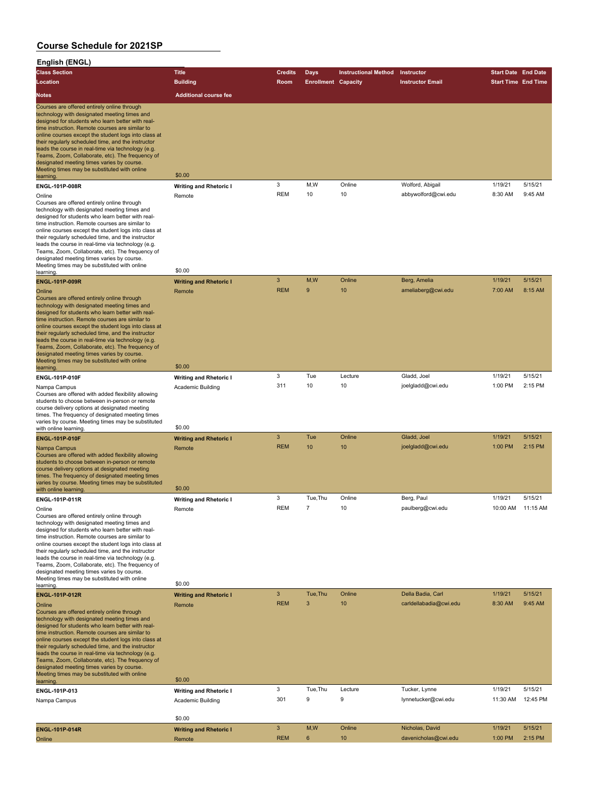| English (ENGL)                                                                                                                                                                                                                                                                                                                                                                                                                                                                                                                                        |                                                   |                 |                            |                             |                                         |                            |                    |
|-------------------------------------------------------------------------------------------------------------------------------------------------------------------------------------------------------------------------------------------------------------------------------------------------------------------------------------------------------------------------------------------------------------------------------------------------------------------------------------------------------------------------------------------------------|---------------------------------------------------|-----------------|----------------------------|-----------------------------|-----------------------------------------|----------------------------|--------------------|
| <b>Class Section</b>                                                                                                                                                                                                                                                                                                                                                                                                                                                                                                                                  | <b>Title</b>                                      | <b>Credits</b>  | Days                       | <b>Instructional Method</b> | Instructor                              | <b>Start Date End Date</b> |                    |
| <b>Location</b>                                                                                                                                                                                                                                                                                                                                                                                                                                                                                                                                       | <b>Building</b>                                   | Room            | <b>Enrollment Capacity</b> |                             | <b>Instructor Email</b>                 | <b>Start Time End Time</b> |                    |
| <b>Notes</b>                                                                                                                                                                                                                                                                                                                                                                                                                                                                                                                                          | <b>Additional course fee</b>                      |                 |                            |                             |                                         |                            |                    |
| Courses are offered entirely online through<br>technology with designated meeting times and<br>designed for students who learn better with real-<br>time instruction. Remote courses are similar to<br>online courses except the student logs into class at<br>their regularly scheduled time, and the instructor<br>leads the course in real-time via technology (e.g.<br>Teams, Zoom, Collaborate, etc). The frequency of<br>designated meeting times varies by course.<br>Meeting times may be substituted with online                             |                                                   |                 |                            |                             |                                         |                            |                    |
| learning.                                                                                                                                                                                                                                                                                                                                                                                                                                                                                                                                             | \$0.00                                            |                 |                            |                             |                                         |                            |                    |
| ENGL-101P-008R<br>Online<br>Courses are offered entirely online through<br>technology with designated meeting times and<br>designed for students who learn better with real-<br>time instruction. Remote courses are similar to<br>online courses except the student logs into class at<br>their regularly scheduled time, and the instructor<br>leads the course in real-time via technology (e.g.<br>Teams, Zoom, Collaborate, etc). The frequency of<br>designated meeting times varies by course.<br>Meeting times may be substituted with online | <b>Writing and Rhetoric I</b><br>Remote<br>\$0.00 | 3<br><b>REM</b> | M, W<br>10                 | Online<br>10                | Wolford, Abigail<br>abbywolford@cwi.edu | 1/19/21<br>8:30 AM         | 5/15/21<br>9:45 AM |
| learning.<br><b>ENGL-101P-009R</b>                                                                                                                                                                                                                                                                                                                                                                                                                                                                                                                    |                                                   | 3               | M,W                        | Online                      | Berg, Amelia                            | 1/19/21                    | 5/15/21            |
| Online<br>Courses are offered entirely online through<br>technology with designated meeting times and<br>designed for students who learn better with real-<br>time instruction. Remote courses are similar to<br>online courses except the student logs into class at<br>their regularly scheduled time, and the instructor<br>leads the course in real-time via technology (e.g.<br>Teams, Zoom, Collaborate, etc). The frequency of<br>designated meeting times varies by course.<br>Meeting times may be substituted with online                   | <b>Writing and Rhetoric I</b><br>Remote           | <b>REM</b>      | 9                          | 10                          | ameliaberg@cwi.edu                      | 7:00 AM                    | 8:15 AM            |
| learning                                                                                                                                                                                                                                                                                                                                                                                                                                                                                                                                              | \$0.00                                            |                 |                            |                             |                                         |                            |                    |
| ENGL-101P-010F                                                                                                                                                                                                                                                                                                                                                                                                                                                                                                                                        | <b>Writing and Rhetoric I</b>                     | 3               | Tue                        | Lecture                     | Gladd, Joel                             | 1/19/21                    | 5/15/21            |
| Nampa Campus<br>Courses are offered with added flexibility allowing<br>students to choose between in-person or remote<br>course delivery options at designated meeting<br>times. The frequency of designated meeting times<br>varies by course. Meeting times may be substituted                                                                                                                                                                                                                                                                      | <b>Academic Building</b><br>\$0.00                | 311             | 10                         | 10                          | joelgladd@cwi.edu                       | 1:00 PM                    | 2:15 PM            |
| with online learning.<br><b>ENGL-101P-010F</b>                                                                                                                                                                                                                                                                                                                                                                                                                                                                                                        | <b>Writing and Rhetoric I</b>                     | 3               | Tue                        | Online                      | Gladd, Joel                             | 1/19/21                    | 5/15/21            |
| Nampa Campus<br>Courses are offered with added flexibility allowing<br>students to choose between in-person or remote<br>course delivery options at designated meeting<br>times. The frequency of designated meeting times<br>varies by course. Meeting times may be substituted                                                                                                                                                                                                                                                                      | Remote<br>\$0.00                                  | <b>REM</b>      | 10                         | 10                          | joelgladd@cwi.edu                       | 1:00 PM                    | 2:15 PM            |
| with online learning<br>ENGL-101P-011R                                                                                                                                                                                                                                                                                                                                                                                                                                                                                                                | <b>Writing and Rhetoric I</b>                     | 3               | Tue, Thu                   | Online                      | Berg, Paul                              | 1/19/21                    | 5/15/21            |
| Online<br>Courses are offered entirely online through<br>technology with designated meeting times and<br>designed for students who learn better with real-<br>time instruction. Remote courses are similar to<br>online courses except the student logs into class at<br>their regularly scheduled time, and the instructor<br>leads the course in real-time via technology (e.g.<br>Teams, Zoom, Collaborate, etc). The frequency of<br>designated meeting times varies by course.<br>Meeting times may be substituted with online<br>learning       | Remote<br>\$0.00                                  | <b>REM</b>      | 7                          | 10                          | paulberg@cwi.edu                        | 10:00 AM                   | 11:15 AM           |
| <b>ENGL-101P-012R</b>                                                                                                                                                                                                                                                                                                                                                                                                                                                                                                                                 | <b>Writing and Rhetoric I</b>                     | 3               | Tue, Thu                   | Online                      | Della Badia, Carl                       | 1/19/21                    | 5/15/21            |
| Online<br>Courses are offered entirely online through<br>technology with designated meeting times and<br>designed for students who learn better with real-<br>time instruction. Remote courses are similar to<br>online courses except the student logs into class at<br>their regularly scheduled time, and the instructor<br>leads the course in real-time via technology (e.g.<br>Teams, Zoom, Collaborate, etc). The frequency of<br>designated meeting times varies by course.<br>Meeting times may be substituted with online<br>learning       | Remote<br>\$0.00                                  | <b>REM</b>      | 3                          | 10                          | carldellabadia@cwi.edu                  | 8:30 AM                    | 9:45 AM            |
| ENGL-101P-013                                                                                                                                                                                                                                                                                                                                                                                                                                                                                                                                         | <b>Writing and Rhetoric I</b>                     | 3               | Tue, Thu                   | Lecture                     | Tucker, Lynne                           | 1/19/21                    | 5/15/21            |
| Nampa Campus                                                                                                                                                                                                                                                                                                                                                                                                                                                                                                                                          | Academic Building<br>\$0.00                       | 301             | 9                          | 9                           | lynnetucker@cwi.edu                     | 11:30 AM                   | 12:45 PM           |
| <b>ENGL-101P-014R</b>                                                                                                                                                                                                                                                                                                                                                                                                                                                                                                                                 | <b>Writing and Rhetoric I</b>                     | 3               | M, W                       | Online                      | Nicholas, David                         | 1/19/21                    | 5/15/21            |
| Online                                                                                                                                                                                                                                                                                                                                                                                                                                                                                                                                                | Remote                                            | <b>REM</b>      | 6                          | 10                          | davenicholas@cwi.edu                    | 1:00 PM                    | 2:15 PM            |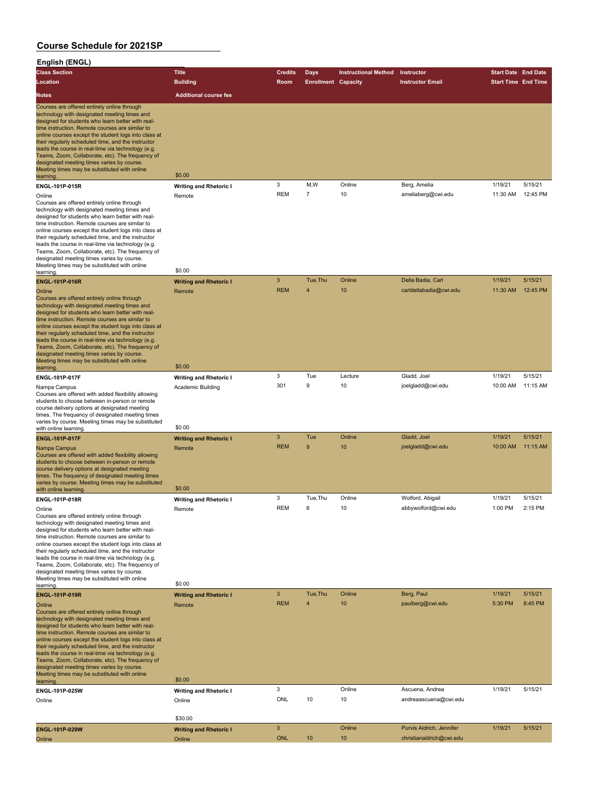| English (ENGL)                                                                                                                                                                                                                                                                                                                                                                                                                                                                                                                                                           |                                                   |                 |                            |                             |                                  |                            |                     |
|--------------------------------------------------------------------------------------------------------------------------------------------------------------------------------------------------------------------------------------------------------------------------------------------------------------------------------------------------------------------------------------------------------------------------------------------------------------------------------------------------------------------------------------------------------------------------|---------------------------------------------------|-----------------|----------------------------|-----------------------------|----------------------------------|----------------------------|---------------------|
| <b>Class Section</b>                                                                                                                                                                                                                                                                                                                                                                                                                                                                                                                                                     | <b>Title</b>                                      | <b>Credits</b>  | <b>Days</b>                | <b>Instructional Method</b> | Instructor                       | <b>Start Date End Date</b> |                     |
| Location                                                                                                                                                                                                                                                                                                                                                                                                                                                                                                                                                                 | <b>Building</b>                                   | Room            | <b>Enrollment Capacity</b> |                             | <b>Instructor Email</b>          | <b>Start Time End Time</b> |                     |
| <b>Notes</b>                                                                                                                                                                                                                                                                                                                                                                                                                                                                                                                                                             | <b>Additional course fee</b>                      |                 |                            |                             |                                  |                            |                     |
| Courses are offered entirely online through<br>technology with designated meeting times and<br>designed for students who learn better with real-<br>time instruction. Remote courses are similar to<br>online courses except the student logs into class at<br>their regularly scheduled time, and the instructor<br>leads the course in real-time via technology (e.g.<br>Teams, Zoom, Collaborate, etc). The frequency of<br>designated meeting times varies by course.<br>Meeting times may be substituted with online<br>learning.                                   | \$0.00                                            |                 |                            |                             |                                  |                            |                     |
| ENGL-101P-015R                                                                                                                                                                                                                                                                                                                                                                                                                                                                                                                                                           | <b>Writing and Rhetoric I</b>                     | 3               | M, W                       | Online                      | Berg, Amelia                     | 1/19/21                    | 5/15/21             |
| Online<br>Courses are offered entirely online through<br>technology with designated meeting times and<br>designed for students who learn better with real-<br>time instruction. Remote courses are similar to<br>online courses except the student logs into class at<br>their regularly scheduled time, and the instructor<br>leads the course in real-time via technology (e.g.<br>Teams, Zoom, Collaborate, etc). The frequency of<br>designated meeting times varies by course.<br>Meeting times may be substituted with online<br>learning.                         | Remote<br>\$0.00                                  | <b>REM</b>      | $\overline{7}$             | 10                          | ameliaberg@cwi.edu               | 11:30 AM                   | 12:45 PM            |
| <b>ENGL-101P-016R</b>                                                                                                                                                                                                                                                                                                                                                                                                                                                                                                                                                    | <b>Writing and Rhetoric I</b>                     | 3               | Tue, Thu                   | Online                      | Della Badia, Carl                | 1/19/21                    | 5/15/21             |
| Online<br>Courses are offered entirely online through<br>technology with designated meeting times and<br>designed for students who learn better with real-<br>time instruction. Remote courses are similar to<br>online courses except the student logs into class at<br>their regularly scheduled time, and the instructor<br>leads the course in real-time via technology (e.g.<br>Teams, Zoom, Collaborate, etc). The frequency of<br>designated meeting times varies by course.<br>Meeting times may be substituted with online                                      | Remote                                            | <b>REM</b>      | $\overline{4}$             | 10                          | carldellabadia@cwi.edu           | 11:30 AM                   | 12:45 PM            |
| learning                                                                                                                                                                                                                                                                                                                                                                                                                                                                                                                                                                 | \$0.00                                            |                 |                            |                             |                                  |                            |                     |
| ENGL-101P-017F                                                                                                                                                                                                                                                                                                                                                                                                                                                                                                                                                           | <b>Writing and Rhetoric I</b>                     | 3               | Tue                        | Lecture                     | Gladd, Joel                      | 1/19/21                    | 5/15/21             |
| Nampa Campus<br>Courses are offered with added flexibility allowing<br>students to choose between in-person or remote<br>course delivery options at designated meeting<br>times. The frequency of designated meeting times<br>varies by course. Meeting times may be substituted                                                                                                                                                                                                                                                                                         | Academic Building                                 | 301             | 9                          | 10                          | joelgladd@cwi.edu                | 10:00 AM                   | 11:15 AM            |
| with online learning.                                                                                                                                                                                                                                                                                                                                                                                                                                                                                                                                                    | \$0.00                                            |                 |                            |                             |                                  |                            |                     |
| <b>ENGL-101P-017F</b><br>Nampa Campus<br>Courses are offered with added flexibility allowing<br>students to choose between in-person or remote<br>course delivery options at designated meeting<br>times. The frequency of designated meeting times<br>varies by course. Meeting times may be substituted                                                                                                                                                                                                                                                                | <b>Writing and Rhetoric I</b><br>Remote           | 3<br><b>REM</b> | Tue<br>9                   | Online<br>10                | Gladd, Joel<br>joelgladd@cwi.edu | 1/19/21<br>10:00 AM        | 5/15/21<br>11:15 AM |
| with online learning                                                                                                                                                                                                                                                                                                                                                                                                                                                                                                                                                     | \$0.00                                            |                 |                            |                             |                                  |                            |                     |
| ENGL-101P-018R                                                                                                                                                                                                                                                                                                                                                                                                                                                                                                                                                           | <b>Writing and Rhetoric I</b>                     | 3               | Tue, Thu                   | Online                      | Wolford, Abigail                 | 1/19/21                    | 5/15/21             |
| Online<br>Courses are offered entirely online through<br>technology with designated meeting times and<br>designed for students who learn better with real-<br>time instruction. Remote courses are similar to<br>online courses except the student logs into class at<br>their regularly scheduled time, and the instructor<br>leads the course in real-time via technology (e.g.<br>Teams, Zoom, Collaborate, etc). The frequency of<br>designated meeting times varies by course.<br>Meeting times may be substituted with online                                      | Remote                                            | <b>REM</b>      | 6                          | 10                          | abbywolford@cwi.edu              | 1:00 PM                    | 2:15 PM             |
| learning.                                                                                                                                                                                                                                                                                                                                                                                                                                                                                                                                                                | \$0.00                                            | 3               | Tue, Thu                   | Online                      | Berg, Paul                       | 1/19/21                    | 5/15/21             |
| <b>ENGL-101P-019R</b><br>Online<br>Courses are offered entirely online through<br>technology with designated meeting times and<br>designed for students who learn better with real-<br>time instruction. Remote courses are similar to<br>online courses except the student logs into class at<br>their regularly scheduled time, and the instructor<br>leads the course in real-time via technology (e.g.<br>Teams, Zoom, Collaborate, etc). The frequency of<br>designated meeting times varies by course.<br>Meeting times may be substituted with online<br>learning | <b>Writing and Rhetoric I</b><br>Remote<br>\$0.00 | <b>REM</b>      | $\overline{4}$             | 10                          | paulberg@cwi.edu                 | 5:30 PM                    | 6:45 PM             |
| ENGL-101P-025W                                                                                                                                                                                                                                                                                                                                                                                                                                                                                                                                                           | <b>Writing and Rhetoric I</b>                     | 3               |                            | Online                      | Ascuena, Andrea                  | 1/19/21                    | 5/15/21             |
| Online                                                                                                                                                                                                                                                                                                                                                                                                                                                                                                                                                                   | Online<br>\$30.00                                 | ONL             | 10                         | 10                          | andreaascuena@cwi.edu            |                            |                     |
| ENGL-101P-029W                                                                                                                                                                                                                                                                                                                                                                                                                                                                                                                                                           | <b>Writing and Rhetoric I</b>                     | 3               |                            | Online                      | Purvis Aldrich, Jennifer         | 1/19/21                    | 5/15/21             |
| Online                                                                                                                                                                                                                                                                                                                                                                                                                                                                                                                                                                   | Online                                            | <b>ONL</b>      | 10                         | 10                          | christianaldrich@cwi.edu         |                            |                     |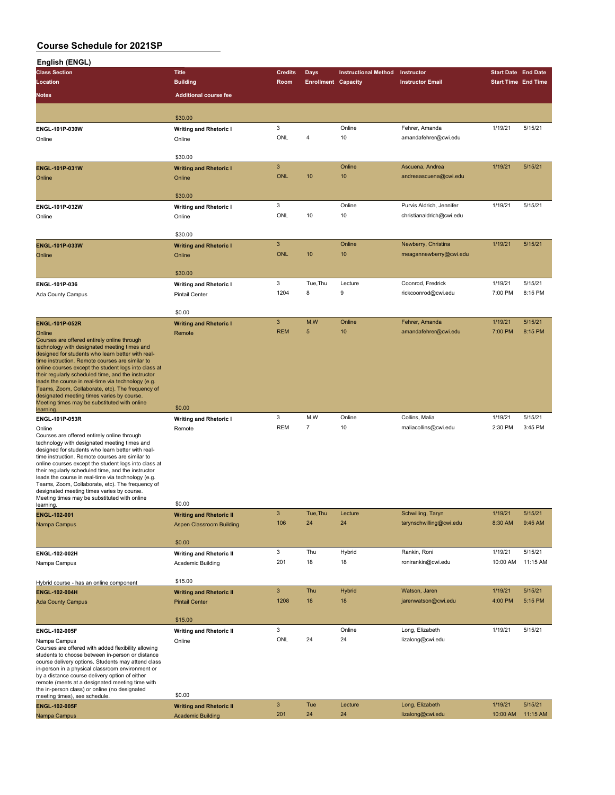| English (ENGL)                                                                                          |                                                        |                           |                            |                             |                          |                            |          |
|---------------------------------------------------------------------------------------------------------|--------------------------------------------------------|---------------------------|----------------------------|-----------------------------|--------------------------|----------------------------|----------|
| <b>Class Section</b>                                                                                    | <b>Title</b>                                           | <b>Credits</b>            | Days                       | <b>Instructional Method</b> | Instructor               | <b>Start Date End Date</b> |          |
| Location                                                                                                | <b>Building</b>                                        | Room                      | <b>Enrollment Capacity</b> |                             | <b>Instructor Email</b>  | <b>Start Time End Time</b> |          |
|                                                                                                         |                                                        |                           |                            |                             |                          |                            |          |
| <b>Notes</b>                                                                                            | <b>Additional course fee</b>                           |                           |                            |                             |                          |                            |          |
|                                                                                                         |                                                        |                           |                            |                             |                          |                            |          |
|                                                                                                         | \$30.00                                                |                           |                            |                             |                          |                            |          |
| ENGL-101P-030W                                                                                          | <b>Writing and Rhetoric I</b>                          | 3                         |                            | Online                      | Fehrer, Amanda           | 1/19/21                    | 5/15/21  |
| Online                                                                                                  | Online                                                 | <b>ONL</b>                | 4                          | 10                          | amandafehrer@cwi.edu     |                            |          |
|                                                                                                         |                                                        |                           |                            |                             |                          |                            |          |
|                                                                                                         | \$30.00                                                |                           |                            |                             |                          |                            |          |
| ENGL-101P-031W                                                                                          | <b>Writing and Rhetoric I</b>                          | $\overline{3}$            |                            | Online                      | Ascuena, Andrea          | 1/19/21                    | 5/15/21  |
| Online                                                                                                  | Online                                                 | <b>ONL</b>                | 10                         | 10                          | andreaascuena@cwi.edu    |                            |          |
|                                                                                                         |                                                        |                           |                            |                             |                          |                            |          |
|                                                                                                         | \$30.00                                                |                           |                            |                             |                          |                            |          |
| ENGL-101P-032W                                                                                          | <b>Writing and Rhetoric I</b>                          | 3<br>ONL                  | 10                         | Online<br>10                | Purvis Aldrich, Jennifer | 1/19/21                    | 5/15/21  |
| Online                                                                                                  | Online                                                 |                           |                            |                             | christianaldrich@cwi.edu |                            |          |
|                                                                                                         | \$30.00                                                |                           |                            |                             |                          |                            |          |
|                                                                                                         |                                                        | $\overline{3}$            |                            | Online                      | Newberry, Christina      | 1/19/21                    | 5/15/21  |
| ENGL-101P-033W                                                                                          | <b>Writing and Rhetoric I</b>                          | <b>ONL</b>                | 10                         | 10                          | meagannewberry@cwi.edu   |                            |          |
| Online                                                                                                  | Online                                                 |                           |                            |                             |                          |                            |          |
|                                                                                                         | \$30.00                                                |                           |                            |                             |                          |                            |          |
| ENGL-101P-036                                                                                           |                                                        | 3                         | Tue, Thu                   | Lecture                     | Coonrod, Fredrick        | 1/19/21                    | 5/15/21  |
|                                                                                                         | <b>Writing and Rhetoric I</b><br><b>Pintail Center</b> | 1204                      | 8                          | 9                           | rickcoonrod@cwi.edu      | 7:00 PM                    | 8:15 PM  |
| Ada County Campus                                                                                       |                                                        |                           |                            |                             |                          |                            |          |
|                                                                                                         | \$0.00                                                 |                           |                            |                             |                          |                            |          |
| <b>ENGL-101P-052R</b>                                                                                   | <b>Writing and Rhetoric I</b>                          | 3                         | M,W                        | Online                      | Fehrer, Amanda           | 1/19/21                    | 5/15/21  |
| Online                                                                                                  | Remote                                                 | <b>REM</b>                | 5                          | 10                          | amandafehrer@cwi.edu     | 7:00 PM                    | 8:15 PM  |
| Courses are offered entirely online through                                                             |                                                        |                           |                            |                             |                          |                            |          |
| technology with designated meeting times and                                                            |                                                        |                           |                            |                             |                          |                            |          |
| designed for students who learn better with real-                                                       |                                                        |                           |                            |                             |                          |                            |          |
| time instruction. Remote courses are similar to<br>online courses except the student logs into class at |                                                        |                           |                            |                             |                          |                            |          |
| their regularly scheduled time, and the instructor                                                      |                                                        |                           |                            |                             |                          |                            |          |
| leads the course in real-time via technology (e.g.                                                      |                                                        |                           |                            |                             |                          |                            |          |
| Teams, Zoom, Collaborate, etc). The frequency of                                                        |                                                        |                           |                            |                             |                          |                            |          |
| designated meeting times varies by course.                                                              |                                                        |                           |                            |                             |                          |                            |          |
| Meeting times may be substituted with online<br>learning                                                | \$0.00                                                 |                           |                            |                             |                          |                            |          |
| ENGL-101P-053R                                                                                          | <b>Writing and Rhetoric I</b>                          | 3                         | M, W                       | Online                      | Collins, Malia           | 1/19/21                    | 5/15/21  |
| Online                                                                                                  | Remote                                                 | <b>REM</b>                | $\overline{7}$             | 10                          | maliacollins@cwi.edu     | 2:30 PM                    | 3:45 PM  |
| Courses are offered entirely online through                                                             |                                                        |                           |                            |                             |                          |                            |          |
| technology with designated meeting times and                                                            |                                                        |                           |                            |                             |                          |                            |          |
| designed for students who learn better with real-<br>time instruction. Remote courses are similar to    |                                                        |                           |                            |                             |                          |                            |          |
| online courses except the student logs into class at                                                    |                                                        |                           |                            |                             |                          |                            |          |
| their regularly scheduled time, and the instructor                                                      |                                                        |                           |                            |                             |                          |                            |          |
| leads the course in real-time via technology (e.g.<br>Teams, Zoom, Collaborate, etc). The frequency of  |                                                        |                           |                            |                             |                          |                            |          |
| designated meeting times varies by course.                                                              |                                                        |                           |                            |                             |                          |                            |          |
| Meeting times may be substituted with online                                                            |                                                        |                           |                            |                             |                          |                            |          |
| learning.                                                                                               | \$0.00                                                 |                           |                            |                             |                          |                            |          |
| ENGL-102-001                                                                                            | <b>Writing and Rhetoric II</b>                         | 3                         | Tue, Thu                   | Lecture                     | Schwilling, Taryn        | 1/19/21                    | 5/15/21  |
| Nampa Campus                                                                                            | <b>Aspen Classroom Building</b>                        | 106                       | 24                         | 24                          | tarynschwilling@cwi.edu  | 8:30 AM                    | 9:45 AM  |
|                                                                                                         |                                                        |                           |                            |                             |                          |                            |          |
|                                                                                                         | \$0.00                                                 |                           |                            |                             |                          |                            |          |
| ENGL-102-002H                                                                                           | <b>Writing and Rhetoric II</b>                         | 3                         | Thu                        | Hybrid                      | Rankin, Roni             | 1/19/21                    | 5/15/21  |
| Nampa Campus                                                                                            | Academic Building                                      | 201                       | 18                         | 18                          | ronirankin@cwi.edu       | 10:00 AM                   | 11:15 AM |
|                                                                                                         |                                                        |                           |                            |                             |                          |                            |          |
| Hybrid course - has an online component                                                                 | \$15.00                                                |                           |                            |                             |                          |                            |          |
| <b>ENGL-102-004H</b>                                                                                    | <b>Writing and Rhetoric II</b>                         | 3                         | Thu                        | Hybrid                      | Watson, Jaren            | 1/19/21                    | 5/15/21  |
| <b>Ada County Campus</b>                                                                                | <b>Pintail Center</b>                                  | 1208                      | 18                         | 18                          | jarenwatson@cwi.edu      | 4:00 PM                    | 5:15 PM  |
|                                                                                                         |                                                        |                           |                            |                             |                          |                            |          |
|                                                                                                         | \$15.00                                                |                           |                            |                             |                          |                            |          |
| ENGL-102-005F                                                                                           | <b>Writing and Rhetoric II</b>                         | 3                         |                            | Online                      | Long, Elizabeth          | 1/19/21                    | 5/15/21  |
| Nampa Campus                                                                                            | Online                                                 | ONL                       | 24                         | 24                          | lizalong@cwi.edu         |                            |          |
| Courses are offered with added flexibility allowing                                                     |                                                        |                           |                            |                             |                          |                            |          |
| students to choose between in-person or distance<br>course delivery options. Students may attend class  |                                                        |                           |                            |                             |                          |                            |          |
| in-person in a physical classroom environment or                                                        |                                                        |                           |                            |                             |                          |                            |          |
| by a distance course delivery option of either                                                          |                                                        |                           |                            |                             |                          |                            |          |
| remote (meets at a designated meeting time with<br>the in-person class) or online (no designated        |                                                        |                           |                            |                             |                          |                            |          |
| meeting times), see schedule.                                                                           | \$0.00                                                 |                           |                            |                             |                          |                            |          |
| <b>ENGL-102-005F</b>                                                                                    | <b>Writing and Rhetoric II</b>                         | $\ensuremath{\mathsf{3}}$ | Tue                        | Lecture                     | Long, Elizabeth          | 1/19/21                    | 5/15/21  |
| Nampa Campus                                                                                            | <b>Academic Building</b>                               | 201                       | 24                         | 24                          | lizalong@cwi.edu         | 10:00 AM                   | 11:15 AM |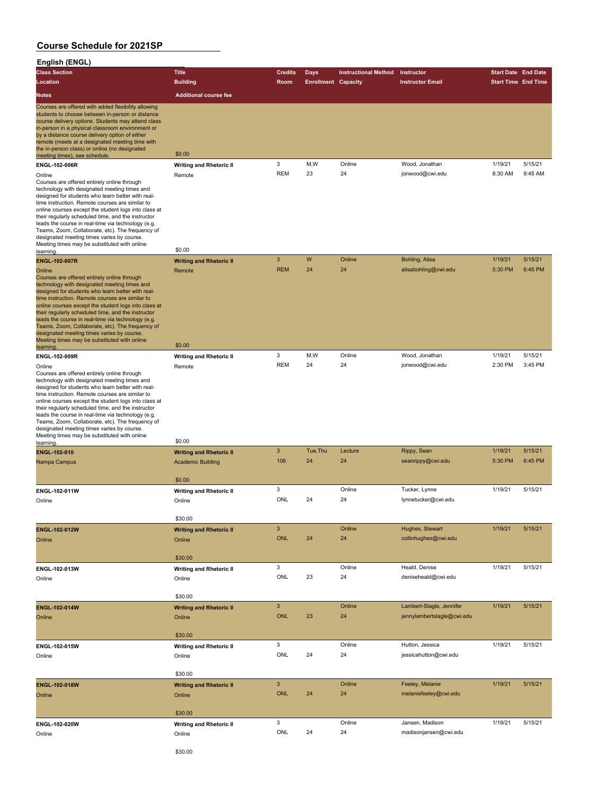| English (ENGL) |  |
|----------------|--|
|                |  |

| English (ENGL)                                                                                           |                                          |                |                            |                             |                            |                            |         |
|----------------------------------------------------------------------------------------------------------|------------------------------------------|----------------|----------------------------|-----------------------------|----------------------------|----------------------------|---------|
| <b>Class Section</b>                                                                                     | <b>Title</b>                             | <b>Credits</b> | <b>Days</b>                | <b>Instructional Method</b> | Instructor                 | <b>Start Date End Date</b> |         |
| Location                                                                                                 | <b>Building</b>                          | Room           | <b>Enrollment Capacity</b> |                             | <b>Instructor Email</b>    | <b>Start Time End Time</b> |         |
| Notes                                                                                                    | <b>Additional course fee</b>             |                |                            |                             |                            |                            |         |
| Courses are offered with added flexibility allowing                                                      |                                          |                |                            |                             |                            |                            |         |
| students to choose between in-person or distance                                                         |                                          |                |                            |                             |                            |                            |         |
| course delivery options. Students may attend class<br>in-person in a physical classroom environment or   |                                          |                |                            |                             |                            |                            |         |
| by a distance course delivery option of either                                                           |                                          |                |                            |                             |                            |                            |         |
| remote (meets at a designated meeting time with<br>the in-person class) or online (no designated         |                                          |                |                            |                             |                            |                            |         |
| meeting times), see schedule.                                                                            | \$0.00                                   |                |                            |                             |                            |                            |         |
| ENGL-102-006R                                                                                            | <b>Writing and Rhetoric II</b>           | $\mathbf 3$    | M,W                        | Online                      | Wood, Jonathan             | 1/19/21                    | 5/15/21 |
| Online                                                                                                   | Remote                                   | <b>REM</b>     | 23                         | 24                          | jonwood@cwi.edu            | 8:30 AM                    | 9:45 AM |
| Courses are offered entirely online through<br>technology with designated meeting times and              |                                          |                |                            |                             |                            |                            |         |
| designed for students who learn better with real-                                                        |                                          |                |                            |                             |                            |                            |         |
| time instruction. Remote courses are similar to<br>online courses except the student logs into class at  |                                          |                |                            |                             |                            |                            |         |
| their regularly scheduled time, and the instructor                                                       |                                          |                |                            |                             |                            |                            |         |
| leads the course in real-time via technology (e.g.                                                       |                                          |                |                            |                             |                            |                            |         |
| Teams, Zoom, Collaborate, etc). The frequency of<br>designated meeting times varies by course.           |                                          |                |                            |                             |                            |                            |         |
| Meeting times may be substituted with online                                                             | \$0.00                                   |                |                            |                             |                            |                            |         |
| learning                                                                                                 |                                          | $\mathbf{3}$   | W                          | Online                      | Bohling, Alisa             | 1/19/21                    | 5/15/21 |
| <b>ENGL-102-007R</b><br>Online                                                                           | <b>Writing and Rhetoric II</b>           | <b>REM</b>     | 24                         | 24                          | alisabohling@cwi.edu       | 5:30 PM                    | 6:45 PM |
| Courses are offered entirely online through                                                              | Remote                                   |                |                            |                             |                            |                            |         |
| technology with designated meeting times and                                                             |                                          |                |                            |                             |                            |                            |         |
| designed for students who learn better with real-<br>time instruction. Remote courses are similar to     |                                          |                |                            |                             |                            |                            |         |
| online courses except the student logs into class at                                                     |                                          |                |                            |                             |                            |                            |         |
| their regularly scheduled time, and the instructor<br>leads the course in real-time via technology (e.g. |                                          |                |                            |                             |                            |                            |         |
| Teams, Zoom, Collaborate, etc). The frequency of                                                         |                                          |                |                            |                             |                            |                            |         |
| designated meeting times varies by course.<br>Meeting times may be substituted with online               |                                          |                |                            |                             |                            |                            |         |
| learning.                                                                                                | \$0.00                                   |                |                            |                             |                            |                            |         |
| ENGL-102-009R                                                                                            | <b>Writing and Rhetoric II</b>           | 3              | M, W                       | Online                      | Wood, Jonathan             | 1/19/21                    | 5/15/21 |
| Online                                                                                                   | Remote                                   | <b>REM</b>     | 24                         | 24                          | jonwood@cwi.edu            | 2:30 PM                    | 3:45 PM |
| Courses are offered entirely online through<br>technology with designated meeting times and              |                                          |                |                            |                             |                            |                            |         |
| designed for students who learn better with real-                                                        |                                          |                |                            |                             |                            |                            |         |
| time instruction. Remote courses are similar to<br>online courses except the student logs into class at  |                                          |                |                            |                             |                            |                            |         |
| their regularly scheduled time, and the instructor                                                       |                                          |                |                            |                             |                            |                            |         |
| leads the course in real-time via technology (e.g.<br>Teams, Zoom, Collaborate, etc). The frequency of   |                                          |                |                            |                             |                            |                            |         |
| designated meeting times varies by course.                                                               |                                          |                |                            |                             |                            |                            |         |
| Meeting times may be substituted with online                                                             | \$0.00                                   |                |                            |                             |                            |                            |         |
| learning<br>ENGL-102-010                                                                                 | <b>Writing and Rhetoric II</b>           | 3              | Tue, Thu                   | Lecture                     | Rippy, Sean                | 1/19/21                    | 5/15/21 |
| Nampa Campus                                                                                             | <b>Academic Building</b>                 | 106            | 24                         | 24                          | seanrippy@cwi.edu          | 5:30 PM                    | 6:45 PM |
|                                                                                                          |                                          |                |                            |                             |                            |                            |         |
|                                                                                                          | \$0.00                                   |                |                            |                             |                            |                            |         |
| ENGL-102-011W                                                                                            | <b>Writing and Rhetoric II</b>           | 3              |                            | Online                      | Tucker, Lynne              | 1/19/21                    | 5/15/21 |
| Online                                                                                                   | Online                                   | ONL            | 24                         | 24                          | lynnetucker@cwi.edu        |                            |         |
|                                                                                                          |                                          |                |                            |                             |                            |                            |         |
|                                                                                                          | \$30.00                                  |                |                            |                             |                            |                            |         |
| <b>ENGL-102-012W</b>                                                                                     | <b>Writing and Rhetoric II</b>           | $\mathbf{3}$   |                            | Online                      | Hughes, Stewart            | 1/19/21                    | 5/15/21 |
| Online                                                                                                   | Online                                   | <b>ONL</b>     | 24                         | 24                          | collinhughes@cwi.edu       |                            |         |
|                                                                                                          | \$30.00                                  |                |                            |                             |                            |                            |         |
| ENGL-102-013W                                                                                            | <b>Writing and Rhetoric II</b>           | 3              |                            | Online                      | Heald, Denise              | 1/19/21                    | 5/15/21 |
| Online                                                                                                   | Online                                   | ONL            | 23                         | 24                          | deniseheald@cwi.edu        |                            |         |
|                                                                                                          |                                          |                |                            |                             |                            |                            |         |
|                                                                                                          | \$30.00                                  |                |                            |                             |                            |                            |         |
| <b>ENGL-102-014W</b>                                                                                     | <b>Writing and Rhetoric II</b>           | $\mathbf{3}$   |                            | Online                      | Lambert-Slagle, Jennifer   | 1/19/21                    | 5/15/21 |
| Online                                                                                                   | Online                                   | <b>ONL</b>     | 23                         | 24                          | jennylambertslagle@cwi.edu |                            |         |
|                                                                                                          |                                          |                |                            |                             |                            |                            |         |
|                                                                                                          | \$30.00                                  |                |                            |                             |                            |                            |         |
| ENGL-102-015W                                                                                            | <b>Writing and Rhetoric II</b>           | 3              |                            | Online                      | Hutton, Jessica            | 1/19/21                    | 5/15/21 |
| Online                                                                                                   | Online                                   | ONL            | 24                         | 24                          | jessicahutton@cwi.edu      |                            |         |
|                                                                                                          | \$30.00                                  |                |                            |                             |                            |                            |         |
|                                                                                                          |                                          | $\mathbf{3}$   |                            | Online                      | Feeley, Melanie            | 1/19/21                    | 5/15/21 |
| ENGL-102-018W<br>Online                                                                                  | <b>Writing and Rhetoric II</b><br>Online | <b>ONL</b>     | 24                         | 24                          | melaniefeeley@cwi.edu      |                            |         |
|                                                                                                          |                                          |                |                            |                             |                            |                            |         |
|                                                                                                          | \$30.00                                  |                |                            |                             |                            |                            |         |
| ENGL-102-020W                                                                                            | <b>Writing and Rhetoric II</b>           | 3              |                            | Online                      | Jansen, Madison            | 1/19/21                    | 5/15/21 |
| Online                                                                                                   | Online                                   | ONL            | 24                         | 24                          | madisonjansen@cwi.edu      |                            |         |
|                                                                                                          |                                          |                |                            |                             |                            |                            |         |

\$30.00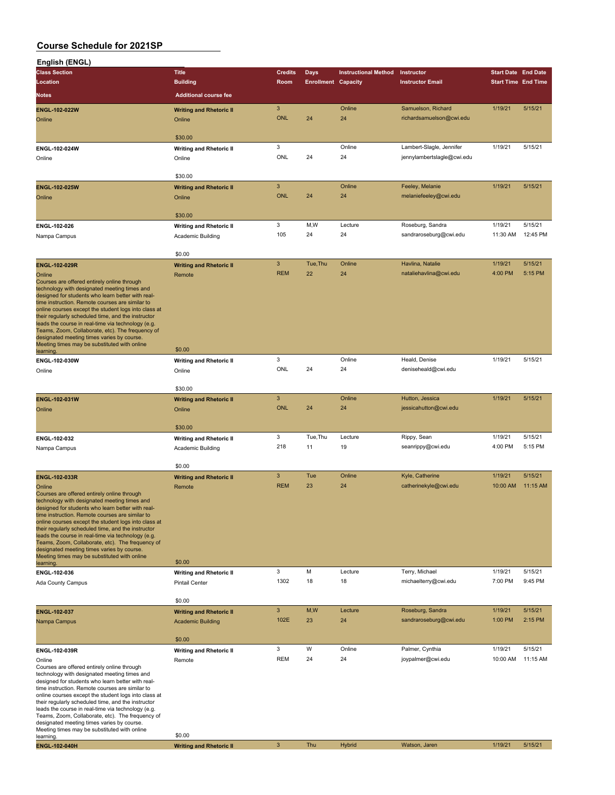| English (ENGL)                                                                                             |                                          |                            |                            |                             |                                                |                            |                    |
|------------------------------------------------------------------------------------------------------------|------------------------------------------|----------------------------|----------------------------|-----------------------------|------------------------------------------------|----------------------------|--------------------|
| <b>Class Section</b>                                                                                       | <b>Title</b>                             | <b>Credits</b>             | Days                       | <b>Instructional Method</b> | Instructor                                     | <b>Start Date End Date</b> |                    |
| Location                                                                                                   | <b>Building</b>                          | Room                       | <b>Enrollment Capacity</b> |                             | <b>Instructor Email</b>                        | <b>Start Time End Time</b> |                    |
| Notes                                                                                                      | <b>Additional course fee</b>             |                            |                            |                             |                                                |                            |                    |
|                                                                                                            |                                          |                            |                            |                             |                                                |                            |                    |
| ENGL-102-022W                                                                                              | <b>Writing and Rhetoric II</b>           | $\mathbf{3}$<br><b>ONL</b> | 24                         | Online<br>24                | Samuelson, Richard<br>richardsamuelson@cwi.edu | 1/19/21                    | 5/15/21            |
| Online                                                                                                     | Online                                   |                            |                            |                             |                                                |                            |                    |
|                                                                                                            | \$30.00                                  |                            |                            |                             |                                                |                            |                    |
| ENGL-102-024W                                                                                              | <b>Writing and Rhetoric II</b>           | 3                          |                            | Online                      | Lambert-Slagle, Jennifer                       | 1/19/21                    | 5/15/21            |
| Online                                                                                                     | Online                                   | ONL                        | 24                         | 24                          | jennylambertslagle@cwi.edu                     |                            |                    |
|                                                                                                            |                                          |                            |                            |                             |                                                |                            |                    |
|                                                                                                            | \$30.00                                  |                            |                            |                             |                                                |                            |                    |
| <b>ENGL-102-025W</b>                                                                                       | <b>Writing and Rhetoric II</b>           | $\mathbf{3}$               |                            | Online                      | Feeley, Melanie                                | 1/19/21                    | 5/15/21            |
| Online                                                                                                     | Online                                   | <b>ONL</b>                 | 24                         | 24                          | melaniefeeley@cwi.edu                          |                            |                    |
|                                                                                                            |                                          |                            |                            |                             |                                                |                            |                    |
|                                                                                                            | \$30.00                                  |                            |                            |                             |                                                |                            |                    |
| ENGL-102-026                                                                                               | <b>Writing and Rhetoric II</b>           | 3                          | M,W                        | Lecture                     | Roseburg, Sandra                               | 1/19/21                    | 5/15/21            |
| Nampa Campus                                                                                               | Academic Building                        | 105                        | 24                         | 24                          | sandraroseburg@cwi.edu                         | 11:30 AM                   | 12:45 PM           |
|                                                                                                            |                                          |                            |                            |                             |                                                |                            |                    |
|                                                                                                            | \$0.00                                   |                            |                            |                             |                                                |                            |                    |
| <b>ENGL-102-029R</b>                                                                                       | <b>Writing and Rhetoric II</b>           | $\ensuremath{\mathsf{3}}$  | Tue, Thu                   | Online                      | Havlina, Natalie                               | 1/19/21                    | 5/15/21            |
| Online                                                                                                     | Remote                                   | <b>REM</b>                 | 22                         | 24                          | nataliehavlina@cwi.edu                         | 4:00 PM                    | 5:15 PM            |
| Courses are offered entirely online through<br>technology with designated meeting times and                |                                          |                            |                            |                             |                                                |                            |                    |
| designed for students who learn better with real-                                                          |                                          |                            |                            |                             |                                                |                            |                    |
| time instruction. Remote courses are similar to<br>online courses except the student logs into class at    |                                          |                            |                            |                             |                                                |                            |                    |
| their regularly scheduled time, and the instructor                                                         |                                          |                            |                            |                             |                                                |                            |                    |
| leads the course in real-time via technology (e.g.                                                         |                                          |                            |                            |                             |                                                |                            |                    |
| Teams, Zoom, Collaborate, etc). The frequency of<br>designated meeting times varies by course.             |                                          |                            |                            |                             |                                                |                            |                    |
| Meeting times may be substituted with online                                                               |                                          |                            |                            |                             |                                                |                            |                    |
| learning.                                                                                                  | \$0.00                                   |                            |                            |                             |                                                |                            |                    |
| ENGL-102-030W                                                                                              | <b>Writing and Rhetoric II</b>           | 3                          |                            | Online                      | Heald, Denise                                  | 1/19/21                    | 5/15/21            |
| Online                                                                                                     | Online                                   | ONL                        | 24                         | 24                          | deniseheald@cwi.edu                            |                            |                    |
|                                                                                                            | \$30.00                                  |                            |                            |                             |                                                |                            |                    |
| ENGL-102-031W                                                                                              |                                          | $\mathbf{3}$               |                            | Online                      | Hutton, Jessica                                | 1/19/21                    | 5/15/21            |
| Online                                                                                                     | <b>Writing and Rhetoric II</b><br>Online | <b>ONL</b>                 | 24                         | 24                          | jessicahutton@cwi.edu                          |                            |                    |
|                                                                                                            |                                          |                            |                            |                             |                                                |                            |                    |
|                                                                                                            | \$30.00                                  |                            |                            |                             |                                                |                            |                    |
| ENGL-102-032                                                                                               | <b>Writing and Rhetoric II</b>           | 3                          | Tue, Thu                   | Lecture                     | Rippy, Sean                                    | 1/19/21                    | 5/15/21            |
| Nampa Campus                                                                                               | Academic Building                        | 218                        | 11                         | 19                          | seanrippy@cwi.edu                              | 4:00 PM                    | 5:15 PM            |
|                                                                                                            |                                          |                            |                            |                             |                                                |                            |                    |
|                                                                                                            | \$0.00                                   |                            |                            |                             |                                                |                            |                    |
| ENGL-102-033R                                                                                              | <b>Writing and Rhetoric II</b>           | $\ensuremath{\mathsf{3}}$  | Tue                        | Online                      | Kyle, Catherine                                | 1/19/21                    | 5/15/21            |
| Online                                                                                                     | Remote                                   | <b>REM</b>                 | 23                         | 24                          | catherinekyle@cwi.edu                          | 10:00 AM                   | 11:15 AM           |
| Courses are offered entirely online through                                                                |                                          |                            |                            |                             |                                                |                            |                    |
| technology with designated meeting times and<br>designed for students who learn better with real-          |                                          |                            |                            |                             |                                                |                            |                    |
| time instruction. Remote courses are similar to                                                            |                                          |                            |                            |                             |                                                |                            |                    |
| online courses except the student logs into class at<br>their regularly scheduled time, and the instructor |                                          |                            |                            |                             |                                                |                            |                    |
| leads the course in real-time via technology (e.g.                                                         |                                          |                            |                            |                             |                                                |                            |                    |
| Teams, Zoom, Collaborate, etc). The frequency of                                                           |                                          |                            |                            |                             |                                                |                            |                    |
| designated meeting times varies by course.<br>Meeting times may be substituted with online                 |                                          |                            |                            |                             |                                                |                            |                    |
| learning.                                                                                                  | \$0.00                                   |                            |                            |                             |                                                |                            |                    |
| ENGL-102-036                                                                                               | <b>Writing and Rhetoric II</b>           | 3                          | M                          | Lecture                     | Terry, Michael                                 | 1/19/21                    | 5/15/21            |
| Ada County Campus                                                                                          | <b>Pintail Center</b>                    | 1302                       | 18                         | 18                          | michaelterry@cwi.edu                           | 7:00 PM                    | 9:45 PM            |
|                                                                                                            |                                          |                            |                            |                             |                                                |                            |                    |
|                                                                                                            | \$0.00                                   |                            |                            |                             |                                                |                            |                    |
| ENGL-102-037                                                                                               | <b>Writing and Rhetoric II</b>           | $\mathbf{3}$               | M,W<br>23                  | Lecture<br>24               | Roseburg, Sandra                               | 1/19/21                    | 5/15/21<br>2:15 PM |
| Nampa Campus                                                                                               | <b>Academic Building</b>                 | 102E                       |                            |                             | sandraroseburg@cwi.edu                         | 1:00 PM                    |                    |
|                                                                                                            | \$0.00                                   |                            |                            |                             |                                                |                            |                    |
| ENGL-102-039R                                                                                              | <b>Writing and Rhetoric II</b>           | 3                          | W                          | Online                      | Palmer, Cynthia                                | 1/19/21                    | 5/15/21            |
| Online                                                                                                     | Remote                                   | <b>REM</b>                 | 24                         | 24                          | joypalmer@cwi.edu                              | 10:00 AM                   | 11:15 AM           |
| Courses are offered entirely online through                                                                |                                          |                            |                            |                             |                                                |                            |                    |
| technology with designated meeting times and                                                               |                                          |                            |                            |                             |                                                |                            |                    |
| designed for students who learn better with real-<br>time instruction. Remote courses are similar to       |                                          |                            |                            |                             |                                                |                            |                    |
| online courses except the student logs into class at                                                       |                                          |                            |                            |                             |                                                |                            |                    |
| their regularly scheduled time, and the instructor<br>leads the course in real-time via technology (e.g.   |                                          |                            |                            |                             |                                                |                            |                    |
| Teams, Zoom, Collaborate, etc). The frequency of                                                           |                                          |                            |                            |                             |                                                |                            |                    |
| designated meeting times varies by course.<br>Meeting times may be substituted with online                 |                                          |                            |                            |                             |                                                |                            |                    |
| learning.                                                                                                  | \$0.00                                   |                            |                            |                             |                                                |                            |                    |
| ENGL-102-040H                                                                                              | <b>Writing and Rhetoric II</b>           | $\mathbf{3}$               | Thu                        | <b>Hybrid</b>               | Watson, Jaren                                  | 1/19/21                    | 5/15/21            |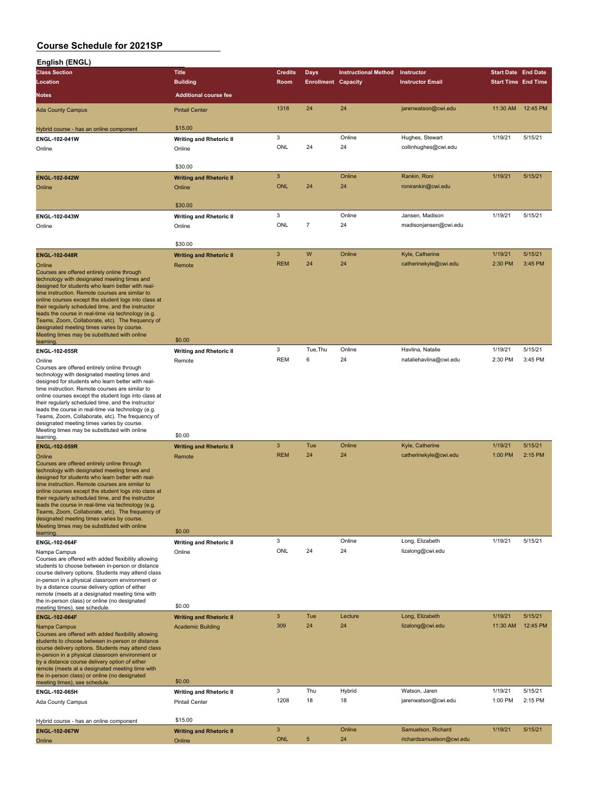| English (ENGL)                                                                                             |                                          |                |                            |                             |                          |                            |          |
|------------------------------------------------------------------------------------------------------------|------------------------------------------|----------------|----------------------------|-----------------------------|--------------------------|----------------------------|----------|
| <b>Class Section</b>                                                                                       | <b>Title</b>                             | <b>Credits</b> | <b>Days</b>                | <b>Instructional Method</b> | Instructor               | <b>Start Date End Date</b> |          |
| Location                                                                                                   | <b>Building</b>                          | Room           | <b>Enrollment Capacity</b> |                             | <b>Instructor Email</b>  | <b>Start Time End Time</b> |          |
| Notes                                                                                                      | <b>Additional course fee</b>             |                |                            |                             |                          |                            |          |
|                                                                                                            |                                          | 1318           | 24                         | 24                          | jarenwatson@cwi.edu      | 11:30 AM                   | 12:45 PM |
| <b>Ada County Campus</b>                                                                                   | <b>Pintail Center</b>                    |                |                            |                             |                          |                            |          |
| Hybrid course - has an online component                                                                    | \$15.00                                  |                |                            |                             |                          |                            |          |
| ENGL-102-041W                                                                                              | <b>Writing and Rhetoric II</b>           | 3              |                            | Online                      | Hughes, Stewart          | 1/19/21                    | 5/15/21  |
|                                                                                                            |                                          | ONL            | 24                         | 24                          | collinhughes@cwi.edu     |                            |          |
| Online                                                                                                     | Online                                   |                |                            |                             |                          |                            |          |
|                                                                                                            | \$30.00                                  |                |                            |                             |                          |                            |          |
|                                                                                                            |                                          | 3              |                            | Online                      | Rankin, Roni             | 1/19/21                    | 5/15/21  |
| <b>ENGL-102-042W</b>                                                                                       | <b>Writing and Rhetoric II</b>           | <b>ONL</b>     | 24                         | 24                          |                          |                            |          |
| Online                                                                                                     | Online                                   |                |                            |                             | ronirankin@cwi.edu       |                            |          |
|                                                                                                            |                                          |                |                            |                             |                          |                            |          |
|                                                                                                            | \$30.00                                  |                |                            |                             |                          |                            |          |
| ENGL-102-043W                                                                                              | <b>Writing and Rhetoric II</b>           | 3              |                            | Online                      | Jansen, Madison          | 1/19/21                    | 5/15/21  |
| Online                                                                                                     | Online                                   | ONL            | $\overline{7}$             | 24                          | madisonjansen@cwi.edu    |                            |          |
|                                                                                                            |                                          |                |                            |                             |                          |                            |          |
|                                                                                                            | \$30.00                                  |                |                            |                             |                          |                            |          |
| <b>ENGL-102-048R</b>                                                                                       | <b>Writing and Rhetoric II</b>           | 3              | W                          | Online                      | Kyle, Catherine          | 1/19/21                    | 5/15/21  |
| Online                                                                                                     | Remote                                   | <b>REM</b>     | 24                         | 24                          | catherinekyle@cwi.edu    | 2:30 PM                    | 3:45 PM  |
| Courses are offered entirely online through<br>technology with designated meeting times and                |                                          |                |                            |                             |                          |                            |          |
| designed for students who learn better with real-                                                          |                                          |                |                            |                             |                          |                            |          |
| time instruction. Remote courses are similar to                                                            |                                          |                |                            |                             |                          |                            |          |
| online courses except the student logs into class at<br>their regularly scheduled time, and the instructor |                                          |                |                            |                             |                          |                            |          |
| leads the course in real-time via technology (e.g.                                                         |                                          |                |                            |                             |                          |                            |          |
| Teams, Zoom, Collaborate, etc). The frequency of                                                           |                                          |                |                            |                             |                          |                            |          |
| designated meeting times varies by course.<br>Meeting times may be substituted with online                 |                                          |                |                            |                             |                          |                            |          |
| learning.                                                                                                  | \$0.00                                   |                |                            |                             |                          |                            |          |
| <b>ENGL-102-055R</b>                                                                                       | <b>Writing and Rhetoric II</b>           | 3              | Tue, Thu                   | Online                      | Havlina, Natalie         | 1/19/21                    | 5/15/21  |
| Online                                                                                                     | Remote                                   | <b>REM</b>     | 6                          | 24                          | nataliehavlina@cwi.edu   | 2:30 PM                    | 3:45 PM  |
| Courses are offered entirely online through                                                                |                                          |                |                            |                             |                          |                            |          |
| technology with designated meeting times and<br>designed for students who learn better with real-          |                                          |                |                            |                             |                          |                            |          |
| time instruction. Remote courses are similar to                                                            |                                          |                |                            |                             |                          |                            |          |
| online courses except the student logs into class at                                                       |                                          |                |                            |                             |                          |                            |          |
| their regularly scheduled time, and the instructor<br>leads the course in real-time via technology (e.g.   |                                          |                |                            |                             |                          |                            |          |
| Teams, Zoom, Collaborate, etc). The frequency of                                                           |                                          |                |                            |                             |                          |                            |          |
| designated meeting times varies by course.                                                                 |                                          |                |                            |                             |                          |                            |          |
| Meeting times may be substituted with online<br>learning.                                                  | \$0.00                                   |                |                            |                             |                          |                            |          |
| ENGL-102-059R                                                                                              |                                          | 3              | Tue                        | Online                      | Kyle, Catherine          | 1/19/21                    | 5/15/21  |
| Online                                                                                                     | <b>Writing and Rhetoric II</b><br>Remote | <b>REM</b>     | 24                         | 24                          | catherinekyle@cwi.edu    | 1:00 PM                    | 2:15 PM  |
| Courses are offered entirely online through                                                                |                                          |                |                            |                             |                          |                            |          |
| technology with designated meeting times and                                                               |                                          |                |                            |                             |                          |                            |          |
| designed for students who learn better with real-                                                          |                                          |                |                            |                             |                          |                            |          |
| time instruction. Remote courses are similar to<br>online courses except the student logs into class at    |                                          |                |                            |                             |                          |                            |          |
| their regularly scheduled time, and the instructor                                                         |                                          |                |                            |                             |                          |                            |          |
| leads the course in real-time via technology (e.g.                                                         |                                          |                |                            |                             |                          |                            |          |
| Teams, Zoom, Collaborate, etc). The frequency of<br>designated meeting times varies by course.             |                                          |                |                            |                             |                          |                            |          |
| Meeting times may be substituted with online                                                               |                                          |                |                            |                             |                          |                            |          |
| learning.                                                                                                  | \$0.00                                   |                |                            |                             |                          |                            |          |
| ENGL-102-064F                                                                                              | <b>Writing and Rhetoric II</b>           | 3              |                            | Online                      | Long, Elizabeth          | 1/19/21                    | 5/15/21  |
| Nampa Campus                                                                                               | Online                                   | ONL            | 24                         | 24                          | lizalong@cwi.edu         |                            |          |
| Courses are offered with added flexibility allowing<br>students to choose between in-person or distance    |                                          |                |                            |                             |                          |                            |          |
| course delivery options. Students may attend class                                                         |                                          |                |                            |                             |                          |                            |          |
| in-person in a physical classroom environment or                                                           |                                          |                |                            |                             |                          |                            |          |
| by a distance course delivery option of either<br>remote (meets at a designated meeting time with          |                                          |                |                            |                             |                          |                            |          |
| the in-person class) or online (no designated                                                              |                                          |                |                            |                             |                          |                            |          |
| meeting times), see schedule.                                                                              | \$0.00                                   |                |                            |                             |                          |                            |          |
| <b>ENGL-102-064F</b>                                                                                       | <b>Writing and Rhetoric II</b>           | 3              | Tue                        | Lecture                     | Long, Elizabeth          | 1/19/21                    | 5/15/21  |
| Nampa Campus                                                                                               | <b>Academic Building</b>                 | 309            | 24                         | 24                          | lizalong@cwi.edu         | 11:30 AM                   | 12:45 PM |
| Courses are offered with added flexibility allowing<br>students to choose between in-person or distance    |                                          |                |                            |                             |                          |                            |          |
| course delivery options. Students may attend class                                                         |                                          |                |                            |                             |                          |                            |          |
| in-person in a physical classroom environment or                                                           |                                          |                |                            |                             |                          |                            |          |
| by a distance course delivery option of either<br>remote (meets at a designated meeting time with          |                                          |                |                            |                             |                          |                            |          |
| the in-person class) or online (no designated                                                              |                                          |                |                            |                             |                          |                            |          |
| meeting times), see schedule                                                                               | \$0.00                                   |                |                            |                             |                          |                            |          |
| ENGL-102-065H                                                                                              | <b>Writing and Rhetoric II</b>           | 3              | Thu                        | Hybrid                      | Watson, Jaren            | 1/19/21                    | 5/15/21  |
| Ada County Campus                                                                                          | <b>Pintail Center</b>                    | 1208           | 18                         | 18                          | jarenwatson@cwi.edu      | 1:00 PM                    | 2:15 PM  |
|                                                                                                            |                                          |                |                            |                             |                          |                            |          |
| Hybrid course - has an online component                                                                    | \$15.00                                  |                |                            |                             |                          |                            |          |
| <b>ENGL-102-067W</b>                                                                                       | <b>Writing and Rhetoric II</b>           | 3              |                            | Online                      | Samuelson, Richard       | 1/19/21                    | 5/15/21  |
| Online                                                                                                     | Online                                   | <b>ONL</b>     | $\sqrt{5}$                 | 24                          | richardsamuelson@cwi.edu |                            |          |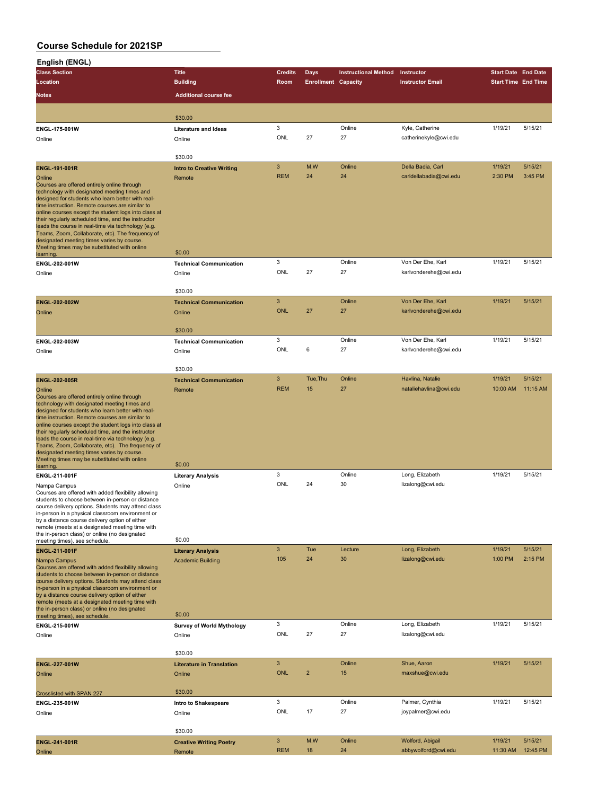| English (ENGL)                                                                                             |                                            |                           |                            |                             |                         |                            |          |
|------------------------------------------------------------------------------------------------------------|--------------------------------------------|---------------------------|----------------------------|-----------------------------|-------------------------|----------------------------|----------|
| <b>Class Section</b>                                                                                       | <b>Title</b>                               | <b>Credits</b>            | Days                       | <b>Instructional Method</b> | Instructor              | <b>Start Date End Date</b> |          |
| Location                                                                                                   | <b>Building</b>                            | Room                      | <b>Enrollment Capacity</b> |                             | <b>Instructor Email</b> | <b>Start Time End Time</b> |          |
| <b>Notes</b>                                                                                               | <b>Additional course fee</b>               |                           |                            |                             |                         |                            |          |
|                                                                                                            |                                            |                           |                            |                             |                         |                            |          |
|                                                                                                            | \$30.00                                    |                           |                            |                             |                         |                            |          |
| ENGL-175-001W                                                                                              | <b>Literature and Ideas</b>                | 3                         |                            | Online                      | Kyle, Catherine         | 1/19/21                    | 5/15/21  |
| Online                                                                                                     | Online                                     | ONL                       | 27                         | 27                          | catherinekyle@cwi.edu   |                            |          |
|                                                                                                            |                                            |                           |                            |                             |                         |                            |          |
|                                                                                                            | \$30.00                                    |                           |                            |                             |                         |                            |          |
| <b>ENGL-191-001R</b>                                                                                       | <b>Intro to Creative Writing</b>           | 3                         | M,W                        | Online                      | Della Badia, Carl       | 1/19/21                    | 5/15/21  |
| Online                                                                                                     | Remote                                     | <b>REM</b>                | 24                         | 24                          | carldellabadia@cwi.edu  | 2:30 PM                    | 3:45 PM  |
| Courses are offered entirely online through                                                                |                                            |                           |                            |                             |                         |                            |          |
| technology with designated meeting times and<br>designed for students who learn better with real-          |                                            |                           |                            |                             |                         |                            |          |
| time instruction. Remote courses are similar to                                                            |                                            |                           |                            |                             |                         |                            |          |
| online courses except the student logs into class at<br>their regularly scheduled time, and the instructor |                                            |                           |                            |                             |                         |                            |          |
| leads the course in real-time via technology (e.g.                                                         |                                            |                           |                            |                             |                         |                            |          |
| Teams, Zoom, Collaborate, etc). The frequency of                                                           |                                            |                           |                            |                             |                         |                            |          |
| designated meeting times varies by course.<br>Meeting times may be substituted with online                 |                                            |                           |                            |                             |                         |                            |          |
| learning.                                                                                                  | \$0.00                                     |                           |                            |                             |                         |                            |          |
| ENGL-202-001W                                                                                              | <b>Technical Communication</b>             | 3                         |                            | Online                      | Von Der Ehe, Karl       | 1/19/21                    | 5/15/21  |
| Online                                                                                                     | Online                                     | ONL                       | 27                         | 27                          | karlvonderehe@cwi.edu   |                            |          |
|                                                                                                            |                                            |                           |                            |                             |                         |                            |          |
|                                                                                                            | \$30.00                                    |                           |                            |                             |                         |                            |          |
| ENGL-202-002W                                                                                              | <b>Technical Communication</b>             | $\mathbf{3}$              |                            | Online                      | Von Der Ehe, Karl       | 1/19/21                    | 5/15/21  |
| Online                                                                                                     | Online                                     | <b>ONL</b>                | 27                         | 27                          | karlvonderehe@cwi.edu   |                            |          |
|                                                                                                            |                                            |                           |                            |                             |                         |                            |          |
|                                                                                                            | \$30.00                                    |                           |                            |                             |                         |                            |          |
| ENGL-202-003W                                                                                              | <b>Technical Communication</b>             | 3                         |                            | Online                      | Von Der Ehe, Karl       | 1/19/21                    | 5/15/21  |
| Online                                                                                                     | Online                                     | ONL                       | 6                          | 27                          | karlvonderehe@cwi.edu   |                            |          |
|                                                                                                            |                                            |                           |                            |                             |                         |                            |          |
|                                                                                                            | \$30.00                                    |                           |                            |                             |                         |                            |          |
| ENGL-202-005R                                                                                              | <b>Technical Communication</b>             | $\mathbf{3}$              | Tue, Thu                   | Online                      | Havlina, Natalie        | 1/19/21                    | 5/15/21  |
| Online<br>Courses are offered entirely online through                                                      | Remote                                     | <b>REM</b>                | 15                         | 27                          | nataliehavlina@cwi.edu  | 10:00 AM                   | 11:15 AM |
| technology with designated meeting times and                                                               |                                            |                           |                            |                             |                         |                            |          |
| designed for students who learn better with real-                                                          |                                            |                           |                            |                             |                         |                            |          |
| time instruction. Remote courses are similar to<br>online courses except the student logs into class at    |                                            |                           |                            |                             |                         |                            |          |
| their regularly scheduled time, and the instructor                                                         |                                            |                           |                            |                             |                         |                            |          |
| leads the course in real-time via technology (e.g.<br>Teams, Zoom, Collaborate, etc). The frequency of     |                                            |                           |                            |                             |                         |                            |          |
| designated meeting times varies by course.                                                                 |                                            |                           |                            |                             |                         |                            |          |
| Meeting times may be substituted with online<br>learning                                                   | \$0.00                                     |                           |                            |                             |                         |                            |          |
| ENGL-211-001F                                                                                              | <b>Literary Analysis</b>                   | 3                         |                            | Online                      | Long, Elizabeth         | 1/19/21                    | 5/15/21  |
| Nampa Campus                                                                                               | Online                                     | ONL                       | 24                         | 30                          | lizalong@cwi.edu        |                            |          |
| Courses are offered with added flexibility allowing                                                        |                                            |                           |                            |                             |                         |                            |          |
| students to choose between in-person or distance                                                           |                                            |                           |                            |                             |                         |                            |          |
| course delivery options. Students may attend class<br>in-person in a physical classroom environment or     |                                            |                           |                            |                             |                         |                            |          |
| by a distance course delivery option of either                                                             |                                            |                           |                            |                             |                         |                            |          |
| remote (meets at a designated meeting time with<br>the in-person class) or online (no designated           |                                            |                           |                            |                             |                         |                            |          |
| meeting times), see schedule.                                                                              | \$0.00                                     |                           |                            |                             |                         |                            |          |
| <b>ENGL-211-001F</b>                                                                                       | <b>Literary Analysis</b>                   | 3                         | Tue                        | Lecture                     | Long, Elizabeth         | 1/19/21                    | 5/15/21  |
| Nampa Campus                                                                                               | <b>Academic Building</b>                   | 105                       | 24                         | 30                          | lizalong@cwi.edu        | 1:00 PM                    | 2:15 PM  |
| Courses are offered with added flexibility allowing<br>students to choose between in-person or distance    |                                            |                           |                            |                             |                         |                            |          |
| course delivery options. Students may attend class                                                         |                                            |                           |                            |                             |                         |                            |          |
| in-person in a physical classroom environment or                                                           |                                            |                           |                            |                             |                         |                            |          |
| by a distance course delivery option of either<br>remote (meets at a designated meeting time with          |                                            |                           |                            |                             |                         |                            |          |
| the in-person class) or online (no designated                                                              |                                            |                           |                            |                             |                         |                            |          |
| meeting times), see schedule.                                                                              | \$0.00                                     | 3                         |                            | Online                      | Long, Elizabeth         | 1/19/21                    | 5/15/21  |
| ENGL-215-001W                                                                                              | <b>Survey of World Mythology</b>           | ONL                       | 27                         | 27                          | lizalong@cwi.edu        |                            |          |
| Online                                                                                                     | Online                                     |                           |                            |                             |                         |                            |          |
|                                                                                                            | \$30.00                                    |                           |                            |                             |                         |                            |          |
|                                                                                                            |                                            | 3                         |                            | Online                      | Shue, Aaron             | 1/19/21                    | 5/15/21  |
| ENGL-227-001W<br>Online                                                                                    | <b>Literature in Translation</b><br>Online | <b>ONL</b>                | $\overline{2}$             | 15                          | maxshue@cwi.edu         |                            |          |
|                                                                                                            |                                            |                           |                            |                             |                         |                            |          |
| Crosslisted with SPAN 227                                                                                  | \$30.00                                    |                           |                            |                             |                         |                            |          |
| ENGL-235-001W                                                                                              | Intro to Shakespeare                       | 3                         |                            | Online                      | Palmer, Cynthia         | 1/19/21                    | 5/15/21  |
| Online                                                                                                     | Online                                     | <b>ONL</b>                | 17                         | 27                          | joypalmer@cwi.edu       |                            |          |
|                                                                                                            |                                            |                           |                            |                             |                         |                            |          |
|                                                                                                            | \$30.00                                    |                           |                            |                             |                         |                            |          |
| ENGL-241-001R                                                                                              | <b>Creative Writing Poetry</b>             | $\ensuremath{\mathsf{3}}$ | M,W                        | Online                      | Wolford, Abigail        | 1/19/21                    | 5/15/21  |
| Online                                                                                                     | Remote                                     | <b>REM</b>                | 18                         | 24                          | abbywolford@cwi.edu     | 11:30 AM                   | 12:45 PM |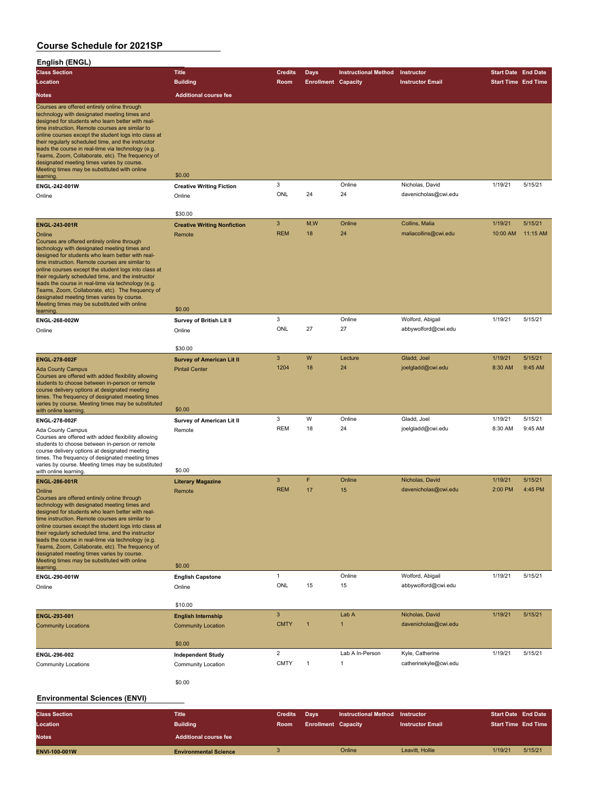**English (ENGL)**

| English (ENGL)                                                                                                                                                                                                                                                                                                                                                                                                                                                                                                                                   |                                                |                  |                            |                                   |                                          |                            |          |
|--------------------------------------------------------------------------------------------------------------------------------------------------------------------------------------------------------------------------------------------------------------------------------------------------------------------------------------------------------------------------------------------------------------------------------------------------------------------------------------------------------------------------------------------------|------------------------------------------------|------------------|----------------------------|-----------------------------------|------------------------------------------|----------------------------|----------|
| <b>Class Section</b>                                                                                                                                                                                                                                                                                                                                                                                                                                                                                                                             | <b>Title</b>                                   | <b>Credits</b>   | <b>Days</b>                | <b>Instructional Method</b>       | Instructor                               | <b>Start Date End Date</b> |          |
| Location                                                                                                                                                                                                                                                                                                                                                                                                                                                                                                                                         | <b>Building</b>                                | Room             | <b>Enrollment Capacity</b> |                                   | <b>Instructor Email</b>                  | <b>Start Time End Time</b> |          |
| <b>Notes</b>                                                                                                                                                                                                                                                                                                                                                                                                                                                                                                                                     | <b>Additional course fee</b>                   |                  |                            |                                   |                                          |                            |          |
|                                                                                                                                                                                                                                                                                                                                                                                                                                                                                                                                                  |                                                |                  |                            |                                   |                                          |                            |          |
| Courses are offered entirely online through<br>technology with designated meeting times and<br>designed for students who learn better with real-<br>time instruction. Remote courses are similar to<br>online courses except the student logs into class at<br>their regularly scheduled time, and the instructor<br>leads the course in real-time via technology (e.g.<br>Teams, Zoom, Collaborate, etc). The frequency of<br>designated meeting times varies by course.<br>Meeting times may be substituted with online                        |                                                |                  |                            |                                   |                                          |                            |          |
| learning.                                                                                                                                                                                                                                                                                                                                                                                                                                                                                                                                        | \$0.00                                         |                  |                            |                                   |                                          |                            |          |
| ENGL-242-001W<br>Online                                                                                                                                                                                                                                                                                                                                                                                                                                                                                                                          | <b>Creative Writing Fiction</b><br>Online      | 3<br>ONL         | 24                         | Online<br>24                      | Nicholas, David<br>davenicholas@cwi.edu  | 1/19/21                    | 5/15/21  |
|                                                                                                                                                                                                                                                                                                                                                                                                                                                                                                                                                  | \$30.00                                        |                  |                            |                                   |                                          |                            |          |
| ENGL-243-001R                                                                                                                                                                                                                                                                                                                                                                                                                                                                                                                                    | <b>Creative Writing Nonfiction</b>             | 3                | M, W                       | Online                            | Collins, Malia                           | 1/19/21                    | 5/15/21  |
| Online                                                                                                                                                                                                                                                                                                                                                                                                                                                                                                                                           | Remote                                         | <b>REM</b>       | 18                         | 24                                | maliacollins@cwi.edu                     | 10:00 AM                   | 11:15 AM |
| Courses are offered entirely online through<br>technology with designated meeting times and<br>designed for students who learn better with real-<br>time instruction. Remote courses are similar to<br>online courses except the student logs into class at<br>their regularly scheduled time, and the instructor<br>leads the course in real-time via technology (e.g.<br>Teams, Zoom, Collaborate, etc). The frequency of<br>designated meeting times varies by course.<br>Meeting times may be substituted with online<br>learning.           | \$0.00                                         |                  |                            |                                   |                                          |                            |          |
| ENGL-268-002W                                                                                                                                                                                                                                                                                                                                                                                                                                                                                                                                    | Survey of British Lit II                       | 3                |                            | Online                            | Wolford, Abigail                         | 1/19/21                    | 5/15/21  |
| Online                                                                                                                                                                                                                                                                                                                                                                                                                                                                                                                                           | Online                                         | ONL              | 27                         | 27                                | abbywolford@cwi.edu                      |                            |          |
|                                                                                                                                                                                                                                                                                                                                                                                                                                                                                                                                                  | \$30.00                                        | 3                | W                          | Lecture                           | Gladd, Joel                              | 1/19/21                    | 5/15/21  |
| <b>ENGL-278-002F</b>                                                                                                                                                                                                                                                                                                                                                                                                                                                                                                                             | <b>Survey of American Lit II</b>               | 1204             | 18                         | 24                                |                                          | 8:30 AM                    | 9:45 AM  |
| <b>Ada County Campus</b><br>Courses are offered with added flexibility allowing<br>students to choose between in-person or remote<br>course delivery options at designated meeting<br>times. The frequency of designated meeting times<br>varies by course. Meeting times may be substituted                                                                                                                                                                                                                                                     | <b>Pintail Center</b><br>\$0.00                |                  |                            |                                   | joelgladd@cwi.edu                        |                            |          |
| with online learning.                                                                                                                                                                                                                                                                                                                                                                                                                                                                                                                            |                                                | 3                | W                          | Online                            |                                          | 1/19/21                    | 5/15/21  |
| ENGL-278-002F<br>Ada County Campus<br>Courses are offered with added flexibility allowing<br>students to choose between in-person or remote<br>course delivery options at designated meeting<br>times. The frequency of designated meeting times                                                                                                                                                                                                                                                                                                 | Survey of American Lit II<br>Remote            | <b>REM</b>       | 18                         | 24                                | Gladd, Joel<br>joelgladd@cwi.edu         | 8:30 AM                    | 9:45 AM  |
| varies by course. Meeting times may be substituted<br>with online learning.                                                                                                                                                                                                                                                                                                                                                                                                                                                                      | \$0.00                                         |                  |                            |                                   |                                          |                            |          |
| <b>ENGL-286-001R</b>                                                                                                                                                                                                                                                                                                                                                                                                                                                                                                                             | <b>Literary Magazine</b>                       | 3                | F                          | Online                            | Nicholas, David                          | 1/19/21                    | 5/15/21  |
| Online<br>Courses are offered entirely online through<br>technology with designated meeting times and<br>designed for students who learn better with real-<br>time instruction. Remote courses are similar to<br>online courses except the student logs into class at<br>their regularly scheduled time, and the instructor<br>leads the course in real-time via technology (e.g.<br>Teams, Zoom, Collaborate, etc). The frequency of<br>designated meeting times varies by course.<br>Meeting times may be substituted with online<br>learning. | Remote<br>\$0.00                               | <b>REM</b>       | 17                         | 15                                | davenicholas@cwi.edu                     | 2:00 PM                    | 4:45 PM  |
| ENGL-290-001W                                                                                                                                                                                                                                                                                                                                                                                                                                                                                                                                    | <b>English Capstone</b>                        | $\mathbf{1}$     |                            | Online                            | Wolford, Abigail                         | 1/19/21                    | 5/15/21  |
| Online                                                                                                                                                                                                                                                                                                                                                                                                                                                                                                                                           | Online                                         | ONL              | 15                         | 15                                | abbywolford@cwi.edu                      |                            |          |
|                                                                                                                                                                                                                                                                                                                                                                                                                                                                                                                                                  | \$10.00                                        |                  |                            |                                   |                                          |                            |          |
| ENGL-293-001                                                                                                                                                                                                                                                                                                                                                                                                                                                                                                                                     | <b>English Internship</b>                      | 3                |                            | Lab A                             | Nicholas, David                          | 1/19/21                    | 5/15/21  |
| <b>Community Locations</b>                                                                                                                                                                                                                                                                                                                                                                                                                                                                                                                       | <b>Community Location</b>                      | <b>CMTY</b>      | 1                          | $\overline{1}$                    | davenicholas@cwi.edu                     |                            |          |
|                                                                                                                                                                                                                                                                                                                                                                                                                                                                                                                                                  | \$0.00                                         |                  |                            |                                   |                                          |                            |          |
| ENGL-296-002<br>Community Locations                                                                                                                                                                                                                                                                                                                                                                                                                                                                                                              | <b>Independent Study</b><br>Community Location | 2<br><b>CMTY</b> | $\mathbf{1}$               | Lab A In-Person<br>$\overline{1}$ | Kyle, Catherine<br>catherinekyle@cwi.edu | 1/19/21                    | 5/15/21  |
|                                                                                                                                                                                                                                                                                                                                                                                                                                                                                                                                                  | \$0.00                                         |                  |                            |                                   |                                          |                            |          |
| <b>Environmental Sciences (ENVI)</b>                                                                                                                                                                                                                                                                                                                                                                                                                                                                                                             |                                                |                  |                            |                                   |                                          |                            |          |
|                                                                                                                                                                                                                                                                                                                                                                                                                                                                                                                                                  |                                                |                  |                            | <b>CARL COMMERCIAL COM</b>        |                                          |                            |          |

| <b>Class Section</b> | <b>Title</b>                 | <b>Credits</b> | <b>Davs</b>                | <b>Instructional Method</b> | Instructor              | <b>Start Date End Date</b> |         |
|----------------------|------------------------------|----------------|----------------------------|-----------------------------|-------------------------|----------------------------|---------|
| Location             | <b>Building</b>              | <b>Room</b>    | <b>Enrollment Capacity</b> |                             | <b>Instructor Email</b> | <b>Start Time End Time</b> |         |
| <b>Notes</b>         | <b>Additional course fee</b> |                |                            |                             |                         |                            |         |
| ENVI-100-001W        | <b>Environmental Science</b> |                |                            | Online                      | Leavitt, Hollie         | 1/19/21                    | 5/15/21 |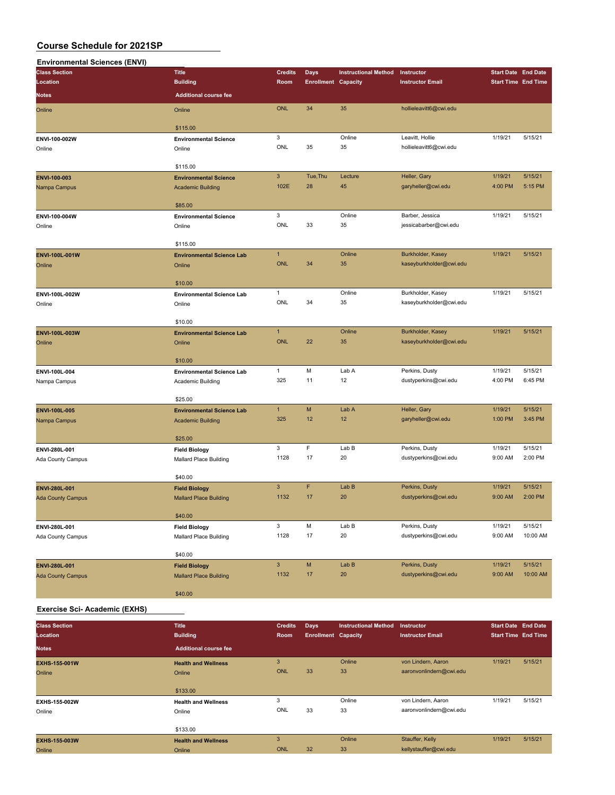| <b>Environmental Sciences (ENVI)</b> |                                  |                           |                            |                             |                         |                            |          |
|--------------------------------------|----------------------------------|---------------------------|----------------------------|-----------------------------|-------------------------|----------------------------|----------|
| <b>Class Section</b>                 | <b>Title</b>                     | <b>Credits</b>            | <b>Days</b>                | <b>Instructional Method</b> | Instructor              | <b>Start Date End Date</b> |          |
| Location                             | <b>Building</b>                  | Room                      | <b>Enrollment Capacity</b> |                             | <b>Instructor Email</b> | <b>Start Time End Time</b> |          |
| Notes                                | <b>Additional course fee</b>     |                           |                            |                             |                         |                            |          |
| Online                               | Online                           | <b>ONL</b>                | 34                         | 35                          | hollieleavitt6@cwi.edu  |                            |          |
|                                      | \$115.00                         |                           |                            |                             |                         |                            |          |
| ENVI-100-002W                        | <b>Environmental Science</b>     | 3                         |                            | Online                      | Leavitt, Hollie         | 1/19/21                    | 5/15/21  |
| Online                               | Online                           | ONL                       | 35                         | 35                          | hollieleavitt6@cwi.edu  |                            |          |
|                                      |                                  |                           |                            |                             |                         |                            |          |
|                                      | \$115.00                         |                           |                            |                             |                         |                            |          |
| ENVI-100-003                         | <b>Environmental Science</b>     | $\mathbf{3}$              | Tue, Thu                   | Lecture                     | Heller, Gary            | 1/19/21                    | 5/15/21  |
| Nampa Campus                         | <b>Academic Building</b>         | 102E                      | 28                         | 45                          | garyheller@cwi.edu      | 4:00 PM                    | 5:15 PM  |
|                                      | \$85.00                          |                           |                            |                             |                         |                            |          |
| ENVI-100-004W                        | <b>Environmental Science</b>     | 3                         |                            | Online                      | Barber, Jessica         | 1/19/21                    | 5/15/21  |
| Online                               | Online                           | ONL                       | 33                         | 35                          | jessicabarber@cwi.edu   |                            |          |
|                                      |                                  |                           |                            |                             |                         |                            |          |
|                                      | \$115.00                         |                           |                            |                             |                         |                            |          |
| ENVI-100L-001W                       | <b>Environmental Science Lab</b> | $\mathbf{1}$              |                            | Online                      | Burkholder, Kasey       | 1/19/21                    | 5/15/21  |
| Online                               | Online                           | <b>ONL</b>                | 34                         | 35                          | kaseyburkholder@cwi.edu |                            |          |
|                                      | \$10.00                          |                           |                            |                             |                         |                            |          |
| ENVI-100L-002W                       | <b>Environmental Science Lab</b> | $\mathbf{1}$              |                            | Online                      | Burkholder, Kasey       | 1/19/21                    | 5/15/21  |
| Online                               | Online                           | ONL                       | 34                         | 35                          | kaseyburkholder@cwi.edu |                            |          |
|                                      |                                  |                           |                            |                             |                         |                            |          |
|                                      | \$10.00                          |                           |                            |                             |                         |                            |          |
| ENVI-100L-003W                       | <b>Environmental Science Lab</b> | $\mathbf{1}$              |                            | Online                      | Burkholder, Kasey       | 1/19/21                    | 5/15/21  |
| Online                               | Online                           | <b>ONL</b>                | 22                         | 35                          | kaseyburkholder@cwi.edu |                            |          |
|                                      | \$10.00                          |                           |                            |                             |                         |                            |          |
| ENVI-100L-004                        | <b>Environmental Science Lab</b> | $\mathbf{1}$              | М                          | Lab A                       | Perkins, Dusty          | 1/19/21                    | 5/15/21  |
| Nampa Campus                         | Academic Building                | 325                       | 11                         | 12                          | dustyperkins@cwi.edu    | 4:00 PM                    | 6:45 PM  |
|                                      |                                  |                           |                            |                             |                         |                            |          |
|                                      | \$25.00                          |                           |                            |                             |                         |                            |          |
| ENVI-100L-005                        | <b>Environmental Science Lab</b> | $\mathbf{1}$              | M                          | Lab A                       | Heller, Gary            | 1/19/21                    | 5/15/21  |
| Nampa Campus                         | <b>Academic Building</b>         | 325                       | 12                         | 12                          | garyheller@cwi.edu      | 1:00 PM                    | 3:45 PM  |
|                                      | \$25.00                          |                           |                            |                             |                         |                            |          |
| ENVI-280L-001                        | <b>Field Biology</b>             | 3                         | F                          | Lab B                       | Perkins, Dusty          | 1/19/21                    | 5/15/21  |
| Ada County Campus                    | Mallard Place Building           | 1128                      | 17                         | 20                          | dustyperkins@cwi.edu    | 9:00 AM                    | 2:00 PM  |
|                                      |                                  |                           |                            |                             |                         |                            |          |
|                                      | \$40.00                          |                           |                            |                             |                         |                            |          |
| ENVI-280L-001                        | <b>Field Biology</b>             | $\mathbf{3}$              | F                          | Lab B                       | Perkins, Dusty          | 1/19/21                    | 5/15/21  |
| <b>Ada County Campus</b>             | <b>Mallard Place Building</b>    | 1132                      | 17                         | 20                          | dustyperkins@cwi.edu    | 9:00 AM                    | 2:00 PM  |
|                                      | \$40.00                          |                           |                            |                             |                         |                            |          |
| ENVI-280L-001                        | <b>Field Biology</b>             | 3                         | М                          | Lab B                       | Perkins, Dusty          | 1/19/21                    | 5/15/21  |
| Ada County Campus                    | Mallard Place Building           | 1128                      | 17                         | 20                          | dustyperkins@cwi.edu    | 9:00 AM                    | 10:00 AM |
|                                      |                                  |                           |                            |                             |                         |                            |          |
|                                      | \$40.00                          |                           |                            |                             |                         |                            |          |
| ENVI-280L-001                        | <b>Field Biology</b>             | $\ensuremath{\mathsf{3}}$ | ${\sf M}$                  | Lab B                       | Perkins, Dusty          | 1/19/21                    | 5/15/21  |
| <b>Ada County Campus</b>             | <b>Mallard Place Building</b>    | 1132                      | 17                         | 20                          | dustyperkins@cwi.edu    | 9:00 AM                    | 10:00 AM |
|                                      | \$40.00                          |                           |                            |                             |                         |                            |          |

#### **Exercise Sci- Academic (EXHS)**

| <b>Class Section</b> | <b>Title</b>                 | <b>Credits</b> | Days                       | <b>Instructional Method</b> | <b>Instructor</b>       | <b>Start Date End Date</b> |         |
|----------------------|------------------------------|----------------|----------------------------|-----------------------------|-------------------------|----------------------------|---------|
| Location             | <b>Building</b>              | Room           | <b>Enrollment Capacity</b> |                             | <b>Instructor Email</b> | <b>Start Time End Time</b> |         |
| <b>Notes</b>         | <b>Additional course fee</b> |                |                            |                             |                         |                            |         |
| <b>EXHS-155-001W</b> | <b>Health and Wellness</b>   | 3              |                            | Online                      | von Lindern, Aaron      | 1/19/21                    | 5/15/21 |
| Online               | Online                       | <b>ONL</b>     | 33                         | 33                          | aaronvonlindern@cwi.edu |                            |         |
|                      |                              |                |                            |                             |                         |                            |         |
|                      | \$133.00                     |                |                            |                             |                         |                            |         |
| <b>EXHS-155-002W</b> | <b>Health and Wellness</b>   | 3              |                            | Online                      | von Lindern, Aaron      | 1/19/21                    | 5/15/21 |
| Online               | Online                       | ONL            | 33                         | 33                          | aaronvonlindern@cwi.edu |                            |         |
|                      |                              |                |                            |                             |                         |                            |         |
|                      | \$133.00                     |                |                            |                             |                         |                            |         |
| <b>EXHS-155-003W</b> | <b>Health and Wellness</b>   | 3              |                            | Online                      | Stauffer, Kelly         | 1/19/21                    | 5/15/21 |
| Online               | Online                       | <b>ONL</b>     | 32                         | 33                          | kellystauffer@cwi.edu   |                            |         |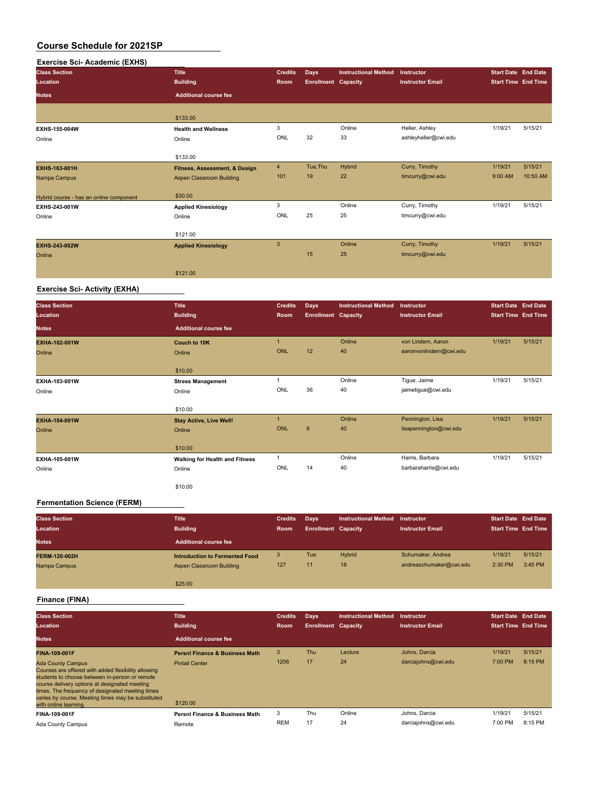# **Exercise Sci- Academic (EXHS)**

| <b>Class Section</b>                    | <b>Title</b>                  | <b>Credits</b> | <b>Days</b>                | <b>Instructional Method</b> | Instructor              | Start Date End Date        |          |
|-----------------------------------------|-------------------------------|----------------|----------------------------|-----------------------------|-------------------------|----------------------------|----------|
| Location                                | <b>Building</b>               | Room           | <b>Enrollment Capacity</b> |                             | <b>Instructor Email</b> | <b>Start Time End Time</b> |          |
| <b>Notes</b>                            | <b>Additional course fee</b>  |                |                            |                             |                         |                            |          |
|                                         |                               |                |                            |                             |                         |                            |          |
|                                         | \$133.00                      |                |                            |                             |                         |                            |          |
| EXHS-155-004W                           | <b>Health and Wellness</b>    | 3              |                            | Online                      | Heller, Ashley          | 1/19/21                    | 5/15/21  |
| Online                                  | Online                        | ONL            | 32                         | 33                          | ashleyheller@cwi.edu    |                            |          |
|                                         |                               |                |                            |                             |                         |                            |          |
|                                         | \$133.00                      |                |                            |                             |                         |                            |          |
| <b>EXHS-163-001H</b>                    | Fitness, Assessment, & Design | $\overline{4}$ | Tue, Thu                   | Hybrid                      | Curry, Timothy          | 1/19/21                    | 5/15/21  |
| Nampa Campus                            | Aspen Classroom Building      | 101            | 19                         | 22                          | timcurry@cwi.edu        | 9:00 AM                    | 10:50 AM |
|                                         |                               |                |                            |                             |                         |                            |          |
| Hybrid course - has an online component | \$30.00                       |                |                            |                             |                         |                            |          |
| EXHS-243-001W                           | <b>Applied Kinesiology</b>    | 3              |                            | Online                      | Curry, Timothy          | 1/19/21                    | 5/15/21  |
| Online                                  | Online                        | ONL            | 25                         | 25                          | timcurry@cwi.edu        |                            |          |
|                                         |                               |                |                            |                             |                         |                            |          |
|                                         | \$121.00                      |                |                            |                             |                         |                            |          |
| <b>EXHS-243-002W</b>                    | <b>Applied Kinesiology</b>    | 3              |                            | Online                      | Curry, Timothy          | 1/19/21                    | 5/15/21  |
| Online                                  |                               |                | 15                         | 25                          | timcurry@cwi.edu        |                            |          |
|                                         |                               |                |                            |                             |                         |                            |          |
|                                         | \$121.00                      |                |                            |                             |                         |                            |          |
|                                         |                               |                |                            |                             |                         |                            |          |

### **Exercise Sci- Activity (EXHA)**

| <b>Class Section</b><br><b>Location</b> | <b>Title</b><br><b>Building</b>       | <b>Credits</b><br>Room | <b>Days</b><br><b>Enrollment Capacity</b> | <b>Instructional Method</b> | <b>Instructor</b><br><b>Instructor Email</b> | <b>Start Date End Date</b><br><b>Start Time End Time</b> |         |
|-----------------------------------------|---------------------------------------|------------------------|-------------------------------------------|-----------------------------|----------------------------------------------|----------------------------------------------------------|---------|
| <b>Notes</b>                            | <b>Additional course fee</b>          |                        |                                           |                             |                                              |                                                          |         |
| EXHA-102-001W                           | Couch to 10K                          | $\blacksquare$         |                                           | Online                      | von Lindern, Aaron                           | 1/19/21                                                  | 5/15/21 |
| Online                                  | Online                                | <b>ONL</b>             | 12                                        | 40                          | aaronvonlindern@cwi.edu                      |                                                          |         |
|                                         | \$10.00                               |                        |                                           |                             |                                              |                                                          |         |
| EXHA-103-001W                           | <b>Stress Management</b>              |                        |                                           | Online                      | Tigue, Jaime                                 | 1/19/21                                                  | 5/15/21 |
| Online                                  | Online                                | ONL                    | 36                                        | 40                          | jaimetigue@cwi.edu                           |                                                          |         |
|                                         | \$10.00                               |                        |                                           |                             |                                              |                                                          |         |
| EXHA-104-001W                           | <b>Stay Active, Live Well!</b>        | $\blacktriangleleft$   |                                           | Online                      | Pennington, Lisa                             | 1/19/21                                                  | 5/15/21 |
| Online                                  | Online                                | <b>ONL</b>             | 9                                         | 40                          | lisapennington@cwi.edu                       |                                                          |         |
|                                         | \$10.00                               |                        |                                           |                             |                                              |                                                          |         |
| EXHA-105-001W                           | <b>Walking for Health and Fitness</b> | 1                      |                                           | Online                      | Harris, Barbara                              | 1/19/21                                                  | 5/15/21 |
| Online                                  | Online                                | ONL                    | 14                                        | 40                          | barbaraharris@cwi.edu                        |                                                          |         |
|                                         | \$10.00                               |                        |                                           |                             |                                              |                                                          |         |

### **Fermentation Science (FERM)**

| <b>Class Section</b><br>Location<br><b>Notes</b> | <b>Title</b><br><b>Building</b><br><b>Additional course fee</b>   | <b>Credits</b><br>Room | Days<br><b>Enrollment Capacity</b> | <b>Instructional Method</b> | Instructor<br><b>Instructor Email</b>        | <b>Start Date End Date</b><br><b>Start Time End Time</b> |                    |
|--------------------------------------------------|-------------------------------------------------------------------|------------------------|------------------------------------|-----------------------------|----------------------------------------------|----------------------------------------------------------|--------------------|
| <b>FERM-120-002H</b><br>Nampa Campus             | <b>Introduction to Fermented Food</b><br>Aspen Classroom Building | 3<br>127               | Tue<br>11                          | <b>Hybrid</b><br>18         | Schumaker, Andrea<br>andreaschumaker@cwi.edu | 1/19/21<br>2:30 PM                                       | 5/15/21<br>3:45 PM |
|                                                  | \$25.00                                                           |                        |                                    |                             |                                              |                                                          |                    |

### **Finance (FINA)**

| <b>Class Section</b><br>Location                                                                                                                                                                                                                                                                                      | <b>Title</b><br><b>Building</b>           | <b>Credits</b><br>Room | Days<br><b>Enrollment Capacity</b> | <b>Instructional Method</b> | Instructor<br><b>Instructor Email</b> | <b>Start Date End Date</b><br><b>Start Time End Time</b> |         |
|-----------------------------------------------------------------------------------------------------------------------------------------------------------------------------------------------------------------------------------------------------------------------------------------------------------------------|-------------------------------------------|------------------------|------------------------------------|-----------------------------|---------------------------------------|----------------------------------------------------------|---------|
| <b>Notes</b>                                                                                                                                                                                                                                                                                                          | Additional course fee                     |                        |                                    |                             |                                       |                                                          |         |
| <b>FINA-109-001F</b>                                                                                                                                                                                                                                                                                                  | <b>Persni Finance &amp; Business Math</b> | 3                      | Thu                                | Lecture                     | Johns, Darcia                         | 1/19/21                                                  | 5/15/21 |
| <b>Ada County Campus</b><br>Courses are offered with added flexibility allowing<br>students to choose between in-person or remote<br>course delivery options at designated meeting<br>times. The frequency of designated meeting times<br>varies by course. Meeting times may be substituted<br>with online learning. | <b>Pintail Center</b><br>\$120.00         | 1206                   | 17                                 | 24                          | darciajohns@cwi.edu                   | 7:00 PM                                                  | 8:15 PM |
| FINA-109-001F                                                                                                                                                                                                                                                                                                         | Persni Finance & Business Math            | 3                      | Thu                                | Online                      | Johns, Darcia                         | 1/19/21                                                  | 5/15/21 |
| Ada County Campus                                                                                                                                                                                                                                                                                                     | Remote                                    | <b>REM</b>             | 17                                 | 24                          | darciajohns@cwi.edu                   | 7:00 PM                                                  | 8:15 PM |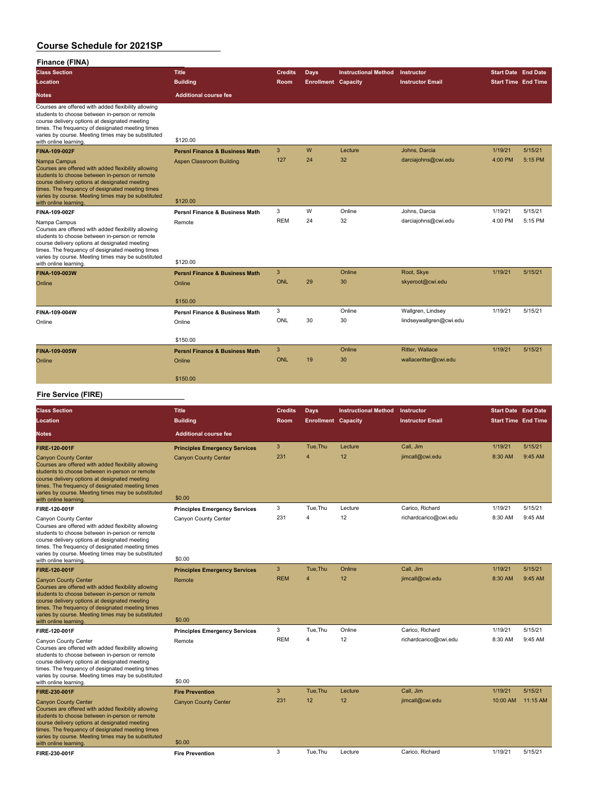**Finance (FINA)**

| <b>Class Section</b>                                                                                                                                                                                                                                                                                      | <b>Title</b>                              | <b>Credits</b> | <b>Days</b>                | <b>Instructional Method</b> | Instructor              | <b>Start Date End Date</b> |         |
|-----------------------------------------------------------------------------------------------------------------------------------------------------------------------------------------------------------------------------------------------------------------------------------------------------------|-------------------------------------------|----------------|----------------------------|-----------------------------|-------------------------|----------------------------|---------|
| Location                                                                                                                                                                                                                                                                                                  | <b>Building</b>                           | <b>Room</b>    | <b>Enrollment Capacity</b> |                             | <b>Instructor Email</b> | <b>Start Time End Time</b> |         |
| <b>Notes</b>                                                                                                                                                                                                                                                                                              | <b>Additional course fee</b>              |                |                            |                             |                         |                            |         |
| Courses are offered with added flexibility allowing<br>students to choose between in-person or remote<br>course delivery options at designated meeting<br>times. The frequency of designated meeting times<br>varies by course. Meeting times may be substituted<br>with online learning.                 | \$120.00                                  |                |                            |                             |                         |                            |         |
| FINA-109-002F                                                                                                                                                                                                                                                                                             | <b>Persni Finance &amp; Business Math</b> | 3              | W                          | Lecture                     | Johns, Darcia           | 1/19/21                    | 5/15/21 |
| Nampa Campus<br>Courses are offered with added flexibility allowing<br>students to choose between in-person or remote<br>course delivery options at designated meeting<br>times. The frequency of designated meeting times<br>varies by course. Meeting times may be substituted<br>with online learning. | Aspen Classroom Building<br>\$120.00      | 127            | 24                         | 32                          | darciajohns@cwi.edu     | 4:00 PM                    | 5:15 PM |
| FINA-109-002F                                                                                                                                                                                                                                                                                             | <b>Persni Finance &amp; Business Math</b> | 3              | W                          | Online                      | Johns, Darcia           | 1/19/21                    | 5/15/21 |
| Nampa Campus<br>Courses are offered with added flexibility allowing<br>students to choose between in-person or remote<br>course delivery options at designated meeting<br>times. The frequency of designated meeting times<br>varies by course. Meeting times may be substituted<br>with online learning. | Remote<br>\$120.00                        | <b>REM</b>     | 24                         | 32                          | darciajohns@cwi.edu     | 4:00 PM                    | 5:15 PM |
| FINA-109-003W                                                                                                                                                                                                                                                                                             | <b>Persni Finance &amp; Business Math</b> | 3              |                            | Online                      | Root, Skye              | 1/19/21                    | 5/15/21 |
| Online                                                                                                                                                                                                                                                                                                    | Online                                    | <b>ONL</b>     | 29                         | 30                          | skyeroot@cwi.edu        |                            |         |
|                                                                                                                                                                                                                                                                                                           | \$150.00                                  |                |                            |                             |                         |                            |         |
| FINA-109-004W                                                                                                                                                                                                                                                                                             | Persni Finance & Business Math            | 3              |                            | Online                      | Wallgren, Lindsey       | 1/19/21                    | 5/15/21 |
| Online                                                                                                                                                                                                                                                                                                    | Online                                    | ONL            | 30                         | 30                          | lindseywallgren@cwi.edu |                            |         |
|                                                                                                                                                                                                                                                                                                           | \$150.00                                  |                |                            |                             |                         |                            |         |
| <b>FINA-109-005W</b>                                                                                                                                                                                                                                                                                      | <b>Persni Finance &amp; Business Math</b> | 3              |                            | Online                      | <b>Ritter, Wallace</b>  | 1/19/21                    | 5/15/21 |
| Online                                                                                                                                                                                                                                                                                                    | Online                                    | <b>ONL</b>     | 19                         | 30                          | wallaceritter@cwi.edu   |                            |         |
|                                                                                                                                                                                                                                                                                                           | \$150.00                                  |                |                            |                             |                         |                            |         |

### **Fire Service (FIRE)**

| <b>Building</b><br>Location<br><b>Enrollment Capacity</b><br><b>Instructor Email</b><br>Room<br><b>Additional course fee</b><br>Notes<br>3<br>Tue, Thu<br>Call, Jim<br>Lecture<br>1/19/21<br>FIRE-120-001F<br><b>Principles Emergency Services</b><br>231<br>12<br>jimcall@cwi.edu<br>8:30 AM<br>$\overline{\mathbf{A}}$<br><b>Canyon County Center</b><br><b>Canyon County Center</b><br>Courses are offered with added flexibility allowing<br>students to choose between in-person or remote | <b>Start Time End Time</b><br>5/15/21<br>9:45 AM<br>5/15/21<br>9:45 AM |
|-------------------------------------------------------------------------------------------------------------------------------------------------------------------------------------------------------------------------------------------------------------------------------------------------------------------------------------------------------------------------------------------------------------------------------------------------------------------------------------------------|------------------------------------------------------------------------|
|                                                                                                                                                                                                                                                                                                                                                                                                                                                                                                 |                                                                        |
|                                                                                                                                                                                                                                                                                                                                                                                                                                                                                                 |                                                                        |
|                                                                                                                                                                                                                                                                                                                                                                                                                                                                                                 |                                                                        |
| course delivery options at designated meeting<br>times. The frequency of designated meeting times<br>varies by course. Meeting times may be substituted<br>\$0.00<br>with online learning.                                                                                                                                                                                                                                                                                                      |                                                                        |
| 3<br>Tue, Thu<br>Carico, Richard<br>1/19/21<br>Lecture<br>FIRE-120-001F<br><b>Principles Emergency Services</b>                                                                                                                                                                                                                                                                                                                                                                                 |                                                                        |
| 231<br>12<br>8:30 AM<br>4<br>richardcarico@cwi.edu<br>Canyon County Center<br>Canyon County Center<br>Courses are offered with added flexibility allowing<br>students to choose between in-person or remote<br>course delivery options at designated meeting<br>times. The frequency of designated meeting times<br>varies by course. Meeting times may be substituted<br>\$0.00<br>with online learning.                                                                                       |                                                                        |
| 3<br>Call, Jim<br>Tue.Thu<br>Online<br>1/19/21<br>FIRE-120-001F<br><b>Principles Emergency Services</b>                                                                                                                                                                                                                                                                                                                                                                                         | 5/15/21                                                                |
| <b>REM</b><br>12<br>jimcall@cwi.edu<br>8:30 AM<br>$\overline{4}$<br><b>Canyon County Center</b><br>Remote<br>Courses are offered with added flexibility allowing<br>students to choose between in-person or remote<br>course delivery options at designated meeting<br>times. The frequency of designated meeting times<br>varies by course. Meeting times may be substituted<br>\$0.00<br>with online learning.                                                                                | 9:45 AM                                                                |
| 3<br>Tue, Thu<br>Online<br>Carico, Richard<br>1/19/21<br>FIRE-120-001F<br><b>Principles Emergency Services</b>                                                                                                                                                                                                                                                                                                                                                                                  | 5/15/21                                                                |
| <b>REM</b><br>12<br>richardcarico@cwi.edu<br>8:30 AM<br>4<br>Canyon County Center<br>Remote<br>Courses are offered with added flexibility allowing<br>students to choose between in-person or remote<br>course delivery options at designated meeting<br>times. The frequency of designated meeting times<br>varies by course. Meeting times may be substituted<br>\$0.00<br>with online learning.                                                                                              | 9:45 AM                                                                |
| 3<br>Tue.Thu<br>Call, Jim<br>1/19/21<br>Lecture<br>FIRE-230-001F<br><b>Fire Prevention</b>                                                                                                                                                                                                                                                                                                                                                                                                      | 5/15/21                                                                |
| 231<br>12<br>jimcall@cwi.edu<br>12<br>10:00 AM<br><b>Canyon County Center</b><br><b>Canyon County Center</b><br>Courses are offered with added flexibility allowing<br>students to choose between in-person or remote<br>course delivery options at designated meeting<br>times. The frequency of designated meeting times<br>varies by course. Meeting times may be substituted                                                                                                                | 11:15 AM                                                               |
| \$0.00<br>with online learning.<br>3<br>Tue.Thu<br>Carico, Richard<br>1/19/21<br>Lecture<br>FIRE-230-001F<br><b>Fire Prevention</b>                                                                                                                                                                                                                                                                                                                                                             | 5/15/21                                                                |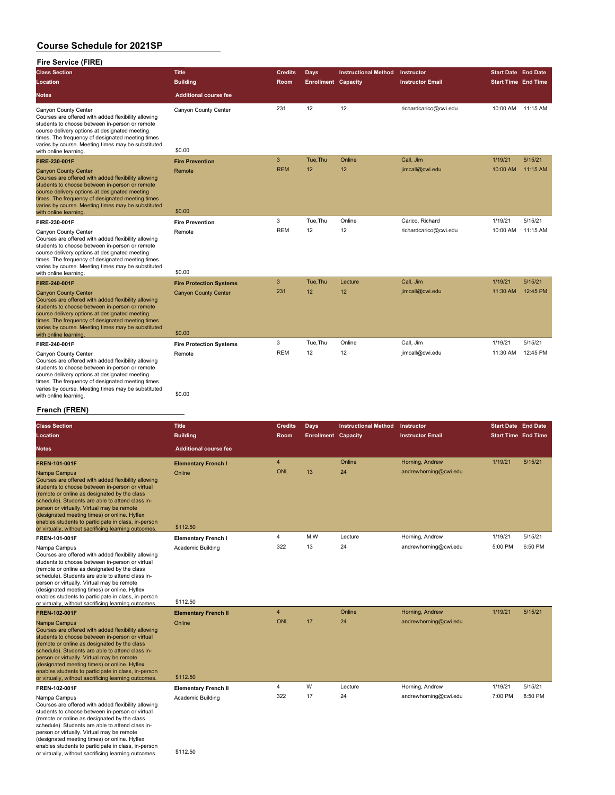**Fire Service (FIRE)**

| <b>Class Section</b>                                                                                                                                                                                                                                                                                                     | <b>Title</b>                          | <b>Credits</b> | <b>Days</b>                | <b>Instructional Method</b> | Instructor              | <b>Start Date End Date</b> |          |
|--------------------------------------------------------------------------------------------------------------------------------------------------------------------------------------------------------------------------------------------------------------------------------------------------------------------------|---------------------------------------|----------------|----------------------------|-----------------------------|-------------------------|----------------------------|----------|
| Location                                                                                                                                                                                                                                                                                                                 | <b>Building</b>                       | Room           | <b>Enrollment Capacity</b> |                             | <b>Instructor Email</b> | <b>Start Time End Time</b> |          |
| <b>Notes</b>                                                                                                                                                                                                                                                                                                             | <b>Additional course fee</b>          |                |                            |                             |                         |                            |          |
| Canyon County Center<br>Courses are offered with added flexibility allowing<br>students to choose between in-person or remote<br>course delivery options at designated meeting<br>times. The frequency of designated meeting times<br>varies by course. Meeting times may be substituted                                 | Canyon County Center<br>\$0.00        | 231            | 12                         | 12                          | richardcarico@cwi.edu   | 10:00 AM 11:15 AM          |          |
| with online learning.<br>FIRE-230-001F                                                                                                                                                                                                                                                                                   | <b>Fire Prevention</b>                | 3              | Tue, Thu                   | Online                      | Call, Jim               | 1/19/21                    | 5/15/21  |
| <b>Canyon County Center</b><br>Courses are offered with added flexibility allowing<br>students to choose between in-person or remote<br>course delivery options at designated meeting<br>times. The frequency of designated meeting times<br>varies by course. Meeting times may be substituted<br>with online learning. | Remote<br>\$0.00                      | <b>REM</b>     | 12                         | 12                          | jimcall@cwi.edu         | 10:00 AM                   | 11:15 AM |
| FIRE-230-001F                                                                                                                                                                                                                                                                                                            | <b>Fire Prevention</b>                | 3              | Tue.Thu                    | Online                      | Carico, Richard         | 1/19/21                    | 5/15/21  |
| Canyon County Center<br>Courses are offered with added flexibility allowing<br>students to choose between in-person or remote<br>course delivery options at designated meeting<br>times. The frequency of designated meeting times<br>varies by course. Meeting times may be substituted<br>with online learning.        | Remote<br>\$0.00                      | <b>REM</b>     | 12                         | 12                          | richardcarico@cwi.edu   | 10:00 AM                   | 11:15 AM |
| FIRE-240-001F                                                                                                                                                                                                                                                                                                            | <b>Fire Protection Systems</b>        | 3              | Tue.Thu                    | Lecture                     | Call, Jim               | 1/19/21                    | 5/15/21  |
| <b>Canyon County Center</b><br>Courses are offered with added flexibility allowing<br>students to choose between in-person or remote<br>course delivery options at designated meeting<br>times. The frequency of designated meeting times<br>varies by course. Meeting times may be substituted<br>with online learning. | <b>Canyon County Center</b><br>\$0.00 | 231            | 12                         | 12                          | jimcall@cwi.edu         | 11:30 AM                   | 12:45 PM |
| FIRE-240-001F                                                                                                                                                                                                                                                                                                            | <b>Fire Protection Systems</b>        | 3              | Tue, Thu                   | Online                      | Call, Jim               | 1/19/21                    | 5/15/21  |
| Canyon County Center<br>Courses are offered with added flexibility allowing<br>students to choose between in-person or remote<br>course delivery options at designated meeting<br>times. The frequency of designated meeting times<br>varies by course. Meeting times may be substituted<br>with online learning.        | Remote<br>\$0.00                      | <b>REM</b>     | 12                         | 12                          | jimcall@cwi.edu         | 11:30 AM                   | 12:45 PM |
| French (FRFN)                                                                                                                                                                                                                                                                                                            |                                       |                |                            |                             |                         |                            |          |

#### **French (FREN)**

| <b>Class Section</b><br>Location                                                                                                                                                                                                                                                                                                                                                                                                        | <b>Title</b><br><b>Building</b>                             | <b>Credits</b><br>Room                | <b>Days</b><br><b>Enrollment Capacity</b> | <b>Instructional Method</b> | Instructor<br><b>Instructor Email</b>    | <b>Start Date End Date</b><br><b>Start Time End Time</b> |         |
|-----------------------------------------------------------------------------------------------------------------------------------------------------------------------------------------------------------------------------------------------------------------------------------------------------------------------------------------------------------------------------------------------------------------------------------------|-------------------------------------------------------------|---------------------------------------|-------------------------------------------|-----------------------------|------------------------------------------|----------------------------------------------------------|---------|
| Notes                                                                                                                                                                                                                                                                                                                                                                                                                                   | <b>Additional course fee</b>                                |                                       |                                           |                             |                                          |                                                          |         |
| <b>FREN-101-001F</b><br>Nampa Campus<br>Courses are offered with added flexibility allowing<br>students to choose between in-person or virtual<br>(remote or online as designated by the class<br>schedule). Students are able to attend class in-<br>person or virtually. Virtual may be remote<br>(designated meeting times) or online. Hyflex<br>enables students to participate in class, in-person                                 | <b>Elementary French I</b><br>Online                        | $\overline{\mathbf{4}}$<br><b>ONL</b> | 13                                        | Online<br>24                | Horning, Andrew<br>andrewhorning@cwi.edu | 1/19/21                                                  | 5/15/21 |
| or virtually, without sacrificing learning outcomes.<br>FREN-101-001F                                                                                                                                                                                                                                                                                                                                                                   | \$112.50                                                    | 4                                     | M,W                                       | Lecture                     | Horning, Andrew                          | 1/19/21                                                  | 5/15/21 |
| Nampa Campus<br>Courses are offered with added flexibility allowing<br>students to choose between in-person or virtual<br>(remote or online as designated by the class<br>schedule). Students are able to attend class in-<br>person or virtually. Virtual may be remote<br>(designated meeting times) or online. Hyflex<br>enables students to participate in class, in-person<br>or virtually, without sacrificing learning outcomes. | <b>Elementary French I</b><br>Academic Building<br>\$112.50 | 322                                   | 13                                        | 24                          | andrewhorning@cwi.edu                    | 5:00 PM                                                  | 6:50 PM |
| <b>FREN-102-001F</b>                                                                                                                                                                                                                                                                                                                                                                                                                    | <b>Elementary French II</b>                                 | $\overline{4}$                        |                                           | Online                      | Horning, Andrew                          | 1/19/21                                                  | 5/15/21 |
| Nampa Campus<br>Courses are offered with added flexibility allowing<br>students to choose between in-person or virtual<br>(remote or online as designated by the class<br>schedule). Students are able to attend class in-<br>person or virtually. Virtual may be remote<br>(designated meeting times) or online. Hyflex<br>enables students to participate in class, in-person<br>or virtually, without sacrificing learning outcomes. | Online<br>\$112.50                                          | <b>ONL</b>                            | 17                                        | 24                          | andrewhorning@cwi.edu                    |                                                          |         |
| <b>FREN-102-001F</b>                                                                                                                                                                                                                                                                                                                                                                                                                    | <b>Elementary French II</b>                                 | 4                                     | W                                         | Lecture                     | Horning, Andrew                          | 1/19/21                                                  | 5/15/21 |
| Nampa Campus<br>Courses are offered with added flexibility allowing<br>students to choose between in-person or virtual<br>(remote or online as designated by the class<br>schedule). Students are able to attend class in-<br>person or virtually. Virtual may be remote<br>(designated meeting times) or online. Hyflex<br>enables students to participate in class, in-person<br>or virtually, without sacrificing learning outcomes. | Academic Building<br>\$112.50                               | 322                                   | 17                                        | 24                          | andrewhorning@cwi.edu                    | 7:00 PM                                                  | 8:50 PM |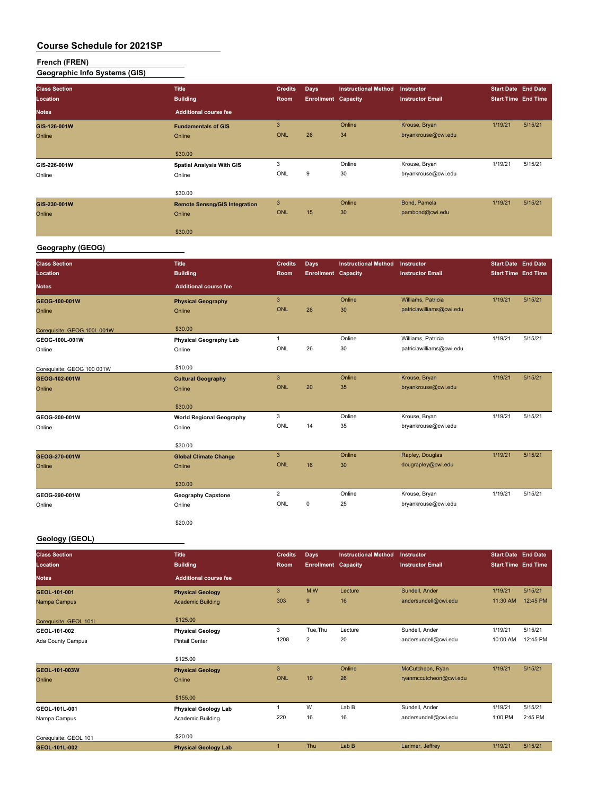### **French (FREN)**

**Geographic Info Systems (GIS)**

| <b>Class Section</b>        | <b>Title</b>                         | <b>Credits</b>                          | <b>Days</b>                | <b>Instructional Method</b> | Instructor                                     | <b>Start Date End Date</b> |          |
|-----------------------------|--------------------------------------|-----------------------------------------|----------------------------|-----------------------------|------------------------------------------------|----------------------------|----------|
| Location                    | <b>Building</b>                      | Room                                    | <b>Enrollment Capacity</b> |                             | <b>Instructor Email</b>                        | <b>Start Time End Time</b> |          |
| Notes                       | <b>Additional course fee</b>         |                                         |                            |                             |                                                |                            |          |
|                             |                                      |                                         |                            |                             |                                                |                            |          |
| GIS-126-001W                | <b>Fundamentals of GIS</b>           | $\ensuremath{\mathsf{3}}$<br><b>ONL</b> | 26                         | Online<br>34                | Krouse, Bryan                                  | 1/19/21                    | 5/15/21  |
| Online                      | Online                               |                                         |                            |                             | bryankrouse@cwi.edu                            |                            |          |
|                             | \$30.00                              |                                         |                            |                             |                                                |                            |          |
| GIS-226-001W                | <b>Spatial Analysis With GIS</b>     | 3                                       |                            | Online                      | Krouse, Bryan                                  | 1/19/21                    | 5/15/21  |
| Online                      | Online                               | ONL                                     | 9                          | 30                          | bryankrouse@cwi.edu                            |                            |          |
|                             |                                      |                                         |                            |                             |                                                |                            |          |
|                             | \$30.00                              |                                         |                            |                             |                                                |                            |          |
| GIS-230-001W                | <b>Remote Sensng/GIS Integration</b> | $\mathbf{3}$<br><b>ONL</b>              |                            | Online                      | Bond, Pamela                                   | 1/19/21                    | 5/15/21  |
| Online                      | Online                               |                                         | 15                         | 30                          | pambond@cwi.edu                                |                            |          |
|                             | \$30.00                              |                                         |                            |                             |                                                |                            |          |
|                             |                                      |                                         |                            |                             |                                                |                            |          |
| Geography (GEOG)            |                                      |                                         |                            |                             |                                                |                            |          |
| <b>Class Section</b>        | <b>Title</b>                         | <b>Credits</b>                          | <b>Days</b>                | <b>Instructional Method</b> | Instructor                                     | <b>Start Date End Date</b> |          |
| Location                    | <b>Building</b>                      | Room                                    | <b>Enrollment Capacity</b> |                             | <b>Instructor Email</b>                        | <b>Start Time End Time</b> |          |
| Notes                       | <b>Additional course fee</b>         |                                         |                            |                             |                                                |                            |          |
|                             |                                      | $\ensuremath{\mathsf{3}}$               |                            |                             |                                                |                            | 5/15/21  |
| GEOG-100-001W               | <b>Physical Geography</b>            | <b>ONL</b>                              | 26                         | Online<br>30                | Williams, Patricia<br>patriciawilliams@cwi.edu | 1/19/21                    |          |
| Online                      | Online                               |                                         |                            |                             |                                                |                            |          |
| Corequisite: GEOG 100L 001W | \$30.00                              |                                         |                            |                             |                                                |                            |          |
| GEOG-100L-001W              | <b>Physical Geography Lab</b>        | $\mathbf{1}$                            |                            | Online                      | Williams, Patricia                             | 1/19/21                    | 5/15/21  |
| Online                      | Online                               | ONL                                     | 26                         | 30                          | patriciawilliams@cwi.edu                       |                            |          |
|                             |                                      |                                         |                            |                             |                                                |                            |          |
| Corequisite: GEOG 100 001W  | \$10.00                              |                                         |                            |                             |                                                |                            |          |
| GEOG-102-001W               | <b>Cultural Geography</b>            | $\ensuremath{\mathsf{3}}$               |                            | Online                      | Krouse, Bryan                                  | 1/19/21                    | 5/15/21  |
| Online                      | Online                               | <b>ONL</b>                              | 20                         | 35                          | bryankrouse@cwi.edu                            |                            |          |
|                             | \$30.00                              |                                         |                            |                             |                                                |                            |          |
| GEOG-200-001W               | <b>World Regional Geography</b>      | 3                                       |                            | Online                      | Krouse, Bryan                                  | 1/19/21                    | 5/15/21  |
| Online                      | Online                               | ONL                                     | 14                         | 35                          | bryankrouse@cwi.edu                            |                            |          |
|                             |                                      |                                         |                            |                             |                                                |                            |          |
|                             | \$30.00                              |                                         |                            |                             |                                                |                            |          |
| GEOG-270-001W               | <b>Global Climate Change</b>         | $\ensuremath{\mathsf{3}}$               |                            | Online                      | Rapley, Douglas                                | 1/19/21                    | 5/15/21  |
| Online                      | Online                               | <b>ONL</b>                              | 16                         | 30                          | dougrapley@cwi.edu                             |                            |          |
|                             |                                      |                                         |                            |                             |                                                |                            |          |
|                             | \$30.00                              | $\overline{2}$                          |                            | Online                      | Krouse, Bryan                                  | 1/19/21                    | 5/15/21  |
| GEOG-290-001W               | <b>Geography Capstone</b><br>Online  | ONL                                     | 0                          | 25                          | bryankrouse@cwi.edu                            |                            |          |
| Online                      |                                      |                                         |                            |                             |                                                |                            |          |
|                             | \$20.00                              |                                         |                            |                             |                                                |                            |          |
|                             |                                      |                                         |                            |                             |                                                |                            |          |
| Geology (GEOL)              |                                      |                                         |                            |                             |                                                |                            |          |
| <b>Class Section</b>        | <b>Title</b>                         | <b>Credits</b>                          | <b>Days</b>                | <b>Instructional Method</b> | Instructor                                     | <b>Start Date End Date</b> |          |
| Location                    | <b>Building</b>                      | Room                                    | <b>Enrollment Capacity</b> |                             | <b>Instructor Email</b>                        | <b>Start Time End Time</b> |          |
| Notes                       | <b>Additional course fee</b>         |                                         |                            |                             |                                                |                            |          |
| GEOL-101-001                | <b>Physical Geology</b>              | $\mathbf{3}$                            | M,W                        | Lecture                     | Sundell, Ander                                 | 1/19/21                    | 5/15/21  |
| Nampa Campus                | <b>Academic Building</b>             | 303                                     | 9                          | 16                          | andersundell@cwi.edu                           | 11:30 AM                   | 12:45 PM |
|                             |                                      |                                         |                            |                             |                                                |                            |          |
| Corequisite: GEOL 101L      | \$125.00                             |                                         |                            |                             |                                                |                            |          |
| GEOL-101-002                | <b>Physical Geology</b>              | 3                                       | Tue, Thu                   | Lecture                     | Sundell, Ander                                 | 1/19/21                    | 5/15/21  |
| Ada County Campus           | Pintail Center                       | 1208                                    | $\overline{c}$             | 20                          | andersundell@cwi.edu                           | 10:00 AM                   | 12:45 PM |
|                             | \$125.00                             |                                         |                            |                             |                                                |                            |          |
| GEOL-101-003W               | <b>Physical Geology</b>              | $\ensuremath{\mathsf{3}}$               |                            | Online                      | McCutcheon, Ryan                               | 1/19/21                    | 5/15/21  |
| Online                      | Online                               | <b>ONL</b>                              | 19                         | 26                          | ryanmccutcheon@cwi.edu                         |                            |          |
|                             |                                      |                                         |                            |                             |                                                |                            |          |
|                             | \$155.00                             |                                         |                            |                             |                                                |                            |          |
| GEOL-101L-001               | <b>Physical Geology Lab</b>          | $\mathbf{1}$                            | W                          | Lab B                       | Sundell, Ander                                 | 1/19/21                    | 5/15/21  |
| Nampa Campus                | Academic Building                    | 220                                     | 16                         | 16                          | andersundell@cwi.edu                           | 1:00 PM                    | 2:45 PM  |
|                             |                                      |                                         |                            |                             |                                                |                            |          |
| Corequisite: GEOL 101       | \$20.00                              | $\mathbf{1}$                            | Thu                        |                             |                                                | 1/19/21                    | 5/15/21  |
| GEOL-101L-002               | <b>Physical Geology Lab</b>          |                                         |                            | Lab B                       | Larimer, Jeffrey                               |                            |          |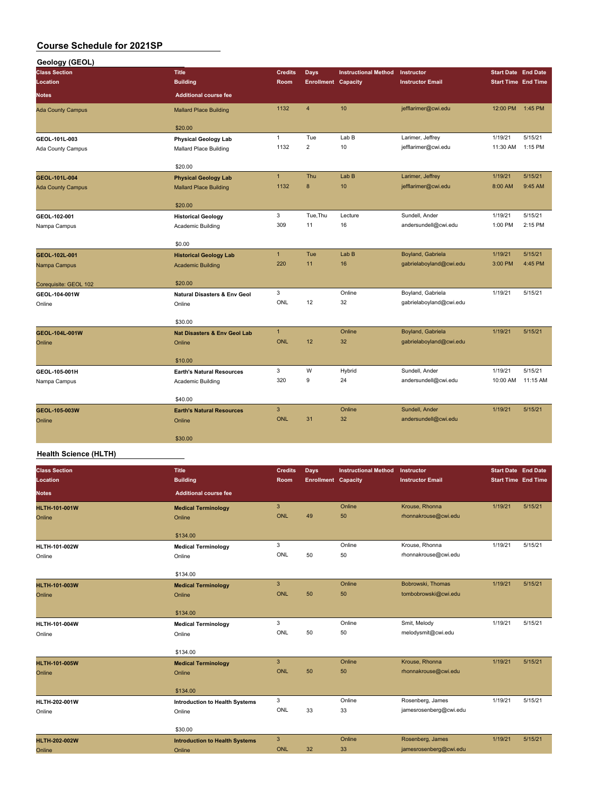| Geology (GEOL)                         |                                         |                |                            |                             |                         |                            |          |
|----------------------------------------|-----------------------------------------|----------------|----------------------------|-----------------------------|-------------------------|----------------------------|----------|
| <b>Class Section</b>                   | <b>Title</b>                            | <b>Credits</b> | <b>Days</b>                | <b>Instructional Method</b> | <b>Instructor</b>       | <b>Start Date End Date</b> |          |
| Location                               | <b>Building</b>                         | Room           | <b>Enrollment Capacity</b> |                             | <b>Instructor Email</b> | <b>Start Time End Time</b> |          |
| <b>Notes</b>                           | <b>Additional course fee</b>            |                |                            |                             |                         |                            |          |
| <b>Ada County Campus</b>               | <b>Mallard Place Building</b>           | 1132           | $\overline{4}$             | 10                          | jefflarimer@cwi.edu     | 12:00 PM                   | 1:45 PM  |
|                                        | \$20.00                                 |                |                            |                             |                         |                            |          |
| GEOL-101L-003                          | <b>Physical Geology Lab</b>             | $\mathbf{1}$   | Tue                        | Lab B                       | Larimer, Jeffrey        | 1/19/21                    | 5/15/21  |
| Ada County Campus                      | Mallard Place Building                  | 1132           | $\overline{2}$             | 10                          | jefflarimer@cwi.edu     | 11:30 AM                   | 1:15 PM  |
|                                        | \$20.00                                 |                |                            |                             |                         |                            |          |
| GEOL-101L-004                          | <b>Physical Geology Lab</b>             | $\mathbf{1}$   | Thu                        | Lab <sub>B</sub>            | Larimer, Jeffrey        | 1/19/21                    | 5/15/21  |
| <b>Ada County Campus</b>               | <b>Mallard Place Building</b>           | 1132           | 8                          | 10                          | jefflarimer@cwi.edu     | 8:00 AM                    | 9:45 AM  |
|                                        | \$20.00                                 |                |                            |                             |                         |                            |          |
| GEOL-102-001                           | <b>Historical Geology</b>               | 3              | Tue, Thu                   | Lecture                     | Sundell, Ander          | 1/19/21                    | 5/15/21  |
| Nampa Campus                           | Academic Building                       | 309            | 11                         | 16                          | andersundell@cwi.edu    | 1:00 PM                    | 2:15 PM  |
|                                        | \$0.00                                  |                |                            |                             |                         |                            |          |
| GEOL-102L-001                          | <b>Historical Geology Lab</b>           | $\mathbf{1}$   | Tue                        | Lab <sub>B</sub>            | Boyland, Gabriela       | 1/19/21                    | 5/15/21  |
| Nampa Campus                           | <b>Academic Building</b>                | 220            | 11                         | 16                          | gabrielaboyland@cwi.edu | 3:00 PM                    | 4:45 PM  |
|                                        | \$20.00                                 |                |                            |                             |                         |                            |          |
| Corequisite: GEOL 102<br>GEOL-104-001W | <b>Natural Disasters &amp; Env Geol</b> | 3              |                            | Online                      | Boyland, Gabriela       | 1/19/21                    | 5/15/21  |
| Online                                 | Online                                  | <b>ONL</b>     | 12                         | 32                          | gabrielaboyland@cwi.edu |                            |          |
|                                        |                                         |                |                            |                             |                         |                            |          |
|                                        | \$30.00                                 |                |                            |                             |                         |                            |          |
| GEOL-104L-001W                         | <b>Nat Disasters &amp; Env Geol Lab</b> | $\mathbf{1}$   |                            | Online                      | Boyland, Gabriela       | 1/19/21                    | 5/15/21  |
| Online                                 | Online                                  | <b>ONL</b>     | 12                         | 32                          | gabrielaboyland@cwi.edu |                            |          |
|                                        | \$10.00                                 |                |                            |                             |                         |                            |          |
| GEOL-105-001H                          | <b>Earth's Natural Resources</b>        | 3              | W                          | Hybrid                      | Sundell, Ander          | 1/19/21                    | 5/15/21  |
| Nampa Campus                           | Academic Building                       | 320            | 9                          | 24                          | andersundell@cwi.edu    | 10:00 AM                   | 11:15 AM |
|                                        | \$40.00                                 |                |                            |                             |                         |                            |          |
| GEOL-105-003W                          | <b>Earth's Natural Resources</b>        | 3              |                            | Online                      | Sundell, Ander          | 1/19/21                    | 5/15/21  |
| Online                                 | Online                                  | <b>ONL</b>     | 31                         | 32                          | andersundell@cwi.edu    |                            |          |
|                                        | \$30.00                                 |                |                            |                             |                         |                            |          |

### **Health Science (HLTH)**

| <b>Class Section</b><br>Location | <b>Title</b><br><b>Building</b>       | <b>Credits</b><br>Room | <b>Days</b><br><b>Enrollment Capacity</b> | <b>Instructional Method</b> | Instructor<br><b>Instructor Email</b> | <b>Start Date End Date</b><br><b>Start Time End Time</b> |         |
|----------------------------------|---------------------------------------|------------------------|-------------------------------------------|-----------------------------|---------------------------------------|----------------------------------------------------------|---------|
| <b>Notes</b>                     | <b>Additional course fee</b>          |                        |                                           |                             |                                       |                                                          |         |
| <b>HLTH-101-001W</b>             | <b>Medical Terminology</b>            | 3                      |                                           | Online                      | Krouse, Rhonna                        | 1/19/21                                                  | 5/15/21 |
| Online                           | Online                                | <b>ONL</b>             | 49                                        | 50                          | rhonnakrouse@cwi.edu                  |                                                          |         |
|                                  | \$134.00                              |                        |                                           |                             |                                       |                                                          |         |
| HLTH-101-002W                    | <b>Medical Terminology</b>            | 3                      |                                           | Online                      | Krouse, Rhonna                        | 1/19/21                                                  | 5/15/21 |
| Online                           | Online                                | ONL                    | 50                                        | 50                          | rhonnakrouse@cwi.edu                  |                                                          |         |
|                                  | \$134.00                              |                        |                                           |                             |                                       |                                                          |         |
| <b>HLTH-101-003W</b>             | <b>Medical Terminology</b>            | 3                      |                                           | Online                      | Bobrowski, Thomas                     | 1/19/21                                                  | 5/15/21 |
| Online                           | Online                                | <b>ONL</b>             | 50                                        | 50                          | tombobrowski@cwi.edu                  |                                                          |         |
|                                  | \$134.00                              |                        |                                           |                             |                                       |                                                          |         |
| HLTH-101-004W                    | <b>Medical Terminology</b>            | 3                      |                                           | Online                      | Smit, Melody                          | 1/19/21                                                  | 5/15/21 |
| Online                           | Online                                | ONL                    | 50                                        | 50                          | melodysmit@cwi.edu                    |                                                          |         |
|                                  | \$134.00                              |                        |                                           |                             |                                       |                                                          |         |
| <b>HLTH-101-005W</b>             | <b>Medical Terminology</b>            | $\mathbf{3}$           |                                           | Online                      | Krouse, Rhonna                        | 1/19/21                                                  | 5/15/21 |
| Online                           | Online                                | ONL                    | 50                                        | 50                          | rhonnakrouse@cwi.edu                  |                                                          |         |
|                                  | \$134.00                              |                        |                                           |                             |                                       |                                                          |         |
| HLTH-202-001W                    | <b>Introduction to Health Systems</b> | 3                      |                                           | Online                      | Rosenberg, James                      | 1/19/21                                                  | 5/15/21 |
| Online                           | Online                                | ONL                    | 33                                        | 33                          | jamesrosenberg@cwi.edu                |                                                          |         |
|                                  | \$30.00                               |                        |                                           |                             |                                       |                                                          |         |
| <b>HLTH-202-002W</b>             | <b>Introduction to Health Systems</b> | $\mathbf{3}$           |                                           | Online                      | Rosenberg, James                      | 1/19/21                                                  | 5/15/21 |
| Online                           | Online                                | <b>ONL</b>             | 32                                        | 33                          | jamesrosenberg@cwi.edu                |                                                          |         |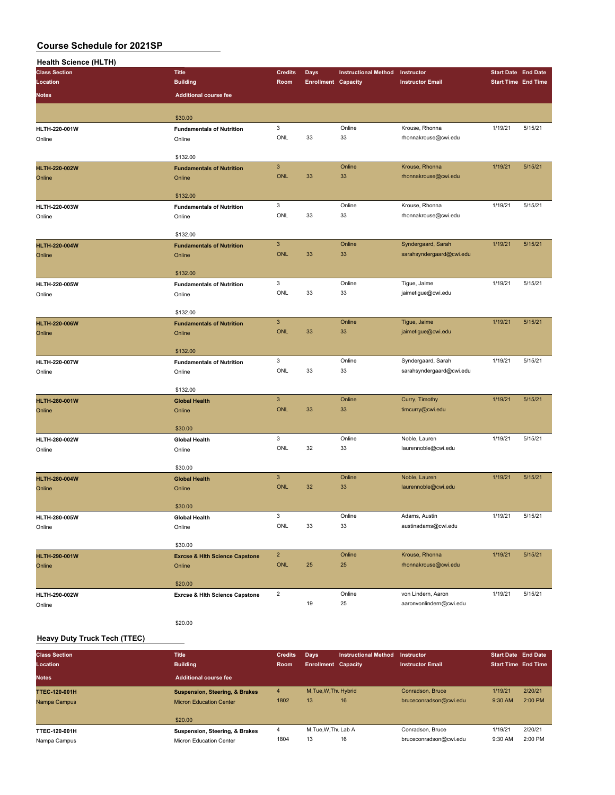| <b>Health Science (HLTH)</b> |                                           |                            |                            |                             |                          |                            |         |
|------------------------------|-------------------------------------------|----------------------------|----------------------------|-----------------------------|--------------------------|----------------------------|---------|
| <b>Class Section</b>         | <b>Title</b>                              | <b>Credits</b>             | <b>Days</b>                | <b>Instructional Method</b> | Instructor               | Start Date End Date        |         |
| Location                     | <b>Building</b>                           | Room                       | <b>Enrollment Capacity</b> |                             | <b>Instructor Email</b>  | <b>Start Time End Time</b> |         |
| <b>Notes</b>                 | <b>Additional course fee</b>              |                            |                            |                             |                          |                            |         |
|                              | \$30.00                                   |                            |                            |                             |                          |                            |         |
|                              |                                           | 3                          |                            | Online                      | Krouse, Rhonna           | 1/19/21                    | 5/15/21 |
| HLTH-220-001W                | <b>Fundamentals of Nutrition</b>          | ONL                        | 33                         | 33                          | rhonnakrouse@cwi.edu     |                            |         |
| Online                       | Online                                    |                            |                            |                             |                          |                            |         |
|                              | \$132.00                                  |                            |                            |                             |                          |                            |         |
| <b>HLTH-220-002W</b>         | <b>Fundamentals of Nutrition</b>          | $\mathbf{3}$               |                            | Online                      | Krouse, Rhonna           | 1/19/21                    | 5/15/21 |
| Online                       | Online                                    | <b>ONL</b>                 | 33                         | 33                          | rhonnakrouse@cwi.edu     |                            |         |
|                              | \$132.00                                  |                            |                            |                             |                          |                            |         |
| HLTH-220-003W                | <b>Fundamentals of Nutrition</b>          | 3                          |                            | Online                      | Krouse, Rhonna           | 1/19/21                    | 5/15/21 |
| Online                       | Online                                    | ONL                        | 33                         | 33                          | rhonnakrouse@cwi.edu     |                            |         |
|                              |                                           |                            |                            |                             |                          |                            |         |
|                              | \$132.00                                  |                            |                            |                             |                          |                            |         |
| <b>HLTH-220-004W</b>         | <b>Fundamentals of Nutrition</b>          | $\mathbf{3}$               |                            | Online                      | Syndergaard, Sarah       | 1/19/21                    | 5/15/21 |
| Online                       | Online                                    | <b>ONL</b>                 | 33                         | 33                          | sarahsyndergaard@cwi.edu |                            |         |
|                              | \$132.00                                  |                            |                            |                             |                          |                            |         |
| HLTH-220-005W                | <b>Fundamentals of Nutrition</b>          | 3                          |                            | Online                      | Tigue, Jaime             | 1/19/21                    | 5/15/21 |
| Online                       | Online                                    | ONL                        | 33                         | 33                          | jaimetigue@cwi.edu       |                            |         |
|                              |                                           |                            |                            |                             |                          |                            |         |
|                              | \$132.00                                  |                            |                            |                             |                          |                            |         |
| <b>HLTH-220-006W</b>         | <b>Fundamentals of Nutrition</b>          | $\mathbf{3}$               |                            | Online                      | Tigue, Jaime             | 1/19/21                    | 5/15/21 |
| Online                       | Online                                    | <b>ONL</b>                 | 33                         | 33                          | jaimetigue@cwi.edu       |                            |         |
|                              | \$132.00                                  |                            |                            |                             |                          |                            |         |
| <b>HLTH-220-007W</b>         | <b>Fundamentals of Nutrition</b>          | 3                          |                            | Online                      | Syndergaard, Sarah       | 1/19/21                    | 5/15/21 |
| Online                       | Online                                    | ONL                        | 33                         | 33                          | sarahsyndergaard@cwi.edu |                            |         |
|                              |                                           |                            |                            |                             |                          |                            |         |
|                              | \$132.00                                  |                            |                            |                             |                          |                            |         |
| <b>HLTH-280-001W</b>         | <b>Global Health</b>                      | $\mathbf{3}$<br><b>ONL</b> |                            | Online                      | Curry, Timothy           | 1/19/21                    | 5/15/21 |
| Online                       | Online                                    |                            | 33                         | 33                          | timcurry@cwi.edu         |                            |         |
|                              | \$30.00                                   |                            |                            |                             |                          |                            |         |
| HLTH-280-002W                | <b>Global Health</b>                      | 3                          |                            | Online                      | Noble, Lauren            | 1/19/21                    | 5/15/21 |
| Online                       | Online                                    | ONL                        | 32                         | 33                          | laurennoble@cwi.edu      |                            |         |
|                              |                                           |                            |                            |                             |                          |                            |         |
|                              | \$30.00                                   |                            |                            |                             |                          |                            |         |
| <b>HLTH-280-004W</b>         | <b>Global Health</b>                      | $\mathbf{3}$               |                            | Online                      | Noble, Lauren            | 1/19/21                    | 5/15/21 |
| Online                       | Online                                    | <b>ONL</b>                 | 32                         | 33                          | laurennoble@cwi.edu      |                            |         |
|                              | \$30.00                                   |                            |                            |                             |                          |                            |         |
| HLTH-280-005W                | <b>Global Health</b>                      | 3                          |                            | Online                      | Adams, Austin            | 1/19/21                    | 5/15/21 |
| Online                       | Online                                    | ONL                        | 33                         | 33                          | austinadams@cwi.edu      |                            |         |
|                              |                                           |                            |                            |                             |                          |                            |         |
|                              | \$30.00                                   |                            |                            |                             |                          |                            |         |
| HLTH-290-001W                | <b>Exrcse &amp; Hith Science Capstone</b> | $\overline{2}$             |                            | Online                      | Krouse, Rhonna           | 1/19/21                    | 5/15/21 |
| Online                       | Online                                    | ONL                        | 25                         | 25                          | rhonnakrouse@cwi.edu     |                            |         |
|                              | \$20.00                                   |                            |                            |                             |                          |                            |         |
| HLTH-290-002W                | Exrcse & Hith Science Capstone            | $\overline{2}$             |                            | Online                      | von Lindern, Aaron       | 1/19/21                    | 5/15/21 |
| Online                       |                                           |                            | 19                         | 25                          | aaronvonlindern@cwi.edu  |                            |         |
|                              |                                           |                            |                            |                             |                          |                            |         |

\$20.00

### **Heavy Duty Truck Tech (TTEC)**

| <b>Class Section</b><br>Location     | <b>Title</b><br><b>Building</b>                                             | <b>Credits</b><br><b>Room</b> | <b>Days</b><br><b>Enrollment Capacity</b> | <b>Instructional Method</b> | Instructor<br><b>Instructor Email</b>      | <b>Start Date End Date</b><br><b>Start Time End Time</b> |                    |
|--------------------------------------|-----------------------------------------------------------------------------|-------------------------------|-------------------------------------------|-----------------------------|--------------------------------------------|----------------------------------------------------------|--------------------|
| <b>Notes</b>                         | <b>Additional course fee</b>                                                |                               |                                           |                             |                                            |                                                          |                    |
| <b>TTEC-120-001H</b><br>Nampa Campus | <b>Suspension, Steering, &amp; Brakes</b><br><b>Micron Education Center</b> | 4<br>1802                     | M.Tue.W.Thu Hybrid<br>13                  | 16                          | Conradson, Bruce<br>bruceconradson@cwi.edu | 1/19/21<br>9:30 AM                                       | 2/20/21<br>2:00 PM |
|                                      | \$20.00                                                                     |                               |                                           |                             |                                            |                                                          |                    |
| <b>TTEC-120-001H</b><br>Nampa Campus | Suspension, Steering, & Brakes<br>Micron Education Center                   | 4<br>1804                     | M, Tue, W, Thu Lab A<br>13                | 16                          | Conradson, Bruce<br>bruceconradson@cwi.edu | 1/19/21<br>9:30 AM                                       | 2/20/21<br>2:00 PM |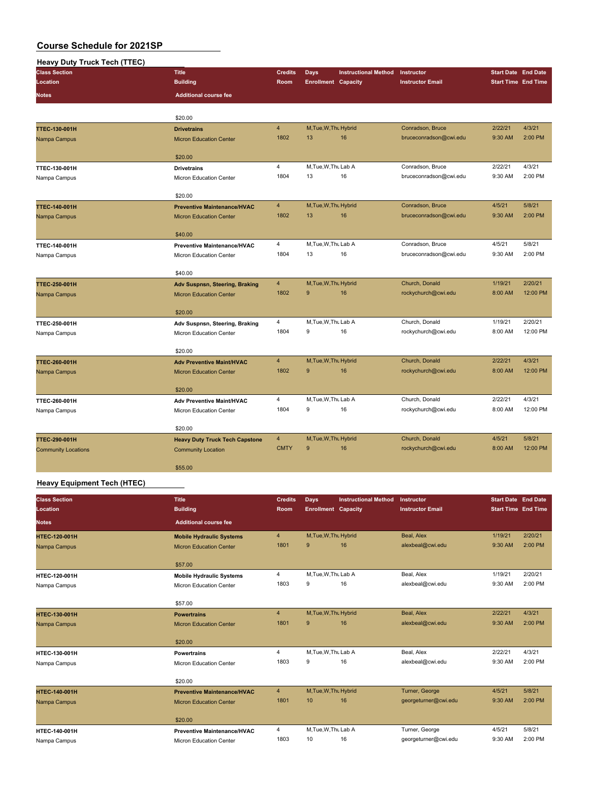| <b>Heavy Duty Truck Tech (TTEC)</b> |                                                                      |                         |                            |                             |                         |                            |          |
|-------------------------------------|----------------------------------------------------------------------|-------------------------|----------------------------|-----------------------------|-------------------------|----------------------------|----------|
| <b>Class Section</b>                | <b>Title</b>                                                         | <b>Credits</b>          | <b>Days</b>                | <b>Instructional Method</b> | Instructor              | <b>Start Date End Date</b> |          |
| Location                            | <b>Building</b>                                                      | Room                    | <b>Enrollment Capacity</b> |                             | <b>Instructor Email</b> | <b>Start Time End Time</b> |          |
| <b>Notes</b>                        | <b>Additional course fee</b>                                         |                         |                            |                             |                         |                            |          |
|                                     | \$20.00                                                              |                         |                            |                             |                         |                            |          |
| <b>TTEC-130-001H</b>                | <b>Drivetrains</b>                                                   | $\overline{\mathbf{4}}$ | M, Tue, W, Thu Hybrid      |                             | Conradson, Bruce        | 2/22/21                    | 4/3/21   |
| Nampa Campus                        | <b>Micron Education Center</b>                                       | 1802                    | 13                         | 16                          | bruceconradson@cwi.edu  | 9:30 AM                    | 2:00 PM  |
|                                     |                                                                      |                         |                            |                             |                         |                            |          |
|                                     | \$20.00                                                              |                         |                            |                             |                         |                            |          |
| <b>TTEC-130-001H</b>                | <b>Drivetrains</b>                                                   | 4                       | M, Tue, W, Thu Lab A       |                             | Conradson, Bruce        | 2/22/21                    | 4/3/21   |
| Nampa Campus                        | Micron Education Center                                              | 1804                    | 13                         | 16                          | bruceconradson@cwi.edu  | 9:30 AM                    | 2:00 PM  |
|                                     |                                                                      |                         |                            |                             |                         |                            |          |
| <b>TTEC-140-001H</b>                | \$20.00                                                              | $\overline{4}$          | M, Tue, W, Thu Hybrid      |                             | Conradson, Bruce        | 4/5/21                     | 5/8/21   |
|                                     | <b>Preventive Maintenance/HVAC</b><br><b>Micron Education Center</b> | 1802                    | 13                         | 16                          | bruceconradson@cwi.edu  | 9:30 AM                    | 2:00 PM  |
| Nampa Campus                        |                                                                      |                         |                            |                             |                         |                            |          |
|                                     | \$40.00                                                              |                         |                            |                             |                         |                            |          |
| <b>TTEC-140-001H</b>                | <b>Preventive Maintenance/HVAC</b>                                   | 4                       | M, Tue, W, Thu Lab A       |                             | Conradson, Bruce        | 4/5/21                     | 5/8/21   |
| Nampa Campus                        | Micron Education Center                                              | 1804                    | 13                         | 16                          | bruceconradson@cwi.edu  | 9:30 AM                    | 2:00 PM  |
|                                     |                                                                      |                         |                            |                             |                         |                            |          |
|                                     | \$40.00                                                              |                         |                            |                             |                         |                            |          |
| <b>TTEC-250-001H</b>                | Adv Suspnsn, Steering, Braking                                       | 4                       | M, Tue, W, Thu Hybrid      |                             | Church, Donald          | 1/19/21                    | 2/20/21  |
| Nampa Campus                        | <b>Micron Education Center</b>                                       | 1802                    | 9                          | 16                          | rockychurch@cwi.edu     | 8:00 AM                    | 12:00 PM |
|                                     | \$20.00                                                              |                         |                            |                             |                         |                            |          |
| TTEC-250-001H                       |                                                                      | 4                       | M, Tue, W, Thu Lab A       |                             | Church, Donald          | 1/19/21                    | 2/20/21  |
| Nampa Campus                        | Adv Suspnsn, Steering, Braking<br>Micron Education Center            | 1804                    | 9                          | 16                          | rockychurch@cwi.edu     | 8:00 AM                    | 12:00 PM |
|                                     |                                                                      |                         |                            |                             |                         |                            |          |
|                                     | \$20.00                                                              |                         |                            |                             |                         |                            |          |
| <b>TTEC-260-001H</b>                | <b>Adv Preventive Maint/HVAC</b>                                     | $\overline{\mathbf{4}}$ | M, Tue, W, Thu Hybrid      |                             | Church, Donald          | 2/22/21                    | 4/3/21   |
| Nampa Campus                        | <b>Micron Education Center</b>                                       | 1802                    | 9                          | 16                          | rockychurch@cwi.edu     | 8:00 AM                    | 12:00 PM |
|                                     |                                                                      |                         |                            |                             |                         |                            |          |
|                                     | \$20.00                                                              |                         |                            |                             |                         |                            |          |
| TTEC-260-001H                       | <b>Adv Preventive Maint/HVAC</b>                                     | 4                       | M, Tue, W, Thu Lab A       |                             | Church, Donald          | 2/22/21                    | 4/3/21   |
| Nampa Campus                        | Micron Education Center                                              | 1804                    | 9                          | 16                          | rockychurch@cwi.edu     | 8:00 AM                    | 12:00 PM |
|                                     |                                                                      |                         |                            |                             |                         |                            |          |
|                                     | \$20.00                                                              | $\overline{4}$          | M, Tue, W, Thu Hybrid      |                             | Church, Donald          | 4/5/21                     | 5/8/21   |
| <b>TTEC-290-001H</b>                | <b>Heavy Duty Truck Tech Capstone</b>                                | <b>CMTY</b>             | 9                          | 16                          | rockychurch@cwi.edu     | 8:00 AM                    | 12:00 PM |
| <b>Community Locations</b>          | <b>Community Location</b>                                            |                         |                            |                             |                         |                            |          |
|                                     | \$55.00                                                              |                         |                            |                             |                         |                            |          |

#### **Heavy Equipment Tech (HTEC)**

| <b>Class Section</b><br>Location | <b>Title</b><br><b>Building</b>    | <b>Credits</b><br><b>Room</b> | Days<br><b>Enrollment Capacity</b> | <b>Instructional Method</b> | Instructor<br><b>Instructor Email</b> | <b>Start Date End Date</b><br><b>Start Time End Time</b> |         |
|----------------------------------|------------------------------------|-------------------------------|------------------------------------|-----------------------------|---------------------------------------|----------------------------------------------------------|---------|
| <b>Notes</b>                     | <b>Additional course fee</b>       |                               |                                    |                             |                                       |                                                          |         |
| <b>HTEC-120-001H</b>             | <b>Mobile Hydraulic Systems</b>    | $\overline{4}$                | M, Tue, W, Thu Hybrid              |                             | Beal, Alex                            | 1/19/21                                                  | 2/20/21 |
| Nampa Campus                     | <b>Micron Education Center</b>     | 1801                          | 9                                  | 16                          | alexbeal@cwi.edu                      | 9:30 AM                                                  | 2:00 PM |
|                                  | \$57.00                            |                               |                                    |                             |                                       |                                                          |         |
| HTEC-120-001H                    | <b>Mobile Hydraulic Systems</b>    | 4                             | M.Tue, W.Thu Lab A                 |                             | Beal, Alex                            | 1/19/21                                                  | 2/20/21 |
| Nampa Campus                     | Micron Education Center            | 1803                          | 9                                  | 16                          | alexbeal@cwi.edu                      | 9:30 AM                                                  | 2:00 PM |
|                                  | \$57.00                            |                               |                                    |                             |                                       |                                                          |         |
| <b>HTEC-130-001H</b>             | <b>Powertrains</b>                 | $\overline{4}$                | M, Tue, W, Thu Hybrid              |                             | Beal, Alex                            | 2/22/21                                                  | 4/3/21  |
| Nampa Campus                     | <b>Micron Education Center</b>     | 1801                          | 9                                  | 16                          | alexbeal@cwi.edu                      | 9:30 AM                                                  | 2:00 PM |
|                                  | \$20.00                            |                               |                                    |                             |                                       |                                                          |         |
| <b>HTEC-130-001H</b>             | <b>Powertrains</b>                 | $\overline{4}$                | M.Tue, W.Thu Lab A                 |                             | Beal, Alex                            | 2/22/21                                                  | 4/3/21  |
| Nampa Campus                     | Micron Education Center            | 1803                          | 9                                  | 16                          | alexbeal@cwi.edu                      | 9:30 AM                                                  | 2:00 PM |
|                                  | \$20.00                            |                               |                                    |                             |                                       |                                                          |         |
| <b>HTEC-140-001H</b>             | <b>Preventive Maintenance/HVAC</b> | $\overline{4}$                | M, Tue, W, Thu Hybrid              |                             | Turner, George                        | 4/5/21                                                   | 5/8/21  |
| Nampa Campus                     | <b>Micron Education Center</b>     | 1801                          | 10                                 | 16                          | georgeturner@cwi.edu                  | 9:30 AM                                                  | 2:00 PM |
|                                  | \$20.00                            |                               |                                    |                             |                                       |                                                          |         |
| HTEC-140-001H                    | <b>Preventive Maintenance/HVAC</b> | $\overline{4}$                | M, Tue, W, Thu Lab A               |                             | Turner, George                        | 4/5/21                                                   | 5/8/21  |
| Nampa Campus                     | <b>Micron Education Center</b>     | 1803                          | 10                                 | 16                          | georgeturner@cwi.edu                  | 9:30 AM                                                  | 2:00 PM |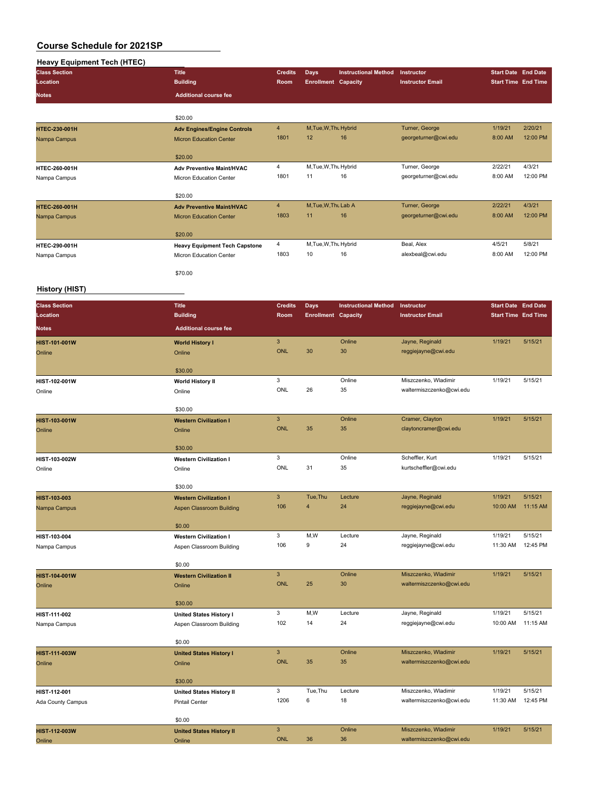# **Heavy Equipment Tech (HTEC) Class Section Title Credits Days Instructional Method Instructor Start Date End Date Location Building Room Enrollment Capacity Instructor Email Start Time End Time Notes Additional course fee** \$20.00 **HTEC-230-001H Adv Engines/Engine Controls** 4 M,Tue,W,ThuHybrid Turner, George 1/19/21 2/20/21 Nampa Campus Micron Education Center 1801 12 16 Georgeturner@cwi.edu 8:00 AM 12:00 PM 12:00 PM 12:00 PM 12:00 PM 12:00 PM 12:00 PM 12:00 PM 12:00 PM 12:00 PM 12:00 PM 12:00 PM 12:00 PM 12:00 PM 12:00 PM 12:00 PM 12:00 PM 1 \$20.00 **HTEC-260-001H Adv Preventive Maint/HVAC** 4 M,Tue,W,ThuHybrid Turner, George 2/22/21 4/3/21 Nampa Campus **Micron Education Center** 1801 11 16 and 1801 11 16 and 1801 11 16 and 12:00 PM 12:00 PM 12:00 PM 12:00 PM 12:00 PM 12:00 PM 12:00 PM 12:00 PM 12:00 PM 12:00 PM 12:00 PM 12:00 PM 12:00 PM 12:00 PM 12:00 PM 12: \$20.00 **HTEC-260-001H Adv Preventive Maint/HVAC** 4 M,Tue,W,ThuLab A Turner, George 2/22/21 4/3/21 Nampa Campus Micron Education Center 1803 11 16 georgeturner@cwi.edu 8:00 AM \$20.00 **HTEC-290-001H Heavy Equipment Tech Capstone** 4 M,Tue,W,ThuHybrid Beal, Alex 4/5/21 5/8/21 Nampa Campus **Micron** Education Center \$70.00

#### **History (HIST)**

| <b>Class Section</b>         | <b>Title</b>                                              | <b>Credits</b>            | <b>Days</b>                | <b>Instructional Method</b> | Instructor               | <b>Start Date End Date</b> |          |
|------------------------------|-----------------------------------------------------------|---------------------------|----------------------------|-----------------------------|--------------------------|----------------------------|----------|
| Location                     | <b>Building</b>                                           | Room                      | <b>Enrollment Capacity</b> |                             | <b>Instructor Email</b>  | <b>Start Time End Time</b> |          |
| <b>Notes</b>                 | <b>Additional course fee</b>                              |                           |                            |                             |                          |                            |          |
| HIST-101-001W                | <b>World History I</b>                                    | $\ensuremath{\mathsf{3}}$ |                            | Online                      | Jayne, Reginald          | 1/19/21                    | 5/15/21  |
| Online                       | Online                                                    | <b>ONL</b>                | 30                         | 30                          | reggiejayne@cwi.edu      |                            |          |
|                              | \$30.00                                                   |                           |                            |                             |                          |                            |          |
| HIST-102-001W                | <b>World History II</b>                                   | 3                         |                            | Online                      | Miszczenko, Wladimir     | 1/19/21                    | 5/15/21  |
| Online                       | Online                                                    | ONL                       | 26                         | 35                          | waltermiszczenko@cwi.edu |                            |          |
|                              | \$30.00                                                   |                           |                            |                             |                          |                            |          |
| HIST-103-001W                | <b>Western Civilization I</b>                             | $\mathsf 3$               |                            | Online                      | Cramer, Clayton          | 1/19/21                    | 5/15/21  |
| Online                       | Online                                                    | <b>ONL</b>                | 35                         | 35                          | claytoncramer@cwi.edu    |                            |          |
|                              | \$30.00                                                   |                           |                            |                             |                          |                            |          |
| HIST-103-002W                | <b>Western Civilization I</b>                             | 3                         |                            | Online                      | Scheffler, Kurt          | 1/19/21                    | 5/15/21  |
| Online                       | Online                                                    | ONL                       | 31                         | 35                          | kurtscheffler@cwi.edu    |                            |          |
|                              |                                                           |                           |                            |                             |                          |                            |          |
|                              | \$30.00                                                   | 3                         | Tue, Thu                   | Lecture                     | Jayne, Reginald          | 1/19/21                    | 5/15/21  |
| HIST-103-003<br>Nampa Campus | <b>Western Civilization I</b><br>Aspen Classroom Building | 106                       | $\overline{\mathbf{4}}$    | 24                          | reggiejayne@cwi.edu      | 10:00 AM                   | 11:15 AM |
|                              |                                                           |                           |                            |                             |                          |                            |          |
|                              | \$0.00                                                    |                           |                            |                             |                          |                            |          |
| HIST-103-004                 | <b>Western Civilization I</b>                             | 3                         | M, W                       | Lecture                     | Jayne, Reginald          | 1/19/21                    | 5/15/21  |
| Nampa Campus                 | Aspen Classroom Building                                  | 106                       | 9                          | 24                          | reggiejayne@cwi.edu      | 11:30 AM                   | 12:45 PM |
|                              | \$0.00                                                    |                           |                            |                             |                          |                            |          |
| HIST-104-001W                | <b>Western Civilization II</b>                            | 3                         |                            | Online                      | Miszczenko, Wladimir     | 1/19/21                    | 5/15/21  |
| Online                       | Online                                                    | <b>ONL</b>                | 25                         | 30                          | waltermiszczenko@cwi.edu |                            |          |
|                              | \$30.00                                                   |                           |                            |                             |                          |                            |          |
| HIST-111-002                 | <b>United States History I</b>                            | 3                         | M,W                        | Lecture                     | Jayne, Reginald          | 1/19/21                    | 5/15/21  |
| Nampa Campus                 | Aspen Classroom Building                                  | 102                       | 14                         | 24                          | reggiejayne@cwi.edu      | 10:00 AM                   | 11:15 AM |
|                              | \$0.00                                                    |                           |                            |                             |                          |                            |          |
| HIST-111-003W                | <b>United States History I</b>                            | 3                         |                            | Online                      | Miszczenko, Wladimir     | 1/19/21                    | 5/15/21  |
| Online                       | Online                                                    | <b>ONL</b>                | 35                         | 35                          | waltermiszczenko@cwi.edu |                            |          |
|                              |                                                           |                           |                            |                             |                          |                            |          |
|                              | \$30.00                                                   |                           |                            |                             |                          |                            |          |
| HIST-112-001                 | <b>United States History II</b>                           | 3                         | Tue, Thu                   | Lecture                     | Miszczenko, Wladimir     | 1/19/21                    | 5/15/21  |
| Ada County Campus            | <b>Pintail Center</b>                                     | 1206                      | 6                          | 18                          | waltermiszczenko@cwi.edu | 11:30 AM                   | 12:45 PM |
|                              | \$0.00                                                    |                           |                            |                             |                          |                            |          |
| HIST-112-003W                | <b>United States History II</b>                           | $\mathbf{3}$              |                            | Online                      | Miszczenko, Wladimir     | 1/19/21                    | 5/15/21  |
| Online                       | Online                                                    | <b>ONL</b>                | 36                         | 36                          | waltermiszczenko@cwi.edu |                            |          |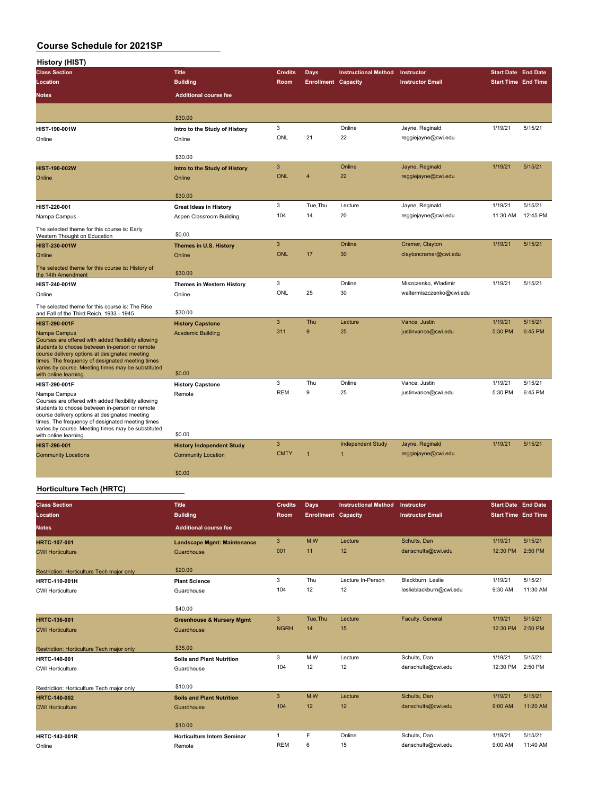| <b>History (HIST)</b>                                                                                                                                                                                                                                                                                     |                                    |                |                            |                             |                          |                            |          |
|-----------------------------------------------------------------------------------------------------------------------------------------------------------------------------------------------------------------------------------------------------------------------------------------------------------|------------------------------------|----------------|----------------------------|-----------------------------|--------------------------|----------------------------|----------|
| <b>Class Section</b>                                                                                                                                                                                                                                                                                      | <b>Title</b>                       | <b>Credits</b> | <b>Days</b>                | <b>Instructional Method</b> | Instructor               | <b>Start Date End Date</b> |          |
| Location                                                                                                                                                                                                                                                                                                  | <b>Building</b>                    | Room           | <b>Enrollment Capacity</b> |                             | <b>Instructor Email</b>  | <b>Start Time End Time</b> |          |
| <b>Notes</b>                                                                                                                                                                                                                                                                                              | <b>Additional course fee</b>       |                |                            |                             |                          |                            |          |
|                                                                                                                                                                                                                                                                                                           | \$30.00                            |                |                            |                             |                          |                            |          |
| HIST-190-001W                                                                                                                                                                                                                                                                                             | Intro to the Study of History      | 3              |                            | Online                      | Jayne, Reginald          | 1/19/21                    | 5/15/21  |
| Online                                                                                                                                                                                                                                                                                                    | Online                             | ONL            | 21                         | 22                          | reggiejayne@cwi.edu      |                            |          |
|                                                                                                                                                                                                                                                                                                           | \$30.00                            |                |                            |                             |                          |                            |          |
| <b>HIST-190-002W</b>                                                                                                                                                                                                                                                                                      | Intro to the Study of History      | 3              |                            | Online                      | Jayne, Reginald          | 1/19/21                    | 5/15/21  |
| Online                                                                                                                                                                                                                                                                                                    | Online                             | <b>ONL</b>     | $\overline{4}$             | 22                          | reggiejayne@cwi.edu      |                            |          |
|                                                                                                                                                                                                                                                                                                           | \$30.00                            |                |                            |                             |                          |                            |          |
| HIST-220-001                                                                                                                                                                                                                                                                                              | <b>Great Ideas in History</b>      | 3              | Tue, Thu                   | Lecture                     | Jayne, Reginald          | 1/19/21                    | 5/15/21  |
| Nampa Campus                                                                                                                                                                                                                                                                                              | Aspen Classroom Building           | 104            | 14                         | 20                          | reggiejayne@cwi.edu      | 11:30 AM                   | 12:45 PM |
| The selected theme for this course is: Early<br>Western Thought on Education                                                                                                                                                                                                                              | \$0.00                             |                |                            |                             |                          |                            |          |
| HIST-230-001W                                                                                                                                                                                                                                                                                             | Themes in U.S. History             | 3              |                            | Online                      | Cramer, Clayton          | 1/19/21                    | 5/15/21  |
| Online                                                                                                                                                                                                                                                                                                    | Online                             | <b>ONL</b>     | 17                         | 30                          | claytoncramer@cwi.edu    |                            |          |
| The selected theme for this course is: History of<br>the 14th Amendment                                                                                                                                                                                                                                   | \$30.00                            |                |                            |                             |                          |                            |          |
| HIST-240-001W                                                                                                                                                                                                                                                                                             | Themes in Western History          | 3              |                            | Online                      | Miszczenko, Wladimir     | 1/19/21                    | 5/15/21  |
| Online                                                                                                                                                                                                                                                                                                    | Online                             | ONL            | 25                         | 30                          | waltermiszczenko@cwi.edu |                            |          |
| The selected theme for this course is: The Rise<br>and Fall of the Third Reich, 1933 - 1945                                                                                                                                                                                                               | \$30.00                            |                |                            |                             |                          |                            |          |
| <b>HIST-290-001F</b>                                                                                                                                                                                                                                                                                      | <b>History Capstone</b>            | 3              | Thu                        | Lecture                     | Vance, Justin            | 1/19/21                    | 5/15/21  |
| Nampa Campus<br>Courses are offered with added flexibility allowing<br>students to choose between in-person or remote<br>course delivery options at designated meeting<br>times. The frequency of designated meeting times<br>varies by course. Meeting times may be substituted<br>with online learning. | <b>Academic Building</b><br>\$0.00 | 311            | 9                          | 25                          | justinvance@cwi.edu      | 5:30 PM                    | 6:45 PM  |
| HIST-290-001F                                                                                                                                                                                                                                                                                             | <b>History Capstone</b>            | 3              | Thu                        | Online                      | Vance, Justin            | 1/19/21                    | 5/15/21  |
| Nampa Campus<br>Courses are offered with added flexibility allowing<br>students to choose between in-person or remote<br>course delivery options at designated meeting<br>times. The frequency of designated meeting times<br>varies by course. Meeting times may be substituted                          | Remote<br>\$0.00                   | <b>REM</b>     | 9                          | 25                          | justinvance@cwi.edu      | 5:30 PM                    | 6:45 PM  |
| with online learning.<br>HIST-296-001                                                                                                                                                                                                                                                                     | <b>History Independent Study</b>   | 3              |                            | <b>Independent Study</b>    | Jayne, Reginald          | 1/19/21                    | 5/15/21  |
| <b>Community Locations</b>                                                                                                                                                                                                                                                                                | <b>Community Location</b>          | <b>CMTY</b>    | $\overline{1}$             | $\overline{1}$              | reggiejayne@cwi.edu      |                            |          |
|                                                                                                                                                                                                                                                                                                           | \$0.00                             |                |                            |                             |                          |                            |          |

### **Horticulture Tech (HRTC)**

| <b>Class Section</b><br>Location          | <b>Title</b><br><b>Building</b>      | <b>Credits</b><br><b>Room</b> | Days<br><b>Enrollment Capacity</b> | <b>Instructional Method</b> | Instructor<br><b>Instructor Email</b> | <b>Start Date End Date</b><br><b>Start Time End Time</b> |          |
|-------------------------------------------|--------------------------------------|-------------------------------|------------------------------------|-----------------------------|---------------------------------------|----------------------------------------------------------|----------|
| <b>Notes</b>                              | <b>Additional course fee</b>         |                               |                                    |                             |                                       |                                                          |          |
| <b>HRTC-107-001</b>                       | Landscape Mgmt: Maintenance          | 3                             | M.W                                | Lecture                     | Schults, Dan                          | 1/19/21                                                  | 5/15/21  |
| <b>CWI Horticulture</b>                   | Guardhouse                           | 001                           | 11                                 | 12                          | danschults@cwi.edu                    | 12:30 PM                                                 | 2:50 PM  |
| Restriction: Horticulture Tech major only | \$20.00                              |                               |                                    |                             |                                       |                                                          |          |
| <b>HRTC-110-001H</b>                      | <b>Plant Science</b>                 | 3                             | Thu                                | Lecture In-Person           | Blackburn, Leslie                     | 1/19/21                                                  | 5/15/21  |
| <b>CWI Horticulture</b>                   | Guardhouse                           | 104                           | 12                                 | 12                          | leslieblackburn@cwi.edu               | 9:30 AM                                                  | 11:30 AM |
|                                           | \$40.00                              |                               |                                    |                             |                                       |                                                          |          |
| HRTC-136-001                              | <b>Greenhouse &amp; Nursery Mgmt</b> | 3                             | Tue, Thu                           | Lecture                     | Faculty, General                      | 1/19/21                                                  | 5/15/21  |
| <b>CWI Horticulture</b>                   | Guardhouse                           | <b>NGRH</b>                   | 14                                 | 15                          |                                       | 12:30 PM                                                 | 2:50 PM  |
| Restriction: Horticulture Tech major only | \$35.00                              |                               |                                    |                             |                                       |                                                          |          |
| HRTC-140-001                              | <b>Soils and Plant Nutrition</b>     | 3                             | M,W                                | Lecture                     | Schults, Dan                          | 1/19/21                                                  | 5/15/21  |
| <b>CWI Horticulture</b>                   | Guardhouse                           | 104                           | 12                                 | 12                          | danschults@cwi.edu                    | 12:30 PM                                                 | 2:50 PM  |
| Restriction: Horticulture Tech major only | \$10.00                              |                               |                                    |                             |                                       |                                                          |          |
| <b>HRTC-140-002</b>                       | <b>Soils and Plant Nutrition</b>     | 3                             | M.W                                | Lecture                     | Schults, Dan                          | 1/19/21                                                  | 5/15/21  |
| <b>CWI Horticulture</b>                   | Guardhouse                           | 104                           | 12                                 | 12                          | danschults@cwi.edu                    | 9:00 AM                                                  | 11:20 AM |
|                                           | \$10.00                              |                               |                                    |                             |                                       |                                                          |          |
| HRTC-143-001R                             | <b>Horticulture Intern Seminar</b>   | $\mathbf{1}$                  | F                                  | Online                      | Schults, Dan                          | 1/19/21                                                  | 5/15/21  |
| Online                                    | Remote                               | <b>REM</b>                    | 6                                  | 15                          | danschults@cwi.edu                    | 9:00 AM                                                  | 11:40 AM |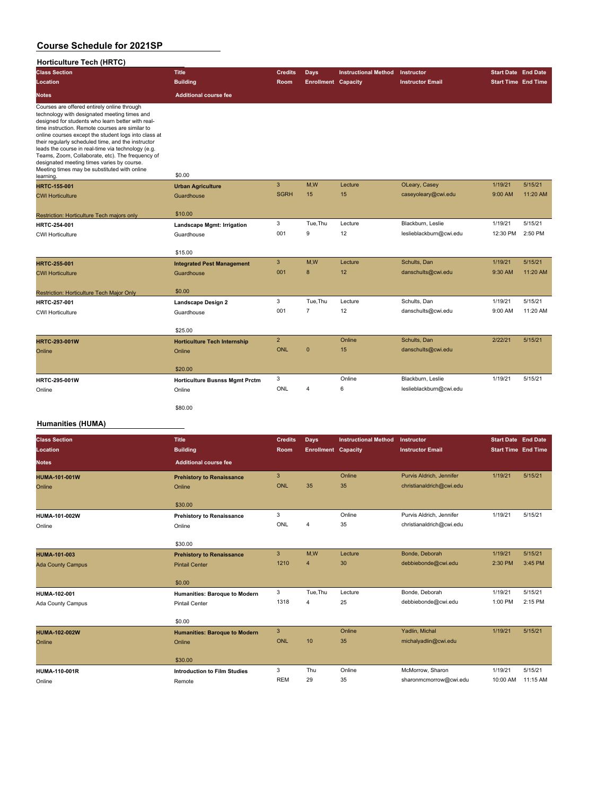#### **Horticulture Tech (HRTC)**

| <b>Class Section</b>                                                                                                                                                                                                                                                                                                                                                                                                                                                                                                                   | <b>Title</b>                          | <b>Credits</b> | <b>Days</b>                | <b>Instructional Method</b> | Instructor              | <b>Start Date End Date</b> |          |
|----------------------------------------------------------------------------------------------------------------------------------------------------------------------------------------------------------------------------------------------------------------------------------------------------------------------------------------------------------------------------------------------------------------------------------------------------------------------------------------------------------------------------------------|---------------------------------------|----------------|----------------------------|-----------------------------|-------------------------|----------------------------|----------|
| Location                                                                                                                                                                                                                                                                                                                                                                                                                                                                                                                               | <b>Building</b>                       | Room           | <b>Enrollment Capacity</b> |                             | <b>Instructor Email</b> | <b>Start Time End Time</b> |          |
| <b>Notes</b>                                                                                                                                                                                                                                                                                                                                                                                                                                                                                                                           | <b>Additional course fee</b>          |                |                            |                             |                         |                            |          |
| Courses are offered entirely online through<br>technology with designated meeting times and<br>designed for students who learn better with real-<br>time instruction. Remote courses are similar to<br>online courses except the student logs into class at<br>their regularly scheduled time, and the instructor<br>leads the course in real-time via technology (e.g.<br>Teams, Zoom, Collaborate, etc). The frequency of<br>designated meeting times varies by course.<br>Meeting times may be substituted with online<br>learning. | \$0.00                                |                |                            |                             |                         |                            |          |
| HRTC-155-001                                                                                                                                                                                                                                                                                                                                                                                                                                                                                                                           | <b>Urban Agriculture</b>              | $\overline{3}$ | M.W                        | Lecture                     | OLeary, Casey           | 1/19/21                    | 5/15/21  |
| <b>CWI Horticulture</b>                                                                                                                                                                                                                                                                                                                                                                                                                                                                                                                | Guardhouse                            | <b>SGRH</b>    | 15                         | 15                          | caseyoleary@cwi.edu     | 9:00 AM                    | 11:20 AM |
| Restriction: Horticulture Tech majors only                                                                                                                                                                                                                                                                                                                                                                                                                                                                                             | \$10.00                               |                |                            |                             |                         |                            |          |
| HRTC-254-001                                                                                                                                                                                                                                                                                                                                                                                                                                                                                                                           | Landscape Mgmt: Irrigation            | 3              | Tue.Thu                    | Lecture                     | Blackburn, Leslie       | 1/19/21                    | 5/15/21  |
| <b>CWI Horticulture</b>                                                                                                                                                                                                                                                                                                                                                                                                                                                                                                                | Guardhouse                            | 001            | 9                          | 12                          | leslieblackburn@cwi.edu | 12:30 PM                   | 2:50 PM  |
|                                                                                                                                                                                                                                                                                                                                                                                                                                                                                                                                        | \$15.00                               |                |                            |                             |                         |                            |          |
| <b>HRTC-255-001</b>                                                                                                                                                                                                                                                                                                                                                                                                                                                                                                                    | <b>Integrated Pest Management</b>     | 3              | M,W                        | Lecture                     | Schults, Dan            | 1/19/21                    | 5/15/21  |
| <b>CWI Horticulture</b>                                                                                                                                                                                                                                                                                                                                                                                                                                                                                                                | Guardhouse                            | 001            | 8                          | 12                          | danschults@cwi.edu      | 9:30 AM                    | 11:20 AM |
| <b>Restriction: Horticulture Tech Major Only</b>                                                                                                                                                                                                                                                                                                                                                                                                                                                                                       | \$0.00                                |                |                            |                             |                         |                            |          |
| HRTC-257-001                                                                                                                                                                                                                                                                                                                                                                                                                                                                                                                           | <b>Landscape Design 2</b>             | 3              | Tue.Thu                    | Lecture                     | Schults, Dan            | 1/19/21                    | 5/15/21  |
| <b>CWI Horticulture</b>                                                                                                                                                                                                                                                                                                                                                                                                                                                                                                                | Guardhouse                            | 001            | $\overline{7}$             | 12                          | danschults@cwi.edu      | 9:00 AM                    | 11:20 AM |
|                                                                                                                                                                                                                                                                                                                                                                                                                                                                                                                                        |                                       |                |                            |                             |                         |                            |          |
|                                                                                                                                                                                                                                                                                                                                                                                                                                                                                                                                        | \$25.00                               | $\overline{2}$ |                            | Online                      | Schults, Dan            | 2/22/21                    | 5/15/21  |
| <b>HRTC-293-001W</b>                                                                                                                                                                                                                                                                                                                                                                                                                                                                                                                   | <b>Horticulture Tech Internship</b>   | <b>ONL</b>     | $\mathbf{0}$               | 15                          | danschults@cwi.edu      |                            |          |
| Online                                                                                                                                                                                                                                                                                                                                                                                                                                                                                                                                 | Online                                |                |                            |                             |                         |                            |          |
|                                                                                                                                                                                                                                                                                                                                                                                                                                                                                                                                        | \$20.00                               |                |                            |                             |                         |                            |          |
| <b>HRTC-295-001W</b>                                                                                                                                                                                                                                                                                                                                                                                                                                                                                                                   | <b>Horticulture Busnss Mgmt Prctm</b> | 3              |                            | Online                      | Blackburn, Leslie       | 1/19/21                    | 5/15/21  |
| Online                                                                                                                                                                                                                                                                                                                                                                                                                                                                                                                                 | Online                                | ONL            | $\overline{4}$             | 6                           | leslieblackburn@cwi.edu |                            |          |
|                                                                                                                                                                                                                                                                                                                                                                                                                                                                                                                                        | \$80.00                               |                |                            |                             |                         |                            |          |

#### **Humanities (HUMA)**

| <b>Class Section</b><br>Location | <b>Title</b><br><b>Building</b>      | <b>Credits</b><br>Room | Days<br><b>Enrollment Capacity</b> | <b>Instructional Method</b> | Instructor<br><b>Instructor Email</b> | <b>Start Date End Date</b><br><b>Start Time End Time</b> |          |
|----------------------------------|--------------------------------------|------------------------|------------------------------------|-----------------------------|---------------------------------------|----------------------------------------------------------|----------|
| <b>Notes</b>                     | <b>Additional course fee</b>         |                        |                                    |                             |                                       |                                                          |          |
| <b>HUMA-101-001W</b>             | <b>Prehistory to Renaissance</b>     | $\mathbf{3}$           |                                    | Online                      | Purvis Aldrich, Jennifer              | 1/19/21                                                  | 5/15/21  |
| Online                           | Online                               | ONL                    | 35                                 | 35                          | christianaldrich@cwi.edu              |                                                          |          |
|                                  | \$30.00                              |                        |                                    |                             |                                       |                                                          |          |
| HUMA-101-002W                    | <b>Prehistory to Renaissance</b>     | 3                      |                                    | Online                      | Purvis Aldrich, Jennifer              | 1/19/21                                                  | 5/15/21  |
| Online                           | Online                               | ONL                    | $\overline{4}$                     | 35                          | christianaldrich@cwi.edu              |                                                          |          |
|                                  | \$30.00                              |                        |                                    |                             |                                       |                                                          |          |
| <b>HUMA-101-003</b>              | <b>Prehistory to Renaissance</b>     | $\mathbf{3}$           | M,W                                | Lecture                     | Bonde, Deborah                        | 1/19/21                                                  | 5/15/21  |
| <b>Ada County Campus</b>         | <b>Pintail Center</b>                | 1210                   | $\overline{4}$                     | 30                          | debbiebonde@cwi.edu                   | 2:30 PM                                                  | 3:45 PM  |
|                                  | \$0.00                               |                        |                                    |                             |                                       |                                                          |          |
| HUMA-102-001                     | Humanities: Baroque to Modern        | 3                      | Tue, Thu                           | Lecture                     | Bonde, Deborah                        | 1/19/21                                                  | 5/15/21  |
| Ada County Campus                | <b>Pintail Center</b>                | 1318                   | 4                                  | 25                          | debbiebonde@cwi.edu                   | 1:00 PM                                                  | 2:15 PM  |
|                                  | \$0.00                               |                        |                                    |                             |                                       |                                                          |          |
| <b>HUMA-102-002W</b>             | <b>Humanities: Baroque to Modern</b> | $\mathbf{3}$           |                                    | Online                      | Yadlin, Michal                        | 1/19/21                                                  | 5/15/21  |
| Online                           | Online                               | ONL                    | 10                                 | 35                          | michalyadlin@cwi.edu                  |                                                          |          |
|                                  | \$30.00                              |                        |                                    |                             |                                       |                                                          |          |
| <b>HUMA-110-001R</b>             | <b>Introduction to Film Studies</b>  | 3                      | Thu                                | Online                      | McMorrow, Sharon                      | 1/19/21                                                  | 5/15/21  |
| Online                           | Remote                               | <b>REM</b>             | 29                                 | 35                          | sharonmcmorrow@cwi.edu                | 10:00 AM                                                 | 11:15 AM |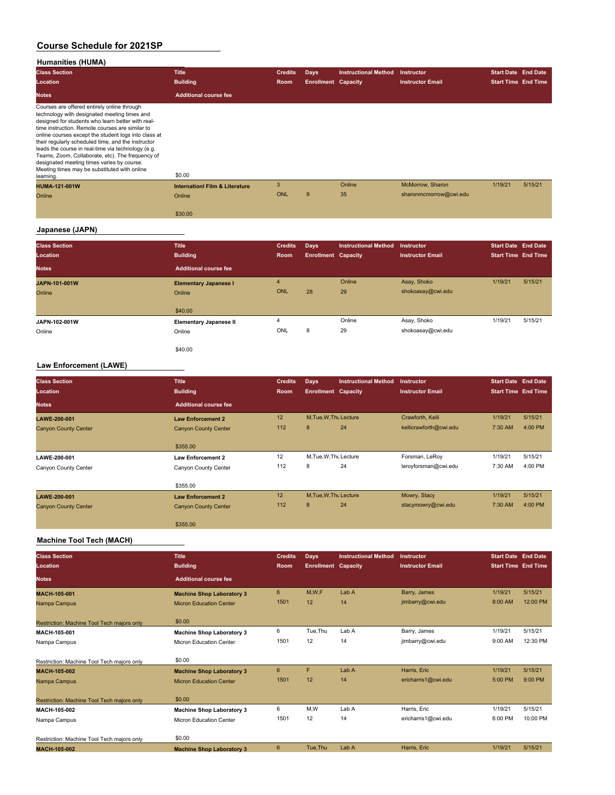### **Humanities (HUMA)**

| <b>Class Section</b>                                                                                                                                                                                                                                                                                                                                                                                                                                                                                                                   | <b>Title</b>                              | <b>Credits</b> | <b>Days</b>                | <b>Instructional Method</b> | Instructor              | <b>Start Date End Date</b> |         |
|----------------------------------------------------------------------------------------------------------------------------------------------------------------------------------------------------------------------------------------------------------------------------------------------------------------------------------------------------------------------------------------------------------------------------------------------------------------------------------------------------------------------------------------|-------------------------------------------|----------------|----------------------------|-----------------------------|-------------------------|----------------------------|---------|
| Location                                                                                                                                                                                                                                                                                                                                                                                                                                                                                                                               | <b>Building</b>                           | Room           | <b>Enrollment Capacity</b> |                             | <b>Instructor Email</b> | <b>Start Time End Time</b> |         |
| <b>Notes</b>                                                                                                                                                                                                                                                                                                                                                                                                                                                                                                                           | <b>Additional course fee</b>              |                |                            |                             |                         |                            |         |
| Courses are offered entirely online through<br>technology with designated meeting times and<br>designed for students who learn better with real-<br>time instruction. Remote courses are similar to<br>online courses except the student logs into class at<br>their regularly scheduled time, and the instructor<br>leads the course in real-time via technology (e.g.<br>Teams, Zoom, Collaborate, etc). The frequency of<br>designated meeting times varies by course.<br>Meeting times may be substituted with online<br>learning. | \$0.00                                    |                |                            |                             |                         |                            |         |
| <b>HUMA-121-001W</b>                                                                                                                                                                                                                                                                                                                                                                                                                                                                                                                   | <b>Internationl Film &amp; Literature</b> | 3              |                            | Online                      | McMorrow, Sharon        | 1/19/21                    | 5/15/21 |
| Online                                                                                                                                                                                                                                                                                                                                                                                                                                                                                                                                 | Online                                    | ONL            | 9                          | 35                          | sharonmcmorrow@cwi.edu  |                            |         |
|                                                                                                                                                                                                                                                                                                                                                                                                                                                                                                                                        | \$30.00                                   |                |                            |                             |                         |                            |         |

# **Japanese (JAPN)**

| <b>Class Section</b><br>Location<br><b>Notes</b> | <b>Title</b><br><b>Building</b><br><b>Additional course fee</b> | <b>Credits</b><br>Room | <b>Days</b><br><b>Enrollment Capacity</b> | <b>Instructional Method</b> | Instructor<br><b>Instructor Email</b> | <b>Start Date End Date</b><br><b>Start Time End Time</b> |         |
|--------------------------------------------------|-----------------------------------------------------------------|------------------------|-------------------------------------------|-----------------------------|---------------------------------------|----------------------------------------------------------|---------|
|                                                  |                                                                 |                        |                                           |                             |                                       |                                                          |         |
| JAPN-101-001W                                    | <b>Elementary Japanese I</b>                                    | $\overline{4}$         |                                           | Online                      | Asay, Shoko                           | 1/19/21                                                  | 5/15/21 |
| Online                                           | Online                                                          | ONL                    | 28                                        | 29                          | shokoasay@cwi.edu                     |                                                          |         |
|                                                  |                                                                 |                        |                                           |                             |                                       |                                                          |         |
|                                                  | \$40.00                                                         |                        |                                           |                             |                                       |                                                          |         |
| JAPN-102-001W                                    | <b>Elementary Japanese II</b>                                   | 4                      |                                           | Online                      | Asay, Shoko                           | 1/19/21                                                  | 5/15/21 |
| Online                                           | Online                                                          | <b>ONL</b>             | 8                                         | 29                          | shokoasay@cwi.edu                     |                                                          |         |
|                                                  |                                                                 |                        |                                           |                             |                                       |                                                          |         |
|                                                  | \$40.00                                                         |                        |                                           |                             |                                       |                                                          |         |

#### **Law Enforcement (LAWE)**

| <b>Class Section</b>        | <b>Title</b>                 | <b>Credits</b> | <b>Days</b>                | <b>Instructional Method</b> | <b>Instructor</b>       | <b>Start Date End Date</b> |         |
|-----------------------------|------------------------------|----------------|----------------------------|-----------------------------|-------------------------|----------------------------|---------|
| Location                    | <b>Building</b>              | Room           | <b>Enrollment Capacity</b> |                             | <b>Instructor Email</b> | <b>Start Time End Time</b> |         |
| <b>Notes</b>                | <b>Additional course fee</b> |                |                            |                             |                         |                            |         |
| LAWE-200-001                | <b>Law Enforcement 2</b>     | 12             | M, Tue, W, Thu Lecture     |                             | Crawforth, Kelli        | 1/19/21                    | 5/15/21 |
| <b>Canyon County Center</b> | <b>Canyon County Center</b>  | 112            | 8                          | 24                          | kellicrawforth@cwi.edu  | 7:30 AM                    | 4:00 PM |
|                             | \$355.00                     |                |                            |                             |                         |                            |         |
| LAWE-200-001                | <b>Law Enforcement 2</b>     | 12             | M, Tue, W, Thu Lecture     |                             | Forsman, LeRoy          | 1/19/21                    | 5/15/21 |
| Canyon County Center        | Canyon County Center         | 112            | 8                          | 24                          | leroyforsman@cwi.edu    | 7:30 AM                    | 4:00 PM |
|                             | \$355.00                     |                |                            |                             |                         |                            |         |
| LAWE-200-001                | <b>Law Enforcement 2</b>     | 12             | M, Tue, W, Thu Lecture     |                             | Mowry, Stacy            | 1/19/21                    | 5/15/21 |
| <b>Canyon County Center</b> | <b>Canyon County Center</b>  | 112            | 8                          | 24                          | stacymowry@cwi.edu      | 7:30 AM                    | 4:00 PM |
|                             | \$355.00                     |                |                            |                             |                         |                            |         |

#### **Machine Tool Tech (MACH)**

| <b>Class Section</b>                       | <b>Title</b>                     | <b>Credits</b> | <b>Days</b>                | <b>Instructional Method</b> | Instructor              | <b>Start Date End Date</b> |          |
|--------------------------------------------|----------------------------------|----------------|----------------------------|-----------------------------|-------------------------|----------------------------|----------|
| Location                                   | <b>Building</b>                  | <b>Room</b>    | <b>Enrollment Capacity</b> |                             | <b>Instructor Email</b> | <b>Start Time End Time</b> |          |
| <b>Notes</b>                               | <b>Additional course fee</b>     |                |                            |                             |                         |                            |          |
| MACH-105-001                               | <b>Machine Shop Laboratory 3</b> | 6              | M,W,F                      | Lab A                       | Barry, James            | 1/19/21                    | 5/15/21  |
| Nampa Campus                               | <b>Micron Education Center</b>   | 1501           | 12                         | 14                          | jimbarry@cwi.edu        | 8:00 AM                    | 12:00 PM |
| Restriction: Machine Tool Tech majors only | \$0.00                           |                |                            |                             |                         |                            |          |
| MACH-105-001                               | <b>Machine Shop Laboratory 3</b> | 6              | Tue, Thu                   | Lab A                       | Barry, James            | 1/19/21                    | 5/15/21  |
| Nampa Campus                               | Micron Education Center          | 1501           | 12                         | 14                          | jimbarry@cwi.edu        | 9:00 AM                    | 12:30 PM |
| Restriction: Machine Tool Tech majors only | \$0.00                           |                |                            |                             |                         |                            |          |
| <b>MACH-105-002</b>                        | <b>Machine Shop Laboratory 3</b> | 6              | F                          | Lab A                       | Harris, Eric            | 1/19/21                    | 5/15/21  |
| Nampa Campus                               | <b>Micron Education Center</b>   | 1501           | 12                         | 14                          | ericharris1@cwi.edu     | 5:00 PM                    | 9:00 PM  |
| Restriction: Machine Tool Tech majors only | \$0.00                           |                |                            |                             |                         |                            |          |
| MACH-105-002                               | <b>Machine Shop Laboratory 3</b> | 6              | M,W                        | Lab A                       | Harris, Eric            | 1/19/21                    | 5/15/21  |
| Nampa Campus                               | Micron Education Center          | 1501           | 12                         | 14                          | ericharris1@cwi.edu     | 6:00 PM                    | 10:00 PM |
| Restriction: Machine Tool Tech majors only | \$0.00                           |                |                            |                             |                         |                            |          |
| <b>MACH-105-002</b>                        | <b>Machine Shop Laboratory 3</b> | 6              | Tue.Thu                    | Lab A                       | Harris, Eric            | 1/19/21                    | 5/15/21  |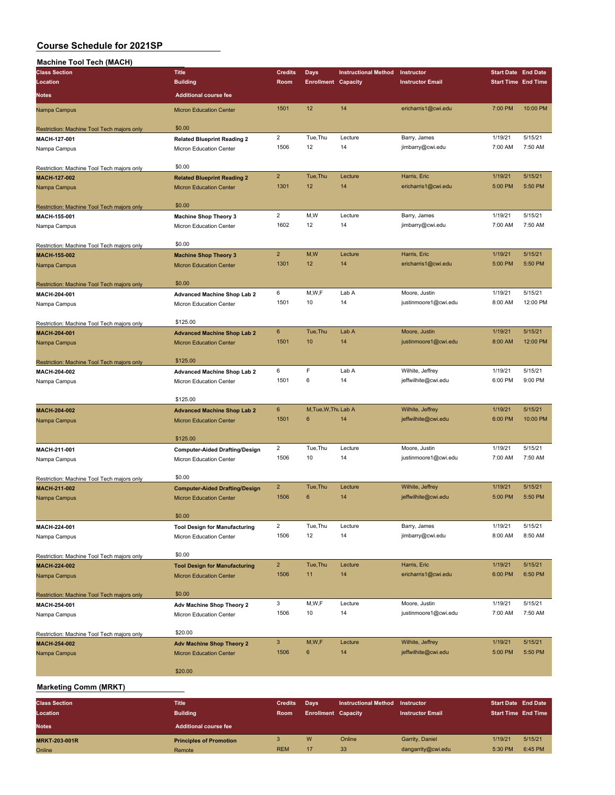| <b>Machine Tool Tech (MACH)</b>            |                                       |                 |                            |                             |                         |                            |          |
|--------------------------------------------|---------------------------------------|-----------------|----------------------------|-----------------------------|-------------------------|----------------------------|----------|
| <b>Class Section</b>                       | <b>Title</b>                          | <b>Credits</b>  | Days                       | <b>Instructional Method</b> | Instructor              | <b>Start Date End Date</b> |          |
| Location                                   | <b>Building</b>                       | Room            | <b>Enrollment Capacity</b> |                             | <b>Instructor Email</b> | <b>Start Time End Time</b> |          |
|                                            | <b>Additional course fee</b>          |                 |                            |                             |                         |                            |          |
| <b>Notes</b>                               |                                       |                 |                            |                             |                         |                            |          |
| Nampa Campus                               | <b>Micron Education Center</b>        | 1501            | 12                         | 14                          | ericharris1@cwi.edu     | 7:00 PM                    | 10:00 PM |
| Restriction: Machine Tool Tech majors only | \$0.00                                |                 |                            |                             |                         |                            |          |
| MACH-127-001                               | <b>Related Blueprint Reading 2</b>    | $\overline{2}$  | Tue, Thu                   | Lecture                     | Barry, James            | 1/19/21                    | 5/15/21  |
| Nampa Campus                               | Micron Education Center               | 1506            | 12                         | 14                          | jimbarry@cwi.edu        | 7:00 AM                    | 7:50 AM  |
|                                            |                                       |                 |                            |                             |                         |                            |          |
| Restriction: Machine Tool Tech majors only | \$0.00                                |                 |                            |                             |                         |                            |          |
| MACH-127-002                               | <b>Related Blueprint Reading 2</b>    | $\overline{2}$  | Tue, Thu                   | Lecture                     | Harris, Eric            | 1/19/21                    | 5/15/21  |
| Nampa Campus                               | <b>Micron Education Center</b>        | 1301            | 12                         | 14                          | ericharris1@cwi.edu     | 5:00 PM                    | 5:50 PM  |
| Restriction: Machine Tool Tech majors only | \$0.00                                |                 |                            |                             |                         |                            |          |
| MACH-155-001                               | <b>Machine Shop Theory 3</b>          | $\overline{2}$  | M,W                        | Lecture                     | Barry, James            | 1/19/21                    | 5/15/21  |
|                                            |                                       | 1602            | 12                         | 14                          | jimbarry@cwi.edu        | 7:00 AM                    | 7:50 AM  |
| Nampa Campus                               | Micron Education Center               |                 |                            |                             |                         |                            |          |
| Restriction: Machine Tool Tech majors only | \$0.00                                |                 |                            |                             |                         |                            |          |
| <b>MACH-155-002</b>                        | <b>Machine Shop Theory 3</b>          | $\overline{2}$  | M,W                        | Lecture                     | Harris, Eric            | 1/19/21                    | 5/15/21  |
| Nampa Campus                               | <b>Micron Education Center</b>        | 1301            | 12                         | 14                          | ericharris1@cwi.edu     | 5:00 PM                    | 5:50 PM  |
|                                            | \$0.00                                |                 |                            |                             |                         |                            |          |
| Restriction: Machine Tool Tech majors only |                                       | 6               | M, W, F                    | Lab A                       | Moore, Justin           | 1/19/21                    | 5/15/21  |
| MACH-204-001                               | <b>Advanced Machine Shop Lab 2</b>    |                 |                            |                             |                         |                            |          |
| Nampa Campus                               | Micron Education Center               | 1501            | 10                         | 14                          | justinmoore1@cwi.edu    | 8:00 AM                    | 12:00 PM |
| Restriction: Machine Tool Tech majors only | \$125.00                              |                 |                            |                             |                         |                            |          |
| MACH-204-001                               | <b>Advanced Machine Shop Lab 2</b>    | $6\phantom{1}6$ | Tue, Thu                   | Lab A                       | Moore, Justin           | 1/19/21                    | 5/15/21  |
| Nampa Campus                               | <b>Micron Education Center</b>        | 1501            | 10                         | 14                          | justinmoore1@cwi.edu    | 8:00 AM                    | 12:00 PM |
| Restriction: Machine Tool Tech majors only | \$125.00                              |                 |                            |                             |                         |                            |          |
| MACH-204-002                               | <b>Advanced Machine Shop Lab 2</b>    | 6               | F                          | Lab A                       | Wilhite, Jeffrey        | 1/19/21                    | 5/15/21  |
| Nampa Campus                               | Micron Education Center               | 1501            | 6                          | 14                          | jeffwilhite@cwi.edu     | 6:00 PM                    | 9:00 PM  |
|                                            |                                       |                 |                            |                             |                         |                            |          |
|                                            | \$125.00                              |                 |                            |                             |                         |                            |          |
| MACH-204-002                               | <b>Advanced Machine Shop Lab 2</b>    | $6\phantom{1}$  | M, Tue, W, Thu Lab A       |                             | Wilhite, Jeffrey        | 1/19/21                    | 5/15/21  |
| Nampa Campus                               | <b>Micron Education Center</b>        | 1501            | 6                          | 14                          | jeffwilhite@cwi.edu     | 6:00 PM                    | 10:00 PM |
|                                            | \$125.00                              |                 |                            |                             |                         |                            |          |
| MACH-211-001                               | <b>Computer-Aided Drafting/Design</b> | $\overline{2}$  | Tue, Thu                   | Lecture                     | Moore, Justin           | 1/19/21                    | 5/15/21  |
| Nampa Campus                               | Micron Education Center               | 1506            | 10                         | 14                          | justinmoore1@cwi.edu    | 7:00 AM                    | 7:50 AM  |
|                                            |                                       |                 |                            |                             |                         |                            |          |
| Restriction: Machine Tool Tech majors only | \$0.00                                |                 |                            |                             |                         |                            |          |
| MACH-211-002                               | <b>Computer-Aided Drafting/Design</b> | $\overline{2}$  | Tue, Thu                   | Lecture                     | Wilhite, Jeffrey        | 1/19/21                    | 5/15/21  |
| Nampa Campus                               | <b>Micron Education Center</b>        | 1506            | 6                          | 14                          | jeffwilhite@cwi.edu     | 5:00 PM                    | 5:50 PM  |
|                                            | \$0.00                                |                 |                            |                             |                         |                            |          |
| MACH-224-001                               | <b>Tool Design for Manufacturing</b>  | $\overline{2}$  | Tue, Thu                   | Lecture                     | Barry, James            | 1/19/21                    | 5/15/21  |
| Nampa Campus                               | Micron Education Center               | 1506            | 12                         | 14                          | jimbarry@cwi.edu        | 8:00 AM                    | 8:50 AM  |
|                                            | \$0.00                                |                 |                            |                             |                         |                            |          |
| Restriction: Machine Tool Tech majors only |                                       |                 |                            |                             |                         |                            |          |
| MACH-224-002                               | <b>Tool Design for Manufacturing</b>  | $\overline{2}$  | Tue, Thu                   | Lecture                     | Harris, Eric            | 1/19/21                    | 5/15/21  |
| Nampa Campus                               | <b>Micron Education Center</b>        | 1506            | 11                         | 14                          | ericharris1@cwi.edu     | 6:00 PM                    | 6:50 PM  |
| Restriction: Machine Tool Tech majors only | \$0.00                                |                 |                            |                             |                         |                            |          |
| MACH-254-001                               | Adv Machine Shop Theory 2             | 3               | M,W,F                      | Lecture                     | Moore, Justin           | 1/19/21                    | 5/15/21  |
| Nampa Campus                               | Micron Education Center               | 1506            | 10                         | 14                          | justinmoore1@cwi.edu    | 7:00 AM                    | 7:50 AM  |
|                                            |                                       |                 |                            |                             |                         |                            |          |
| Restriction: Machine Tool Tech majors only | \$20.00                               |                 |                            |                             |                         |                            |          |
| <b>MACH-254-002</b>                        | <b>Adv Machine Shop Theory 2</b>      | $\mathbf{3}$    | M,W,F                      | Lecture                     | Wilhite, Jeffrey        | 1/19/21                    | 5/15/21  |
| Nampa Campus                               | <b>Micron Education Center</b>        | 1506            | 6                          | 14                          | jeffwilhite@cwi.edu     | 5:00 PM                    | 5:50 PM  |
|                                            | \$20.00                               |                 |                            |                             |                         |                            |          |
|                                            |                                       |                 |                            |                             |                         |                            |          |

### **Marketing Comm (MRKT)**

| <b>Class Section</b><br>Location<br><b>Notes</b> | <b>Title</b><br><b>Building</b><br><b>Additional course fee</b> | <b>Credits</b><br><b>Room</b> | Days<br><b>Enrollment Capacity</b> | Instructional Method Instructor | <b>Instructor Email</b> | <b>Start Date End Date</b><br><b>Start Time End Time</b> |         |
|--------------------------------------------------|-----------------------------------------------------------------|-------------------------------|------------------------------------|---------------------------------|-------------------------|----------------------------------------------------------|---------|
| <b>MRKT-203-001R</b>                             | <b>Principles of Promotion</b>                                  | <b>REM</b>                    | W                                  | Online                          | Garrity, Daniel         | 1/19/21                                                  | 5/15/21 |
| Online                                           | Remote                                                          |                               | 17                                 | 33                              | dangarrity@cwi.edu      | 5:30 PM                                                  | 6:45 PM |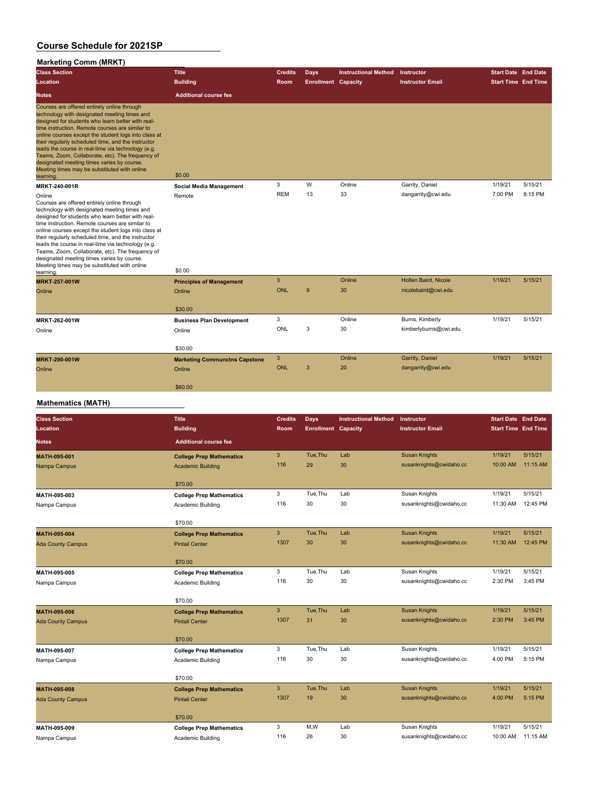| <b>Marketing Comm (MRKT)</b>                                                                                                                                                                                                                                                                                                                                                                                                                                                                                                                     |                                      |                           |                            |                             |                         |                            |         |
|--------------------------------------------------------------------------------------------------------------------------------------------------------------------------------------------------------------------------------------------------------------------------------------------------------------------------------------------------------------------------------------------------------------------------------------------------------------------------------------------------------------------------------------------------|--------------------------------------|---------------------------|----------------------------|-----------------------------|-------------------------|----------------------------|---------|
| <b>Class Section</b>                                                                                                                                                                                                                                                                                                                                                                                                                                                                                                                             | <b>Title</b>                         | <b>Credits</b>            | Days                       | <b>Instructional Method</b> | Instructor              | <b>Start Date End Date</b> |         |
| Location                                                                                                                                                                                                                                                                                                                                                                                                                                                                                                                                         | <b>Building</b>                      | Room                      | <b>Enrollment Capacity</b> |                             | <b>Instructor Email</b> | <b>Start Time End Time</b> |         |
| <b>Notes</b>                                                                                                                                                                                                                                                                                                                                                                                                                                                                                                                                     | <b>Additional course fee</b>         |                           |                            |                             |                         |                            |         |
| Courses are offered entirely online through<br>technology with designated meeting times and<br>designed for students who learn better with real-<br>time instruction. Remote courses are similar to<br>online courses except the student logs into class at<br>their regularly scheduled time, and the instructor<br>leads the course in real-time via technology (e.g.<br>Teams, Zoom, Collaborate, etc). The frequency of<br>designated meeting times varies by course.<br>Meeting times may be substituted with online<br>learning.           | \$0.00                               |                           |                            |                             |                         |                            |         |
| MRKT-240-001R                                                                                                                                                                                                                                                                                                                                                                                                                                                                                                                                    | <b>Social Media Management</b>       | 3                         | W                          | Online                      | Garrity, Daniel         | 1/19/21                    | 5/15/21 |
| Online<br>Courses are offered entirely online through<br>technology with designated meeting times and<br>designed for students who learn better with real-<br>time instruction. Remote courses are similar to<br>online courses except the student logs into class at<br>their regularly scheduled time, and the instructor<br>leads the course in real-time via technology (e.g.<br>Teams, Zoom, Collaborate, etc). The frequency of<br>designated meeting times varies by course.<br>Meeting times may be substituted with online<br>learning. | Remote<br>\$0.00                     | <b>REM</b>                | 13                         | 33                          | dangarrity@cwi.edu      | 7:00 PM                    | 8:15 PM |
| <b>MRKT-257-001W</b>                                                                                                                                                                                                                                                                                                                                                                                                                                                                                                                             | <b>Principles of Management</b>      | 3                         |                            | Online                      | Holten Baird, Nicole    | 1/19/21                    | 5/15/21 |
| Online                                                                                                                                                                                                                                                                                                                                                                                                                                                                                                                                           | Online                               | <b>ONL</b>                | 9                          | 30                          | nicolebaird@cwi.edu     |                            |         |
|                                                                                                                                                                                                                                                                                                                                                                                                                                                                                                                                                  | \$30.00                              |                           |                            |                             |                         |                            |         |
| MRKT-262-001W                                                                                                                                                                                                                                                                                                                                                                                                                                                                                                                                    | <b>Business Plan Development</b>     | 3                         |                            | Online                      | Burns, Kimberly         | 1/19/21                    | 5/15/21 |
| Online                                                                                                                                                                                                                                                                                                                                                                                                                                                                                                                                           | Online                               | ONL                       | 3                          | 30                          | kimberlyburns@cwi.edu   |                            |         |
|                                                                                                                                                                                                                                                                                                                                                                                                                                                                                                                                                  | \$30.00                              |                           |                            |                             |                         |                            |         |
| <b>MRKT-290-001W</b>                                                                                                                                                                                                                                                                                                                                                                                                                                                                                                                             | <b>Marketing Communctns Capstone</b> | $\ensuremath{\mathsf{3}}$ |                            | Online                      | Garrity, Daniel         | 1/19/21                    | 5/15/21 |
| Online                                                                                                                                                                                                                                                                                                                                                                                                                                                                                                                                           | Online                               | <b>ONL</b>                | 3                          | 20                          | dangarrity@cwi.edu      |                            |         |
|                                                                                                                                                                                                                                                                                                                                                                                                                                                                                                                                                  | \$60.00                              |                           |                            |                             |                         |                            |         |

| <b>Class Section</b><br>Location | <b>Title</b><br><b>Building</b> | <b>Credits</b><br>Room | <b>Days</b><br><b>Enrollment Capacity</b> | <b>Instructional Method</b> | Instructor<br><b>Instructor Email</b> | <b>Start Date End Date</b><br><b>Start Time End Time</b> |          |
|----------------------------------|---------------------------------|------------------------|-------------------------------------------|-----------------------------|---------------------------------------|----------------------------------------------------------|----------|
| <b>Notes</b>                     | <b>Additional course fee</b>    |                        |                                           |                             |                                       |                                                          |          |
| MATH-095-001                     | <b>College Prep Mathematics</b> | 3                      | Tue.Thu                                   | Lab                         | <b>Susan Knights</b>                  | 1/19/21                                                  | 5/15/21  |
| Nampa Campus                     | <b>Academic Building</b>        | 116                    | 29                                        | 30                          | susanknights@cwidaho.cc               | 10:00 AM                                                 | 11:15 AM |
|                                  | \$70.00                         |                        |                                           |                             |                                       |                                                          |          |
| MATH-095-003                     | <b>College Prep Mathematics</b> | 3                      | Tue, Thu                                  | Lab                         | Susan Knights                         | 1/19/21                                                  | 5/15/21  |
| Nampa Campus                     | Academic Building               | 116                    | 30                                        | 30                          | susanknights@cwidaho.cc               | 11:30 AM                                                 | 12:45 PM |
|                                  | \$70.00                         |                        |                                           |                             |                                       |                                                          |          |
| MATH-095-004                     | <b>College Prep Mathematics</b> | 3                      | Tue, Thu                                  | Lab                         | <b>Susan Knights</b>                  | 1/19/21                                                  | 5/15/21  |
| <b>Ada County Campus</b>         | <b>Pintail Center</b>           | 1307                   | 30                                        | 30                          | susanknights@cwidaho.cc               | 11:30 AM                                                 | 12:45 PM |
|                                  | \$70.00                         |                        |                                           |                             |                                       |                                                          |          |
| MATH-095-005                     | <b>College Prep Mathematics</b> | 3                      | Tue.Thu                                   | Lab                         | Susan Knights                         | 1/19/21                                                  | 5/15/21  |
| Nampa Campus                     | Academic Building               | 116                    | 30                                        | 30                          | susanknights@cwidaho.cc               | 2:30 PM                                                  | 3:45 PM  |
|                                  | \$70.00                         |                        |                                           |                             |                                       |                                                          |          |
| <b>MATH-095-006</b>              | <b>College Prep Mathematics</b> | 3                      | Tue, Thu                                  | Lab                         | <b>Susan Knights</b>                  | 1/19/21                                                  | 5/15/21  |
| <b>Ada County Campus</b>         | <b>Pintail Center</b>           | 1307                   | 31                                        | 30                          | susanknights@cwidaho.cc               | 2:30 PM                                                  | 3:45 PM  |
|                                  | \$70.00                         |                        |                                           |                             |                                       |                                                          |          |
| MATH-095-007                     | <b>College Prep Mathematics</b> | 3                      | Tue, Thu                                  | Lab                         | Susan Knights                         | 1/19/21                                                  | 5/15/21  |
| Nampa Campus                     | Academic Building               | 116                    | 30                                        | 30                          | susanknights@cwidaho.cc               | 4:00 PM                                                  | 5:15 PM  |
|                                  | \$70.00                         |                        |                                           |                             |                                       |                                                          |          |
| MATH-095-008                     | <b>College Prep Mathematics</b> | 3                      | Tue, Thu                                  | Lab                         | <b>Susan Knights</b>                  | 1/19/21                                                  | 5/15/21  |
| <b>Ada County Campus</b>         | <b>Pintail Center</b>           | 1307                   | 19                                        | 30                          | susanknights@cwidaho.cc               | 4:00 PM                                                  | 5:15 PM  |
|                                  | \$70.00                         |                        |                                           |                             |                                       |                                                          |          |
| MATH-095-009                     | <b>College Prep Mathematics</b> | 3                      | M, W                                      | Lab                         | Susan Knights                         | 1/19/21                                                  | 5/15/21  |
| Nampa Campus                     | Academic Building               | 116                    | 26                                        | 30                          | susanknights@cwidaho.cc               | 10:00 AM                                                 | 11:15 AM |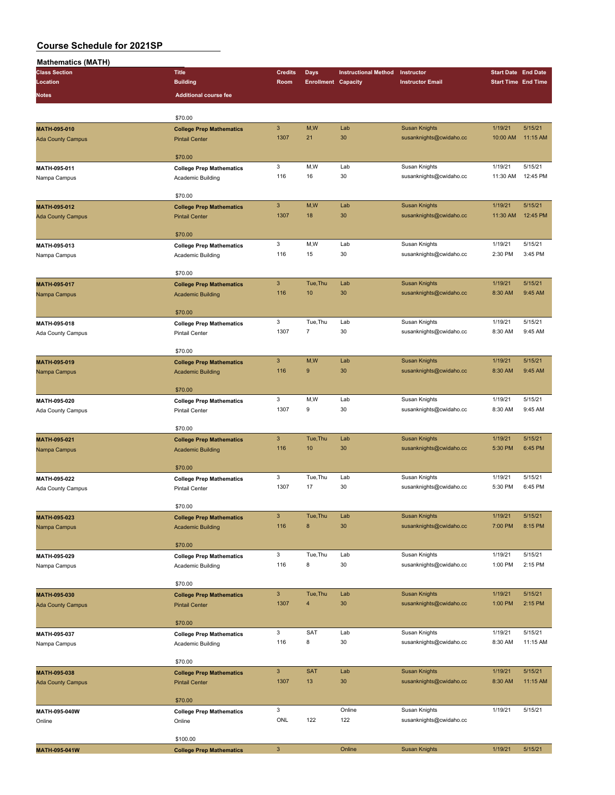| <b>Mathematics (MATH)</b> |                                                                                                                                                                                                                                                                                                                                                                                                                                                                                                                                                                                                                                                                                                                                                              |                      |                            |                             |                                                 |                            |                            |
|---------------------------|--------------------------------------------------------------------------------------------------------------------------------------------------------------------------------------------------------------------------------------------------------------------------------------------------------------------------------------------------------------------------------------------------------------------------------------------------------------------------------------------------------------------------------------------------------------------------------------------------------------------------------------------------------------------------------------------------------------------------------------------------------------|----------------------|----------------------------|-----------------------------|-------------------------------------------------|----------------------------|----------------------------|
| <b>Class Section</b>      | <b>Title</b>                                                                                                                                                                                                                                                                                                                                                                                                                                                                                                                                                                                                                                                                                                                                                 | <b>Credits</b>       | <b>Days</b>                | <b>Instructional Method</b> | Instructor                                      | <b>Start Date End Date</b> |                            |
| Location                  | <b>Building</b>                                                                                                                                                                                                                                                                                                                                                                                                                                                                                                                                                                                                                                                                                                                                              | Room                 | <b>Enrollment Capacity</b> |                             | <b>Instructor Email</b>                         |                            | <b>Start Time End Time</b> |
| Notes                     | <b>Additional course fee</b>                                                                                                                                                                                                                                                                                                                                                                                                                                                                                                                                                                                                                                                                                                                                 |                      |                            |                             |                                                 |                            |                            |
|                           |                                                                                                                                                                                                                                                                                                                                                                                                                                                                                                                                                                                                                                                                                                                                                              |                      |                            |                             |                                                 |                            |                            |
|                           | \$70.00                                                                                                                                                                                                                                                                                                                                                                                                                                                                                                                                                                                                                                                                                                                                                      |                      |                            |                             |                                                 |                            |                            |
| MATH-095-010              | <b>College Prep Mathematics</b>                                                                                                                                                                                                                                                                                                                                                                                                                                                                                                                                                                                                                                                                                                                              | $\mathbf{3}$         | M,W                        | Lab                         | <b>Susan Knights</b>                            | 1/19/21                    | 5/15/21                    |
| <b>Ada County Campus</b>  | <b>Pintail Center</b>                                                                                                                                                                                                                                                                                                                                                                                                                                                                                                                                                                                                                                                                                                                                        | 1307                 | 21                         | 30                          | susanknights@cwidaho.cc                         | 10:00 AM                   | 11:15 AM                   |
|                           |                                                                                                                                                                                                                                                                                                                                                                                                                                                                                                                                                                                                                                                                                                                                                              |                      |                            |                             |                                                 |                            |                            |
|                           | \$70.00                                                                                                                                                                                                                                                                                                                                                                                                                                                                                                                                                                                                                                                                                                                                                      |                      |                            |                             |                                                 |                            |                            |
| MATH-095-011              | <b>College Prep Mathematics</b>                                                                                                                                                                                                                                                                                                                                                                                                                                                                                                                                                                                                                                                                                                                              | 3                    | M,W                        | Lab                         | Susan Knights                                   | 1/19/21                    | 5/15/21                    |
| Nampa Campus              | Academic Building                                                                                                                                                                                                                                                                                                                                                                                                                                                                                                                                                                                                                                                                                                                                            | 116                  | 16                         | 30                          | susanknights@cwidaho.cc                         | 11:30 AM                   | 12:45 PM                   |
|                           |                                                                                                                                                                                                                                                                                                                                                                                                                                                                                                                                                                                                                                                                                                                                                              |                      |                            |                             |                                                 |                            |                            |
|                           |                                                                                                                                                                                                                                                                                                                                                                                                                                                                                                                                                                                                                                                                                                                                                              |                      |                            |                             |                                                 |                            |                            |
| MATH-095-012              |                                                                                                                                                                                                                                                                                                                                                                                                                                                                                                                                                                                                                                                                                                                                                              | $\mathbf{3}$<br>1307 | M,W<br>18                  | Lab<br>30                   | <b>Susan Knights</b>                            | 1/19/21                    | 5/15/21<br>12:45 PM        |
| <b>Ada County Campus</b>  |                                                                                                                                                                                                                                                                                                                                                                                                                                                                                                                                                                                                                                                                                                                                                              |                      |                            |                             | susanknights@cwidaho.cc                         | 11:30 AM                   |                            |
|                           |                                                                                                                                                                                                                                                                                                                                                                                                                                                                                                                                                                                                                                                                                                                                                              |                      |                            |                             |                                                 |                            |                            |
| MATH-095-013              |                                                                                                                                                                                                                                                                                                                                                                                                                                                                                                                                                                                                                                                                                                                                                              | 3                    | M,W                        | Lab                         | Susan Knights                                   | 1/19/21                    | 5/15/21                    |
| Nampa Campus              |                                                                                                                                                                                                                                                                                                                                                                                                                                                                                                                                                                                                                                                                                                                                                              | 116                  | 15                         | 30                          | susanknights@cwidaho.cc                         | 2:30 PM                    | 3:45 PM                    |
|                           |                                                                                                                                                                                                                                                                                                                                                                                                                                                                                                                                                                                                                                                                                                                                                              |                      |                            |                             |                                                 |                            |                            |
|                           | \$70.00                                                                                                                                                                                                                                                                                                                                                                                                                                                                                                                                                                                                                                                                                                                                                      |                      |                            |                             |                                                 |                            |                            |
| MATH-095-017              | <b>College Prep Mathematics</b>                                                                                                                                                                                                                                                                                                                                                                                                                                                                                                                                                                                                                                                                                                                              | $\mathbf{3}$         | Tue, Thu                   | Lab                         | <b>Susan Knights</b>                            | 1/19/21                    | 5/15/21                    |
| Nampa Campus              | <b>Academic Building</b>                                                                                                                                                                                                                                                                                                                                                                                                                                                                                                                                                                                                                                                                                                                                     | 116                  | 10                         | 30                          | susanknights@cwidaho.cc                         | 8:30 AM                    | 9:45 AM                    |
|                           |                                                                                                                                                                                                                                                                                                                                                                                                                                                                                                                                                                                                                                                                                                                                                              |                      |                            |                             |                                                 |                            |                            |
|                           | \$70.00                                                                                                                                                                                                                                                                                                                                                                                                                                                                                                                                                                                                                                                                                                                                                      |                      |                            |                             |                                                 |                            |                            |
| MATH-095-018              | <b>College Prep Mathematics</b>                                                                                                                                                                                                                                                                                                                                                                                                                                                                                                                                                                                                                                                                                                                              | 3                    | Tue, Thu                   | Lab                         | Susan Knights                                   | 1/19/21                    | 5/15/21                    |
| Ada County Campus         | <b>Pintail Center</b>                                                                                                                                                                                                                                                                                                                                                                                                                                                                                                                                                                                                                                                                                                                                        | 1307                 | $\overline{7}$             | 30                          | susanknights@cwidaho.cc                         | 8:30 AM                    | 9:45 AM                    |
|                           |                                                                                                                                                                                                                                                                                                                                                                                                                                                                                                                                                                                                                                                                                                                                                              |                      |                            |                             |                                                 |                            |                            |
|                           |                                                                                                                                                                                                                                                                                                                                                                                                                                                                                                                                                                                                                                                                                                                                                              |                      |                            |                             |                                                 |                            |                            |
| MATH-095-019              |                                                                                                                                                                                                                                                                                                                                                                                                                                                                                                                                                                                                                                                                                                                                                              | $\mathbf{3}$         | M,W                        | Lab                         | <b>Susan Knights</b>                            | 1/19/21                    | 5/15/21                    |
| Nampa Campus              |                                                                                                                                                                                                                                                                                                                                                                                                                                                                                                                                                                                                                                                                                                                                                              | 116                  | $\boldsymbol{9}$           | 30                          | susanknights@cwidaho.cc                         | 8:30 AM                    | 9:45 AM                    |
|                           |                                                                                                                                                                                                                                                                                                                                                                                                                                                                                                                                                                                                                                                                                                                                                              |                      |                            |                             |                                                 |                            |                            |
| MATH-095-020              |                                                                                                                                                                                                                                                                                                                                                                                                                                                                                                                                                                                                                                                                                                                                                              | 3                    | M,W                        | Lab                         | Susan Knights                                   | 1/19/21                    | 5/15/21                    |
| Ada County Campus         |                                                                                                                                                                                                                                                                                                                                                                                                                                                                                                                                                                                                                                                                                                                                                              | 1307                 | 9                          | 30                          | susanknights@cwidaho.cc                         | 8:30 AM                    | 9:45 AM                    |
|                           |                                                                                                                                                                                                                                                                                                                                                                                                                                                                                                                                                                                                                                                                                                                                                              |                      |                            |                             |                                                 |                            |                            |
|                           | \$70.00                                                                                                                                                                                                                                                                                                                                                                                                                                                                                                                                                                                                                                                                                                                                                      |                      |                            |                             |                                                 |                            |                            |
| MATH-095-021              | <b>College Prep Mathematics</b>                                                                                                                                                                                                                                                                                                                                                                                                                                                                                                                                                                                                                                                                                                                              | $\mathbf{3}$         | Tue, Thu                   | Lab                         | <b>Susan Knights</b>                            | 1/19/21                    | 5/15/21                    |
| Nampa Campus              | <b>Academic Building</b>                                                                                                                                                                                                                                                                                                                                                                                                                                                                                                                                                                                                                                                                                                                                     | 116                  | 10                         | 30                          | susanknights@cwidaho.cc                         | 5:30 PM                    | 6:45 PM                    |
|                           |                                                                                                                                                                                                                                                                                                                                                                                                                                                                                                                                                                                                                                                                                                                                                              |                      |                            |                             |                                                 |                            |                            |
|                           | \$70.00                                                                                                                                                                                                                                                                                                                                                                                                                                                                                                                                                                                                                                                                                                                                                      |                      |                            |                             |                                                 |                            |                            |
| MATH-095-022              | <b>College Prep Mathematics</b>                                                                                                                                                                                                                                                                                                                                                                                                                                                                                                                                                                                                                                                                                                                              | 3                    | Tue, Thu                   | Lab                         | Susan Knights                                   | 1/19/21                    | 5/15/21                    |
| Ada County Campus         | <b>Pintail Center</b>                                                                                                                                                                                                                                                                                                                                                                                                                                                                                                                                                                                                                                                                                                                                        | 1307                 | 17                         | 30                          | susanknights@cwidaho.cc                         | 5:30 PM                    | 6:45 PM                    |
|                           |                                                                                                                                                                                                                                                                                                                                                                                                                                                                                                                                                                                                                                                                                                                                                              |                      |                            |                             |                                                 |                            |                            |
|                           |                                                                                                                                                                                                                                                                                                                                                                                                                                                                                                                                                                                                                                                                                                                                                              |                      |                            |                             |                                                 |                            |                            |
| MATH-095-023              |                                                                                                                                                                                                                                                                                                                                                                                                                                                                                                                                                                                                                                                                                                                                                              | $\mathbf{3}$<br>116  | Tue, Thu                   | Lab                         | <b>Susan Knights</b><br>susanknights@cwidaho.cc | 1/19/21                    | 5/15/21<br>8:15 PM         |
| Nampa Campus              | \$70.00<br><b>College Prep Mathematics</b><br><b>Pintail Center</b><br>\$70.00<br><b>College Prep Mathematics</b><br>Academic Building<br>\$70.00<br><b>College Prep Mathematics</b><br><b>Academic Building</b><br>\$70.00<br><b>College Prep Mathematics</b><br><b>Pintail Center</b><br>\$70.00<br><b>College Prep Mathematics</b><br><b>Academic Building</b><br>\$70.00<br><b>College Prep Mathematics</b><br>Academic Building<br>\$70.00<br><b>College Prep Mathematics</b><br><b>Pintail Center</b><br>\$70.00<br><b>College Prep Mathematics</b><br>Academic Building<br>\$70.00<br><b>College Prep Mathematics</b><br><b>Pintail Center</b><br>\$70.00<br><b>College Prep Mathematics</b><br>Online<br>\$100.00<br><b>College Prep Mathematics</b> |                      | $\bf 8$                    | 30                          |                                                 | 7:00 PM                    |                            |
|                           |                                                                                                                                                                                                                                                                                                                                                                                                                                                                                                                                                                                                                                                                                                                                                              |                      |                            |                             |                                                 |                            |                            |
| MATH-095-029              |                                                                                                                                                                                                                                                                                                                                                                                                                                                                                                                                                                                                                                                                                                                                                              | 3                    | Tue, Thu                   | Lab                         | Susan Knights                                   | 1/19/21                    | 5/15/21                    |
| Nampa Campus              |                                                                                                                                                                                                                                                                                                                                                                                                                                                                                                                                                                                                                                                                                                                                                              | 116                  | 8                          | 30                          | susanknights@cwidaho.cc                         | 1:00 PM                    | 2:15 PM                    |
|                           |                                                                                                                                                                                                                                                                                                                                                                                                                                                                                                                                                                                                                                                                                                                                                              |                      |                            |                             |                                                 |                            |                            |
|                           |                                                                                                                                                                                                                                                                                                                                                                                                                                                                                                                                                                                                                                                                                                                                                              |                      |                            |                             |                                                 |                            |                            |
| MATH-095-030              |                                                                                                                                                                                                                                                                                                                                                                                                                                                                                                                                                                                                                                                                                                                                                              | $\mathbf{3}$         | Tue, Thu                   | Lab                         | <b>Susan Knights</b>                            | 1/19/21                    | 5/15/21                    |
| <b>Ada County Campus</b>  |                                                                                                                                                                                                                                                                                                                                                                                                                                                                                                                                                                                                                                                                                                                                                              | 1307                 | $\overline{4}$             | 30                          | susanknights@cwidaho.cc                         | 1:00 PM                    | 2:15 PM                    |
|                           |                                                                                                                                                                                                                                                                                                                                                                                                                                                                                                                                                                                                                                                                                                                                                              |                      |                            |                             |                                                 |                            |                            |
|                           |                                                                                                                                                                                                                                                                                                                                                                                                                                                                                                                                                                                                                                                                                                                                                              |                      |                            |                             |                                                 |                            |                            |
| MATH-095-037              |                                                                                                                                                                                                                                                                                                                                                                                                                                                                                                                                                                                                                                                                                                                                                              | 3                    | SAT                        | Lab                         | Susan Knights                                   | 1/19/21                    | 5/15/21                    |
| Nampa Campus              |                                                                                                                                                                                                                                                                                                                                                                                                                                                                                                                                                                                                                                                                                                                                                              | 116                  | 8                          | 30                          | susanknights@cwidaho.cc                         | 8:30 AM                    | 11:15 AM                   |
|                           |                                                                                                                                                                                                                                                                                                                                                                                                                                                                                                                                                                                                                                                                                                                                                              |                      |                            |                             |                                                 |                            |                            |
|                           |                                                                                                                                                                                                                                                                                                                                                                                                                                                                                                                                                                                                                                                                                                                                                              |                      |                            |                             |                                                 |                            |                            |
| MATH-095-038              |                                                                                                                                                                                                                                                                                                                                                                                                                                                                                                                                                                                                                                                                                                                                                              | $\mathbf{3}$         | <b>SAT</b>                 | Lab                         | <b>Susan Knights</b>                            | 1/19/21                    | 5/15/21                    |
| <b>Ada County Campus</b>  |                                                                                                                                                                                                                                                                                                                                                                                                                                                                                                                                                                                                                                                                                                                                                              | 1307                 | 13                         | 30                          | susanknights@cwidaho.cc                         | 8:30 AM                    | 11:15 AM                   |
|                           |                                                                                                                                                                                                                                                                                                                                                                                                                                                                                                                                                                                                                                                                                                                                                              |                      |                            |                             |                                                 |                            |                            |
| MATH-095-040W             |                                                                                                                                                                                                                                                                                                                                                                                                                                                                                                                                                                                                                                                                                                                                                              | 3                    |                            | Online                      | Susan Knights                                   | 1/19/21                    | 5/15/21                    |
| Online                    |                                                                                                                                                                                                                                                                                                                                                                                                                                                                                                                                                                                                                                                                                                                                                              | ONL                  | 122                        | 122                         | susanknights@cwidaho.cc                         |                            |                            |
|                           |                                                                                                                                                                                                                                                                                                                                                                                                                                                                                                                                                                                                                                                                                                                                                              |                      |                            |                             |                                                 |                            |                            |
|                           |                                                                                                                                                                                                                                                                                                                                                                                                                                                                                                                                                                                                                                                                                                                                                              |                      |                            |                             |                                                 |                            |                            |
| MATH-095-041W             |                                                                                                                                                                                                                                                                                                                                                                                                                                                                                                                                                                                                                                                                                                                                                              | $\mathbf{3}$         |                            | Online                      | <b>Susan Knights</b>                            | 1/19/21                    | 5/15/21                    |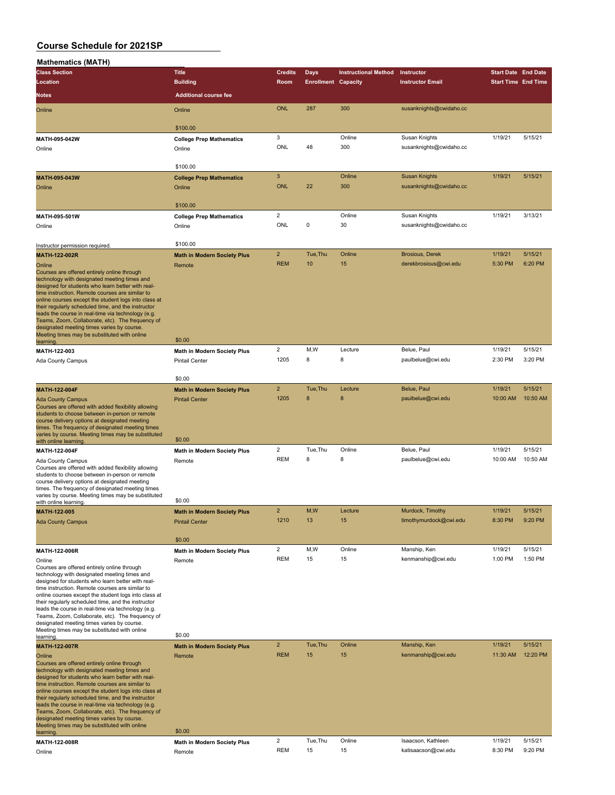| <b>Mathematics (MATH)</b>                                                                                |                                    |                         |                            |                             |                                  |                            |                     |
|----------------------------------------------------------------------------------------------------------|------------------------------------|-------------------------|----------------------------|-----------------------------|----------------------------------|----------------------------|---------------------|
| <b>Class Section</b>                                                                                     | <b>Title</b>                       | <b>Credits</b>          | <b>Days</b>                | <b>Instructional Method</b> | Instructor                       | <b>Start Date End Date</b> |                     |
| Location                                                                                                 | <b>Building</b>                    | Room                    | <b>Enrollment Capacity</b> |                             | <b>Instructor Email</b>          | <b>Start Time End Time</b> |                     |
| Notes                                                                                                    | <b>Additional course fee</b>       |                         |                            |                             |                                  |                            |                     |
| Online                                                                                                   | Online                             | <b>ONL</b>              | 287                        | 300                         | susanknights@cwidaho.cc          |                            |                     |
|                                                                                                          |                                    |                         |                            |                             |                                  |                            |                     |
|                                                                                                          | \$100.00                           |                         |                            |                             |                                  |                            |                     |
| MATH-095-042W                                                                                            | <b>College Prep Mathematics</b>    | 3                       |                            | Online                      | Susan Knights                    | 1/19/21                    | 5/15/21             |
| Online                                                                                                   | Online                             | ONL                     | 48                         | 300                         | susanknights@cwidaho.cc          |                            |                     |
|                                                                                                          |                                    |                         |                            |                             |                                  |                            |                     |
|                                                                                                          | \$100.00                           |                         |                            |                             |                                  |                            |                     |
| MATH-095-043W                                                                                            | <b>College Prep Mathematics</b>    | 3                       |                            | Online                      | <b>Susan Knights</b>             | 1/19/21                    | 5/15/21             |
| Online                                                                                                   | Online                             | <b>ONL</b>              | 22                         | 300                         | susanknights@cwidaho.cc          |                            |                     |
|                                                                                                          | \$100.00                           |                         |                            |                             |                                  |                            |                     |
| MATH-095-501W                                                                                            | <b>College Prep Mathematics</b>    | $\overline{2}$          |                            | Online                      | Susan Knights                    | 1/19/21                    | 3/13/21             |
| Online                                                                                                   | Online                             | ONL                     | 0                          | 30                          | susanknights@cwidaho.cc          |                            |                     |
|                                                                                                          |                                    |                         |                            |                             |                                  |                            |                     |
| Instructor permission required.                                                                          | \$100.00                           |                         |                            |                             |                                  |                            |                     |
| <b>MATH-122-002R</b>                                                                                     | <b>Math in Modern Society Plus</b> | $\overline{2}$          | Tue.Thu                    | Online                      | <b>Brosious, Derek</b>           | 1/19/21                    | 5/15/21             |
| Online                                                                                                   | Remote                             | <b>REM</b>              | 10                         | 15                          | derekbrosious@cwi.edu            | 5:30 PM                    | 6:20 PM             |
| Courses are offered entirely online through<br>technology with designated meeting times and              |                                    |                         |                            |                             |                                  |                            |                     |
| designed for students who learn better with real-                                                        |                                    |                         |                            |                             |                                  |                            |                     |
| time instruction. Remote courses are similar to<br>online courses except the student logs into class at  |                                    |                         |                            |                             |                                  |                            |                     |
| their regularly scheduled time, and the instructor                                                       |                                    |                         |                            |                             |                                  |                            |                     |
| leads the course in real-time via technology (e.g.<br>Teams, Zoom, Collaborate, etc). The frequency of   |                                    |                         |                            |                             |                                  |                            |                     |
| designated meeting times varies by course.<br>Meeting times may be substituted with online               |                                    |                         |                            |                             |                                  |                            |                     |
| learning.                                                                                                | \$0.00                             |                         |                            |                             |                                  |                            |                     |
| MATH-122-003                                                                                             | <b>Math in Modern Society Plus</b> | $\overline{2}$          | M, W                       | Lecture                     | Belue, Paul                      | 1/19/21                    | 5/15/21             |
| Ada County Campus                                                                                        | <b>Pintail Center</b>              | 1205                    | 8                          | 8                           | paulbelue@cwi.edu                | 2:30 PM                    | 3:20 PM             |
|                                                                                                          |                                    |                         |                            |                             |                                  |                            |                     |
|                                                                                                          | \$0.00                             |                         |                            |                             |                                  |                            |                     |
| MATH-122-004F                                                                                            | <b>Math in Modern Society Plus</b> | $\overline{2}$<br>1205  | Tue, Thu<br>8              | Lecture<br>8                | Belue, Paul<br>paulbelue@cwi.edu | 1/19/21<br>10:00 AM        | 5/15/21<br>10:50 AM |
| <b>Ada County Campus</b><br>Courses are offered with added flexibility allowing                          | <b>Pintail Center</b>              |                         |                            |                             |                                  |                            |                     |
| students to choose between in-person or remote                                                           |                                    |                         |                            |                             |                                  |                            |                     |
| course delivery options at designated meeting<br>times. The frequency of designated meeting times        |                                    |                         |                            |                             |                                  |                            |                     |
| varies by course. Meeting times may be substituted<br>with online learning.                              | \$0.00                             |                         |                            |                             |                                  |                            |                     |
| MATH-122-004F                                                                                            | <b>Math in Modern Society Plus</b> | 2                       | Tue, Thu                   | Online                      | Belue, Paul                      | 1/19/21                    | 5/15/21             |
| Ada County Campus                                                                                        | Remote                             | <b>REM</b>              | 8                          | 8                           | paulbelue@cwi.edu                | 10:00 AM                   | 10:50 AM            |
| Courses are offered with added flexibility allowing                                                      |                                    |                         |                            |                             |                                  |                            |                     |
| students to choose between in-person or remote<br>course delivery options at designated meeting          |                                    |                         |                            |                             |                                  |                            |                     |
| times. The frequency of designated meeting times                                                         |                                    |                         |                            |                             |                                  |                            |                     |
| varies by course. Meeting times may be substituted<br>with online learning.                              | \$0.00                             |                         |                            |                             |                                  |                            |                     |
| MATH-122-005                                                                                             | <b>Math in Modern Society Plus</b> | $\overline{2}$          | M,W                        | Lecture                     | Murdock, Timothy                 | 1/19/21                    | 5/15/21             |
| <b>Ada County Campus</b>                                                                                 | <b>Pintail Center</b>              | 1210                    | 13                         | 15                          | timothymurdock@cwi.edu           | 8:30 PM                    | 9:20 PM             |
|                                                                                                          |                                    |                         |                            |                             |                                  |                            |                     |
|                                                                                                          | \$0.00                             |                         |                            |                             |                                  |                            |                     |
| MATH-122-006R                                                                                            | Math in Modern Society Plus        | 2<br><b>REM</b>         | M,W<br>15                  | Online<br>15                | Manship, Ken                     | 1/19/21<br>1:00 PM         | 5/15/21<br>1:50 PM  |
| Online<br>Courses are offered entirely online through                                                    | Remote                             |                         |                            |                             | kenmanship@cwi.edu               |                            |                     |
| technology with designated meeting times and                                                             |                                    |                         |                            |                             |                                  |                            |                     |
| designed for students who learn better with real-<br>time instruction. Remote courses are similar to     |                                    |                         |                            |                             |                                  |                            |                     |
| online courses except the student logs into class at                                                     |                                    |                         |                            |                             |                                  |                            |                     |
| their regularly scheduled time, and the instructor<br>leads the course in real-time via technology (e.g. |                                    |                         |                            |                             |                                  |                            |                     |
| Teams, Zoom, Collaborate, etc). The frequency of                                                         |                                    |                         |                            |                             |                                  |                            |                     |
| designated meeting times varies by course.<br>Meeting times may be substituted with online               |                                    |                         |                            |                             |                                  |                            |                     |
| learning.                                                                                                | \$0.00                             |                         |                            |                             |                                  |                            |                     |
| <b>MATH-122-007R</b>                                                                                     | <b>Math in Modern Society Plus</b> | $\overline{\mathbf{c}}$ | Tue, Thu                   | Online                      | Manship, Ken                     | 1/19/21                    | 5/15/21             |
| Online<br>Courses are offered entirely online through                                                    | Remote                             | <b>REM</b>              | 15                         | 15                          | kenmanship@cwi.edu               | 11:30 AM                   | 12:20 PM            |
| technology with designated meeting times and                                                             |                                    |                         |                            |                             |                                  |                            |                     |
| designed for students who learn better with real-<br>time instruction. Remote courses are similar to     |                                    |                         |                            |                             |                                  |                            |                     |
| online courses except the student logs into class at                                                     |                                    |                         |                            |                             |                                  |                            |                     |
| their regularly scheduled time, and the instructor<br>leads the course in real-time via technology (e.g. |                                    |                         |                            |                             |                                  |                            |                     |
| Teams, Zoom, Collaborate, etc). The frequency of                                                         |                                    |                         |                            |                             |                                  |                            |                     |
| designated meeting times varies by course.<br>Meeting times may be substituted with online               |                                    |                         |                            |                             |                                  |                            |                     |
| learning.                                                                                                | \$0.00                             |                         |                            |                             |                                  |                            |                     |
| MATH-122-008R                                                                                            | <b>Math in Modern Society Plus</b> | 2                       | Tue, Thu                   | Online                      | Isaacson, Kathleen               | 1/19/21                    | 5/15/21             |
| Online                                                                                                   | Remote                             | <b>REM</b>              | 15                         | 15                          | katisaacson@cwi.edu              | 8:30 PM                    | 9:20 PM             |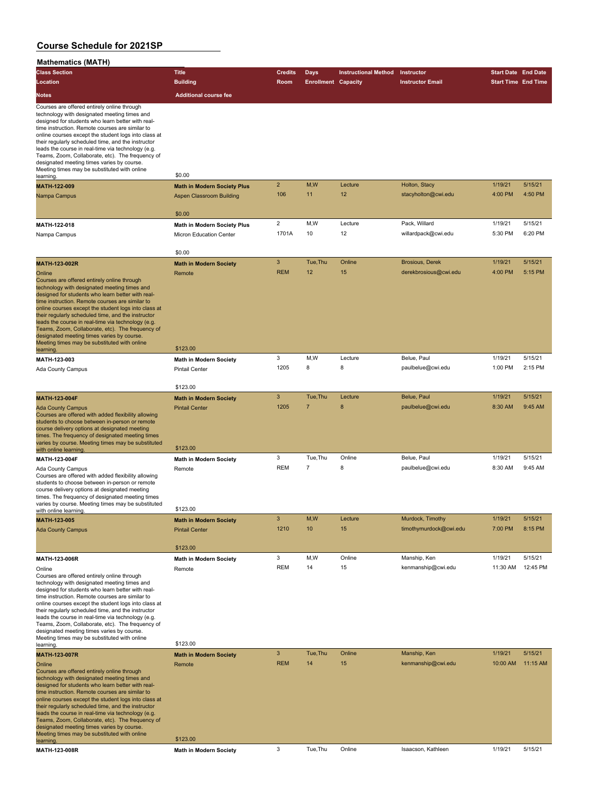| $m$ auremancs ( $m$ $n \in \mathbb{Z}$                                                                                                                                                                                                                                                                                                                                                                                                                                                                                                               |                                                               |                         |                            |                             |                                      |                            |          |
|------------------------------------------------------------------------------------------------------------------------------------------------------------------------------------------------------------------------------------------------------------------------------------------------------------------------------------------------------------------------------------------------------------------------------------------------------------------------------------------------------------------------------------------------------|---------------------------------------------------------------|-------------------------|----------------------------|-----------------------------|--------------------------------------|----------------------------|----------|
| <b>Class Section</b>                                                                                                                                                                                                                                                                                                                                                                                                                                                                                                                                 | <b>Title</b>                                                  | <b>Credits</b>          | <b>Days</b>                | <b>Instructional Method</b> | Instructor                           | <b>Start Date End Date</b> |          |
| Location                                                                                                                                                                                                                                                                                                                                                                                                                                                                                                                                             | <b>Building</b>                                               | Room                    | <b>Enrollment Capacity</b> |                             | <b>Instructor Email</b>              | <b>Start Time End Time</b> |          |
| <b>Notes</b>                                                                                                                                                                                                                                                                                                                                                                                                                                                                                                                                         | <b>Additional course fee</b>                                  |                         |                            |                             |                                      |                            |          |
| Courses are offered entirely online through<br>technology with designated meeting times and<br>designed for students who learn better with real-<br>time instruction. Remote courses are similar to<br>online courses except the student logs into class at<br>their regularly scheduled time, and the instructor<br>leads the course in real-time via technology (e.g.<br>Teams, Zoom, Collaborate, etc). The frequency of<br>designated meeting times varies by course.                                                                            |                                                               |                         |                            |                             |                                      |                            |          |
| Meeting times may be substituted with online                                                                                                                                                                                                                                                                                                                                                                                                                                                                                                         | \$0.00                                                        |                         |                            |                             |                                      |                            |          |
| learning.                                                                                                                                                                                                                                                                                                                                                                                                                                                                                                                                            |                                                               | $\overline{\mathbf{c}}$ | M, W                       | Lecture                     |                                      | 1/19/21                    | 5/15/21  |
| MATH-122-009                                                                                                                                                                                                                                                                                                                                                                                                                                                                                                                                         | <b>Math in Modern Society Plus</b>                            | 106                     | 11                         | 12                          | Holton, Stacy<br>stacyholton@cwi.edu | 4:00 PM                    | 4:50 PM  |
| Nampa Campus                                                                                                                                                                                                                                                                                                                                                                                                                                                                                                                                         | Aspen Classroom Building<br>\$0.00                            |                         |                            |                             |                                      |                            |          |
|                                                                                                                                                                                                                                                                                                                                                                                                                                                                                                                                                      |                                                               | $\overline{2}$          | M,W                        | Lecture                     | Pack, Willard                        | 1/19/21                    | 5/15/21  |
| MATH-122-018<br>Nampa Campus                                                                                                                                                                                                                                                                                                                                                                                                                                                                                                                         | <b>Math in Modern Society Plus</b><br>Micron Education Center | 1701A                   | 10                         | 12                          | willardpack@cwi.edu                  | 5:30 PM                    | 6:20 PM  |
|                                                                                                                                                                                                                                                                                                                                                                                                                                                                                                                                                      | \$0.00                                                        | 3                       | Tue, Thu                   | Online                      | <b>Brosious, Derek</b>               |                            | 5/15/21  |
| MATH-123-002R<br>Online<br>Courses are offered entirely online through<br>technology with designated meeting times and<br>designed for students who learn better with real-<br>time instruction. Remote courses are similar to<br>online courses except the student logs into class at<br>their regularly scheduled time, and the instructor<br>leads the course in real-time via technology (e.g.<br>Teams, Zoom, Collaborate, etc). The frequency of<br>designated meeting times varies by course.<br>Meeting times may be substituted with online | <b>Math in Modern Society</b><br>Remote                       | <b>REM</b>              | 12                         | 15                          | derekbrosious@cwi.edu                | 1/19/21<br>4:00 PM         | 5:15 PM  |
| learning.                                                                                                                                                                                                                                                                                                                                                                                                                                                                                                                                            | \$123.00                                                      |                         |                            |                             |                                      |                            |          |
| MATH-123-003                                                                                                                                                                                                                                                                                                                                                                                                                                                                                                                                         | <b>Math in Modern Society</b>                                 | 3                       | M,W                        | Lecture                     | Belue, Paul                          | 1/19/21                    | 5/15/21  |
| <b>Ada County Campus</b>                                                                                                                                                                                                                                                                                                                                                                                                                                                                                                                             | <b>Pintail Center</b>                                         | 1205                    | 8                          | 8                           | paulbelue@cwi.edu                    | 1:00 PM                    | 2:15 PM  |
|                                                                                                                                                                                                                                                                                                                                                                                                                                                                                                                                                      | \$123.00                                                      |                         |                            |                             |                                      |                            |          |
| MATH-123-004F                                                                                                                                                                                                                                                                                                                                                                                                                                                                                                                                        | <b>Math in Modern Society</b>                                 | 3                       | Tue, Thu                   | Lecture                     | Belue, Paul                          | 1/19/21                    | 5/15/21  |
| <b>Ada County Campus</b><br>Courses are offered with added flexibility allowing<br>students to choose between in-person or remote<br>course delivery options at designated meeting<br>times. The frequency of designated meeting times<br>varies by course. Meeting times may be substituted<br>with online learning                                                                                                                                                                                                                                 | <b>Pintail Center</b><br>\$123.00                             | 1205                    | $\overline{7}$             | 8                           | paulbelue@cwi.edu                    | 8:30 AM                    | 9:45 AM  |
| MATH-123-004F                                                                                                                                                                                                                                                                                                                                                                                                                                                                                                                                        | <b>Math in Modern Society</b>                                 | 3                       | Tue, Thu                   | Online                      | Belue, Paul                          | 1/19/21                    | 5/15/21  |
| Ada County Campus<br>Courses are offered with added flexibility allowing<br>students to choose between in-person or remote<br>course delivery options at designated meeting<br>times. The frequency of designated meeting times<br>varies by course. Meeting times may be substituted<br>with online learning.                                                                                                                                                                                                                                       | Remote<br>\$123.00                                            | <b>REM</b>              | 7                          | 8                           | paulbelue@cwi.edu                    | 8:30 AM                    | 9:45 AM  |
| MATH-123-005                                                                                                                                                                                                                                                                                                                                                                                                                                                                                                                                         | <b>Math in Modern Society</b>                                 | 3                       | M, W                       | Lecture                     | Murdock, Timothy                     | 1/19/21                    | 5/15/21  |
| <b>Ada County Campus</b>                                                                                                                                                                                                                                                                                                                                                                                                                                                                                                                             | <b>Pintail Center</b>                                         | 1210                    | 10                         | 15                          | timothymurdock@cwi.edu               | 7:00 PM                    | 8:15 PM  |
|                                                                                                                                                                                                                                                                                                                                                                                                                                                                                                                                                      | \$123.00                                                      |                         |                            |                             |                                      |                            |          |
| MATH-123-006R                                                                                                                                                                                                                                                                                                                                                                                                                                                                                                                                        | <b>Math in Modern Society</b>                                 | 3                       | M,W                        | Online                      | Manship, Ken                         | 1/19/21                    | 5/15/21  |
| Online<br>Courses are offered entirely online through<br>technology with designated meeting times and<br>designed for students who learn better with real-<br>time instruction. Remote courses are similar to<br>online courses except the student logs into class at<br>their regularly scheduled time, and the instructor<br>leads the course in real-time via technology (e.g.<br>Teams, Zoom, Collaborate, etc). The frequency of<br>designated meeting times varies by course.<br>Meeting times may be substituted with online<br>learning.     | Remote<br>\$123.00                                            | <b>REM</b>              | 14                         | 15                          | kenmanship@cwi.edu                   | 11:30 AM                   | 12:45 PM |
| MATH-123-007R                                                                                                                                                                                                                                                                                                                                                                                                                                                                                                                                        | <b>Math in Modern Society</b>                                 | 3                       | Tue, Thu                   | Online                      | Manship, Ken                         | 1/19/21                    | 5/15/21  |
| Online<br>Courses are offered entirely online through<br>technology with designated meeting times and<br>designed for students who learn better with real-<br>time instruction. Remote courses are similar to<br>online courses except the student logs into class at<br>their regularly scheduled time, and the instructor<br>leads the course in real-time via technology (e.g.<br>Teams, Zoom, Collaborate, etc). The frequency of<br>designated meeting times varies by course.<br>Meeting times may be substituted with online                  | Remote                                                        | <b>REM</b>              | 14                         | 15                          | kenmanship@cwi.edu                   | 10:00 AM                   | 11:15 AM |
| learning.                                                                                                                                                                                                                                                                                                                                                                                                                                                                                                                                            | \$123.00                                                      | 3                       |                            |                             |                                      |                            |          |
| MATH-123-008R                                                                                                                                                                                                                                                                                                                                                                                                                                                                                                                                        | <b>Math in Modern Society</b>                                 |                         | Tue, Thu                   | Online                      | Isaacson, Kathleen                   | 1/19/21                    | 5/15/21  |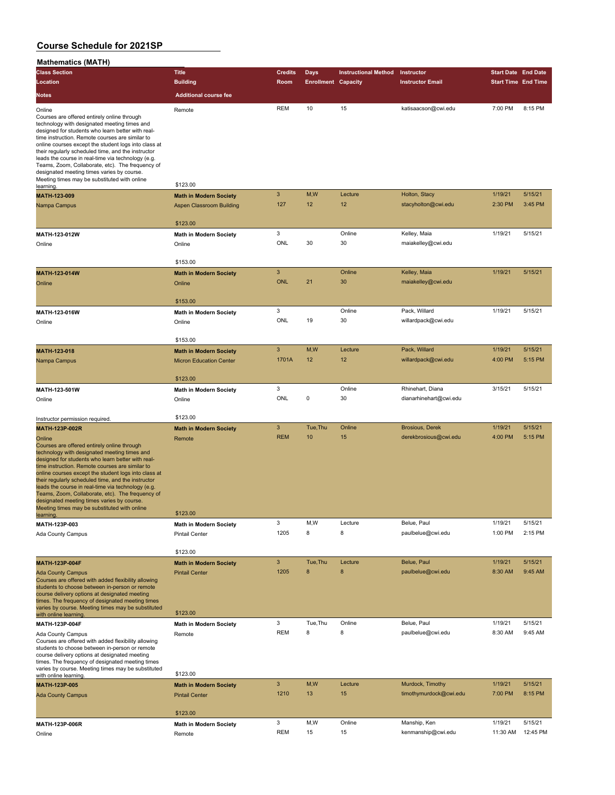| $m$ au emanco $(m + n)$                                                                                                                                                                                                                                                                                                                                                                                                                                                                                                             |                                                                  |                 |                            |                             |                                      |                            |                     |
|-------------------------------------------------------------------------------------------------------------------------------------------------------------------------------------------------------------------------------------------------------------------------------------------------------------------------------------------------------------------------------------------------------------------------------------------------------------------------------------------------------------------------------------|------------------------------------------------------------------|-----------------|----------------------------|-----------------------------|--------------------------------------|----------------------------|---------------------|
| <b>Class Section</b>                                                                                                                                                                                                                                                                                                                                                                                                                                                                                                                | <b>Title</b>                                                     | <b>Credits</b>  | Days                       | <b>Instructional Method</b> | Instructor                           | <b>Start Date End Date</b> |                     |
| Location                                                                                                                                                                                                                                                                                                                                                                                                                                                                                                                            | <b>Building</b>                                                  | Room            | <b>Enrollment Capacity</b> |                             | <b>Instructor Email</b>              | <b>Start Time End Time</b> |                     |
| <b>Notes</b>                                                                                                                                                                                                                                                                                                                                                                                                                                                                                                                        | <b>Additional course fee</b>                                     |                 |                            |                             |                                      |                            |                     |
|                                                                                                                                                                                                                                                                                                                                                                                                                                                                                                                                     |                                                                  |                 |                            |                             |                                      |                            |                     |
| Online<br>Courses are offered entirely online through<br>technology with designated meeting times and<br>designed for students who learn better with real-<br>time instruction. Remote courses are similar to<br>online courses except the student logs into class at<br>their regularly scheduled time, and the instructor<br>leads the course in real-time via technology (e.g.<br>Teams, Zoom, Collaborate, etc). The frequency of<br>designated meeting times varies by course.<br>Meeting times may be substituted with online | Remote                                                           | <b>REM</b>      | 10                         | 15                          | katisaacson@cwi.edu                  | 7:00 PM                    | 8:15 PM             |
| learning                                                                                                                                                                                                                                                                                                                                                                                                                                                                                                                            | \$123.00                                                         |                 |                            |                             |                                      |                            |                     |
| MATH-123-009<br>Nampa Campus                                                                                                                                                                                                                                                                                                                                                                                                                                                                                                        | <b>Math in Modern Society</b><br><b>Aspen Classroom Building</b> | 3<br>127        | M, W<br>12                 | Lecture<br>12               | Holton, Stacy<br>stacyholton@cwi.edu | 1/19/21<br>2:30 PM         | 5/15/21<br>3:45 PM  |
|                                                                                                                                                                                                                                                                                                                                                                                                                                                                                                                                     | \$123.00                                                         |                 |                            |                             |                                      |                            |                     |
| MATH-123-012W                                                                                                                                                                                                                                                                                                                                                                                                                                                                                                                       | <b>Math in Modern Society</b>                                    | 3               |                            | Online                      | Kelley, Maia                         | 1/19/21                    | 5/15/21             |
| Online                                                                                                                                                                                                                                                                                                                                                                                                                                                                                                                              | Online                                                           | ONL             | 30                         | 30                          | maiakelley@cwi.edu                   |                            |                     |
|                                                                                                                                                                                                                                                                                                                                                                                                                                                                                                                                     | \$153.00                                                         |                 |                            |                             |                                      |                            |                     |
| <b>MATH-123-014W</b>                                                                                                                                                                                                                                                                                                                                                                                                                                                                                                                | <b>Math in Modern Society</b>                                    | $\sqrt{3}$      |                            | Online                      | Kelley, Maia                         | 1/19/21                    | 5/15/21             |
| Online                                                                                                                                                                                                                                                                                                                                                                                                                                                                                                                              | Online                                                           | <b>ONL</b>      | 21                         | 30                          | maiakelley@cwi.edu                   |                            |                     |
|                                                                                                                                                                                                                                                                                                                                                                                                                                                                                                                                     | \$153.00                                                         |                 |                            |                             |                                      |                            |                     |
| MATH-123-016W                                                                                                                                                                                                                                                                                                                                                                                                                                                                                                                       | <b>Math in Modern Society</b>                                    | 3               |                            | Online                      | Pack, Willard                        | 1/19/21                    | 5/15/21             |
| Online                                                                                                                                                                                                                                                                                                                                                                                                                                                                                                                              | Online                                                           | ONL             | 19                         | 30                          | willardpack@cwi.edu                  |                            |                     |
|                                                                                                                                                                                                                                                                                                                                                                                                                                                                                                                                     | \$153.00                                                         |                 |                            |                             |                                      |                            |                     |
| MATH-123-018                                                                                                                                                                                                                                                                                                                                                                                                                                                                                                                        | <b>Math in Modern Society</b>                                    | 3               | M,W                        | Lecture                     | Pack, Willard                        | 1/19/21                    | 5/15/21             |
| Nampa Campus                                                                                                                                                                                                                                                                                                                                                                                                                                                                                                                        | <b>Micron Education Center</b>                                   | 1701A           | 12                         | 12                          | willardpack@cwi.edu                  | 4:00 PM                    | 5:15 PM             |
|                                                                                                                                                                                                                                                                                                                                                                                                                                                                                                                                     | \$123.00                                                         |                 |                            |                             |                                      |                            |                     |
| MATH-123-501W                                                                                                                                                                                                                                                                                                                                                                                                                                                                                                                       | Math in Modern Society                                           | 3               |                            | Online                      | Rhinehart, Diana                     | 3/15/21                    | 5/15/21             |
| Online                                                                                                                                                                                                                                                                                                                                                                                                                                                                                                                              | Online                                                           | ONL             | 0                          | 30                          | dianarhinehart@cwi.edu               |                            |                     |
| Instructor permission required.                                                                                                                                                                                                                                                                                                                                                                                                                                                                                                     | \$123.00                                                         |                 |                            |                             |                                      |                            |                     |
| MATH-123P-002R                                                                                                                                                                                                                                                                                                                                                                                                                                                                                                                      | <b>Math in Modern Society</b>                                    | 3               | Tue, Thu                   | Online                      | <b>Brosious, Derek</b>               | 1/19/21                    | 5/15/21             |
| Online<br>Courses are offered entirely online through<br>technology with designated meeting times and<br>designed for students who learn better with real-<br>time instruction. Remote courses are similar to<br>online courses except the student logs into class at<br>their regularly scheduled time, and the instructor<br>leads the course in real-time via technology (e.g.<br>Teams, Zoom, Collaborate, etc). The frequency of<br>designated meeting times varies by course.<br>Meeting times may be substituted with online | Remote<br>\$123.00                                               | <b>REM</b>      | 10                         | 15                          | derekbrosious@cwi.edu                | 4:00 PM                    | 5:15 PM             |
| <u>iearning.</u><br>MATH-123P-003                                                                                                                                                                                                                                                                                                                                                                                                                                                                                                   | <b>Math in Modern Society</b>                                    | 3               | M, W                       | Lecture                     | Belue, Paul                          | 1/19/21                    | 5/15/21             |
| Ada County Campus                                                                                                                                                                                                                                                                                                                                                                                                                                                                                                                   | <b>Pintail Center</b>                                            | 1205            | 8                          | 8                           | paulbelue@cwi.edu                    | 1:00 PM                    | 2:15 PM             |
|                                                                                                                                                                                                                                                                                                                                                                                                                                                                                                                                     |                                                                  |                 |                            |                             |                                      |                            |                     |
|                                                                                                                                                                                                                                                                                                                                                                                                                                                                                                                                     | \$123.00                                                         |                 |                            |                             |                                      |                            |                     |
| MATH-123P-004F<br><b>Ada County Campus</b><br>Courses are offered with added flexibility allowing<br>students to choose between in-person or remote<br>course delivery options at designated meeting<br>times. The frequency of designated meeting times<br>varies by course. Meeting times may be substituted                                                                                                                                                                                                                      | <b>Math in Modern Society</b><br><b>Pintail Center</b>           | 3<br>1205       | Tue, Thu<br>8              | Lecture<br>8                | Belue, Paul<br>paulbelue@cwi.edu     | 1/19/21<br>8:30 AM         | 5/15/21<br>9:45 AM  |
| with online learning.                                                                                                                                                                                                                                                                                                                                                                                                                                                                                                               | \$123.00                                                         |                 | Tue, Thu                   |                             |                                      |                            |                     |
| MATH-123P-004F                                                                                                                                                                                                                                                                                                                                                                                                                                                                                                                      | <b>Math in Modern Society</b>                                    | 3<br><b>REM</b> | 8                          | Online<br>8                 | Belue, Paul<br>paulbelue@cwi.edu     | 1/19/21<br>8:30 AM         | 5/15/21<br>9:45 AM  |
| Ada County Campus<br>Courses are offered with added flexibility allowing<br>students to choose between in-person or remote<br>course delivery options at designated meeting<br>times. The frequency of designated meeting times<br>varies by course. Meeting times may be substituted                                                                                                                                                                                                                                               | Remote                                                           |                 |                            |                             |                                      |                            |                     |
| with online learning.                                                                                                                                                                                                                                                                                                                                                                                                                                                                                                               | \$123.00                                                         |                 |                            |                             |                                      |                            |                     |
| MATH-123P-005                                                                                                                                                                                                                                                                                                                                                                                                                                                                                                                       | <b>Math in Modern Society</b>                                    | 3               | M,W                        | Lecture                     | Murdock, Timothy                     | 1/19/21                    | 5/15/21<br>8:15 PM  |
| <b>Ada County Campus</b>                                                                                                                                                                                                                                                                                                                                                                                                                                                                                                            | <b>Pintail Center</b>                                            | 1210            | 13                         | 15                          | timothymurdock@cwi.edu               | 7:00 PM                    |                     |
|                                                                                                                                                                                                                                                                                                                                                                                                                                                                                                                                     | \$123.00                                                         |                 |                            |                             |                                      |                            |                     |
| MATH-123P-006R                                                                                                                                                                                                                                                                                                                                                                                                                                                                                                                      | Math in Modern Society                                           | 3<br><b>REM</b> | M,W<br>15                  | Online<br>15                | Manship, Ken<br>kenmanship@cwi.edu   | 1/19/21<br>11:30 AM        | 5/15/21<br>12:45 PM |
| Online                                                                                                                                                                                                                                                                                                                                                                                                                                                                                                                              | Remote                                                           |                 |                            |                             |                                      |                            |                     |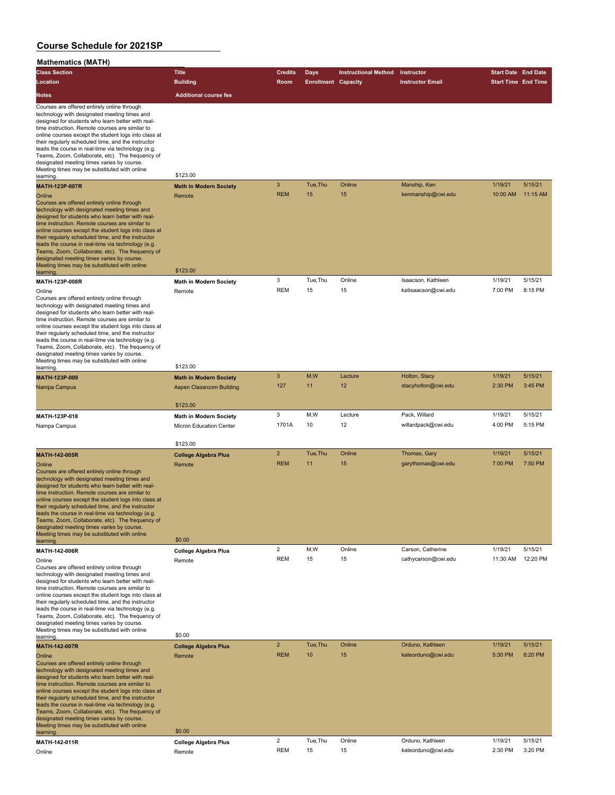| <b>MALIBILIALICS</b> (MAIN)                                                                                                                                                                                                                                                                                                                                                                                                                                                                                                                      |                                                     |                |                            |                             |                         |                            |          |
|--------------------------------------------------------------------------------------------------------------------------------------------------------------------------------------------------------------------------------------------------------------------------------------------------------------------------------------------------------------------------------------------------------------------------------------------------------------------------------------------------------------------------------------------------|-----------------------------------------------------|----------------|----------------------------|-----------------------------|-------------------------|----------------------------|----------|
| <b>Class Section</b>                                                                                                                                                                                                                                                                                                                                                                                                                                                                                                                             | <b>Title</b>                                        | <b>Credits</b> | <b>Days</b>                | <b>Instructional Method</b> | Instructor              | <b>Start Date End Date</b> |          |
| Location                                                                                                                                                                                                                                                                                                                                                                                                                                                                                                                                         | <b>Building</b>                                     | Room           | <b>Enrollment Capacity</b> |                             | <b>Instructor Email</b> | <b>Start Time End Time</b> |          |
| Notes                                                                                                                                                                                                                                                                                                                                                                                                                                                                                                                                            | <b>Additional course fee</b>                        |                |                            |                             |                         |                            |          |
| Courses are offered entirely online through<br>technology with designated meeting times and<br>designed for students who learn better with real-<br>time instruction. Remote courses are similar to<br>online courses except the student logs into class at<br>their regularly scheduled time, and the instructor<br>leads the course in real-time via technology (e.g.<br>Teams, Zoom, Collaborate, etc). The frequency of<br>designated meeting times varies by course.                                                                        |                                                     |                |                            |                             |                         |                            |          |
| Meeting times may be substituted with online                                                                                                                                                                                                                                                                                                                                                                                                                                                                                                     | \$123.00                                            |                |                            |                             |                         |                            |          |
| learning.<br><b>MATH-123P-007R</b>                                                                                                                                                                                                                                                                                                                                                                                                                                                                                                               |                                                     | 3              | Tue, Thu                   | Online                      | Manship, Ken            | 1/19/21                    | 5/15/21  |
| Online<br>Courses are offered entirely online through<br>technology with designated meeting times and<br>designed for students who learn better with real-<br>time instruction. Remote courses are similar to<br>online courses except the student logs into class at<br>their regularly scheduled time, and the instructor<br>leads the course in real-time via technology (e.g.<br>Teams, Zoom, Collaborate, etc). The frequency of<br>designated meeting times varies by course.<br>Meeting times may be substituted with online<br>learning. | <b>Math in Modern Society</b><br>Remote<br>\$123.00 | <b>REM</b>     | 15                         | 15                          | kenmanship@cwi.edu      | 10:00 AM                   | 11:15 AM |
| MATH-123P-008R                                                                                                                                                                                                                                                                                                                                                                                                                                                                                                                                   | <b>Math in Modern Society</b>                       | 3              | Tue, Thu                   | Online                      | Isaacson, Kathleen      | 1/19/21                    | 5/15/21  |
| Online<br>Courses are offered entirely online through<br>technology with designated meeting times and<br>designed for students who learn better with real-<br>time instruction. Remote courses are similar to<br>online courses except the student logs into class at<br>their regularly scheduled time, and the instructor<br>leads the course in real-time via technology (e.g.<br>Teams, Zoom, Collaborate, etc). The frequency of<br>designated meeting times varies by course.<br>Meeting times may be substituted with online<br>learning. | Remote<br>\$123.00                                  | <b>REM</b>     | 15                         | 15                          | katisaacson@cwi.edu     | 7:00 PM                    | 8:15 PM  |
| MATH-123P-009                                                                                                                                                                                                                                                                                                                                                                                                                                                                                                                                    |                                                     | $\mathbf{3}$   | M, W                       | Lecture                     | Holton, Stacy           | 1/19/21                    | 5/15/21  |
|                                                                                                                                                                                                                                                                                                                                                                                                                                                                                                                                                  | <b>Math in Modern Society</b>                       | 127            | 11                         | 12                          | stacyholton@cwi.edu     | 2:30 PM                    | 3:45 PM  |
| Nampa Campus                                                                                                                                                                                                                                                                                                                                                                                                                                                                                                                                     | Aspen Classroom Building<br>\$123.00                |                |                            |                             |                         |                            |          |
| MATH-123P-018                                                                                                                                                                                                                                                                                                                                                                                                                                                                                                                                    | <b>Math in Modern Society</b>                       | 3              | M,W                        | Lecture                     | Pack, Willard           | 1/19/21                    | 5/15/21  |
| Nampa Campus                                                                                                                                                                                                                                                                                                                                                                                                                                                                                                                                     | Micron Education Center                             | 1701A          | 10                         | 12                          | willardpack@cwi.edu     | 4:00 PM                    | 5:15 PM  |
|                                                                                                                                                                                                                                                                                                                                                                                                                                                                                                                                                  | \$123.00                                            |                |                            |                             |                         |                            |          |
| <b>MATH-142-005R</b>                                                                                                                                                                                                                                                                                                                                                                                                                                                                                                                             | <b>College Algebra Plus</b>                         | $\overline{2}$ | Tue, Thu                   | Online                      | Thomas, Gary            | 1/19/21                    | 5/15/21  |
| Online<br>Courses are offered entirely online through<br>technology with designated meeting times and<br>designed for students who learn better with real-<br>time instruction. Remote courses are similar to<br>online courses except the student logs into class at<br>their regularly scheduled time, and the instructor<br>leads the course in real-time via technology (e.g<br>Teams, Zoom, Collaborate, etc). The frequency of<br>designated meeting times varies by course.<br>Meeting times may be substituted with online<br>learning.  | Remote<br>\$0.00                                    | <b>REM</b>     | 11                         | 15                          | garythomas@cwi.edu      | 7:00 PM                    | 7:50 PM  |
| MATH-142-006R                                                                                                                                                                                                                                                                                                                                                                                                                                                                                                                                    | <b>College Algebra Plus</b>                         | $\overline{2}$ | M,W                        | Online                      | Carson, Catherine       | 1/19/21                    | 5/15/21  |
| Online<br>Courses are offered entirely online through<br>technology with designated meeting times and<br>designed for students who learn better with real-<br>time instruction. Remote courses are similar to<br>online courses except the student logs into class at<br>their regularly scheduled time, and the instructor<br>leads the course in real-time via technology (e.g.<br>Teams, Zoom, Collaborate, etc). The frequency of<br>designated meeting times varies by course.<br>Meeting times may be substituted with online              | Remote                                              | <b>REM</b>     | 15                         | 15                          | cathycarson@cwi.edu     | 11:30 AM                   | 12:20 PM |
| learning.                                                                                                                                                                                                                                                                                                                                                                                                                                                                                                                                        | \$0.00                                              |                |                            |                             |                         |                            |          |
| MATH-142-007R                                                                                                                                                                                                                                                                                                                                                                                                                                                                                                                                    | <b>College Algebra Plus</b>                         | $\overline{2}$ | Tue, Thu                   | Online                      | Orduno, Kathleen        | 1/19/21                    | 5/15/21  |
| Online<br>Courses are offered entirely online through<br>technology with designated meeting times and<br>designed for students who learn better with real-<br>time instruction. Remote courses are similar to<br>online courses except the student logs into class at<br>their regularly scheduled time, and the instructor<br>leads the course in real-time via technology (e.g.<br>Teams, Zoom, Collaborate, etc). The frequency of<br>designated meeting times varies by course.<br>Meeting times may be substituted with online<br>learning. | Remote<br>\$0.00                                    | <b>REM</b>     | 10                         | 15                          | kateorduno@cwi.edu      | 5:30 PM                    | 6:20 PM  |
| MATH-142-011R                                                                                                                                                                                                                                                                                                                                                                                                                                                                                                                                    | <b>College Algebra Plus</b>                         | $\overline{2}$ | Tue, Thu                   | Online                      | Orduno, Kathleen        | 1/19/21                    | 5/15/21  |
| Online                                                                                                                                                                                                                                                                                                                                                                                                                                                                                                                                           | Remote                                              | <b>REM</b>     | 15                         | 15                          | kateorduno@cwi.edu      | 2:30 PM                    | 3:20 PM  |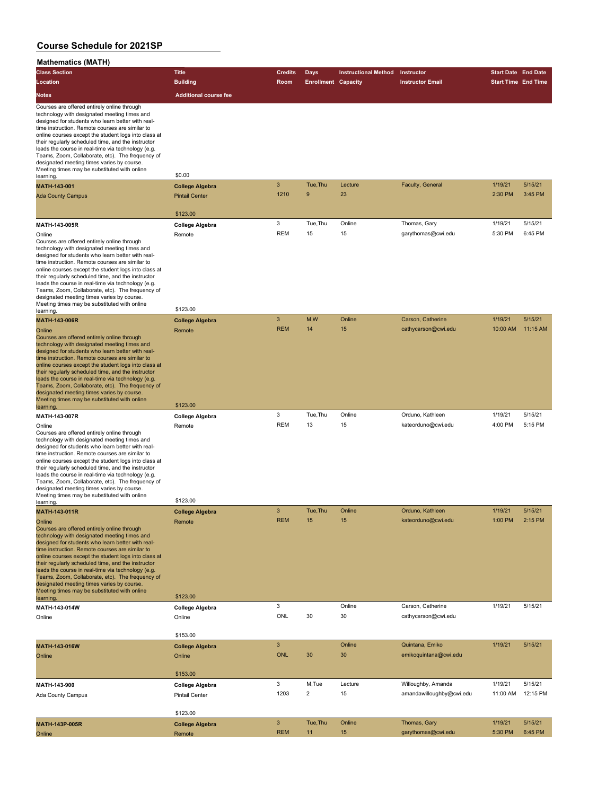| <b>Mathematics (MATH)</b>                                                                                                                                                                                                                                                                                                                                                                                                                                                                                                                                         |                                                             |                 |                            |                             |                                          |                            |                    |
|-------------------------------------------------------------------------------------------------------------------------------------------------------------------------------------------------------------------------------------------------------------------------------------------------------------------------------------------------------------------------------------------------------------------------------------------------------------------------------------------------------------------------------------------------------------------|-------------------------------------------------------------|-----------------|----------------------------|-----------------------------|------------------------------------------|----------------------------|--------------------|
| <b>Class Section</b>                                                                                                                                                                                                                                                                                                                                                                                                                                                                                                                                              | <b>Title</b>                                                | <b>Credits</b>  | Days                       | <b>Instructional Method</b> | Instructor                               | <b>Start Date End Date</b> |                    |
| Location                                                                                                                                                                                                                                                                                                                                                                                                                                                                                                                                                          | <b>Building</b>                                             | Room            | <b>Enrollment Capacity</b> |                             | <b>Instructor Email</b>                  | <b>Start Time End Time</b> |                    |
| <b>Notes</b>                                                                                                                                                                                                                                                                                                                                                                                                                                                                                                                                                      | <b>Additional course fee</b>                                |                 |                            |                             |                                          |                            |                    |
| Courses are offered entirely online through<br>technology with designated meeting times and<br>designed for students who learn better with real-<br>time instruction. Remote courses are similar to<br>online courses except the student logs into class at<br>their regularly scheduled time, and the instructor<br>leads the course in real-time via technology (e.g.<br>Teams, Zoom, Collaborate, etc). The frequency of<br>designated meeting times varies by course.<br>Meeting times may be substituted with online                                         | \$0.00                                                      |                 |                            |                             |                                          |                            |                    |
| learning.                                                                                                                                                                                                                                                                                                                                                                                                                                                                                                                                                         |                                                             | 3               | Tue, Thu                   | Lecture                     | Faculty, General                         | 1/19/21                    | 5/15/21            |
| MATH-143-001<br><b>Ada County Campus</b>                                                                                                                                                                                                                                                                                                                                                                                                                                                                                                                          | <b>College Algebra</b><br><b>Pintail Center</b><br>\$123.00 | 1210            | 9                          | 23                          |                                          | 2:30 PM                    | 3:45 PM            |
|                                                                                                                                                                                                                                                                                                                                                                                                                                                                                                                                                                   |                                                             | 3               | Tue, Thu                   | Online                      | Thomas, Gary                             | 1/19/21                    | 5/15/21            |
| MATH-143-005R<br>Online<br>Courses are offered entirely online through<br>technology with designated meeting times and<br>designed for students who learn better with real-<br>time instruction. Remote courses are similar to<br>online courses except the student logs into class at<br>their regularly scheduled time, and the instructor<br>leads the course in real-time via technology (e.g.<br>Teams, Zoom, Collaborate, etc). The frequency of<br>designated meeting times varies by course.<br>Meeting times may be substituted with online              | College Algebra<br>Remote                                   | <b>REM</b>      | 15                         | 15                          | garythomas@cwi.edu                       | 5:30 PM                    | 6:45 PM            |
| learning.                                                                                                                                                                                                                                                                                                                                                                                                                                                                                                                                                         | \$123.00                                                    | 3               | M,W                        | Online                      | Carson, Catherine                        | 1/19/21                    | 5/15/21            |
| MATH-143-006R<br>Online<br>Courses are offered entirely online through<br>technology with designated meeting times and<br>designed for students who learn better with real-<br>time instruction. Remote courses are similar to<br>online courses except the student logs into class at<br>their regularly scheduled time, and the instructor<br>leads the course in real-time via technology (e.g.<br>Teams, Zoom, Collaborate, etc). The frequency of<br>designated meeting times varies by course.<br>Meeting times may be substituted with online              | <b>College Algebra</b><br>Remote<br>\$123.00                | <b>REM</b>      | 14                         | 15                          | cathycarson@cwi.edu                      | 10:00 AM                   | 11:15 AM           |
| learning.                                                                                                                                                                                                                                                                                                                                                                                                                                                                                                                                                         |                                                             |                 |                            |                             |                                          |                            |                    |
| MATH-143-007R<br>Online<br>Courses are offered entirely online through<br>technology with designated meeting times and<br>designed for students who learn better with real-<br>time instruction. Remote courses are similar to<br>online courses except the student logs into class at<br>their regularly scheduled time, and the instructor<br>leads the course in real-time via technology (e.g.<br>Teams, Zoom, Collaborate, etc). The frequency of<br>designated meeting times varies by course.<br>Meeting times may be substituted with online<br>learning. | <b>College Algebra</b><br>Remote<br>\$123.00                | 3<br><b>REM</b> | Tue, Thu<br>13             | Online<br>15                | Orduno, Kathleen<br>kateorduno@cwi.edu   | 1/19/21<br>4:00 PM         | 5/15/21<br>5:15 PM |
| <b>MATH-143-011R</b>                                                                                                                                                                                                                                                                                                                                                                                                                                                                                                                                              | College Algebra                                             | 3               | Tue.Thu                    | Online                      | Orduno, Kathleen                         | 1/19/21                    | 5/15/21            |
| Online<br>Courses are offered entirely online through<br>technology with designated meeting times and<br>designed for students who learn better with real-<br>time instruction. Remote courses are similar to<br>online courses except the student logs into class at<br>their regularly scheduled time, and the instructor<br>leads the course in real-time via technology (e.g.<br>Teams, Zoom, Collaborate, etc). The frequency of<br>designated meeting times varies by course.<br>Meeting times may be substituted with online                               | Remote                                                      | <b>REM</b>      | 15                         | 15                          | kateorduno@cwi.edu                       | 1:00 PM                    | 2:15 PM            |
| learning                                                                                                                                                                                                                                                                                                                                                                                                                                                                                                                                                          | \$123.00                                                    |                 |                            |                             |                                          |                            |                    |
| MATH-143-014W<br>Online                                                                                                                                                                                                                                                                                                                                                                                                                                                                                                                                           | College Algebra<br>Online                                   | 3<br>ONL        | 30                         | Online<br>30                | Carson, Catherine<br>cathycarson@cwi.edu | 1/19/21                    | 5/15/21            |
|                                                                                                                                                                                                                                                                                                                                                                                                                                                                                                                                                                   | \$153.00                                                    |                 |                            |                             |                                          |                            |                    |
| MATH-143-016W<br>Online                                                                                                                                                                                                                                                                                                                                                                                                                                                                                                                                           | <b>College Algebra</b><br>Online                            | 3<br><b>ONL</b> | 30                         | Online<br>30                | Quintana, Emiko<br>emikoquintana@cwi.edu | 1/19/21                    | 5/15/21            |
|                                                                                                                                                                                                                                                                                                                                                                                                                                                                                                                                                                   | \$153.00                                                    | 3               | M,Tue                      | Lecture                     | Willoughby, Amanda                       | 1/19/21                    | 5/15/21            |
| MATH-143-900<br>Ada County Campus                                                                                                                                                                                                                                                                                                                                                                                                                                                                                                                                 | College Algebra<br><b>Pintail Center</b><br>\$123.00        | 1203            | $\overline{\mathbf{c}}$    | 15                          | amandawilloughby@cwi.edu                 | 11:00 AM                   | 12:15 PM           |
| MATH-143P-005R                                                                                                                                                                                                                                                                                                                                                                                                                                                                                                                                                    | <b>College Algebra</b>                                      | $\mathbf{3}$    | Tue, Thu                   | Online                      | Thomas, Gary                             | 1/19/21                    | 5/15/21            |
| Online                                                                                                                                                                                                                                                                                                                                                                                                                                                                                                                                                            | Remote                                                      | <b>REM</b>      | 11                         | 15                          | garythomas@cwi.edu                       | 5:30 PM                    | 6:45 PM            |
|                                                                                                                                                                                                                                                                                                                                                                                                                                                                                                                                                                   |                                                             |                 |                            |                             |                                          |                            |                    |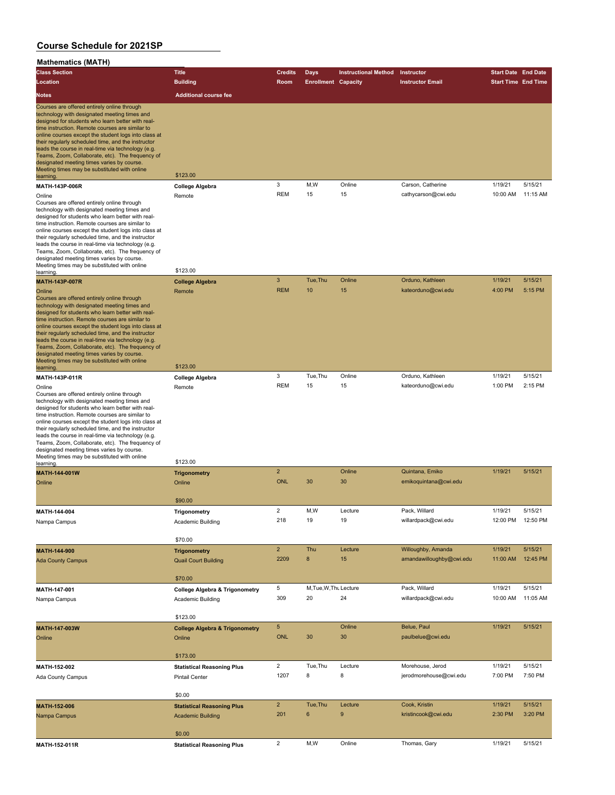| <b>Mathematics</b> (MAIR)                                                                                                                                                                                                                                                                                                                                                                                                                                                                                                                             |                                                                      |                         |                            |                             |                                        |                            |                    |
|-------------------------------------------------------------------------------------------------------------------------------------------------------------------------------------------------------------------------------------------------------------------------------------------------------------------------------------------------------------------------------------------------------------------------------------------------------------------------------------------------------------------------------------------------------|----------------------------------------------------------------------|-------------------------|----------------------------|-----------------------------|----------------------------------------|----------------------------|--------------------|
| <b>Class Section</b>                                                                                                                                                                                                                                                                                                                                                                                                                                                                                                                                  | <b>Title</b>                                                         | <b>Credits</b>          | <b>Days</b>                | <b>Instructional Method</b> | Instructor                             | <b>Start Date End Date</b> |                    |
| Location                                                                                                                                                                                                                                                                                                                                                                                                                                                                                                                                              | <b>Building</b>                                                      | Room                    | <b>Enrollment Capacity</b> |                             | <b>Instructor Email</b>                | <b>Start Time End Time</b> |                    |
| <b>Notes</b>                                                                                                                                                                                                                                                                                                                                                                                                                                                                                                                                          | <b>Additional course fee</b>                                         |                         |                            |                             |                                        |                            |                    |
| Courses are offered entirely online through<br>technology with designated meeting times and<br>designed for students who learn better with real-<br>time instruction. Remote courses are similar to<br>online courses except the student logs into class at<br>their regularly scheduled time, and the instructor                                                                                                                                                                                                                                     |                                                                      |                         |                            |                             |                                        |                            |                    |
| leads the course in real-time via technology (e.g.<br>Teams, Zoom, Collaborate, etc). The frequency of<br>designated meeting times varies by course.                                                                                                                                                                                                                                                                                                                                                                                                  |                                                                      |                         |                            |                             |                                        |                            |                    |
| Meeting times may be substituted with online<br>learning.                                                                                                                                                                                                                                                                                                                                                                                                                                                                                             | \$123.00                                                             |                         |                            |                             |                                        |                            |                    |
| MATH-143P-006R                                                                                                                                                                                                                                                                                                                                                                                                                                                                                                                                        | College Algebra                                                      | 3                       | M, W                       | Online                      | Carson, Catherine                      | 1/19/21                    | 5/15/21            |
| Online<br>Courses are offered entirely online through<br>technology with designated meeting times and<br>designed for students who learn better with real-<br>time instruction. Remote courses are similar to<br>online courses except the student logs into class at<br>their regularly scheduled time, and the instructor<br>leads the course in real-time via technology (e.g.<br>Teams, Zoom, Collaborate, etc). The frequency of<br>designated meeting times varies by course.<br>Meeting times may be substituted with online                   | Remote                                                               | <b>REM</b>              | 15                         | 15                          | cathycarson@cwi.edu                    | 10:00 AM                   | 11:15 AM           |
| learning.                                                                                                                                                                                                                                                                                                                                                                                                                                                                                                                                             | \$123.00                                                             |                         |                            |                             |                                        |                            |                    |
| MATH-143P-007R<br>Online<br>Courses are offered entirely online through<br>technology with designated meeting times and<br>designed for students who learn better with real-<br>time instruction. Remote courses are similar to<br>online courses except the student logs into class at<br>their regularly scheduled time, and the instructor<br>leads the course in real-time via technology (e.g.<br>Teams, Zoom, Collaborate, etc). The frequency of<br>designated meeting times varies by course.<br>Meeting times may be substituted with online | <b>College Algebra</b><br>Remote                                     | 3<br><b>REM</b>         | Tue, Thu<br>10             | Online<br>15                | Orduno, Kathleen<br>kateorduno@cwi.edu | 1/19/21<br>4:00 PM         | 5/15/21<br>5:15 PM |
| learning                                                                                                                                                                                                                                                                                                                                                                                                                                                                                                                                              | \$123.00                                                             |                         |                            |                             |                                        |                            |                    |
| MATH-143P-011R                                                                                                                                                                                                                                                                                                                                                                                                                                                                                                                                        | College Algebra                                                      | 3<br><b>REM</b>         | Tue, Thu<br>15             | Online<br>15                | Orduno, Kathleen<br>kateorduno@cwi.edu | 1/19/21<br>1:00 PM         | 5/15/21<br>2:15 PM |
| Online<br>Courses are offered entirely online through<br>technology with designated meeting times and<br>designed for students who learn better with real-<br>time instruction. Remote courses are similar to<br>online courses except the student logs into class at<br>their regularly scheduled time, and the instructor<br>leads the course in real-time via technology (e.g.<br>Teams, Zoom, Collaborate, etc). The frequency of<br>designated meeting times varies by course.<br>Meeting times may be substituted with online<br>learning.      | Remote<br>\$123.00                                                   |                         |                            |                             |                                        |                            |                    |
| MATH-144-001W                                                                                                                                                                                                                                                                                                                                                                                                                                                                                                                                         | <b>Trigonometry</b>                                                  | $\overline{2}$          |                            | Online                      | Quintana, Emiko                        | 1/19/21                    | 5/15/21            |
| Online                                                                                                                                                                                                                                                                                                                                                                                                                                                                                                                                                | Online                                                               | <b>ONL</b>              | 30                         | 30                          | emikoquintana@cwi.edu                  |                            |                    |
|                                                                                                                                                                                                                                                                                                                                                                                                                                                                                                                                                       | \$90.00                                                              | $\overline{2}$          | M,W                        | Lecture                     | Pack, Willard                          | 1/19/21                    | 5/15/21            |
| MATH-144-004<br>Nampa Campus                                                                                                                                                                                                                                                                                                                                                                                                                                                                                                                          | Trigonometry<br>Academic Building                                    | 218                     | 19                         | 19                          | willardpack@cwi.edu                    | 12:00 PM 12:50 PM          |                    |
|                                                                                                                                                                                                                                                                                                                                                                                                                                                                                                                                                       | \$70.00                                                              |                         |                            |                             |                                        |                            |                    |
| MATH-144-900                                                                                                                                                                                                                                                                                                                                                                                                                                                                                                                                          | <b>Trigonometry</b>                                                  | $\overline{2}$          | Thu                        | Lecture                     | Willoughby, Amanda                     | 1/19/21                    | 5/15/21            |
| <b>Ada County Campus</b>                                                                                                                                                                                                                                                                                                                                                                                                                                                                                                                              | <b>Quail Court Building</b><br>\$70.00                               | 2209                    | 8                          | 15                          | amandawilloughby@cwi.edu               | 11:00 AM                   | 12:45 PM           |
| MATH-147-001                                                                                                                                                                                                                                                                                                                                                                                                                                                                                                                                          | <b>College Algebra &amp; Trigonometry</b>                            | 5                       | M, Tue, W, Thu Lecture     |                             | Pack, Willard                          | 1/19/21                    | 5/15/21            |
| Nampa Campus                                                                                                                                                                                                                                                                                                                                                                                                                                                                                                                                          | Academic Building                                                    | 309                     | 20                         | 24                          | willardpack@cwi.edu                    | 10:00 AM                   | 11:05 AM           |
|                                                                                                                                                                                                                                                                                                                                                                                                                                                                                                                                                       | \$123.00                                                             |                         |                            |                             |                                        |                            |                    |
| MATH-147-003W<br>Online                                                                                                                                                                                                                                                                                                                                                                                                                                                                                                                               | <b>College Algebra &amp; Trigonometry</b><br>Online<br>\$173.00      | 5<br><b>ONL</b>         | 30                         | Online<br>30                | Belue, Paul<br>paulbelue@cwi.edu       | 1/19/21                    | 5/15/21            |
|                                                                                                                                                                                                                                                                                                                                                                                                                                                                                                                                                       |                                                                      | $\overline{c}$          | Tue, Thu                   | Lecture                     | Morehouse, Jerod                       | 1/19/21                    | 5/15/21            |
| MATH-152-002<br>Ada County Campus                                                                                                                                                                                                                                                                                                                                                                                                                                                                                                                     | <b>Statistical Reasoning Plus</b><br><b>Pintail Center</b><br>\$0.00 | 1207                    | 8                          | 8                           | jerodmorehouse@cwi.edu                 | 7:00 PM                    | 7:50 PM            |
|                                                                                                                                                                                                                                                                                                                                                                                                                                                                                                                                                       |                                                                      | $\overline{2}$          | Tue, Thu                   | Lecture                     | Cook, Kristin                          | 1/19/21                    | 5/15/21            |
| MATH-152-006<br>Nampa Campus                                                                                                                                                                                                                                                                                                                                                                                                                                                                                                                          | <b>Statistical Reasoning Plus</b><br><b>Academic Building</b>        | 201                     | 6                          | 9                           | kristincook@cwi.edu                    | 2:30 PM                    | 3:20 PM            |
|                                                                                                                                                                                                                                                                                                                                                                                                                                                                                                                                                       | \$0.00                                                               |                         | M,W                        | Online                      |                                        | 1/19/21                    | 5/15/21            |
| MATH-152-011R                                                                                                                                                                                                                                                                                                                                                                                                                                                                                                                                         | <b>Statistical Reasoning Plus</b>                                    | $\overline{\mathbf{c}}$ |                            |                             | Thomas, Gary                           |                            |                    |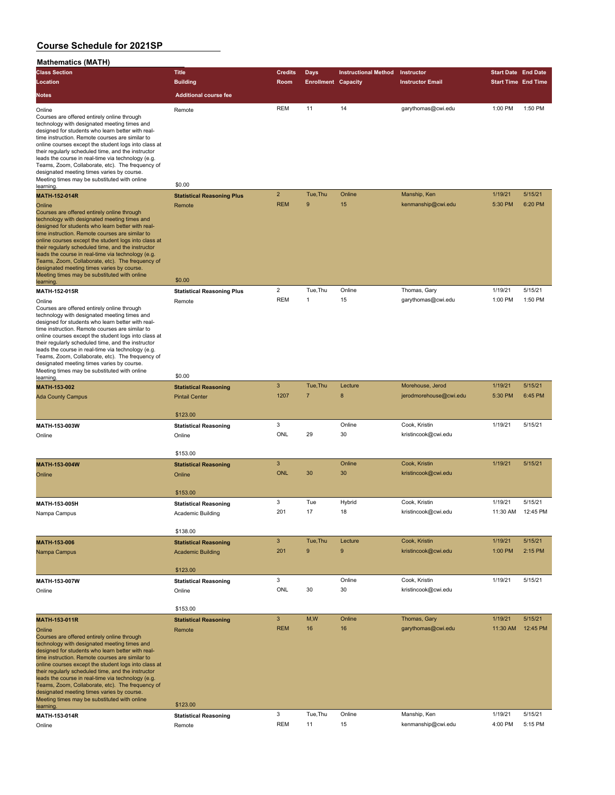| <b>Mathematics (MAIH)</b>                                                                                                                                                                                                                                                                                                                                                                                                                                                                                                                                                |                                                       |                              |                            |                             |                                            |                            |                    |
|--------------------------------------------------------------------------------------------------------------------------------------------------------------------------------------------------------------------------------------------------------------------------------------------------------------------------------------------------------------------------------------------------------------------------------------------------------------------------------------------------------------------------------------------------------------------------|-------------------------------------------------------|------------------------------|----------------------------|-----------------------------|--------------------------------------------|----------------------------|--------------------|
| <b>Class Section</b>                                                                                                                                                                                                                                                                                                                                                                                                                                                                                                                                                     | <b>Title</b>                                          | <b>Credits</b>               | Days                       | <b>Instructional Method</b> | Instructor                                 | <b>Start Date End Date</b> |                    |
| Location                                                                                                                                                                                                                                                                                                                                                                                                                                                                                                                                                                 | <b>Building</b>                                       | Room                         | <b>Enrollment Capacity</b> |                             | <b>Instructor Email</b>                    | <b>Start Time End Time</b> |                    |
| <b>Notes</b>                                                                                                                                                                                                                                                                                                                                                                                                                                                                                                                                                             | <b>Additional course fee</b>                          |                              |                            |                             |                                            |                            |                    |
|                                                                                                                                                                                                                                                                                                                                                                                                                                                                                                                                                                          |                                                       |                              |                            |                             |                                            |                            |                    |
| Online<br>Courses are offered entirely online through<br>technology with designated meeting times and<br>designed for students who learn better with real-<br>time instruction. Remote courses are similar to<br>online courses except the student logs into class at<br>their regularly scheduled time, and the instructor<br>leads the course in real-time via technology (e.g.<br>Teams, Zoom, Collaborate, etc). The frequency of<br>designated meeting times varies by course.<br>Meeting times may be substituted with online                                      | Remote                                                | <b>REM</b>                   | 11                         | 14                          | garythomas@cwi.edu                         | 1:00 PM                    | 1:50 PM            |
| learning.                                                                                                                                                                                                                                                                                                                                                                                                                                                                                                                                                                | \$0.00                                                |                              |                            |                             |                                            |                            |                    |
| <b>MATH-152-014R</b><br>Online<br>Courses are offered entirely online through<br>technology with designated meeting times and<br>designed for students who learn better with real-<br>time instruction. Remote courses are similar to<br>online courses except the student logs into class at<br>their regularly scheduled time, and the instructor<br>leads the course in real-time via technology (e.g.<br>Teams, Zoom, Collaborate, etc). The frequency of<br>designated meeting times varies by course.<br>Meeting times may be substituted with online<br>learning. | <b>Statistical Reasoning Plus</b><br>Remote<br>\$0.00 | $\overline{2}$<br><b>REM</b> | Tue, Thu<br>9              | Online<br>15                | Manship, Ken<br>kenmanship@cwi.edu         | 1/19/21<br>5:30 PM         | 5/15/21<br>6:20 PM |
|                                                                                                                                                                                                                                                                                                                                                                                                                                                                                                                                                                          |                                                       | $\overline{c}$               | Tue, Thu                   | Online                      | Thomas, Gary                               | 1/19/21                    | 5/15/21            |
| MATH-152-015R<br>Online<br>Courses are offered entirely online through<br>technology with designated meeting times and<br>designed for students who learn better with real-<br>time instruction. Remote courses are similar to<br>online courses except the student logs into class at<br>their regularly scheduled time, and the instructor<br>leads the course in real-time via technology (e.g.<br>Teams, Zoom, Collaborate, etc). The frequency of<br>designated meeting times varies by course.<br>Meeting times may be substituted with online                     | <b>Statistical Reasoning Plus</b><br>Remote           | <b>REM</b>                   | 1                          | 15                          | garythomas@cwi.edu                         | 1:00 PM                    | 1:50 PM            |
| learning.                                                                                                                                                                                                                                                                                                                                                                                                                                                                                                                                                                | \$0.00                                                |                              |                            |                             |                                            |                            |                    |
| MATH-153-002<br><b>Ada County Campus</b>                                                                                                                                                                                                                                                                                                                                                                                                                                                                                                                                 | <b>Statistical Reasoning</b><br><b>Pintail Center</b> | 3<br>1207                    | Tue, Thu<br>$\overline{7}$ | Lecture<br>8                | Morehouse, Jerod<br>jerodmorehouse@cwi.edu | 1/19/21<br>5:30 PM         | 5/15/21<br>6:45 PM |
|                                                                                                                                                                                                                                                                                                                                                                                                                                                                                                                                                                          | \$123.00                                              |                              |                            |                             |                                            |                            |                    |
|                                                                                                                                                                                                                                                                                                                                                                                                                                                                                                                                                                          |                                                       | 3                            |                            | Online                      | Cook, Kristin                              | 1/19/21                    | 5/15/21            |
| MATH-153-003W<br>Online                                                                                                                                                                                                                                                                                                                                                                                                                                                                                                                                                  | <b>Statistical Reasoning</b><br>Online<br>\$153.00    | ONL                          | 29                         | 30                          | kristincook@cwi.edu                        |                            |                    |
|                                                                                                                                                                                                                                                                                                                                                                                                                                                                                                                                                                          |                                                       | 3                            |                            | Online                      | Cook, Kristin                              | 1/19/21                    | 5/15/21            |
| MATH-153-004W<br>Online                                                                                                                                                                                                                                                                                                                                                                                                                                                                                                                                                  | <b>Statistical Reasoning</b><br>Online                | <b>ONL</b>                   | 30                         | 30                          | kristincook@cwi.edu                        |                            |                    |
|                                                                                                                                                                                                                                                                                                                                                                                                                                                                                                                                                                          | \$153.00                                              | 3                            |                            |                             |                                            |                            | 5/15/21            |
| MATH-153-005H                                                                                                                                                                                                                                                                                                                                                                                                                                                                                                                                                            | <b>Statistical Reasoning</b>                          | 201                          | Tue<br>17                  | Hybrid<br>18                | Cook, Kristin<br>kristincook@cwi.edu       | 1/19/21<br>11:30 AM        | 12:45 PM           |
| Nampa Campus                                                                                                                                                                                                                                                                                                                                                                                                                                                                                                                                                             | Academic Building<br>\$138.00                         |                              |                            |                             |                                            |                            |                    |
| MATH-153-006                                                                                                                                                                                                                                                                                                                                                                                                                                                                                                                                                             | <b>Statistical Reasoning</b>                          | $\mathbf{3}$                 | Tue, Thu                   | Lecture                     | Cook, Kristin                              | 1/19/21                    | 5/15/21            |
| Nampa Campus                                                                                                                                                                                                                                                                                                                                                                                                                                                                                                                                                             | <b>Academic Building</b>                              | 201                          | 9                          | 9                           | kristincook@cwi.edu                        | 1:00 PM                    | 2:15 PM            |
|                                                                                                                                                                                                                                                                                                                                                                                                                                                                                                                                                                          | \$123.00                                              |                              |                            |                             |                                            |                            |                    |
| MATH-153-007W<br>Online                                                                                                                                                                                                                                                                                                                                                                                                                                                                                                                                                  | <b>Statistical Reasoning</b><br>Online                | 3<br>ONL                     | 30                         | Online<br>30                | Cook, Kristin<br>kristincook@cwi.edu       | 1/19/21                    | 5/15/21            |
|                                                                                                                                                                                                                                                                                                                                                                                                                                                                                                                                                                          | \$153.00                                              |                              |                            |                             |                                            |                            |                    |
| MATH-153-011R                                                                                                                                                                                                                                                                                                                                                                                                                                                                                                                                                            | <b>Statistical Reasoning</b>                          | $\mathbf{3}$                 | M,W                        | Online                      | Thomas, Gary                               | 1/19/21                    | 5/15/21            |
| Online<br>Courses are offered entirely online through<br>technology with designated meeting times and<br>designed for students who learn better with real-<br>time instruction. Remote courses are similar to<br>online courses except the student logs into class at<br>their regularly scheduled time, and the instructor<br>leads the course in real-time via technology (e.g.<br>Teams, Zoom, Collaborate, etc). The frequency of<br>designated meeting times varies by course.<br>Meeting times may be substituted with online<br>learning.                         | Remote<br>\$123.00                                    | <b>REM</b>                   | 16                         | 16                          | garythomas@cwi.edu                         | 11:30 AM                   | 12:45 PM           |
| MATH-153-014R                                                                                                                                                                                                                                                                                                                                                                                                                                                                                                                                                            | <b>Statistical Reasoning</b>                          | 3                            | Tue, Thu                   | Online                      | Manship, Ken                               | 1/19/21                    | 5/15/21            |
| Online                                                                                                                                                                                                                                                                                                                                                                                                                                                                                                                                                                   | Remote                                                | <b>REM</b>                   | 11                         | 15                          | kenmanship@cwi.edu                         | 4:00 PM                    | 5:15 PM            |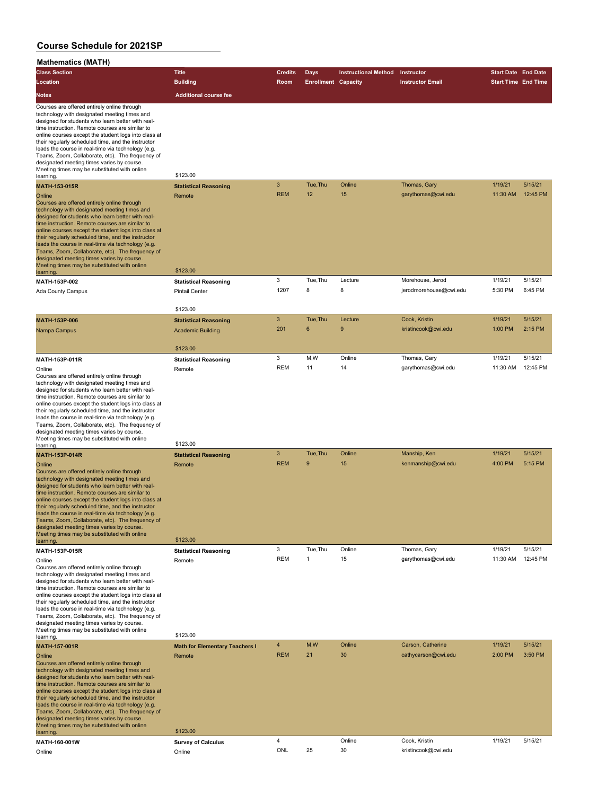| <b>MAUTEMANUS (MAILL)</b>                                                                                                                                                                                                                                                                                                                                                                                                                                                                                                                       |                                                       |                |                            |                             |                                            |                            |                    |
|-------------------------------------------------------------------------------------------------------------------------------------------------------------------------------------------------------------------------------------------------------------------------------------------------------------------------------------------------------------------------------------------------------------------------------------------------------------------------------------------------------------------------------------------------|-------------------------------------------------------|----------------|----------------------------|-----------------------------|--------------------------------------------|----------------------------|--------------------|
| <b>Class Section</b>                                                                                                                                                                                                                                                                                                                                                                                                                                                                                                                            | <b>Title</b>                                          | <b>Credits</b> | <b>Days</b>                | <b>Instructional Method</b> | Instructor                                 | <b>Start Date End Date</b> |                    |
| Location                                                                                                                                                                                                                                                                                                                                                                                                                                                                                                                                        | <b>Building</b>                                       | Room           | <b>Enrollment Capacity</b> |                             | <b>Instructor Email</b>                    | <b>Start Time End Time</b> |                    |
| Notes                                                                                                                                                                                                                                                                                                                                                                                                                                                                                                                                           | <b>Additional course fee</b>                          |                |                            |                             |                                            |                            |                    |
| Courses are offered entirely online through<br>technology with designated meeting times and<br>designed for students who learn better with real-<br>time instruction. Remote courses are similar to                                                                                                                                                                                                                                                                                                                                             |                                                       |                |                            |                             |                                            |                            |                    |
| online courses except the student logs into class at<br>their regularly scheduled time, and the instructor<br>leads the course in real-time via technology (e.g.<br>Teams, Zoom, Collaborate, etc). The frequency of<br>designated meeting times varies by course.                                                                                                                                                                                                                                                                              |                                                       |                |                            |                             |                                            |                            |                    |
| Meeting times may be substituted with online<br>learning.                                                                                                                                                                                                                                                                                                                                                                                                                                                                                       | \$123.00                                              |                |                            |                             |                                            |                            |                    |
| <b>MATH-153-015R</b>                                                                                                                                                                                                                                                                                                                                                                                                                                                                                                                            | <b>Statistical Reasoning</b>                          | $\mathbf{3}$   | Tue, Thu                   | Online                      | Thomas, Gary                               | 1/19/21                    | 5/15/21            |
| Online<br>Courses are offered entirely online through<br>technology with designated meeting times and<br>designed for students who learn better with real-<br>time instruction. Remote courses are similar to<br>online courses except the student logs into class at<br>their regularly scheduled time, and the instructor<br>leads the course in real-time via technology (e.g.<br>Teams, Zoom, Collaborate, etc). The frequency of<br>designated meeting times varies by course.<br>Meeting times may be substituted with online             | Remote                                                | <b>REM</b>     | 12                         | 15                          | garythomas@cwi.edu                         | 11:30 AM                   | 12:45 PM           |
| learning.                                                                                                                                                                                                                                                                                                                                                                                                                                                                                                                                       | \$123.00                                              |                |                            |                             |                                            |                            |                    |
| MATH-153P-002<br>Ada County Campus                                                                                                                                                                                                                                                                                                                                                                                                                                                                                                              | <b>Statistical Reasoning</b><br><b>Pintail Center</b> | 3<br>1207      | Tue, Thu<br>8              | Lecture<br>8                | Morehouse, Jerod<br>jerodmorehouse@cwi.edu | 1/19/21<br>5:30 PM         | 5/15/21<br>6:45 PM |
|                                                                                                                                                                                                                                                                                                                                                                                                                                                                                                                                                 | \$123.00                                              |                |                            |                             |                                            |                            |                    |
| MATH-153P-006                                                                                                                                                                                                                                                                                                                                                                                                                                                                                                                                   | <b>Statistical Reasoning</b>                          | $\mathbf{3}$   | Tue, Thu                   | Lecture                     | Cook, Kristin                              | 1/19/21                    | 5/15/21            |
| Nampa Campus                                                                                                                                                                                                                                                                                                                                                                                                                                                                                                                                    | <b>Academic Building</b><br>\$123.00                  | 201            | 6                          | 9                           | kristincook@cwi.edu                        | 1:00 PM                    | 2:15 PM            |
| MATH-153P-011R                                                                                                                                                                                                                                                                                                                                                                                                                                                                                                                                  | <b>Statistical Reasoning</b>                          | 3              | M,W                        | Online                      | Thomas, Gary                               | 1/19/21                    | 5/15/21            |
| Online<br>Courses are offered entirely online through<br>technology with designated meeting times and<br>designed for students who learn better with real-<br>time instruction. Remote courses are similar to<br>online courses except the student logs into class at<br>their regularly scheduled time, and the instructor<br>leads the course in real-time via technology (e.g.<br>Teams, Zoom, Collaborate, etc). The frequency of<br>designated meeting times varies by course.                                                             | Remote                                                | <b>REM</b>     | 11                         | 14                          | garythomas@cwi.edu                         | 11:30 AM                   | 12:45 PM           |
| Meeting times may be substituted with online<br>learning.                                                                                                                                                                                                                                                                                                                                                                                                                                                                                       | \$123.00                                              |                |                            |                             |                                            |                            |                    |
| MATH-153P-014R                                                                                                                                                                                                                                                                                                                                                                                                                                                                                                                                  | <b>Statistical Reasoning</b>                          | $\mathbf{3}$   | Tue, Thu                   | Online                      | Manship, Ken                               | 1/19/21                    | 5/15/21            |
| Online<br>Courses are offered entirely online through<br>technology with designated meeting times and<br>designed for students who learn better with real-<br>time instruction. Remote courses are similar to<br>online courses except the student logs into class at<br>their regularly scheduled time, and the instructor<br>leads the course in real-time via technology (e.g.<br>Teams, Zoom, Collaborate, etc). The frequency of<br>designated meeting times varies by course.<br>Meeting times may be substituted with online<br>learning | Remote<br>\$123.00                                    | <b>REM</b>     | 9                          | 15                          | kenmanship@cwi.edu                         | 4:00 PM                    | 5:15 PM            |
| MATH-153P-015R                                                                                                                                                                                                                                                                                                                                                                                                                                                                                                                                  | <b>Statistical Reasoning</b>                          | 3              | Tue, Thu                   | Online                      | Thomas, Gary                               | 1/19/21                    | 5/15/21            |
| Online<br>Courses are offered entirely online through<br>technology with designated meeting times and<br>designed for students who learn better with real-<br>time instruction. Remote courses are similar to<br>online courses except the student logs into class at<br>their regularly scheduled time, and the instructor<br>leads the course in real-time via technology (e.g.<br>Teams, Zoom, Collaborate, etc). The frequency of<br>designated meeting times varies by course.<br>Meeting times may be substituted with online             | Remote<br>\$123.00                                    | <b>REM</b>     | $\mathbf{1}$               | 15                          | garythomas@cwi.edu                         | 11:30 AM                   | 12:45 PM           |
| learning.<br><b>MATH-157-001R</b>                                                                                                                                                                                                                                                                                                                                                                                                                                                                                                               | <b>Math for Elementary Teachers I</b>                 | $\overline{4}$ | M, W                       | Online                      | Carson, Catherine                          | 1/19/21                    | 5/15/21            |
| Online<br>Courses are offered entirely online through<br>technology with designated meeting times and<br>designed for students who learn better with real-<br>time instruction. Remote courses are similar to<br>online courses except the student logs into class at<br>their regularly scheduled time, and the instructor<br>leads the course in real-time via technology (e.g.<br>Teams, Zoom, Collaborate, etc). The frequency of<br>designated meeting times varies by course.<br>Meeting times may be substituted with online             | Remote                                                | <b>REM</b>     | 21                         | 30                          | cathycarson@cwi.edu                        | 2:00 PM                    | 3:50 PM            |
| learning.                                                                                                                                                                                                                                                                                                                                                                                                                                                                                                                                       | \$123.00                                              | 4              |                            | Online                      | Cook, Kristin                              | 1/19/21                    | 5/15/21            |
| MATH-160-001W<br>Online                                                                                                                                                                                                                                                                                                                                                                                                                                                                                                                         | <b>Survey of Calculus</b><br>Online                   | ONL            | 25                         | 30                          | kristincook@cwi.edu                        |                            |                    |
|                                                                                                                                                                                                                                                                                                                                                                                                                                                                                                                                                 |                                                       |                |                            |                             |                                            |                            |                    |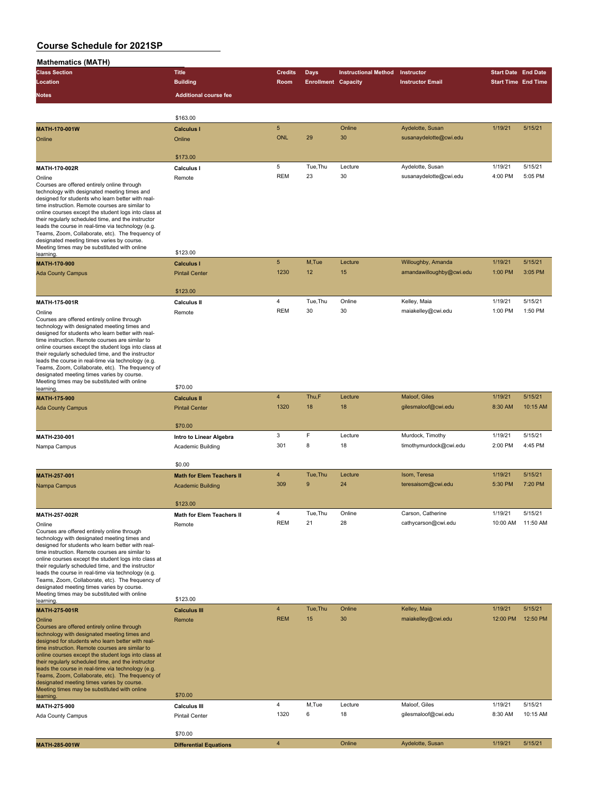| <b>Mathematics (MATH)</b>                                                                                  |                                  |                 |                            |                             |                          |                            |                    |
|------------------------------------------------------------------------------------------------------------|----------------------------------|-----------------|----------------------------|-----------------------------|--------------------------|----------------------------|--------------------|
| <b>Class Section</b>                                                                                       | <b>Title</b>                     | <b>Credits</b>  | Days                       | <b>Instructional Method</b> | Instructor               | <b>Start Date End Date</b> |                    |
| Location                                                                                                   | <b>Building</b>                  | Room            | <b>Enrollment Capacity</b> |                             | <b>Instructor Email</b>  | <b>Start Time End Time</b> |                    |
| <b>Notes</b>                                                                                               | <b>Additional course fee</b>     |                 |                            |                             |                          |                            |                    |
|                                                                                                            |                                  |                 |                            |                             |                          |                            |                    |
|                                                                                                            | \$163.00                         |                 |                            |                             |                          |                            |                    |
| MATH-170-001W                                                                                              | <b>Calculus I</b>                | 5               |                            | Online                      | Aydelotte, Susan         | 1/19/21                    | 5/15/21            |
| Online                                                                                                     | Online                           | <b>ONL</b>      | 29                         | 30                          | susanaydelotte@cwi.edu   |                            |                    |
|                                                                                                            | \$173.00                         |                 |                            |                             |                          |                            |                    |
| MATH-170-002R                                                                                              | Calculus I                       | 5               | Tue, Thu                   | Lecture                     | Aydelotte, Susan         | 1/19/21                    | 5/15/21            |
| Online                                                                                                     | Remote                           | <b>REM</b>      | 23                         | 30                          | susanaydelotte@cwi.edu   | 4:00 PM                    | 5:05 PM            |
| Courses are offered entirely online through                                                                |                                  |                 |                            |                             |                          |                            |                    |
| technology with designated meeting times and<br>designed for students who learn better with real-          |                                  |                 |                            |                             |                          |                            |                    |
| time instruction. Remote courses are similar to                                                            |                                  |                 |                            |                             |                          |                            |                    |
| online courses except the student logs into class at<br>their regularly scheduled time, and the instructor |                                  |                 |                            |                             |                          |                            |                    |
| leads the course in real-time via technology (e.g.                                                         |                                  |                 |                            |                             |                          |                            |                    |
| Teams, Zoom, Collaborate, etc). The frequency of<br>designated meeting times varies by course.             |                                  |                 |                            |                             |                          |                            |                    |
| Meeting times may be substituted with online<br>learning.                                                  | \$123.00                         |                 |                            |                             |                          |                            |                    |
| MATH-170-900                                                                                               | <b>Calculus I</b>                | $5\phantom{.0}$ | M,Tue                      | Lecture                     | Willoughby, Amanda       | 1/19/21                    | 5/15/21            |
| <b>Ada County Campus</b>                                                                                   | <b>Pintail Center</b>            | 1230            | 12                         | 15                          | amandawilloughby@cwi.edu | 1:00 PM                    | 3:05 PM            |
|                                                                                                            |                                  |                 |                            |                             |                          |                            |                    |
|                                                                                                            | \$123.00                         |                 |                            |                             |                          |                            |                    |
| MATH-175-001R                                                                                              | <b>Calculus II</b>               | 4               | Tue, Thu                   | Online                      | Kelley, Maia             | 1/19/21                    | 5/15/21            |
| Online                                                                                                     | Remote                           | <b>REM</b>      | 30                         | 30                          | maiakelley@cwi.edu       | 1:00 PM                    | 1:50 PM            |
| Courses are offered entirely online through<br>technology with designated meeting times and                |                                  |                 |                            |                             |                          |                            |                    |
| designed for students who learn better with real-<br>time instruction. Remote courses are similar to       |                                  |                 |                            |                             |                          |                            |                    |
| online courses except the student logs into class at                                                       |                                  |                 |                            |                             |                          |                            |                    |
| their regularly scheduled time, and the instructor<br>leads the course in real-time via technology (e.g.   |                                  |                 |                            |                             |                          |                            |                    |
| Teams, Zoom, Collaborate, etc). The frequency of                                                           |                                  |                 |                            |                             |                          |                            |                    |
| designated meeting times varies by course.<br>Meeting times may be substituted with online                 |                                  |                 |                            |                             |                          |                            |                    |
| learning.                                                                                                  | \$70.00                          |                 |                            |                             |                          |                            |                    |
| MATH-175-900                                                                                               | <b>Calculus II</b>               | $\overline{4}$  | Thu,F                      | Lecture                     | Maloof, Giles            | 1/19/21                    | 5/15/21            |
| <b>Ada County Campus</b>                                                                                   | <b>Pintail Center</b>            | 1320            | 18                         | 18                          | gilesmaloof@cwi.edu      | 8:30 AM                    | 10:15 AM           |
|                                                                                                            | \$70.00                          |                 |                            |                             |                          |                            |                    |
| MATH-230-001                                                                                               | Intro to Linear Algebra          | 3               | F                          | Lecture                     | Murdock, Timothy         | 1/19/21                    | 5/15/21            |
| Nampa Campus                                                                                               | Academic Building                | 301             | 8                          | 18                          | timothymurdock@cwi.edu   | 2:00 PM                    | 4:45 PM            |
|                                                                                                            |                                  |                 |                            |                             |                          |                            |                    |
|                                                                                                            | \$0.00                           |                 |                            |                             |                          |                            |                    |
| MATH-257-001                                                                                               | <b>Math for Elem Teachers II</b> | 4<br>309        | Tue, Thu<br>9              | Lecture<br>24               | Isom, Teresa             | 1/19/21<br>5:30 PM         | 5/15/21<br>7:20 PM |
| Nampa Campus                                                                                               | <b>Academic Building</b>         |                 |                            |                             | teresaisom@cwi.edu       |                            |                    |
|                                                                                                            | \$123.00                         |                 |                            |                             |                          |                            |                    |
| MATH-257-002R                                                                                              | <b>Math for Elem Teachers II</b> | 4               | Tue, Thu                   | Online                      | Carson, Catherine        | 1/19/21                    | 5/15/21            |
| Online                                                                                                     | Remote                           | <b>REM</b>      | 21                         | 28                          | cathycarson@cwi.edu      | 10:00 AM                   | 11:50 AM           |
| Courses are offered entirely online through                                                                |                                  |                 |                            |                             |                          |                            |                    |
| technology with designated meeting times and<br>designed for students who learn better with real-          |                                  |                 |                            |                             |                          |                            |                    |
| time instruction. Remote courses are similar to<br>online courses except the student logs into class at    |                                  |                 |                            |                             |                          |                            |                    |
| their regularly scheduled time, and the instructor                                                         |                                  |                 |                            |                             |                          |                            |                    |
| leads the course in real-time via technology (e.g.<br>Teams, Zoom, Collaborate, etc). The frequency of     |                                  |                 |                            |                             |                          |                            |                    |
| designated meeting times varies by course.                                                                 |                                  |                 |                            |                             |                          |                            |                    |
| Meeting times may be substituted with online<br>learning.                                                  | \$123.00                         |                 |                            |                             |                          |                            |                    |
| <b>MATH-275-001R</b>                                                                                       | <b>Calculus III</b>              | $\overline{4}$  | Tue, Thu                   | Online                      | Kelley, Maia             | 1/19/21                    | 5/15/21            |
| Online                                                                                                     | Remote                           | <b>REM</b>      | 15                         | 30                          | maiakelley@cwi.edu       | 12:00 PM                   | 12:50 PM           |
| Courses are offered entirely online through<br>technology with designated meeting times and                |                                  |                 |                            |                             |                          |                            |                    |
| designed for students who learn better with real-                                                          |                                  |                 |                            |                             |                          |                            |                    |
| time instruction. Remote courses are similar to<br>online courses except the student logs into class at    |                                  |                 |                            |                             |                          |                            |                    |
| their regularly scheduled time, and the instructor                                                         |                                  |                 |                            |                             |                          |                            |                    |
| leads the course in real-time via technology (e.g.<br>Teams, Zoom, Collaborate, etc). The frequency of     |                                  |                 |                            |                             |                          |                            |                    |
| designated meeting times varies by course.                                                                 |                                  |                 |                            |                             |                          |                            |                    |
| Meeting times may be substituted with online<br>learning.                                                  | \$70.00                          |                 |                            |                             |                          |                            |                    |
| MATH-275-900                                                                                               | <b>Calculus III</b>              | 4               | M,Tue                      | Lecture                     | Maloof, Giles            | 1/19/21                    | 5/15/21            |
| Ada County Campus                                                                                          | <b>Pintail Center</b>            | 1320            | 6                          | 18                          | gilesmaloof@cwi.edu      | 8:30 AM                    | 10:15 AM           |
|                                                                                                            |                                  |                 |                            |                             |                          |                            |                    |
|                                                                                                            | \$70.00                          | $\overline{4}$  |                            | Online                      | Aydelotte, Susan         | 1/19/21                    | 5/15/21            |
| MATH-285-001W                                                                                              | <b>Differential Equations</b>    |                 |                            |                             |                          |                            |                    |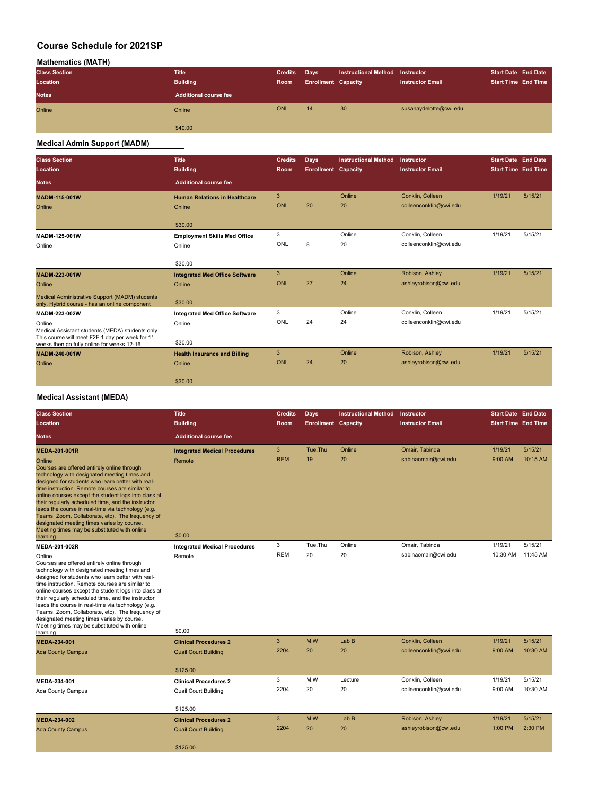#### **Mathematics (MATH)**

| <b>Class Section</b> | <b>Title</b>          | <b>Credits</b> | Days                       | Instructional Method Instructor |                         | <b>Start Date End Date</b> |  |
|----------------------|-----------------------|----------------|----------------------------|---------------------------------|-------------------------|----------------------------|--|
| Location             | <b>Building</b>       | Room           | <b>Enrollment Capacity</b> |                                 | <b>Instructor Email</b> | <b>Start Time End Time</b> |  |
| <b>Notes</b>         | Additional course fee |                |                            |                                 |                         |                            |  |
| Online               | Online                | <b>ONL</b>     | 14                         | 30                              | susanaydelotte@cwi.edu  |                            |  |
|                      | \$40.00               |                |                            |                                 |                         |                            |  |
|                      |                       |                |                            |                                 |                         |                            |  |

# **Medical Admin Support (MADM)**

| <b>Class Section</b><br>Location                                                                                                                             | <b>Title</b><br><b>Building</b>                 | <b>Credits</b><br><b>Room</b> | Days<br><b>Enrollment Capacity</b> | <b>Instructional Method</b> | Instructor<br><b>Instructor Email</b>      | <b>Start Date End Date</b><br><b>Start Time End Time</b> |         |
|--------------------------------------------------------------------------------------------------------------------------------------------------------------|-------------------------------------------------|-------------------------------|------------------------------------|-----------------------------|--------------------------------------------|----------------------------------------------------------|---------|
| <b>Notes</b>                                                                                                                                                 | <b>Additional course fee</b>                    |                               |                                    |                             |                                            |                                                          |         |
| <b>MADM-115-001W</b><br>Online                                                                                                                               | <b>Human Relations in Healthcare</b><br>Online  | 3<br>ONL                      | 20                                 | Online<br>20                | Conklin, Colleen<br>colleenconklin@cwi.edu | 1/19/21                                                  | 5/15/21 |
|                                                                                                                                                              | \$30.00                                         |                               |                                    |                             |                                            |                                                          |         |
| MADM-125-001W<br>Online                                                                                                                                      | <b>Employment Skills Med Office</b><br>Online   | 3<br>ONL                      | 8                                  | Online<br>20                | Conklin, Colleen<br>colleenconklin@cwi.edu | 1/19/21                                                  | 5/15/21 |
|                                                                                                                                                              | \$30.00                                         |                               |                                    |                             |                                            |                                                          |         |
| MADM-223-001W<br>Online                                                                                                                                      | <b>Integrated Med Office Software</b><br>Online | 3<br>ONL                      | 27                                 | Online<br>24                | Robison, Ashley<br>ashleyrobison@cwi.edu   | 1/19/21                                                  | 5/15/21 |
| Medical Administrative Support (MADM) students<br>only. Hybrid course - has an online component                                                              | \$30.00                                         |                               |                                    |                             |                                            |                                                          |         |
| MADM-223-002W                                                                                                                                                | <b>Integrated Med Office Software</b>           | 3                             |                                    | Online                      | Conklin, Colleen                           | 1/19/21                                                  | 5/15/21 |
| Online<br>Medical Assistant students (MEDA) students only.<br>This course will meet F2F 1 day per week for 11<br>weeks then go fully online for weeks 12-16. | Online<br>\$30.00                               | ONL                           | 24                                 | 24                          | colleenconklin@cwi.edu                     |                                                          |         |
| MADM-240-001W                                                                                                                                                | <b>Health Insurance and Billing</b>             | 3                             |                                    | Online                      | Robison, Ashley                            | 1/19/21                                                  | 5/15/21 |
| Online                                                                                                                                                       | Online                                          | ONL                           | 24                                 | 20                          | ashleyrobison@cwi.edu                      |                                                          |         |
|                                                                                                                                                              | \$30.00                                         |                               |                                    |                             |                                            |                                                          |         |

### **Medical Assistant (MEDA)**

| <b>Class Section</b>                                                                                                                                                                                                                                                                                                                                                                                                                                                                                                                             | <b>Title</b>                         | <b>Credits</b> | <b>Days</b>                | <b>Instructional Method</b> | Instructor              | <b>Start Date End Date</b> |          |
|--------------------------------------------------------------------------------------------------------------------------------------------------------------------------------------------------------------------------------------------------------------------------------------------------------------------------------------------------------------------------------------------------------------------------------------------------------------------------------------------------------------------------------------------------|--------------------------------------|----------------|----------------------------|-----------------------------|-------------------------|----------------------------|----------|
| Location                                                                                                                                                                                                                                                                                                                                                                                                                                                                                                                                         | <b>Building</b>                      | <b>Room</b>    | <b>Enrollment Capacity</b> |                             | <b>Instructor Email</b> | <b>Start Time End Time</b> |          |
| <b>Notes</b>                                                                                                                                                                                                                                                                                                                                                                                                                                                                                                                                     | <b>Additional course fee</b>         |                |                            |                             |                         |                            |          |
| <b>MEDA-201-001R</b>                                                                                                                                                                                                                                                                                                                                                                                                                                                                                                                             | <b>Integrated Medical Procedures</b> | 3              | Tue, Thu                   | Online                      | Omair, Tabinda          | 1/19/21                    | 5/15/21  |
| Online<br>Courses are offered entirely online through<br>technology with designated meeting times and<br>designed for students who learn better with real-<br>time instruction. Remote courses are similar to<br>online courses except the student logs into class at<br>their regularly scheduled time, and the instructor<br>leads the course in real-time via technology (e.g.<br>Teams, Zoom, Collaborate, etc). The frequency of<br>designated meeting times varies by course.<br>Meeting times may be substituted with online<br>learning. | Remote<br>\$0.00                     | <b>REM</b>     | 19                         | 20                          | sabinaomair@cwi.edu     | 9:00 AM                    | 10:15 AM |
| MEDA-201-002R                                                                                                                                                                                                                                                                                                                                                                                                                                                                                                                                    | <b>Integrated Medical Procedures</b> | 3              | Tue, Thu                   | Online                      | Omair, Tabinda          | 1/19/21                    | 5/15/21  |
| Online<br>Courses are offered entirely online through<br>technology with designated meeting times and<br>designed for students who learn better with real-<br>time instruction. Remote courses are similar to<br>online courses except the student logs into class at<br>their regularly scheduled time, and the instructor<br>leads the course in real-time via technology (e.g.<br>Teams, Zoom, Collaborate, etc). The frequency of<br>designated meeting times varies by course.<br>Meeting times may be substituted with online<br>learning. | Remote<br>\$0.00                     | <b>REM</b>     | 20                         | 20                          | sabinaomair@cwi.edu     | 10:30 AM                   | 11:45 AM |
| MEDA-234-001                                                                                                                                                                                                                                                                                                                                                                                                                                                                                                                                     | <b>Clinical Procedures 2</b>         | 3              | M.W                        | Lab <sub>B</sub>            | Conklin, Colleen        | 1/19/21                    | 5/15/21  |
| <b>Ada County Campus</b>                                                                                                                                                                                                                                                                                                                                                                                                                                                                                                                         | <b>Quail Court Building</b>          | 2204           | 20                         | 20                          | colleenconklin@cwi.edu  | 9:00 AM                    | 10:30 AM |
|                                                                                                                                                                                                                                                                                                                                                                                                                                                                                                                                                  | \$125.00                             |                |                            |                             |                         |                            |          |
| MEDA-234-001                                                                                                                                                                                                                                                                                                                                                                                                                                                                                                                                     | <b>Clinical Procedures 2</b>         | 3              | M,W                        | Lecture                     | Conklin, Colleen        | 1/19/21                    | 5/15/21  |
| Ada County Campus                                                                                                                                                                                                                                                                                                                                                                                                                                                                                                                                | Quail Court Building                 | 2204           | 20                         | 20                          | colleenconklin@cwi.edu  | 9:00 AM                    | 10:30 AM |
|                                                                                                                                                                                                                                                                                                                                                                                                                                                                                                                                                  | \$125.00                             |                |                            |                             |                         |                            |          |
| MEDA-234-002                                                                                                                                                                                                                                                                                                                                                                                                                                                                                                                                     | <b>Clinical Procedures 2</b>         | 3              | M.W                        | Lab B                       | Robison, Ashley         | 1/19/21                    | 5/15/21  |
| <b>Ada County Campus</b>                                                                                                                                                                                                                                                                                                                                                                                                                                                                                                                         | <b>Quail Court Building</b>          | 2204           | 20                         | 20                          | ashleyrobison@cwi.edu   | 1:00 PM                    | 2:30 PM  |
|                                                                                                                                                                                                                                                                                                                                                                                                                                                                                                                                                  | \$125.00                             |                |                            |                             |                         |                            |          |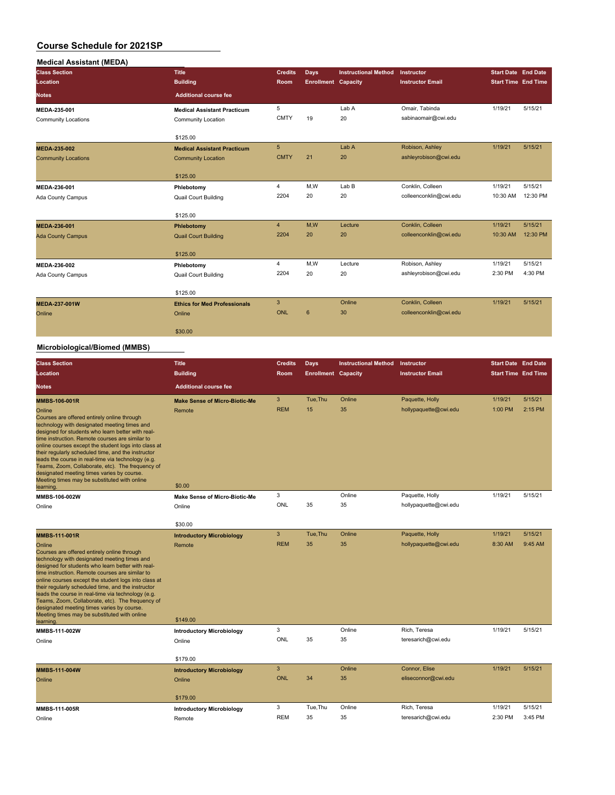| <b>Medical Assistant (MEDA)</b> |                                     |                 |                            |                             |                         |                            |          |
|---------------------------------|-------------------------------------|-----------------|----------------------------|-----------------------------|-------------------------|----------------------------|----------|
| <b>Class Section</b>            | <b>Title</b>                        | <b>Credits</b>  | Days                       | <b>Instructional Method</b> | Instructor              | <b>Start Date End Date</b> |          |
| Location                        | <b>Building</b>                     | Room            | <b>Enrollment Capacity</b> |                             | <b>Instructor Email</b> | <b>Start Time End Time</b> |          |
| <b>Notes</b>                    | <b>Additional course fee</b>        |                 |                            |                             |                         |                            |          |
| MEDA-235-001                    | <b>Medical Assistant Practicum</b>  | 5               |                            | Lab A                       | Omair, Tabinda          | 1/19/21                    | 5/15/21  |
| <b>Community Locations</b>      | Community Location                  | <b>CMTY</b>     | 19                         | 20                          | sabinaomair@cwi.edu     |                            |          |
|                                 | \$125.00                            |                 |                            |                             |                         |                            |          |
| MEDA-235-002                    | <b>Medical Assistant Practicum</b>  | $5\phantom{.0}$ |                            | Lab A                       | Robison, Ashley         | 1/19/21                    | 5/15/21  |
| <b>Community Locations</b>      | <b>Community Location</b>           | <b>CMTY</b>     | 21                         | 20                          | ashleyrobison@cwi.edu   |                            |          |
|                                 | \$125.00                            |                 |                            |                             |                         |                            |          |
| MEDA-236-001                    | Phlebotomy                          | $\overline{4}$  | M,W                        | Lab B                       | Conklin, Colleen        | 1/19/21                    | 5/15/21  |
| Ada County Campus               | <b>Quail Court Building</b>         | 2204            | 20                         | 20                          | colleenconklin@cwi.edu  | 10:30 AM                   | 12:30 PM |
|                                 | \$125.00                            |                 |                            |                             |                         |                            |          |
| MEDA-236-001                    | Phlebotomy                          | $\overline{4}$  | M,W                        | Lecture                     | Conklin, Colleen        | 1/19/21                    | 5/15/21  |
| <b>Ada County Campus</b>        | <b>Quail Court Building</b>         | 2204            | 20                         | 20                          | colleenconklin@cwi.edu  | 10:30 AM                   | 12:30 PM |
|                                 | \$125.00                            |                 |                            |                             |                         |                            |          |
| MEDA-236-002                    | Phlebotomy                          | 4               | M,W                        | Lecture                     | Robison, Ashley         | 1/19/21                    | 5/15/21  |
| Ada County Campus               | <b>Quail Court Building</b>         | 2204            | 20                         | 20                          | ashleyrobison@cwi.edu   | 2:30 PM                    | 4:30 PM  |
|                                 | \$125.00                            |                 |                            |                             |                         |                            |          |
| MEDA-237-001W                   | <b>Ethics for Med Professionals</b> | 3               |                            | Online                      | Conklin, Colleen        | 1/19/21                    | 5/15/21  |
| Online                          | Online                              | ONL             | $6\phantom{1}$             | 30                          | colleenconklin@cwi.edu  |                            |          |
|                                 | \$30.00                             |                 |                            |                             |                         |                            |          |

# **Microbiological/Biomed (MMBS)**

| <b>Class Section</b><br>Location                                                                                                                                                                                                                                                                                                                                                                                                                                                                                                                                         | <b>Title</b><br><b>Building</b>                          | <b>Credits</b><br>Room | Days<br><b>Enrollment Capacity</b> | <b>Instructional Method</b> | Instructor<br><b>Instructor Email</b>    | <b>Start Date End Date</b><br><b>Start Time End Time</b> |                    |
|--------------------------------------------------------------------------------------------------------------------------------------------------------------------------------------------------------------------------------------------------------------------------------------------------------------------------------------------------------------------------------------------------------------------------------------------------------------------------------------------------------------------------------------------------------------------------|----------------------------------------------------------|------------------------|------------------------------------|-----------------------------|------------------------------------------|----------------------------------------------------------|--------------------|
| <b>Notes</b>                                                                                                                                                                                                                                                                                                                                                                                                                                                                                                                                                             | <b>Additional course fee</b>                             |                        |                                    |                             |                                          |                                                          |                    |
| <b>MMBS-106-001R</b><br>Online<br>Courses are offered entirely online through<br>technology with designated meeting times and<br>designed for students who learn better with real-<br>time instruction. Remote courses are similar to<br>online courses except the student logs into class at<br>their regularly scheduled time, and the instructor<br>leads the course in real-time via technology (e.g.<br>Teams, Zoom, Collaborate, etc). The frequency of<br>designated meeting times varies by course.<br>Meeting times may be substituted with online<br>learning. | <b>Make Sense of Micro-Biotic-Me</b><br>Remote<br>\$0.00 | 3<br><b>REM</b>        | Tue.Thu<br>15                      | Online<br>35                | Paquette, Holly<br>hollypaquette@cwi.edu | 1/19/21<br>1:00 PM                                       | 5/15/21<br>2:15 PM |
| MMBS-106-002W                                                                                                                                                                                                                                                                                                                                                                                                                                                                                                                                                            | <b>Make Sense of Micro-Biotic-Me</b>                     | 3                      |                                    | Online                      | Paquette, Holly                          | 1/19/21                                                  | 5/15/21            |
| Online                                                                                                                                                                                                                                                                                                                                                                                                                                                                                                                                                                   | Online<br>\$30.00                                        | ONL                    | 35                                 | 35                          | hollypaquette@cwi.edu                    |                                                          |                    |
| <b>MMBS-111-001R</b>                                                                                                                                                                                                                                                                                                                                                                                                                                                                                                                                                     | <b>Introductory Microbiology</b>                         | 3                      | Tue, Thu                           | Online                      | Paquette, Holly                          | 1/19/21                                                  | 5/15/21            |
| Online<br>Courses are offered entirely online through<br>technology with designated meeting times and<br>designed for students who learn better with real-<br>time instruction. Remote courses are similar to<br>online courses except the student logs into class at<br>their regularly scheduled time, and the instructor<br>leads the course in real-time via technology (e.g.<br>Teams, Zoom, Collaborate, etc). The frequency of<br>designated meeting times varies by course.<br>Meeting times may be substituted with online<br>learning.                         | Remote<br>\$149.00                                       | <b>REM</b>             | 35                                 | 35                          | hollypaquette@cwi.edu                    | 8:30 AM                                                  | 9:45 AM            |
| MMBS-111-002W                                                                                                                                                                                                                                                                                                                                                                                                                                                                                                                                                            | <b>Introductory Microbiology</b>                         | 3                      |                                    | Online                      | Rich, Teresa                             | 1/19/21                                                  | 5/15/21            |
| Online                                                                                                                                                                                                                                                                                                                                                                                                                                                                                                                                                                   | Online<br>\$179.00                                       | ONL                    | 35                                 | 35                          | teresarich@cwi.edu                       |                                                          |                    |
| MMBS-111-004W                                                                                                                                                                                                                                                                                                                                                                                                                                                                                                                                                            | <b>Introductory Microbiology</b>                         | 3                      |                                    | Online                      | Connor, Elise                            | 1/19/21                                                  | 5/15/21            |
| Online                                                                                                                                                                                                                                                                                                                                                                                                                                                                                                                                                                   | Online<br>\$179.00                                       | ONL                    | 34                                 | 35                          | eliseconnor@cwi.edu                      |                                                          |                    |
| <b>MMBS-111-005R</b>                                                                                                                                                                                                                                                                                                                                                                                                                                                                                                                                                     | <b>Introductory Microbiology</b>                         | 3                      | Tue, Thu                           | Online                      | Rich, Teresa                             | 1/19/21                                                  | 5/15/21            |
| Online                                                                                                                                                                                                                                                                                                                                                                                                                                                                                                                                                                   | Remote                                                   | <b>REM</b>             | 35                                 | 35                          | teresarich@cwi.edu                       | 2:30 PM                                                  | 3:45 PM            |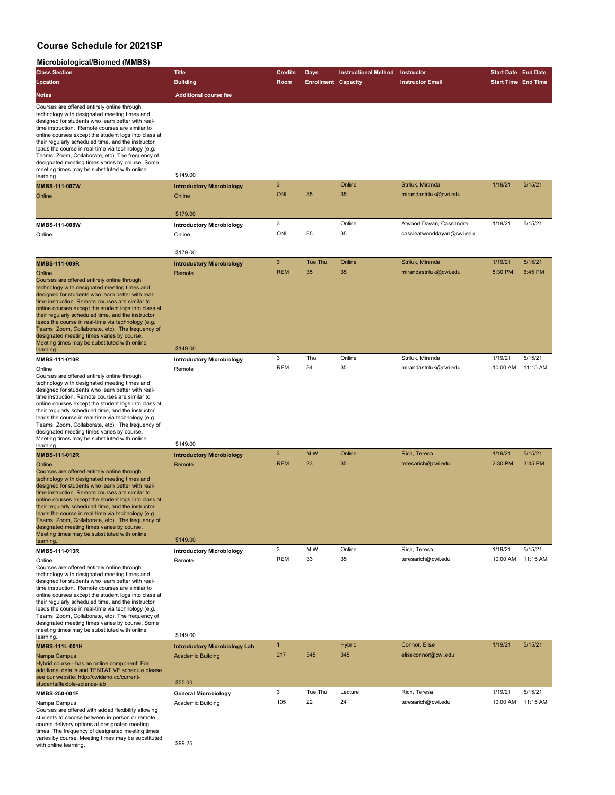#### **Microbiological/Biomed (MMBS)**

| <b>Class Section</b>                                                                                                                                                                                                                                                                                                                                                                                                                                                                                                                     | <b>Title</b>                                                                | Credits             | <b>Days</b>                | <b>Instructional Method</b> | Instructor                           | <b>Start Date End Date</b> |                     |
|------------------------------------------------------------------------------------------------------------------------------------------------------------------------------------------------------------------------------------------------------------------------------------------------------------------------------------------------------------------------------------------------------------------------------------------------------------------------------------------------------------------------------------------|-----------------------------------------------------------------------------|---------------------|----------------------------|-----------------------------|--------------------------------------|----------------------------|---------------------|
| Location                                                                                                                                                                                                                                                                                                                                                                                                                                                                                                                                 | <b>Building</b>                                                             | Room                | <b>Enrollment Capacity</b> |                             | <b>Instructor Email</b>              | <b>Start Time End Time</b> |                     |
|                                                                                                                                                                                                                                                                                                                                                                                                                                                                                                                                          |                                                                             |                     |                            |                             |                                      |                            |                     |
| Notes                                                                                                                                                                                                                                                                                                                                                                                                                                                                                                                                    | <b>Additional course fee</b>                                                |                     |                            |                             |                                      |                            |                     |
| Courses are offered entirely online through<br>technology with designated meeting times and<br>designed for students who learn better with real-<br>time instruction. Remote courses are similar to<br>online courses except the student logs into class at<br>their regularly scheduled time, and the instructor<br>leads the course in real-time via technology (e.g.<br>Teams, Zoom, Collaborate, etc). The frequency of<br>designated meeting times varies by course. Some                                                           |                                                                             |                     |                            |                             |                                      |                            |                     |
| meeting times may be substituted with online                                                                                                                                                                                                                                                                                                                                                                                                                                                                                             | \$149.00                                                                    |                     |                            |                             |                                      |                            |                     |
| learning.                                                                                                                                                                                                                                                                                                                                                                                                                                                                                                                                |                                                                             | 3                   |                            | Online                      | Striluk, Miranda                     | 1/19/21                    | 5/15/21             |
| <b>MMBS-111-007W</b>                                                                                                                                                                                                                                                                                                                                                                                                                                                                                                                     | <b>Introductory Microbiology</b>                                            | <b>ONL</b>          | 35                         | 35                          | mirandastriluk@cwi.edu               |                            |                     |
| Online                                                                                                                                                                                                                                                                                                                                                                                                                                                                                                                                   | Online                                                                      |                     |                            |                             |                                      |                            |                     |
|                                                                                                                                                                                                                                                                                                                                                                                                                                                                                                                                          | \$179.00                                                                    |                     |                            |                             |                                      |                            |                     |
| MMBS-111-008W                                                                                                                                                                                                                                                                                                                                                                                                                                                                                                                            | <b>Introductory Microbiology</b>                                            | 3                   |                            | Online                      | Atwood-Dayan, Cassandra              | 1/19/21                    | 5/15/21             |
| Online                                                                                                                                                                                                                                                                                                                                                                                                                                                                                                                                   | Online                                                                      | ONL                 | 35                         | 35                          | cassieatwooddayan@cwi.edu            |                            |                     |
|                                                                                                                                                                                                                                                                                                                                                                                                                                                                                                                                          | \$179.00                                                                    |                     |                            |                             |                                      |                            |                     |
| <b>MMBS-111-009R</b>                                                                                                                                                                                                                                                                                                                                                                                                                                                                                                                     | <b>Introductory Microbiology</b>                                            | 3                   | Tue, Thu                   | Online                      | Striluk, Miranda                     | 1/19/21                    | 5/15/21             |
| Online<br>Courses are offered entirely online through<br>technology with designated meeting times and<br>designed for students who learn better with real-<br>time instruction. Remote courses are similar to<br>online courses except the student logs into class at<br>their regularly scheduled time, and the instructor<br>leads the course in real-time via technology (e.g.<br>Teams, Zoom, Collaborate, etc). The frequency of<br>designated meeting times varies by course.<br>Meeting times may be substituted with online      | Remote                                                                      | <b>REM</b>          | 35                         | 35                          | mirandastriluk@cwi.edu               | 5:30 PM                    | 6:45 PM             |
| learning.                                                                                                                                                                                                                                                                                                                                                                                                                                                                                                                                | \$149.00                                                                    |                     |                            |                             |                                      |                            |                     |
| MMBS-111-010R                                                                                                                                                                                                                                                                                                                                                                                                                                                                                                                            | <b>Introductory Microbiology</b>                                            | 3<br><b>REM</b>     | Thu<br>34                  | Online<br>35                | Striluk, Miranda                     | 1/19/21<br>10:00 AM        | 5/15/21<br>11:15 AM |
| Online<br>Courses are offered entirely online through<br>technology with designated meeting times and<br>designed for students who learn better with real-<br>time instruction. Remote courses are similar to<br>online courses except the student logs into class at<br>their regularly scheduled time, and the instructor<br>leads the course in real-time via technology (e.g.<br>Teams, Zoom, Collaborate, etc). The frequency of<br>designated meeting times varies by course.<br>Meeting times may be substituted with online      | Remote                                                                      |                     |                            |                             | mirandastriluk@cwi.edu               |                            |                     |
| learning.                                                                                                                                                                                                                                                                                                                                                                                                                                                                                                                                | \$149.00                                                                    |                     |                            |                             |                                      |                            |                     |
| MMBS-111-012R                                                                                                                                                                                                                                                                                                                                                                                                                                                                                                                            | <b>Introductory Microbiology</b>                                            | 3                   | M, W                       | Online                      | Rich, Teresa                         | 1/19/21                    | 5/15/21             |
| Online<br>Courses are offered entirely online through<br>technology with designated meeting times and<br>designed for students who learn better with real-<br>time instruction. Remote courses are similar to<br>online courses except the student logs into class at<br>their regularly scheduled time, and the instructor<br>leads the course in real-time via technology (e.g.<br>Teams, Zoom, Collaborate, etc). The frequency of<br>designated meeting times varies by course.<br>Meeting times may be substituted with online      | Remote<br>\$149.00                                                          | <b>REM</b>          | 23                         | 35                          | teresarich@cwi.edu                   | 2:30 PM                    | 3:45 PM             |
| learning.<br>MMBS-111-013R                                                                                                                                                                                                                                                                                                                                                                                                                                                                                                               | <b>Introductory Microbiology</b>                                            | 3                   | M, W                       | Online                      | Rich, Teresa                         | 1/19/21                    | 5/15/21             |
| Online<br>Courses are offered entirely online through<br>technology with designated meeting times and<br>designed for students who learn better with real-<br>time instruction. Remote courses are similar to<br>online courses except the student logs into class at<br>their regularly scheduled time, and the instructor<br>leads the course in real-time via technology (e.g.<br>Teams, Zoom, Collaborate, etc). The frequency of<br>designated meeting times varies by course. Some<br>meeting times may be substituted with online | Remote                                                                      | <b>REM</b>          | 33                         | 35                          | teresarich@cwi.edu                   | 10:00 AM                   | 11:15 AM            |
| learning.                                                                                                                                                                                                                                                                                                                                                                                                                                                                                                                                | \$149.00                                                                    |                     |                            |                             |                                      |                            |                     |
| <b>MMBS-111L-001H</b><br>Nampa Campus<br>Hybrid course - has an online component; For<br>additional details and TENTATIVE schedule please<br>see our website: http://cwidaho.cc/current-<br>students/flexible-science-lab                                                                                                                                                                                                                                                                                                                | <b>Introductory Microbiology Lab</b><br><b>Academic Building</b><br>\$55.00 | $\mathbf{1}$<br>217 | 345                        | <b>Hybrid</b><br>345        | Connor, Elise<br>eliseconnor@cwi.edu | 1/19/21                    | 5/15/21             |
| MMBS-250-001F                                                                                                                                                                                                                                                                                                                                                                                                                                                                                                                            | <b>General Microbiology</b>                                                 | 3                   | Tue, Thu                   | Lecture                     | Rich, Teresa                         | 1/19/21                    | 5/15/21             |
| Nampa Campus<br>Courses are offered with added flexibility allowing<br>students to choose between in-person or remote<br>course delivery options at designated meeting<br>times. The frequency of designated meeting times<br>varies by course. Meeting times may be substituted<br>with online learning.                                                                                                                                                                                                                                | <b>Academic Building</b><br>\$99.25                                         | 105                 | 22                         | 24                          | teresarich@cwi.edu                   | 10:00 AM                   | 11:15 AM            |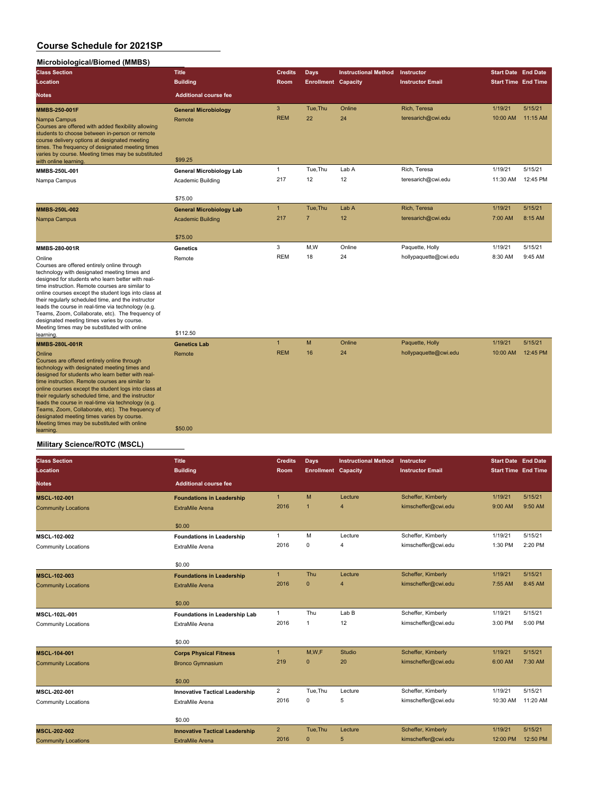### **Microbiological/Biomed (MMBS)**

| <b>Class Section</b>                                                                                                                                                                                                                                                                                                                                                                                                                                                                                                                             | <b>Title</b>                    | <b>Credits</b> | Days                       | <b>Instructional Method</b> | Instructor              | <b>Start Date End Date</b> |          |
|--------------------------------------------------------------------------------------------------------------------------------------------------------------------------------------------------------------------------------------------------------------------------------------------------------------------------------------------------------------------------------------------------------------------------------------------------------------------------------------------------------------------------------------------------|---------------------------------|----------------|----------------------------|-----------------------------|-------------------------|----------------------------|----------|
| Location                                                                                                                                                                                                                                                                                                                                                                                                                                                                                                                                         | <b>Building</b>                 | Room           | <b>Enrollment Capacity</b> |                             | <b>Instructor Email</b> | <b>Start Time End Time</b> |          |
| <b>Notes</b>                                                                                                                                                                                                                                                                                                                                                                                                                                                                                                                                     | <b>Additional course fee</b>    |                |                            |                             |                         |                            |          |
| MMBS-250-001F                                                                                                                                                                                                                                                                                                                                                                                                                                                                                                                                    | <b>General Microbiology</b>     | 3              | Tue, Thu                   | Online                      | Rich, Teresa            | 1/19/21                    | 5/15/21  |
| Nampa Campus<br>Courses are offered with added flexibility allowing<br>students to choose between in-person or remote<br>course delivery options at designated meeting<br>times. The frequency of designated meeting times<br>varies by course. Meeting times may be substituted<br>with online learning.                                                                                                                                                                                                                                        | Remote<br>\$99.25               | <b>REM</b>     | 22                         | 24                          | teresarich@cwi.edu      | 10:00 AM                   | 11:15 AM |
| MMBS-250L-001                                                                                                                                                                                                                                                                                                                                                                                                                                                                                                                                    | <b>General Microbiology Lab</b> | $\mathbf{1}$   | Tue, Thu                   | Lab A                       | Rich, Teresa            | 1/19/21                    | 5/15/21  |
| Nampa Campus                                                                                                                                                                                                                                                                                                                                                                                                                                                                                                                                     | Academic Building               | 217            | 12                         | 12                          | teresarich@cwi.edu      | 11:30 AM                   | 12:45 PM |
|                                                                                                                                                                                                                                                                                                                                                                                                                                                                                                                                                  | \$75.00                         |                |                            |                             |                         |                            |          |
| MMBS-250L-002                                                                                                                                                                                                                                                                                                                                                                                                                                                                                                                                    | <b>General Microbiology Lab</b> | 1              | Tue.Thu                    | Lab A                       | Rich, Teresa            | 1/19/21                    | 5/15/21  |
| Nampa Campus                                                                                                                                                                                                                                                                                                                                                                                                                                                                                                                                     | <b>Academic Building</b>        | 217            | $\overline{7}$             | 12                          | teresarich@cwi.edu      | 7:00 AM                    | 8:15 AM  |
|                                                                                                                                                                                                                                                                                                                                                                                                                                                                                                                                                  | \$75.00                         |                |                            |                             |                         |                            |          |
| MMBS-280-001R                                                                                                                                                                                                                                                                                                                                                                                                                                                                                                                                    | <b>Genetics</b>                 | 3              | M,W                        | Online                      | Paquette, Holly         | 1/19/21                    | 5/15/21  |
| Online<br>Courses are offered entirely online through<br>technology with designated meeting times and<br>designed for students who learn better with real-<br>time instruction. Remote courses are similar to<br>online courses except the student logs into class at<br>their regularly scheduled time, and the instructor<br>leads the course in real-time via technology (e.g.<br>Teams, Zoom, Collaborate, etc). The frequency of<br>designated meeting times varies by course.<br>Meeting times may be substituted with online<br>learning. | Remote<br>\$112.50              | <b>REM</b>     | 18                         | 24                          | hollypaquette@cwi.edu   | 8:30 AM                    | 9:45 AM  |
| <b>MMBS-280L-001R</b>                                                                                                                                                                                                                                                                                                                                                                                                                                                                                                                            | <b>Genetics Lab</b>             | 1              | M                          | Online                      | Paquette, Holly         | 1/19/21                    | 5/15/21  |
| Online<br>Courses are offered entirely online through<br>technology with designated meeting times and<br>designed for students who learn better with real-<br>time instruction. Remote courses are similar to<br>online courses except the student logs into class at<br>their regularly scheduled time, and the instructor<br>leads the course in real-time via technology (e.g.<br>Teams, Zoom, Collaborate, etc). The frequency of<br>designated meeting times varies by course.<br>Meeting times may be substituted with online<br>learning. | Remote<br>\$50.00               | <b>REM</b>     | 16                         | 24                          | hollypaquette@cwi.edu   | 10:00 AM                   | 12:45 PM |

#### **Military Science/ROTC (MSCL)**

| <b>Class Section</b>       | <b>Title</b>                          | <b>Credits</b> | Days                       | <b>Instructional Method</b> | Instructor              | <b>Start Date End Date</b> |          |
|----------------------------|---------------------------------------|----------------|----------------------------|-----------------------------|-------------------------|----------------------------|----------|
| Location                   | <b>Building</b>                       | <b>Room</b>    | <b>Enrollment</b> Capacity |                             | <b>Instructor Email</b> | <b>Start Time End Time</b> |          |
| <b>Notes</b>               | <b>Additional course fee</b>          |                |                            |                             |                         |                            |          |
| <b>MSCL-102-001</b>        | <b>Foundations in Leadership</b>      | $\mathbf{1}$   | M                          | Lecture                     | Scheffer, Kimberly      | 1/19/21                    | 5/15/21  |
| <b>Community Locations</b> | <b>ExtraMile Arena</b>                | 2016           | $\overline{1}$             | 4                           | kimscheffer@cwi.edu     | 9:00 AM                    | 9:50 AM  |
|                            | \$0.00                                |                |                            |                             |                         |                            |          |
| MSCL-102-002               | <b>Foundations in Leadership</b>      | $\mathbf{1}$   | M                          | Lecture                     | Scheffer, Kimberly      | 1/19/21                    | 5/15/21  |
| <b>Community Locations</b> | ExtraMile Arena                       | 2016           | $\mathbf 0$                | 4                           | kimscheffer@cwi.edu     | 1:30 PM                    | 2:20 PM  |
|                            | \$0.00                                |                |                            |                             |                         |                            |          |
| <b>MSCL-102-003</b>        | <b>Foundations in Leadership</b>      | $\mathbf{1}$   | Thu                        | Lecture                     | Scheffer, Kimberly      | 1/19/21                    | 5/15/21  |
| <b>Community Locations</b> | <b>ExtraMile Arena</b>                | 2016           | $\mathbf{0}$               | $\overline{4}$              | kimscheffer@cwi.edu     | 7:55 AM                    | 8:45 AM  |
|                            | \$0.00                                |                |                            |                             |                         |                            |          |
| MSCL-102L-001              | Foundations in Leadership Lab         | $\mathbf{1}$   | Thu                        | Lab B                       | Scheffer, Kimberly      | 1/19/21                    | 5/15/21  |
| <b>Community Locations</b> | ExtraMile Arena                       | 2016           | $\mathbf{1}$               | 12                          | kimscheffer@cwi.edu     | 3:00 PM                    | 5:00 PM  |
|                            | \$0.00                                |                |                            |                             |                         |                            |          |
| <b>MSCL-104-001</b>        | <b>Corps Physical Fitness</b>         | $\mathbf{1}$   | M,W,F                      | Studio                      | Scheffer, Kimberly      | 1/19/21                    | 5/15/21  |
| <b>Community Locations</b> | <b>Bronco Gymnasium</b>               | 219            | $\mathbf{0}$               | 20                          | kimscheffer@cwi.edu     | 6:00 AM                    | 7:30 AM  |
|                            | \$0.00                                |                |                            |                             |                         |                            |          |
| MSCL-202-001               | <b>Innovative Tactical Leadership</b> | $\overline{2}$ | Tue, Thu                   | Lecture                     | Scheffer, Kimberly      | 1/19/21                    | 5/15/21  |
| <b>Community Locations</b> | ExtraMile Arena                       | 2016           | $\mathbf 0$                | 5                           | kimscheffer@cwi.edu     | 10:30 AM                   | 11:20 AM |
|                            | \$0.00                                |                |                            |                             |                         |                            |          |
| <b>MSCL-202-002</b>        | <b>Innovative Tactical Leadership</b> | $\overline{2}$ | Tue, Thu                   | Lecture                     | Scheffer, Kimberly      | 1/19/21                    | 5/15/21  |
| <b>Community Locations</b> | <b>ExtraMile Arena</b>                | 2016           | $\mathbf{0}$               | 5                           | kimscheffer@cwi.edu     | 12:00 PM                   | 12:50 PM |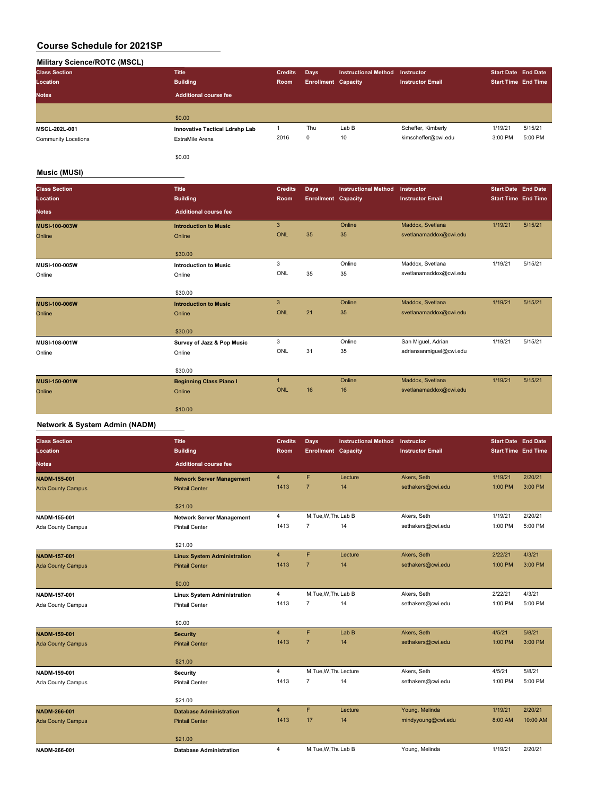# **Military Science/ROTC (MSCL)**

| <b>Class Section</b> | <b>Title</b>                          | <b>Credits</b> | Days                       | <b>Instructional Method</b> | Instructor              | Start Date End Date        |         |
|----------------------|---------------------------------------|----------------|----------------------------|-----------------------------|-------------------------|----------------------------|---------|
| Location             | <b>Building</b>                       | Room           | <b>Enrollment Capacity</b> |                             | <b>Instructor Email</b> | <b>Start Time End Time</b> |         |
| <b>Notes</b>         | <b>Additional course fee</b>          |                |                            |                             |                         |                            |         |
|                      |                                       |                |                            |                             |                         |                            |         |
|                      | \$0.00                                |                |                            |                             |                         |                            |         |
| <b>MSCL-202L-001</b> | <b>Innovative Tactical Ldrshp Lab</b> |                | Thu                        | Lab B                       | Scheffer, Kimberly      | 1/19/21                    | 5/15/21 |
| Community Locations  | ExtraMile Arena                       | 2016           | 0                          | 10                          | kimscheffer@cwi.edu     | 3:00 PM                    | 5:00 PM |
|                      | \$0.00                                |                |                            |                             |                         |                            |         |

### **Music (MUSI)**

| <b>Class Section</b><br>Location | <b>Title</b><br><b>Building</b>                     | <b>Credits</b><br>Room     | <b>Days</b><br><b>Enrollment Capacity</b> | <b>Instructional Method</b> | Instructor<br><b>Instructor Email</b>         | <b>Start Date End Date</b><br><b>Start Time End Time</b> |         |
|----------------------------------|-----------------------------------------------------|----------------------------|-------------------------------------------|-----------------------------|-----------------------------------------------|----------------------------------------------------------|---------|
| <b>Notes</b>                     | <b>Additional course fee</b>                        |                            |                                           |                             |                                               |                                                          |         |
| <b>MUSI-100-003W</b><br>Online   | <b>Introduction to Music</b><br>Online<br>\$30.00   | 3<br><b>ONL</b>            | 35                                        | Online<br>35                | Maddox, Svetlana<br>svetlanamaddox@cwi.edu    | 1/19/21                                                  | 5/15/21 |
| MUSI-100-005W<br>Online          | <b>Introduction to Music</b><br>Online<br>\$30.00   | 3<br>ONL                   | 35                                        | Online<br>35                | Maddox, Svetlana<br>svetlanamaddox@cwi.edu    | 1/19/21                                                  | 5/15/21 |
| <b>MUSI-100-006W</b><br>Online   | <b>Introduction to Music</b><br>Online<br>\$30.00   | 3<br><b>ONL</b>            | 21                                        | Online<br>35                | Maddox, Svetlana<br>svetlanamaddox@cwi.edu    | 1/19/21                                                  | 5/15/21 |
| MUSI-108-001W<br>Online          | Survey of Jazz & Pop Music<br>Online<br>\$30.00     | 3<br>ONL                   | 31                                        | Online<br>35                | San Miguel, Adrian<br>adriansanmiguel@cwi.edu | 1/19/21                                                  | 5/15/21 |
| MUSI-150-001W<br>Online          | <b>Beginning Class Piano I</b><br>Online<br>\$10.00 | $\mathbf{1}$<br><b>ONL</b> | 16                                        | Online<br>16                | Maddox, Svetlana<br>svetlanamaddox@cwi.edu    | 1/19/21                                                  | 5/15/21 |

# **Network & System Admin (NADM)**

| <b>Class Section</b>     | <b>Title</b>                       | <b>Credits</b> | Days                       | <b>Instructional Method</b> | Instructor              | <b>Start Date End Date</b> |          |
|--------------------------|------------------------------------|----------------|----------------------------|-----------------------------|-------------------------|----------------------------|----------|
| Location                 | <b>Building</b>                    | <b>Room</b>    | <b>Enrollment Capacity</b> |                             | <b>Instructor Email</b> | <b>Start Time End Time</b> |          |
| <b>Notes</b>             | <b>Additional course fee</b>       |                |                            |                             |                         |                            |          |
| <b>NADM-155-001</b>      | <b>Network Server Management</b>   | $\overline{4}$ | F.                         | Lecture                     | Akers, Seth             | 1/19/21                    | 2/20/21  |
| <b>Ada County Campus</b> | <b>Pintail Center</b>              | 1413           | $\overline{7}$             | 14                          | sethakers@cwi.edu       | 1:00 PM                    | 3:00 PM  |
|                          | \$21.00                            |                |                            |                             |                         |                            |          |
| NADM-155-001             | <b>Network Server Management</b>   | 4              | M, Tue, W, Thu Lab B       |                             | Akers, Seth             | 1/19/21                    | 2/20/21  |
| Ada County Campus        | <b>Pintail Center</b>              | 1413           | $\overline{7}$             | 14                          | sethakers@cwi.edu       | 1:00 PM                    | 5:00 PM  |
|                          | \$21.00                            |                |                            |                             |                         |                            |          |
| <b>NADM-157-001</b>      | <b>Linux System Administration</b> | $\overline{4}$ | F.                         | Lecture                     | Akers, Seth             | 2/22/21                    | 4/3/21   |
| <b>Ada County Campus</b> | <b>Pintail Center</b>              | 1413           | $\overline{7}$             | 14                          | sethakers@cwi.edu       | 1:00 PM                    | 3:00 PM  |
|                          | \$0.00                             |                |                            |                             |                         |                            |          |
| NADM-157-001             | <b>Linux System Administration</b> | $\overline{4}$ | M, Tue, W, Thu Lab B       |                             | Akers, Seth             | 2/22/21                    | 4/3/21   |
| Ada County Campus        | <b>Pintail Center</b>              | 1413           | $\overline{7}$             | 14                          | sethakers@cwi.edu       | 1:00 PM                    | 5:00 PM  |
|                          | \$0.00                             |                |                            |                             |                         |                            |          |
| <b>NADM-159-001</b>      | <b>Security</b>                    | $\overline{4}$ | F.                         | Lab <sub>B</sub>            | Akers, Seth             | 4/5/21                     | 5/8/21   |
| <b>Ada County Campus</b> | <b>Pintail Center</b>              | 1413           | $\overline{7}$             | 14                          | sethakers@cwi.edu       | 1:00 PM                    | 3:00 PM  |
|                          | \$21.00                            |                |                            |                             |                         |                            |          |
| NADM-159-001             | Security                           | 4              | M.Tue, W.Thu Lecture       |                             | Akers, Seth             | 4/5/21                     | 5/8/21   |
| Ada County Campus        | <b>Pintail Center</b>              | 1413           | $\overline{7}$             | 14                          | sethakers@cwi.edu       | 1:00 PM                    | 5:00 PM  |
|                          | \$21.00                            |                |                            |                             |                         |                            |          |
| <b>NADM-266-001</b>      | <b>Database Administration</b>     | $\overline{4}$ | F.                         | Lecture                     | Young, Melinda          | 1/19/21                    | 2/20/21  |
| <b>Ada County Campus</b> | <b>Pintail Center</b>              | 1413           | 17                         | 14                          | mindyyoung@cwi.edu      | 8:00 AM                    | 10:00 AM |
|                          | \$21.00                            |                |                            |                             |                         |                            |          |
| NADM-266-001             | <b>Database Administration</b>     | $\overline{4}$ | M.Tue.W.Thu Lab B          |                             | Young, Melinda          | 1/19/21                    | 2/20/21  |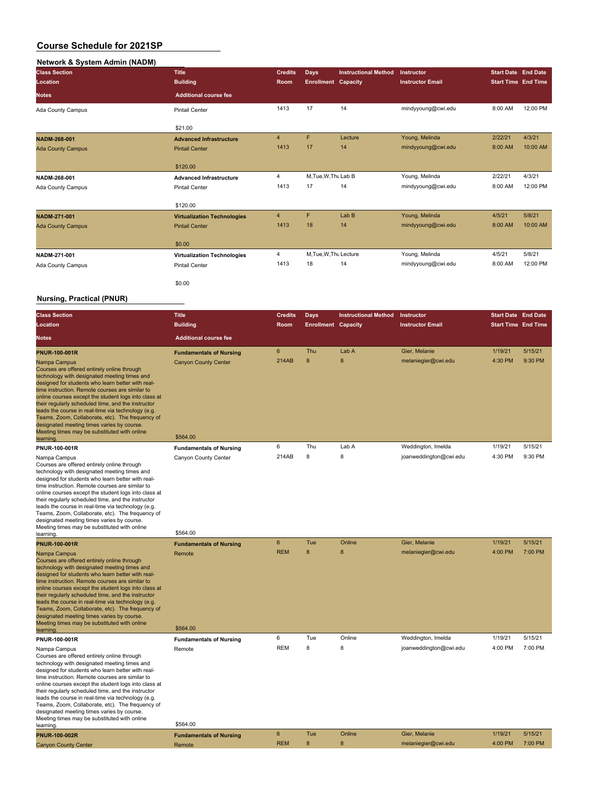#### **Network & System Admin (NADM)**

| <b>Class Section</b><br>Location | <b>Title</b><br><b>Building</b>    | <b>Credits</b><br>Room | Days<br><b>Enrollment Capacity</b> | <b>Instructional Method</b> | Instructor<br><b>Instructor Email</b> | <b>Start Date End Date</b><br><b>Start Time End Time</b> |          |
|----------------------------------|------------------------------------|------------------------|------------------------------------|-----------------------------|---------------------------------------|----------------------------------------------------------|----------|
| <b>Notes</b>                     | <b>Additional course fee</b>       |                        |                                    |                             |                                       |                                                          |          |
| Ada County Campus                | <b>Pintail Center</b>              | 1413                   | 17                                 | 14                          | mindyyoung@cwi.edu                    | 8:00 AM                                                  | 12:00 PM |
|                                  | \$21.00                            |                        |                                    |                             |                                       |                                                          |          |
| NADM-268-001                     | <b>Advanced Infrastructure</b>     | $\overline{4}$         | F                                  | Lecture                     | Young, Melinda                        | 2/22/21                                                  | 4/3/21   |
| <b>Ada County Campus</b>         | <b>Pintail Center</b>              | 1413                   | 17                                 | 14                          | mindyyoung@cwi.edu                    | 8:00 AM                                                  | 10:00 AM |
|                                  | \$120.00                           |                        |                                    |                             |                                       |                                                          |          |
| NADM-268-001                     | <b>Advanced Infrastructure</b>     | 4                      | M, Tue, W, Thu Lab B               |                             | Young, Melinda                        | 2/22/21                                                  | 4/3/21   |
| Ada County Campus                | <b>Pintail Center</b>              | 1413                   | 17                                 | 14                          | mindyyoung@cwi.edu                    | 8:00 AM                                                  | 12:00 PM |
|                                  | \$120.00                           |                        |                                    |                             |                                       |                                                          |          |
| <b>NADM-271-001</b>              | <b>Virtualization Technologies</b> | $\overline{4}$         | F                                  | Lab B                       | Young, Melinda                        | 4/5/21                                                   | 5/8/21   |
| <b>Ada County Campus</b>         | <b>Pintail Center</b>              | 1413                   | 18                                 | 14                          | mindyyoung@cwi.edu                    | 8:00 AM                                                  | 10:00 AM |
|                                  | \$0.00                             |                        |                                    |                             |                                       |                                                          |          |
| NADM-271-001                     | <b>Virtualization Technologies</b> | 4                      | M, Tue, W, Thu Lecture             |                             | Young, Melinda                        | 4/5/21                                                   | 5/8/21   |
| Ada County Campus                | <b>Pintail Center</b>              | 1413                   | 18                                 | 14                          | mindyyoung@cwi.edu                    | 8:00 AM                                                  | 12:00 PM |
|                                  | \$0.00                             |                        |                                    |                             |                                       |                                                          |          |

### **Nursing, Practical (PNUR)**

| <b>Class Section</b>                                                                                                                                                                                                                                                                                                                                                                                                                                                                                                                                   | <b>Title</b>                            | <b>Credits</b> | <b>Days</b>                | <b>Instructional Method</b> | Instructor              | <b>Start Date End Date</b> |         |
|--------------------------------------------------------------------------------------------------------------------------------------------------------------------------------------------------------------------------------------------------------------------------------------------------------------------------------------------------------------------------------------------------------------------------------------------------------------------------------------------------------------------------------------------------------|-----------------------------------------|----------------|----------------------------|-----------------------------|-------------------------|----------------------------|---------|
| Location                                                                                                                                                                                                                                                                                                                                                                                                                                                                                                                                               | <b>Building</b>                         | Room           | <b>Enrollment Capacity</b> |                             | <b>Instructor Email</b> | <b>Start Time End Time</b> |         |
| Notes                                                                                                                                                                                                                                                                                                                                                                                                                                                                                                                                                  | <b>Additional course fee</b>            |                |                            |                             |                         |                            |         |
| <b>PNUR-100-001R</b>                                                                                                                                                                                                                                                                                                                                                                                                                                                                                                                                   | <b>Fundamentals of Nursing</b>          | $6\phantom{a}$ | Thu                        | Lab A                       | Gier, Melanie           | 1/19/21                    | 5/15/21 |
| Nampa Campus<br>Courses are offered entirely online through<br>technology with designated meeting times and<br>designed for students who learn better with real-<br>time instruction. Remote courses are similar to<br>online courses except the student logs into class at<br>their regularly scheduled time, and the instructor<br>leads the course in real-time via technology (e.g.<br>Teams, Zoom, Collaborate, etc). The frequency of<br>designated meeting times varies by course.<br>Meeting times may be substituted with online              | <b>Canyon County Center</b><br>\$564.00 | 214AB          | 8                          | 8                           | melaniegier@cwi.edu     | 4:30 PM                    | 9:30 PM |
| learning.<br>PNUR-100-001R                                                                                                                                                                                                                                                                                                                                                                                                                                                                                                                             | <b>Fundamentals of Nursing</b>          | 6              | Thu                        | Lab A                       | Weddington, Imelda      | 1/19/21                    | 5/15/21 |
| Nampa Campus<br>Courses are offered entirely online through<br>technology with designated meeting times and<br>designed for students who learn better with real-<br>time instruction. Remote courses are similar to<br>online courses except the student logs into class at<br>their regularly scheduled time, and the instructor<br>leads the course in real-time via technology (e.g.<br>Teams, Zoom, Collaborate, etc). The frequency of<br>designated meeting times varies by course.<br>Meeting times may be substituted with online<br>learning. | Canyon County Center<br>\$564.00        | 214AB          | 8                          | 8                           | joanweddington@cwi.edu  | 4:30 PM                    | 9:30 PM |
| <b>PNUR-100-001R</b>                                                                                                                                                                                                                                                                                                                                                                                                                                                                                                                                   | <b>Fundamentals of Nursing</b>          | $6\phantom{a}$ | Tue                        | Online                      | Gier, Melanie           | 1/19/21                    | 5/15/21 |
| Nampa Campus<br>Courses are offered entirely online through<br>technology with designated meeting times and<br>designed for students who learn better with real-<br>time instruction. Remote courses are similar to<br>online courses except the student logs into class at<br>their regularly scheduled time, and the instructor<br>leads the course in real-time via technology (e.g.<br>Teams, Zoom, Collaborate, etc). The frequency of<br>designated meeting times varies by course.<br>Meeting times may be substituted with online<br>learning. | Remote<br>\$564.00                      | <b>REM</b>     | 8                          | $\bf 8$                     | melaniegier@cwi.edu     | 4:00 PM                    | 7:00 PM |
| <b>PNUR-100-001R</b>                                                                                                                                                                                                                                                                                                                                                                                                                                                                                                                                   | <b>Fundamentals of Nursing</b>          | 6              | Tue                        | Online                      | Weddington, Imelda      | 1/19/21                    | 5/15/21 |
| Nampa Campus<br>Courses are offered entirely online through<br>technology with designated meeting times and<br>designed for students who learn better with real-<br>time instruction. Remote courses are similar to<br>online courses except the student logs into class at<br>their regularly scheduled time, and the instructor<br>leads the course in real-time via technology (e.g.<br>Teams, Zoom, Collaborate, etc). The frequency of<br>designated meeting times varies by course.<br>Meeting times may be substituted with online<br>learning. | Remote<br>\$564.00                      | <b>REM</b>     | 8                          | 8                           | joanweddington@cwi.edu  | 4:00 PM                    | 7:00 PM |
| <b>PNUR-100-002R</b>                                                                                                                                                                                                                                                                                                                                                                                                                                                                                                                                   | <b>Fundamentals of Nursing</b>          | 6              | Tue                        | Online                      | Gier, Melanie           | 1/19/21                    | 5/15/21 |
| <b>Canyon County Center</b>                                                                                                                                                                                                                                                                                                                                                                                                                                                                                                                            | Remote                                  | <b>REM</b>     | 8                          | $\bf 8$                     | melaniegier@cwi.edu     | 4:00 PM                    | 7:00 PM |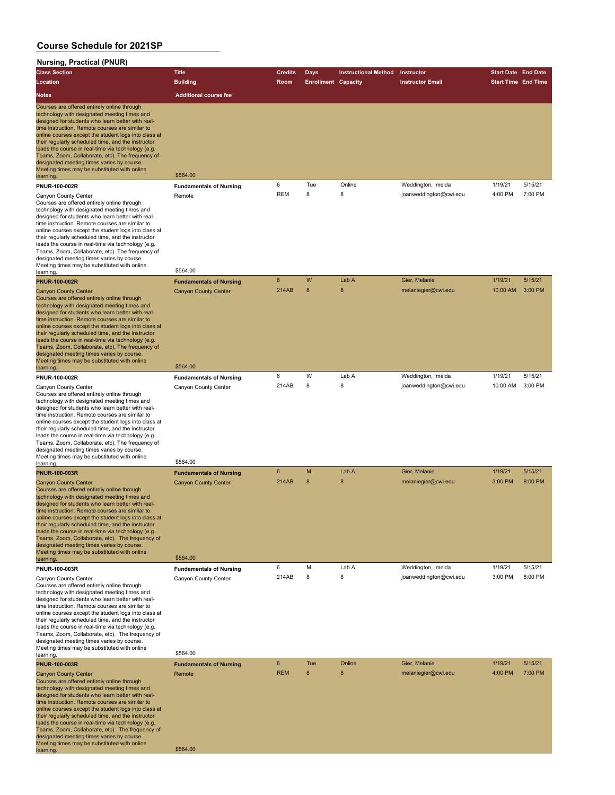| Nursing, Practical (PNUR)                                                                                                                                                                                                                                                                                                                                                                                                                                                                                                                                                        |                                                                           |                 |                            |                             |                                              |                            |                    |
|----------------------------------------------------------------------------------------------------------------------------------------------------------------------------------------------------------------------------------------------------------------------------------------------------------------------------------------------------------------------------------------------------------------------------------------------------------------------------------------------------------------------------------------------------------------------------------|---------------------------------------------------------------------------|-----------------|----------------------------|-----------------------------|----------------------------------------------|----------------------------|--------------------|
| <b>Class Section</b>                                                                                                                                                                                                                                                                                                                                                                                                                                                                                                                                                             | <b>Title</b>                                                              | <b>Credits</b>  | <b>Days</b>                | <b>Instructional Method</b> | Instructor                                   | <b>Start Date End Date</b> |                    |
| Location                                                                                                                                                                                                                                                                                                                                                                                                                                                                                                                                                                         | <b>Building</b>                                                           | Room            | <b>Enrollment Capacity</b> |                             | <b>Instructor Email</b>                      | <b>Start Time End Time</b> |                    |
| Notes                                                                                                                                                                                                                                                                                                                                                                                                                                                                                                                                                                            | <b>Additional course fee</b>                                              |                 |                            |                             |                                              |                            |                    |
| Courses are offered entirely online through<br>technology with designated meeting times and<br>designed for students who learn better with real-<br>time instruction. Remote courses are similar to<br>online courses except the student logs into class at<br>their regularly scheduled time, and the instructor<br>leads the course in real-time via technology (e.g.<br>Teams, Zoom, Collaborate, etc). The frequency of<br>designated meeting times varies by course.<br>Meeting times may be substituted with online                                                        |                                                                           |                 |                            |                             |                                              |                            |                    |
| learning.                                                                                                                                                                                                                                                                                                                                                                                                                                                                                                                                                                        | \$564.00                                                                  |                 |                            |                             |                                              |                            |                    |
| PNUR-100-002R<br>Canyon County Center<br>Courses are offered entirely online through<br>technology with designated meeting times and<br>designed for students who learn better with real-<br>time instruction. Remote courses are similar to<br>online courses except the student logs into class at<br>their regularly scheduled time, and the instructor<br>leads the course in real-time via technology (e.g.<br>Teams, Zoom, Collaborate, etc). The frequency of<br>designated meeting times varies by course.<br>Meeting times may be substituted with online               | <b>Fundamentals of Nursing</b><br>Remote<br>\$564.00                      | 6<br><b>REM</b> | Tue<br>8                   | Online<br>8                 | Weddington, Imelda<br>joanweddington@cwi.edu | 1/19/21<br>4:00 PM         | 5/15/21<br>7:00 PM |
| learning.<br><b>PNUR-100-002R</b>                                                                                                                                                                                                                                                                                                                                                                                                                                                                                                                                                |                                                                           | $\bf 6$         | W                          | Lab A                       | Gier, Melanie                                | 1/19/21                    | 5/15/21            |
| <b>Canyon County Center</b><br>Courses are offered entirely online through<br>technology with designated meeting times and<br>designed for students who learn better with real-<br>time instruction. Remote courses are similar to<br>online courses except the student logs into class at<br>their regularly scheduled time, and the instructor<br>leads the course in real-time via technology (e.g.<br>Teams, Zoom, Collaborate, etc). The frequency of<br>designated meeting times varies by course.<br>Meeting times may be substituted with online<br>learning.            | <b>Fundamentals of Nursing</b><br><b>Canyon County Center</b><br>\$564.00 | 214AB           | 8                          | 8                           | melaniegier@cwi.edu                          | 10:00 AM                   | 3:00 PM            |
| PNUR-100-002R                                                                                                                                                                                                                                                                                                                                                                                                                                                                                                                                                                    | <b>Fundamentals of Nursing</b>                                            | 6               | W                          | Lab A                       | Weddington, Imelda                           | 1/19/21                    | 5/15/21            |
| Canyon County Center<br>Courses are offered entirely online through<br>technology with designated meeting times and<br>designed for students who learn better with real-<br>time instruction. Remote courses are similar to<br>online courses except the student logs into class at<br>their regularly scheduled time, and the instructor<br>leads the course in real-time via technology (e.g.<br>Teams, Zoom, Collaborate, etc). The frequency of<br>designated meeting times varies by course.<br>Meeting times may be substituted with online                                | Canyon County Center                                                      | 214AB           | 8                          | 8                           | joanweddington@cwi.edu                       | 10:00 AM                   | 3:00 PM            |
| learning.                                                                                                                                                                                                                                                                                                                                                                                                                                                                                                                                                                        | \$564.00                                                                  |                 |                            |                             |                                              |                            |                    |
| <b>PNUR-100-003R</b><br><b>Canyon County Center</b><br>Courses are offered entirely online through<br>technology with designated meeting times and<br>designed for students who learn better with real-<br>time instruction. Remote courses are similar to<br>online courses except the student logs into class at<br>their regularly scheduled time, and the instructor<br>leads the course in real-time via technology (e.g.<br>Teams, Zoom, Collaborate, etc). The frequency of<br>designated meeting times varies by course.<br>Meeting times may be substituted with online | <b>Fundamentals of Nursing</b><br><b>Canyon County Center</b><br>\$564.00 | 6<br>214AB      | M<br>8                     | Lab A<br>8                  | Gier, Melanie<br>melaniegier@cwi.edu         | 1/19/21<br>3:00 PM         | 5/15/21<br>8:00 PM |
| learning.<br>PNUR-100-003R                                                                                                                                                                                                                                                                                                                                                                                                                                                                                                                                                       | <b>Fundamentals of Nursing</b>                                            | 6               | М                          | Lab A                       | Weddington, Imelda                           | 1/19/21                    | 5/15/21            |
| Canyon County Center<br>Courses are offered entirely online through<br>technology with designated meeting times and<br>designed for students who learn better with real-<br>time instruction. Remote courses are similar to<br>online courses except the student logs into class at<br>their regularly scheduled time, and the instructor<br>leads the course in real-time via technology (e.g.<br>Teams, Zoom, Collaborate, etc). The frequency of<br>designated meeting times varies by course.<br>Meeting times may be substituted with online                                | Canyon County Center<br>\$564.00                                          | 214AB           | 8                          | 8                           | joanweddington@cwi.edu                       | 3:00 PM                    | 8:00 PM            |
| learning.<br><b>PNUR-100-003R</b>                                                                                                                                                                                                                                                                                                                                                                                                                                                                                                                                                |                                                                           | 6               | Tue                        | Online                      | Gier, Melanie                                | 1/19/21                    | 5/15/21            |
| <b>Canyon County Center</b><br>Courses are offered entirely online through<br>technology with designated meeting times and<br>designed for students who learn better with real-<br>time instruction. Remote courses are similar to<br>online courses except the student logs into class at<br>their regularly scheduled time, and the instructor<br>leads the course in real-time via technology (e.g.<br>Teams, Zoom, Collaborate, etc). The frequency of<br>designated meeting times varies by course.<br>Meeting times may be substituted with online<br>learning.            | <b>Fundamentals of Nursing</b><br>Remote<br>\$564.00                      | <b>REM</b>      | 8                          | 8                           | melaniegier@cwi.edu                          | 4:00 PM                    | 7:00 PM            |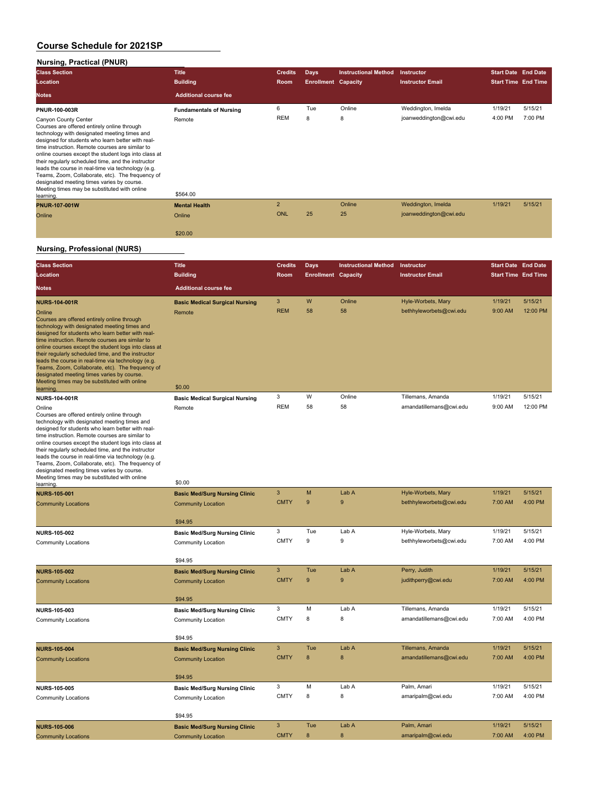### **Nursing, Practical (PNUR)**

| $\cdots$<br><b>Class Section</b><br>Location                                                                                                                                                                                                                                                                                                                                                                                                                                                                                                                   | <b>Title</b><br><b>Building</b> | <b>Credits</b><br>Room | Days<br><b>Enrollment Capacity</b> | <b>Instructional Method</b> | <b>Instructor</b><br><b>Instructor Email</b> | <b>Start Date End Date</b><br><b>Start Time End Time</b> |         |
|----------------------------------------------------------------------------------------------------------------------------------------------------------------------------------------------------------------------------------------------------------------------------------------------------------------------------------------------------------------------------------------------------------------------------------------------------------------------------------------------------------------------------------------------------------------|---------------------------------|------------------------|------------------------------------|-----------------------------|----------------------------------------------|----------------------------------------------------------|---------|
| <b>Notes</b>                                                                                                                                                                                                                                                                                                                                                                                                                                                                                                                                                   | <b>Additional course fee</b>    |                        |                                    |                             |                                              |                                                          |         |
| PNUR-100-003R                                                                                                                                                                                                                                                                                                                                                                                                                                                                                                                                                  | <b>Fundamentals of Nursing</b>  | 6                      | Tue                                | Online                      | Weddington, Imelda                           | 1/19/21                                                  | 5/15/21 |
| Canyon County Center<br>Courses are offered entirely online through<br>technology with designated meeting times and<br>designed for students who learn better with real-<br>time instruction. Remote courses are similar to<br>online courses except the student logs into class at<br>their regularly scheduled time, and the instructor<br>leads the course in real-time via technology (e.g.<br>Teams, Zoom, Collaborate, etc). The frequency of<br>designated meeting times varies by course.<br>Meeting times may be substituted with online<br>learning. | Remote<br>\$564.00              | <b>REM</b>             | 8                                  | 8                           | joanweddington@cwi.edu                       | 4:00 PM                                                  | 7:00 PM |
| <b>PNUR-107-001W</b>                                                                                                                                                                                                                                                                                                                                                                                                                                                                                                                                           | <b>Mental Health</b>            | $\overline{2}$         |                                    | Online                      | Weddington, Imelda                           | 1/19/21                                                  | 5/15/21 |
| Online                                                                                                                                                                                                                                                                                                                                                                                                                                                                                                                                                         | Online                          | <b>ONL</b>             | 25                                 | 25                          | joanweddington@cwi.edu                       |                                                          |         |
|                                                                                                                                                                                                                                                                                                                                                                                                                                                                                                                                                                | \$20.00                         |                        |                                    |                             |                                              |                                                          |         |

#### **Nursing, Professional (NURS)**

| <b>Class Section</b>                                                                                                                                                                                                                                                                                                                                                                                                                                                                                                                            | <b>Title</b>                                               | <b>Credits</b> | <b>Days</b>                | <b>Instructional Method</b> | Instructor              | <b>Start Date End Date</b> |          |
|-------------------------------------------------------------------------------------------------------------------------------------------------------------------------------------------------------------------------------------------------------------------------------------------------------------------------------------------------------------------------------------------------------------------------------------------------------------------------------------------------------------------------------------------------|------------------------------------------------------------|----------------|----------------------------|-----------------------------|-------------------------|----------------------------|----------|
| Location                                                                                                                                                                                                                                                                                                                                                                                                                                                                                                                                        | <b>Building</b>                                            | Room           | <b>Enrollment Capacity</b> |                             | <b>Instructor Email</b> | <b>Start Time End Time</b> |          |
| <b>Notes</b>                                                                                                                                                                                                                                                                                                                                                                                                                                                                                                                                    | <b>Additional course fee</b>                               |                |                            |                             |                         |                            |          |
| <b>NURS-104-001R</b>                                                                                                                                                                                                                                                                                                                                                                                                                                                                                                                            | <b>Basic Medical Surgical Nursing</b>                      | 3              | W                          | Online                      | Hyle-Worbets, Mary      | 1/19/21                    | 5/15/21  |
| Online<br>Courses are offered entirely online through<br>technology with designated meeting times and<br>designed for students who learn better with real-<br>time instruction. Remote courses are similar to<br>online courses except the student logs into class at<br>their regularly scheduled time, and the instructor<br>leads the course in real-time via technology (e.g.<br>Teams, Zoom, Collaborate, etc). The frequency of<br>designated meeting times varies by course.<br>Meeting times may be substituted with online<br>learning | Remote<br>\$0.00                                           | <b>REM</b>     | 58                         | 58                          | bethhyleworbets@cwi.edu | 9:00 AM                    | 12:00 PM |
| NURS-104-001R                                                                                                                                                                                                                                                                                                                                                                                                                                                                                                                                   | <b>Basic Medical Surgical Nursing</b>                      | 3              | W                          | Online                      | Tillemans, Amanda       | 1/19/21                    | 5/15/21  |
| Online                                                                                                                                                                                                                                                                                                                                                                                                                                                                                                                                          | Remote                                                     | <b>REM</b>     | 58                         | 58                          | amandatillemans@cwi.edu | 9:00 AM                    | 12:00 PM |
| Courses are offered entirely online through<br>technology with designated meeting times and<br>designed for students who learn better with real-<br>time instruction. Remote courses are similar to<br>online courses except the student logs into class at<br>their regularly scheduled time, and the instructor<br>leads the course in real-time via technology (e.g.<br>Teams, Zoom, Collaborate, etc). The frequency of<br>designated meeting times varies by course.<br>Meeting times may be substituted with online<br>learning.          | \$0.00                                                     |                |                            |                             |                         |                            |          |
| <b>NURS-105-001</b>                                                                                                                                                                                                                                                                                                                                                                                                                                                                                                                             | <b>Basic Med/Surg Nursing Clinic</b>                       | 3              | M                          | Lab A                       | Hyle-Worbets, Mary      | 1/19/21                    | 5/15/21  |
| <b>Community Locations</b>                                                                                                                                                                                                                                                                                                                                                                                                                                                                                                                      | <b>Community Location</b>                                  | <b>CMTY</b>    | 9                          | 9                           | bethhyleworbets@cwi.edu | 7:00 AM                    | 4:00 PM  |
|                                                                                                                                                                                                                                                                                                                                                                                                                                                                                                                                                 | \$94.95                                                    | 3              | Tue                        | Lab A                       | Hyle-Worbets, Mary      | 1/19/21                    | 5/15/21  |
| <b>NURS-105-002</b>                                                                                                                                                                                                                                                                                                                                                                                                                                                                                                                             | <b>Basic Med/Surg Nursing Clinic</b><br>Community Location | <b>CMTY</b>    | 9                          | 9                           | bethhyleworbets@cwi.edu | 7:00 AM                    | 4:00 PM  |
| <b>Community Locations</b>                                                                                                                                                                                                                                                                                                                                                                                                                                                                                                                      | \$94.95                                                    |                |                            |                             |                         |                            |          |
| <b>NURS-105-002</b>                                                                                                                                                                                                                                                                                                                                                                                                                                                                                                                             | <b>Basic Med/Surg Nursing Clinic</b>                       | 3              | Tue                        | Lab A                       | Perry, Judith           | 1/19/21                    | 5/15/21  |
| <b>Community Locations</b>                                                                                                                                                                                                                                                                                                                                                                                                                                                                                                                      | <b>Community Location</b>                                  | <b>CMTY</b>    | $\boldsymbol{9}$           | $9\,$                       | judithperry@cwi.edu     | 7:00 AM                    | 4:00 PM  |
|                                                                                                                                                                                                                                                                                                                                                                                                                                                                                                                                                 | \$94.95                                                    |                |                            |                             |                         |                            |          |
| NURS-105-003                                                                                                                                                                                                                                                                                                                                                                                                                                                                                                                                    | <b>Basic Med/Surg Nursing Clinic</b>                       | 3              | M                          | Lab A                       | Tillemans, Amanda       | 1/19/21                    | 5/15/21  |
| Community Locations                                                                                                                                                                                                                                                                                                                                                                                                                                                                                                                             | Community Location                                         | <b>CMTY</b>    | 8                          | 8                           | amandatillemans@cwi.edu | 7:00 AM                    | 4:00 PM  |
|                                                                                                                                                                                                                                                                                                                                                                                                                                                                                                                                                 | \$94.95                                                    |                |                            |                             |                         |                            |          |
| <b>NURS-105-004</b>                                                                                                                                                                                                                                                                                                                                                                                                                                                                                                                             | <b>Basic Med/Surg Nursing Clinic</b>                       | 3              | Tue                        | Lab A                       | Tillemans, Amanda       | 1/19/21                    | 5/15/21  |
| <b>Community Locations</b>                                                                                                                                                                                                                                                                                                                                                                                                                                                                                                                      | <b>Community Location</b>                                  | <b>CMTY</b>    | $\bf 8$                    | 8                           | amandatillemans@cwi.edu | 7:00 AM                    | 4:00 PM  |
|                                                                                                                                                                                                                                                                                                                                                                                                                                                                                                                                                 | \$94.95                                                    |                |                            |                             |                         |                            |          |
| <b>NURS-105-005</b>                                                                                                                                                                                                                                                                                                                                                                                                                                                                                                                             | <b>Basic Med/Surg Nursing Clinic</b>                       | 3              | M                          | Lab A                       | Palm, Amari             | 1/19/21                    | 5/15/21  |
| Community Locations                                                                                                                                                                                                                                                                                                                                                                                                                                                                                                                             | Community Location                                         | <b>CMTY</b>    | 8                          | 8                           | amaripalm@cwi.edu       | 7:00 AM                    | 4:00 PM  |
|                                                                                                                                                                                                                                                                                                                                                                                                                                                                                                                                                 |                                                            |                |                            |                             |                         |                            |          |
|                                                                                                                                                                                                                                                                                                                                                                                                                                                                                                                                                 | \$94.95                                                    |                |                            |                             |                         |                            |          |
| <b>NURS-105-006</b>                                                                                                                                                                                                                                                                                                                                                                                                                                                                                                                             | <b>Basic Med/Surg Nursing Clinic</b>                       | 3              | Tue                        | Lab A                       | Palm, Amari             | 1/19/21                    | 5/15/21  |
| <b>Community Locations</b>                                                                                                                                                                                                                                                                                                                                                                                                                                                                                                                      | <b>Community Location</b>                                  | <b>CMTY</b>    | 8                          | $\bf8$                      | amaripalm@cwi.edu       | 7:00 AM                    | 4:00 PM  |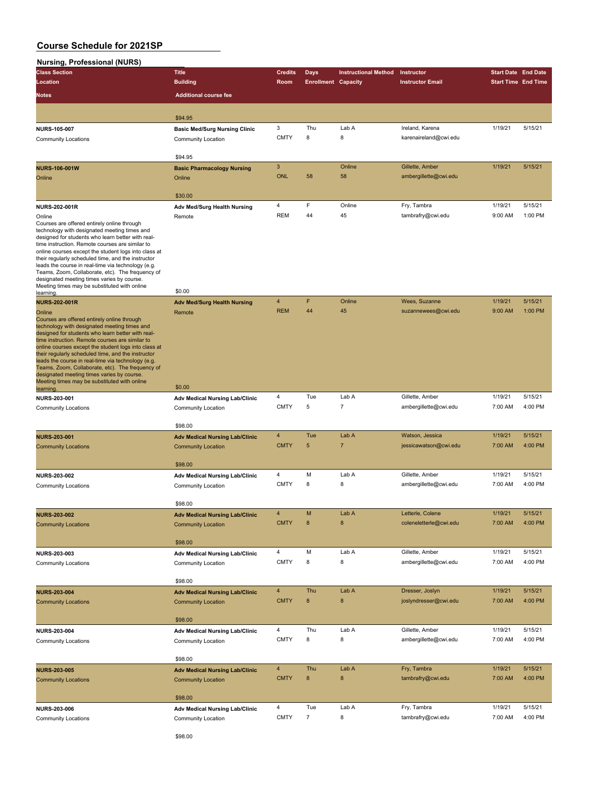| <b>Nursing, Professional (NURS)</b>                                                                      |                                       |                               |                            |                             |                                          |                            |         |
|----------------------------------------------------------------------------------------------------------|---------------------------------------|-------------------------------|----------------------------|-----------------------------|------------------------------------------|----------------------------|---------|
| <b>Class Section</b>                                                                                     | <b>Title</b>                          | <b>Credits</b>                | <b>Days</b>                | <b>Instructional Method</b> | Instructor                               | <b>Start Date End Date</b> |         |
| Location                                                                                                 | <b>Building</b>                       | Room                          | <b>Enrollment Capacity</b> |                             | <b>Instructor Email</b>                  | <b>Start Time End Time</b> |         |
| Notes                                                                                                    | <b>Additional course fee</b>          |                               |                            |                             |                                          |                            |         |
|                                                                                                          |                                       |                               |                            |                             |                                          |                            |         |
|                                                                                                          | \$94.95                               |                               |                            |                             |                                          |                            |         |
| <b>NURS-105-007</b>                                                                                      | <b>Basic Med/Surg Nursing Clinic</b>  | 3                             | Thu                        | Lab A                       | Ireland, Karena                          | 1/19/21                    | 5/15/21 |
| <b>Community Locations</b>                                                                               | Community Location                    | <b>CMTY</b>                   | 8                          | 8                           | karenaireland@cwi.edu                    |                            |         |
|                                                                                                          | \$94.95                               |                               |                            |                             |                                          |                            |         |
| <b>NURS-106-001W</b>                                                                                     | <b>Basic Pharmacology Nursing</b>     | $\mathbf{3}$                  |                            | Online                      | Gillette, Amber                          | 1/19/21                    | 5/15/21 |
| Online                                                                                                   | Online                                | <b>ONL</b>                    | 58                         | 58                          | ambergillette@cwi.edu                    |                            |         |
|                                                                                                          |                                       |                               |                            |                             |                                          |                            |         |
|                                                                                                          | \$30.00                               |                               |                            |                             |                                          |                            |         |
| <b>NURS-202-001R</b>                                                                                     | Adv Med/Surg Health Nursing           | $\overline{\mathbf{4}}$       | F                          | Online                      | Fry, Tambra                              | 1/19/21                    | 5/15/21 |
| Online                                                                                                   | Remote                                | <b>REM</b>                    | 44                         | 45                          | tambrafry@cwi.edu                        | 9:00 AM                    | 1:00 PM |
| Courses are offered entirely online through<br>technology with designated meeting times and              |                                       |                               |                            |                             |                                          |                            |         |
| designed for students who learn better with real-<br>time instruction. Remote courses are similar to     |                                       |                               |                            |                             |                                          |                            |         |
| online courses except the student logs into class at                                                     |                                       |                               |                            |                             |                                          |                            |         |
| their regularly scheduled time, and the instructor<br>leads the course in real-time via technology (e.g. |                                       |                               |                            |                             |                                          |                            |         |
| Teams, Zoom, Collaborate, etc). The frequency of                                                         |                                       |                               |                            |                             |                                          |                            |         |
| designated meeting times varies by course.<br>Meeting times may be substituted with online               |                                       |                               |                            |                             |                                          |                            |         |
| learning.                                                                                                | \$0.00                                |                               |                            |                             |                                          |                            |         |
| <b>NURS-202-001R</b>                                                                                     | <b>Adv Med/Surg Health Nursing</b>    | $\overline{4}$                | F                          | Online                      | Wees, Suzanne                            | 1/19/21                    | 5/15/21 |
| Online                                                                                                   | Remote                                | <b>REM</b>                    | 44                         | 45                          | suzannewees@cwi.edu                      | 9:00 AM                    | 1:00 PM |
| Courses are offered entirely online through<br>technology with designated meeting times and              |                                       |                               |                            |                             |                                          |                            |         |
| designed for students who learn better with real-                                                        |                                       |                               |                            |                             |                                          |                            |         |
| time instruction. Remote courses are similar to<br>online courses except the student logs into class at  |                                       |                               |                            |                             |                                          |                            |         |
| their regularly scheduled time, and the instructor                                                       |                                       |                               |                            |                             |                                          |                            |         |
| leads the course in real-time via technology (e.g.<br>Teams, Zoom, Collaborate, etc). The frequency of   |                                       |                               |                            |                             |                                          |                            |         |
| designated meeting times varies by course.                                                               |                                       |                               |                            |                             |                                          |                            |         |
| Meeting times may be substituted with online<br>learning.                                                | \$0.00                                |                               |                            |                             |                                          |                            |         |
| NURS-203-001                                                                                             | <b>Adv Medical Nursing Lab/Clinic</b> | 4                             | Tue                        | Lab A                       | Gillette, Amber                          | 1/19/21                    | 5/15/21 |
| <b>Community Locations</b>                                                                               | Community Location                    | <b>CMTY</b>                   | 5                          | $\overline{\mathcal{I}}$    | ambergillette@cwi.edu                    | 7:00 AM                    | 4:00 PM |
|                                                                                                          |                                       |                               |                            |                             |                                          |                            |         |
|                                                                                                          | \$98.00                               |                               | Tue                        | Lab A                       |                                          | 1/19/21                    | 5/15/21 |
| <b>NURS-203-001</b>                                                                                      | <b>Adv Medical Nursing Lab/Clinic</b> | $\overline{4}$<br><b>CMTY</b> | 5                          | $\overline{7}$              | Watson, Jessica<br>jessicawatson@cwi.edu | 7:00 AM                    | 4:00 PM |
| <b>Community Locations</b>                                                                               | <b>Community Location</b>             |                               |                            |                             |                                          |                            |         |
|                                                                                                          | \$98.00                               |                               |                            |                             |                                          |                            |         |
| <b>NURS-203-002</b>                                                                                      | <b>Adv Medical Nursing Lab/Clinic</b> | 4                             | M                          | Lab A                       | Gillette, Amber                          | 1/19/21                    | 5/15/21 |
| <b>Community Locations</b>                                                                               | Community Location                    | <b>CMTY</b>                   | 8                          | 8                           | ambergillette@cwi.edu                    | 7:00 AM                    | 4:00 PM |
|                                                                                                          |                                       |                               |                            |                             |                                          |                            |         |
|                                                                                                          | \$98.00                               |                               |                            |                             |                                          |                            |         |
| <b>NURS-203-002</b>                                                                                      | <b>Adv Medical Nursing Lab/Clinic</b> | $\overline{a}$                | M                          | Lab A                       | Letterle, Colene                         | 1/19/21                    | 5/15/21 |
| <b>Community Locations</b>                                                                               | <b>Community Location</b>             | <b>CMTY</b>                   | 8                          | 8                           | coleneletterle@cwi.edu                   | 7:00 AM                    | 4:00 PM |
|                                                                                                          | \$98.00                               |                               |                            |                             |                                          |                            |         |
| <b>NURS-203-003</b>                                                                                      | <b>Adv Medical Nursing Lab/Clinic</b> | $\overline{4}$                | M                          | Lab A                       | Gillette, Amber                          | 1/19/21                    | 5/15/21 |
| Community Locations                                                                                      | Community Location                    | <b>CMTY</b>                   | 8                          | 8                           | ambergillette@cwi.edu                    | 7:00 AM                    | 4:00 PM |
|                                                                                                          |                                       |                               |                            |                             |                                          |                            |         |
|                                                                                                          | \$98.00                               |                               |                            |                             |                                          |                            |         |
| <b>NURS-203-004</b>                                                                                      | <b>Adv Medical Nursing Lab/Clinic</b> | $\overline{4}$                | Thu                        | Lab A                       | Dresser, Joslyn                          | 1/19/21                    | 5/15/21 |
| <b>Community Locations</b>                                                                               | <b>Community Location</b>             | <b>CMTY</b>                   | $\bf 8$                    | $\bf8$                      | joslyndresser@cwi.edu                    | 7:00 AM                    | 4:00 PM |
|                                                                                                          |                                       |                               |                            |                             |                                          |                            |         |
|                                                                                                          | \$98.00                               | $\overline{4}$                | Thu                        | Lab A                       | Gillette, Amber                          | 1/19/21                    | 5/15/21 |
| NURS-203-004                                                                                             | <b>Adv Medical Nursing Lab/Clinic</b> | <b>CMTY</b>                   | 8                          | 8                           | ambergillette@cwi.edu                    | 7:00 AM                    | 4:00 PM |
| <b>Community Locations</b>                                                                               | Community Location                    |                               |                            |                             |                                          |                            |         |
|                                                                                                          | \$98.00                               |                               |                            |                             |                                          |                            |         |
| <b>NURS-203-005</b>                                                                                      | <b>Adv Medical Nursing Lab/Clinic</b> | $\overline{4}$                | Thu                        | Lab A                       | Fry, Tambra                              | 1/19/21                    | 5/15/21 |
| <b>Community Locations</b>                                                                               | <b>Community Location</b>             | <b>CMTY</b>                   | $\bf 8$                    | $\bf8$                      | tambrafry@cwi.edu                        | 7:00 AM                    | 4:00 PM |
|                                                                                                          |                                       |                               |                            |                             |                                          |                            |         |
|                                                                                                          | \$98.00                               |                               |                            |                             |                                          |                            |         |
| <b>NURS-203-006</b>                                                                                      | <b>Adv Medical Nursing Lab/Clinic</b> | 4                             | Tue                        | Lab A                       | Fry, Tambra                              | 1/19/21                    | 5/15/21 |
| Community Locations                                                                                      | Community Location                    | <b>CMTY</b>                   | $\overline{7}$             | 8                           | tambrafry@cwi.edu                        | 7:00 AM                    | 4:00 PM |
|                                                                                                          |                                       |                               |                            |                             |                                          |                            |         |

\$98.00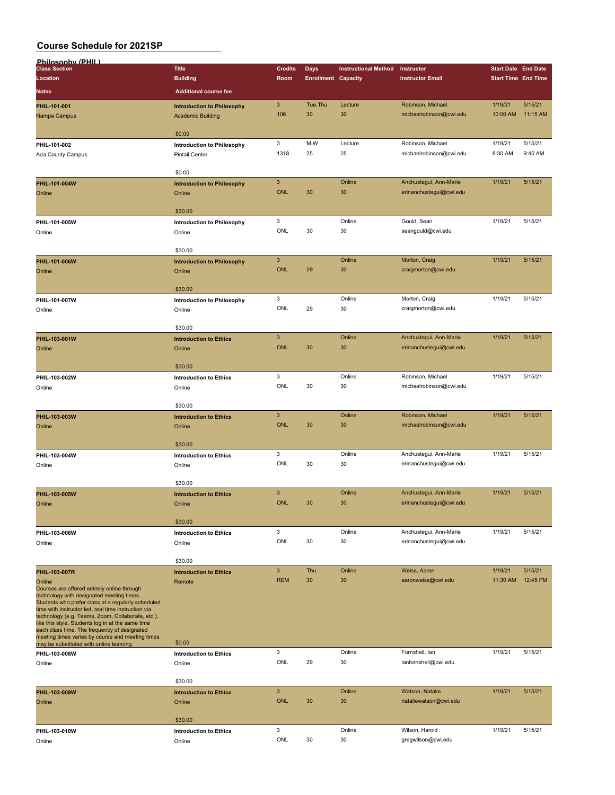| Philosophy (PHIL)                                                                                      |                                             |                           |                            |                             |                         |                            |          |
|--------------------------------------------------------------------------------------------------------|---------------------------------------------|---------------------------|----------------------------|-----------------------------|-------------------------|----------------------------|----------|
| <b>Class Section</b>                                                                                   | <b>Title</b>                                | <b>Credits</b>            | <b>Days</b>                | <b>Instructional Method</b> | Instructor              | <b>Start Date End Date</b> |          |
| Location                                                                                               | <b>Building</b>                             | Room                      | <b>Enrollment Capacity</b> |                             | <b>Instructor Email</b> | <b>Start Time End Time</b> |          |
| Notes                                                                                                  | <b>Additional course fee</b>                |                           |                            |                             |                         |                            |          |
| PHIL-101-001                                                                                           | <b>Introduction to Philosophy</b>           | $\mathbf{3}$              | Tue, Thu                   | Lecture                     | Robinson, Michael       | 1/19/21                    | 5/15/21  |
| Nampa Campus                                                                                           | <b>Academic Building</b>                    | 106                       | 30                         | 30                          | michaelrobinson@cwi.edu | 10:00 AM                   | 11:15 AM |
|                                                                                                        |                                             |                           |                            |                             |                         |                            |          |
|                                                                                                        | \$0.00                                      |                           |                            |                             |                         |                            |          |
| PHIL-101-002                                                                                           | <b>Introduction to Philosophy</b>           | 3                         | M, W                       | Lecture                     | Robinson, Michael       | 1/19/21                    | 5/15/21  |
| Ada County Campus                                                                                      | <b>Pintail Center</b>                       | 1318                      | 25                         | 25                          | michaelrobinson@cwi.edu | 8:30 AM                    | 9:45 AM  |
|                                                                                                        |                                             |                           |                            |                             |                         |                            |          |
|                                                                                                        | \$0.00                                      |                           |                            |                             |                         |                            |          |
| PHIL-101-004W                                                                                          | <b>Introduction to Philosophy</b>           | $\mathbf{3}$              |                            | Online                      | Anchustegui, Ann-Marie  | 1/19/21                    | 5/15/21  |
| Online                                                                                                 | Online                                      | <b>ONL</b>                | 30                         | 30                          | erinanchustegui@cwi.edu |                            |          |
|                                                                                                        |                                             |                           |                            |                             |                         |                            |          |
|                                                                                                        | \$30.00                                     |                           |                            |                             |                         |                            |          |
| PHIL-101-005W                                                                                          | <b>Introduction to Philosophy</b>           | 3<br>ONL                  | 30                         | Online                      | Gould, Sean             | 1/19/21                    | 5/15/21  |
| Online                                                                                                 | Online                                      |                           |                            | 30                          | seangould@cwi.edu       |                            |          |
|                                                                                                        | \$30.00                                     |                           |                            |                             |                         |                            |          |
|                                                                                                        |                                             | $\mathbf{3}$              |                            | Online                      | Morton, Craig           | 1/19/21                    | 5/15/21  |
| PHIL-101-006W<br>Online                                                                                | <b>Introduction to Philosophy</b><br>Online | <b>ONL</b>                | 29                         | 30                          | craigmorton@cwi.edu     |                            |          |
|                                                                                                        |                                             |                           |                            |                             |                         |                            |          |
|                                                                                                        | \$30.00                                     |                           |                            |                             |                         |                            |          |
| PHIL-101-007W                                                                                          | <b>Introduction to Philosophy</b>           | 3                         |                            | Online                      | Morton, Craig           | 1/19/21                    | 5/15/21  |
| Online                                                                                                 | Online                                      | ONL                       | 29                         | 30                          | craigmorton@cwi.edu     |                            |          |
|                                                                                                        |                                             |                           |                            |                             |                         |                            |          |
|                                                                                                        | \$30.00                                     |                           |                            |                             |                         |                            |          |
| PHIL-103-001W                                                                                          | <b>Introduction to Ethics</b>               | $\mathbf{3}$              |                            | Online                      | Anchustegui, Ann-Marie  | 1/19/21                    | 5/15/21  |
| Online                                                                                                 | Online                                      | <b>ONL</b>                | 30                         | 30                          | erinanchustegui@cwi.edu |                            |          |
|                                                                                                        |                                             |                           |                            |                             |                         |                            |          |
|                                                                                                        | \$30.00                                     |                           |                            |                             |                         |                            |          |
| PHIL-103-002W                                                                                          | <b>Introduction to Ethics</b>               | 3                         |                            | Online                      | Robinson, Michael       | 1/19/21                    | 5/15/21  |
| Online                                                                                                 | Online                                      | ONL                       | 30                         | 30                          | michaelrobinson@cwi.edu |                            |          |
|                                                                                                        |                                             |                           |                            |                             |                         |                            |          |
|                                                                                                        | \$30.00                                     |                           |                            |                             |                         |                            |          |
| PHIL-103-003W                                                                                          | <b>Introduction to Ethics</b>               | $\mathbf{3}$              |                            | Online                      | Robinson, Michael       | 1/19/21                    | 5/15/21  |
| Online                                                                                                 | Online                                      | <b>ONL</b>                | 30                         | 30                          | michaelrobinson@cwi.edu |                            |          |
|                                                                                                        |                                             |                           |                            |                             |                         |                            |          |
|                                                                                                        | \$30.00                                     |                           |                            |                             |                         |                            |          |
| PHIL-103-004W                                                                                          | <b>Introduction to Ethics</b>               | 3                         |                            | Online                      | Anchustegui, Ann-Marie  | 1/19/21                    | 5/15/21  |
| Online                                                                                                 | Online                                      | <b>ONL</b>                | 30                         | 30                          | erinanchustegui@cwi.edu |                            |          |
|                                                                                                        | \$30.00                                     |                           |                            |                             |                         |                            |          |
|                                                                                                        |                                             | $\ensuremath{\mathsf{3}}$ |                            | Online                      | Anchustegui, Ann-Marie  | 1/19/21                    | 5/15/21  |
| PHIL-103-005W                                                                                          | <b>Introduction to Ethics</b><br>Online     | <b>ONL</b>                | 30                         | 30                          | erinanchustegui@cwi.edu |                            |          |
| Online                                                                                                 |                                             |                           |                            |                             |                         |                            |          |
|                                                                                                        | \$30.00                                     |                           |                            |                             |                         |                            |          |
| PHIL-103-006W                                                                                          | <b>Introduction to Ethics</b>               | 3                         |                            | Online                      | Anchustegui, Ann-Marie  | 1/19/21                    | 5/15/21  |
| Online                                                                                                 | Online                                      | ONL                       | 30                         | 30                          | erinanchustegui@cwi.edu |                            |          |
|                                                                                                        |                                             |                           |                            |                             |                         |                            |          |
|                                                                                                        | \$30.00                                     |                           |                            |                             |                         |                            |          |
| PHIL-103-007R                                                                                          | <b>Introduction to Ethics</b>               | $\mathbf{3}$              | Thu                        | Online                      | Weiss, Aaron            | 1/19/21                    | 5/15/21  |
| Online                                                                                                 | Remote                                      | <b>REM</b>                | 30                         | 30                          | aaronweiss@cwi.edu      | 11:30 AM                   | 12:45 PM |
| Courses are offered entirely online through                                                            |                                             |                           |                            |                             |                         |                            |          |
| technology with designated meeting times.<br>Students who prefer class at a regularly scheduled        |                                             |                           |                            |                             |                         |                            |          |
| time with instructor led, real time instruction via                                                    |                                             |                           |                            |                             |                         |                            |          |
| technology (e.g. Teams, Zoom, Collaborate, etc.),<br>like this style. Students log in at the same time |                                             |                           |                            |                             |                         |                            |          |
| each class time. The frequency of designated                                                           |                                             |                           |                            |                             |                         |                            |          |
| meeting times varies by course and meeting times<br>may be substituted with online learning.           | \$0.00                                      |                           |                            |                             |                         |                            |          |
| PHIL-103-008W                                                                                          | <b>Introduction to Ethics</b>               | 3                         |                            | Online                      | Fornshell, Ian          | 1/19/21                    | 5/15/21  |
| Online                                                                                                 | Online                                      | ONL                       | 29                         | 30                          | ianfornshell@cwi.edu    |                            |          |
|                                                                                                        |                                             |                           |                            |                             |                         |                            |          |
|                                                                                                        | \$30.00                                     |                           |                            |                             |                         |                            |          |
| PHIL-103-009W                                                                                          | <b>Introduction to Ethics</b>               | $\mathbf{3}$              |                            | Online                      | Watson, Natalie         | 1/19/21                    | 5/15/21  |
| Online                                                                                                 | Online                                      | <b>ONL</b>                | 30                         | 30                          | nataliewatson@cwi.edu   |                            |          |
|                                                                                                        |                                             |                           |                            |                             |                         |                            |          |
|                                                                                                        | \$30.00                                     |                           |                            |                             |                         |                            |          |
| PHIL-103-010W                                                                                          | <b>Introduction to Ethics</b>               | 3                         |                            | Online                      | Wilson, Harold          | 1/19/21                    | 5/15/21  |
| Online                                                                                                 | Online                                      | ONL                       | 30                         | 30                          | gregwilson@cwi.edu      |                            |          |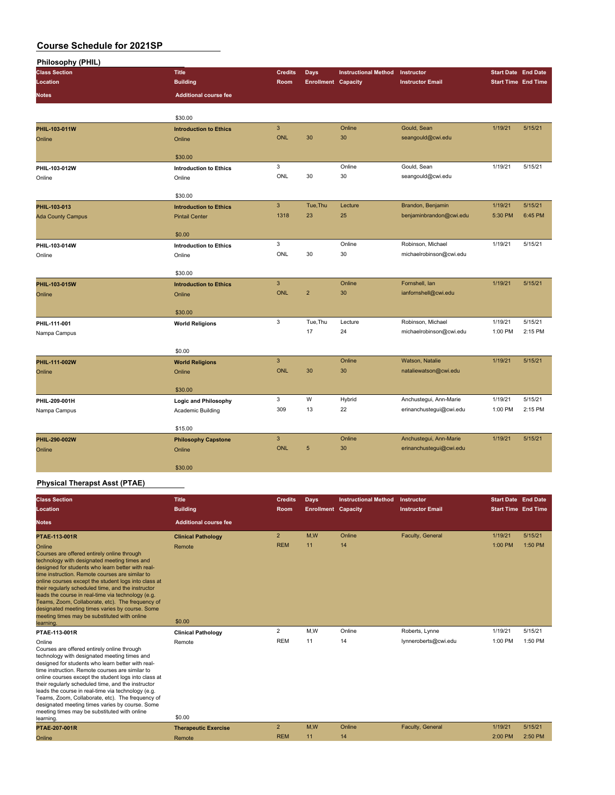| <b>Philosophy (PHIL)</b> |                                      |                |                            |                             |                         |                            |         |
|--------------------------|--------------------------------------|----------------|----------------------------|-----------------------------|-------------------------|----------------------------|---------|
| <b>Class Section</b>     | <b>Title</b>                         | <b>Credits</b> | <b>Days</b>                | <b>Instructional Method</b> | Instructor              | <b>Start Date</b> End Date |         |
| Location                 | <b>Building</b>                      | Room           | <b>Enrollment Capacity</b> |                             | <b>Instructor Email</b> | <b>Start Time End Time</b> |         |
| <b>Notes</b>             | <b>Additional course fee</b>         |                |                            |                             |                         |                            |         |
|                          | \$30.00                              |                |                            |                             |                         |                            |         |
| PHIL-103-011W            | <b>Introduction to Ethics</b>        | $\mathbf{3}$   |                            | Online                      | Gould, Sean             | 1/19/21                    | 5/15/21 |
| Online                   | Online                               | ONL            | 30                         | 30                          | seangould@cwi.edu       |                            |         |
|                          | \$30.00                              |                |                            |                             |                         |                            |         |
| PHIL-103-012W            | <b>Introduction to Ethics</b>        | 3              |                            | Online                      | Gould, Sean             | 1/19/21                    | 5/15/21 |
| Online                   | Online                               | ONL            | 30                         | 30                          | seangould@cwi.edu       |                            |         |
|                          | \$30.00                              |                |                            |                             |                         |                            |         |
| PHIL-103-013             | <b>Introduction to Ethics</b>        | $\mathbf{3}$   | Tue, Thu                   | Lecture                     | Brandon, Benjamin       | 1/19/21                    | 5/15/21 |
| <b>Ada County Campus</b> | <b>Pintail Center</b>                | 1318           | 23                         | 25                          | benjaminbrandon@cwi.edu | 5:30 PM                    | 6:45 PM |
|                          | \$0.00                               |                |                            |                             |                         |                            |         |
| PHIL-103-014W            | <b>Introduction to Ethics</b>        | 3              |                            | Online                      | Robinson, Michael       | 1/19/21                    | 5/15/21 |
| Online                   | Online                               | ONL            | 30                         | 30                          | michaelrobinson@cwi.edu |                            |         |
|                          | \$30.00                              |                |                            |                             |                         |                            |         |
| PHIL-103-015W            | <b>Introduction to Ethics</b>        | $\mathbf{3}$   |                            | Online                      | Fornshell, lan          | 1/19/21                    | 5/15/21 |
| Online                   | Online                               | <b>ONL</b>     | $\overline{2}$             | 30                          | ianfornshell@cwi.edu    |                            |         |
|                          | \$30.00                              |                |                            |                             |                         |                            |         |
| PHIL-111-001             | <b>World Religions</b>               | 3              | Tue, Thu                   | Lecture                     | Robinson, Michael       | 1/19/21                    | 5/15/21 |
| Nampa Campus             |                                      |                | 17                         | 24                          | michaelrobinson@cwi.edu | 1:00 PM                    | 2:15 PM |
|                          | \$0.00                               |                |                            |                             |                         |                            |         |
| PHIL-111-002W            | <b>World Religions</b>               | $\mathbf{3}$   |                            | Online                      | Watson, Natalie         | 1/19/21                    | 5/15/21 |
| Online                   | Online                               | <b>ONL</b>     | 30                         | 30                          | nataliewatson@cwi.edu   |                            |         |
|                          | \$30.00                              |                |                            |                             |                         |                            |         |
| PHIL-209-001H            | <b>Logic and Philosophy</b>          | 3              | W                          | Hybrid                      | Anchustegui, Ann-Marie  | 1/19/21                    | 5/15/21 |
| Nampa Campus             | Academic Building                    | 309            | 13                         | 22                          | erinanchustegui@cwi.edu | 1:00 PM                    | 2:15 PM |
|                          |                                      |                |                            |                             |                         |                            |         |
|                          | \$15.00                              | $\mathbf{3}$   |                            | Online                      | Anchustegui, Ann-Marie  | 1/19/21                    | 5/15/21 |
| PHIL-290-002W<br>Online  | <b>Philosophy Capstone</b><br>Online | <b>ONL</b>     | 5                          | 30                          | erinanchustegui@cwi.edu |                            |         |
|                          |                                      |                |                            |                             |                         |                            |         |
|                          | \$30.00                              |                |                            |                             |                         |                            |         |

#### **Physical Therapst Asst (PTAE)**

| <b>Class Section</b><br>Location<br><b>Notes</b>                                                                                                                                                                                                                                                                                                                                                                                                                                                                                                                       | <b>Title</b><br><b>Building</b><br><b>Additional course fee</b> | <b>Credits</b><br>Room       | <b>Days</b><br><b>Enrollment Capacity</b> | <b>Instructional Method</b> | Instructor<br><b>Instructor Email</b> | <b>Start Date End Date</b><br><b>Start Time End Time</b> |                    |
|------------------------------------------------------------------------------------------------------------------------------------------------------------------------------------------------------------------------------------------------------------------------------------------------------------------------------------------------------------------------------------------------------------------------------------------------------------------------------------------------------------------------------------------------------------------------|-----------------------------------------------------------------|------------------------------|-------------------------------------------|-----------------------------|---------------------------------------|----------------------------------------------------------|--------------------|
| PTAE-113-001R<br>Online<br>Courses are offered entirely online through<br>technology with designated meeting times and<br>designed for students who learn better with real-<br>time instruction. Remote courses are similar to<br>online courses except the student logs into class at<br>their regularly scheduled time, and the instructor<br>leads the course in real-time via technology (e.g.<br>Teams, Zoom, Collaborate, etc). The frequency of<br>designated meeting times varies by course. Some<br>meeting times may be substituted with online<br>learning. | <b>Clinical Pathology</b><br>Remote<br>\$0.00                   | $\overline{2}$<br><b>REM</b> | M.W<br>11                                 | Online<br>14                | Faculty, General                      | 1/19/21<br>1:00 PM                                       | 5/15/21<br>1:50 PM |
| PTAE-113-001R                                                                                                                                                                                                                                                                                                                                                                                                                                                                                                                                                          | <b>Clinical Pathology</b>                                       | $\overline{2}$               | M.W                                       | Online                      | Roberts, Lynne                        | 1/19/21                                                  | 5/15/21            |
| Online<br>Courses are offered entirely online through<br>technology with designated meeting times and<br>designed for students who learn better with real-<br>time instruction. Remote courses are similar to<br>online courses except the student logs into class at<br>their regularly scheduled time, and the instructor<br>leads the course in real-time via technology (e.g.<br>Teams, Zoom, Collaborate, etc). The frequency of<br>designated meeting times varies by course. Some<br>meeting times may be substituted with online<br>learning.                  | Remote<br>\$0.00                                                | <b>REM</b>                   | 11                                        | 14                          | lynneroberts@cwi.edu                  | 1:00 PM                                                  | 1:50 PM            |
| PTAE-207-001R                                                                                                                                                                                                                                                                                                                                                                                                                                                                                                                                                          | <b>Therapeutic Exercise</b>                                     | $\overline{2}$               | M.W                                       | Online                      | Faculty, General                      | 1/19/21                                                  | 5/15/21            |
| Online                                                                                                                                                                                                                                                                                                                                                                                                                                                                                                                                                                 | Remote                                                          | <b>REM</b>                   | 11                                        | 14                          |                                       | 2:00 PM                                                  | 2:50 PM            |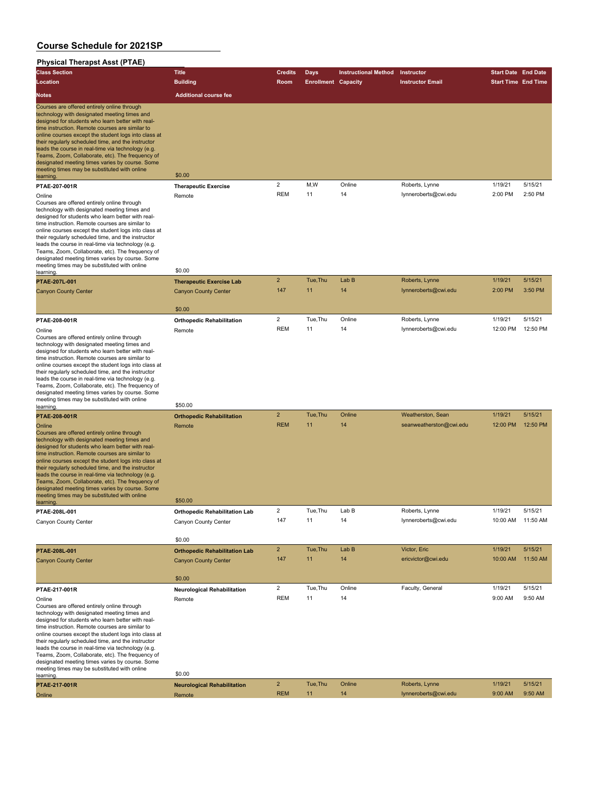| <b>Physical Therapst Asst (PTAE)</b>                                                                                                                                                                                                                                                                                                                                                                                                                                                                                                                  |                                      |                         |                            |                             |                         |                            |          |
|-------------------------------------------------------------------------------------------------------------------------------------------------------------------------------------------------------------------------------------------------------------------------------------------------------------------------------------------------------------------------------------------------------------------------------------------------------------------------------------------------------------------------------------------------------|--------------------------------------|-------------------------|----------------------------|-----------------------------|-------------------------|----------------------------|----------|
| <b>Class Section</b>                                                                                                                                                                                                                                                                                                                                                                                                                                                                                                                                  | <b>Title</b>                         | <b>Credits</b>          | Days                       | <b>Instructional Method</b> | Instructor              | <b>Start Date End Date</b> |          |
| Location                                                                                                                                                                                                                                                                                                                                                                                                                                                                                                                                              | <b>Building</b>                      | Room                    | <b>Enrollment Capacity</b> |                             | <b>Instructor Email</b> | <b>Start Time End Time</b> |          |
| <b>Notes</b>                                                                                                                                                                                                                                                                                                                                                                                                                                                                                                                                          | <b>Additional course fee</b>         |                         |                            |                             |                         |                            |          |
| Courses are offered entirely online through<br>technology with designated meeting times and<br>designed for students who learn better with real-<br>time instruction. Remote courses are similar to<br>online courses except the student logs into class at<br>their regularly scheduled time, and the instructor<br>leads the course in real-time via technology (e.g.<br>Teams, Zoom, Collaborate, etc). The frequency of<br>designated meeting times varies by course. Some<br>meeting times may be substituted with online<br>learning.           | \$0.00                               |                         |                            |                             |                         |                            |          |
| PTAE-207-001R                                                                                                                                                                                                                                                                                                                                                                                                                                                                                                                                         | <b>Therapeutic Exercise</b>          | $\overline{c}$          | M,W                        | Online                      | Roberts, Lynne          | 1/19/21                    | 5/15/21  |
| Online<br>Courses are offered entirely online through<br>technology with designated meeting times and<br>designed for students who learn better with real-<br>time instruction. Remote courses are similar to<br>online courses except the student logs into class at<br>their regularly scheduled time, and the instructor<br>leads the course in real-time via technology (e.g.<br>Teams, Zoom, Collaborate, etc). The frequency of<br>designated meeting times varies by course. Some<br>meeting times may be substituted with online              | Remote                               | <b>REM</b>              | 11                         | 14                          | lynneroberts@cwi.edu    | 2:00 PM                    | 2:50 PM  |
| learning.                                                                                                                                                                                                                                                                                                                                                                                                                                                                                                                                             | \$0.00                               | $\overline{2}$          |                            |                             |                         |                            |          |
| PTAE-207L-001                                                                                                                                                                                                                                                                                                                                                                                                                                                                                                                                         | <b>Therapeutic Exercise Lab</b>      |                         | Tue, Thu                   | Lab B                       | Roberts, Lynne          | 1/19/21                    | 5/15/21  |
| <b>Canyon County Center</b>                                                                                                                                                                                                                                                                                                                                                                                                                                                                                                                           | <b>Canyon County Center</b>          | 147                     | 11                         | 14                          | lynneroberts@cwi.edu    | 2:00 PM                    | 3:50 PM  |
|                                                                                                                                                                                                                                                                                                                                                                                                                                                                                                                                                       | \$0.00                               |                         |                            |                             |                         |                            |          |
| PTAE-208-001R                                                                                                                                                                                                                                                                                                                                                                                                                                                                                                                                         | <b>Orthopedic Rehabilitation</b>     | $\overline{2}$          | Tue, Thu                   | Online                      | Roberts, Lynne          | 1/19/21                    | 5/15/21  |
| Online                                                                                                                                                                                                                                                                                                                                                                                                                                                                                                                                                | Remote                               | <b>REM</b>              | 11                         | 14                          | lynneroberts@cwi.edu    | 12:00 PM                   | 12:50 PM |
| Courses are offered entirely online through<br>technology with designated meeting times and<br>designed for students who learn better with real-<br>time instruction. Remote courses are similar to<br>online courses except the student logs into class at<br>their regularly scheduled time, and the instructor<br>leads the course in real-time via technology (e.g.<br>Teams, Zoom, Collaborate, etc). The frequency of<br>designated meeting times varies by course. Some<br>meeting times may be substituted with online                        |                                      |                         |                            |                             |                         |                            |          |
| learning.                                                                                                                                                                                                                                                                                                                                                                                                                                                                                                                                             | \$50.00                              |                         |                            |                             |                         |                            |          |
| PTAE-208-001R                                                                                                                                                                                                                                                                                                                                                                                                                                                                                                                                         | <b>Orthopedic Rehabilitation</b>     | $\overline{2}$          | Tue, Thu                   | Online                      | Weatherston, Sean       | 1/19/21                    | 5/15/21  |
| Online<br>Courses are offered entirely online through<br>technology with designated meeting times and<br>designed for students who learn better with real-<br>time instruction. Remote courses are similar to<br>online courses except the student logs into class at<br>their regularly scheduled time, and the instructor<br>leads the course in real-time via technology (e.g.<br>Teams, Zoom, Collaborate, etc). The frequency of<br>designated meeting times varies by course. Some<br>meeting times may be substituted with online<br>learning. | Remote<br>\$50.00                    | <b>REM</b>              | 11                         | 14                          | seanweatherston@cwi.edu | 12:00 PM                   | 12:50 PM |
| PTAE-208L-001                                                                                                                                                                                                                                                                                                                                                                                                                                                                                                                                         | <b>Orthopedic Rehabilitation Lab</b> |                         | lue, I hu                  | Lab B                       | Roberts, Lynne          | 1/19/21                    | 5/15/21  |
| Canyon County Center                                                                                                                                                                                                                                                                                                                                                                                                                                                                                                                                  | Canyon County Center                 | 147                     | 11                         | 14                          | lynneroberts@cwi.edu    | 10:00 AM                   | 11:50 AM |
|                                                                                                                                                                                                                                                                                                                                                                                                                                                                                                                                                       | \$0.00                               |                         |                            |                             |                         |                            |          |
| PTAE-208L-001                                                                                                                                                                                                                                                                                                                                                                                                                                                                                                                                         | <b>Orthopedic Rehabilitation Lab</b> | $\overline{2}$          | Tue, Thu                   | Lab B                       | Victor, Eric            | 1/19/21                    | 5/15/21  |
| <b>Canyon County Center</b>                                                                                                                                                                                                                                                                                                                                                                                                                                                                                                                           | <b>Canyon County Center</b>          | 147                     | 11                         | 14                          | ericvictor@cwi.edu      | 10:00 AM                   | 11:50 AM |
|                                                                                                                                                                                                                                                                                                                                                                                                                                                                                                                                                       | \$0.00                               |                         |                            |                             |                         |                            |          |
| PTAE-217-001R                                                                                                                                                                                                                                                                                                                                                                                                                                                                                                                                         | <b>Neurological Rehabilitation</b>   | $\overline{\mathbf{c}}$ | Tue, Thu                   | Online                      | Faculty, General        | 1/19/21                    | 5/15/21  |
| Online<br>Courses are offered entirely online through<br>technology with designated meeting times and<br>designed for students who learn better with real-<br>time instruction. Remote courses are similar to<br>online courses except the student logs into class at<br>their regularly scheduled time, and the instructor<br>leads the course in real-time via technology (e.g.<br>Teams, Zoom, Collaborate, etc). The frequency of<br>designated meeting times varies by course. Some<br>meeting times may be substituted with online              | Remote                               | <b>REM</b>              | 11                         | 14                          |                         | 9:00 AM                    | 9:50 AM  |
| learning.                                                                                                                                                                                                                                                                                                                                                                                                                                                                                                                                             | \$0.00                               | $\overline{2}$          | Tue, Thu                   | Online                      | Roberts, Lynne          | 1/19/21                    | 5/15/21  |
| PTAE-217-001R                                                                                                                                                                                                                                                                                                                                                                                                                                                                                                                                         | <b>Neurological Rehabilitation</b>   | <b>REM</b>              | 11                         | 14                          | lynneroberts@cwi.edu    | 9:00 AM                    | 9:50 AM  |
| Online                                                                                                                                                                                                                                                                                                                                                                                                                                                                                                                                                | Remote                               |                         |                            |                             |                         |                            |          |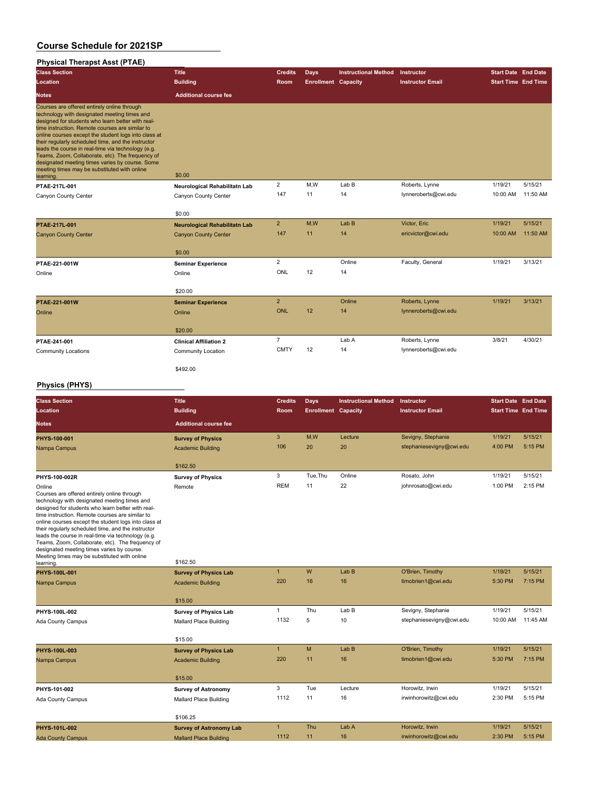# **Physical Therapst Asst (PTAE)**

| <b>Class Section</b>                                                                                                                                                                                                                                                                                                                                                                                                                                                                                                                        | <b>Title</b>                         | <b>Credits</b> | <b>Days</b>                | <b>Instructional Method</b> | Instructor              | <b>Start Date End Date</b> |          |
|---------------------------------------------------------------------------------------------------------------------------------------------------------------------------------------------------------------------------------------------------------------------------------------------------------------------------------------------------------------------------------------------------------------------------------------------------------------------------------------------------------------------------------------------|--------------------------------------|----------------|----------------------------|-----------------------------|-------------------------|----------------------------|----------|
| Location                                                                                                                                                                                                                                                                                                                                                                                                                                                                                                                                    | <b>Building</b>                      | <b>Room</b>    | <b>Enrollment Capacity</b> |                             | <b>Instructor Email</b> | <b>Start Time End Time</b> |          |
| <b>Notes</b>                                                                                                                                                                                                                                                                                                                                                                                                                                                                                                                                | <b>Additional course fee</b>         |                |                            |                             |                         |                            |          |
| Courses are offered entirely online through<br>technology with designated meeting times and<br>designed for students who learn better with real-<br>time instruction. Remote courses are similar to<br>online courses except the student logs into class at<br>their regularly scheduled time, and the instructor<br>leads the course in real-time via technology (e.g.<br>Teams, Zoom, Collaborate, etc). The frequency of<br>designated meeting times varies by course. Some<br>meeting times may be substituted with online<br>learning. | \$0.00                               |                |                            |                             |                         |                            |          |
| PTAE-217L-001                                                                                                                                                                                                                                                                                                                                                                                                                                                                                                                               | Neurological Rehabilitatn Lab        | $\overline{2}$ | M,W                        | Lab B                       | Roberts, Lynne          | 1/19/21                    | 5/15/21  |
| Canyon County Center                                                                                                                                                                                                                                                                                                                                                                                                                                                                                                                        | Canyon County Center                 | 147            | 11                         | 14                          | lynneroberts@cwi.edu    | 10:00 AM                   | 11:50 AM |
|                                                                                                                                                                                                                                                                                                                                                                                                                                                                                                                                             | \$0.00                               |                |                            |                             |                         |                            |          |
| PTAE-217L-001                                                                                                                                                                                                                                                                                                                                                                                                                                                                                                                               | <b>Neurological Rehabilitatn Lab</b> | $2^{\circ}$    | M,W                        | Lab B                       | Victor, Eric            | 1/19/21                    | 5/15/21  |
| <b>Canyon County Center</b>                                                                                                                                                                                                                                                                                                                                                                                                                                                                                                                 | <b>Canyon County Center</b>          | 147            | 11                         | 14                          | ericvictor@cwi.edu      | 10:00 AM                   | 11:50 AM |
|                                                                                                                                                                                                                                                                                                                                                                                                                                                                                                                                             | \$0.00                               |                |                            |                             |                         |                            |          |
| PTAE-221-001W                                                                                                                                                                                                                                                                                                                                                                                                                                                                                                                               | <b>Seminar Experience</b>            | $\overline{2}$ |                            | Online                      | Faculty, General        | 1/19/21                    | 3/13/21  |
| Online                                                                                                                                                                                                                                                                                                                                                                                                                                                                                                                                      | Online                               | ONL            | 12                         | 14                          |                         |                            |          |
|                                                                                                                                                                                                                                                                                                                                                                                                                                                                                                                                             | \$20.00                              |                |                            |                             |                         |                            |          |
| PTAE-221-001W                                                                                                                                                                                                                                                                                                                                                                                                                                                                                                                               | <b>Seminar Experience</b>            | $\overline{2}$ |                            | Online                      | Roberts, Lynne          | 1/19/21                    | 3/13/21  |
| Online                                                                                                                                                                                                                                                                                                                                                                                                                                                                                                                                      | Online                               | <b>ONL</b>     | 12                         | 14                          | lynneroberts@cwi.edu    |                            |          |
|                                                                                                                                                                                                                                                                                                                                                                                                                                                                                                                                             |                                      |                |                            |                             |                         |                            |          |
|                                                                                                                                                                                                                                                                                                                                                                                                                                                                                                                                             | \$20.00                              |                |                            |                             |                         |                            |          |
| PTAE-241-001                                                                                                                                                                                                                                                                                                                                                                                                                                                                                                                                | <b>Clinical Affiliation 2</b>        | $\overline{7}$ |                            | Lab A                       | Roberts, Lynne          | 3/8/21                     | 4/30/21  |
| <b>Community Locations</b>                                                                                                                                                                                                                                                                                                                                                                                                                                                                                                                  | Community Location                   | <b>CMTY</b>    | 12                         | 14                          | lynneroberts@cwi.edu    |                            |          |
|                                                                                                                                                                                                                                                                                                                                                                                                                                                                                                                                             |                                      |                |                            |                             |                         |                            |          |

\$492.00

#### **Physics (PHYS)**

| <b>Class Section</b><br>Location                                                                                                                                                                                                                                                                                                                                                                                                                                                                                                    | <b>Title</b><br><b>Building</b>                          | <b>Credits</b><br>Room | <b>Days</b><br><b>Enrollment Capacity</b> | <b>Instructional Method</b> | Instructor<br><b>Instructor Email</b> | <b>Start Date End Date</b><br><b>Start Time End Time</b> |          |
|-------------------------------------------------------------------------------------------------------------------------------------------------------------------------------------------------------------------------------------------------------------------------------------------------------------------------------------------------------------------------------------------------------------------------------------------------------------------------------------------------------------------------------------|----------------------------------------------------------|------------------------|-------------------------------------------|-----------------------------|---------------------------------------|----------------------------------------------------------|----------|
| <b>Notes</b>                                                                                                                                                                                                                                                                                                                                                                                                                                                                                                                        | <b>Additional course fee</b>                             |                        |                                           |                             |                                       |                                                          |          |
| PHYS-100-001                                                                                                                                                                                                                                                                                                                                                                                                                                                                                                                        | <b>Survey of Physics</b>                                 | 3                      | M,W                                       | Lecture                     | Sevigny, Stephanie                    | 1/19/21                                                  | 5/15/21  |
| Nampa Campus                                                                                                                                                                                                                                                                                                                                                                                                                                                                                                                        | <b>Academic Building</b>                                 | 106                    | 20                                        | 20                          | stephaniesevigny@cwi.edu              | 4:00 PM                                                  | 5:15 PM  |
|                                                                                                                                                                                                                                                                                                                                                                                                                                                                                                                                     | \$162.50                                                 |                        |                                           |                             |                                       |                                                          |          |
| PHYS-100-002R                                                                                                                                                                                                                                                                                                                                                                                                                                                                                                                       | <b>Survey of Physics</b>                                 | 3                      | Tue, Thu                                  | Online                      | Rosato, John                          | 1/19/21                                                  | 5/15/21  |
| Online<br>Courses are offered entirely online through<br>technology with designated meeting times and<br>designed for students who learn better with real-<br>time instruction. Remote courses are similar to<br>online courses except the student logs into class at<br>their regularly scheduled time, and the instructor<br>leads the course in real-time via technology (e.g.<br>Teams, Zoom, Collaborate, etc). The frequency of<br>designated meeting times varies by course.<br>Meeting times may be substituted with online | Remote<br>\$162.50                                       | <b>REM</b>             | 11                                        | 22                          | johnrosato@cwi.edu                    | 1:00 PM                                                  | 2:15 PM  |
| learning.                                                                                                                                                                                                                                                                                                                                                                                                                                                                                                                           |                                                          | 1                      | W                                         | LabB                        | O'Brien, Timothy                      | 1/19/21                                                  | 5/15/21  |
| PHYS-100L-001<br>Nampa Campus                                                                                                                                                                                                                                                                                                                                                                                                                                                                                                       | <b>Survey of Physics Lab</b><br><b>Academic Building</b> | 220                    | 16                                        | 16                          | timobrien1@cwi.edu                    | 5:30 PM                                                  | 7:15 PM  |
|                                                                                                                                                                                                                                                                                                                                                                                                                                                                                                                                     | \$15.00                                                  |                        |                                           |                             |                                       |                                                          |          |
| PHYS-100L-002                                                                                                                                                                                                                                                                                                                                                                                                                                                                                                                       | <b>Survey of Physics Lab</b>                             | 1                      | Thu                                       | Lab B                       | Sevigny, Stephanie                    | 1/19/21                                                  | 5/15/21  |
| Ada County Campus                                                                                                                                                                                                                                                                                                                                                                                                                                                                                                                   | Mallard Place Building                                   | 1132                   | 5                                         | 10                          | stephaniesevigny@cwi.edu              | 10:00 AM                                                 | 11:45 AM |
|                                                                                                                                                                                                                                                                                                                                                                                                                                                                                                                                     |                                                          |                        |                                           |                             |                                       |                                                          |          |
|                                                                                                                                                                                                                                                                                                                                                                                                                                                                                                                                     | \$15.00                                                  |                        |                                           |                             |                                       |                                                          |          |
| PHYS-100L-003                                                                                                                                                                                                                                                                                                                                                                                                                                                                                                                       | <b>Survey of Physics Lab</b>                             | 1                      | M                                         | Lab <sub>B</sub>            | O'Brien, Timothy                      | 1/19/21                                                  | 5/15/21  |
| Nampa Campus                                                                                                                                                                                                                                                                                                                                                                                                                                                                                                                        | <b>Academic Building</b>                                 | 220                    | 11                                        | 16                          | timobrien1@cwi.edu                    | 5:30 PM                                                  | 7:15 PM  |
|                                                                                                                                                                                                                                                                                                                                                                                                                                                                                                                                     | \$15.00                                                  |                        |                                           |                             |                                       |                                                          |          |
| PHYS-101-002                                                                                                                                                                                                                                                                                                                                                                                                                                                                                                                        | <b>Survey of Astronomy</b>                               | 3                      | Tue                                       | Lecture                     | Horowitz, Irwin                       | 1/19/21                                                  | 5/15/21  |
| Ada County Campus                                                                                                                                                                                                                                                                                                                                                                                                                                                                                                                   | Mallard Place Building                                   | 1112                   | 11                                        | 16                          | irwinhorowitz@cwi.edu                 | 2:30 PM                                                  | 5:15 PM  |
|                                                                                                                                                                                                                                                                                                                                                                                                                                                                                                                                     | \$106.25                                                 |                        |                                           |                             |                                       |                                                          |          |
| PHYS-101L-002                                                                                                                                                                                                                                                                                                                                                                                                                                                                                                                       | <b>Survey of Astronomy Lab</b>                           | 1                      | Thu                                       | Lab A                       | Horowitz, Irwin                       | 1/19/21                                                  | 5/15/21  |
| <b>Ada County Campus</b>                                                                                                                                                                                                                                                                                                                                                                                                                                                                                                            | <b>Mallard Place Building</b>                            | 1112                   | 11                                        | 16                          | irwinhorowitz@cwi.edu                 | 2:30 PM                                                  | 5:15 PM  |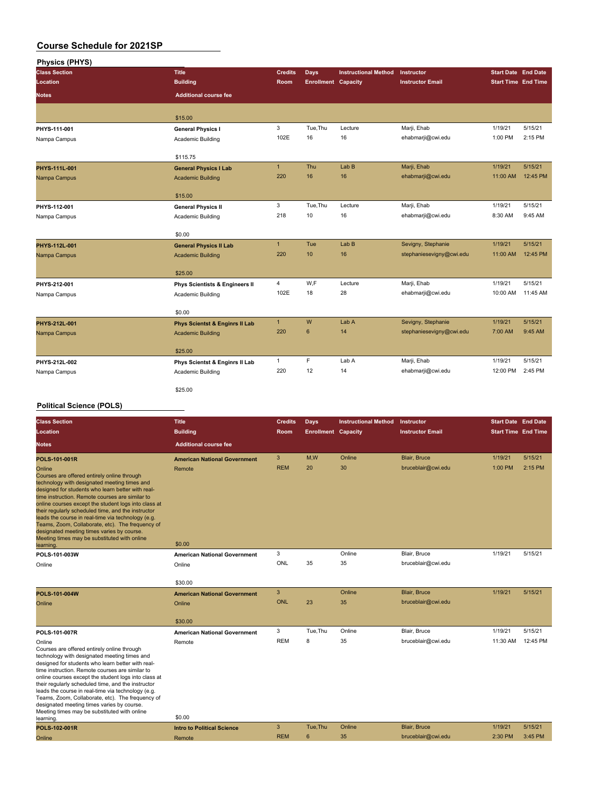| <b>Physics (PHYS)</b> |                                           |                |                            |                             |                          |                            |          |
|-----------------------|-------------------------------------------|----------------|----------------------------|-----------------------------|--------------------------|----------------------------|----------|
| <b>Class Section</b>  | <b>Title</b>                              | <b>Credits</b> | <b>Days</b>                | <b>Instructional Method</b> | Instructor               | <b>Start Date End Date</b> |          |
| Location              | <b>Building</b>                           | Room           | <b>Enrollment Capacity</b> |                             | <b>Instructor Email</b>  | <b>Start Time End Time</b> |          |
| <b>Notes</b>          | <b>Additional course fee</b>              |                |                            |                             |                          |                            |          |
|                       |                                           |                |                            |                             |                          |                            |          |
|                       | \$15.00                                   |                |                            |                             |                          |                            |          |
| PHYS-111-001          | <b>General Physics I</b>                  | 3              | Tue, Thu                   | Lecture                     | Marji, Ehab              | 1/19/21                    | 5/15/21  |
| Nampa Campus          | Academic Building                         | 102E           | 16                         | 16                          | ehabmarji@cwi.edu        | 1:00 PM                    | 2:15 PM  |
|                       | \$115.75                                  |                |                            |                             |                          |                            |          |
| PHYS-111L-001         | <b>General Physics I Lab</b>              | $\mathbf{1}$   | Thu                        | Lab B                       | Marji, Ehab              | 1/19/21                    | 5/15/21  |
| Nampa Campus          | <b>Academic Building</b>                  | 220            | 16                         | 16                          | ehabmarji@cwi.edu        | 11:00 AM                   | 12:45 PM |
|                       | \$15.00                                   |                |                            |                             |                          |                            |          |
| PHYS-112-001          | <b>General Physics II</b>                 | 3              | Tue, Thu                   | Lecture                     | Marji, Ehab              | 1/19/21                    | 5/15/21  |
| Nampa Campus          | Academic Building                         | 218            | 10                         | 16                          | ehabmarji@cwi.edu        | 8:30 AM                    | 9:45 AM  |
|                       | \$0.00                                    |                |                            |                             |                          |                            |          |
| PHYS-112L-001         | <b>General Physics II Lab</b>             | $\mathbf{1}$   | Tue                        | Lab B                       | Sevigny, Stephanie       | 1/19/21                    | 5/15/21  |
| Nampa Campus          | <b>Academic Building</b>                  | 220            | 10                         | 16                          | stephaniesevigny@cwi.edu | 11:00 AM                   | 12:45 PM |
|                       | \$25.00                                   |                |                            |                             |                          |                            |          |
| PHYS-212-001          | <b>Phys Scientists &amp; Engineers II</b> | 4              | W,F                        | Lecture                     | Marji, Ehab              | 1/19/21                    | 5/15/21  |
| Nampa Campus          | Academic Building                         | 102E           | 18                         | 28                          | ehabmarji@cwi.edu        | 10:00 AM                   | 11:45 AM |
|                       | \$0.00                                    |                |                            |                             |                          |                            |          |
| PHYS-212L-001         | <b>Phys Scientst &amp; Enginrs II Lab</b> | $\mathbf{1}$   | W                          | Lab A                       | Sevigny, Stephanie       | 1/19/21                    | 5/15/21  |
| Nampa Campus          | <b>Academic Building</b>                  | 220            | 6                          | 14                          | stephaniesevigny@cwi.edu | 7:00 AM                    | 9:45 AM  |
|                       | \$25.00                                   |                |                            |                             |                          |                            |          |
| PHYS-212L-002         | Phys Scientst & Enginrs II Lab            | $\mathbf{1}$   | F                          | Lab A                       | Marji, Ehab              | 1/19/21                    | 5/15/21  |
| Nampa Campus          | Academic Building                         | 220            | 12                         | 14                          | ehabmarji@cwi.edu        | 12:00 PM                   | 2:45 PM  |
|                       | \$25.00                                   |                |                            |                             |                          |                            |          |

#### **Political Science (POLS)**

| <b>Class Section</b>                                                                                                                                                                                                                                                                                                                                                                                                                                                                                                                             | <b>Title</b><br><b>Building</b>     | <b>Credits</b> | <b>Days</b>                | <b>Instructional Method</b> | <b>Instructor</b>       | <b>Start Date End Date</b><br><b>Start Time End Time</b> |          |
|--------------------------------------------------------------------------------------------------------------------------------------------------------------------------------------------------------------------------------------------------------------------------------------------------------------------------------------------------------------------------------------------------------------------------------------------------------------------------------------------------------------------------------------------------|-------------------------------------|----------------|----------------------------|-----------------------------|-------------------------|----------------------------------------------------------|----------|
| Location                                                                                                                                                                                                                                                                                                                                                                                                                                                                                                                                         |                                     | Room           | <b>Enrollment Capacity</b> |                             | <b>Instructor Email</b> |                                                          |          |
| <b>Notes</b>                                                                                                                                                                                                                                                                                                                                                                                                                                                                                                                                     | <b>Additional course fee</b>        |                |                            |                             |                         |                                                          |          |
| POLS-101-001R                                                                                                                                                                                                                                                                                                                                                                                                                                                                                                                                    | <b>American National Government</b> | 3              | M,W                        | Online                      | <b>Blair, Bruce</b>     | 1/19/21                                                  | 5/15/21  |
| Online<br>Courses are offered entirely online through<br>technology with designated meeting times and<br>designed for students who learn better with real-<br>time instruction. Remote courses are similar to<br>online courses except the student logs into class at<br>their regularly scheduled time, and the instructor<br>leads the course in real-time via technology (e.g.<br>Teams, Zoom, Collaborate, etc). The frequency of<br>designated meeting times varies by course.<br>Meeting times may be substituted with online<br>learning. | Remote<br>\$0.00                    | <b>REM</b>     | 20                         | 30                          | bruceblair@cwi.edu      | 1:00 PM                                                  | 2:15 PM  |
| POLS-101-003W                                                                                                                                                                                                                                                                                                                                                                                                                                                                                                                                    | <b>American National Government</b> | 3              |                            | Online                      | Blair, Bruce            | 1/19/21                                                  | 5/15/21  |
| Online                                                                                                                                                                                                                                                                                                                                                                                                                                                                                                                                           | Online                              | ONL            | 35                         | 35                          | bruceblair@cwi.edu      |                                                          |          |
|                                                                                                                                                                                                                                                                                                                                                                                                                                                                                                                                                  |                                     |                |                            |                             |                         |                                                          |          |
|                                                                                                                                                                                                                                                                                                                                                                                                                                                                                                                                                  | \$30.00                             |                |                            |                             |                         |                                                          |          |
| POLS-101-004W                                                                                                                                                                                                                                                                                                                                                                                                                                                                                                                                    | <b>American National Government</b> | 3              |                            | Online                      | Blair, Bruce            | 1/19/21                                                  | 5/15/21  |
| Online                                                                                                                                                                                                                                                                                                                                                                                                                                                                                                                                           | Online                              | <b>ONL</b>     | 23                         | 35                          | bruceblair@cwi.edu      |                                                          |          |
|                                                                                                                                                                                                                                                                                                                                                                                                                                                                                                                                                  | \$30.00                             |                |                            |                             |                         |                                                          |          |
| POLS-101-007R                                                                                                                                                                                                                                                                                                                                                                                                                                                                                                                                    | <b>American National Government</b> | 3              | Tue, Thu                   | Online                      | Blair, Bruce            | 1/19/21                                                  | 5/15/21  |
| Online<br>Courses are offered entirely online through<br>technology with designated meeting times and<br>designed for students who learn better with real-<br>time instruction. Remote courses are similar to<br>online courses except the student logs into class at<br>their regularly scheduled time, and the instructor<br>leads the course in real-time via technology (e.g.<br>Teams, Zoom, Collaborate, etc). The frequency of<br>designated meeting times varies by course.<br>Meeting times may be substituted with online<br>learning. | Remote<br>\$0.00                    | <b>REM</b>     | 8                          | 35                          | bruceblair@cwi.edu      | 11:30 AM                                                 | 12:45 PM |
| POLS-102-001R                                                                                                                                                                                                                                                                                                                                                                                                                                                                                                                                    | <b>Intro to Political Science</b>   | 3              | Tue, Thu                   | Online                      | Blair, Bruce            | 1/19/21                                                  | 5/15/21  |
| Online                                                                                                                                                                                                                                                                                                                                                                                                                                                                                                                                           | Remote                              | <b>REM</b>     | 6                          | 35                          | bruceblair@cwi.edu      | 2:30 PM                                                  | 3:45 PM  |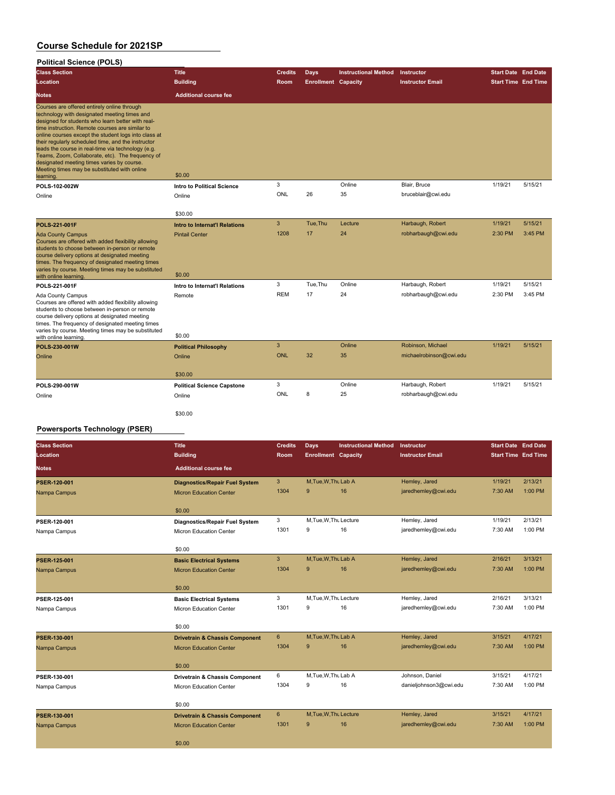#### **Political Science (POLS)**

| Allena Annalian Is<br><b>Class Section</b>                                                                                                                                                                                                                                                                                                                                                                                                                                                                                             | <b>Title</b>                         | <b>Credits</b> | <b>Days</b>                | <b>Instructional Method</b> | Instructor              | <b>Start Date End Date</b> |         |
|----------------------------------------------------------------------------------------------------------------------------------------------------------------------------------------------------------------------------------------------------------------------------------------------------------------------------------------------------------------------------------------------------------------------------------------------------------------------------------------------------------------------------------------|--------------------------------------|----------------|----------------------------|-----------------------------|-------------------------|----------------------------|---------|
| Location                                                                                                                                                                                                                                                                                                                                                                                                                                                                                                                               | <b>Building</b>                      | <b>Room</b>    | <b>Enrollment Capacity</b> |                             | <b>Instructor Email</b> | <b>Start Time End Time</b> |         |
| <b>Notes</b>                                                                                                                                                                                                                                                                                                                                                                                                                                                                                                                           | <b>Additional course fee</b>         |                |                            |                             |                         |                            |         |
| Courses are offered entirely online through<br>technology with designated meeting times and<br>designed for students who learn better with real-<br>time instruction. Remote courses are similar to<br>online courses except the student logs into class at<br>their regularly scheduled time, and the instructor<br>leads the course in real-time via technology (e.g.<br>Teams, Zoom, Collaborate, etc). The frequency of<br>designated meeting times varies by course.<br>Meeting times may be substituted with online<br>learning. | \$0.00                               |                |                            |                             |                         |                            |         |
| POLS-102-002W                                                                                                                                                                                                                                                                                                                                                                                                                                                                                                                          | <b>Intro to Political Science</b>    | 3              |                            | Online                      | Blair, Bruce            | 1/19/21                    | 5/15/21 |
| Online                                                                                                                                                                                                                                                                                                                                                                                                                                                                                                                                 | Online                               | ONL            | 26                         | 35                          | bruceblair@cwi.edu      |                            |         |
|                                                                                                                                                                                                                                                                                                                                                                                                                                                                                                                                        | \$30.00                              |                |                            |                             |                         |                            |         |
| POLS-221-001F                                                                                                                                                                                                                                                                                                                                                                                                                                                                                                                          | <b>Intro to Internat'l Relations</b> | 3              | Tue.Thu                    | Lecture                     | Harbaugh, Robert        | 1/19/21                    | 5/15/21 |
| <b>Ada County Campus</b>                                                                                                                                                                                                                                                                                                                                                                                                                                                                                                               | <b>Pintail Center</b>                | 1208           | 17                         | 24                          | robharbaugh@cwi.edu     | 2:30 PM                    | 3:45 PM |
| Courses are offered with added flexibility allowing<br>students to choose between in-person or remote<br>course delivery options at designated meeting<br>times. The frequency of designated meeting times<br>varies by course. Meeting times may be substituted<br>with online learning.                                                                                                                                                                                                                                              | \$0.00                               |                |                            |                             |                         |                            |         |
| POLS-221-001F                                                                                                                                                                                                                                                                                                                                                                                                                                                                                                                          | Intro to Internat'l Relations        | 3              | Tue.Thu                    | Online                      | Harbaugh, Robert        | 1/19/21                    | 5/15/21 |
| <b>Ada County Campus</b><br>Courses are offered with added flexibility allowing<br>students to choose between in-person or remote<br>course delivery options at designated meeting<br>times. The frequency of designated meeting times<br>varies by course. Meeting times may be substituted<br>with online learning.                                                                                                                                                                                                                  | Remote<br>\$0.00                     | <b>REM</b>     | 17                         | 24                          | robharbaugh@cwi.edu     | 2:30 PM                    | 3:45 PM |
| POLS-230-001W                                                                                                                                                                                                                                                                                                                                                                                                                                                                                                                          | <b>Political Philosophy</b>          | 3              |                            | Online                      | Robinson, Michael       | 1/19/21                    | 5/15/21 |
| Online                                                                                                                                                                                                                                                                                                                                                                                                                                                                                                                                 | Online                               | <b>ONL</b>     | 32                         | 35                          | michaelrobinson@cwi.edu |                            |         |
|                                                                                                                                                                                                                                                                                                                                                                                                                                                                                                                                        | \$30.00                              |                |                            |                             |                         |                            |         |
| POLS-290-001W                                                                                                                                                                                                                                                                                                                                                                                                                                                                                                                          | <b>Political Science Capstone</b>    | 3              |                            | Online                      | Harbaugh, Robert        | 1/19/21                    | 5/15/21 |
| Online                                                                                                                                                                                                                                                                                                                                                                                                                                                                                                                                 | Online                               | ONL            | 8                          | 25                          | robharbaugh@cwi.edu     |                            |         |
|                                                                                                                                                                                                                                                                                                                                                                                                                                                                                                                                        | \$30.00                              |                |                            |                             |                         |                            |         |

# **Powersports Technology (PSER)**

 $\overline{\phantom{a}}$ 

| <b>Class Section</b> | <b>Title</b>                              | <b>Credits</b> | <b>Days</b>                | <b>Instructional Method</b> | Instructor              | <b>Start Date End Date</b> |         |
|----------------------|-------------------------------------------|----------------|----------------------------|-----------------------------|-------------------------|----------------------------|---------|
| Location             | <b>Building</b>                           | Room           | <b>Enrollment Capacity</b> |                             | <b>Instructor Email</b> | <b>Start Time End Time</b> |         |
| <b>Notes</b>         | <b>Additional course fee</b>              |                |                            |                             |                         |                            |         |
| PSER-120-001         | <b>Diagnostics/Repair Fuel System</b>     | $\mathbf{3}$   | M, Tue, W, Thu Lab A       |                             | Hemley, Jared           | 1/19/21                    | 2/13/21 |
| Nampa Campus         | <b>Micron Education Center</b>            | 1304           | 9                          | 16                          | jaredhemley@cwi.edu     | 7:30 AM                    | 1:00 PM |
|                      | \$0.00                                    |                |                            |                             |                         |                            |         |
| PSER-120-001         | <b>Diagnostics/Repair Fuel System</b>     | 3              | M, Tue, W, Thu Lecture     |                             | Hemley, Jared           | 1/19/21                    | 2/13/21 |
| Nampa Campus         | Micron Education Center                   | 1301           | 9                          | 16                          | jaredhemley@cwi.edu     | 7:30 AM                    | 1:00 PM |
|                      | \$0.00                                    |                |                            |                             |                         |                            |         |
| PSER-125-001         | <b>Basic Electrical Systems</b>           | $\mathbf{3}$   | M, Tue, W, Thu Lab A       |                             | Hemley, Jared           | 2/16/21                    | 3/13/21 |
| Nampa Campus         | <b>Micron Education Center</b>            | 1304           | 9                          | 16                          | jaredhemley@cwi.edu     | 7:30 AM                    | 1:00 PM |
|                      | \$0.00                                    |                |                            |                             |                         |                            |         |
| PSER-125-001         | <b>Basic Electrical Systems</b>           | 3              | M.Tue.W.Thu Lecture        |                             | Hemley, Jared           | 2/16/21                    | 3/13/21 |
| Nampa Campus         | Micron Education Center                   | 1301           | 9                          | 16                          | jaredhemley@cwi.edu     | 7:30 AM                    | 1:00 PM |
|                      | \$0.00                                    |                |                            |                             |                         |                            |         |
| PSER-130-001         | <b>Drivetrain &amp; Chassis Component</b> | $6\phantom{1}$ | M, Tue, W, Thu Lab A       |                             | Hemley, Jared           | 3/15/21                    | 4/17/21 |
| Nampa Campus         | <b>Micron Education Center</b>            | 1304           | 9                          | 16                          | jaredhemley@cwi.edu     | 7:30 AM                    | 1:00 PM |
|                      | \$0.00                                    |                |                            |                             |                         |                            |         |
| PSER-130-001         | Drivetrain & Chassis Component            | 6              | M.Tue, W.Thu Lab A         |                             | Johnson, Daniel         | 3/15/21                    | 4/17/21 |
| Nampa Campus         | Micron Education Center                   | 1304           | 9                          | 16                          | danieljohnson3@cwi.edu  | 7:30 AM                    | 1:00 PM |
|                      | \$0.00                                    |                |                            |                             |                         |                            |         |
| PSER-130-001         | <b>Drivetrain &amp; Chassis Component</b> | $6\phantom{1}$ | M, Tue, W, Thu Lecture     |                             | Hemley, Jared           | 3/15/21                    | 4/17/21 |
| Nampa Campus         | <b>Micron Education Center</b>            | 1301           | 9                          | 16                          | jaredhemley@cwi.edu     | 7:30 AM                    | 1:00 PM |
|                      | \$0.00                                    |                |                            |                             |                         |                            |         |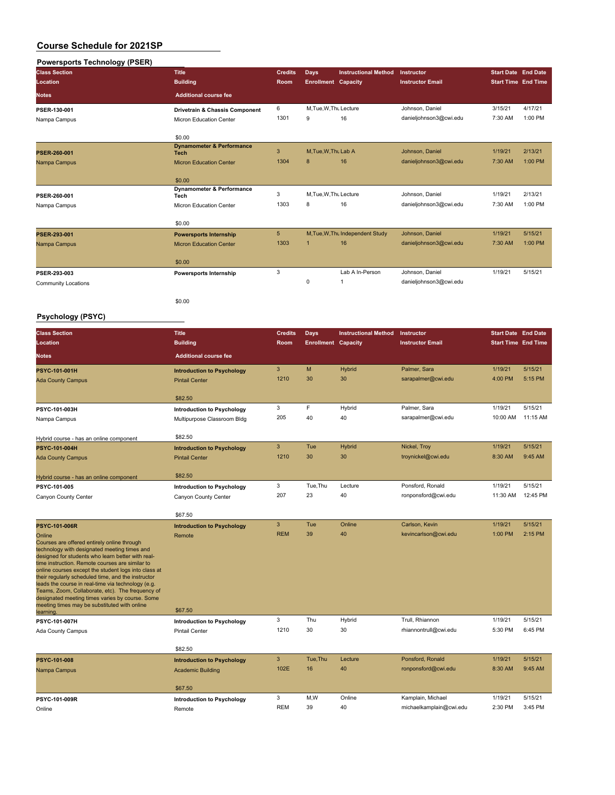| <b>Powersports Technology (PSER)</b>                                                                   |                                      |                |                            |                                  |                         |                            |          |
|--------------------------------------------------------------------------------------------------------|--------------------------------------|----------------|----------------------------|----------------------------------|-------------------------|----------------------------|----------|
| <b>Class Section</b>                                                                                   | <b>Title</b>                         | <b>Credits</b> | Days                       | <b>Instructional Method</b>      | Instructor              | <b>Start Date End Date</b> |          |
| Location                                                                                               | <b>Building</b>                      | Room           | <b>Enrollment Capacity</b> |                                  | <b>Instructor Email</b> | <b>Start Time End Time</b> |          |
|                                                                                                        |                                      |                |                            |                                  |                         |                            |          |
| <b>Notes</b>                                                                                           | <b>Additional course fee</b>         |                |                            |                                  |                         |                            |          |
| PSER-130-001                                                                                           | Drivetrain & Chassis Component       | 6              | M, Tue, W, Thu Lecture     |                                  | Johnson, Daniel         | 3/15/21                    | 4/17/21  |
| Nampa Campus                                                                                           | Micron Education Center              | 1301           | 9                          | 16                               | danieljohnson3@cwi.edu  | 7:30 AM                    | 1:00 PM  |
|                                                                                                        |                                      |                |                            |                                  |                         |                            |          |
|                                                                                                        | \$0.00                               |                |                            |                                  |                         |                            |          |
|                                                                                                        | <b>Dynamometer &amp; Performance</b> |                |                            |                                  |                         |                            |          |
| PSER-260-001                                                                                           | <b>Tech</b>                          | 3              | M, Tue, W, Thu Lab A       |                                  | Johnson, Daniel         | 1/19/21                    | 2/13/21  |
| Nampa Campus                                                                                           | <b>Micron Education Center</b>       | 1304           | 8                          | 16                               | danieljohnson3@cwi.edu  | 7:30 AM                    | 1:00 PM  |
|                                                                                                        |                                      |                |                            |                                  |                         |                            |          |
|                                                                                                        | \$0.00                               |                |                            |                                  |                         |                            |          |
|                                                                                                        | Dynamometer & Performance            |                |                            |                                  |                         |                            |          |
| PSER-260-001                                                                                           | Tech                                 | 3              | M, Tue, W, Thu Lecture     |                                  | Johnson, Daniel         | 1/19/21                    | 2/13/21  |
| Nampa Campus                                                                                           | Micron Education Center              | 1303           | 8                          | 16                               | danieljohnson3@cwi.edu  | 7:30 AM                    | 1:00 PM  |
|                                                                                                        |                                      |                |                            |                                  |                         |                            |          |
|                                                                                                        | \$0.00                               |                |                            |                                  |                         |                            |          |
| PSER-293-001                                                                                           | <b>Powersports Internship</b>        | $\sqrt{5}$     |                            | M, Tue, W, Thu Independent Study | Johnson, Daniel         | 1/19/21                    | 5/15/21  |
| Nampa Campus                                                                                           | <b>Micron Education Center</b>       | 1303           | $\overline{1}$             | 16                               | danieljohnson3@cwi.edu  | 7:30 AM                    | 1:00 PM  |
|                                                                                                        |                                      |                |                            |                                  |                         |                            |          |
|                                                                                                        | \$0.00                               |                |                            |                                  |                         |                            |          |
| PSER-293-003                                                                                           | Powersports Internship               | 3              |                            | Lab A In-Person                  | Johnson, Daniel         | 1/19/21                    | 5/15/21  |
| Community Locations                                                                                    |                                      |                | 0                          | $\mathbf{1}$                     | danieljohnson3@cwi.edu  |                            |          |
|                                                                                                        |                                      |                |                            |                                  |                         |                            |          |
|                                                                                                        | \$0.00                               |                |                            |                                  |                         |                            |          |
|                                                                                                        |                                      |                |                            |                                  |                         |                            |          |
| <b>Psychology (PSYC)</b>                                                                               |                                      |                |                            |                                  |                         |                            |          |
|                                                                                                        |                                      |                |                            |                                  |                         |                            |          |
| <b>Class Section</b>                                                                                   | <b>Title</b>                         | <b>Credits</b> | Days                       | <b>Instructional Method</b>      | Instructor              | <b>Start Date End Date</b> |          |
| Location                                                                                               | <b>Building</b>                      | Room           | <b>Enrollment Capacity</b> |                                  | <b>Instructor Email</b> | <b>Start Time End Time</b> |          |
| <b>Notes</b>                                                                                           | <b>Additional course fee</b>         |                |                            |                                  |                         |                            |          |
|                                                                                                        |                                      |                |                            |                                  |                         |                            |          |
| PSYC-101-001H                                                                                          | <b>Introduction to Psychology</b>    | $\overline{3}$ | M                          | <b>Hybrid</b>                    | Palmer, Sara            | 1/19/21                    | 5/15/21  |
| <b>Ada County Campus</b>                                                                               | <b>Pintail Center</b>                | 1210           | 30                         | 30                               | sarapalmer@cwi.edu      | 4:00 PM                    | 5:15 PM  |
|                                                                                                        |                                      |                |                            |                                  |                         |                            |          |
|                                                                                                        | \$82.50                              |                |                            |                                  |                         |                            |          |
| PSYC-101-003H                                                                                          | Introduction to Psychology           | 3              | F                          | Hybrid                           | Palmer, Sara            | 1/19/21                    | 5/15/21  |
| Nampa Campus                                                                                           | Multipurpose Classroom Bldg          | 205            | 40                         | 40                               | sarapalmer@cwi.edu      | 10:00 AM                   | 11:15 AM |
|                                                                                                        |                                      |                |                            |                                  |                         |                            |          |
| Hybrid course - has an online component                                                                | \$82.50                              |                |                            |                                  |                         |                            |          |
| PSYC-101-004H                                                                                          | <b>Introduction to Psychology</b>    | $\mathbf{3}$   | Tue                        | <b>Hybrid</b>                    | Nickel, Troy            | 1/19/21                    | 5/15/21  |
| <b>Ada County Campus</b>                                                                               | <b>Pintail Center</b>                | 1210           | 30                         | 30                               | troynickel@cwi.edu      | 8:30 AM                    | 9:45 AM  |
|                                                                                                        |                                      |                |                            |                                  |                         |                            |          |
|                                                                                                        | \$82.50                              |                |                            |                                  |                         |                            |          |
| Hybrid course - has an online component                                                                |                                      |                |                            |                                  |                         |                            |          |
| PSYC-101-005                                                                                           | <b>Introduction to Psychology</b>    | 3              | Tue, Thu                   | Lecture                          | Ponsford, Ronald        | 1/19/21                    | 5/15/21  |
| Canyon County Center                                                                                   | Canyon County Center                 | 207            | 23                         | 40                               | ronponsford@cwi.edu     | 11:30 AM                   | 12:45 PM |
|                                                                                                        |                                      |                |                            |                                  |                         |                            |          |
|                                                                                                        | \$67.50                              |                |                            |                                  |                         |                            |          |
| PSYC-101-006R                                                                                          | <b>Introduction to Psychology</b>    | 3              | Tue                        | Online                           | Carlson, Kevin          | 1/19/21                    | 5/15/21  |
| Online                                                                                                 | Remote                               | <b>REM</b>     | 39                         | 40                               | kevincarlson@cwi.edu    | 1:00 PM                    | 2:15 PM  |
| Courses are offered entirely online through                                                            |                                      |                |                            |                                  |                         |                            |          |
| technology with designated meeting times and<br>designed for students who learn better with real-      |                                      |                |                            |                                  |                         |                            |          |
| time instruction. Remote courses are similar to                                                        |                                      |                |                            |                                  |                         |                            |          |
| online courses except the student logs into class at                                                   |                                      |                |                            |                                  |                         |                            |          |
| their regularly scheduled time, and the instructor                                                     |                                      |                |                            |                                  |                         |                            |          |
| leads the course in real-time via technology (e.g.<br>Teams, Zoom, Collaborate, etc). The frequency of |                                      |                |                            |                                  |                         |                            |          |
| designated meeting times varies by course. Some                                                        |                                      |                |                            |                                  |                         |                            |          |
| meeting times may be substituted with online                                                           |                                      |                |                            |                                  |                         |                            |          |
| learning.                                                                                              | \$67.50                              |                |                            |                                  |                         |                            |          |
| PSYC-101-007H                                                                                          | <b>Introduction to Psychology</b>    | 3              | Thu                        | Hybrid                           | Trull, Rhiannon         | 1/19/21                    | 5/15/21  |
| Ada County Campus                                                                                      | <b>Pintail Center</b>                | 1210           | 30                         | 30                               | rhiannontrull@cwi.edu   | 5:30 PM                    | 6:45 PM  |
|                                                                                                        |                                      |                |                            |                                  |                         |                            |          |
|                                                                                                        | \$82.50                              |                |                            |                                  |                         |                            |          |
| PSYC-101-008                                                                                           | <b>Introduction to Psychology</b>    | $\mathbf{3}$   | Tue, Thu                   | Lecture                          | Ponsford, Ronald        | 1/19/21                    | 5/15/21  |
| Nampa Campus                                                                                           | <b>Academic Building</b>             | 102E           | 16                         | 40                               | ronponsford@cwi.edu     | 8:30 AM                    | 9:45 AM  |
|                                                                                                        |                                      |                |                            |                                  |                         |                            |          |
|                                                                                                        | \$67.50                              |                |                            |                                  |                         |                            |          |
| PSYC-101-009R                                                                                          | <b>Introduction to Psychology</b>    | 3              | M,W                        | Online                           | Kamplain, Michael       | 1/19/21                    | 5/15/21  |
| Online                                                                                                 | Remote                               | <b>REM</b>     | 39                         | 40                               | michaelkamplain@cwi.edu | 2:30 PM                    | 3:45 PM  |
|                                                                                                        |                                      |                |                            |                                  |                         |                            |          |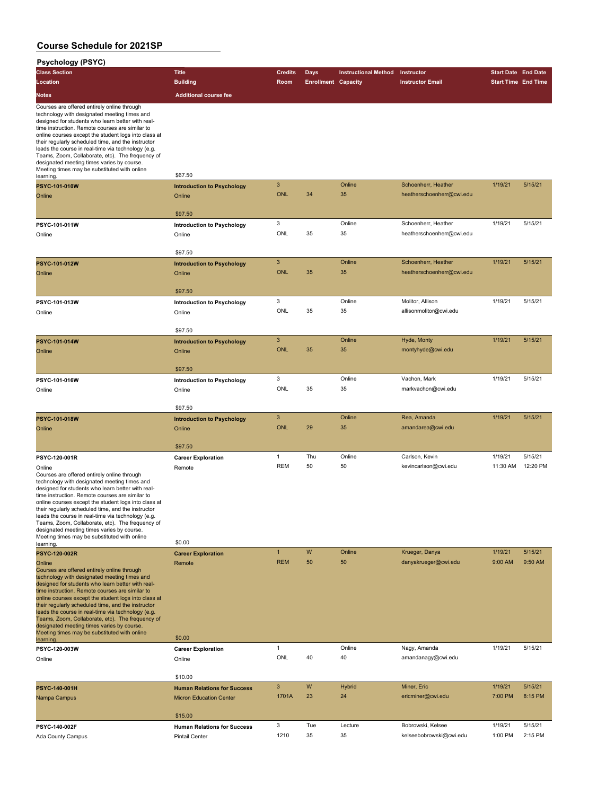**Psychology (PSYC)**

| <b>Psychology (PSYC)</b>                                                                                                                                                                                                                                                                                                                                                                                                                                                                                                            |                                             |                            |                            |                             |                                                  |                            |                    |
|-------------------------------------------------------------------------------------------------------------------------------------------------------------------------------------------------------------------------------------------------------------------------------------------------------------------------------------------------------------------------------------------------------------------------------------------------------------------------------------------------------------------------------------|---------------------------------------------|----------------------------|----------------------------|-----------------------------|--------------------------------------------------|----------------------------|--------------------|
| <b>Class Section</b>                                                                                                                                                                                                                                                                                                                                                                                                                                                                                                                | <b>Title</b>                                | <b>Credits</b>             | Days                       | <b>Instructional Method</b> | Instructor                                       | <b>Start Date End Date</b> |                    |
| Location                                                                                                                                                                                                                                                                                                                                                                                                                                                                                                                            | <b>Building</b>                             | Room                       | <b>Enrollment Capacity</b> |                             | <b>Instructor Email</b>                          | <b>Start Time End Time</b> |                    |
| <b>Notes</b>                                                                                                                                                                                                                                                                                                                                                                                                                                                                                                                        | <b>Additional course fee</b>                |                            |                            |                             |                                                  |                            |                    |
| Courses are offered entirely online through<br>technology with designated meeting times and<br>designed for students who learn better with real-<br>time instruction. Remote courses are similar to<br>online courses except the student logs into class at<br>their regularly scheduled time, and the instructor<br>leads the course in real-time via technology (e.g.<br>Teams, Zoom, Collaborate, etc). The frequency of<br>designated meeting times varies by course.<br>Meeting times may be substituted with online           | \$67.50                                     |                            |                            |                             |                                                  |                            |                    |
| learning.                                                                                                                                                                                                                                                                                                                                                                                                                                                                                                                           |                                             | $\mathbf{3}$               |                            |                             |                                                  |                            |                    |
| <b>PSYC-101-010W</b><br>Online                                                                                                                                                                                                                                                                                                                                                                                                                                                                                                      | <b>Introduction to Psychology</b><br>Online | <b>ONL</b>                 | 34                         | Online<br>35                | Schoenherr, Heather<br>heatherschoenherr@cwi.edu | 1/19/21                    | 5/15/21            |
|                                                                                                                                                                                                                                                                                                                                                                                                                                                                                                                                     | \$97.50                                     |                            |                            |                             |                                                  |                            |                    |
| PSYC-101-011W<br>Online                                                                                                                                                                                                                                                                                                                                                                                                                                                                                                             | <b>Introduction to Psychology</b><br>Online | 3<br>ONL                   | 35                         | Online<br>35                | Schoenherr, Heather<br>heatherschoenherr@cwi.edu | 1/19/21                    | 5/15/21            |
|                                                                                                                                                                                                                                                                                                                                                                                                                                                                                                                                     | \$97.50                                     |                            |                            |                             |                                                  |                            |                    |
| PSYC-101-012W<br>Online                                                                                                                                                                                                                                                                                                                                                                                                                                                                                                             | <b>Introduction to Psychology</b><br>Online | 3<br><b>ONL</b>            | 35                         | Online<br>35                | Schoenherr, Heather<br>heatherschoenherr@cwi.edu | 1/19/21                    | 5/15/21            |
|                                                                                                                                                                                                                                                                                                                                                                                                                                                                                                                                     | \$97.50                                     |                            |                            |                             |                                                  |                            |                    |
| PSYC-101-013W<br>Online                                                                                                                                                                                                                                                                                                                                                                                                                                                                                                             | <b>Introduction to Psychology</b><br>Online | 3<br>ONL                   | 35                         | Online<br>35                | Molitor, Allison<br>allisonmolitor@cwi.edu       | 1/19/21                    | 5/15/21            |
|                                                                                                                                                                                                                                                                                                                                                                                                                                                                                                                                     | \$97.50                                     |                            |                            |                             |                                                  |                            |                    |
| PSYC-101-014W<br>Online                                                                                                                                                                                                                                                                                                                                                                                                                                                                                                             | <b>Introduction to Psychology</b><br>Online | 3<br><b>ONL</b>            | 35                         | Online<br>35                | Hyde, Monty<br>montyhyde@cwi.edu                 | 1/19/21                    | 5/15/21            |
|                                                                                                                                                                                                                                                                                                                                                                                                                                                                                                                                     | \$97.50                                     |                            |                            |                             |                                                  |                            |                    |
| PSYC-101-016W                                                                                                                                                                                                                                                                                                                                                                                                                                                                                                                       | <b>Introduction to Psychology</b>           | 3                          |                            | Online                      | Vachon, Mark                                     | 1/19/21                    | 5/15/21            |
| Online                                                                                                                                                                                                                                                                                                                                                                                                                                                                                                                              | Online                                      | ONL                        | 35                         | 35                          | markvachon@cwi.edu                               |                            |                    |
|                                                                                                                                                                                                                                                                                                                                                                                                                                                                                                                                     | \$97.50                                     |                            |                            |                             |                                                  |                            |                    |
| PSYC-101-018W<br>Online                                                                                                                                                                                                                                                                                                                                                                                                                                                                                                             | <b>Introduction to Psychology</b><br>Online | $\mathbf{3}$<br><b>ONL</b> | 29                         | Online<br>35                | Rea, Amanda<br>amandarea@cwi.edu                 | 1/19/21                    | 5/15/21            |
|                                                                                                                                                                                                                                                                                                                                                                                                                                                                                                                                     | \$97.50                                     |                            |                            |                             |                                                  |                            |                    |
| PSYC-120-001R                                                                                                                                                                                                                                                                                                                                                                                                                                                                                                                       | <b>Career Exploration</b>                   | $\mathbf{1}$               | Thu                        | Online                      | Carlson, Kevin                                   | 1/19/21                    | 5/15/21            |
| Online<br>Courses are offered entirely online through<br>technology with designated meeting times and                                                                                                                                                                                                                                                                                                                                                                                                                               | Remote                                      | <b>REM</b>                 | 50                         | 50                          | kevincarlson@cwi.edu                             | 11:30 AM                   | 12:20 PM           |
| designed for students who learn better with real-<br>time instruction. Remote courses are similar to<br>online courses except the student logs into class at<br>their regularly scheduled time, and the instructor<br>leads the course in real-time via technology (e.g.<br>Teams, Zoom, Collaborate, etc). The frequency of<br>designated meeting times varies by course.<br>Meeting times may be substituted with online<br>learning                                                                                              | \$0.00                                      |                            |                            |                             |                                                  |                            |                    |
| PSYC-120-002R                                                                                                                                                                                                                                                                                                                                                                                                                                                                                                                       | <b>Career Exploration</b>                   | $\mathbf{1}$               | W                          | Online                      | Krueger, Danya                                   | 1/19/21                    | 5/15/21            |
| Online<br>Courses are offered entirely online through<br>technology with designated meeting times and<br>designed for students who learn better with real-<br>time instruction. Remote courses are similar to<br>online courses except the student logs into class at<br>their regularly scheduled time, and the instructor<br>leads the course in real-time via technology (e.g.<br>Teams, Zoom, Collaborate, etc). The frequency of<br>designated meeting times varies by course.<br>Meeting times may be substituted with online | Remote                                      | <b>REM</b>                 | 50                         | 50                          | danyakrueger@cwi.edu                             | 9:00 AM                    | 9:50 AM            |
| learning.                                                                                                                                                                                                                                                                                                                                                                                                                                                                                                                           | \$0.00                                      |                            |                            |                             |                                                  |                            |                    |
| PSYC-120-003W<br>Online                                                                                                                                                                                                                                                                                                                                                                                                                                                                                                             | <b>Career Exploration</b><br>Online         | $\mathbf{1}$<br>ONL        | 40                         | Online<br>40                | Nagy, Amanda<br>amandanagy@cwi.edu               | 1/19/21                    | 5/15/21            |
|                                                                                                                                                                                                                                                                                                                                                                                                                                                                                                                                     | \$10.00                                     |                            |                            |                             |                                                  |                            |                    |
| PSYC-140-001H                                                                                                                                                                                                                                                                                                                                                                                                                                                                                                                       | <b>Human Relations for Success</b>          | 3                          | W                          | <b>Hybrid</b>               | Miner, Eric                                      | 1/19/21                    | 5/15/21            |
| Nampa Campus                                                                                                                                                                                                                                                                                                                                                                                                                                                                                                                        | <b>Micron Education Center</b>              | 1701A                      | 23                         | 24                          | ericminer@cwi.edu                                | 7:00 PM                    | 8:15 PM            |
|                                                                                                                                                                                                                                                                                                                                                                                                                                                                                                                                     | \$15.00                                     |                            |                            |                             |                                                  |                            |                    |
| PSYC-140-002F                                                                                                                                                                                                                                                                                                                                                                                                                                                                                                                       | <b>Human Relations for Success</b>          | 3<br>1210                  | Tue<br>35                  | Lecture<br>35               | Bobrowski, Kelsee<br>kelseebobrowski@cwi.edu     | 1/19/21<br>1:00 PM         | 5/15/21<br>2:15 PM |
| Ada County Campus                                                                                                                                                                                                                                                                                                                                                                                                                                                                                                                   | <b>Pintail Center</b>                       |                            |                            |                             |                                                  |                            |                    |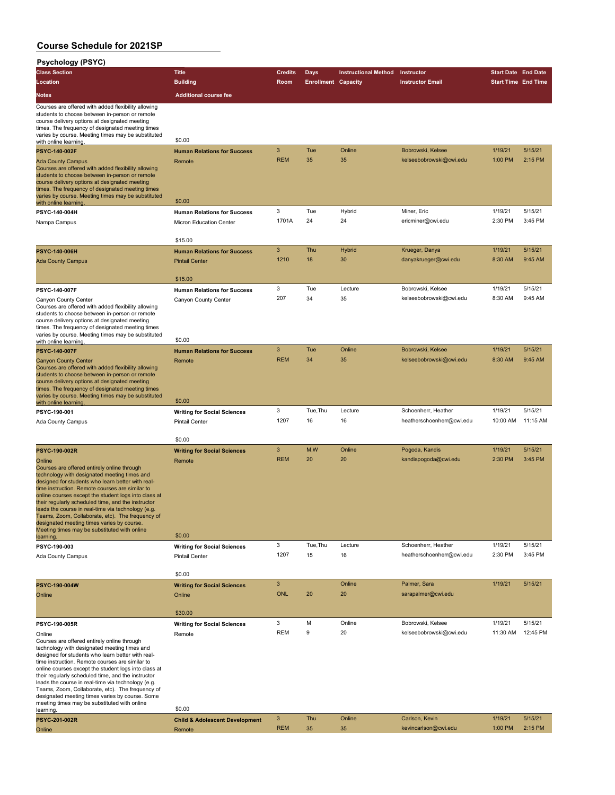|  | <b>Psychology (PSYC)</b> |  |
|--|--------------------------|--|
|  |                          |  |

| Psychology (PSYC)                                                                                                                                                                                                                                                                                                                                                                                                                                                                                                                                     |                                                                       |                            |                            |                             |                                                  |                            |                    |
|-------------------------------------------------------------------------------------------------------------------------------------------------------------------------------------------------------------------------------------------------------------------------------------------------------------------------------------------------------------------------------------------------------------------------------------------------------------------------------------------------------------------------------------------------------|-----------------------------------------------------------------------|----------------------------|----------------------------|-----------------------------|--------------------------------------------------|----------------------------|--------------------|
| <b>Class Section</b>                                                                                                                                                                                                                                                                                                                                                                                                                                                                                                                                  | <b>Title</b>                                                          | <b>Credits</b>             | <b>Days</b>                | <b>Instructional Method</b> | Instructor                                       | <b>Start Date End Date</b> |                    |
| Location                                                                                                                                                                                                                                                                                                                                                                                                                                                                                                                                              | <b>Building</b>                                                       | Room                       | <b>Enrollment Capacity</b> |                             | <b>Instructor Email</b>                          | <b>Start Time End Time</b> |                    |
| Notes                                                                                                                                                                                                                                                                                                                                                                                                                                                                                                                                                 | <b>Additional course fee</b>                                          |                            |                            |                             |                                                  |                            |                    |
| Courses are offered with added flexibility allowing<br>students to choose between in-person or remote<br>course delivery options at designated meeting<br>times. The frequency of designated meeting times<br>varies by course. Meeting times may be substituted                                                                                                                                                                                                                                                                                      | \$0.00                                                                |                            |                            |                             |                                                  |                            |                    |
| with online learning.                                                                                                                                                                                                                                                                                                                                                                                                                                                                                                                                 | <b>Human Relations for Success</b>                                    | 3                          | Tue                        | Online                      | Bobrowski, Kelsee                                | 1/19/21                    | 5/15/21            |
| <b>PSYC-140-002F</b><br><b>Ada County Campus</b><br>Courses are offered with added flexibility allowing<br>students to choose between in-person or remote<br>course delivery options at designated meeting<br>times. The frequency of designated meeting times<br>varies by course. Meeting times may be substituted                                                                                                                                                                                                                                  | Remote                                                                | <b>REM</b>                 | 35                         | 35                          | kelseebobrowski@cwi.edu                          | 1:00 PM                    | 2:15 PM            |
| with online learning                                                                                                                                                                                                                                                                                                                                                                                                                                                                                                                                  | \$0.00                                                                | 3                          |                            |                             |                                                  | 1/19/21                    | 5/15/21            |
| PSYC-140-004H<br>Nampa Campus                                                                                                                                                                                                                                                                                                                                                                                                                                                                                                                         | <b>Human Relations for Success</b><br>Micron Education Center         | 1701A                      | Tue<br>24                  | Hybrid<br>24                | Miner, Eric<br>ericminer@cwi.edu                 | 2:30 PM                    | 3:45 PM            |
|                                                                                                                                                                                                                                                                                                                                                                                                                                                                                                                                                       | \$15.00                                                               |                            |                            |                             |                                                  |                            |                    |
| <b>PSYC-140-006H</b><br><b>Ada County Campus</b>                                                                                                                                                                                                                                                                                                                                                                                                                                                                                                      | <b>Human Relations for Success</b><br><b>Pintail Center</b>           | 3<br>1210                  | Thu<br>18                  | Hybrid<br>30                | Krueger, Danya<br>danyakrueger@cwi.edu           | 1/19/21<br>8:30 AM         | 5/15/21<br>9:45 AM |
|                                                                                                                                                                                                                                                                                                                                                                                                                                                                                                                                                       | \$15.00                                                               |                            |                            |                             |                                                  |                            |                    |
| PSYC-140-007F                                                                                                                                                                                                                                                                                                                                                                                                                                                                                                                                         | <b>Human Relations for Success</b>                                    | 3                          | Tue                        | Lecture                     | Bobrowski, Kelsee                                | 1/19/21                    | 5/15/21            |
| Canyon County Center<br>Courses are offered with added flexibility allowing<br>students to choose between in-person or remote<br>course delivery options at designated meeting<br>times. The frequency of designated meeting times<br>varies by course. Meeting times may be substituted                                                                                                                                                                                                                                                              | Canyon County Center                                                  | 207                        | 34                         | 35                          | kelseebobrowski@cwi.edu                          | 8:30 AM                    | 9:45 AM            |
| with online learning.                                                                                                                                                                                                                                                                                                                                                                                                                                                                                                                                 | \$0.00                                                                |                            |                            |                             |                                                  |                            |                    |
| <b>PSYC-140-007F</b><br><b>Canyon County Center</b><br>Courses are offered with added flexibility allowing<br>students to choose between in-person or remote<br>course delivery options at designated meeting<br>times. The frequency of designated meeting times<br>varies by course. Meeting times may be substituted                                                                                                                                                                                                                               | <b>Human Relations for Success</b><br>Remote                          | 3<br><b>REM</b>            | Tue<br>34                  | Online<br>35                | Bobrowski, Kelsee<br>kelseebobrowski@cwi.edu     | 1/19/21<br>8:30 AM         | 5/15/21<br>9:45 AM |
| with online learning                                                                                                                                                                                                                                                                                                                                                                                                                                                                                                                                  | \$0.00                                                                | 3                          |                            | Lecture                     |                                                  | 1/19/21                    | 5/15/21            |
| PSYC-190-001<br>Ada County Campus                                                                                                                                                                                                                                                                                                                                                                                                                                                                                                                     | <b>Writing for Social Sciences</b><br><b>Pintail Center</b>           | 1207                       | Tue, Thu<br>16             | 16                          | Schoenherr, Heather<br>heatherschoenherr@cwi.edu | 10:00 AM                   | 11:15 AM           |
|                                                                                                                                                                                                                                                                                                                                                                                                                                                                                                                                                       | \$0.00                                                                |                            |                            |                             |                                                  |                            |                    |
| PSYC-190-002R<br>Online<br>Courses are offered entirely online through<br>technology with designated meeting times and<br>designed for students who learn better with real-<br>time instruction. Remote courses are similar to<br>online courses except the student logs into class at<br>their regularly scheduled time, and the instructor<br>leads the course in real-time via technology (e.g.<br>Teams, Zoom, Collaborate, etc). The frequency of<br>designated meeting times varies by course.<br>Meeting times may be substituted with online  | <b>Writing for Social Sciences</b><br>Remote                          | $\mathbf{3}$<br><b>REM</b> | M,W<br>20                  | Online<br>20                | Pogoda, Kandis<br>kandispogoda@cwi.edu           | 1/19/21<br>2:30 PM         | 5/15/21<br>3:45 PM |
| learning.                                                                                                                                                                                                                                                                                                                                                                                                                                                                                                                                             | \$0.00                                                                | 3                          | Tue, Thu                   | Lecture                     | Schoenherr, Heather                              | 1/19/21                    | 5/15/21            |
| PSYC-190-003<br>Ada County Campus                                                                                                                                                                                                                                                                                                                                                                                                                                                                                                                     | <b>Writing for Social Sciences</b><br><b>Pintail Center</b><br>\$0.00 | 1207                       | 15                         | 16                          | heatherschoenherr@cwi.edu                        | 2:30 PM                    | 3:45 PM            |
| PSYC-190-004W                                                                                                                                                                                                                                                                                                                                                                                                                                                                                                                                         | <b>Writing for Social Sciences</b>                                    | 3                          |                            | Online                      | Palmer, Sara                                     | 1/19/21                    | 5/15/21            |
| Online                                                                                                                                                                                                                                                                                                                                                                                                                                                                                                                                                | Online<br>\$30.00                                                     | <b>ONL</b>                 | 20                         | 20                          | sarapalmer@cwi.edu                               |                            |                    |
| PSYC-190-005R                                                                                                                                                                                                                                                                                                                                                                                                                                                                                                                                         | <b>Writing for Social Sciences</b>                                    | 3                          | M                          | Online                      | Bobrowski, Kelsee                                | 1/19/21                    | 5/15/21            |
| Online<br>Courses are offered entirely online through<br>technology with designated meeting times and<br>designed for students who learn better with real-<br>time instruction. Remote courses are similar to<br>online courses except the student logs into class at<br>their regularly scheduled time, and the instructor<br>leads the course in real-time via technology (e.g.<br>Teams, Zoom, Collaborate, etc). The frequency of<br>designated meeting times varies by course. Some<br>meeting times may be substituted with online<br>learning. | Remote<br>\$0.00                                                      | <b>REM</b>                 | 9                          | 20                          | kelseebobrowski@cwi.edu                          | 11:30 AM                   | 12:45 PM           |
| <b>PSYC-201-002R</b>                                                                                                                                                                                                                                                                                                                                                                                                                                                                                                                                  | <b>Child &amp; Adolescent Development</b>                             | 3                          | Thu                        | Online                      | Carlson, Kevin                                   | 1/19/21                    | 5/15/21            |
| Online                                                                                                                                                                                                                                                                                                                                                                                                                                                                                                                                                | Remote                                                                | <b>REM</b>                 | 35                         | 35                          | kevincarlson@cwi.edu                             | 1:00 PM                    | 2:15 PM            |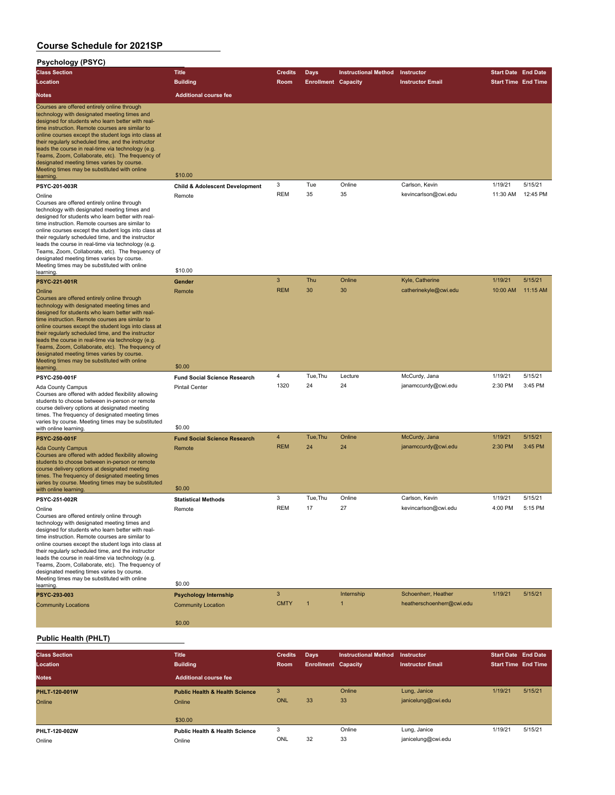**Psychology (PSYC)**

| <u>rsychology (rollo)</u>                                                                                                                                                                                                                                                                                                                                                                                                                                                                                                                            |                                           |                            |                                           |                             |                                          |                                                          |                     |
|------------------------------------------------------------------------------------------------------------------------------------------------------------------------------------------------------------------------------------------------------------------------------------------------------------------------------------------------------------------------------------------------------------------------------------------------------------------------------------------------------------------------------------------------------|-------------------------------------------|----------------------------|-------------------------------------------|-----------------------------|------------------------------------------|----------------------------------------------------------|---------------------|
| <b>Class Section</b>                                                                                                                                                                                                                                                                                                                                                                                                                                                                                                                                 | <b>Title</b>                              | <b>Credits</b>             | <b>Days</b>                               | <b>Instructional Method</b> | Instructor                               | <b>Start Date End Date</b>                               |                     |
| Location                                                                                                                                                                                                                                                                                                                                                                                                                                                                                                                                             | <b>Building</b>                           | Room                       | <b>Enrollment Capacity</b>                |                             | <b>Instructor Email</b>                  | <b>Start Time End Time</b>                               |                     |
| <b>Notes</b>                                                                                                                                                                                                                                                                                                                                                                                                                                                                                                                                         | <b>Additional course fee</b>              |                            |                                           |                             |                                          |                                                          |                     |
| Courses are offered entirely online through<br>technology with designated meeting times and<br>designed for students who learn better with real-<br>time instruction. Remote courses are similar to<br>online courses except the student logs into class at<br>their regularly scheduled time, and the instructor<br>leads the course in real-time via technology (e.g.<br>Teams, Zoom, Collaborate, etc). The frequency of<br>designated meeting times varies by course.<br>Meeting times may be substituted with online<br>learning.               | \$10.00                                   |                            |                                           |                             |                                          |                                                          |                     |
| PSYC-201-003R                                                                                                                                                                                                                                                                                                                                                                                                                                                                                                                                        | <b>Child &amp; Adolescent Development</b> | 3                          | Tue                                       | Online                      | Carlson, Kevin                           | 1/19/21                                                  | 5/15/21             |
| Online<br>Courses are offered entirely online through<br>technology with designated meeting times and<br>designed for students who learn better with real-<br>time instruction. Remote courses are similar to<br>online courses except the student logs into class at<br>their regularly scheduled time, and the instructor<br>leads the course in real-time via technology (e.g.<br>Teams, Zoom, Collaborate, etc). The frequency of<br>designated meeting times varies by course.<br>Meeting times may be substituted with online                  | Remote                                    | <b>REM</b>                 | 35                                        | 35                          | kevincarlson@cwi.edu                     | 11:30 AM                                                 | 12:45 PM            |
| learning.                                                                                                                                                                                                                                                                                                                                                                                                                                                                                                                                            | \$10.00                                   |                            |                                           |                             |                                          |                                                          |                     |
| PSYC-221-001R<br>Online<br>Courses are offered entirely online through<br>technology with designated meeting times and<br>designed for students who learn better with real-<br>time instruction. Remote courses are similar to<br>online courses except the student logs into class at<br>their regularly scheduled time, and the instructor<br>leads the course in real-time via technology (e.g.<br>Teams, Zoom, Collaborate, etc). The frequency of<br>designated meeting times varies by course.<br>Meeting times may be substituted with online | Gender<br>Remote                          | $\mathbf{3}$<br><b>REM</b> | Thu<br>30                                 | Online<br>30                | Kyle, Catherine<br>catherinekyle@cwi.edu | 1/19/21<br>10:00 AM                                      | 5/15/21<br>11:15 AM |
| learning.                                                                                                                                                                                                                                                                                                                                                                                                                                                                                                                                            | \$0.00                                    |                            |                                           |                             |                                          |                                                          |                     |
| PSYC-250-001F                                                                                                                                                                                                                                                                                                                                                                                                                                                                                                                                        | <b>Fund Social Science Research</b>       | 4                          | Tue, Thu                                  | Lecture                     | McCurdy, Jana                            | 1/19/21                                                  | 5/15/21             |
| Ada County Campus<br>Courses are offered with added flexibility allowing<br>students to choose between in-person or remote<br>course delivery options at designated meeting<br>times. The frequency of designated meeting times<br>varies by course. Meeting times may be substituted                                                                                                                                                                                                                                                                | <b>Pintail Center</b><br>\$0.00           | 1320                       | 24                                        | 24                          | janamccurdy@cwi.edu                      | 2:30 PM                                                  | 3:45 PM             |
| with online learning.<br>PSYC-250-001F                                                                                                                                                                                                                                                                                                                                                                                                                                                                                                               | <b>Fund Social Science Research</b>       | $\overline{4}$             | Tue, Thu                                  | Online                      | McCurdy, Jana                            | 1/19/21                                                  | 5/15/21             |
| <b>Ada County Campus</b><br>Courses are offered with added flexibility allowing<br>students to choose between in-person or remote<br>course delivery options at designated meeting<br>times. The frequency of designated meeting times<br>varies by course. Meeting times may be substituted<br>with online learning                                                                                                                                                                                                                                 | Remote<br>\$0.00                          | <b>REM</b>                 | 24                                        | 24                          | janamccurdy@cwi.edu                      | 2:30 PM                                                  | 3:45 PM             |
| PSYC-251-002R                                                                                                                                                                                                                                                                                                                                                                                                                                                                                                                                        | <b>Statistical Methods</b>                | 3                          | Tue, Thu                                  | Online                      | Carlson, Kevin                           | 1/19/21                                                  | 5/15/21             |
| Online<br>Courses are offered entirely online through<br>technology with designated meeting times and<br>designed for students who learn better with real-<br>time instruction. Remote courses are similar to<br>online courses except the student logs into class at<br>their regularly scheduled time, and the instructor<br>leads the course in real-time via technology (e.g.<br>Teams, Zoom, Collaborate, etc). The frequency of<br>designated meeting times varies by course.<br>Meeting times may be substituted with online<br>learning.     | Remote<br>\$0.00                          | <b>REM</b>                 | 17                                        | 27                          | kevincarlson@cwi.edu                     | 4:00 PM                                                  | 5:15 PM             |
| PSYC-293-003                                                                                                                                                                                                                                                                                                                                                                                                                                                                                                                                         | <b>Psychology Internship</b>              | $\mathbf{3}$               |                                           | Internship                  | Schoenherr, Heather                      | 1/19/21                                                  | 5/15/21             |
| <b>Community Locations</b>                                                                                                                                                                                                                                                                                                                                                                                                                                                                                                                           | <b>Community Location</b><br>\$0.00       | <b>CMTY</b>                | $\overline{1}$                            | $\overline{1}$              | heatherschoenherr@cwi.edu                |                                                          |                     |
| <b>Public Health (PHLT)</b>                                                                                                                                                                                                                                                                                                                                                                                                                                                                                                                          |                                           |                            |                                           |                             |                                          |                                                          |                     |
|                                                                                                                                                                                                                                                                                                                                                                                                                                                                                                                                                      |                                           |                            |                                           |                             |                                          |                                                          |                     |
| <b>Class Section</b><br>Location                                                                                                                                                                                                                                                                                                                                                                                                                                                                                                                     | <b>Title</b><br><b>Building</b>           | <b>Credits</b><br>Room     | <b>Days</b><br><b>Enrollment Capacity</b> | <b>Instructional Method</b> | Instructor<br><b>Instructor Email</b>    | <b>Start Date End Date</b><br><b>Start Time End Time</b> |                     |

| ווטוסיס טפוש  |                                           | oreurs.     | <b>Days</b>                | <u>HISUUCUUHAI MEUTUU HISUUCUU</u> |                         | <b>Start Date</b> Life Date |         |
|---------------|-------------------------------------------|-------------|----------------------------|------------------------------------|-------------------------|-----------------------------|---------|
| Location      | <b>Building</b>                           | <b>Room</b> | <b>Enrollment Capacity</b> |                                    | <b>Instructor Email</b> | <b>Start Time End Time</b>  |         |
| <b>Notes</b>  | Additional course fee                     |             |                            |                                    |                         |                             |         |
| PHLT-120-001W | <b>Public Health &amp; Health Science</b> | 3           |                            | Online                             | Lung, Janice            | 1/19/21                     | 5/15/21 |
| Online        | Online                                    | <b>ONL</b>  | 33                         | 33                                 | janicelung@cwi.edu      |                             |         |
|               |                                           |             |                            |                                    |                         |                             |         |
|               | \$30.00                                   |             |                            |                                    |                         |                             |         |
| PHLT-120-002W | <b>Public Health &amp; Health Science</b> | 3           |                            | Online                             | Lung, Janice            | 1/19/21                     | 5/15/21 |
| Online        | Online                                    | ONL         | 32                         | 33                                 | janicelung@cwi.edu      |                             |         |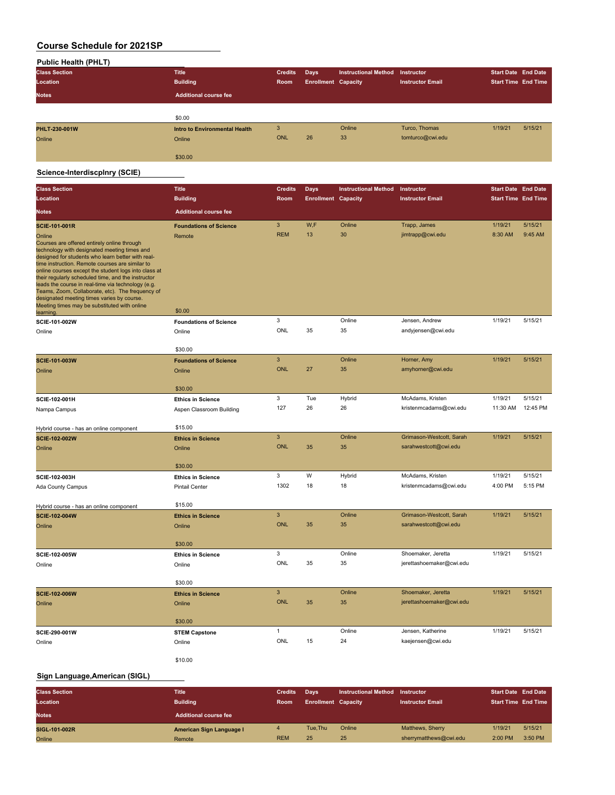| <b>Public Health (PHLT)</b> |                               |                |                            |                             |                         |                            |         |
|-----------------------------|-------------------------------|----------------|----------------------------|-----------------------------|-------------------------|----------------------------|---------|
| <b>Class Section</b>        | <b>Title</b>                  | <b>Credits</b> | Days                       | <b>Instructional Method</b> | Instructor              | <b>Start Date End Date</b> |         |
| Location                    | <b>Building</b>               | Room           | <b>Enrollment Capacity</b> |                             | <b>Instructor Email</b> | <b>Start Time End Time</b> |         |
| <b>Notes</b>                | <b>Additional course fee</b>  |                |                            |                             |                         |                            |         |
|                             |                               |                |                            |                             |                         |                            |         |
|                             | \$0.00                        |                |                            |                             |                         |                            |         |
| PHLT-230-001W               | Intro to Environmental Health | 3              |                            | Online                      | Turco, Thomas           | 1/19/21                    | 5/15/21 |
| Online                      | Online                        | <b>ONL</b>     | 26                         | 33                          | tomturco@cwi.edu        |                            |         |
|                             | \$30.00                       |                |                            |                             |                         |                            |         |

#### **Science-Interdiscplnry (SCIE)**

| <b>Class Section</b>                                                                                                                                                                                                                                                                                                                                                                                                                                                                                                                | <b>Title</b>                  | <b>Credits</b> | <b>Days</b>                | <b>Instructional Method</b> | Instructor               | <b>Start Date End Date</b> |          |
|-------------------------------------------------------------------------------------------------------------------------------------------------------------------------------------------------------------------------------------------------------------------------------------------------------------------------------------------------------------------------------------------------------------------------------------------------------------------------------------------------------------------------------------|-------------------------------|----------------|----------------------------|-----------------------------|--------------------------|----------------------------|----------|
| Location                                                                                                                                                                                                                                                                                                                                                                                                                                                                                                                            | <b>Building</b>               | Room           | <b>Enrollment Capacity</b> |                             | <b>Instructor Email</b>  | <b>Start Time End Time</b> |          |
| <b>Notes</b>                                                                                                                                                                                                                                                                                                                                                                                                                                                                                                                        | <b>Additional course fee</b>  |                |                            |                             |                          |                            |          |
| <b>SCIE-101-001R</b>                                                                                                                                                                                                                                                                                                                                                                                                                                                                                                                | <b>Foundations of Science</b> | $\overline{3}$ | W,F                        | Online                      | Trapp, James             | 1/19/21                    | 5/15/21  |
| Online<br>Courses are offered entirely online through<br>technology with designated meeting times and<br>designed for students who learn better with real-<br>time instruction. Remote courses are similar to<br>online courses except the student logs into class at<br>their regularly scheduled time, and the instructor<br>leads the course in real-time via technology (e.g.<br>Teams, Zoom, Collaborate, etc). The frequency of<br>designated meeting times varies by course.<br>Meeting times may be substituted with online | Remote                        | <b>REM</b>     | 13                         | 30                          | jimtrapp@cwi.edu         | 8:30 AM                    | 9:45 AM  |
| learning.                                                                                                                                                                                                                                                                                                                                                                                                                                                                                                                           | \$0.00                        |                |                            |                             |                          |                            |          |
| SCIE-101-002W                                                                                                                                                                                                                                                                                                                                                                                                                                                                                                                       | <b>Foundations of Science</b> | 3              |                            | Online                      | Jensen, Andrew           | 1/19/21                    | 5/15/21  |
| Online                                                                                                                                                                                                                                                                                                                                                                                                                                                                                                                              | Online                        | ONL            | 35                         | 35                          | andyjensen@cwi.edu       |                            |          |
|                                                                                                                                                                                                                                                                                                                                                                                                                                                                                                                                     | \$30.00                       |                |                            |                             |                          |                            |          |
| <b>SCIE-101-003W</b>                                                                                                                                                                                                                                                                                                                                                                                                                                                                                                                | <b>Foundations of Science</b> | 3              |                            | Online                      | Horner, Amy              | 1/19/21                    | 5/15/21  |
| Online                                                                                                                                                                                                                                                                                                                                                                                                                                                                                                                              | Online                        | <b>ONL</b>     | 27                         | 35                          | amyhorner@cwi.edu        |                            |          |
|                                                                                                                                                                                                                                                                                                                                                                                                                                                                                                                                     | \$30.00                       |                |                            |                             |                          |                            |          |
| SCIE-102-001H                                                                                                                                                                                                                                                                                                                                                                                                                                                                                                                       | <b>Ethics in Science</b>      | 3              | Tue                        | Hybrid                      | McAdams, Kristen         | 1/19/21                    | 5/15/21  |
| Nampa Campus                                                                                                                                                                                                                                                                                                                                                                                                                                                                                                                        | Aspen Classroom Building      | 127            | 26                         | 26                          | kristenmcadams@cwi.edu   | 11:30 AM                   | 12:45 PM |
| Hybrid course - has an online component                                                                                                                                                                                                                                                                                                                                                                                                                                                                                             | \$15.00                       |                |                            |                             |                          |                            |          |
| SCIE-102-002W                                                                                                                                                                                                                                                                                                                                                                                                                                                                                                                       | <b>Ethics in Science</b>      | $\mathbf{3}$   |                            | Online                      | Grimason-Westcott, Sarah | 1/19/21                    | 5/15/21  |
| Online                                                                                                                                                                                                                                                                                                                                                                                                                                                                                                                              | Online                        | <b>ONL</b>     | 35                         | 35                          | sarahwestcott@cwi.edu    |                            |          |
|                                                                                                                                                                                                                                                                                                                                                                                                                                                                                                                                     | \$30.00                       |                |                            |                             |                          |                            |          |
| SCIE-102-003H                                                                                                                                                                                                                                                                                                                                                                                                                                                                                                                       | <b>Ethics in Science</b>      | 3              | W                          | Hybrid                      | McAdams, Kristen         | 1/19/21                    | 5/15/21  |
| Ada County Campus                                                                                                                                                                                                                                                                                                                                                                                                                                                                                                                   | <b>Pintail Center</b>         | 1302           | 18                         | 18                          | kristenmcadams@cwi.edu   | 4:00 PM                    | 5:15 PM  |
| Hybrid course - has an online component                                                                                                                                                                                                                                                                                                                                                                                                                                                                                             | \$15.00                       |                |                            |                             |                          |                            |          |
| <b>SCIE-102-004W</b>                                                                                                                                                                                                                                                                                                                                                                                                                                                                                                                | <b>Ethics in Science</b>      | $\overline{3}$ |                            | Online                      | Grimason-Westcott, Sarah | 1/19/21                    | 5/15/21  |
| Online                                                                                                                                                                                                                                                                                                                                                                                                                                                                                                                              | Online                        | <b>ONL</b>     | 35                         | 35                          | sarahwestcott@cwi.edu    |                            |          |
|                                                                                                                                                                                                                                                                                                                                                                                                                                                                                                                                     | \$30.00                       |                |                            |                             |                          |                            |          |
| SCIE-102-005W                                                                                                                                                                                                                                                                                                                                                                                                                                                                                                                       | <b>Ethics in Science</b>      | 3              |                            | Online                      | Shoemaker, Jeretta       | 1/19/21                    | 5/15/21  |
| Online                                                                                                                                                                                                                                                                                                                                                                                                                                                                                                                              | Online                        | <b>ONL</b>     | 35                         | 35                          | jerettashoemaker@cwi.edu |                            |          |
|                                                                                                                                                                                                                                                                                                                                                                                                                                                                                                                                     | \$30.00                       |                |                            |                             |                          |                            |          |
| <b>SCIE-102-006W</b>                                                                                                                                                                                                                                                                                                                                                                                                                                                                                                                | <b>Ethics in Science</b>      | 3              |                            | Online                      | Shoemaker, Jeretta       | 1/19/21                    | 5/15/21  |
| Online                                                                                                                                                                                                                                                                                                                                                                                                                                                                                                                              | Online                        | <b>ONL</b>     | 35                         | 35                          | jerettashoemaker@cwi.edu |                            |          |
|                                                                                                                                                                                                                                                                                                                                                                                                                                                                                                                                     | \$30.00                       |                |                            |                             |                          |                            |          |
| SCIE-290-001W                                                                                                                                                                                                                                                                                                                                                                                                                                                                                                                       | <b>STEM Capstone</b>          | $\mathbf{1}$   |                            | Online                      | Jensen, Katherine        | 1/19/21                    | 5/15/21  |
| Online                                                                                                                                                                                                                                                                                                                                                                                                                                                                                                                              | Online                        | <b>ONL</b>     | 15                         | 24                          | kaejensen@cwi.edu        |                            |          |
|                                                                                                                                                                                                                                                                                                                                                                                                                                                                                                                                     | \$10.00                       |                |                            |                             |                          |                            |          |

#### **Sign Language,American (SIGL)**

| <b>Class Section</b><br>Location | <b>Title</b><br><b>Building</b> | <b>Credits</b><br><b>Room</b> | <b>Davs</b><br><b>Enrollment Capacity</b> | <b>Instructional Method</b> | Instructor<br><b>Instructor Email</b> | <b>Start Date End Date</b><br><b>Start Time End Time</b> |         |
|----------------------------------|---------------------------------|-------------------------------|-------------------------------------------|-----------------------------|---------------------------------------|----------------------------------------------------------|---------|
| <b>Notes</b>                     | <b>Additional course fee</b>    |                               |                                           |                             |                                       |                                                          |         |
| SIGL-101-002R                    | American Sign Language I        |                               | Tue.Thu                                   | Online                      | Matthews, Sherry                      | 1/19/21                                                  | 5/15/21 |
| Online                           | Remote                          | <b>REM</b>                    | 25                                        | 25                          | sherrymatthews@cwi.edu                | 2:00 PM                                                  | 3:50 PM |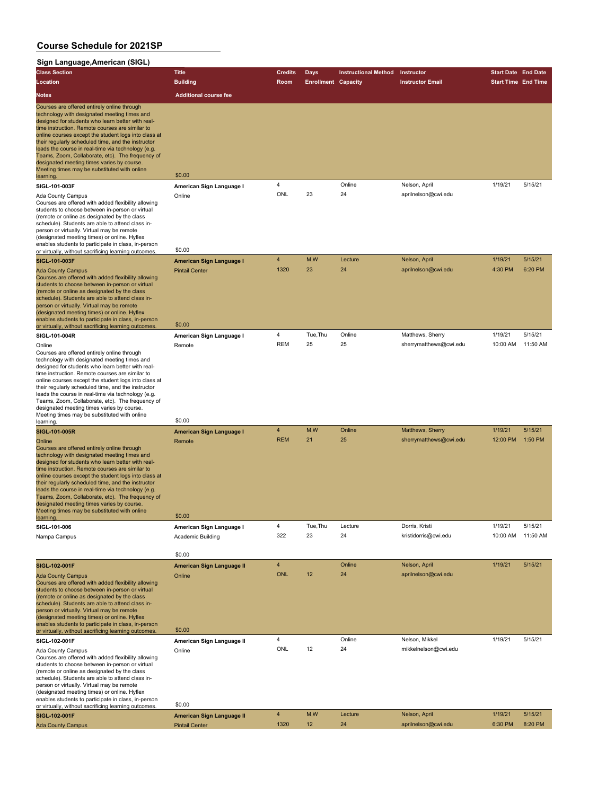#### **Sign Language,American (SIGL)**

| orgii maiigaago,Amonoan<br><b>Class Section</b>                                                                                                                                                                                                                                                                                                                                                                                                                                                                                                      | <b>Title</b>                                      | <b>Credits</b>  | Days                       | <b>Instructional Method</b> | Instructor                                 | <b>Start Date End Date</b> |                    |
|------------------------------------------------------------------------------------------------------------------------------------------------------------------------------------------------------------------------------------------------------------------------------------------------------------------------------------------------------------------------------------------------------------------------------------------------------------------------------------------------------------------------------------------------------|---------------------------------------------------|-----------------|----------------------------|-----------------------------|--------------------------------------------|----------------------------|--------------------|
| Location                                                                                                                                                                                                                                                                                                                                                                                                                                                                                                                                             | <b>Building</b>                                   | Room            | <b>Enrollment Capacity</b> |                             | <b>Instructor Email</b>                    | <b>Start Time End Time</b> |                    |
|                                                                                                                                                                                                                                                                                                                                                                                                                                                                                                                                                      |                                                   |                 |                            |                             |                                            |                            |                    |
| <b>Notes</b>                                                                                                                                                                                                                                                                                                                                                                                                                                                                                                                                         | <b>Additional course fee</b>                      |                 |                            |                             |                                            |                            |                    |
| Courses are offered entirely online through<br>technology with designated meeting times and<br>designed for students who learn better with real-<br>time instruction. Remote courses are similar to<br>online courses except the student logs into class at<br>their regularly scheduled time, and the instructor<br>leads the course in real-time via technology (e.g.<br>Teams, Zoom, Collaborate, etc). The frequency of<br>designated meeting times varies by course.<br>Meeting times may be substituted with online                            |                                                   |                 |                            |                             |                                            |                            |                    |
| learning.                                                                                                                                                                                                                                                                                                                                                                                                                                                                                                                                            | \$0.00                                            |                 |                            |                             |                                            |                            |                    |
| SIGL-101-003F                                                                                                                                                                                                                                                                                                                                                                                                                                                                                                                                        | American Sign Language I                          | 4               |                            | Online                      | Nelson, April                              | 1/19/21                    | 5/15/21            |
| Ada County Campus<br>Courses are offered with added flexibility allowing<br>students to choose between in-person or virtual<br>(remote or online as designated by the class<br>schedule). Students are able to attend class in-<br>person or virtually. Virtual may be remote<br>(designated meeting times) or online. Hyflex<br>enables students to participate in class, in-person                                                                                                                                                                 | Online<br>\$0.00                                  | ONL             | 23                         | 24                          | aprilnelson@cwi.edu                        |                            |                    |
| or virtually, without sacrificing learning outcomes.                                                                                                                                                                                                                                                                                                                                                                                                                                                                                                 |                                                   | 4               | M,W                        | Lecture                     | Nelson, April                              | 1/19/21                    | 5/15/21            |
| SIGL-101-003F<br><b>Ada County Campus</b><br>Courses are offered with added flexibility allowing<br>students to choose between in-person or virtual                                                                                                                                                                                                                                                                                                                                                                                                  | American Sign Language I<br><b>Pintail Center</b> | 1320            | 23                         | 24                          | aprilnelson@cwi.edu                        | 4:30 PM                    | 6:20 PM            |
| (remote or online as designated by the class<br>schedule). Students are able to attend class in-<br>person or virtually. Virtual may be remote<br>(designated meeting times) or online. Hyflex<br>enables students to participate in class, in-person                                                                                                                                                                                                                                                                                                |                                                   |                 |                            |                             |                                            |                            |                    |
| or virtually, without sacrificing learning outcomes.                                                                                                                                                                                                                                                                                                                                                                                                                                                                                                 | \$0.00                                            |                 |                            |                             |                                            |                            |                    |
| SIGL-101-004R                                                                                                                                                                                                                                                                                                                                                                                                                                                                                                                                        | American Sign Language I                          | 4               | Tue, Thu                   | Online                      | Matthews, Sherry                           | 1/19/21                    | 5/15/21            |
| Online                                                                                                                                                                                                                                                                                                                                                                                                                                                                                                                                               | Remote                                            | <b>REM</b>      | 25                         | 25                          | sherrymatthews@cwi.edu                     | 10:00 AM                   | 11:50 AM           |
| Courses are offered entirely online through<br>technology with designated meeting times and<br>designed for students who learn better with real-<br>time instruction. Remote courses are similar to<br>online courses except the student logs into class at<br>their regularly scheduled time, and the instructor<br>leads the course in real-time via technology (e.g.<br>Teams, Zoom, Collaborate, etc). The frequency of<br>designated meeting times varies by course.                                                                            |                                                   |                 |                            |                             |                                            |                            |                    |
| Meeting times may be substituted with online<br>learning.                                                                                                                                                                                                                                                                                                                                                                                                                                                                                            | \$0.00                                            |                 |                            |                             |                                            |                            |                    |
| SIGL-101-005R<br>Online<br>Courses are offered entirely online through<br>technology with designated meeting times and<br>designed for students who learn better with real-<br>time instruction. Remote courses are similar to<br>online courses except the student logs into class at<br>their regularly scheduled time, and the instructor<br>leads the course in real-time via technology (e.g.<br>Teams, Zoom, Collaborate, etc). The frequency of<br>designated meeting times varies by course.<br>Meeting times may be substituted with online | American Sign Language I<br>Remote                | 4<br><b>REM</b> | M, W<br>21                 | Online<br>25                | Matthews, Sherry<br>sherrymatthews@cwi.edu | 1/19/21<br>12:00 PM        | 5/15/21<br>1:50 PM |
| learning.                                                                                                                                                                                                                                                                                                                                                                                                                                                                                                                                            | \$0.00                                            |                 |                            |                             |                                            |                            |                    |
| SIGL-101-006                                                                                                                                                                                                                                                                                                                                                                                                                                                                                                                                         | American Sign Language I                          | 4               | Tue, Thu                   | Lecture                     | Dorris, Kristi                             | 1/19/21                    | 5/15/21            |
| Nampa Campus                                                                                                                                                                                                                                                                                                                                                                                                                                                                                                                                         | <b>Academic Building</b>                          | 322             | 23                         | 24                          | kristidorris@cwi.edu                       | 10:00 AM                   | 11:50 AM           |
|                                                                                                                                                                                                                                                                                                                                                                                                                                                                                                                                                      | \$0.00                                            |                 |                            |                             |                                            |                            |                    |
| SIGL-102-001F                                                                                                                                                                                                                                                                                                                                                                                                                                                                                                                                        | American Sign Language II                         | 4               |                            | Online                      | Nelson, April                              | 1/19/21                    | 5/15/21            |
| <b>Ada County Campus</b><br>Courses are offered with added flexibility allowing<br>students to choose between in-person or virtual<br>(remote or online as designated by the class<br>schedule). Students are able to attend class in-<br>person or virtually. Virtual may be remote<br>(designated meeting times) or online. Hyflex                                                                                                                                                                                                                 | Online                                            | <b>ONL</b>      | 12                         | 24                          | aprilnelson@cwi.edu                        |                            |                    |
| enables students to participate in class, in-person<br>or virtually, without sacrificing learning outcomes.                                                                                                                                                                                                                                                                                                                                                                                                                                          | \$0.00                                            |                 |                            |                             |                                            |                            |                    |
| SIGL-102-001F                                                                                                                                                                                                                                                                                                                                                                                                                                                                                                                                        | American Sign Language II                         | 4               |                            | Online                      | Nelson, Mikkel                             | 1/19/21                    | 5/15/21            |
| <b>Ada County Campus</b><br>Courses are offered with added flexibility allowing<br>students to choose between in-person or virtual<br>(remote or online as designated by the class<br>schedule). Students are able to attend class in-<br>person or virtually. Virtual may be remote<br>(designated meeting times) or online. Hyflex<br>enables students to participate in class, in-person                                                                                                                                                          | Online                                            | ONL             | 12                         | 24                          | mikkelnelson@cwi.edu                       |                            |                    |
| or virtually, without sacrificing learning outcomes.                                                                                                                                                                                                                                                                                                                                                                                                                                                                                                 | \$0.00                                            |                 |                            |                             |                                            |                            |                    |
| SIGL-102-001F                                                                                                                                                                                                                                                                                                                                                                                                                                                                                                                                        | American Sign Language II                         | 4               | M,W                        | Lecture                     | Nelson, April                              | 1/19/21                    | 5/15/21            |
| <b>Ada County Campus</b>                                                                                                                                                                                                                                                                                                                                                                                                                                                                                                                             | <b>Pintail Center</b>                             | 1320            | 12                         | 24                          | aprilnelson@cwi.edu                        | 6:30 PM                    | 8:20 PM            |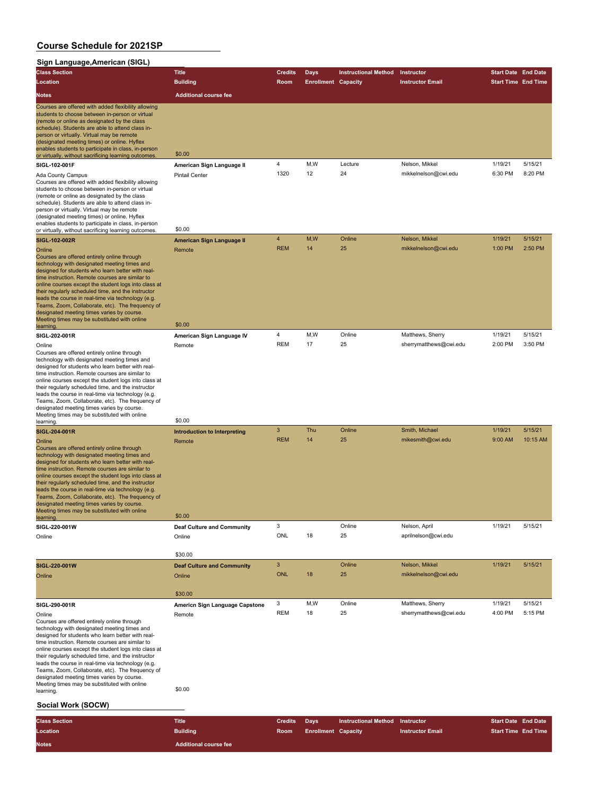#### **Sign Language,American (SIGL)**

| <b>Class Section</b>                                                                                                                                                                                                                                                                                                                                                                                                                                                                                                                                              | <b>Title</b>                                     | <b>Credits</b>  | <b>Days</b>                | <b>Instructional Method</b>            | Instructor                          | <b>Start Date End Date</b> |                     |
|-------------------------------------------------------------------------------------------------------------------------------------------------------------------------------------------------------------------------------------------------------------------------------------------------------------------------------------------------------------------------------------------------------------------------------------------------------------------------------------------------------------------------------------------------------------------|--------------------------------------------------|-----------------|----------------------------|----------------------------------------|-------------------------------------|----------------------------|---------------------|
| Location                                                                                                                                                                                                                                                                                                                                                                                                                                                                                                                                                          | <b>Building</b>                                  | Room            | <b>Enrollment Capacity</b> |                                        | <b>Instructor Email</b>             | <b>Start Time End Time</b> |                     |
| <b>Notes</b>                                                                                                                                                                                                                                                                                                                                                                                                                                                                                                                                                      | <b>Additional course fee</b>                     |                 |                            |                                        |                                     |                            |                     |
| Courses are offered with added flexibility allowing<br>students to choose between in-person or virtual<br>(remote or online as designated by the class<br>schedule). Students are able to attend class in-<br>person or virtually. Virtual may be remote<br>(designated meeting times) or online. Hyflex<br>enables students to participate in class, in-person<br>or virtually, without sacrificing learning outcomes                                                                                                                                            | \$0.00                                           |                 |                            |                                        |                                     |                            |                     |
| SIGL-102-001F                                                                                                                                                                                                                                                                                                                                                                                                                                                                                                                                                     | American Sign Language II                        | 4               | M,W                        | Lecture                                | Nelson, Mikkel                      | 1/19/21                    | 5/15/21             |
| Ada County Campus<br>Courses are offered with added flexibility allowing<br>students to choose between in-person or virtual<br>(remote or online as designated by the class<br>schedule). Students are able to attend class in-<br>person or virtually. Virtual may be remote<br>(designated meeting times) or online. Hyflex<br>enables students to participate in class, in-person                                                                                                                                                                              | <b>Pintail Center</b><br>\$0.00                  | 1320            | 12                         | 24                                     | mikkelnelson@cwi.edu                | 6:30 PM                    | 8:20 PM             |
| or virtually, without sacrificing learning outcomes.<br>SIGL-102-002R                                                                                                                                                                                                                                                                                                                                                                                                                                                                                             | American Sign Language II                        | $\overline{4}$  | M,W                        | Online                                 | Nelson, Mikkel                      | 1/19/21                    | 5/15/21             |
| Online<br>Courses are offered entirely online through<br>technology with designated meeting times and<br>designed for students who learn better with real-<br>time instruction. Remote courses are similar to<br>online courses except the student logs into class at<br>their regularly scheduled time, and the instructor<br>leads the course in real-time via technology (e.g.<br>Teams, Zoom, Collaborate, etc). The frequency of<br>designated meeting times varies by course.<br>Meeting times may be substituted with online<br>learning.                  | Remote<br>\$0.00                                 | <b>REM</b>      | 14                         | 25                                     | mikkelnelson@cwi.edu                | 1:00 PM                    | 2:50 PM             |
| SIGL-202-001R                                                                                                                                                                                                                                                                                                                                                                                                                                                                                                                                                     | American Sign Language IV                        | 4               | M, W                       | Online                                 | Matthews, Sherry                    | 1/19/21                    | 5/15/21             |
| Online<br>Courses are offered entirely online through<br>technology with designated meeting times and<br>designed for students who learn better with real-<br>time instruction. Remote courses are similar to<br>online courses except the student logs into class at<br>their regularly scheduled time, and the instructor<br>leads the course in real-time via technology (e.g.<br>Teams, Zoom, Collaborate, etc). The frequency of<br>designated meeting times varies by course.                                                                               | Remote                                           | <b>REM</b>      | 17                         | 25                                     | sherrymatthews@cwi.edu              | 2:00 PM                    | 3:50 PM             |
| Meeting times may be substituted with online<br>learning.                                                                                                                                                                                                                                                                                                                                                                                                                                                                                                         | \$0.00                                           |                 |                            |                                        |                                     |                            |                     |
| SIGL-204-001R<br>Online<br>Courses are offered entirely online through<br>technology with designated meeting times and<br>designed for students who learn better with real-<br>time instruction. Remote courses are similar to<br>online courses except the student logs into class at<br>their regularly scheduled time, and the instructor<br>leads the course in real-time via technology (e.g.<br>Teams, Zoom, Collaborate, etc). The frequency of<br>designated meeting times varies by course.<br>Meeting times may be substituted with online<br>learning. | Introduction to Interpreting<br>Remote<br>\$0.00 | 3<br><b>REM</b> | Thu<br>14                  | Online<br>25                           | Smith, Michael<br>mikesmith@cwi.edu | 1/19/21<br>9:00 AM         | 5/15/21<br>10:15 AM |
| SIGL-220-001W                                                                                                                                                                                                                                                                                                                                                                                                                                                                                                                                                     | <b>Deaf Culture and Community</b>                | 3               |                            | Online                                 | Nelson, April                       | 1/19/21                    | 5/15/21             |
| Online                                                                                                                                                                                                                                                                                                                                                                                                                                                                                                                                                            | Online<br>\$30.00                                | ONL             | 18                         | 25                                     | aprilnelson@cwi.edu                 |                            |                     |
| SIGL-220-001W                                                                                                                                                                                                                                                                                                                                                                                                                                                                                                                                                     | <b>Deaf Culture and Community</b>                | 3               |                            | Online                                 | Nelson, Mikkel                      | 1/19/21                    | 5/15/21             |
| Online                                                                                                                                                                                                                                                                                                                                                                                                                                                                                                                                                            | Online<br>\$30.00                                | <b>ONL</b>      | 18                         | 25                                     | mikkelnelson@cwi.edu                |                            |                     |
| SIGL-290-001R                                                                                                                                                                                                                                                                                                                                                                                                                                                                                                                                                     | Americn Sign Language Capstone                   | 3               | M,W                        | Online                                 | Matthews, Sherry                    | 1/19/21                    | 5/15/21             |
| Online<br>Courses are offered entirely online through<br>technology with designated meeting times and<br>designed for students who learn better with real-<br>time instruction. Remote courses are similar to<br>online courses except the student logs into class at<br>their regularly scheduled time, and the instructor<br>leads the course in real-time via technology (e.g.<br>Teams, Zoom, Collaborate, etc). The frequency of<br>designated meeting times varies by course.<br>Meeting times may be substituted with online<br>learning.                  | Remote<br>\$0.00                                 | <b>REM</b>      | 18                         | 25                                     | sherrymatthews@cwi.edu              | 4:00 PM                    | 5:15 PM             |
| Social Work (SOCW)                                                                                                                                                                                                                                                                                                                                                                                                                                                                                                                                                |                                                  |                 |                            |                                        |                                     |                            |                     |
| <b>Class Section</b>                                                                                                                                                                                                                                                                                                                                                                                                                                                                                                                                              | <b>Title</b>                                     | <b>Credits</b>  | Days                       | <b>Instructional Method Instructor</b> |                                     | <b>Start Date End Date</b> |                     |

| <b>Class Section</b> | Title                        | <b>Credits</b> Davs |                            | <b>Instructional Method Instructor</b> |                         | <b>Start Date End Date</b> |
|----------------------|------------------------------|---------------------|----------------------------|----------------------------------------|-------------------------|----------------------------|
| Location             | <b>Building</b>              | Room                | <b>Enrollment Capacity</b> |                                        | <b>Instructor Email</b> | <b>Start Time End Time</b> |
| <b>Notes</b>         | <b>Additional course fee</b> |                     |                            |                                        |                         |                            |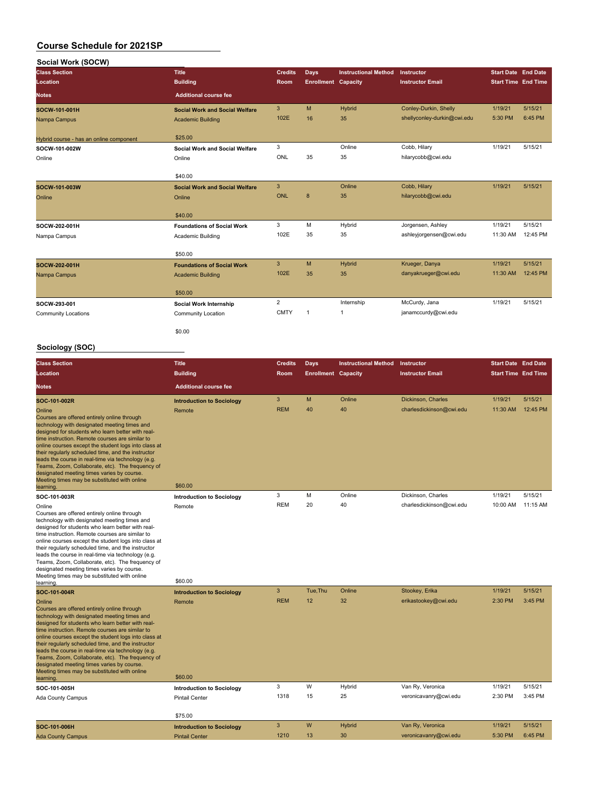| Social Work (SOCW)                                                                                                                                                                                                                                                                                                                                                                                                                                                                                                                              |                                       |                |                            |                             |                             |                            |          |
|-------------------------------------------------------------------------------------------------------------------------------------------------------------------------------------------------------------------------------------------------------------------------------------------------------------------------------------------------------------------------------------------------------------------------------------------------------------------------------------------------------------------------------------------------|---------------------------------------|----------------|----------------------------|-----------------------------|-----------------------------|----------------------------|----------|
| <b>Class Section</b>                                                                                                                                                                                                                                                                                                                                                                                                                                                                                                                            | <b>Title</b>                          | <b>Credits</b> | <b>Days</b>                | <b>Instructional Method</b> | Instructor                  | <b>Start Date End Date</b> |          |
| Location                                                                                                                                                                                                                                                                                                                                                                                                                                                                                                                                        | <b>Building</b>                       | Room           | <b>Enrollment Capacity</b> |                             | <b>Instructor Email</b>     | <b>Start Time End Time</b> |          |
| <b>Notes</b>                                                                                                                                                                                                                                                                                                                                                                                                                                                                                                                                    | <b>Additional course fee</b>          |                |                            |                             |                             |                            |          |
| SOCW-101-001H                                                                                                                                                                                                                                                                                                                                                                                                                                                                                                                                   | <b>Social Work and Social Welfare</b> | 3              | M                          | <b>Hybrid</b>               | Conley-Durkin, Shelly       | 1/19/21                    | 5/15/21  |
| Nampa Campus                                                                                                                                                                                                                                                                                                                                                                                                                                                                                                                                    | <b>Academic Building</b>              | 102E           | 16                         | 35                          | shellyconley-durkin@cwi.edu | 5:30 PM                    | 6:45 PM  |
| Hybrid course - has an online component                                                                                                                                                                                                                                                                                                                                                                                                                                                                                                         | \$25.00                               |                |                            |                             |                             |                            |          |
| SOCW-101-002W                                                                                                                                                                                                                                                                                                                                                                                                                                                                                                                                   | <b>Social Work and Social Welfare</b> | 3              |                            | Online                      | Cobb, Hilary                | 1/19/21                    | 5/15/21  |
| Online                                                                                                                                                                                                                                                                                                                                                                                                                                                                                                                                          | Online                                | ONL            | 35                         | 35                          | hilarycobb@cwi.edu          |                            |          |
|                                                                                                                                                                                                                                                                                                                                                                                                                                                                                                                                                 | \$40.00                               |                |                            |                             |                             |                            |          |
| SOCW-101-003W                                                                                                                                                                                                                                                                                                                                                                                                                                                                                                                                   | <b>Social Work and Social Welfare</b> | 3              |                            | Online                      | Cobb, Hilary                | 1/19/21                    | 5/15/21  |
| Online                                                                                                                                                                                                                                                                                                                                                                                                                                                                                                                                          | Online                                | <b>ONL</b>     | $\bf 8$                    | 35                          | hilarycobb@cwi.edu          |                            |          |
|                                                                                                                                                                                                                                                                                                                                                                                                                                                                                                                                                 | \$40.00                               |                |                            |                             |                             |                            |          |
| SOCW-202-001H                                                                                                                                                                                                                                                                                                                                                                                                                                                                                                                                   | <b>Foundations of Social Work</b>     | 3              | M                          | Hybrid                      | Jorgensen, Ashley           | 1/19/21                    | 5/15/21  |
| Nampa Campus                                                                                                                                                                                                                                                                                                                                                                                                                                                                                                                                    | Academic Building                     | 102E           | 35                         | 35                          | ashleyjorgensen@cwi.edu     | 11:30 AM                   | 12:45 PM |
|                                                                                                                                                                                                                                                                                                                                                                                                                                                                                                                                                 | \$50.00                               |                |                            |                             |                             |                            |          |
| SOCW-202-001H                                                                                                                                                                                                                                                                                                                                                                                                                                                                                                                                   | <b>Foundations of Social Work</b>     | 3              | M                          | Hybrid                      | Krueger, Danya              | 1/19/21                    | 5/15/21  |
| Nampa Campus                                                                                                                                                                                                                                                                                                                                                                                                                                                                                                                                    | <b>Academic Building</b>              | 102E           | 35                         | 35                          | danyakrueger@cwi.edu        | 11:30 AM                   | 12:45 PM |
|                                                                                                                                                                                                                                                                                                                                                                                                                                                                                                                                                 | \$50.00                               |                |                            |                             |                             |                            |          |
| SOCW-293-001                                                                                                                                                                                                                                                                                                                                                                                                                                                                                                                                    | Social Work Internship                | 2              |                            | Internship                  | McCurdy, Jana               | 1/19/21                    | 5/15/21  |
| <b>Community Locations</b>                                                                                                                                                                                                                                                                                                                                                                                                                                                                                                                      | Community Location                    | <b>CMTY</b>    | 1                          | $\mathbf{1}$                | janamccurdy@cwi.edu         |                            |          |
|                                                                                                                                                                                                                                                                                                                                                                                                                                                                                                                                                 | \$0.00                                |                |                            |                             |                             |                            |          |
| Sociology (SOC)                                                                                                                                                                                                                                                                                                                                                                                                                                                                                                                                 |                                       |                |                            |                             |                             |                            |          |
| <b>Class Section</b>                                                                                                                                                                                                                                                                                                                                                                                                                                                                                                                            | <b>Title</b>                          | <b>Credits</b> | Days                       | <b>Instructional Method</b> | Instructor                  | <b>Start Date End Date</b> |          |
| Location                                                                                                                                                                                                                                                                                                                                                                                                                                                                                                                                        | <b>Building</b>                       | Room           | <b>Enrollment Capacity</b> |                             | <b>Instructor Email</b>     | <b>Start Time End Time</b> |          |
| <b>Notes</b>                                                                                                                                                                                                                                                                                                                                                                                                                                                                                                                                    | <b>Additional course fee</b>          |                |                            |                             |                             |                            |          |
| SOC-101-002R                                                                                                                                                                                                                                                                                                                                                                                                                                                                                                                                    | <b>Introduction to Sociology</b>      | 3              | M                          | Online                      | Dickinson, Charles          | 1/19/21                    | 5/15/21  |
| Online<br>Courses are offered entirely online through<br>technology with designated meeting times and<br>designed for students who learn better with real-<br>time instruction. Remote courses are similar to<br>online courses except the student logs into class at<br>their regularly scheduled time, and the instructor<br>leads the course in real-time via technology (e.g.<br>Teams, Zoom, Collaborate, etc). The frequency of<br>designated meeting times varies by course.<br>Meeting times may be substituted with online<br>learning | Remote<br>\$60.00                     | <b>REM</b>     | 40                         | 40                          | charlesdickinson@cwi.edu    | 11:30 AM                   | 12:45 PM |
| SOC-101-003R                                                                                                                                                                                                                                                                                                                                                                                                                                                                                                                                    | <b>Introduction to Sociology</b>      | 3              | M                          | Online                      | Dickinson, Charles          | 1/19/21                    | 5/15/21  |
| Online<br>Courses are offered entirely online through<br>technology with designated meeting times and<br>designed for students who learn better with real-<br>time instruction. Remote courses are similar to<br>online courses except the student logs into class at<br>their regularly scheduled time, and the instructor<br>leads the course in real-time via technology (e.g.<br>Teams, Zoom, Collaborate, etc). The frequency of<br>designated meeting times varies by course.                                                             | Remote                                | <b>REM</b>     | 20                         | 40                          | charlesdickinson@cwi.edu    | 10:00 AM                   | 11:15 AM |
| Meeting times may be substituted with online<br>learning                                                                                                                                                                                                                                                                                                                                                                                                                                                                                        | \$60.00                               |                |                            |                             |                             |                            |          |
| SOC-101-004R                                                                                                                                                                                                                                                                                                                                                                                                                                                                                                                                    | <b>Introduction to Sociology</b>      | 3              | Tue, Thu                   | Online                      | Stookey, Erika              | 1/19/21                    | 5/15/21  |
| Online<br>Courses are offered entirely online through<br>technology with designated meeting times and<br>designed for students who learn better with real-<br>time instruction. Remote courses are similar to<br>online courses except the student logs into class at<br>their regularly scheduled time, and the instructor                                                                                                                                                                                                                     | Remote                                | <b>REM</b>     | 12                         | 32                          | erikastookey@cwi.edu        | 2:30 PM                    | 3:45 PM  |

their regularly scheduled time, and the instructor leads the course in real-time via technology (e.g. Teams, Zoom, Collaborate, etc). The frequency of designated meeting times varies by course. Meeting times may be substituted with online learning. \$60.00 **SOC-101-005H Introduction to Sociology** 3 W Hybrid Van Ry, Veronica 1/19/21 5/15/21 Ada County Campus **1318** Pintail Center 1318 15 25 veronicavanry@cwi.edu 2:30 PM 3:45 PM \$75.00 **SOC-101-006H Introduction to Sociology** 3 W Hybrid Van Ry, Veronica 1/19/21 5/15/21 Ada County Campus **Ada County Campus** Pintail Center 1210 13 30 veronicavanry@cwi.edu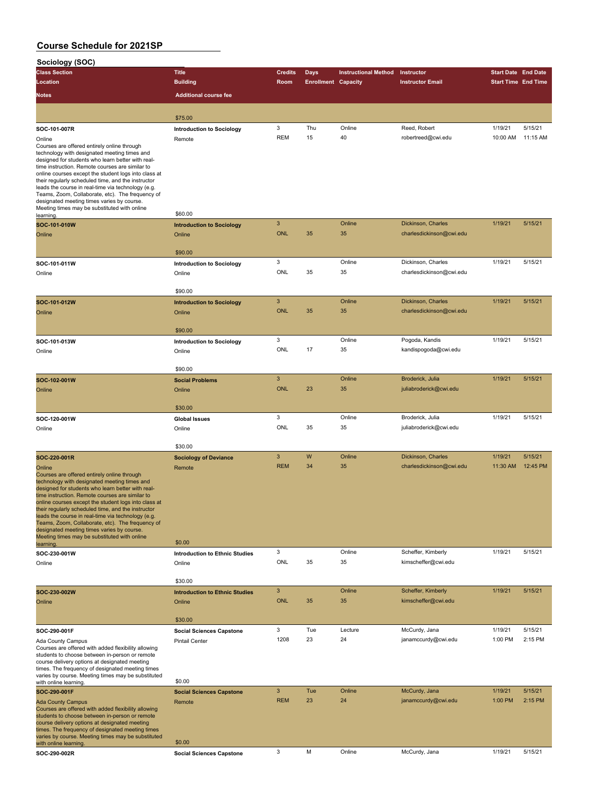**Sociology (SOC)**

| <b>SOCIOIOGY</b> (SUC)                                                                                   |                                                          |                |                            |                             |                          |                            |          |
|----------------------------------------------------------------------------------------------------------|----------------------------------------------------------|----------------|----------------------------|-----------------------------|--------------------------|----------------------------|----------|
| <b>Class Section</b>                                                                                     | <b>Title</b>                                             | <b>Credits</b> | Days                       | <b>Instructional Method</b> | Instructor               | <b>Start Date</b> End Date |          |
| Location                                                                                                 | <b>Building</b>                                          | Room           | <b>Enrollment Capacity</b> |                             | <b>Instructor Email</b>  | <b>Start Time End Time</b> |          |
| <b>Notes</b>                                                                                             | <b>Additional course fee</b>                             |                |                            |                             |                          |                            |          |
|                                                                                                          |                                                          |                |                            |                             |                          |                            |          |
|                                                                                                          | \$75.00                                                  |                |                            |                             |                          |                            |          |
| SOC-101-007R                                                                                             | <b>Introduction to Sociology</b>                         | 3              | Thu                        | Online                      | Reed, Robert             | 1/19/21                    | 5/15/21  |
| Online                                                                                                   | Remote                                                   | <b>REM</b>     | 15                         | 40                          | robertreed@cwi.edu       | 10:00 AM                   | 11:15 AM |
| Courses are offered entirely online through                                                              |                                                          |                |                            |                             |                          |                            |          |
| technology with designated meeting times and                                                             |                                                          |                |                            |                             |                          |                            |          |
| designed for students who learn better with real-<br>time instruction. Remote courses are similar to     |                                                          |                |                            |                             |                          |                            |          |
| online courses except the student logs into class at                                                     |                                                          |                |                            |                             |                          |                            |          |
| their regularly scheduled time, and the instructor<br>leads the course in real-time via technology (e.g. |                                                          |                |                            |                             |                          |                            |          |
| Teams, Zoom, Collaborate, etc). The frequency of                                                         |                                                          |                |                            |                             |                          |                            |          |
| designated meeting times varies by course.                                                               |                                                          |                |                            |                             |                          |                            |          |
| Meeting times may be substituted with online                                                             | \$60.00                                                  |                |                            |                             |                          |                            |          |
| learning.                                                                                                |                                                          | 3              |                            | Online                      | Dickinson, Charles       | 1/19/21                    | 5/15/21  |
| SOC-101-010W                                                                                             | <b>Introduction to Sociology</b>                         | <b>ONL</b>     | 35                         | 35                          | charlesdickinson@cwi.edu |                            |          |
| Online                                                                                                   | Online                                                   |                |                            |                             |                          |                            |          |
|                                                                                                          | \$90.00                                                  |                |                            |                             |                          |                            |          |
|                                                                                                          |                                                          | 3              |                            | Online                      | Dickinson, Charles       | 1/19/21                    | 5/15/21  |
| SOC-101-011W                                                                                             | <b>Introduction to Sociology</b>                         | ONL            | 35                         | 35                          | charlesdickinson@cwi.edu |                            |          |
| Online                                                                                                   | Online                                                   |                |                            |                             |                          |                            |          |
|                                                                                                          | \$90.00                                                  |                |                            |                             |                          |                            |          |
|                                                                                                          |                                                          | 3              |                            | Online                      | Dickinson, Charles       | 1/19/21                    | 5/15/21  |
| SOC-101-012W                                                                                             | <b>Introduction to Sociology</b>                         | <b>ONL</b>     | 35                         | 35                          | charlesdickinson@cwi.edu |                            |          |
| Online                                                                                                   | Online                                                   |                |                            |                             |                          |                            |          |
|                                                                                                          | \$90.00                                                  |                |                            |                             |                          |                            |          |
|                                                                                                          |                                                          | 3              |                            | Online                      | Pogoda, Kandis           | 1/19/21                    | 5/15/21  |
| SOC-101-013W                                                                                             | <b>Introduction to Sociology</b>                         | ONL            | 17                         | 35                          | kandispogoda@cwi.edu     |                            |          |
| Online                                                                                                   | Online                                                   |                |                            |                             |                          |                            |          |
|                                                                                                          | \$90.00                                                  |                |                            |                             |                          |                            |          |
|                                                                                                          |                                                          | 3              |                            | Online                      | Broderick, Julia         | 1/19/21                    | 5/15/21  |
| SOC-102-001W                                                                                             | <b>Social Problems</b>                                   | <b>ONL</b>     | 23                         | 35                          |                          |                            |          |
| Online                                                                                                   | Online                                                   |                |                            |                             | juliabroderick@cwi.edu   |                            |          |
|                                                                                                          | \$30.00                                                  |                |                            |                             |                          |                            |          |
|                                                                                                          |                                                          | 3              |                            | Online                      | Broderick, Julia         | 1/19/21                    | 5/15/21  |
| SOC-120-001W                                                                                             | <b>Global Issues</b>                                     | ONL            | 35                         | 35                          | juliabroderick@cwi.edu   |                            |          |
| Online                                                                                                   | Online                                                   |                |                            |                             |                          |                            |          |
|                                                                                                          | \$30.00                                                  |                |                            |                             |                          |                            |          |
| SOC-220-001R                                                                                             | <b>Sociology of Deviance</b>                             | 3              | W                          | Online                      | Dickinson, Charles       | 1/19/21                    | 5/15/21  |
|                                                                                                          |                                                          | <b>REM</b>     | 34                         | 35                          | charlesdickinson@cwi.edu | 11:30 AM                   | 12:45 PM |
| Online<br>Courses are offered entirely online through                                                    | Remote                                                   |                |                            |                             |                          |                            |          |
| technology with designated meeting times and                                                             |                                                          |                |                            |                             |                          |                            |          |
| designed for students who learn better with real-                                                        |                                                          |                |                            |                             |                          |                            |          |
| time instruction. Remote courses are similar to<br>online courses except the student logs into class at  |                                                          |                |                            |                             |                          |                            |          |
| their regularly scheduled time, and the instructor                                                       |                                                          |                |                            |                             |                          |                            |          |
| leads the course in real-time via technology (e.g.                                                       |                                                          |                |                            |                             |                          |                            |          |
| Teams, Zoom, Collaborate, etc). The frequency of<br>designated meeting times varies by course.           |                                                          |                |                            |                             |                          |                            |          |
| Meeting times may be substituted with online                                                             | \$0.00                                                   |                |                            |                             |                          |                            |          |
| learning.                                                                                                |                                                          |                |                            |                             |                          |                            | 5/15/21  |
| SOC-230-001W                                                                                             | <b>Introduction to Ethnic Studies</b>                    | 3<br>ONL       |                            | Online                      | Scheffer, Kimberly       | 1/19/21                    |          |
| Online                                                                                                   | Online                                                   |                | 35                         | 35                          | kimscheffer@cwi.edu      |                            |          |
|                                                                                                          |                                                          |                |                            |                             |                          |                            |          |
|                                                                                                          | \$30.00                                                  | 3              |                            | Online                      | Scheffer, Kimberly       | 1/19/21                    | 5/15/21  |
| SOC-230-002W                                                                                             | <b>Introduction to Ethnic Studies</b>                    | <b>ONL</b>     | 35                         | 35                          | kimscheffer@cwi.edu      |                            |          |
| Online                                                                                                   | Online                                                   |                |                            |                             |                          |                            |          |
|                                                                                                          | \$30.00                                                  |                |                            |                             |                          |                            |          |
|                                                                                                          |                                                          | 3              | Tue                        | Lecture                     | McCurdy, Jana            | 1/19/21                    | 5/15/21  |
| SOC-290-001F                                                                                             | <b>Social Sciences Capstone</b><br><b>Pintail Center</b> | 1208           | 23                         | 24                          | janamccurdy@cwi.edu      | 1:00 PM                    | 2:15 PM  |
| Ada County Campus<br>Courses are offered with added flexibility allowing                                 |                                                          |                |                            |                             |                          |                            |          |
| students to choose between in-person or remote                                                           |                                                          |                |                            |                             |                          |                            |          |
| course delivery options at designated meeting<br>times. The frequency of designated meeting times        |                                                          |                |                            |                             |                          |                            |          |
| varies by course. Meeting times may be substituted                                                       |                                                          |                |                            |                             |                          |                            |          |
| with online learning.                                                                                    | \$0.00                                                   |                |                            |                             |                          |                            |          |
| SOC-290-001F                                                                                             | <b>Social Sciences Capstone</b>                          | 3              | Tue                        | Online                      | McCurdy, Jana            | 1/19/21                    | 5/15/21  |
| <b>Ada County Campus</b>                                                                                 | Remote                                                   | <b>REM</b>     | 23                         | 24                          | janamccurdy@cwi.edu      | 1:00 PM                    | 2:15 PM  |
| Courses are offered with added flexibility allowing<br>students to choose between in-person or remote    |                                                          |                |                            |                             |                          |                            |          |
| course delivery options at designated meeting                                                            |                                                          |                |                            |                             |                          |                            |          |
| times. The frequency of designated meeting times<br>varies by course. Meeting times may be substituted   |                                                          |                |                            |                             |                          |                            |          |
| with online learning.                                                                                    | \$0.00                                                   |                |                            |                             |                          |                            |          |
| SOC-290-002R                                                                                             | <b>Social Sciences Capstone</b>                          | 3              | M                          | Online                      | McCurdy, Jana            | 1/19/21                    | 5/15/21  |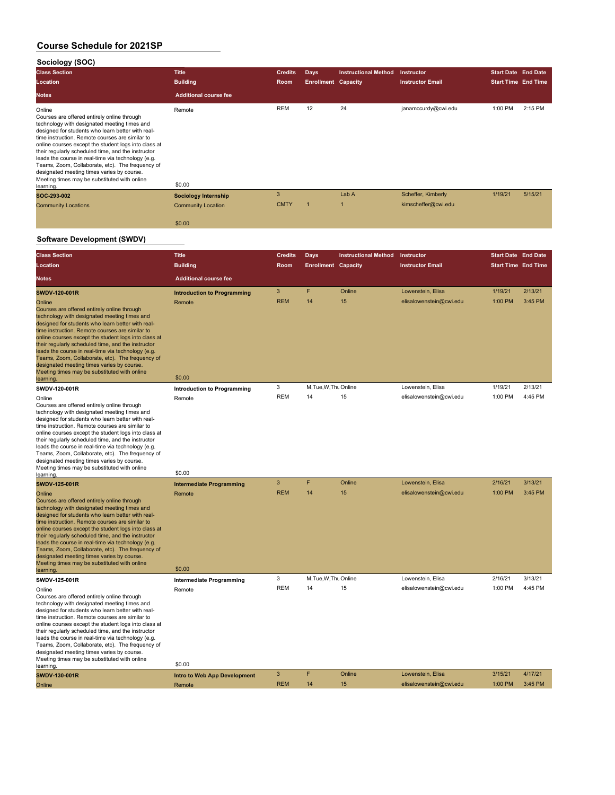**Sociology (SOC)**

| <b>Class Section</b>                                                                                                                                                                                                                                                                                                                                                                                                                                                                                                                             | <b>Title</b>                 | <b>Credits</b> | <b>Days</b>                | <b>Instructional Method</b> | Instructor              | <b>Start Date End Date</b> |         |
|--------------------------------------------------------------------------------------------------------------------------------------------------------------------------------------------------------------------------------------------------------------------------------------------------------------------------------------------------------------------------------------------------------------------------------------------------------------------------------------------------------------------------------------------------|------------------------------|----------------|----------------------------|-----------------------------|-------------------------|----------------------------|---------|
| Location                                                                                                                                                                                                                                                                                                                                                                                                                                                                                                                                         | <b>Building</b>              | Room           | <b>Enrollment Capacity</b> |                             | <b>Instructor Email</b> | <b>Start Time End Time</b> |         |
| <b>Notes</b>                                                                                                                                                                                                                                                                                                                                                                                                                                                                                                                                     | <b>Additional course fee</b> |                |                            |                             |                         |                            |         |
| Online<br>Courses are offered entirely online through<br>technology with designated meeting times and<br>designed for students who learn better with real-<br>time instruction. Remote courses are similar to<br>online courses except the student logs into class at<br>their regularly scheduled time, and the instructor<br>leads the course in real-time via technology (e.g.<br>Teams, Zoom, Collaborate, etc). The frequency of<br>designated meeting times varies by course.<br>Meeting times may be substituted with online<br>learning. | Remote<br>\$0.00             | <b>REM</b>     | 12                         | 24                          | janamccurdy@cwi.edu     | 1:00 PM                    | 2:15 PM |
| SOC-293-002                                                                                                                                                                                                                                                                                                                                                                                                                                                                                                                                      | Sociology Internship         | 3              |                            | Lab A                       | Scheffer, Kimberly      | 1/19/21                    | 5/15/21 |
| <b>Community Locations</b>                                                                                                                                                                                                                                                                                                                                                                                                                                                                                                                       | <b>Community Location</b>    | <b>CMTY</b>    |                            |                             | kimscheffer@cwi.edu     |                            |         |
|                                                                                                                                                                                                                                                                                                                                                                                                                                                                                                                                                  | \$0.00                       |                |                            |                             |                         |                            |         |

#### **Software Development (SWDV)**

| <b>Class Section</b>                                                                                                                                                                                                                                                                                                                                                                                                                                                                                                                                              | <b>Title</b>                                        | <b>Credits</b>  | Days                       | <b>Instructional Method</b> | Instructor                                   | <b>Start Date End Date</b> |                    |
|-------------------------------------------------------------------------------------------------------------------------------------------------------------------------------------------------------------------------------------------------------------------------------------------------------------------------------------------------------------------------------------------------------------------------------------------------------------------------------------------------------------------------------------------------------------------|-----------------------------------------------------|-----------------|----------------------------|-----------------------------|----------------------------------------------|----------------------------|--------------------|
| Location                                                                                                                                                                                                                                                                                                                                                                                                                                                                                                                                                          | <b>Building</b>                                     | Room            | <b>Enrollment Capacity</b> |                             | <b>Instructor Email</b>                      | <b>Start Time End Time</b> |                    |
| <b>Notes</b>                                                                                                                                                                                                                                                                                                                                                                                                                                                                                                                                                      | <b>Additional course fee</b>                        |                 |                            |                             |                                              |                            |                    |
| SWDV-120-001R                                                                                                                                                                                                                                                                                                                                                                                                                                                                                                                                                     | <b>Introduction to Programming</b>                  | 3               | F                          | Online                      | Lowenstein, Elisa                            | 1/19/21                    | 2/13/21            |
| Online<br>Courses are offered entirely online through<br>technology with designated meeting times and<br>designed for students who learn better with real-<br>time instruction. Remote courses are similar to<br>online courses except the student logs into class at<br>their regularly scheduled time, and the instructor<br>leads the course in real-time via technology (e.g.<br>Teams, Zoom, Collaborate, etc). The frequency of<br>designated meeting times varies by course.<br>Meeting times may be substituted with online<br>learning                   | Remote<br>\$0.00                                    | <b>REM</b>      | 14                         | 15                          | elisalowenstein@cwi.edu                      | 1:00 PM                    | 3:45 PM            |
| SWDV-120-001R                                                                                                                                                                                                                                                                                                                                                                                                                                                                                                                                                     | <b>Introduction to Programming</b>                  | 3               | M, Tue, W, Thu Online      |                             | Lowenstein, Elisa                            | 1/19/21                    | 2/13/21            |
| Online<br>Courses are offered entirely online through<br>technology with designated meeting times and<br>designed for students who learn better with real-<br>time instruction. Remote courses are similar to<br>online courses except the student logs into class at<br>their regularly scheduled time, and the instructor<br>leads the course in real-time via technology (e.g.<br>Teams, Zoom, Collaborate, etc). The frequency of<br>designated meeting times varies by course.<br>Meeting times may be substituted with online                               | Remote                                              | <b>REM</b>      | 14                         | 15                          | elisalowenstein@cwi.edu                      | 1:00 PM                    | 4:45 PM            |
| learning.                                                                                                                                                                                                                                                                                                                                                                                                                                                                                                                                                         | \$0.00                                              |                 |                            |                             |                                              |                            |                    |
| SWDV-125-001R<br>Online<br>Courses are offered entirely online through<br>technology with designated meeting times and<br>designed for students who learn better with real-<br>time instruction. Remote courses are similar to<br>online courses except the student logs into class at<br>their regularly scheduled time, and the instructor<br>leads the course in real-time via technology (e.g.<br>Teams, Zoom, Collaborate, etc). The frequency of<br>designated meeting times varies by course.<br>Meeting times may be substituted with online<br>learning. | <b>Intermediate Programming</b><br>Remote<br>\$0.00 | 3<br><b>REM</b> | F<br>14                    | Online<br>15                | Lowenstein, Elisa<br>elisalowenstein@cwi.edu | 2/16/21<br>1:00 PM         | 3/13/21<br>3:45 PM |
| <b>SWDV-125-001R</b>                                                                                                                                                                                                                                                                                                                                                                                                                                                                                                                                              | <b>Intermediate Programming</b>                     | 3               | M, Tue, W, Thu Online      |                             | Lowenstein, Elisa                            | 2/16/21                    | 3/13/21            |
| Online<br>Courses are offered entirely online through<br>technology with designated meeting times and<br>designed for students who learn better with real-<br>time instruction. Remote courses are similar to<br>online courses except the student logs into class at<br>their regularly scheduled time, and the instructor<br>leads the course in real-time via technology (e.g.<br>Teams, Zoom, Collaborate, etc). The frequency of<br>designated meeting times varies by course.<br>Meeting times may be substituted with online<br>learning.                  | Remote<br>\$0.00                                    | <b>REM</b>      | 14                         | 15                          | elisalowenstein@cwi.edu                      | 1:00 PM                    | 4:45 PM            |
| SWDV-130-001R                                                                                                                                                                                                                                                                                                                                                                                                                                                                                                                                                     | Intro to Web App Development                        | 3               | F                          | Online                      | Lowenstein, Elisa                            | 3/15/21                    | 4/17/21            |
| Online                                                                                                                                                                                                                                                                                                                                                                                                                                                                                                                                                            | Remote                                              | <b>REM</b>      | 14                         | 15                          | elisalowenstein@cwi.edu                      | 1:00 PM                    | 3:45 PM            |
|                                                                                                                                                                                                                                                                                                                                                                                                                                                                                                                                                                   |                                                     |                 |                            |                             |                                              |                            |                    |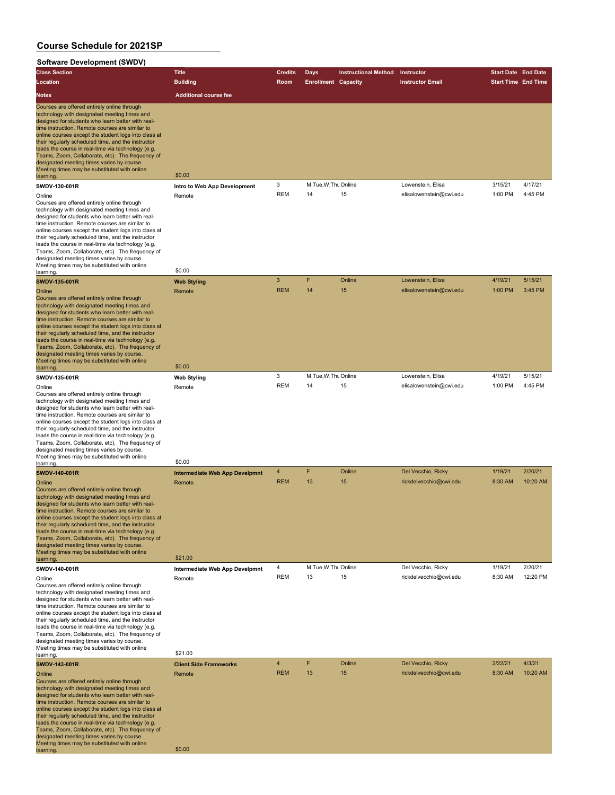#### **Software Development (SWDV)**

| oonware pevelopment (<br><b>Class Section</b>                                                                                                                                                                                                                                                                                                                                                                                                                                                                                                                            | <b>Title</b>                                               | <b>Credits</b>  | <b>Days</b>                | <b>Instructional Method</b> | Instructor                                   | <b>Start Date End Date</b> |                    |
|--------------------------------------------------------------------------------------------------------------------------------------------------------------------------------------------------------------------------------------------------------------------------------------------------------------------------------------------------------------------------------------------------------------------------------------------------------------------------------------------------------------------------------------------------------------------------|------------------------------------------------------------|-----------------|----------------------------|-----------------------------|----------------------------------------------|----------------------------|--------------------|
| Location                                                                                                                                                                                                                                                                                                                                                                                                                                                                                                                                                                 | <b>Building</b>                                            | Room            | <b>Enrollment Capacity</b> |                             | <b>Instructor Email</b>                      | <b>Start Time End Time</b> |                    |
|                                                                                                                                                                                                                                                                                                                                                                                                                                                                                                                                                                          |                                                            |                 |                            |                             |                                              |                            |                    |
| Notes                                                                                                                                                                                                                                                                                                                                                                                                                                                                                                                                                                    | <b>Additional course fee</b>                               |                 |                            |                             |                                              |                            |                    |
| Courses are offered entirely online through<br>technology with designated meeting times and<br>designed for students who learn better with real-<br>time instruction. Remote courses are similar to<br>online courses except the student logs into class at<br>their regularly scheduled time, and the instructor<br>leads the course in real-time via technology (e.g.<br>Teams, Zoom, Collaborate, etc). The frequency of<br>designated meeting times varies by course.<br>Meeting times may be substituted with online<br>learning.                                   | \$0.00                                                     |                 |                            |                             |                                              |                            |                    |
| SWDV-130-001R                                                                                                                                                                                                                                                                                                                                                                                                                                                                                                                                                            | Intro to Web App Development                               | 3               | M, Tue, W, Thu Online      |                             | Lowenstein, Elisa                            | 3/15/21                    | 4/17/21            |
| Online<br>Courses are offered entirely online through<br>technology with designated meeting times and<br>designed for students who learn better with real-<br>time instruction. Remote courses are similar to<br>online courses except the student logs into class at<br>their regularly scheduled time, and the instructor<br>leads the course in real-time via technology (e.g.<br>Teams, Zoom, Collaborate, etc). The frequency of<br>designated meeting times varies by course.<br>Meeting times may be substituted with online                                      | Remote                                                     | <b>REM</b>      | 14                         | 15                          | elisalowenstein@cwi.edu                      | 1:00 PM                    | 4:45 PM            |
| learning.                                                                                                                                                                                                                                                                                                                                                                                                                                                                                                                                                                | \$0.00                                                     |                 |                            |                             |                                              |                            |                    |
| SWDV-135-001R                                                                                                                                                                                                                                                                                                                                                                                                                                                                                                                                                            | <b>Web Styling</b>                                         | 3               | F                          | Online                      | Lowenstein, Elisa                            | 4/19/21                    | 5/15/21            |
| Online<br>Courses are offered entirely online through<br>technology with designated meeting times and<br>designed for students who learn better with real-<br>time instruction. Remote courses are similar to<br>online courses except the student logs into class at<br>their regularly scheduled time, and the instructor<br>leads the course in real-time via technology (e.g.<br>Teams, Zoom, Collaborate, etc). The frequency of<br>designated meeting times varies by course.<br>Meeting times may be substituted with online<br>learning.                         | Remote<br>\$0.00                                           | <b>REM</b>      | 14                         | 15                          | elisalowenstein@cwi.edu                      | 1:00 PM                    | 3:45 PM            |
| SWDV-135-001R                                                                                                                                                                                                                                                                                                                                                                                                                                                                                                                                                            | <b>Web Styling</b>                                         | 3               | M, Tue, W, Thu Online      |                             | Lowenstein, Elisa                            | 4/19/21                    | 5/15/21            |
| Online                                                                                                                                                                                                                                                                                                                                                                                                                                                                                                                                                                   | Remote                                                     | <b>REM</b>      | 14                         | 15                          | elisalowenstein@cwi.edu                      | 1:00 PM                    | 4:45 PM            |
| Courses are offered entirely online through<br>technology with designated meeting times and<br>designed for students who learn better with real-<br>time instruction. Remote courses are similar to<br>online courses except the student logs into class at<br>their regularly scheduled time, and the instructor<br>leads the course in real-time via technology (e.g.<br>Teams, Zoom, Collaborate, etc). The frequency of<br>designated meeting times varies by course.<br>Meeting times may be substituted with online                                                | \$0.00                                                     |                 |                            |                             |                                              |                            |                    |
| learning.                                                                                                                                                                                                                                                                                                                                                                                                                                                                                                                                                                |                                                            | 4               | F                          | Online                      | Del Vecchio, Ricky                           | 1/19/21                    | 2/20/21            |
| <b>SWDV-140-001R</b><br>Online<br>Courses are offered entirely online through<br>technology with designated meeting times and<br>designed for students who learn better with real-<br>time instruction. Remote courses are similar to<br>online courses except the student logs into class at<br>their regularly scheduled time, and the instructor<br>leads the course in real-time via technology (e.g.<br>Teams, Zoom, Collaborate, etc). The frequency of<br>designated meeting times varies by course.<br>Meeting times may be substituted with online<br>learning. | <b>Intermediate Web App Develpmnt</b><br>Remote<br>\$21.00 | <b>REM</b>      | 13                         | 15                          | rickdelvecchio@cwi.edu                       | 8:30 AM                    | 10:20 AM           |
| SWDV-140-001R                                                                                                                                                                                                                                                                                                                                                                                                                                                                                                                                                            | Intermediate Web App Develpmnt                             | 4               | M, Tue, W, Thu Online      |                             | Del Vecchio, Ricky                           | 1/19/21                    | 2/20/21            |
| Online<br>Courses are offered entirely online through<br>technology with designated meeting times and<br>designed for students who learn better with real-<br>time instruction. Remote courses are similar to<br>online courses except the student logs into class at<br>their regularly scheduled time, and the instructor<br>leads the course in real-time via technology (e.g.<br>Teams, Zoom, Collaborate, etc). The frequency of<br>designated meeting times varies by course.<br>Meeting times may be substituted with online                                      | Remote                                                     | <b>REM</b>      | 13                         | 15                          | rickdelvecchio@cwi.edu                       | 8:30 AM                    | 12:20 PM           |
| learning.                                                                                                                                                                                                                                                                                                                                                                                                                                                                                                                                                                | \$21.00                                                    |                 |                            |                             |                                              |                            |                    |
| <b>SWDV-143-001R</b><br>Online<br>Courses are offered entirely online through<br>technology with designated meeting times and<br>designed for students who learn better with real-<br>time instruction. Remote courses are similar to<br>online courses except the student logs into class at<br>their regularly scheduled time, and the instructor<br>leads the course in real-time via technology (e.g.<br>Teams, Zoom, Collaborate, etc). The frequency of<br>designated meeting times varies by course.<br>Meeting times may be substituted with online<br>learning. | <b>Client Side Frameworks</b><br>Remote<br>\$0.00          | 4<br><b>REM</b> | F<br>13                    | Online<br>15                | Del Vecchio, Ricky<br>rickdelvecchio@cwi.edu | 2/22/21<br>8:30 AM         | 4/3/21<br>10:20 AM |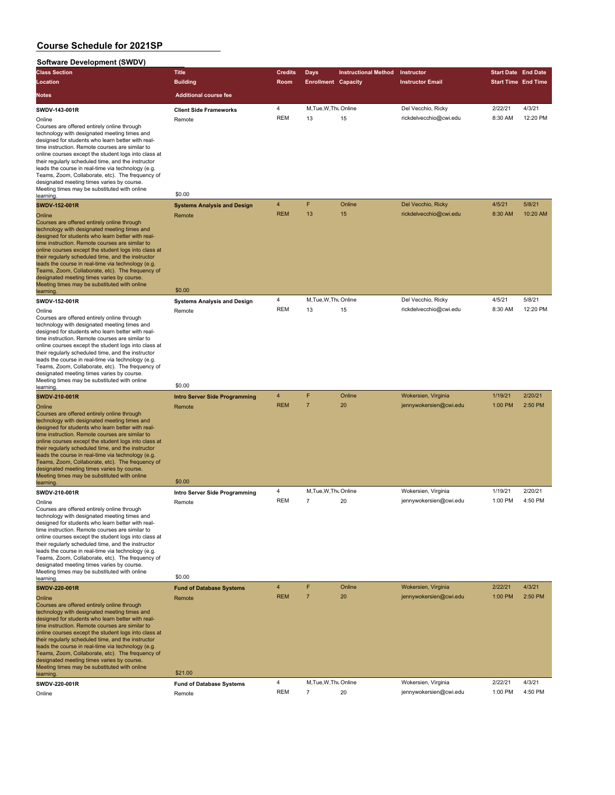#### **Software Development (SWDV)**

| <b>SOITMAIG DEAGIONIIGIII (SAADA)</b>                                                                                                                                                                                                                                                                                                                                                                                                                                                                                                                             |                                                        |                              |                                         |                             |                                               |                            |                    |
|-------------------------------------------------------------------------------------------------------------------------------------------------------------------------------------------------------------------------------------------------------------------------------------------------------------------------------------------------------------------------------------------------------------------------------------------------------------------------------------------------------------------------------------------------------------------|--------------------------------------------------------|------------------------------|-----------------------------------------|-----------------------------|-----------------------------------------------|----------------------------|--------------------|
| <b>Class Section</b>                                                                                                                                                                                                                                                                                                                                                                                                                                                                                                                                              | <b>Title</b>                                           | <b>Credits</b>               | Days                                    | <b>Instructional Method</b> | Instructor                                    | <b>Start Date</b> End Date |                    |
| Location                                                                                                                                                                                                                                                                                                                                                                                                                                                                                                                                                          | <b>Building</b>                                        | Room                         | <b>Enrollment Capacity</b>              |                             | <b>Instructor Email</b>                       | <b>Start Time End Time</b> |                    |
| Notes                                                                                                                                                                                                                                                                                                                                                                                                                                                                                                                                                             | <b>Additional course fee</b>                           |                              |                                         |                             |                                               |                            |                    |
| SWDV-143-001R                                                                                                                                                                                                                                                                                                                                                                                                                                                                                                                                                     | <b>Client Side Frameworks</b>                          | 4                            | M, Tue, W, Thu Online                   |                             | Del Vecchio, Ricky                            | 2/22/21                    | 4/3/21             |
| Online<br>Courses are offered entirely online through<br>technology with designated meeting times and<br>designed for students who learn better with real-<br>time instruction. Remote courses are similar to<br>online courses except the student logs into class at<br>their regularly scheduled time, and the instructor<br>leads the course in real-time via technology (e.g.<br>Teams, Zoom, Collaborate, etc). The frequency of<br>designated meeting times varies by course.<br>Meeting times may be substituted with online                               | Remote<br>\$0.00                                       | <b>REM</b>                   | 13                                      | 15                          | rickdelvecchio@cwi.edu                        | 8:30 AM                    | 12:20 PM           |
| learning.                                                                                                                                                                                                                                                                                                                                                                                                                                                                                                                                                         |                                                        | $\overline{4}$               | F                                       | Online                      | Del Vecchio, Ricky                            | 4/5/21                     | 5/8/21             |
| SWDV-152-001R<br>Online<br>Courses are offered entirely online through<br>technology with designated meeting times and<br>designed for students who learn better with real-<br>time instruction. Remote courses are similar to<br>online courses except the student logs into class at<br>their regularly scheduled time, and the instructor<br>leads the course in real-time via technology (e.g.<br>Teams, Zoom, Collaborate, etc). The frequency of<br>designated meeting times varies by course.<br>Meeting times may be substituted with online<br>learning. | <b>Systems Analysis and Design</b><br>Remote<br>\$0.00 | <b>REM</b>                   | 13                                      | 15                          | rickdelvecchio@cwi.edu                        | 8:30 AM                    | 10:20 AM           |
| SWDV-152-001R                                                                                                                                                                                                                                                                                                                                                                                                                                                                                                                                                     | <b>Systems Analysis and Design</b>                     | 4                            | M, Tue, W, Thu Online                   |                             | Del Vecchio, Ricky                            | 4/5/21                     | 5/8/21             |
| Online<br>Courses are offered entirely online through<br>technology with designated meeting times and<br>designed for students who learn better with real-<br>time instruction. Remote courses are similar to<br>online courses except the student logs into class at<br>their regularly scheduled time, and the instructor<br>leads the course in real-time via technology (e.g.<br>Teams, Zoom, Collaborate, etc). The frequency of<br>designated meeting times varies by course.<br>Meeting times may be substituted with online                               | Remote                                                 | <b>REM</b>                   | 13                                      | 15                          | rickdelvecchio@cwi.edu                        | 8:30 AM                    | 12:20 PM           |
| learning                                                                                                                                                                                                                                                                                                                                                                                                                                                                                                                                                          | \$0.00                                                 |                              | F                                       |                             |                                               |                            | 2/20/21            |
| SWDV-210-001R<br>Online<br>Courses are offered entirely online through<br>technology with designated meeting times and<br>designed for students who learn better with real-<br>time instruction. Remote courses are similar to<br>online courses except the student logs into class at<br>their regularly scheduled time, and the instructor<br>leads the course in real-time via technology (e.g.<br>Teams, Zoom, Collaborate, etc). The frequency of<br>designated meeting times varies by course.<br>Meeting times may be substituted with online              | <b>Intro Server Side Programming</b><br>Remote         | $\overline{4}$<br><b>REM</b> | $\overline{7}$                          | Online<br>20                | Wokersien, Virginia<br>jennywokersien@cwi.edu | 1/19/21<br>1:00 PM         | 2:50 PM            |
| learning.                                                                                                                                                                                                                                                                                                                                                                                                                                                                                                                                                         | \$0.00                                                 |                              |                                         |                             |                                               |                            |                    |
| SWDV-210-001R<br>Online<br>Courses are offered entirely online through<br>technology with designated meeting times and<br>designed for students who learn better with real-<br>time instruction. Remote courses are similar to<br>online courses except the student logs into class at<br>their regularly scheduled time, and the instructor<br>leads the course in real-time via technology (e.g.<br>Teams, Zoom, Collaborate, etc). The frequency of<br>designated meeting times varies by course.<br>Meeting times may be substituted with online              | Intro Server Side Programming<br>Remote                | 4<br><b>REM</b>              | M, Tue, W, Thu Online<br>$\overline{7}$ | 20                          | Wokersien, Virginia<br>jennywokersien@cwi.edu | 1/19/21<br>1:00 PM         | 2/20/21<br>4:50 PM |
| learning.                                                                                                                                                                                                                                                                                                                                                                                                                                                                                                                                                         | \$0.00                                                 |                              |                                         |                             |                                               |                            |                    |
| SWDV-220-001R<br>Online<br>Courses are offered entirely online through<br>technology with designated meeting times and<br>designed for students who learn better with real-<br>time instruction. Remote courses are similar to<br>online courses except the student logs into class at<br>their regularly scheduled time, and the instructor<br>leads the course in real-time via technology (e.g.<br>Teams, Zoom, Collaborate, etc). The frequency of<br>designated meeting times varies by course.<br>Meeting times may be substituted with online              | <b>Fund of Database Systems</b><br>Remote<br>\$21.00   | $\overline{4}$<br><b>REM</b> | F<br>$\overline{7}$                     | Online<br>20                | Wokersien, Virginia<br>jennywokersien@cwi.edu | 2/22/21<br>1:00 PM         | 4/3/21<br>2:50 PM  |
| learning.                                                                                                                                                                                                                                                                                                                                                                                                                                                                                                                                                         |                                                        |                              |                                         |                             |                                               |                            |                    |
| SWDV-220-001R<br>Online                                                                                                                                                                                                                                                                                                                                                                                                                                                                                                                                           | <b>Fund of Database Systems</b><br>Remote              | $\overline{4}$<br><b>REM</b> | M, Tue, W, Thu Online<br>$\overline{7}$ | 20                          | Wokersien, Virginia<br>jennywokersien@cwi.edu | 2/22/21<br>1:00 PM         | 4/3/21<br>4:50 PM  |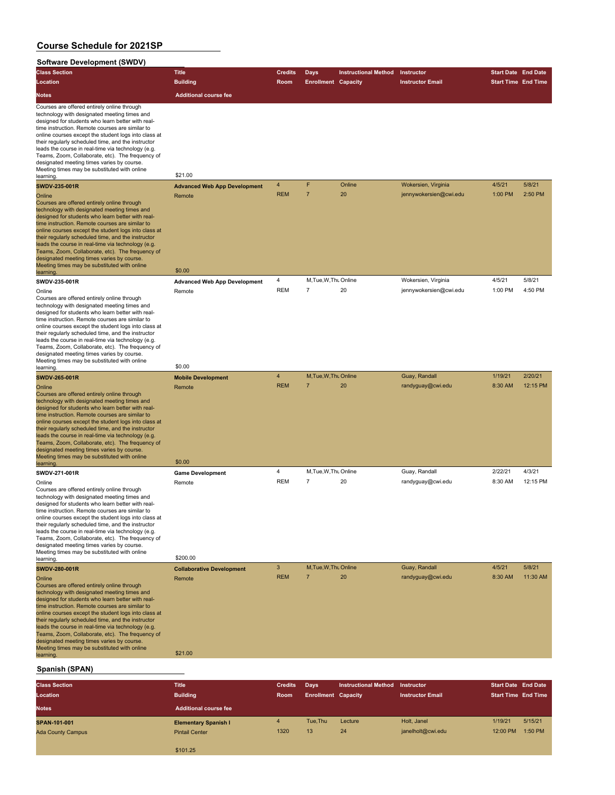#### **Software Development (SWDV)**

| oonmare perciopinent<br><b>Class Section</b>                                                                                                                                                                                                                                                                                                                                                                                                                                                                                                     | <b>Title</b>                                          | <b>Credits</b>  | Days                                 | <b>Instructional Method</b> | Instructor              | <b>Start Date End Date</b> |                    |
|--------------------------------------------------------------------------------------------------------------------------------------------------------------------------------------------------------------------------------------------------------------------------------------------------------------------------------------------------------------------------------------------------------------------------------------------------------------------------------------------------------------------------------------------------|-------------------------------------------------------|-----------------|--------------------------------------|-----------------------------|-------------------------|----------------------------|--------------------|
| Location                                                                                                                                                                                                                                                                                                                                                                                                                                                                                                                                         | <b>Building</b>                                       | Room            | <b>Enrollment Capacity</b>           |                             | <b>Instructor Email</b> | <b>Start Time End Time</b> |                    |
|                                                                                                                                                                                                                                                                                                                                                                                                                                                                                                                                                  | <b>Additional course fee</b>                          |                 |                                      |                             |                         |                            |                    |
| <b>Notes</b>                                                                                                                                                                                                                                                                                                                                                                                                                                                                                                                                     |                                                       |                 |                                      |                             |                         |                            |                    |
| Courses are offered entirely online through<br>technology with designated meeting times and<br>designed for students who learn better with real-<br>time instruction. Remote courses are similar to<br>online courses except the student logs into class at<br>their regularly scheduled time, and the instructor<br>leads the course in real-time via technology (e.g.<br>Teams, Zoom, Collaborate, etc). The frequency of<br>designated meeting times varies by course.<br>Meeting times may be substituted with online<br>learning.           | \$21.00                                               |                 |                                      |                             |                         |                            |                    |
| SWDV-235-001R                                                                                                                                                                                                                                                                                                                                                                                                                                                                                                                                    | <b>Advanced Web App Development</b>                   | 4               | F                                    | Online                      | Wokersien, Virginia     | 4/5/21                     | 5/8/21             |
| Online<br>Courses are offered entirely online through<br>technology with designated meeting times and<br>designed for students who learn better with real-<br>time instruction. Remote courses are similar to<br>online courses except the student logs into class at<br>their regularly scheduled time, and the instructor<br>leads the course in real-time via technology (e.g.<br>Teams, Zoom, Collaborate, etc). The frequency of<br>designated meeting times varies by course.<br>Meeting times may be substituted with online              | Remote                                                | <b>REM</b>      | $\overline{7}$                       | 20                          | jennywokersien@cwi.edu  | 1:00 PM                    | 2:50 PM            |
| learning.                                                                                                                                                                                                                                                                                                                                                                                                                                                                                                                                        | \$0.00                                                |                 |                                      |                             |                         |                            |                    |
| SWDV-235-001R                                                                                                                                                                                                                                                                                                                                                                                                                                                                                                                                    | <b>Advanced Web App Development</b>                   | 4               | M, Tue, W, Thu Online                |                             | Wokersien, Virginia     | 4/5/21                     | 5/8/21             |
| Online<br>Courses are offered entirely online through<br>technology with designated meeting times and<br>designed for students who learn better with real-<br>time instruction. Remote courses are similar to<br>online courses except the student logs into class at<br>their regularly scheduled time, and the instructor<br>leads the course in real-time via technology (e.g.<br>Teams, Zoom, Collaborate, etc). The frequency of<br>designated meeting times varies by course.<br>Meeting times may be substituted with online              | Remote                                                | <b>REM</b>      | $\overline{7}$                       | 20                          | jennywokersien@cwi.edu  | 1:00 PM                    | 4:50 PM            |
| learning.                                                                                                                                                                                                                                                                                                                                                                                                                                                                                                                                        | \$0.00                                                |                 |                                      |                             |                         |                            |                    |
| <b>SWDV-265-001R</b>                                                                                                                                                                                                                                                                                                                                                                                                                                                                                                                             | <b>Mobile Development</b>                             | 4               | M, Tue, W, Thu Online                |                             | Guay, Randall           | 1/19/21                    | 2/20/21            |
| Online<br>Courses are offered entirely online through<br>technology with designated meeting times and<br>designed for students who learn better with real-<br>time instruction. Remote courses are similar to<br>online courses except the student logs into class at<br>their regularly scheduled time, and the instructor<br>leads the course in real-time via technology (e.g.<br>Teams, Zoom, Collaborate, etc). The frequency of<br>designated meeting times varies by course.<br>Meeting times may be substituted with online              | Remote                                                | <b>REM</b>      | $\overline{7}$                       | 20                          | randyguay@cwi.edu       | 8:30 AM                    | 12:15 PM           |
| learning                                                                                                                                                                                                                                                                                                                                                                                                                                                                                                                                         | \$0.00                                                |                 |                                      |                             |                         |                            |                    |
| SWDV-271-001R                                                                                                                                                                                                                                                                                                                                                                                                                                                                                                                                    | <b>Game Development</b>                               | 4<br><b>REM</b> | M.Tue.W.ThL Online<br>$\overline{7}$ | 20                          | Guay, Randall           | 2/22/21<br>8:30 AM         | 4/3/21<br>12:15 PM |
| Online<br>Courses are offered entirely online through<br>technology with designated meeting times and<br>designed for students who learn better with real-<br>time instruction. Remote courses are similar to<br>online courses except the student logs into class at<br>their regularly scheduled time, and the instructor<br>leads the course in real-time via technology (e.g.<br>Teams, Zoom, Collaborate, etc). The frequency of<br>designated meeting times varies by course.<br>Meeting times may be substituted with online              | Remote<br>\$200.00                                    |                 |                                      |                             | randyguay@cwi.edu       |                            |                    |
| learning.<br>SWDV-280-001R                                                                                                                                                                                                                                                                                                                                                                                                                                                                                                                       |                                                       | 3               | M, Tue, W, Thu Online                |                             | Guay, Randall           | 4/5/21                     | 5/8/21             |
| Online<br>Courses are offered entirely online through<br>technology with designated meeting times and<br>designed for students who learn better with real-<br>time instruction. Remote courses are similar to<br>online courses except the student logs into class at<br>their regularly scheduled time, and the instructor<br>leads the course in real-time via technology (e.g.<br>Teams, Zoom, Collaborate, etc). The frequency of<br>designated meeting times varies by course.<br>Meeting times may be substituted with online<br>learning. | <b>Collaborative Development</b><br>Remote<br>\$21.00 | <b>REM</b>      | $\overline{7}$                       | 20                          | randyguay@cwi.edu       | 8:30 AM                    | 11:30 AM           |

#### **Spanish (SPAN)**

| <b>Class Section</b><br>Location<br><b>Notes</b> | <b>Title</b><br><b>Building</b><br><b>Additional course fee</b> | <b>Credits</b><br>Room | Days<br><b>Enrollment Capacity</b> | <b>Instructional Method</b> | Instructor<br><b>Instructor Email</b> | <b>Start Date End Date</b><br><b>Start Time End Time</b> |                    |
|--------------------------------------------------|-----------------------------------------------------------------|------------------------|------------------------------------|-----------------------------|---------------------------------------|----------------------------------------------------------|--------------------|
| SPAN-101-001<br><b>Ada County Campus</b>         | <b>Elementary Spanish I</b><br><b>Pintail Center</b>            | 4<br>1320              | Tue, Thu<br>13                     | Lecture<br>24               | Holt, Janel<br>janelholt@cwi.edu      | 1/19/21<br>12:00 PM                                      | 5/15/21<br>1:50 PM |
|                                                  | \$101.25                                                        |                        |                                    |                             |                                       |                                                          |                    |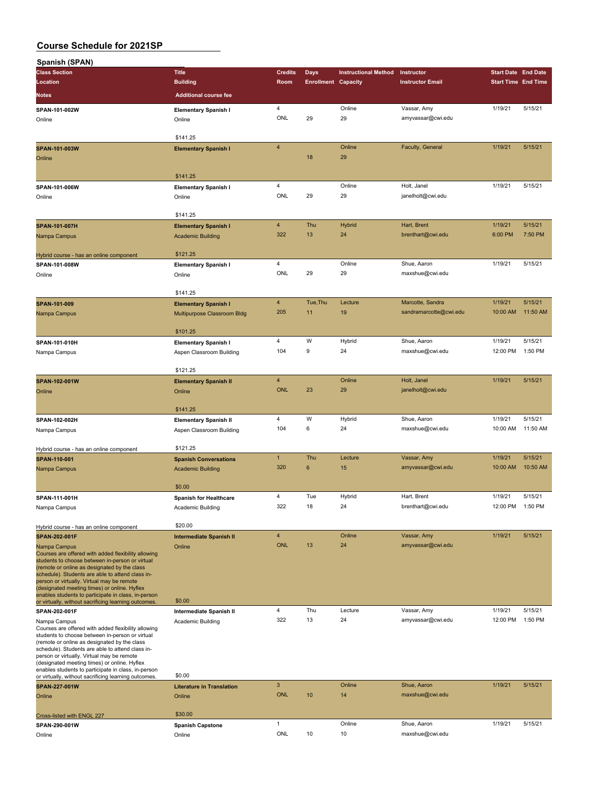| Spanish (SPAN)                                                                                         |                                   |                |                            |                             |                         |                            |          |
|--------------------------------------------------------------------------------------------------------|-----------------------------------|----------------|----------------------------|-----------------------------|-------------------------|----------------------------|----------|
| <b>Class Section</b>                                                                                   | <b>Title</b>                      | <b>Credits</b> | Days                       | <b>Instructional Method</b> | Instructor              | <b>Start Date End Date</b> |          |
| Location                                                                                               | <b>Building</b>                   | Room           | <b>Enrollment Capacity</b> |                             | <b>Instructor Email</b> | <b>Start Time End Time</b> |          |
| <b>Notes</b>                                                                                           | <b>Additional course fee</b>      |                |                            |                             |                         |                            |          |
|                                                                                                        |                                   |                |                            |                             |                         |                            |          |
| SPAN-101-002W                                                                                          | <b>Elementary Spanish I</b>       | 4              |                            | Online                      | Vassar, Amy             | 1/19/21                    | 5/15/21  |
| Online                                                                                                 | Online                            | ONL            | 29                         | 29                          | amyvassar@cwi.edu       |                            |          |
|                                                                                                        |                                   |                |                            |                             |                         |                            |          |
|                                                                                                        | \$141.25                          |                |                            |                             |                         |                            |          |
| SPAN-101-003W                                                                                          | <b>Elementary Spanish I</b>       | $\overline{4}$ | 18                         | Online<br>29                | Faculty, General        | 1/19/21                    | 5/15/21  |
| Online                                                                                                 |                                   |                |                            |                             |                         |                            |          |
|                                                                                                        | \$141.25                          |                |                            |                             |                         |                            |          |
|                                                                                                        |                                   | 4              |                            | Online                      | Holt, Janel             | 1/19/21                    | 5/15/21  |
| SPAN-101-006W                                                                                          | <b>Elementary Spanish I</b>       | ONL            | 29                         | 29                          | janelholt@cwi.edu       |                            |          |
| Online                                                                                                 | Online                            |                |                            |                             |                         |                            |          |
|                                                                                                        | \$141.25                          |                |                            |                             |                         |                            |          |
| SPAN-101-007H                                                                                          | <b>Elementary Spanish I</b>       | $\overline{4}$ | Thu                        | <b>Hybrid</b>               | Hart, Brent             | 1/19/21                    | 5/15/21  |
| Nampa Campus                                                                                           | <b>Academic Building</b>          | 322            | 13                         | 24                          | brenthart@cwi.edu       | 6:00 PM                    | 7:50 PM  |
|                                                                                                        |                                   |                |                            |                             |                         |                            |          |
| Hybrid course - has an online component                                                                | \$121.25                          |                |                            |                             |                         |                            |          |
| SPAN-101-008W                                                                                          | <b>Elementary Spanish I</b>       | 4              |                            | Online                      | Shue, Aaron             | 1/19/21                    | 5/15/21  |
| Online                                                                                                 | Online                            | ONL            | 29                         | 29                          | maxshue@cwi.edu         |                            |          |
|                                                                                                        |                                   |                |                            |                             |                         |                            |          |
|                                                                                                        | \$141.25                          |                |                            |                             |                         |                            |          |
| SPAN-101-009                                                                                           | <b>Elementary Spanish I</b>       | 4              | Tue, Thu                   | Lecture                     | Marcotte, Sandra        | 1/19/21                    | 5/15/21  |
| Nampa Campus                                                                                           | Multipurpose Classroom Bldg       | 205            | 11                         | 19                          | sandramarcotte@cwi.edu  | 10:00 AM                   | 11:50 AM |
|                                                                                                        |                                   |                |                            |                             |                         |                            |          |
|                                                                                                        | \$101.25                          |                |                            |                             |                         |                            |          |
| SPAN-101-010H                                                                                          | <b>Elementary Spanish I</b>       | 4              | W                          | Hybrid                      | Shue, Aaron             | 1/19/21                    | 5/15/21  |
| Nampa Campus                                                                                           | Aspen Classroom Building          | 104            | 9                          | 24                          | maxshue@cwi.edu         | 12:00 PM                   | 1:50 PM  |
|                                                                                                        |                                   |                |                            |                             |                         |                            |          |
|                                                                                                        | \$121.25                          |                |                            |                             |                         |                            |          |
| SPAN-102-001W                                                                                          | <b>Elementary Spanish II</b>      | $\overline{4}$ |                            | Online                      | Holt, Janel             | 1/19/21                    | 5/15/21  |
| Online                                                                                                 | Online                            | <b>ONL</b>     | 23                         | 29                          | janelholt@cwi.edu       |                            |          |
|                                                                                                        |                                   |                |                            |                             |                         |                            |          |
|                                                                                                        | \$141.25                          |                |                            |                             |                         |                            |          |
| SPAN-102-002H                                                                                          | <b>Elementary Spanish II</b>      | 4              | W                          | Hybrid                      | Shue, Aaron             | 1/19/21                    | 5/15/21  |
| Nampa Campus                                                                                           | Aspen Classroom Building          | 104            | 6                          | 24                          | maxshue@cwi.edu         | 10:00 AM                   | 11:50 AM |
|                                                                                                        |                                   |                |                            |                             |                         |                            |          |
| Hybrid course - has an online component                                                                | \$121.25                          |                |                            |                             |                         |                            |          |
| SPAN-110-001                                                                                           | <b>Spanish Conversations</b>      | $\mathbf{1}$   | Thu                        | Lecture                     | Vassar, Amy             | 1/19/21                    | 5/15/21  |
| Nampa Campus                                                                                           | <b>Academic Building</b>          | 320            | 6                          | 15                          | amyvassar@cwi.edu       | 10:00 AM                   | 10:50 AM |
|                                                                                                        |                                   |                |                            |                             |                         |                            |          |
|                                                                                                        | \$0.00                            |                |                            |                             |                         |                            |          |
| SPAN-111-001H                                                                                          | <b>Spanish for Healthcare</b>     | 4              | Tue                        | Hybrid                      | Hart, Brent             | 1/19/21                    | 5/15/21  |
| Nampa Campus                                                                                           | Academic Building                 | 322            | 18                         | 24                          | brenthart@cwi.edu       | 12:00 PM                   | 1:50 PM  |
|                                                                                                        |                                   |                |                            |                             |                         |                            |          |
| Hybrid course - has an online component                                                                | \$20.00                           |                |                            |                             |                         |                            |          |
| SPAN-202-001F                                                                                          | <b>Intermediate Spanish II</b>    | $\overline{4}$ |                            | Online                      | Vassar, Amy             | 1/19/21                    | 5/15/21  |
| Nampa Campus                                                                                           | Online                            | <b>ONL</b>     | 13                         | 24                          | amyvassar@cwi.edu       |                            |          |
| Courses are offered with added flexibility allowing<br>students to choose between in-person or virtual |                                   |                |                            |                             |                         |                            |          |
| (remote or online as designated by the class                                                           |                                   |                |                            |                             |                         |                            |          |
| schedule). Students are able to attend class in-                                                       |                                   |                |                            |                             |                         |                            |          |
| person or virtually. Virtual may be remote<br>(designated meeting times) or online. Hyflex             |                                   |                |                            |                             |                         |                            |          |
| enables students to participate in class, in-person                                                    |                                   |                |                            |                             |                         |                            |          |
| or virtually, without sacrificing learning outcomes.                                                   | \$0.00                            |                |                            |                             |                         |                            | 5/15/21  |
| SPAN-202-001F                                                                                          | Intermediate Spanish II           | 4              | Thu                        | Lecture                     | Vassar, Amy             | 1/19/21                    |          |
| Nampa Campus<br>Courses are offered with added flexibility allowing                                    | Academic Building                 | 322            | 13                         | 24                          | amyvassar@cwi.edu       | 12:00 PM                   | 1:50 PM  |
| students to choose between in-person or virtual                                                        |                                   |                |                            |                             |                         |                            |          |
| (remote or online as designated by the class                                                           |                                   |                |                            |                             |                         |                            |          |
| schedule). Students are able to attend class in-<br>person or virtually. Virtual may be remote         |                                   |                |                            |                             |                         |                            |          |
| (designated meeting times) or online. Hyflex                                                           |                                   |                |                            |                             |                         |                            |          |
| enables students to participate in class, in-person                                                    | \$0.00                            |                |                            |                             |                         |                            |          |
| or virtually, without sacrificing learning outcomes.                                                   |                                   | 3              |                            | Online                      |                         |                            |          |
| SPAN-227-001W                                                                                          | <b>Literature in Translation</b>  |                |                            |                             | Shue, Aaron             | 1/19/21                    | 5/15/21  |
| Online                                                                                                 | Online                            | <b>ONL</b>     | 10                         | 14                          | maxshue@cwi.edu         |                            |          |
|                                                                                                        | \$30.00                           |                |                            |                             |                         |                            |          |
| Cross-listed with ENGL 227                                                                             |                                   | 1              |                            | Online                      | Shue, Aaron             | 1/19/21                    | 5/15/21  |
| SPAN-290-001W<br>Online                                                                                | <b>Spanish Capstone</b><br>Online | ONL            | 10                         | 10                          | maxshue@cwi.edu         |                            |          |
|                                                                                                        |                                   |                |                            |                             |                         |                            |          |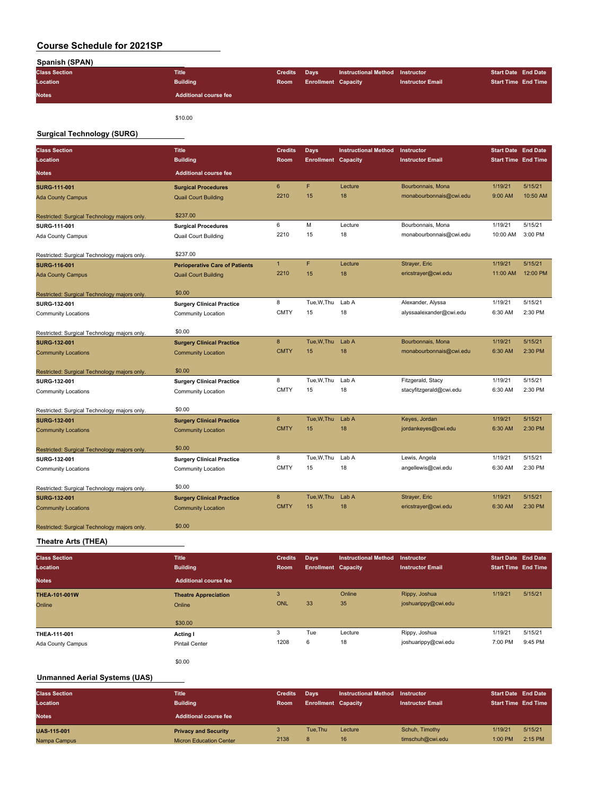| Spanish (SPAN)       |                              |                |                            |                                 |                         |                            |  |
|----------------------|------------------------------|----------------|----------------------------|---------------------------------|-------------------------|----------------------------|--|
| <b>Class Section</b> | Title                        | <b>Credits</b> | Davs                       | Instructional Method Instructor |                         | <b>Start Date End Date</b> |  |
| Location             | <b>Building</b>              | <b>Room</b>    | <b>Enrollment Capacity</b> |                                 | <b>Instructor Email</b> | <b>Start Time End Time</b> |  |
| <b>Notes</b>         | <b>Additional course fee</b> |                |                            |                                 |                         |                            |  |

\$10.00

#### **Surgical Technology (SURG)**

| <b>Class Section</b>                         | <b>Title</b>                          | <b>Credits</b>  | <b>Days</b>                | <b>Instructional Method</b> | Instructor              | <b>Start Date End Date</b> |          |
|----------------------------------------------|---------------------------------------|-----------------|----------------------------|-----------------------------|-------------------------|----------------------------|----------|
| Location                                     | <b>Building</b>                       | Room            | <b>Enrollment Capacity</b> |                             | <b>Instructor Email</b> | <b>Start Time End Time</b> |          |
| Notes                                        | <b>Additional course fee</b>          |                 |                            |                             |                         |                            |          |
| <b>SURG-111-001</b>                          | <b>Surgical Procedures</b>            | $6\overline{6}$ | F                          | Lecture                     | Bourbonnais, Mona       | 1/19/21                    | 5/15/21  |
| <b>Ada County Campus</b>                     | <b>Quail Court Building</b>           | 2210            | 15                         | 18                          | monabourbonnais@cwi.edu | 9:00 AM                    | 10:50 AM |
| Restricted: Surgical Technology majors only. | \$237.00                              |                 |                            |                             |                         |                            |          |
| SURG-111-001                                 | <b>Surgical Procedures</b>            | 6               | M                          | Lecture                     | Bourbonnais, Mona       | 1/19/21                    | 5/15/21  |
| Ada County Campus                            | <b>Quail Court Building</b>           | 2210            | 15                         | 18                          | monabourbonnais@cwi.edu | 10:00 AM                   | 3:00 PM  |
| Restricted: Surgical Technology majors only. | \$237.00                              |                 |                            |                             |                         |                            |          |
| <b>SURG-116-001</b>                          | <b>Perioperative Care of Patients</b> | $\mathbf{1}$    | F                          | Lecture                     | Strayer, Eric           | 1/19/21                    | 5/15/21  |
| <b>Ada County Campus</b>                     | <b>Quail Court Building</b>           | 2210            | 15                         | 18                          | ericstrayer@cwi.edu     | 11:00 AM                   | 12:00 PM |
| Restricted: Surgical Technology majors only. | \$0.00                                |                 |                            |                             |                         |                            |          |
| SURG-132-001                                 | <b>Surgery Clinical Practice</b>      | 8               | Tue, W, Thu                | Lab A                       | Alexander, Alyssa       | 1/19/21                    | 5/15/21  |
| <b>Community Locations</b>                   | Community Location                    | <b>CMTY</b>     | 15                         | 18                          | alyssaalexander@cwi.edu | 6:30 AM                    | 2:30 PM  |
| Restricted: Surgical Technology majors only. | \$0.00                                |                 |                            |                             |                         |                            |          |
| <b>SURG-132-001</b>                          | <b>Surgery Clinical Practice</b>      | 8               | Tue, W, Thu                | Lab A                       | Bourbonnais, Mona       | 1/19/21                    | 5/15/21  |
| <b>Community Locations</b>                   | <b>Community Location</b>             | <b>CMTY</b>     | 15                         | 18                          | monabourbonnais@cwi.edu | 6:30 AM                    | 2:30 PM  |
| Restricted: Surgical Technology majors only. | \$0.00                                |                 |                            |                             |                         |                            |          |
| SURG-132-001                                 | <b>Surgery Clinical Practice</b>      | 8               | Tue, W, Thu                | Lab A                       | Fitzgerald, Stacy       | 1/19/21                    | 5/15/21  |
| <b>Community Locations</b>                   | Community Location                    | <b>CMTY</b>     | 15                         | 18                          | stacyfitzgerald@cwi.edu | 6:30 AM                    | 2:30 PM  |
| Restricted: Surgical Technology majors only. | \$0.00                                |                 |                            |                             |                         |                            |          |
| <b>SURG-132-001</b>                          | <b>Surgery Clinical Practice</b>      | 8               | Tue, W, Thu                | Lab A                       | Keyes, Jordan           | 1/19/21                    | 5/15/21  |
| <b>Community Locations</b>                   | <b>Community Location</b>             | <b>CMTY</b>     | 15                         | 18                          | jordankeyes@cwi.edu     | 6:30 AM                    | 2:30 PM  |
| Restricted: Surgical Technology majors only. | \$0.00                                |                 |                            |                             |                         |                            |          |
| SURG-132-001                                 | <b>Surgery Clinical Practice</b>      | 8               | Tue, W, Thu                | Lab A                       | Lewis, Angela           | 1/19/21                    | 5/15/21  |
| <b>Community Locations</b>                   | Community Location                    | <b>CMTY</b>     | 15                         | 18                          | angellewis@cwi.edu      | 6:30 AM                    | 2:30 PM  |
| Restricted: Surgical Technology majors only. | \$0.00                                |                 |                            |                             |                         |                            |          |
| <b>SURG-132-001</b>                          | <b>Surgery Clinical Practice</b>      | 8               | Tue, W, Thu                | Lab A                       | Strayer, Eric           | 1/19/21                    | 5/15/21  |
| <b>Community Locations</b>                   | <b>Community Location</b>             | <b>CMTY</b>     | 15                         | 18                          | ericstrayer@cwi.edu     | 6:30 AM                    | 2:30 PM  |
| Restricted: Surgical Technology majors only. | \$0.00                                |                 |                            |                             |                         |                            |          |

#### **Theatre Arts (THEA)**

| <b>Class Section</b> | <b>Title</b>                | <b>Credits</b> | Days                       | <b>Instructional Method</b> | Instructor              | <b>Start Date End Date</b> |         |
|----------------------|-----------------------------|----------------|----------------------------|-----------------------------|-------------------------|----------------------------|---------|
| Location             | <b>Building</b>             | Room           | <b>Enrollment Capacity</b> |                             | <b>Instructor Email</b> | <b>Start Time End Time</b> |         |
| <b>Notes</b>         | Additional course fee       |                |                            |                             |                         |                            |         |
| THEA-101-001W        | <b>Theatre Appreciation</b> | 3              |                            | Online                      | Rippy, Joshua           | 1/19/21                    | 5/15/21 |
| Online               | Online                      | <b>ONL</b>     | 33                         | 35                          | joshuarippy@cwi.edu     |                            |         |
|                      | \$30.00                     |                |                            |                             |                         |                            |         |
| THEA-111-001         | <b>Acting I</b>             | 3              | Tue                        | Lecture                     | Rippy, Joshua           | 1/19/21                    | 5/15/21 |
| Ada County Campus    | <b>Pintail Center</b>       | 1208           | 6                          | 18                          | joshuarippy@cwi.edu     | 7:00 PM                    | 9:45 PM |
|                      |                             |                |                            |                             |                         |                            |         |

#### **Unmanned Aerial Systems (UAS)**

\$0.00

| <b>Class Section</b> | <b>Title</b>                   | <b>Credits</b> | <b>Davs</b>                | <b>Instructional Method</b> | Instructor              | <b>Start Date End Date</b> |         |
|----------------------|--------------------------------|----------------|----------------------------|-----------------------------|-------------------------|----------------------------|---------|
| Location             | <b>Building</b>                | <b>Room</b>    | <b>Enrollment Capacity</b> |                             | <b>Instructor Email</b> | <b>Start Time End Time</b> |         |
| <b>Notes</b>         | <b>Additional course fee</b>   |                |                            |                             |                         |                            |         |
| <b>UAS-115-001</b>   | <b>Privacy and Security</b>    |                | Tue.Thu                    | Lecture                     | Schuh, Timothy          | 1/19/21                    | 5/15/21 |
| Nampa Campus         | <b>Micron Education Center</b> | 2138           |                            | 16                          | timschuh@cwi.edu        | 1:00 PM                    | 2:15 PM |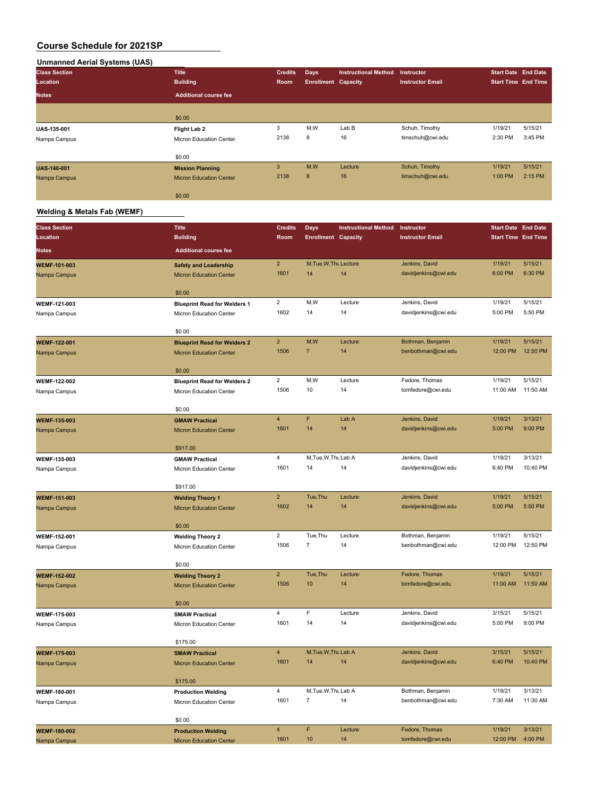# **Unmanned Aerial Systems (UAS)**

| <b>Class Section</b> | <b>Title</b>                   | <b>Credits</b> | <b>Days</b>                | <b>Instructional Method</b> | Instructor              | <b>Start Date End Date</b> |         |
|----------------------|--------------------------------|----------------|----------------------------|-----------------------------|-------------------------|----------------------------|---------|
| Location             | <b>Building</b>                | Room           | <b>Enrollment Capacity</b> |                             | <b>Instructor Email</b> | <b>Start Time End Time</b> |         |
| <b>Notes</b>         | <b>Additional course fee</b>   |                |                            |                             |                         |                            |         |
|                      |                                |                |                            |                             |                         |                            |         |
|                      | \$0.00                         |                |                            |                             |                         |                            |         |
| <b>UAS-135-001</b>   | Flight Lab 2                   | 3              | M,W                        | Lab B                       | Schuh, Timothy          | 1/19/21                    | 5/15/21 |
| Nampa Campus         | <b>Micron Education Center</b> | 2138           | 8                          | 16                          | timschuh@cwi.edu        | 2:30 PM                    | 3:45 PM |
|                      | \$0.00                         |                |                            |                             |                         |                            |         |
| <b>UAS-140-001</b>   | <b>Mission Planning</b>        | 3              | M,W                        | Lecture                     | Schuh, Timothy          | 1/19/21                    | 5/15/21 |
| Nampa Campus         | <b>Micron Education Center</b> | 2138           | 8                          | 16                          | timschuh@cwi.edu        | 1:00 PM                    | 2:15 PM |
|                      | \$0.00                         |                |                            |                             |                         |                            |         |

# **Welding & Metals Fab (WEMF)**

| <b>Class Section</b> | <b>Title</b>                                     | <b>Credits</b>          | <b>Days</b>                | <b>Instructional Method</b> | Instructor                              | <b>Start Date End Date</b> |                     |
|----------------------|--------------------------------------------------|-------------------------|----------------------------|-----------------------------|-----------------------------------------|----------------------------|---------------------|
| Location             | <b>Building</b>                                  | Room                    | <b>Enrollment Capacity</b> |                             | <b>Instructor Email</b>                 | <b>Start Time End Time</b> |                     |
| <b>Notes</b>         | <b>Additional course fee</b>                     |                         |                            |                             |                                         |                            |                     |
|                      |                                                  |                         |                            |                             |                                         |                            |                     |
| <b>WEMF-101-003</b>  | <b>Safety and Leadership</b>                     | $\overline{\mathbf{c}}$ | M, Tue, W, Thu Lecture     |                             | Jenkins, David                          | 1/19/21                    | 5/15/21             |
| Nampa Campus         | <b>Micron Education Center</b>                   | 1601                    | 14                         | 14                          | davidjenkins@cwi.edu                    | 6:00 PM                    | 6:30 PM             |
|                      | \$0.00                                           |                         |                            |                             |                                         |                            |                     |
| WEMF-121-003         | <b>Blueprint Read for Welders 1</b>              | $\overline{\mathbf{c}}$ | M,W                        | Lecture                     | Jenkins, David                          | 1/19/21                    | 5/15/21             |
| Nampa Campus         | Micron Education Center                          | 1602                    | 14                         | 14                          | davidjenkins@cwi.edu                    | 5:00 PM                    | 5:50 PM             |
|                      | \$0.00                                           |                         |                            |                             |                                         |                            |                     |
| <b>WEMF-122-001</b>  | <b>Blueprint Read for Welders 2</b>              | $\overline{\mathbf{c}}$ | M,W                        | Lecture                     | Bothman, Benjamin                       | 1/19/21                    | 5/15/21             |
| Nampa Campus         | <b>Micron Education Center</b>                   | 1506                    | $\overline{7}$             | 14                          | benbothman@cwi.edu                      | 12:00 PM                   | 12:50 PM            |
|                      |                                                  |                         |                            |                             |                                         |                            |                     |
|                      | \$0.00                                           |                         |                            |                             |                                         |                            |                     |
| <b>WEMF-122-002</b>  | <b>Blueprint Read for Welders 2</b>              | $\mathbf 2$             | M, W                       | Lecture                     | Fedore, Thomas                          | 1/19/21                    | 5/15/21             |
| Nampa Campus         | Micron Education Center                          | 1506                    | 10                         | 14                          | tomfedore@cwi.edu                       | 11:00 AM                   | 11:50 AM            |
|                      | \$0.00                                           |                         |                            |                             |                                         |                            |                     |
| <b>WEMF-135-003</b>  | <b>GMAW Practical</b>                            | 4                       | F                          | Lab A                       | Jenkins, David                          | 1/19/21                    | 3/13/21             |
| Nampa Campus         | <b>Micron Education Center</b>                   | 1601                    | 14                         | 14                          | davidjenkins@cwi.edu                    | 5:00 PM                    | 9:00 PM             |
|                      |                                                  |                         |                            |                             |                                         |                            |                     |
|                      | \$917.00                                         |                         |                            |                             |                                         |                            |                     |
| WEMF-135-003         | <b>GMAW Practical</b>                            | $\overline{4}$          | M, Tue, W, Thu Lab A       |                             | Jenkins, David                          | 1/19/21                    | 3/13/21             |
| Nampa Campus         | Micron Education Center                          | 1601                    | 14                         | 14                          | davidjenkins@cwi.edu                    | 6:40 PM                    | 10:40 PM            |
|                      | \$917.00                                         |                         |                            |                             |                                         |                            |                     |
| <b>WEMF-151-003</b>  | <b>Welding Theory 1</b>                          | $\overline{2}$          | Tue, Thu                   | Lecture                     | Jenkins, David                          | 1/19/21                    | 5/15/21             |
| Nampa Campus         | <b>Micron Education Center</b>                   | 1602                    | 14                         | 14                          | davidjenkins@cwi.edu                    | 5:00 PM                    | 5:50 PM             |
|                      |                                                  |                         |                            |                             |                                         |                            |                     |
|                      | \$0.00                                           | $\overline{2}$          |                            |                             |                                         |                            |                     |
| WEMF-152-001         | <b>Welding Theory 2</b>                          | 1506                    | Tue, Thu<br>$\overline{7}$ | Lecture<br>14               | Bothman, Benjamin<br>benbothman@cwi.edu | 1/19/21<br>12:00 PM        | 5/15/21<br>12:50 PM |
| Nampa Campus         | Micron Education Center                          |                         |                            |                             |                                         |                            |                     |
|                      | \$0.00                                           |                         |                            |                             |                                         |                            |                     |
| WEMF-152-002         | <b>Welding Theory 2</b>                          | $\overline{2}$          | Tue, Thu                   | Lecture                     | Fedore, Thomas                          | 1/19/21                    | 5/15/21             |
| Nampa Campus         | <b>Micron Education Center</b>                   | 1506                    | 10                         | 14                          | tomfedore@cwi.edu                       | 11:00 AM                   | 11:50 AM            |
|                      |                                                  |                         |                            |                             |                                         |                            |                     |
|                      | \$0.00                                           | 4                       | F                          | Lecture                     | Jenkins, David                          | 3/15/21                    | 5/15/21             |
| WEMF-175-003         | <b>SMAW Practical</b><br>Micron Education Center | 1601                    | 14                         | 14                          | davidjenkins@cwi.edu                    | 5:00 PM                    | 9:00 PM             |
| Nampa Campus         |                                                  |                         |                            |                             |                                         |                            |                     |
|                      | \$175.00                                         |                         |                            |                             |                                         |                            |                     |
| WEMF-175-003         | <b>SMAW Practical</b>                            | $\overline{4}$          | M, Tue, W, Thu Lab A       |                             | Jenkins, David                          | 3/15/21                    | 5/15/21             |
| Nampa Campus         | <b>Micron Education Center</b>                   | 1601                    | 14                         | 14                          | davidjenkins@cwi.edu                    | 6:40 PM                    | 10:40 PM            |
|                      | \$175.00                                         |                         |                            |                             |                                         |                            |                     |
| WEMF-180-001         | <b>Production Welding</b>                        | 4                       | M, Tue, W, Thu Lab A       |                             | Bothman, Benjamin                       | 1/19/21                    | 3/13/21             |
| Nampa Campus         | Micron Education Center                          | 1601                    | $\overline{7}$             | 14                          | benbothman@cwi.edu                      | 7:30 AM                    | 11:30 AM            |
|                      |                                                  |                         |                            |                             |                                         |                            |                     |
|                      | \$0.00                                           |                         |                            |                             |                                         |                            |                     |
| <b>WEMF-180-002</b>  | <b>Production Welding</b>                        | 4                       | F                          | Lecture                     | Fedore, Thomas                          | 1/19/21                    | 3/13/21             |
| Nampa Campus         | <b>Micron Education Center</b>                   | 1601                    | 10                         | 14                          | tomfedore@cwi.edu                       | 12:00 PM                   | 4:00 PM             |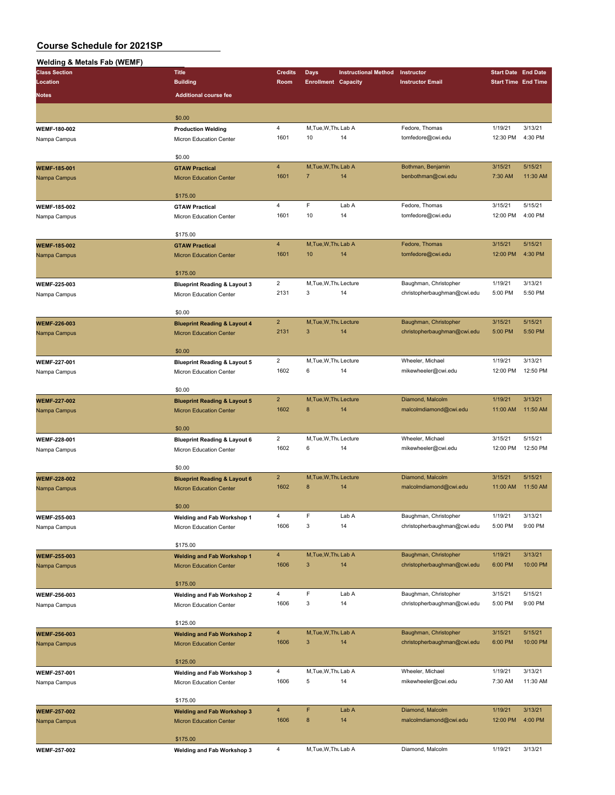| Course Scriedule for ZUZTSP |  |
|-----------------------------|--|
|                             |  |
| Welding & Metals Fab (WEMF) |  |

 $\overline{\phantom{0}}$ 

| <b>MAGIOILIA &amp; MAGIOIS I GD (MATIMIL</b> |                                         |                |                            |                             |                             |                            |          |
|----------------------------------------------|-----------------------------------------|----------------|----------------------------|-----------------------------|-----------------------------|----------------------------|----------|
| <b>Class Section</b>                         | <b>Title</b>                            | <b>Credits</b> | <b>Days</b>                | <b>Instructional Method</b> | Instructor                  | <b>Start Date End Date</b> |          |
| Location                                     | <b>Building</b>                         | Room           | <b>Enrollment Capacity</b> |                             | <b>Instructor Email</b>     | <b>Start Time End Time</b> |          |
| Notes                                        | <b>Additional course fee</b>            |                |                            |                             |                             |                            |          |
|                                              |                                         |                |                            |                             |                             |                            |          |
|                                              | \$0.00                                  |                |                            |                             |                             |                            |          |
| WEMF-180-002                                 | <b>Production Welding</b>               | 4              | M.Tue.W.Thu Lab A          |                             | Fedore, Thomas              | 1/19/21                    | 3/13/21  |
| Nampa Campus                                 | Micron Education Center                 | 1601           | 10                         | 14                          | tomfedore@cwi.edu           | 12:30 PM                   | 4:30 PM  |
|                                              |                                         |                |                            |                             |                             |                            |          |
|                                              | \$0.00                                  |                |                            |                             |                             |                            |          |
| <b>WEMF-185-001</b>                          | <b>GTAW Practical</b>                   | $\overline{4}$ | M, Tue, W, Thu Lab A       |                             | Bothman, Benjamin           | 3/15/21                    | 5/15/21  |
| Nampa Campus                                 | <b>Micron Education Center</b>          | 1601           | $\overline{7}$             | 14                          | benbothman@cwi.edu          | 7:30 AM                    | 11:30 AM |
|                                              |                                         |                |                            |                             |                             |                            |          |
|                                              | \$175.00                                |                |                            |                             |                             |                            |          |
| <b>WEMF-185-002</b>                          | <b>GTAW Practical</b>                   | 4              | F                          | Lab A                       | Fedore, Thomas              | 3/15/21                    | 5/15/21  |
| Nampa Campus                                 | Micron Education Center                 | 1601           | 10                         | 14                          | tomfedore@cwi.edu           | 12:00 PM                   | 4:00 PM  |
|                                              |                                         |                |                            |                             |                             |                            |          |
|                                              | \$175.00                                |                |                            |                             |                             |                            |          |
| <b>WEMF-185-002</b>                          | <b>GTAW Practical</b>                   | $\overline{4}$ | M, Tue, W, Thu Lab A       |                             | Fedore, Thomas              | 3/15/21                    | 5/15/21  |
| Nampa Campus                                 | <b>Micron Education Center</b>          | 1601           | 10                         | 14                          | tomfedore@cwi.edu           | 12:00 PM                   | 4:30 PM  |
|                                              |                                         |                |                            |                             |                             |                            |          |
|                                              | \$175.00                                |                |                            |                             |                             |                            |          |
| WEMF-225-003                                 | <b>Blueprint Reading &amp; Layout 3</b> | 2              | M, Tue, W, Thu Lecture     |                             | Baughman, Christopher       | 1/19/21                    | 3/13/21  |
| Nampa Campus                                 | Micron Education Center                 | 2131           | 3                          | 14                          | christopherbaughman@cwi.edu | 5:00 PM                    | 5:50 PM  |
|                                              |                                         |                |                            |                             |                             |                            |          |
|                                              | \$0.00                                  |                |                            |                             |                             |                            |          |
| <b>WEMF-226-003</b>                          | <b>Blueprint Reading &amp; Layout 4</b> | $\overline{2}$ | M, Tue, W, Thu Lecture     |                             | Baughman, Christopher       | 3/15/21                    | 5/15/21  |
| Nampa Campus                                 | <b>Micron Education Center</b>          | 2131           | 3                          | 14                          | christopherbaughman@cwi.edu | 5:00 PM                    | 5:50 PM  |
|                                              |                                         |                |                            |                             |                             |                            |          |
|                                              | \$0.00                                  |                |                            |                             |                             |                            |          |
| WEMF-227-001                                 | <b>Blueprint Reading &amp; Layout 5</b> | 2              | M, Tue, W, Thu Lecture     |                             | Wheeler, Michael            | 1/19/21                    | 3/13/21  |
| Nampa Campus                                 | Micron Education Center                 | 1602           | 6                          | 14                          | mikewheeler@cwi.edu         | 12:00 PM                   | 12:50 PM |
|                                              |                                         |                |                            |                             |                             |                            |          |
|                                              | \$0.00                                  |                |                            |                             |                             |                            |          |
| <b>WEMF-227-002</b>                          | <b>Blueprint Reading &amp; Layout 5</b> | $\overline{2}$ | M, Tue, W, Thu Lecture     |                             | Diamond, Malcolm            | 1/19/21                    | 3/13/21  |
| Nampa Campus                                 | <b>Micron Education Center</b>          | 1602           | 8                          | 14                          | malcolmdiamond@cwi.edu      | 11:00 AM                   | 11:50 AM |
|                                              |                                         |                |                            |                             |                             |                            |          |
|                                              | \$0.00                                  |                |                            |                             |                             |                            |          |
| WEMF-228-001                                 | <b>Blueprint Reading &amp; Layout 6</b> | $\overline{c}$ | M, Tue, W, Thu Lecture     |                             | Wheeler, Michael            | 3/15/21                    | 5/15/21  |
| Nampa Campus                                 | Micron Education Center                 | 1602           | 6                          | 14                          | mikewheeler@cwi.edu         | 12:00 PM                   | 12:50 PM |
|                                              |                                         |                |                            |                             |                             |                            |          |
|                                              | \$0.00                                  |                |                            |                             |                             |                            |          |
| <b>WEMF-228-002</b>                          | <b>Blueprint Reading &amp; Layout 6</b> | $\overline{2}$ | M, Tue, W, Thu Lecture     |                             | Diamond, Malcolm            | 3/15/21                    | 5/15/21  |
| Nampa Campus                                 | <b>Micron Education Center</b>          | 1602           | 8                          | 14                          | malcolmdiamond@cwi.edu      | 11:00 AM                   | 11:50 AM |
|                                              |                                         |                |                            |                             |                             |                            |          |
|                                              | \$0.00                                  |                |                            |                             |                             |                            |          |
| WEMF-255-003                                 | Welding and Fab Workshop 1              | 4              |                            | Lab A                       | Baughman, Christopher       | 1/19/21                    | 3/13/21  |
| Nampa Campus                                 | Micron Education Center                 | 1606           | 3                          | 14                          | christopherbaughman@cwi.edu | 5:00 PM                    | 9:00 PM  |
|                                              |                                         |                |                            |                             |                             |                            |          |
|                                              | \$175.00                                |                |                            |                             |                             |                            |          |
| <b>WEMF-255-003</b>                          | <b>Welding and Fab Workshop 1</b>       | 4              | M, Tue, W, Thu Lab A       |                             | Baughman, Christopher       | 1/19/21                    | 3/13/21  |
| Nampa Campus                                 | <b>Micron Education Center</b>          | 1606           | $\mathbf{3}$               | 14                          | christopherbaughman@cwi.edu | 6:00 PM                    | 10:00 PM |
|                                              |                                         |                |                            |                             |                             |                            |          |
|                                              | \$175.00                                |                |                            |                             |                             |                            |          |
| WEMF-256-003                                 | Welding and Fab Workshop 2              | 4              | F                          | Lab A                       | Baughman, Christopher       | 3/15/21                    | 5/15/21  |
| Nampa Campus                                 | Micron Education Center                 | 1606           | 3                          | 14                          | christopherbaughman@cwi.edu | 5:00 PM                    | 9:00 PM  |
|                                              |                                         |                |                            |                             |                             |                            |          |
|                                              | \$125.00                                |                |                            |                             |                             |                            |          |
| <b>WEMF-256-003</b>                          | <b>Welding and Fab Workshop 2</b>       | $\overline{4}$ | M, Tue, W, Thu Lab A       |                             | Baughman, Christopher       | 3/15/21                    | 5/15/21  |
| Nampa Campus                                 | <b>Micron Education Center</b>          | 1606           | 3                          | 14                          | christopherbaughman@cwi.edu | 6:00 PM                    | 10:00 PM |
|                                              |                                         |                |                            |                             |                             |                            |          |
|                                              | \$125.00                                |                |                            |                             |                             |                            |          |
| <b>WEMF-257-001</b>                          | Welding and Fab Workshop 3              | 4              | M, Tue, W, Thu Lab A       |                             | Wheeler, Michael            | 1/19/21                    | 3/13/21  |
| Nampa Campus                                 | Micron Education Center                 | 1606           | 5                          | 14                          | mikewheeler@cwi.edu         | 7:30 AM                    | 11:30 AM |
|                                              |                                         |                |                            |                             |                             |                            |          |
|                                              | \$175.00                                |                |                            |                             |                             |                            |          |
| <b>WEMF-257-002</b>                          | <b>Welding and Fab Workshop 3</b>       | 4              | F                          | Lab A                       | Diamond, Malcolm            | 1/19/21                    | 3/13/21  |
| Nampa Campus                                 | <b>Micron Education Center</b>          | 1606           | $\bf 8$                    | 14                          | malcolmdiamond@cwi.edu      | 12:00 PM                   | 4:00 PM  |
|                                              |                                         |                |                            |                             |                             |                            |          |
|                                              | \$175.00                                |                |                            |                             |                             |                            |          |
| <b>WEMF-257-002</b>                          | Welding and Fab Workshop 3              | $\overline{4}$ | M, Tue, W, Thu Lab A       |                             | Diamond, Malcolm            | 1/19/21                    | 3/13/21  |